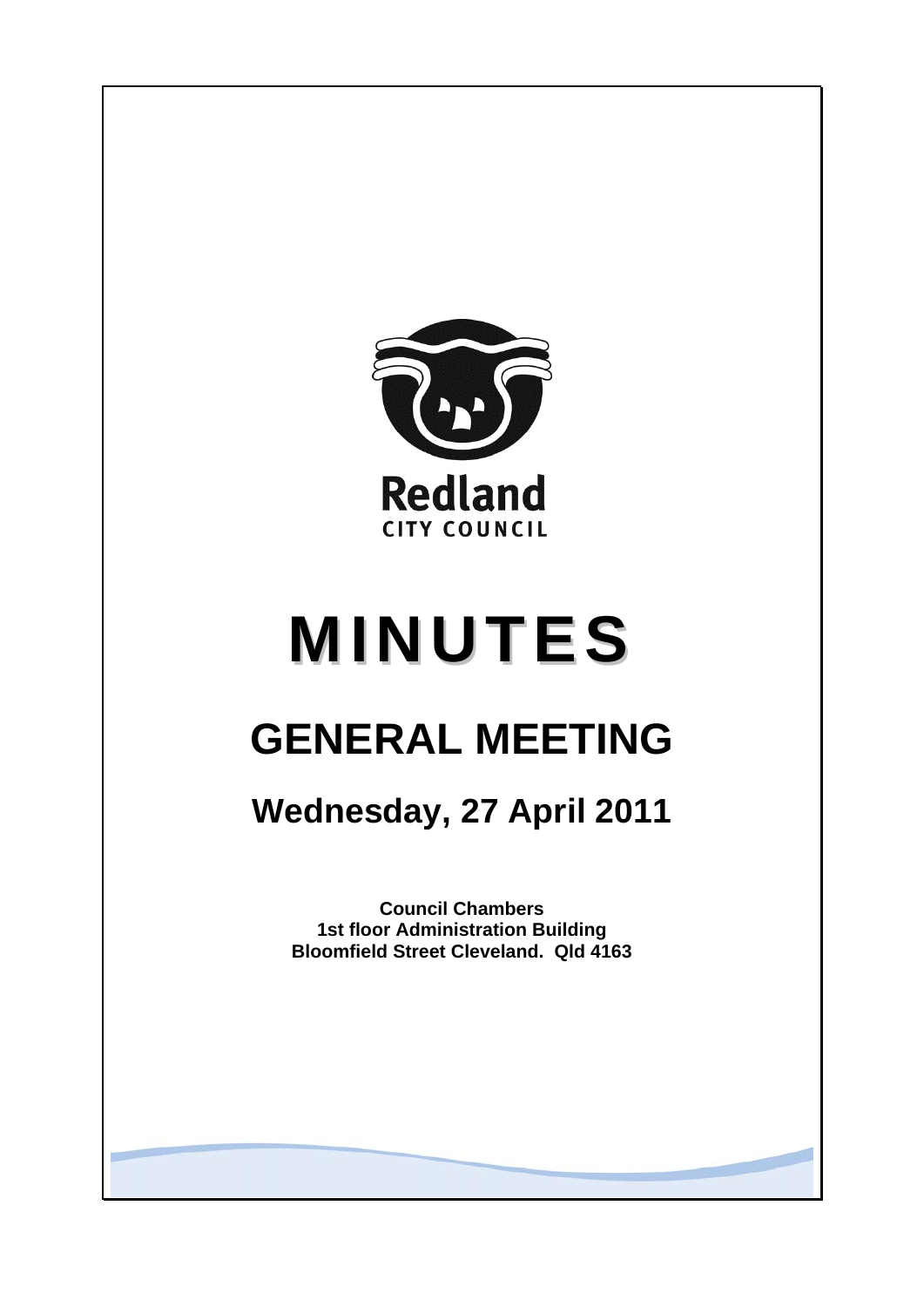

# **MINUTES**

## **GENERAL MEETING**

### **Wednesday, 27 April 2011**

**Council Chambers 1st floor Administration Building Bloomfield Street Cleveland. Qld 4163**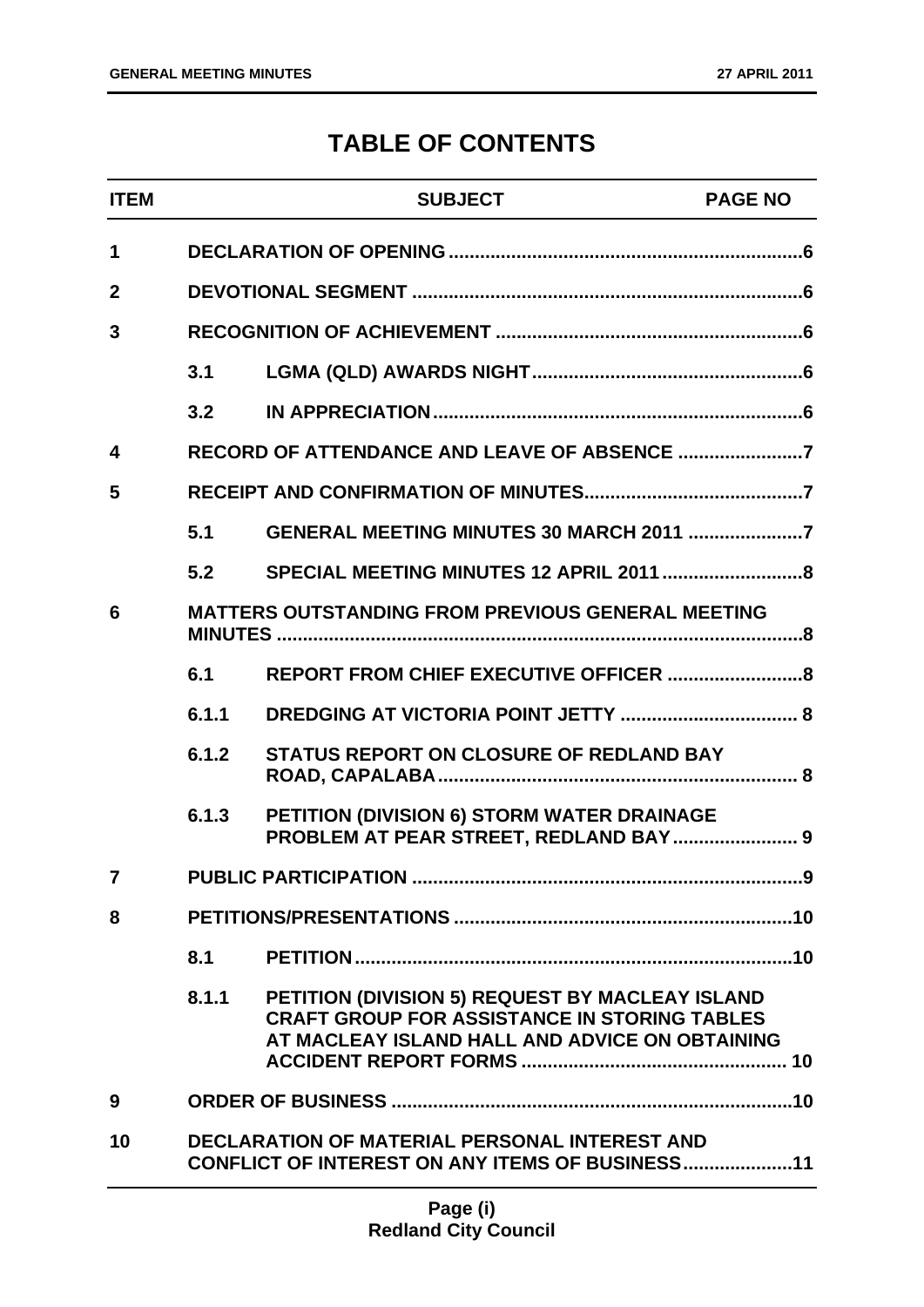### **TABLE OF CONTENTS**

| <b>ITEM</b>    |                                                                                                         | <b>SUBJECT</b>                                                                                                                                           | <b>PAGE NO</b> |
|----------------|---------------------------------------------------------------------------------------------------------|----------------------------------------------------------------------------------------------------------------------------------------------------------|----------------|
| 1              |                                                                                                         |                                                                                                                                                          |                |
| $\overline{2}$ |                                                                                                         |                                                                                                                                                          |                |
| 3              |                                                                                                         |                                                                                                                                                          |                |
|                | 3.1                                                                                                     |                                                                                                                                                          |                |
|                | 3.2                                                                                                     |                                                                                                                                                          |                |
| 4              |                                                                                                         |                                                                                                                                                          |                |
| 5              |                                                                                                         |                                                                                                                                                          |                |
|                | 5.1                                                                                                     | <b>GENERAL MEETING MINUTES 30 MARCH 2011 7</b>                                                                                                           |                |
|                | 5.2                                                                                                     |                                                                                                                                                          |                |
| 6              | <b>MATTERS OUTSTANDING FROM PREVIOUS GENERAL MEETING</b>                                                |                                                                                                                                                          |                |
|                | 6.1                                                                                                     |                                                                                                                                                          |                |
|                | 6.1.1                                                                                                   |                                                                                                                                                          |                |
|                | 6.1.2                                                                                                   | <b>STATUS REPORT ON CLOSURE OF REDLAND BAY</b>                                                                                                           |                |
|                | 6.1.3                                                                                                   | PETITION (DIVISION 6) STORM WATER DRAINAGE<br>PROBLEM AT PEAR STREET, REDLAND BAY  9                                                                     |                |
| 7              | <b>PUBLIC PARTICIPATION</b>                                                                             |                                                                                                                                                          | .9             |
| 8              |                                                                                                         |                                                                                                                                                          |                |
|                | 8.1                                                                                                     |                                                                                                                                                          |                |
|                | 8.1.1                                                                                                   | PETITION (DIVISION 5) REQUEST BY MACLEAY ISLAND<br><b>CRAFT GROUP FOR ASSISTANCE IN STORING TABLES</b><br>AT MACLEAY ISLAND HALL AND ADVICE ON OBTAINING |                |
| 9              |                                                                                                         |                                                                                                                                                          |                |
| 10             | <b>DECLARATION OF MATERIAL PERSONAL INTEREST AND</b><br>CONFLICT OF INTEREST ON ANY ITEMS OF BUSINESS11 |                                                                                                                                                          |                |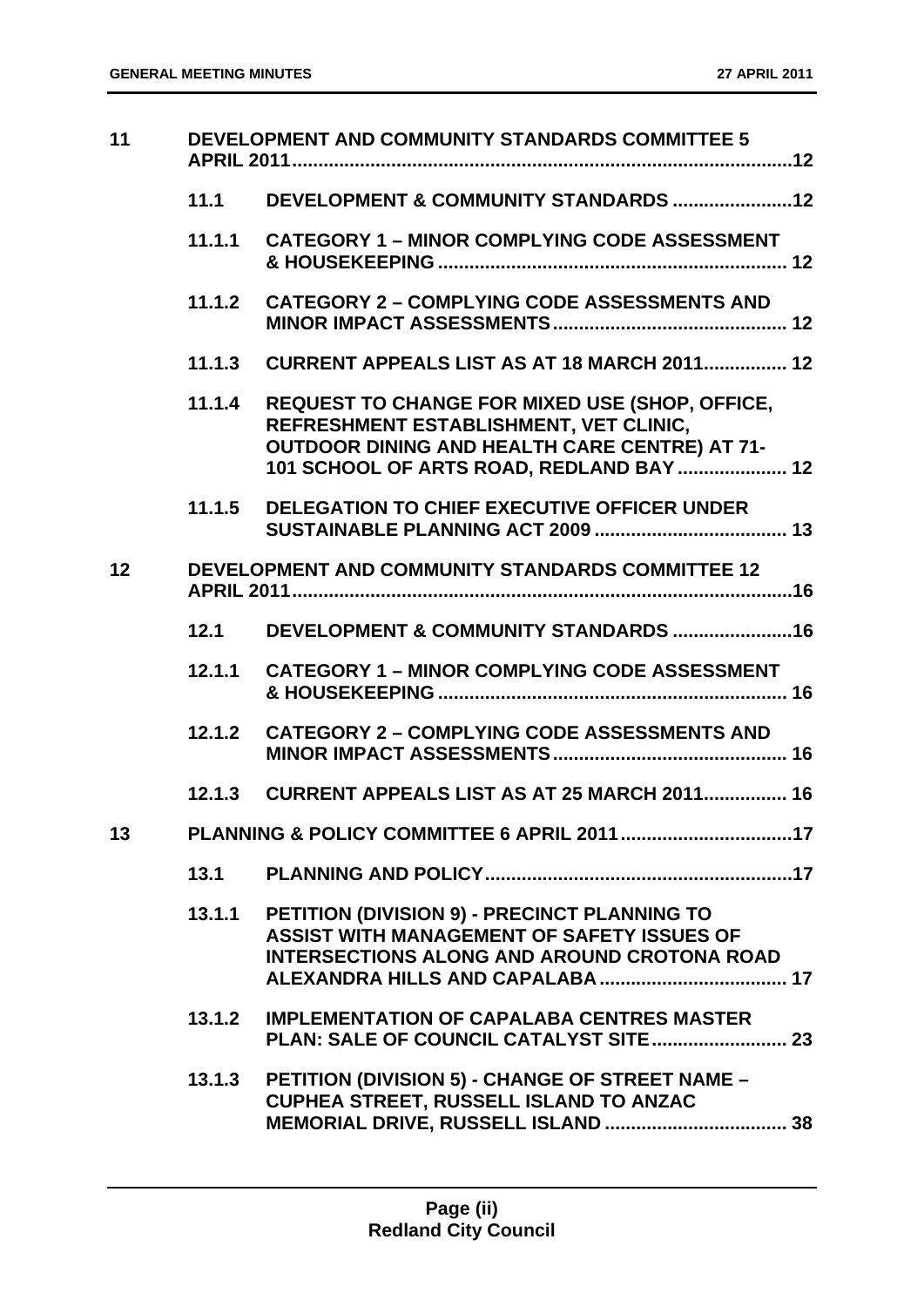| 11              |        | DEVELOPMENT AND COMMUNITY STANDARDS COMMITTEE 5                                                                                                                                                     |
|-----------------|--------|-----------------------------------------------------------------------------------------------------------------------------------------------------------------------------------------------------|
|                 | 11.1   |                                                                                                                                                                                                     |
|                 | 11.1.1 | <b>CATEGORY 1 - MINOR COMPLYING CODE ASSESSMENT</b>                                                                                                                                                 |
|                 | 11.1.2 | <b>CATEGORY 2 - COMPLYING CODE ASSESSMENTS AND</b>                                                                                                                                                  |
|                 | 11.1.3 | <b>CURRENT APPEALS LIST AS AT 18 MARCH 2011 12</b>                                                                                                                                                  |
|                 | 11.1.4 | <b>REQUEST TO CHANGE FOR MIXED USE (SHOP, OFFICE,</b><br>REFRESHMENT ESTABLISHMENT, VET CLINIC,<br><b>OUTDOOR DINING AND HEALTH CARE CENTRE) AT 71-</b><br>101 SCHOOL OF ARTS ROAD, REDLAND BAY  12 |
|                 | 11.1.5 | <b>DELEGATION TO CHIEF EXECUTIVE OFFICER UNDER</b>                                                                                                                                                  |
| 12 <sub>2</sub> |        | <b>DEVELOPMENT AND COMMUNITY STANDARDS COMMITTEE 12</b>                                                                                                                                             |
|                 | 12.1   |                                                                                                                                                                                                     |
|                 | 12.1.1 | <b>CATEGORY 1 – MINOR COMPLYING CODE ASSESSMENT</b>                                                                                                                                                 |
|                 | 12.1.2 | <b>CATEGORY 2 - COMPLYING CODE ASSESSMENTS AND</b>                                                                                                                                                  |
|                 | 12.1.3 | <b>CURRENT APPEALS LIST AS AT 25 MARCH 2011 16</b>                                                                                                                                                  |
| 13              |        | PLANNING & POLICY COMMITTEE 6 APRIL 2011 17                                                                                                                                                         |
|                 | 13.1   |                                                                                                                                                                                                     |
|                 | 13.1.1 | PETITION (DIVISION 9) - PRECINCT PLANNING TO<br>ASSIST WITH MANAGEMENT OF SAFETY ISSUES OF<br><b>INTERSECTIONS ALONG AND AROUND CROTONA ROAD</b>                                                    |
|                 | 13.1.2 | <b>IMPLEMENTATION OF CAPALABA CENTRES MASTER</b>                                                                                                                                                    |
|                 | 13.1.3 | PETITION (DIVISION 5) - CHANGE OF STREET NAME -<br>CUPHEA STREET, RUSSELL ISLAND TO ANZAC                                                                                                           |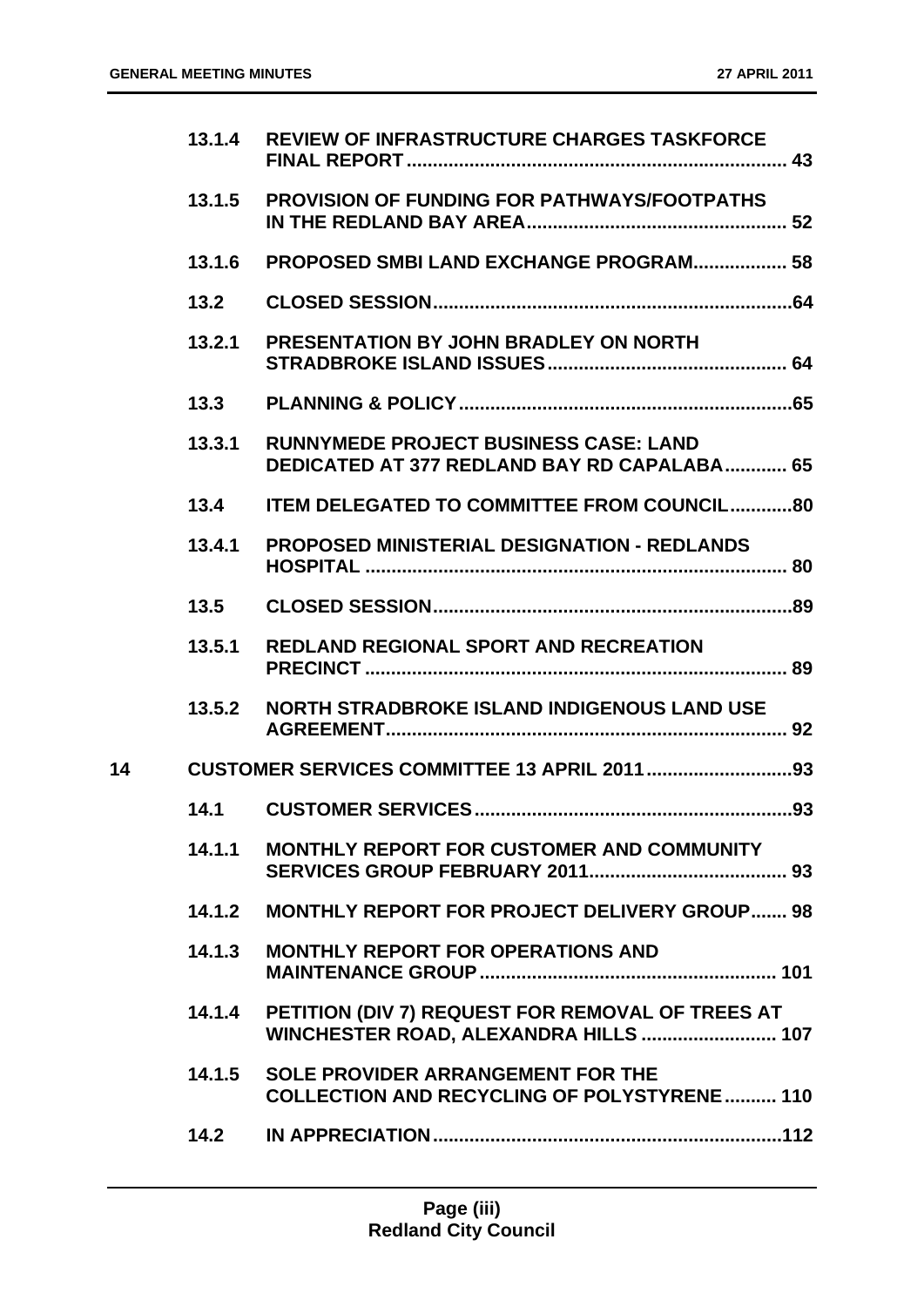|    | 13.1.4 | <b>REVIEW OF INFRASTRUCTURE CHARGES TASKFORCE</b>                                                  |
|----|--------|----------------------------------------------------------------------------------------------------|
|    | 13.1.5 | <b>PROVISION OF FUNDING FOR PATHWAYS/FOOTPATHS</b>                                                 |
|    | 13.1.6 | <b>PROPOSED SMBI LAND EXCHANGE PROGRAM 58</b>                                                      |
|    | 13.2   |                                                                                                    |
|    | 13.2.1 | <b>PRESENTATION BY JOHN BRADLEY ON NORTH</b>                                                       |
|    | 13.3   |                                                                                                    |
|    | 13.3.1 | <b>RUNNYMEDE PROJECT BUSINESS CASE: LAND</b><br><b>DEDICATED AT 377 REDLAND BAY RD CAPALABA 65</b> |
|    | 13.4   | <b>ITEM DELEGATED TO COMMITTEE FROM COUNCIL80</b>                                                  |
|    | 13.4.1 | <b>PROPOSED MINISTERIAL DESIGNATION - REDLANDS</b>                                                 |
|    | 13.5   |                                                                                                    |
|    | 13.5.1 | <b>REDLAND REGIONAL SPORT AND RECREATION</b>                                                       |
|    | 13.5.2 | NORTH STRADBROKE ISLAND INDIGENOUS LAND USE                                                        |
| 14 |        |                                                                                                    |
|    | 14.1   |                                                                                                    |
|    | 14.1.1 | <b>MONTHLY REPORT FOR CUSTOMER AND COMMUNITY</b>                                                   |
|    | 14.1.2 | <b>MONTHLY REPORT FOR PROJECT DELIVERY GROUP 98</b>                                                |
|    | 14.1.3 | <b>MONTHLY REPORT FOR OPERATIONS AND</b>                                                           |
|    | 14.1.4 | PETITION (DIV 7) REQUEST FOR REMOVAL OF TREES AT<br>WINCHESTER ROAD, ALEXANDRA HILLS  107          |
|    | 14.1.5 | <b>SOLE PROVIDER ARRANGEMENT FOR THE</b><br><b>COLLECTION AND RECYCLING OF POLYSTYRENE 110</b>     |
|    | 14.2   |                                                                                                    |
|    |        |                                                                                                    |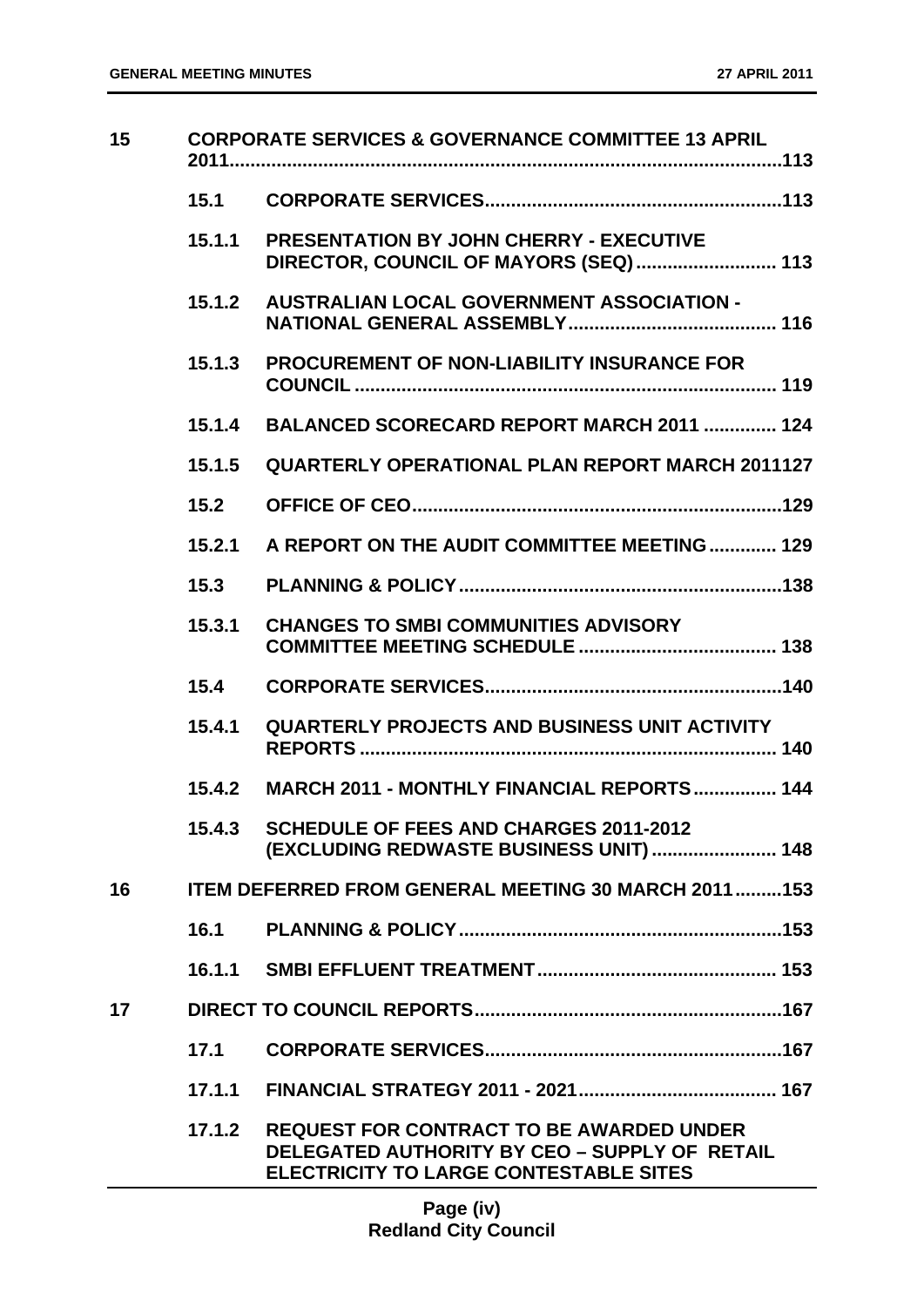| 15 |        | <b>CORPORATE SERVICES &amp; GOVERNANCE COMMITTEE 13 APRIL</b>                                                                                     |
|----|--------|---------------------------------------------------------------------------------------------------------------------------------------------------|
|    | 15.1   |                                                                                                                                                   |
|    | 15.1.1 | <b>PRESENTATION BY JOHN CHERRY - EXECUTIVE</b><br>DIRECTOR, COUNCIL OF MAYORS (SEQ)  113                                                          |
|    | 15.1.2 | <b>AUSTRALIAN LOCAL GOVERNMENT ASSOCIATION -</b>                                                                                                  |
|    | 15.1.3 | <b>PROCUREMENT OF NON-LIABILITY INSURANCE FOR</b>                                                                                                 |
|    | 15.1.4 | BALANCED SCORECARD REPORT MARCH 2011  124                                                                                                         |
|    | 15.1.5 | <b>QUARTERLY OPERATIONAL PLAN REPORT MARCH 2011127</b>                                                                                            |
|    | 15.2   |                                                                                                                                                   |
|    | 15.2.1 | A REPORT ON THE AUDIT COMMITTEE MEETING 129                                                                                                       |
|    | 15.3   |                                                                                                                                                   |
|    | 15.3.1 | <b>CHANGES TO SMBI COMMUNITIES ADVISORY</b>                                                                                                       |
|    | 15.4   |                                                                                                                                                   |
|    | 15.4.1 | <b>QUARTERLY PROJECTS AND BUSINESS UNIT ACTIVITY</b>                                                                                              |
|    |        | 15.4.2 MARCH 2011 - MONTHLY FINANCIAL REPORTS 144                                                                                                 |
|    |        | 15.4.3 SCHEDULE OF FEES AND CHARGES 2011-2012<br>(EXCLUDING REDWASTE BUSINESS UNIT)  148                                                          |
| 16 |        | <b>ITEM DEFERRED FROM GENERAL MEETING 30 MARCH 2011 153</b>                                                                                       |
|    | 16.1   |                                                                                                                                                   |
|    |        |                                                                                                                                                   |
| 17 |        |                                                                                                                                                   |
|    | 17.1   |                                                                                                                                                   |
|    | 17.1.1 |                                                                                                                                                   |
|    | 17.1.2 | <b>REQUEST FOR CONTRACT TO BE AWARDED UNDER</b><br>DELEGATED AUTHORITY BY CEO - SUPPLY OF RETAIL<br><b>ELECTRICITY TO LARGE CONTESTABLE SITES</b> |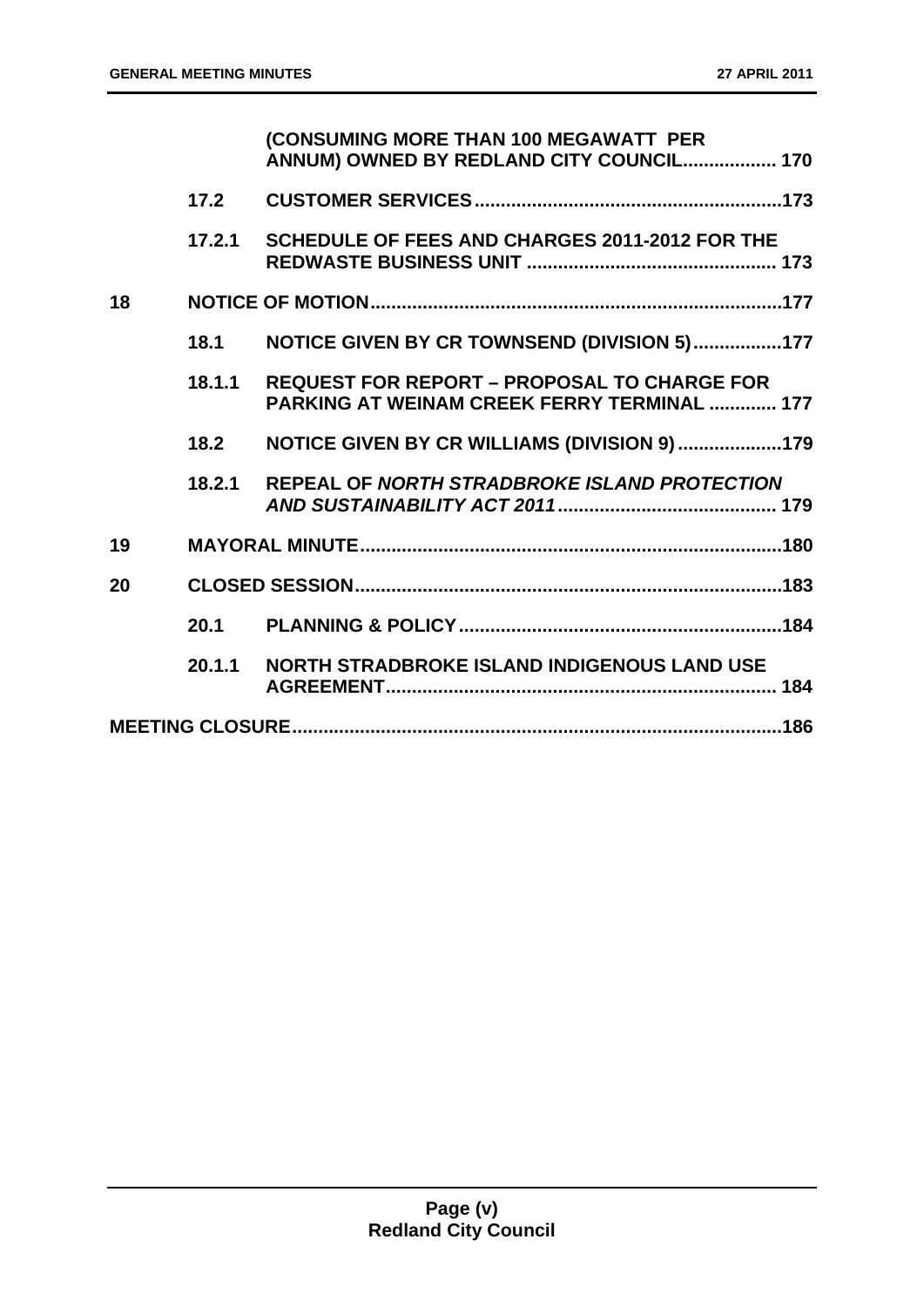|    |        | (CONSUMING MORE THAN 100 MEGAWATT PER<br>ANNUM) OWNED BY REDLAND CITY COUNCIL 170                 |
|----|--------|---------------------------------------------------------------------------------------------------|
|    | 17.2   |                                                                                                   |
|    | 17.2.1 | SCHEDULE OF FEES AND CHARGES 2011-2012 FOR THE                                                    |
| 18 |        |                                                                                                   |
|    | 18.1   | NOTICE GIVEN BY CR TOWNSEND (DIVISION 5)177                                                       |
|    | 18.1.1 | <b>REQUEST FOR REPORT - PROPOSAL TO CHARGE FOR</b><br>PARKING AT WEINAM CREEK FERRY TERMINAL  177 |
|    | 18.2   | NOTICE GIVEN BY CR WILLIAMS (DIVISION 9) 179                                                      |
|    | 18.2.1 | REPEAL OF NORTH STRADBROKE ISLAND PROTECTION                                                      |
| 19 |        |                                                                                                   |
| 20 |        |                                                                                                   |
|    | 20.1   |                                                                                                   |
|    | 20.1.1 | <b>NORTH STRADBROKE ISLAND INDIGENOUS LAND USE</b>                                                |
|    |        |                                                                                                   |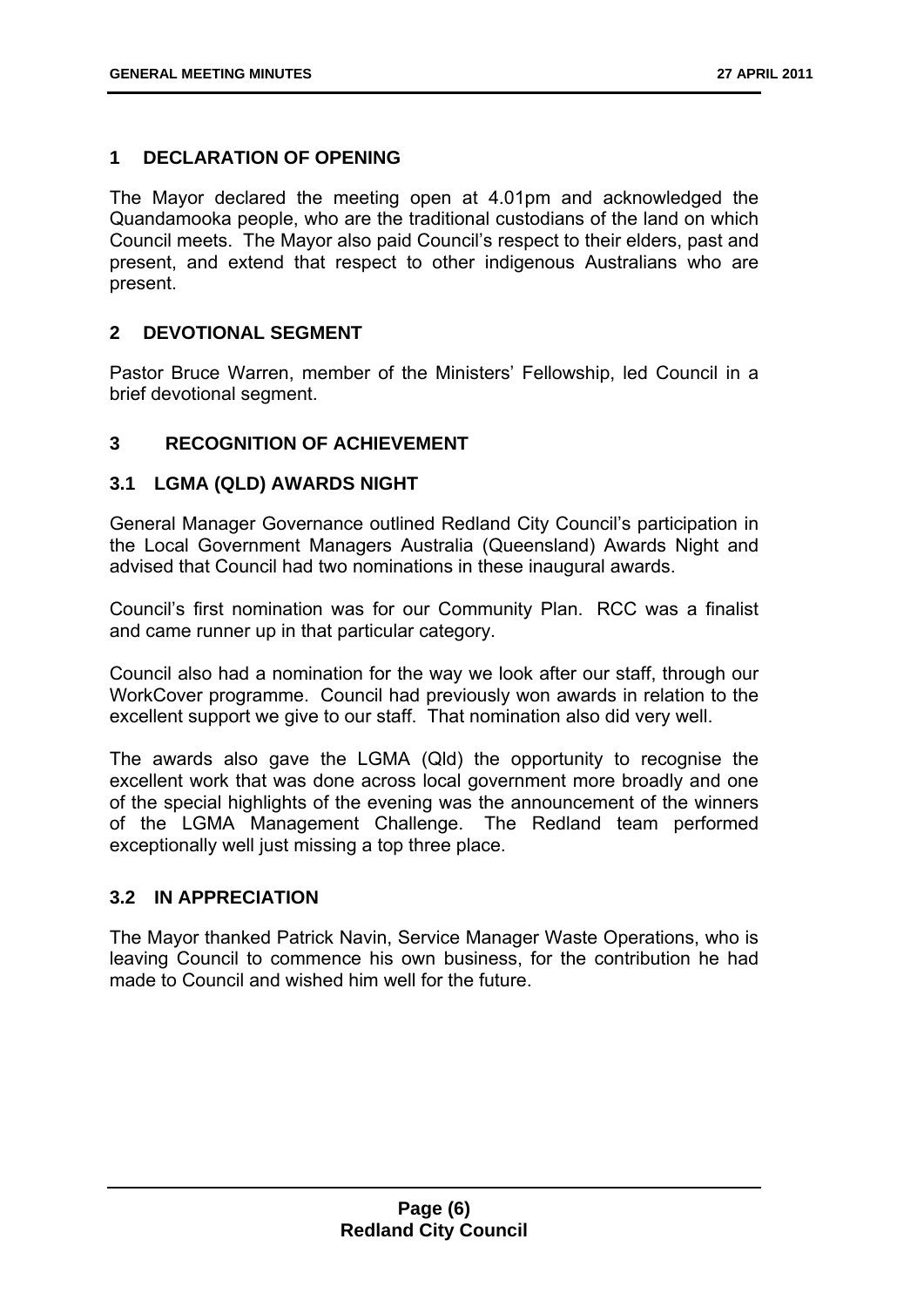#### **1 DECLARATION OF OPENING**

The Mayor declared the meeting open at 4.01pm and acknowledged the Quandamooka people, who are the traditional custodians of the land on which Council meets. The Mayor also paid Council's respect to their elders, past and present, and extend that respect to other indigenous Australians who are present.

#### **2 DEVOTIONAL SEGMENT**

Pastor Bruce Warren, member of the Ministers' Fellowship, led Council in a brief devotional segment.

#### **3 RECOGNITION OF ACHIEVEMENT**

#### **3.1 LGMA (QLD) AWARDS NIGHT**

General Manager Governance outlined Redland City Council's participation in the Local Government Managers Australia (Queensland) Awards Night and advised that Council had two nominations in these inaugural awards.

Council's first nomination was for our Community Plan. RCC was a finalist and came runner up in that particular category.

Council also had a nomination for the way we look after our staff, through our WorkCover programme. Council had previously won awards in relation to the excellent support we give to our staff. That nomination also did very well.

The awards also gave the LGMA (Qld) the opportunity to recognise the excellent work that was done across local government more broadly and one of the special highlights of the evening was the announcement of the winners of the LGMA Management Challenge. The Redland team performed exceptionally well just missing a top three place.

#### **3.2 IN APPRECIATION**

The Mayor thanked Patrick Navin, Service Manager Waste Operations, who is leaving Council to commence his own business, for the contribution he had made to Council and wished him well for the future.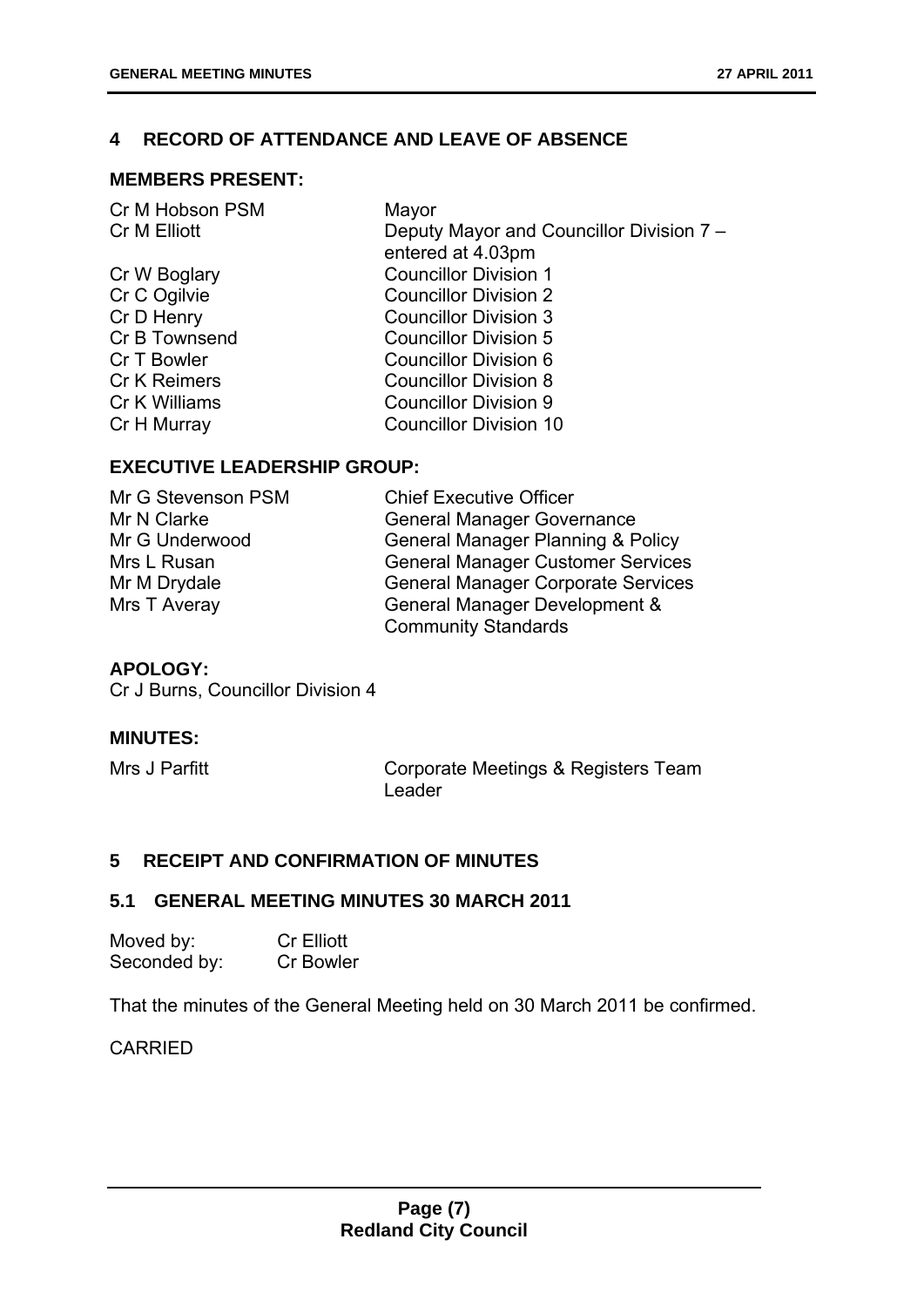#### **4 RECORD OF ATTENDANCE AND LEAVE OF ABSENCE**

#### **MEMBERS PRESENT:**

| Deputy Mayor and Councillor Division 7 -<br>Cr M Elliott |  |
|----------------------------------------------------------|--|
| entered at 4.03pm                                        |  |
| <b>Councillor Division 1</b><br>Cr W Boglary             |  |
| Cr C Ogilvie<br><b>Councillor Division 2</b>             |  |
| Cr D Henry<br><b>Councillor Division 3</b>               |  |
| Cr B Townsend<br><b>Councillor Division 5</b>            |  |
| Cr T Bowler<br>Councillor Division 6                     |  |
| <b>Cr K Reimers</b><br><b>Councillor Division 8</b>      |  |
| Cr K Williams<br><b>Councillor Division 9</b>            |  |
| <b>Councillor Division 10</b><br>Cr H Murray             |  |

#### **EXECUTIVE LEADERSHIP GROUP:**

| Mr G Stevenson PSM | <b>Chief Executive Officer</b>               |
|--------------------|----------------------------------------------|
| Mr N Clarke        | <b>General Manager Governance</b>            |
| Mr G Underwood     | <b>General Manager Planning &amp; Policy</b> |
| Mrs L Rusan        | <b>General Manager Customer Services</b>     |
| Mr M Drydale       | <b>General Manager Corporate Services</b>    |
| Mrs T Averay       | General Manager Development &                |
|                    | <b>Community Standards</b>                   |

#### **APOLOGY:**

Cr J Burns, Councillor Division 4

#### **MINUTES:**

Mrs J Parfitt **Corporate Meetings & Registers Team** Leader

#### **5 RECEIPT AND CONFIRMATION OF MINUTES**

#### **5.1 GENERAL MEETING MINUTES 30 MARCH 2011**

| Moved by:    | <b>Cr Elliott</b> |
|--------------|-------------------|
| Seconded by: | <b>Cr Bowler</b>  |

That the minutes of the General Meeting held on 30 March 2011 be confirmed.

CARRIED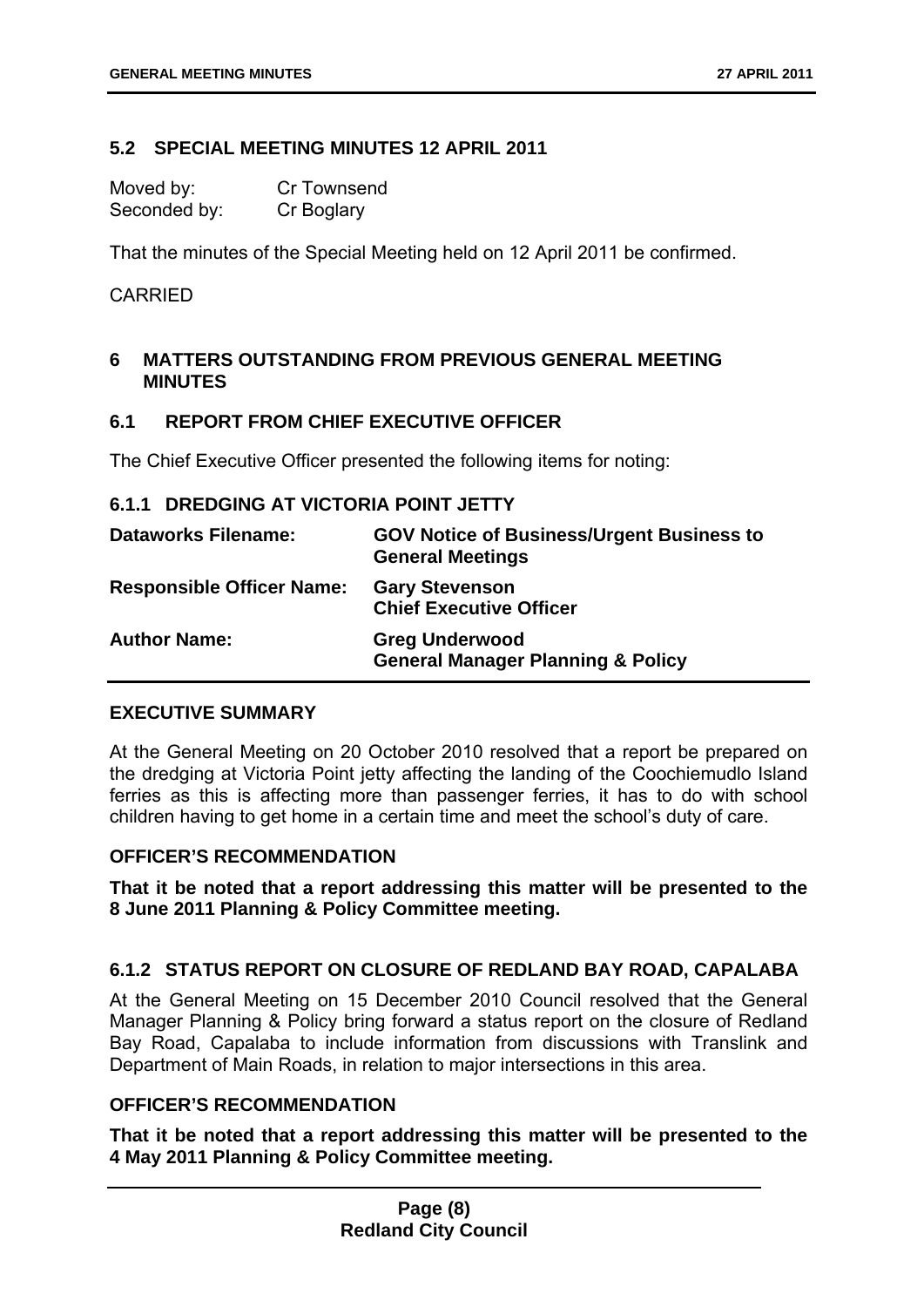#### **5.2 SPECIAL MEETING MINUTES 12 APRIL 2011**

Moved by: Cr Townsend Seconded by: Cr Boglary

That the minutes of the Special Meeting held on 12 April 2011 be confirmed.

#### CARRIED

#### **6 MATTERS OUTSTANDING FROM PREVIOUS GENERAL MEETING MINUTES**

#### **6.1 REPORT FROM CHIEF EXECUTIVE OFFICER**

The Chief Executive Officer presented the following items for noting:

#### **6.1.1 DREDGING AT VICTORIA POINT JETTY**

| <b>Dataworks Filename:</b>       | <b>GOV Notice of Business/Urgent Business to</b><br><b>General Meetings</b> |
|----------------------------------|-----------------------------------------------------------------------------|
| <b>Responsible Officer Name:</b> | <b>Gary Stevenson</b><br><b>Chief Executive Officer</b>                     |
| <b>Author Name:</b>              | <b>Greg Underwood</b><br><b>General Manager Planning &amp; Policy</b>       |

#### **EXECUTIVE SUMMARY**

At the General Meeting on 20 October 2010 resolved that a report be prepared on the dredging at Victoria Point jetty affecting the landing of the Coochiemudlo Island ferries as this is affecting more than passenger ferries, it has to do with school children having to get home in a certain time and meet the school's duty of care.

#### **OFFICER'S RECOMMENDATION**

**That it be noted that a report addressing this matter will be presented to the 8 June 2011 Planning & Policy Committee meeting.** 

#### **6.1.2 STATUS REPORT ON CLOSURE OF REDLAND BAY ROAD, CAPALABA**

At the General Meeting on 15 December 2010 Council resolved that the General Manager Planning & Policy bring forward a status report on the closure of Redland Bay Road, Capalaba to include information from discussions with Translink and Department of Main Roads, in relation to major intersections in this area.

#### **OFFICER'S RECOMMENDATION**

**That it be noted that a report addressing this matter will be presented to the 4 May 2011 Planning & Policy Committee meeting.**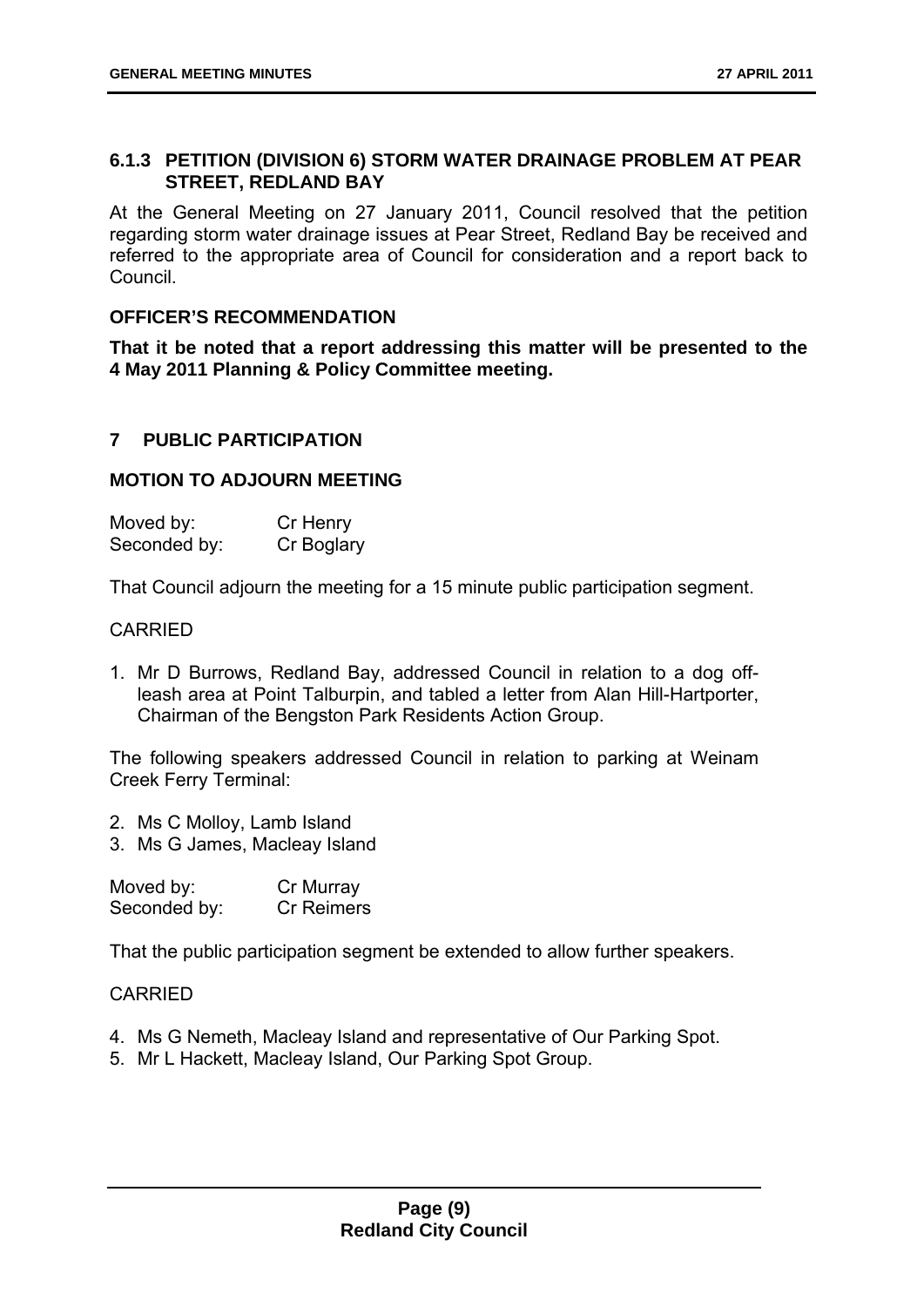#### **6.1.3 PETITION (DIVISION 6) STORM WATER DRAINAGE PROBLEM AT PEAR STREET, REDLAND BAY**

At the General Meeting on 27 January 2011, Council resolved that the petition regarding storm water drainage issues at Pear Street, Redland Bay be received and referred to the appropriate area of Council for consideration and a report back to Council.

#### **OFFICER'S RECOMMENDATION**

**That it be noted that a report addressing this matter will be presented to the 4 May 2011 Planning & Policy Committee meeting.** 

#### **7 PUBLIC PARTICIPATION**

#### **MOTION TO ADJOURN MEETING**

| Moved by:    | Cr Henry   |
|--------------|------------|
| Seconded by: | Cr Boglary |

That Council adjourn the meeting for a 15 minute public participation segment.

#### CARRIED

1. Mr D Burrows, Redland Bay, addressed Council in relation to a dog offleash area at Point Talburpin, and tabled a letter from Alan Hill-Hartporter, Chairman of the Bengston Park Residents Action Group.

The following speakers addressed Council in relation to parking at Weinam Creek Ferry Terminal:

- 2. Ms C Molloy, Lamb Island
- 3. Ms G James, Macleay Island

| Moved by:    | Cr Murray         |
|--------------|-------------------|
| Seconded by: | <b>Cr Reimers</b> |

That the public participation segment be extended to allow further speakers.

#### CARRIED

- 4. Ms G Nemeth, Macleay Island and representative of Our Parking Spot.
- 5. Mr L Hackett, Macleay Island, Our Parking Spot Group.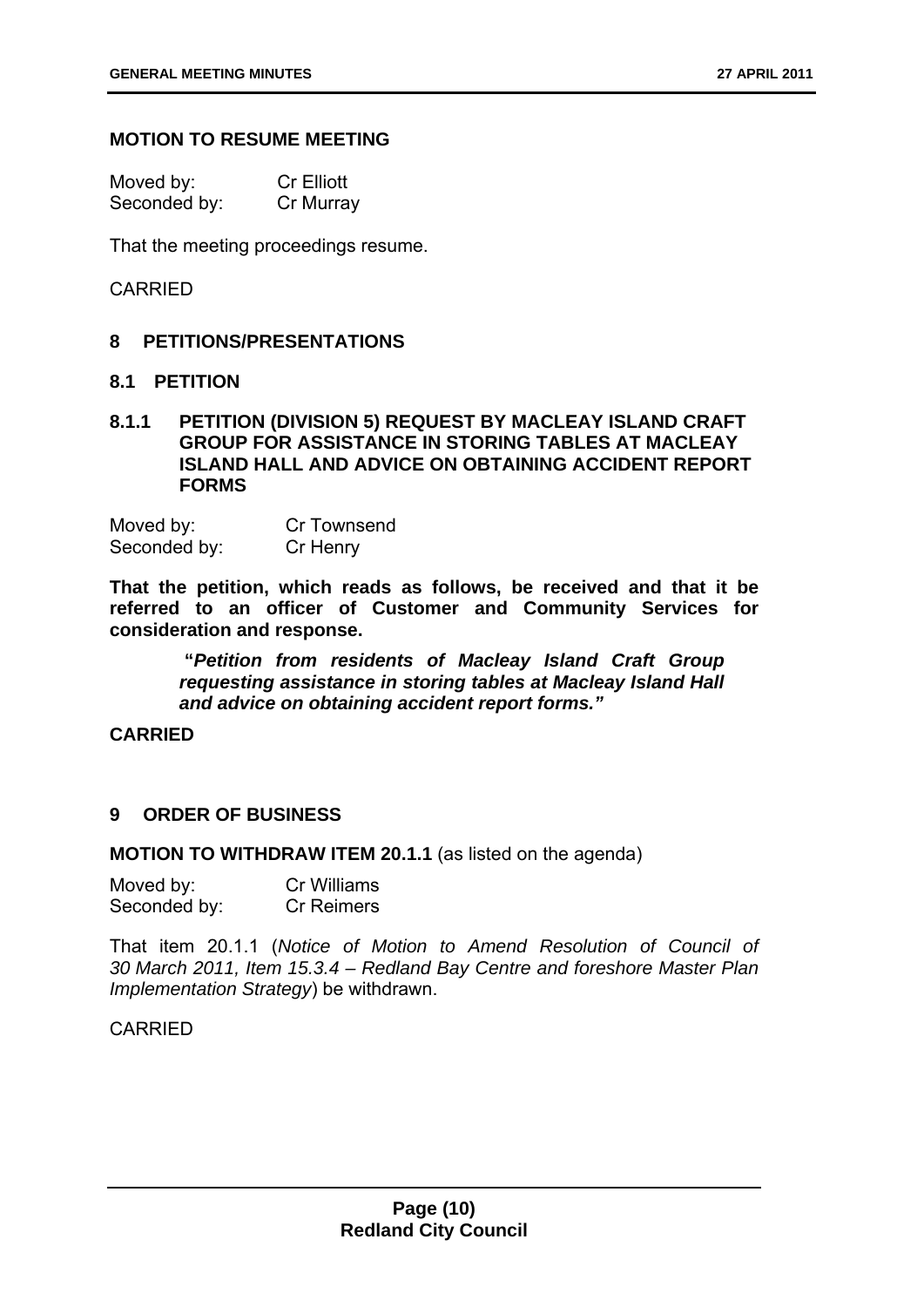#### **MOTION TO RESUME MEETING**

| Moved by:    | <b>Cr Elliott</b> |
|--------------|-------------------|
| Seconded by: | Cr Murray         |

That the meeting proceedings resume.

#### CARRIED

#### **8 PETITIONS/PRESENTATIONS**

#### **8.1 PETITION**

#### **8.1.1 PETITION (DIVISION 5) REQUEST BY MACLEAY ISLAND CRAFT GROUP FOR ASSISTANCE IN STORING TABLES AT MACLEAY ISLAND HALL AND ADVICE ON OBTAINING ACCIDENT REPORT FORMS**

Moved by: Cr Townsend Seconded by: Cr Henry

**That the petition, which reads as follows, be received and that it be referred to an officer of Customer and Community Services for consideration and response.** 

> **"***Petition from residents of Macleay Island Craft Group requesting assistance in storing tables at Macleay Island Hall and advice on obtaining accident report forms."*

#### **CARRIED**

#### **9 ORDER OF BUSINESS**

**MOTION TO WITHDRAW ITEM 20.1.1** (as listed on the agenda)

| Moved by:    | Cr Williams       |
|--------------|-------------------|
| Seconded by: | <b>Cr Reimers</b> |

That item 20.1.1 (*Notice of Motion to Amend Resolution of Council of 30 March 2011, Item 15.3.4 – Redland Bay Centre and foreshore Master Plan Implementation Strategy*) be withdrawn.

#### CARRIED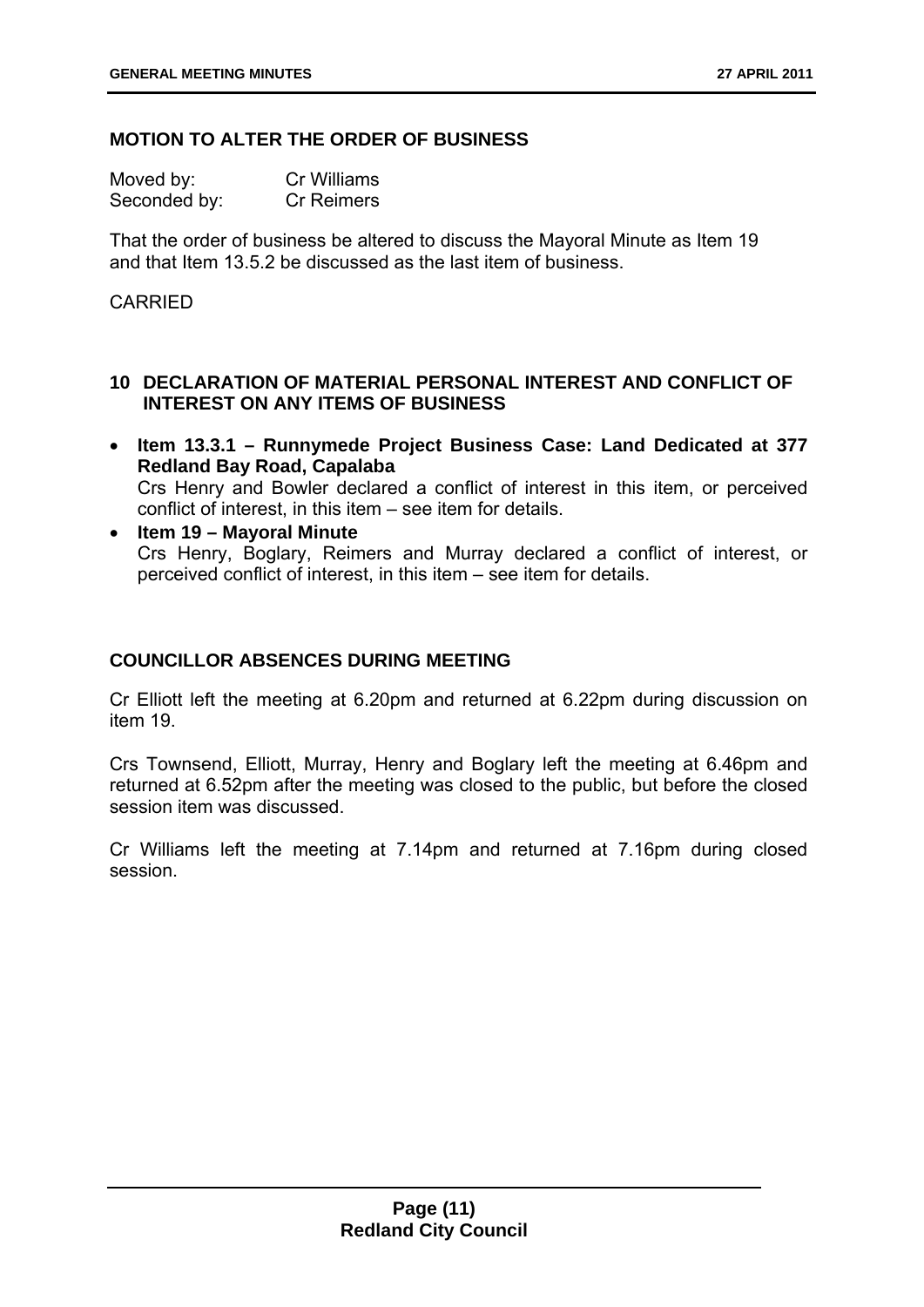#### **MOTION TO ALTER THE ORDER OF BUSINESS**

| Moved by:    | <b>Cr Williams</b> |
|--------------|--------------------|
| Seconded by: | <b>Cr Reimers</b>  |

That the order of business be altered to discuss the Mayoral Minute as Item 19 and that Item 13.5.2 be discussed as the last item of business.

#### CARRIED

#### **10 DECLARATION OF MATERIAL PERSONAL INTEREST AND CONFLICT OF INTEREST ON ANY ITEMS OF BUSINESS**

- **Item 13.3.1 Runnymede Project Business Case: Land Dedicated at 377 Redland Bay Road, Capalaba**  Crs Henry and Bowler declared a conflict of interest in this item, or perceived conflict of interest, in this item – see item for details.
- **Item 19 Mayoral Minute**  Crs Henry, Boglary, Reimers and Murray declared a conflict of interest, or perceived conflict of interest, in this item – see item for details.

#### **COUNCILLOR ABSENCES DURING MEETING**

Cr Elliott left the meeting at 6.20pm and returned at 6.22pm during discussion on item 19.

Crs Townsend, Elliott, Murray, Henry and Boglary left the meeting at 6.46pm and returned at 6.52pm after the meeting was closed to the public, but before the closed session item was discussed.

Cr Williams left the meeting at 7.14pm and returned at 7.16pm during closed session.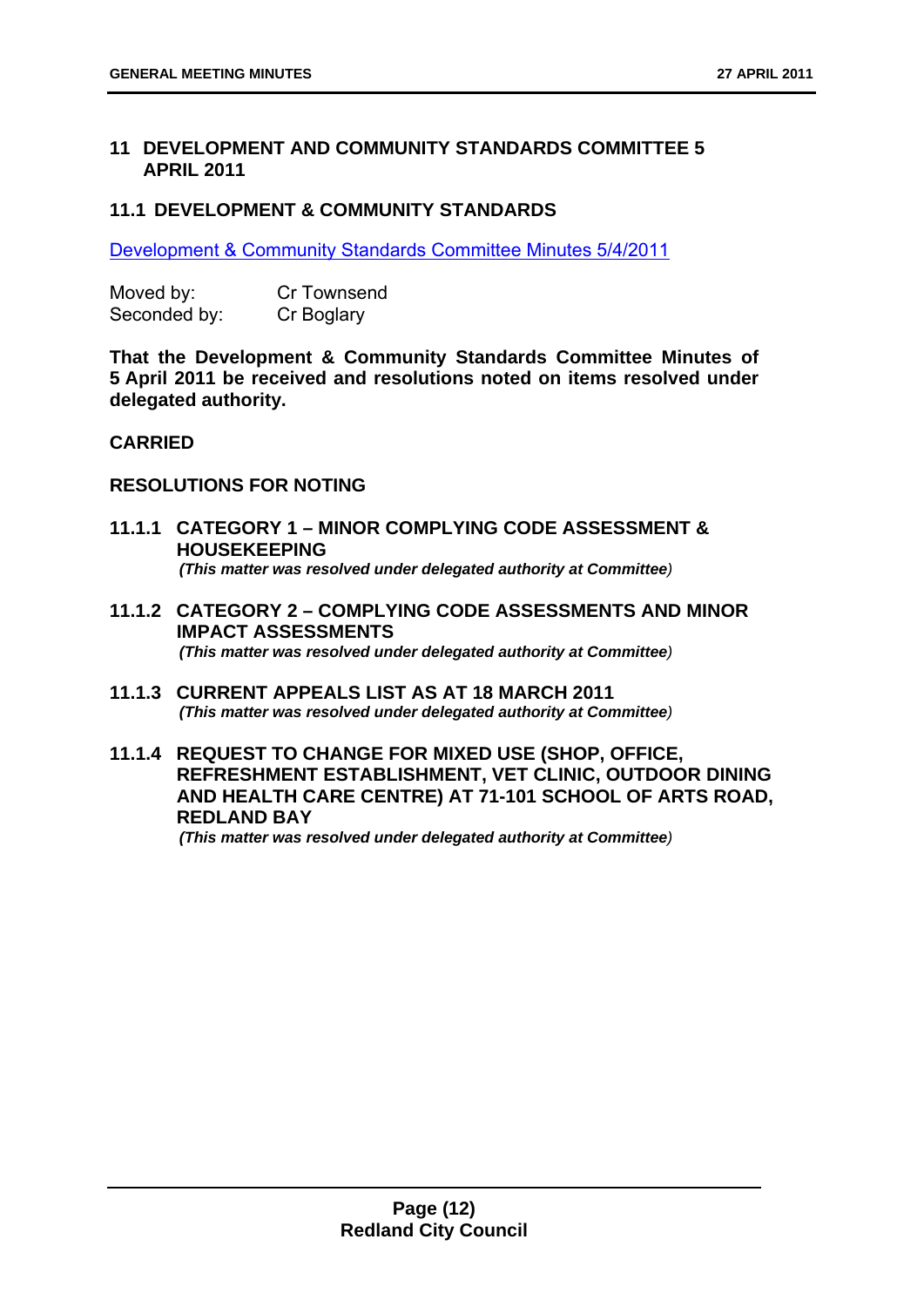#### **11 DEVELOPMENT AND COMMUNITY STANDARDS COMMITTEE 5 APRIL 2011**

#### **11.1 DEVELOPMENT & COMMUNITY STANDARDS**

Development & Community Standards Committee Minutes 5/4/2011

| Moved by:    | <b>Cr Townsend</b> |  |  |
|--------------|--------------------|--|--|
| Seconded by: | Cr Boglary         |  |  |

**That the Development & Community Standards Committee Minutes of 5 April 2011 be received and resolutions noted on items resolved under delegated authority.** 

#### **CARRIED**

#### **RESOLUTIONS FOR NOTING**

- **11.1.1 CATEGORY 1 MINOR COMPLYING CODE ASSESSMENT & HOUSEKEEPING**  *(This matter was resolved under delegated authority at Committee)*
- **11.1.2 CATEGORY 2 COMPLYING CODE ASSESSMENTS AND MINOR IMPACT ASSESSMENTS**  *(This matter was resolved under delegated authority at Committee)*
- **11.1.3 CURRENT APPEALS LIST AS AT 18 MARCH 2011**  *(This matter was resolved under delegated authority at Committee)*
- **11.1.4 REQUEST TO CHANGE FOR MIXED USE (SHOP, OFFICE, REFRESHMENT ESTABLISHMENT, VET CLINIC, OUTDOOR DINING AND HEALTH CARE CENTRE) AT 71-101 SCHOOL OF ARTS ROAD, REDLAND BAY**

*(This matter was resolved under delegated authority at Committee)*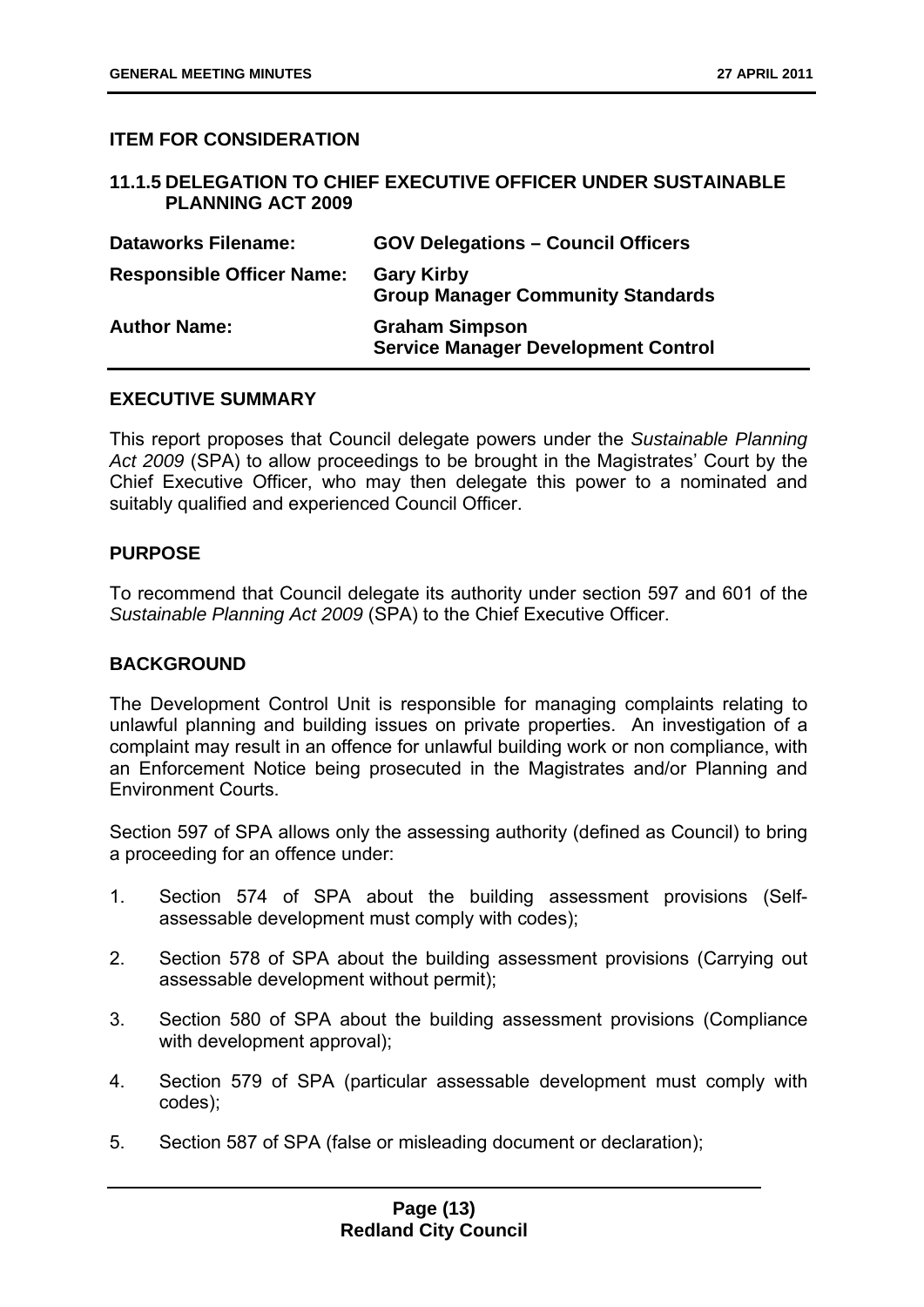#### **ITEM FOR CONSIDERATION**

#### **11.1.5 DELEGATION TO CHIEF EXECUTIVE OFFICER UNDER SUSTAINABLE PLANNING ACT 2009**

| <b>Dataworks Filename:</b>       | <b>GOV Delegations - Council Officers</b>                           |
|----------------------------------|---------------------------------------------------------------------|
| <b>Responsible Officer Name:</b> | <b>Gary Kirby</b><br><b>Group Manager Community Standards</b>       |
| <b>Author Name:</b>              | <b>Graham Simpson</b><br><b>Service Manager Development Control</b> |

#### **EXECUTIVE SUMMARY**

This report proposes that Council delegate powers under the *Sustainable Planning Act 2009* (SPA) to allow proceedings to be brought in the Magistrates' Court by the Chief Executive Officer, who may then delegate this power to a nominated and suitably qualified and experienced Council Officer.

#### **PURPOSE**

To recommend that Council delegate its authority under section 597 and 601 of the *Sustainable Planning Act 2009* (SPA) to the Chief Executive Officer.

#### **BACKGROUND**

The Development Control Unit is responsible for managing complaints relating to unlawful planning and building issues on private properties. An investigation of a complaint may result in an offence for unlawful building work or non compliance, with an Enforcement Notice being prosecuted in the Magistrates and/or Planning and Environment Courts.

Section 597 of SPA allows only the assessing authority (defined as Council) to bring a proceeding for an offence under:

- 1. Section 574 of SPA about the building assessment provisions (Selfassessable development must comply with codes);
- 2. Section 578 of SPA about the building assessment provisions (Carrying out assessable development without permit);
- 3. Section 580 of SPA about the building assessment provisions (Compliance with development approval);
- 4. Section 579 of SPA (particular assessable development must comply with codes);
- 5. Section 587 of SPA (false or misleading document or declaration);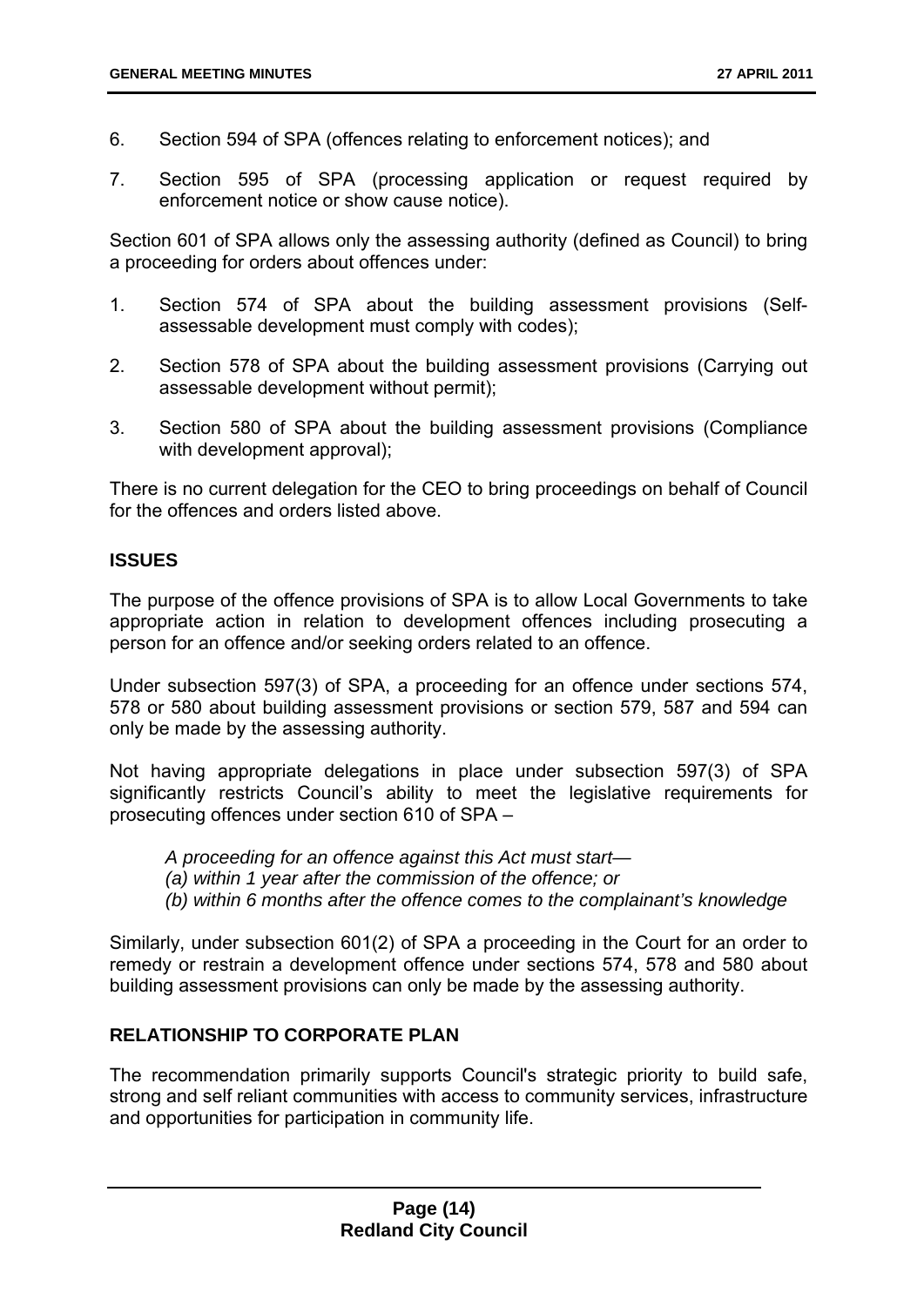- 6. Section 594 of SPA (offences relating to enforcement notices); and
- 7. Section 595 of SPA (processing application or request required by enforcement notice or show cause notice).

Section 601 of SPA allows only the assessing authority (defined as Council) to bring a proceeding for orders about offences under:

- 1. Section 574 of SPA about the building assessment provisions (Selfassessable development must comply with codes);
- 2. Section 578 of SPA about the building assessment provisions (Carrying out assessable development without permit);
- 3. Section 580 of SPA about the building assessment provisions (Compliance with development approval);

There is no current delegation for the CEO to bring proceedings on behalf of Council for the offences and orders listed above.

#### **ISSUES**

The purpose of the offence provisions of SPA is to allow Local Governments to take appropriate action in relation to development offences including prosecuting a person for an offence and/or seeking orders related to an offence.

Under subsection 597(3) of SPA, a proceeding for an offence under sections 574, 578 or 580 about building assessment provisions or section 579, 587 and 594 can only be made by the assessing authority.

Not having appropriate delegations in place under subsection 597(3) of SPA significantly restricts Council's ability to meet the legislative requirements for prosecuting offences under section 610 of SPA –

*A proceeding for an offence against this Act must start—* 

- *(a) within 1 year after the commission of the offence; or*
- *(b) within 6 months after the offence comes to the complainant's knowledge*

Similarly, under subsection 601(2) of SPA a proceeding in the Court for an order to remedy or restrain a development offence under sections 574, 578 and 580 about building assessment provisions can only be made by the assessing authority.

#### **RELATIONSHIP TO CORPORATE PLAN**

The recommendation primarily supports Council's strategic priority to build safe, strong and self reliant communities with access to community services, infrastructure and opportunities for participation in community life.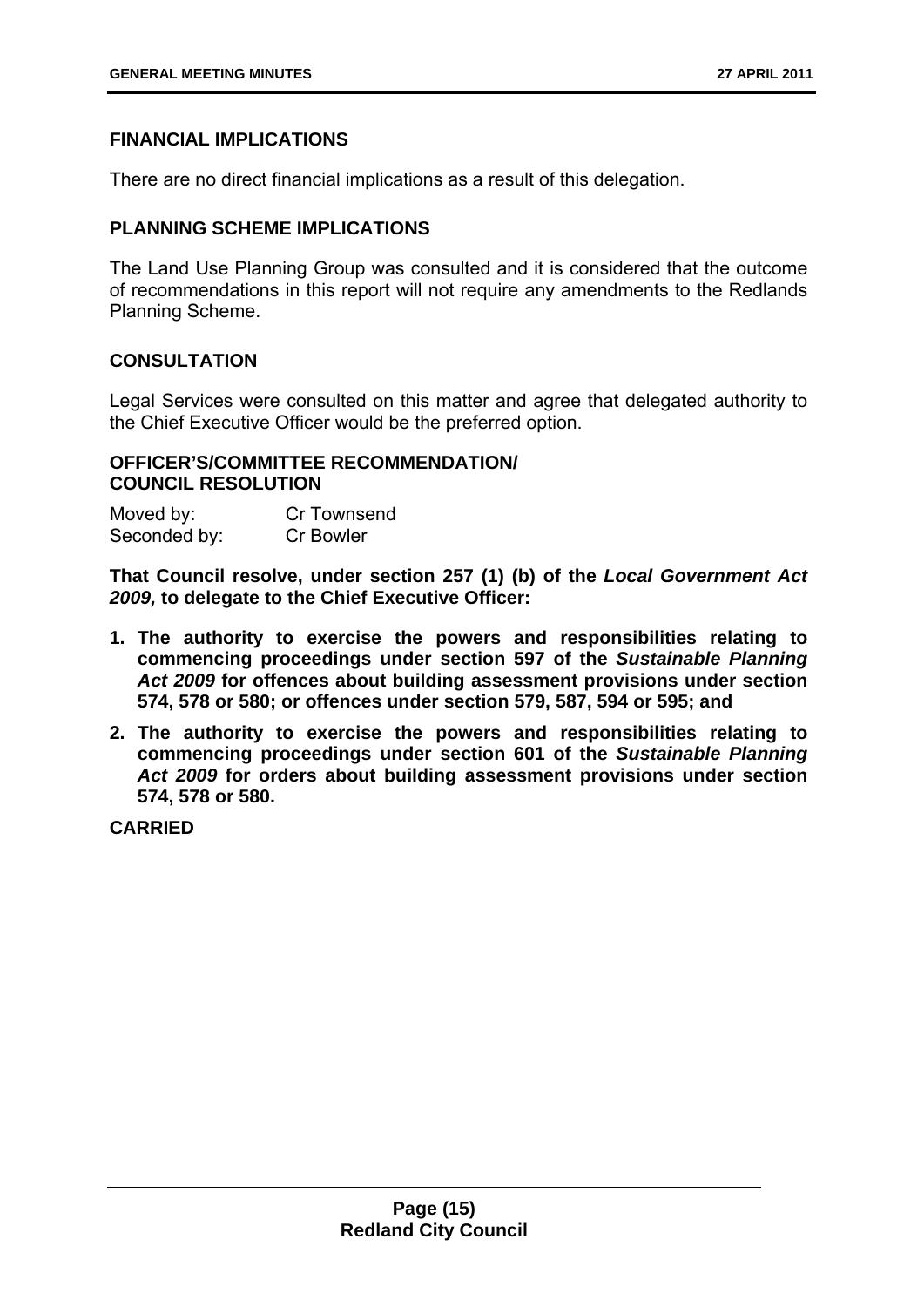#### **FINANCIAL IMPLICATIONS**

There are no direct financial implications as a result of this delegation.

#### **PLANNING SCHEME IMPLICATIONS**

The Land Use Planning Group was consulted and it is considered that the outcome of recommendations in this report will not require any amendments to the Redlands Planning Scheme.

#### **CONSULTATION**

Legal Services were consulted on this matter and agree that delegated authority to the Chief Executive Officer would be the preferred option.

#### **OFFICER'S/COMMITTEE RECOMMENDATION/ COUNCIL RESOLUTION**

| Moved by:    | Cr Townsend      |  |  |
|--------------|------------------|--|--|
| Seconded by: | <b>Cr Bowler</b> |  |  |

**That Council resolve, under section 257 (1) (b) of the** *Local Government Act 2009,* **to delegate to the Chief Executive Officer:** 

- **1. The authority to exercise the powers and responsibilities relating to commencing proceedings under section 597 of the** *Sustainable Planning Act 2009* **for offences about building assessment provisions under section 574, 578 or 580; or offences under section 579, 587, 594 or 595; and**
- **2. The authority to exercise the powers and responsibilities relating to commencing proceedings under section 601 of the** *Sustainable Planning Act 2009* **for orders about building assessment provisions under section 574, 578 or 580.**

**CARRIED**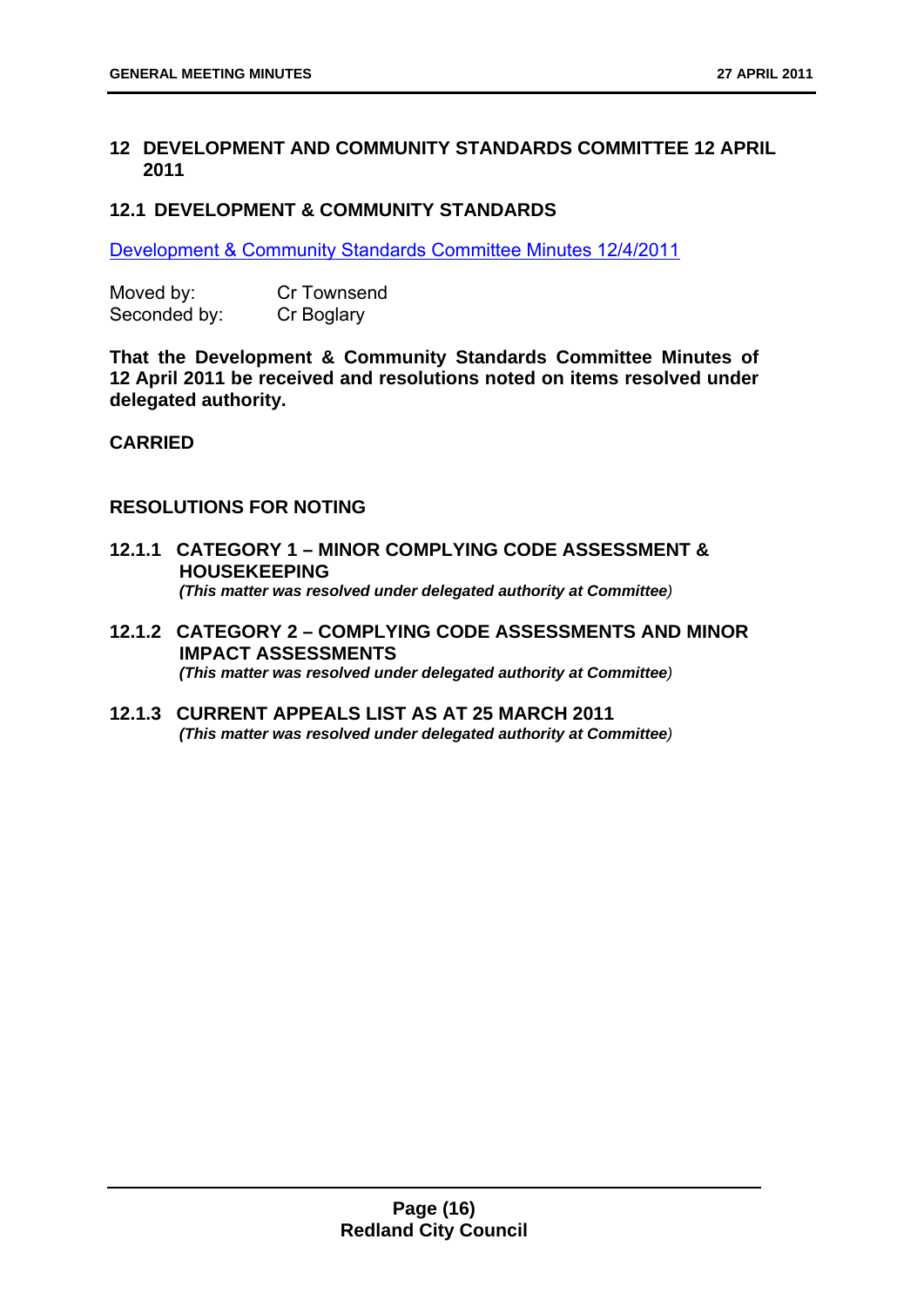#### **12 DEVELOPMENT AND COMMUNITY STANDARDS COMMITTEE 12 APRIL 2011**

#### **12.1 DEVELOPMENT & COMMUNITY STANDARDS**

Development & Community Standards Committee Minutes 12/4/2011

| Moved by:    | <b>Cr Townsend</b> |  |  |
|--------------|--------------------|--|--|
| Seconded by: | Cr Boglary         |  |  |

**That the Development & Community Standards Committee Minutes of 12 April 2011 be received and resolutions noted on items resolved under delegated authority.** 

#### **CARRIED**

#### **RESOLUTIONS FOR NOTING**

- **12.1.1 CATEGORY 1 MINOR COMPLYING CODE ASSESSMENT & HOUSEKEEPING**  *(This matter was resolved under delegated authority at Committee)*
- **12.1.2 CATEGORY 2 COMPLYING CODE ASSESSMENTS AND MINOR IMPACT ASSESSMENTS**  *(This matter was resolved under delegated authority at Committee)*
- **12.1.3 CURRENT APPEALS LIST AS AT 25 MARCH 2011**  *(This matter was resolved under delegated authority at Committee)*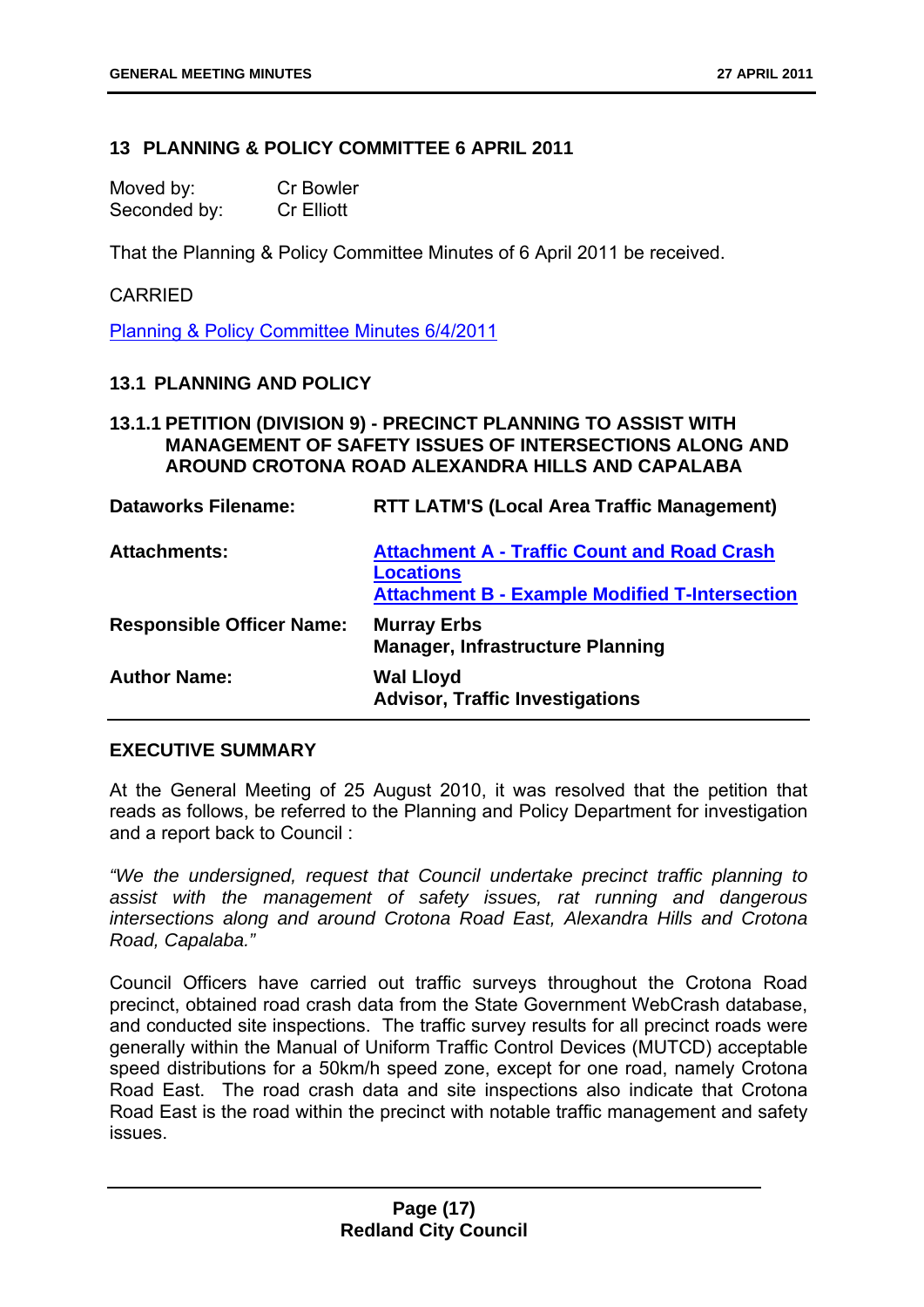#### **13 PLANNING & POLICY COMMITTEE 6 APRIL 2011**

| Moved by:    | <b>Cr Bowler</b>  |
|--------------|-------------------|
| Seconded by: | <b>Cr Elliott</b> |

That the Planning & Policy Committee Minutes of 6 April 2011 be received.

#### CARRIED

Planning & Policy Committee Minutes 6/4/2011

#### **13.1 PLANNING AND POLICY**

#### **13.1.1 PETITION (DIVISION 9) - PRECINCT PLANNING TO ASSIST WITH MANAGEMENT OF SAFETY ISSUES OF INTERSECTIONS ALONG AND AROUND CROTONA ROAD ALEXANDRA HILLS AND CAPALABA**

| <b>Dataworks Filename:</b>       | <b>RTT LATM'S (Local Area Traffic Management)</b>                                                                               |
|----------------------------------|---------------------------------------------------------------------------------------------------------------------------------|
| <b>Attachments:</b>              | <b>Attachment A - Traffic Count and Road Crash</b><br><b>Locations</b><br><b>Attachment B - Example Modified T-Intersection</b> |
| <b>Responsible Officer Name:</b> | <b>Murray Erbs</b><br><b>Manager, Infrastructure Planning</b>                                                                   |
| <b>Author Name:</b>              | <b>Wal Lloyd</b><br><b>Advisor, Traffic Investigations</b>                                                                      |

#### **EXECUTIVE SUMMARY**

At the General Meeting of 25 August 2010, it was resolved that the petition that reads as follows, be referred to the Planning and Policy Department for investigation and a report back to Council :

*"We the undersigned, request that Council undertake precinct traffic planning to assist with the management of safety issues, rat running and dangerous intersections along and around Crotona Road East, Alexandra Hills and Crotona Road, Capalaba."* 

Council Officers have carried out traffic surveys throughout the Crotona Road precinct, obtained road crash data from the State Government WebCrash database, and conducted site inspections. The traffic survey results for all precinct roads were generally within the Manual of Uniform Traffic Control Devices (MUTCD) acceptable speed distributions for a 50km/h speed zone, except for one road, namely Crotona Road East. The road crash data and site inspections also indicate that Crotona Road East is the road within the precinct with notable traffic management and safety issues.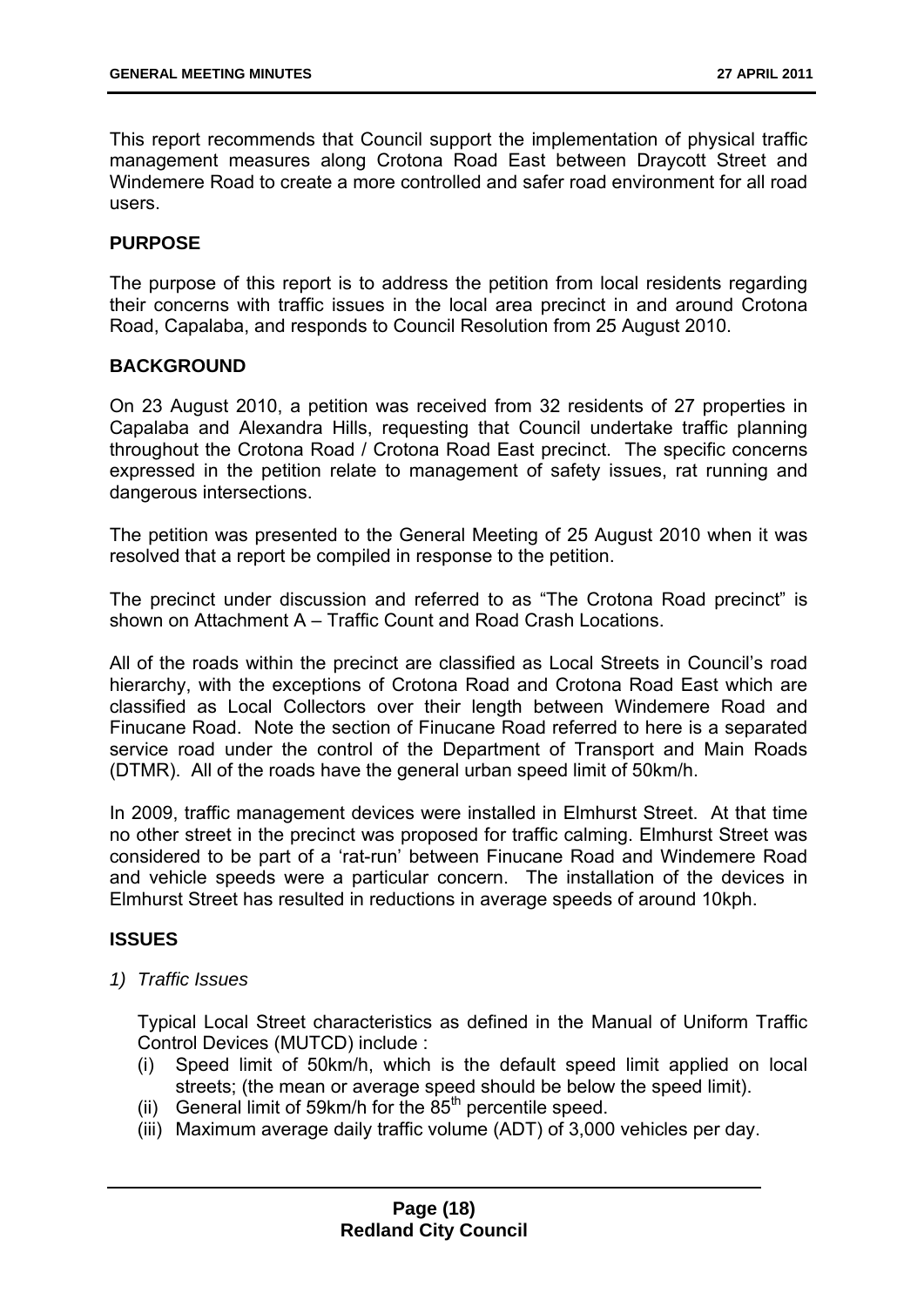This report recommends that Council support the implementation of physical traffic management measures along Crotona Road East between Draycott Street and Windemere Road to create a more controlled and safer road environment for all road users.

#### **PURPOSE**

The purpose of this report is to address the petition from local residents regarding their concerns with traffic issues in the local area precinct in and around Crotona Road, Capalaba, and responds to Council Resolution from 25 August 2010.

#### **BACKGROUND**

On 23 August 2010, a petition was received from 32 residents of 27 properties in Capalaba and Alexandra Hills, requesting that Council undertake traffic planning throughout the Crotona Road / Crotona Road East precinct. The specific concerns expressed in the petition relate to management of safety issues, rat running and dangerous intersections.

The petition was presented to the General Meeting of 25 August 2010 when it was resolved that a report be compiled in response to the petition.

The precinct under discussion and referred to as "The Crotona Road precinct" is shown on Attachment A – Traffic Count and Road Crash Locations.

All of the roads within the precinct are classified as Local Streets in Council's road hierarchy, with the exceptions of Crotona Road and Crotona Road East which are classified as Local Collectors over their length between Windemere Road and Finucane Road. Note the section of Finucane Road referred to here is a separated service road under the control of the Department of Transport and Main Roads (DTMR). All of the roads have the general urban speed limit of 50km/h.

In 2009, traffic management devices were installed in Elmhurst Street. At that time no other street in the precinct was proposed for traffic calming. Elmhurst Street was considered to be part of a 'rat-run' between Finucane Road and Windemere Road and vehicle speeds were a particular concern. The installation of the devices in Elmhurst Street has resulted in reductions in average speeds of around 10kph.

#### **ISSUES**

*1) Traffic Issues* 

Typical Local Street characteristics as defined in the Manual of Uniform Traffic Control Devices (MUTCD) include :

- (i) Speed limit of 50km/h, which is the default speed limit applied on local streets; (the mean or average speed should be below the speed limit).
- (ii) General limit of 59 km/h for the  $85<sup>th</sup>$  percentile speed.
- (iii) Maximum average daily traffic volume (ADT) of 3,000 vehicles per day.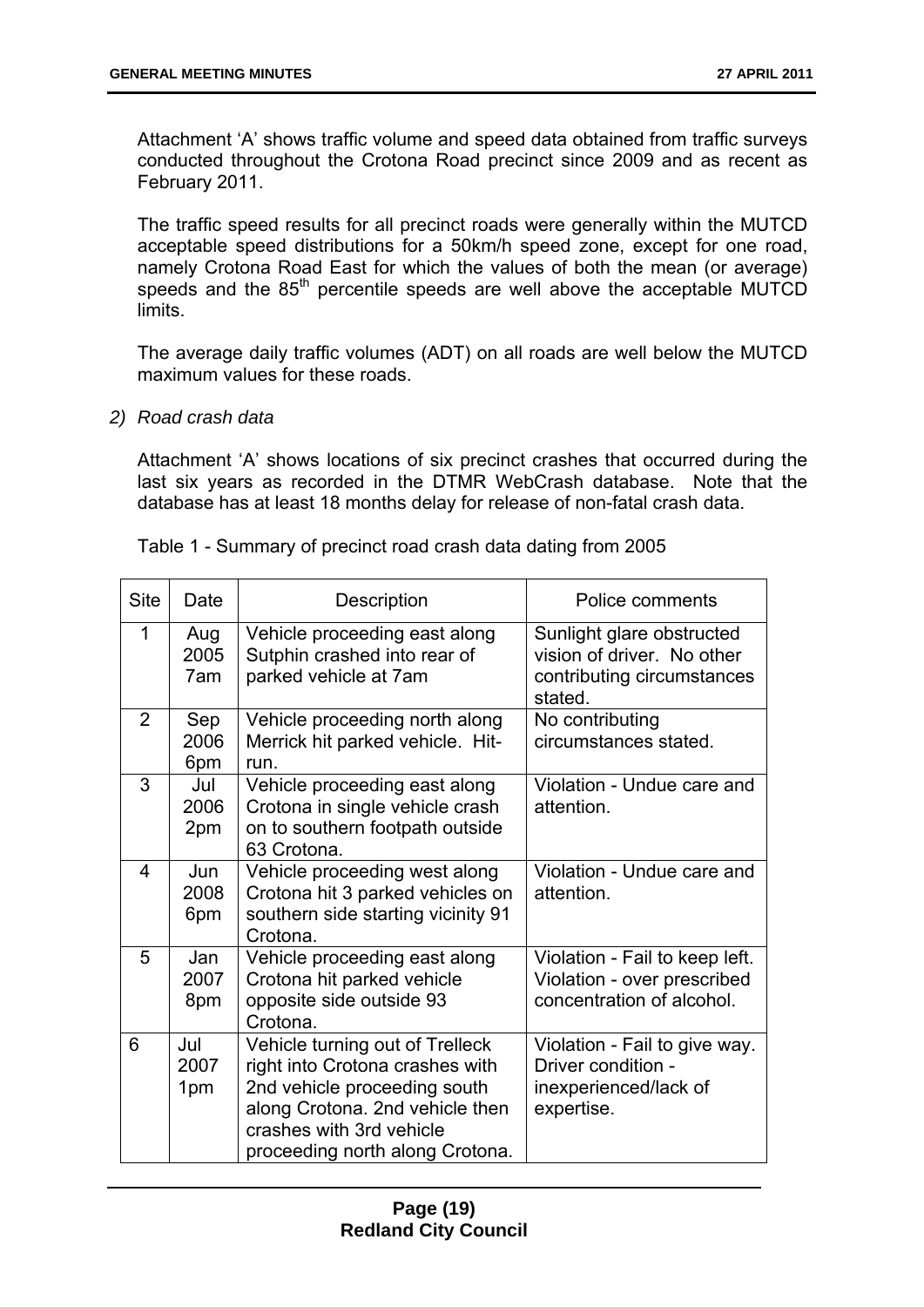Attachment 'A' shows traffic volume and speed data obtained from traffic surveys conducted throughout the Crotona Road precinct since 2009 and as recent as February 2011.

The traffic speed results for all precinct roads were generally within the MUTCD acceptable speed distributions for a 50km/h speed zone, except for one road, namely Crotona Road East for which the values of both the mean (or average) speeds and the 85<sup>th</sup> percentile speeds are well above the acceptable MUTCD limits.

The average daily traffic volumes (ADT) on all roads are well below the MUTCD maximum values for these roads.

*2) Road crash data* 

Attachment 'A' shows locations of six precinct crashes that occurred during the last six years as recorded in the DTMR WebCrash database. Note that the database has at least 18 months delay for release of non-fatal crash data.

| <b>Site</b> | Date               | Description                                                                            | Police comments                                                                                  |  |
|-------------|--------------------|----------------------------------------------------------------------------------------|--------------------------------------------------------------------------------------------------|--|
| 1           | Aug<br>2005<br>7am | Vehicle proceeding east along<br>Sutphin crashed into rear of<br>parked vehicle at 7am | Sunlight glare obstructed<br>vision of driver. No other<br>contributing circumstances<br>stated. |  |
| 2           | Sep                | Vehicle proceeding north along                                                         | No contributing                                                                                  |  |
|             | 2006               | Merrick hit parked vehicle. Hit-                                                       | circumstances stated.                                                                            |  |
| 3           | 6pm<br>Jul         | run.<br>Vehicle proceeding east along                                                  | Violation - Undue care and                                                                       |  |
|             | 2006               | Crotona in single vehicle crash                                                        | attention.                                                                                       |  |
|             | 2pm                | on to southern footpath outside                                                        |                                                                                                  |  |
|             |                    | 63 Crotona.                                                                            |                                                                                                  |  |
| 4           | Jun                | Vehicle proceeding west along                                                          | Violation - Undue care and                                                                       |  |
|             | 2008<br>6pm        | Crotona hit 3 parked vehicles on<br>southern side starting vicinity 91                 | attention.                                                                                       |  |
|             |                    | Crotona.                                                                               |                                                                                                  |  |
| 5           | Jan                | Vehicle proceeding east along                                                          | Violation - Fail to keep left.                                                                   |  |
|             | 2007               | Crotona hit parked vehicle                                                             | Violation - over prescribed                                                                      |  |
|             | 8pm                | opposite side outside 93                                                               | concentration of alcohol.                                                                        |  |
|             |                    | Crotona.                                                                               |                                                                                                  |  |
| 6           | Jul                | Vehicle turning out of Trelleck                                                        | Violation - Fail to give way.                                                                    |  |
|             | 2007               | right into Crotona crashes with                                                        | Driver condition -                                                                               |  |
|             | 1pm                | 2nd vehicle proceeding south                                                           | inexperienced/lack of                                                                            |  |
|             |                    | along Crotona. 2nd vehicle then                                                        | expertise.                                                                                       |  |
|             |                    | crashes with 3rd vehicle                                                               |                                                                                                  |  |
|             |                    | proceeding north along Crotona.                                                        |                                                                                                  |  |

Table 1 - Summary of precinct road crash data dating from 2005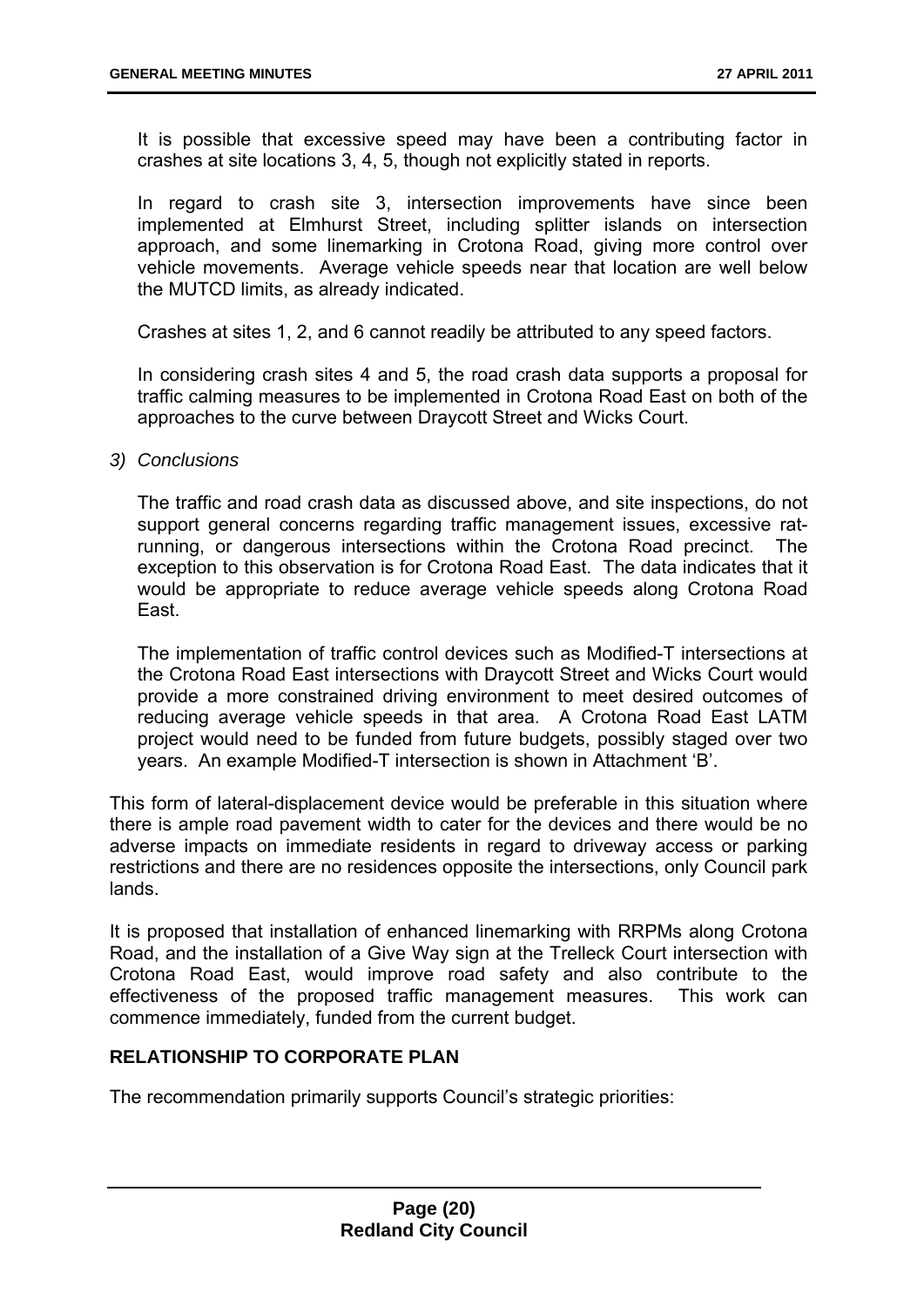It is possible that excessive speed may have been a contributing factor in crashes at site locations 3, 4, 5, though not explicitly stated in reports.

In regard to crash site 3, intersection improvements have since been implemented at Elmhurst Street, including splitter islands on intersection approach, and some linemarking in Crotona Road, giving more control over vehicle movements. Average vehicle speeds near that location are well below the MUTCD limits, as already indicated.

Crashes at sites 1, 2, and 6 cannot readily be attributed to any speed factors.

In considering crash sites 4 and 5, the road crash data supports a proposal for traffic calming measures to be implemented in Crotona Road East on both of the approaches to the curve between Draycott Street and Wicks Court.

#### *3) Conclusions*

The traffic and road crash data as discussed above, and site inspections, do not support general concerns regarding traffic management issues, excessive ratrunning, or dangerous intersections within the Crotona Road precinct. The exception to this observation is for Crotona Road East. The data indicates that it would be appropriate to reduce average vehicle speeds along Crotona Road East.

The implementation of traffic control devices such as Modified-T intersections at the Crotona Road East intersections with Draycott Street and Wicks Court would provide a more constrained driving environment to meet desired outcomes of reducing average vehicle speeds in that area. A Crotona Road East LATM project would need to be funded from future budgets, possibly staged over two years. An example Modified-T intersection is shown in Attachment 'B'.

This form of lateral-displacement device would be preferable in this situation where there is ample road pavement width to cater for the devices and there would be no adverse impacts on immediate residents in regard to driveway access or parking restrictions and there are no residences opposite the intersections, only Council park lands.

It is proposed that installation of enhanced linemarking with RRPMs along Crotona Road, and the installation of a Give Way sign at the Trelleck Court intersection with Crotona Road East, would improve road safety and also contribute to the effectiveness of the proposed traffic management measures. This work can commence immediately, funded from the current budget.

#### **RELATIONSHIP TO CORPORATE PLAN**

The recommendation primarily supports Council's strategic priorities: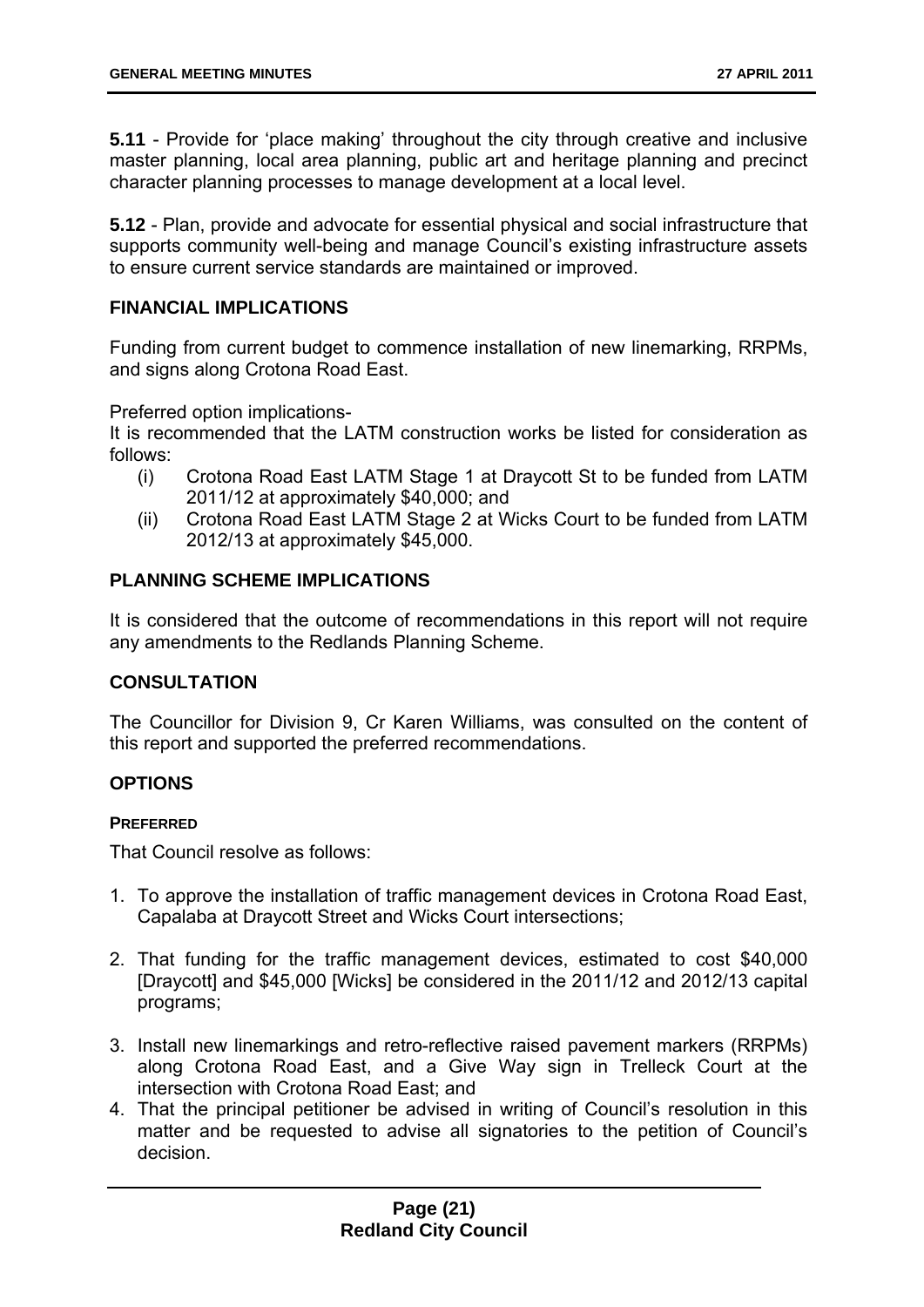**5.11** - Provide for 'place making' throughout the city through creative and inclusive master planning, local area planning, public art and heritage planning and precinct character planning processes to manage development at a local level.

**5.12** - Plan, provide and advocate for essential physical and social infrastructure that supports community well-being and manage Council's existing infrastructure assets to ensure current service standards are maintained or improved.

#### **FINANCIAL IMPLICATIONS**

Funding from current budget to commence installation of new linemarking, RRPMs, and signs along Crotona Road East.

Preferred option implications-

It is recommended that the LATM construction works be listed for consideration as follows:

- (i) Crotona Road East LATM Stage 1 at Draycott St to be funded from LATM 2011/12 at approximately \$40,000; and
- (ii) Crotona Road East LATM Stage 2 at Wicks Court to be funded from LATM 2012/13 at approximately \$45,000.

#### **PLANNING SCHEME IMPLICATIONS**

It is considered that the outcome of recommendations in this report will not require any amendments to the Redlands Planning Scheme.

#### **CONSULTATION**

The Councillor for Division 9, Cr Karen Williams, was consulted on the content of this report and supported the preferred recommendations.

#### **OPTIONS**

#### **PREFERRED**

That Council resolve as follows:

- 1. To approve the installation of traffic management devices in Crotona Road East, Capalaba at Draycott Street and Wicks Court intersections;
- 2. That funding for the traffic management devices, estimated to cost \$40,000 [Draycott] and \$45,000 [Wicks] be considered in the 2011/12 and 2012/13 capital programs;
- 3. Install new linemarkings and retro-reflective raised pavement markers (RRPMs) along Crotona Road East, and a Give Way sign in Trelleck Court at the intersection with Crotona Road East; and
- 4. That the principal petitioner be advised in writing of Council's resolution in this matter and be requested to advise all signatories to the petition of Council's decision.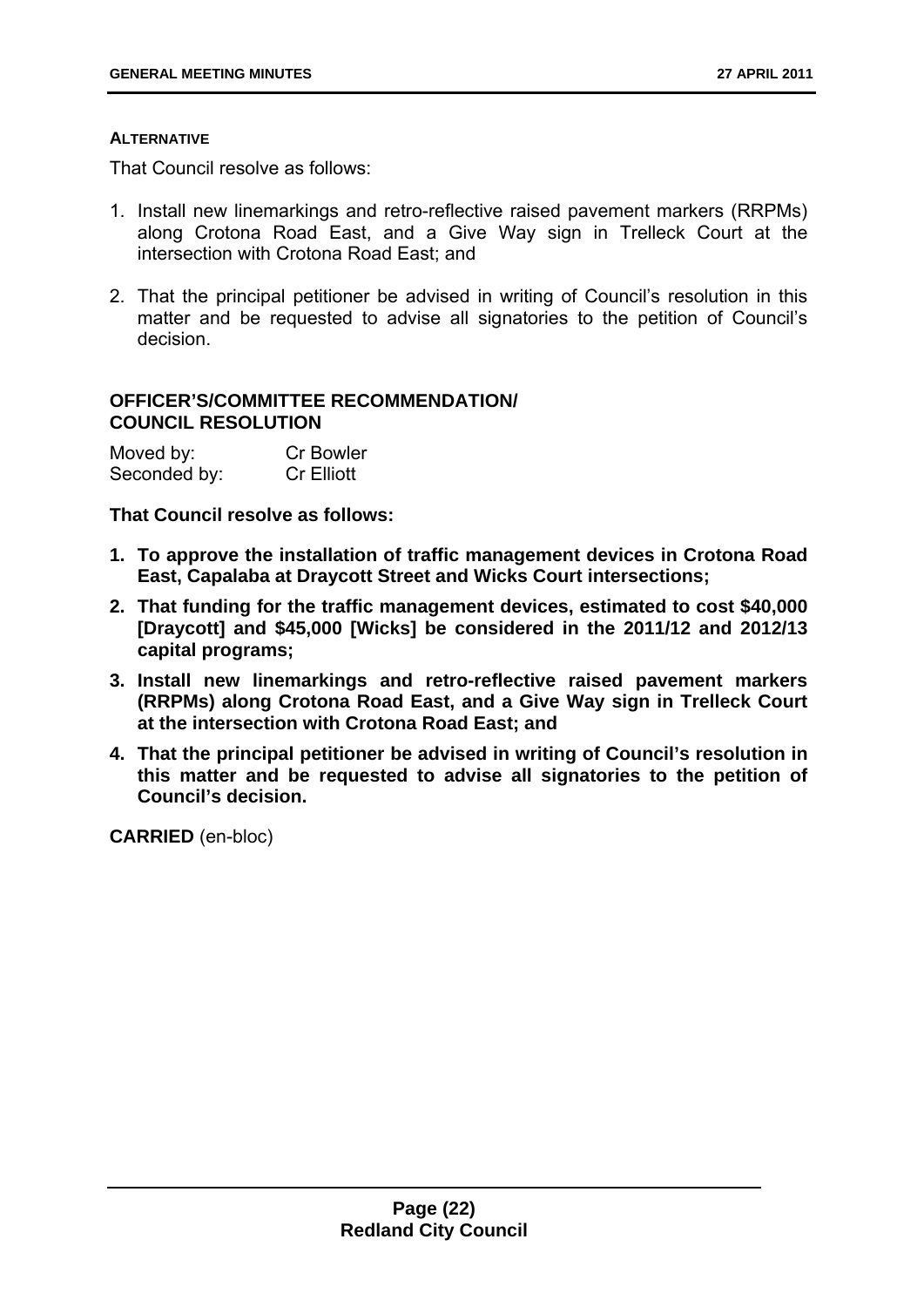#### **ALTERNATIVE**

That Council resolve as follows:

- 1. Install new linemarkings and retro-reflective raised pavement markers (RRPMs) along Crotona Road East, and a Give Way sign in Trelleck Court at the intersection with Crotona Road East; and
- 2. That the principal petitioner be advised in writing of Council's resolution in this matter and be requested to advise all signatories to the petition of Council's decision.

#### **OFFICER'S/COMMITTEE RECOMMENDATION/ COUNCIL RESOLUTION**

| Moved by:    | <b>Cr Bowler</b>  |
|--------------|-------------------|
| Seconded by: | <b>Cr Elliott</b> |

#### **That Council resolve as follows:**

- **1. To approve the installation of traffic management devices in Crotona Road East, Capalaba at Draycott Street and Wicks Court intersections;**
- **2. That funding for the traffic management devices, estimated to cost \$40,000 [Draycott] and \$45,000 [Wicks] be considered in the 2011/12 and 2012/13 capital programs;**
- **3. Install new linemarkings and retro-reflective raised pavement markers (RRPMs) along Crotona Road East, and a Give Way sign in Trelleck Court at the intersection with Crotona Road East; and**
- **4. That the principal petitioner be advised in writing of Council's resolution in this matter and be requested to advise all signatories to the petition of Council's decision.**

**CARRIED** (en-bloc)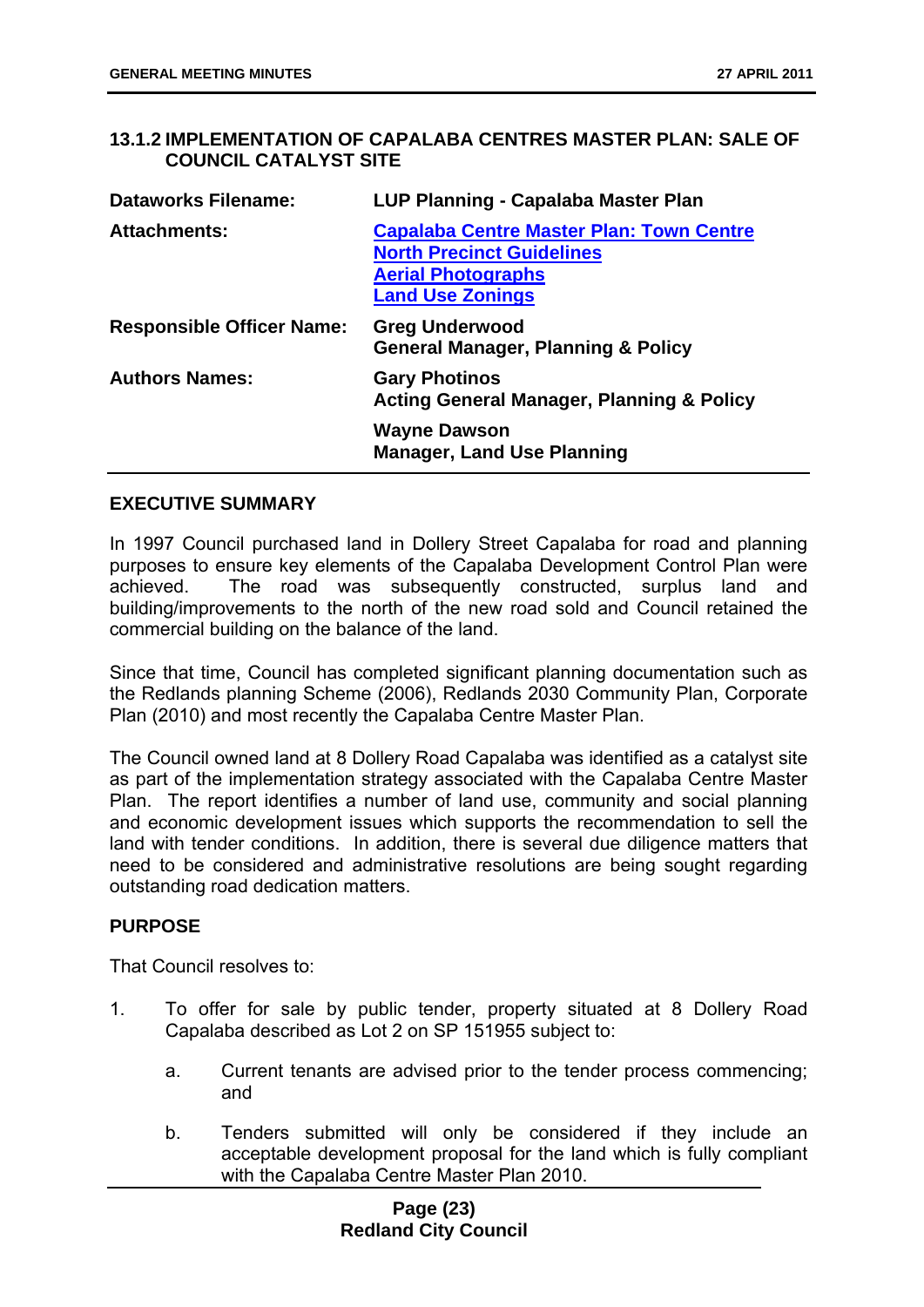#### **13.1.2 IMPLEMENTATION OF CAPALABA CENTRES MASTER PLAN: SALE OF COUNCIL CATALYST SITE**

| <b>Dataworks Filename:</b>       | LUP Planning - Capalaba Master Plan                                                                                                         |
|----------------------------------|---------------------------------------------------------------------------------------------------------------------------------------------|
| <b>Attachments:</b>              | <b>Capalaba Centre Master Plan: Town Centre</b><br><b>North Precinct Guidelines</b><br><b>Aerial Photographs</b><br><b>Land Use Zonings</b> |
| <b>Responsible Officer Name:</b> | <b>Greg Underwood</b><br><b>General Manager, Planning &amp; Policy</b>                                                                      |
| <b>Authors Names:</b>            | <b>Gary Photinos</b><br><b>Acting General Manager, Planning &amp; Policy</b>                                                                |
|                                  | <b>Wayne Dawson</b><br><b>Manager, Land Use Planning</b>                                                                                    |

#### **EXECUTIVE SUMMARY**

In 1997 Council purchased land in Dollery Street Capalaba for road and planning purposes to ensure key elements of the Capalaba Development Control Plan were achieved. The road was subsequently constructed, surplus land and building/improvements to the north of the new road sold and Council retained the commercial building on the balance of the land.

Since that time, Council has completed significant planning documentation such as the Redlands planning Scheme (2006), Redlands 2030 Community Plan, Corporate Plan (2010) and most recently the Capalaba Centre Master Plan.

The Council owned land at 8 Dollery Road Capalaba was identified as a catalyst site as part of the implementation strategy associated with the Capalaba Centre Master Plan. The report identifies a number of land use, community and social planning and economic development issues which supports the recommendation to sell the land with tender conditions. In addition, there is several due diligence matters that need to be considered and administrative resolutions are being sought regarding outstanding road dedication matters.

#### **PURPOSE**

That Council resolves to:

- 1. To offer for sale by public tender, property situated at 8 Dollery Road Capalaba described as Lot 2 on SP 151955 subject to:
	- a. Current tenants are advised prior to the tender process commencing; and
	- b. Tenders submitted will only be considered if they include an acceptable development proposal for the land which is fully compliant with the Capalaba Centre Master Plan 2010.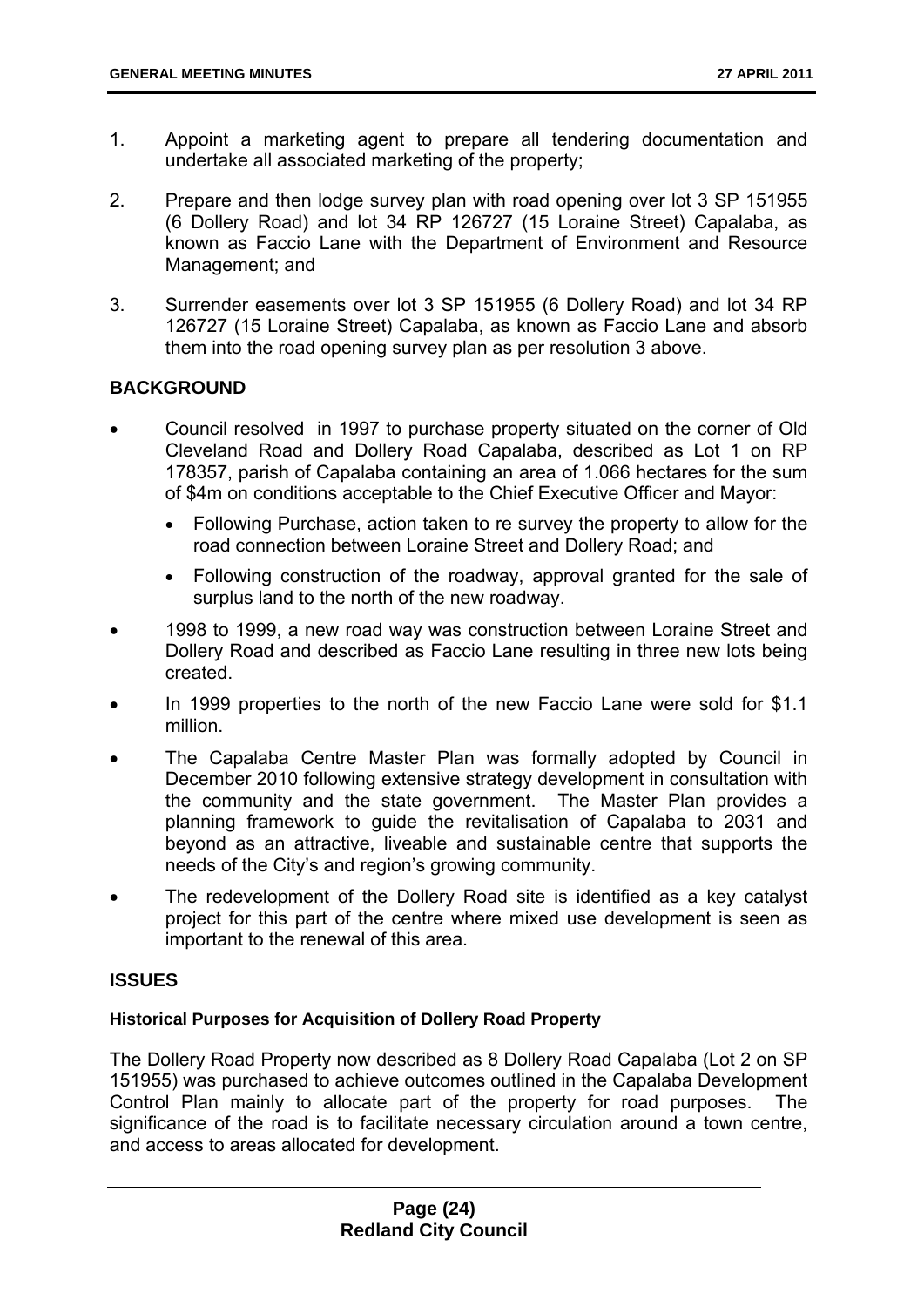- 1. Appoint a marketing agent to prepare all tendering documentation and undertake all associated marketing of the property;
- 2. Prepare and then lodge survey plan with road opening over lot 3 SP 151955 (6 Dollery Road) and lot 34 RP 126727 (15 Loraine Street) Capalaba, as known as Faccio Lane with the Department of Environment and Resource Management; and
- 3. Surrender easements over lot 3 SP 151955 (6 Dollery Road) and lot 34 RP 126727 (15 Loraine Street) Capalaba, as known as Faccio Lane and absorb them into the road opening survey plan as per resolution 3 above.

#### **BACKGROUND**

- Council resolved in 1997 to purchase property situated on the corner of Old Cleveland Road and Dollery Road Capalaba, described as Lot 1 on RP 178357, parish of Capalaba containing an area of 1.066 hectares for the sum of \$4m on conditions acceptable to the Chief Executive Officer and Mayor:
	- Following Purchase, action taken to re survey the property to allow for the road connection between Loraine Street and Dollery Road; and
	- Following construction of the roadway, approval granted for the sale of surplus land to the north of the new roadway.
- 1998 to 1999, a new road way was construction between Loraine Street and Dollery Road and described as Faccio Lane resulting in three new lots being created.
- In 1999 properties to the north of the new Faccio Lane were sold for \$1.1 million.
- The Capalaba Centre Master Plan was formally adopted by Council in December 2010 following extensive strategy development in consultation with the community and the state government. The Master Plan provides a planning framework to guide the revitalisation of Capalaba to 2031 and beyond as an attractive, liveable and sustainable centre that supports the needs of the City's and region's growing community.
- The redevelopment of the Dollery Road site is identified as a key catalyst project for this part of the centre where mixed use development is seen as important to the renewal of this area.

#### **ISSUES**

#### **Historical Purposes for Acquisition of Dollery Road Property**

The Dollery Road Property now described as 8 Dollery Road Capalaba (Lot 2 on SP 151955) was purchased to achieve outcomes outlined in the Capalaba Development Control Plan mainly to allocate part of the property for road purposes. The significance of the road is to facilitate necessary circulation around a town centre, and access to areas allocated for development.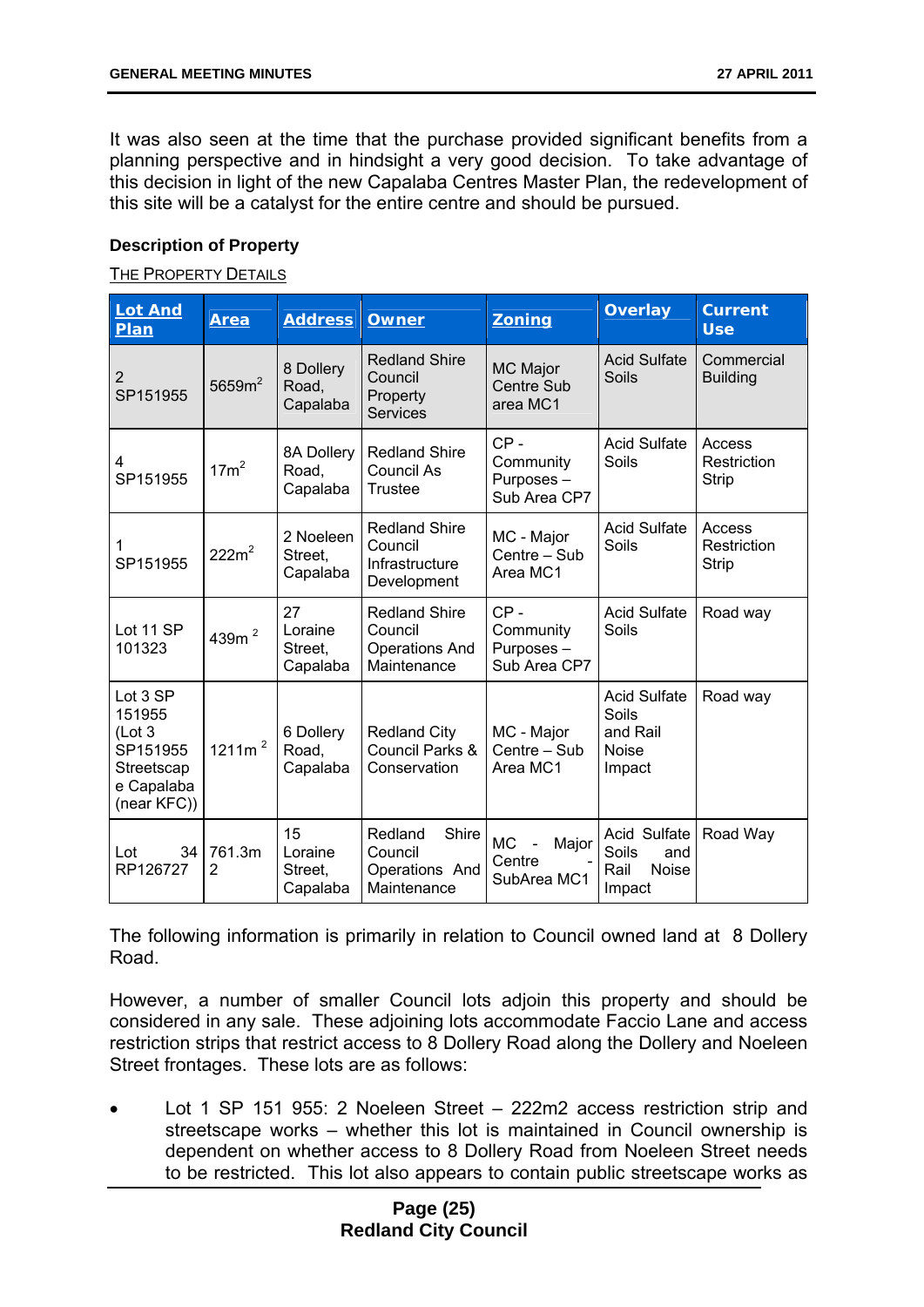It was also seen at the time that the purchase provided significant benefits from a planning perspective and in hindsight a very good decision. To take advantage of this decision in light of the new Capalaba Centres Master Plan, the redevelopment of this site will be a catalyst for the entire centre and should be pursued.

#### **Description of Property**

#### THE PROPERTY DETAILS

| <b>Lot And</b><br>Plan                                                               | <b>Area</b>              | <b>Address</b>                       | <b>Owner</b>                                                            | <b>Zoning</b>                                                 | <b>Overlay</b>                                                     | <b>Current</b><br><b>Use</b>          |
|--------------------------------------------------------------------------------------|--------------------------|--------------------------------------|-------------------------------------------------------------------------|---------------------------------------------------------------|--------------------------------------------------------------------|---------------------------------------|
| 2<br>SP151955                                                                        | 5659m <sup>2</sup>       | 8 Dollery<br>Road,<br>Capalaba       | <b>Redland Shire</b><br>Council<br>Property<br><b>Services</b>          | MC Major<br><b>Centre Sub</b><br>area MC1                     | <b>Acid Sulfate</b><br>Soils                                       | Commercial<br><b>Building</b>         |
| 4<br>SP151955                                                                        | $17m^2$                  | 8A Dollery<br>Road,<br>Capalaba      | <b>Redland Shire</b><br>Council As<br><b>Trustee</b>                    | $CP -$<br>Community<br>Purposes-<br>Sub Area CP7              | <b>Acid Sulfate</b><br>Soils                                       | Access<br>Restriction<br><b>Strip</b> |
| 1<br>SP151955                                                                        | $222m^2$                 | 2 Noeleen<br>Street,<br>Capalaba     | <b>Redland Shire</b><br>Council<br>Infrastructure<br>Development        | MC - Major<br>Centre - Sub<br>Area MC1                        | <b>Acid Sulfate</b><br>Soils                                       | Access<br>Restriction<br><b>Strip</b> |
| Lot 11 SP<br>101323                                                                  | 439m <sup>2</sup>        | 27<br>Loraine<br>Street,<br>Capalaba | <b>Redland Shire</b><br>Council<br><b>Operations And</b><br>Maintenance | $CP -$<br>Community<br>Purposes-<br>Sub Area CP7              | <b>Acid Sulfate</b><br>Soils                                       | Road way                              |
| Lot 3 SP<br>151955<br>(Lot 3)<br>SP151955<br>Streetscap<br>e Capalaba<br>(near KFC)) | 1211 $m2$                | 6 Dollery<br>Road,<br>Capalaba       | <b>Redland City</b><br>Council Parks &<br>Conservation                  | MC - Major<br>Centre - Sub<br>Area MC1                        | <b>Acid Sulfate</b><br>Soils<br>and Rail<br><b>Noise</b><br>Impact | Road way                              |
| Lot<br>34<br>RP126727                                                                | 761.3m<br>$\overline{2}$ | 15<br>Loraine<br>Street,<br>Capalaba | Redland<br>Shire<br>Council<br>Operations And<br>Maintenance            | <b>MC</b><br>Major<br>$\blacksquare$<br>Centre<br>SubArea MC1 | Acid Sulfate<br>Soils<br>and<br><b>Noise</b><br>Rail<br>Impact     | Road Way                              |

The following information is primarily in relation to Council owned land at 8 Dollery Road.

However, a number of smaller Council lots adjoin this property and should be considered in any sale. These adjoining lots accommodate Faccio Lane and access restriction strips that restrict access to 8 Dollery Road along the Dollery and Noeleen Street frontages. These lots are as follows:

 Lot 1 SP 151 955: 2 Noeleen Street – 222m2 access restriction strip and streetscape works – whether this lot is maintained in Council ownership is dependent on whether access to 8 Dollery Road from Noeleen Street needs to be restricted. This lot also appears to contain public streetscape works as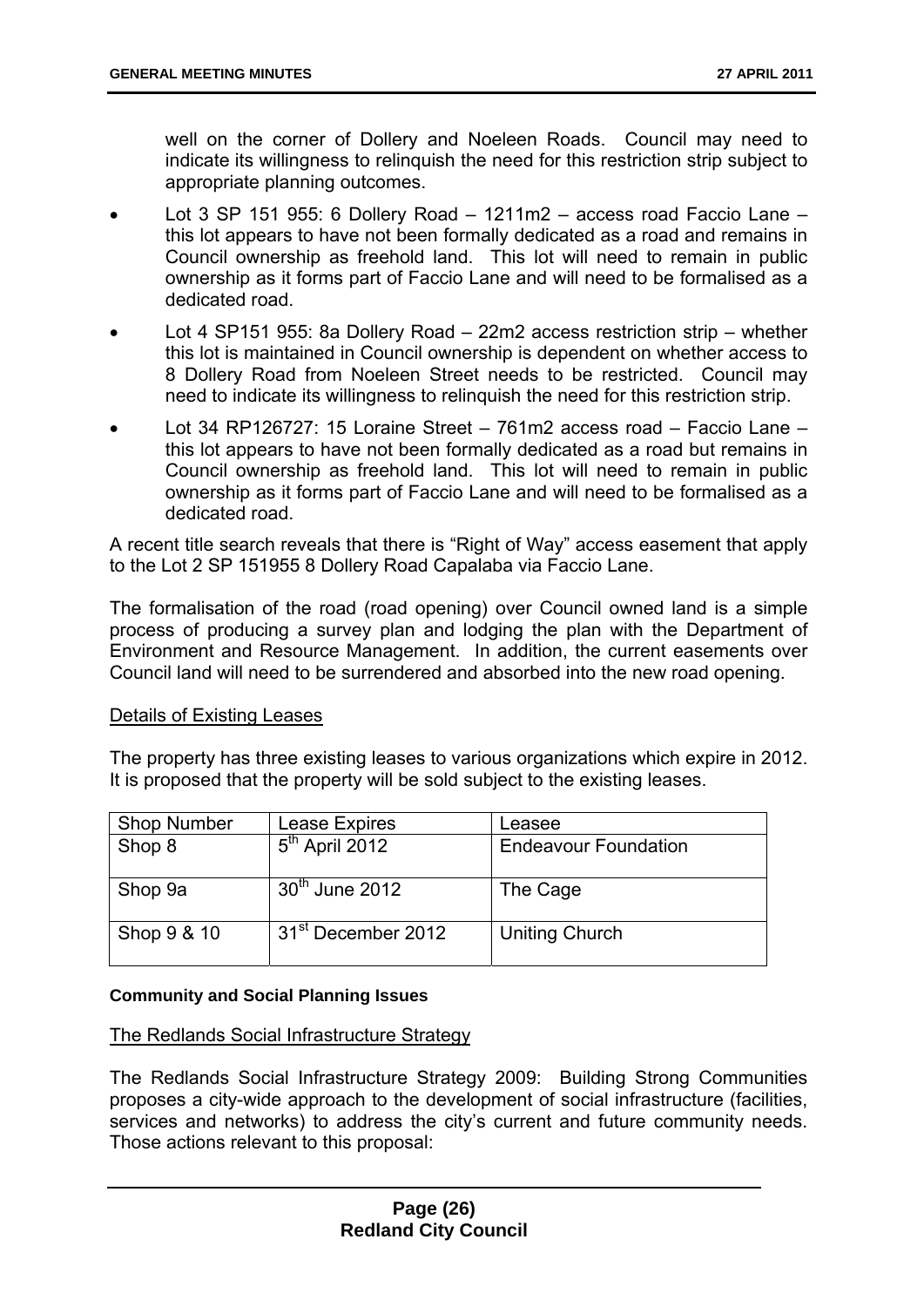well on the corner of Dollery and Noeleen Roads. Council may need to indicate its willingness to relinquish the need for this restriction strip subject to appropriate planning outcomes.

- Lot 3 SP 151 955: 6 Dollery Road 1211m2 access road Faccio Lane this lot appears to have not been formally dedicated as a road and remains in Council ownership as freehold land. This lot will need to remain in public ownership as it forms part of Faccio Lane and will need to be formalised as a dedicated road.
- Lot 4 SP151 955: 8a Dollery Road 22m2 access restriction strip whether this lot is maintained in Council ownership is dependent on whether access to 8 Dollery Road from Noeleen Street needs to be restricted. Council may need to indicate its willingness to relinquish the need for this restriction strip.
- Lot 34 RP126727: 15 Loraine Street 761m2 access road Faccio Lane this lot appears to have not been formally dedicated as a road but remains in Council ownership as freehold land. This lot will need to remain in public ownership as it forms part of Faccio Lane and will need to be formalised as a dedicated road.

A recent title search reveals that there is "Right of Way" access easement that apply to the Lot 2 SP 151955 8 Dollery Road Capalaba via Faccio Lane.

The formalisation of the road (road opening) over Council owned land is a simple process of producing a survey plan and lodging the plan with the Department of Environment and Resource Management. In addition, the current easements over Council land will need to be surrendered and absorbed into the new road opening.

#### Details of Existing Leases

The property has three existing leases to various organizations which expire in 2012. It is proposed that the property will be sold subject to the existing leases.

| <b>Shop Number</b> | Lease Expires                  | Leasee                      |
|--------------------|--------------------------------|-----------------------------|
| Shop 8             | $5th$ April 2012               | <b>Endeavour Foundation</b> |
|                    |                                |                             |
| Shop 9a            | $30th$ June 2012               | The Cage                    |
| Shop 9 & 10        | 31 <sup>st</sup> December 2012 | <b>Uniting Church</b>       |

#### **Community and Social Planning Issues**

#### The Redlands Social Infrastructure Strategy

The Redlands Social Infrastructure Strategy 2009: Building Strong Communities proposes a city-wide approach to the development of social infrastructure (facilities, services and networks) to address the city's current and future community needs. Those actions relevant to this proposal: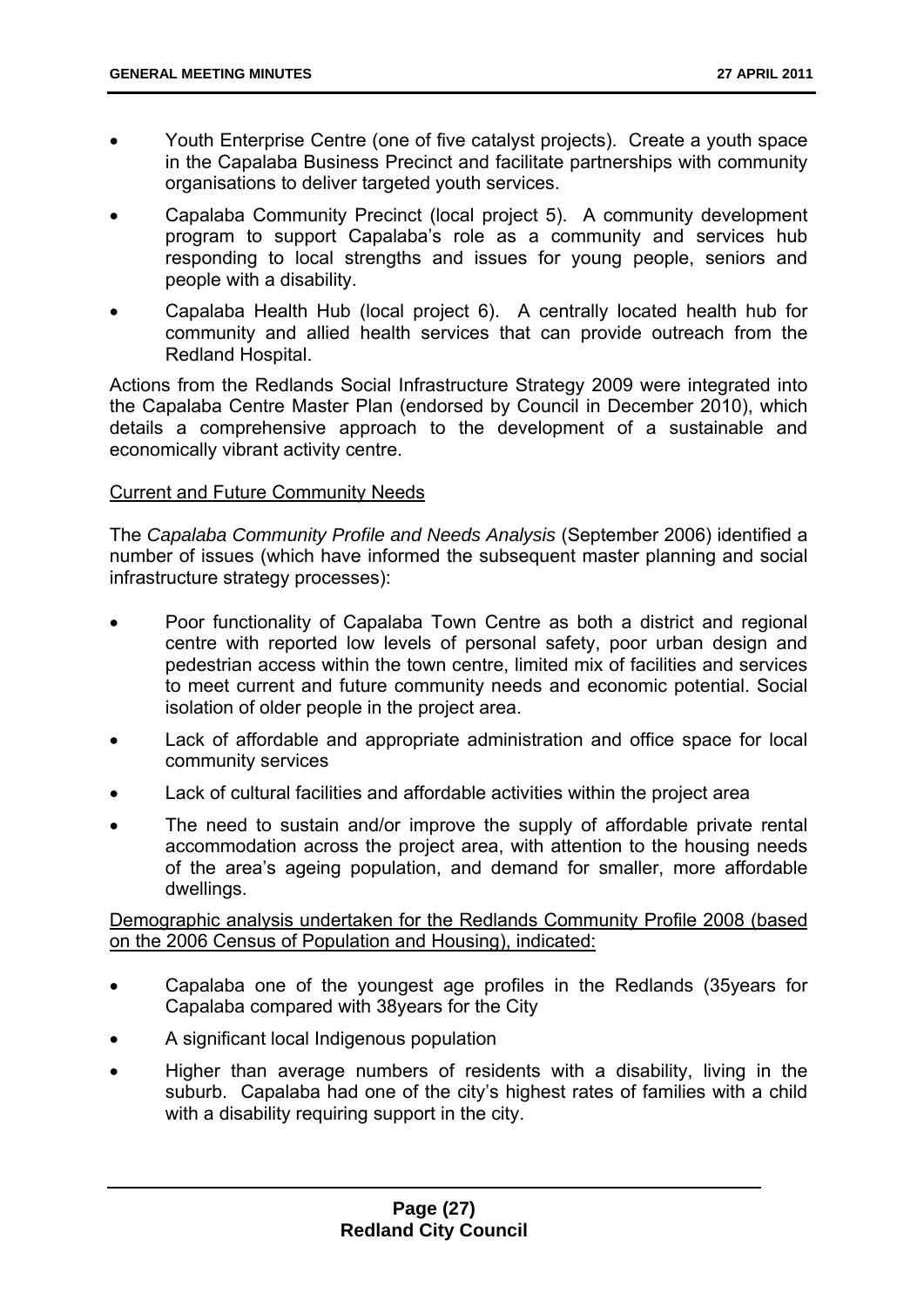- Youth Enterprise Centre (one of five catalyst projects). Create a youth space in the Capalaba Business Precinct and facilitate partnerships with community organisations to deliver targeted youth services.
- Capalaba Community Precinct (local project 5). A community development program to support Capalaba's role as a community and services hub responding to local strengths and issues for young people, seniors and people with a disability.
- Capalaba Health Hub (local project 6). A centrally located health hub for community and allied health services that can provide outreach from the Redland Hospital.

Actions from the Redlands Social Infrastructure Strategy 2009 were integrated into the Capalaba Centre Master Plan (endorsed by Council in December 2010), which details a comprehensive approach to the development of a sustainable and economically vibrant activity centre.

#### Current and Future Community Needs

The *Capalaba Community Profile and Needs Analysis* (September 2006) identified a number of issues (which have informed the subsequent master planning and social infrastructure strategy processes):

- Poor functionality of Capalaba Town Centre as both a district and regional centre with reported low levels of personal safety, poor urban design and pedestrian access within the town centre, limited mix of facilities and services to meet current and future community needs and economic potential. Social isolation of older people in the project area.
- Lack of affordable and appropriate administration and office space for local community services
- Lack of cultural facilities and affordable activities within the project area
- The need to sustain and/or improve the supply of affordable private rental accommodation across the project area, with attention to the housing needs of the area's ageing population, and demand for smaller, more affordable dwellings.

Demographic analysis undertaken for the Redlands Community Profile 2008 (based on the 2006 Census of Population and Housing), indicated:

- Capalaba one of the youngest age profiles in the Redlands (35years for Capalaba compared with 38years for the City
- A significant local Indigenous population
- Higher than average numbers of residents with a disability, living in the suburb. Capalaba had one of the city's highest rates of families with a child with a disability requiring support in the city.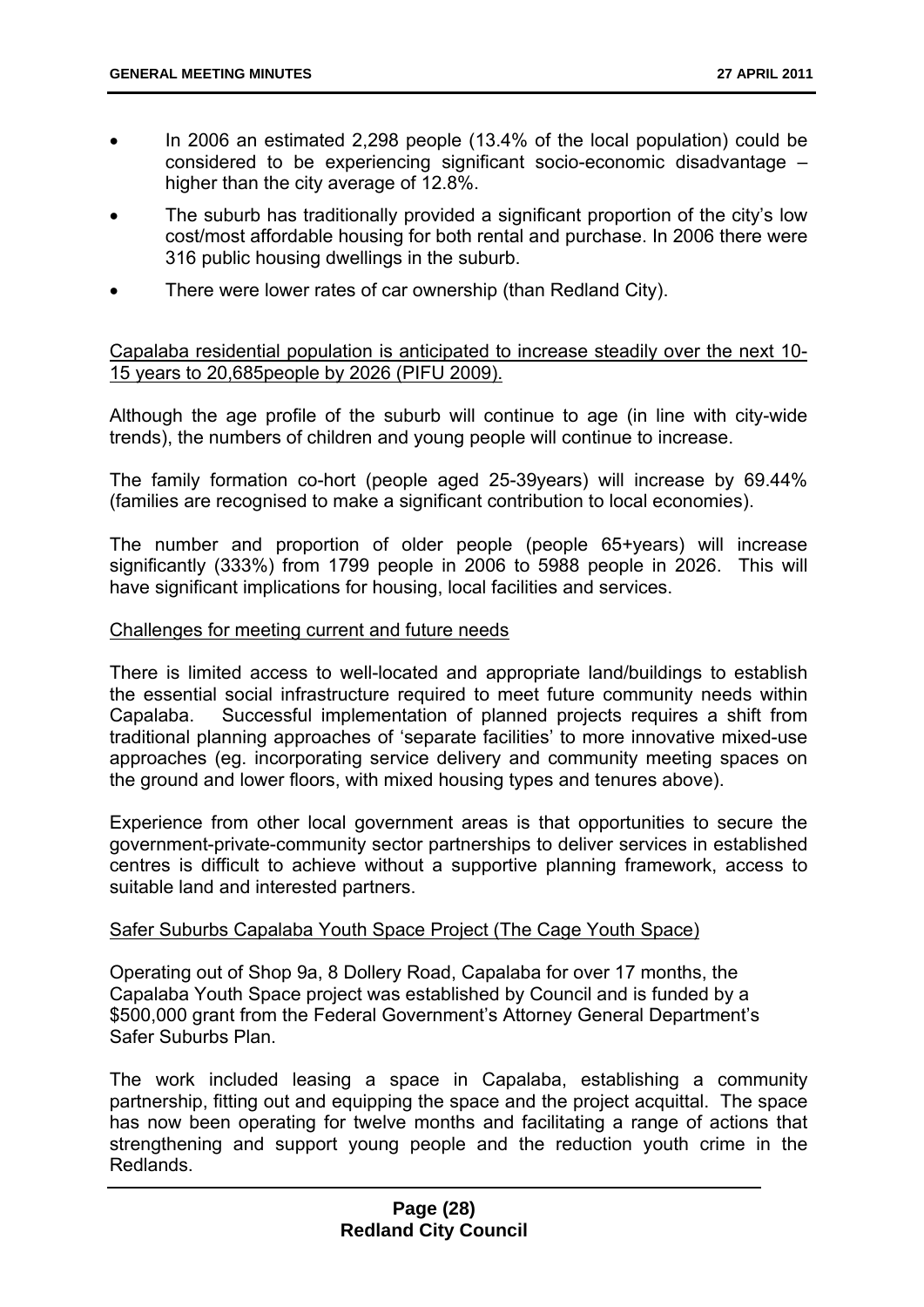- In 2006 an estimated 2,298 people (13.4% of the local population) could be considered to be experiencing significant socio-economic disadvantage – higher than the city average of 12.8%.
- The suburb has traditionally provided a significant proportion of the city's low cost/most affordable housing for both rental and purchase. In 2006 there were 316 public housing dwellings in the suburb.
- There were lower rates of car ownership (than Redland City).

#### Capalaba residential population is anticipated to increase steadily over the next 10- 15 years to 20,685people by 2026 (PIFU 2009).

Although the age profile of the suburb will continue to age (in line with city-wide trends), the numbers of children and young people will continue to increase.

The family formation co-hort (people aged 25-39years) will increase by 69.44% (families are recognised to make a significant contribution to local economies).

The number and proportion of older people (people 65+years) will increase significantly (333%) from 1799 people in 2006 to 5988 people in 2026. This will have significant implications for housing, local facilities and services.

#### Challenges for meeting current and future needs

There is limited access to well-located and appropriate land/buildings to establish the essential social infrastructure required to meet future community needs within Capalaba. Successful implementation of planned projects requires a shift from traditional planning approaches of 'separate facilities' to more innovative mixed-use approaches (eg. incorporating service delivery and community meeting spaces on the ground and lower floors, with mixed housing types and tenures above).

Experience from other local government areas is that opportunities to secure the government-private-community sector partnerships to deliver services in established centres is difficult to achieve without a supportive planning framework, access to suitable land and interested partners.

#### Safer Suburbs Capalaba Youth Space Project (The Cage Youth Space)

Operating out of Shop 9a, 8 Dollery Road, Capalaba for over 17 months, the Capalaba Youth Space project was established by Council and is funded by a \$500,000 grant from the Federal Government's Attorney General Department's Safer Suburbs Plan.

The work included leasing a space in Capalaba, establishing a community partnership, fitting out and equipping the space and the project acquittal. The space has now been operating for twelve months and facilitating a range of actions that strengthening and support young people and the reduction youth crime in the Redlands.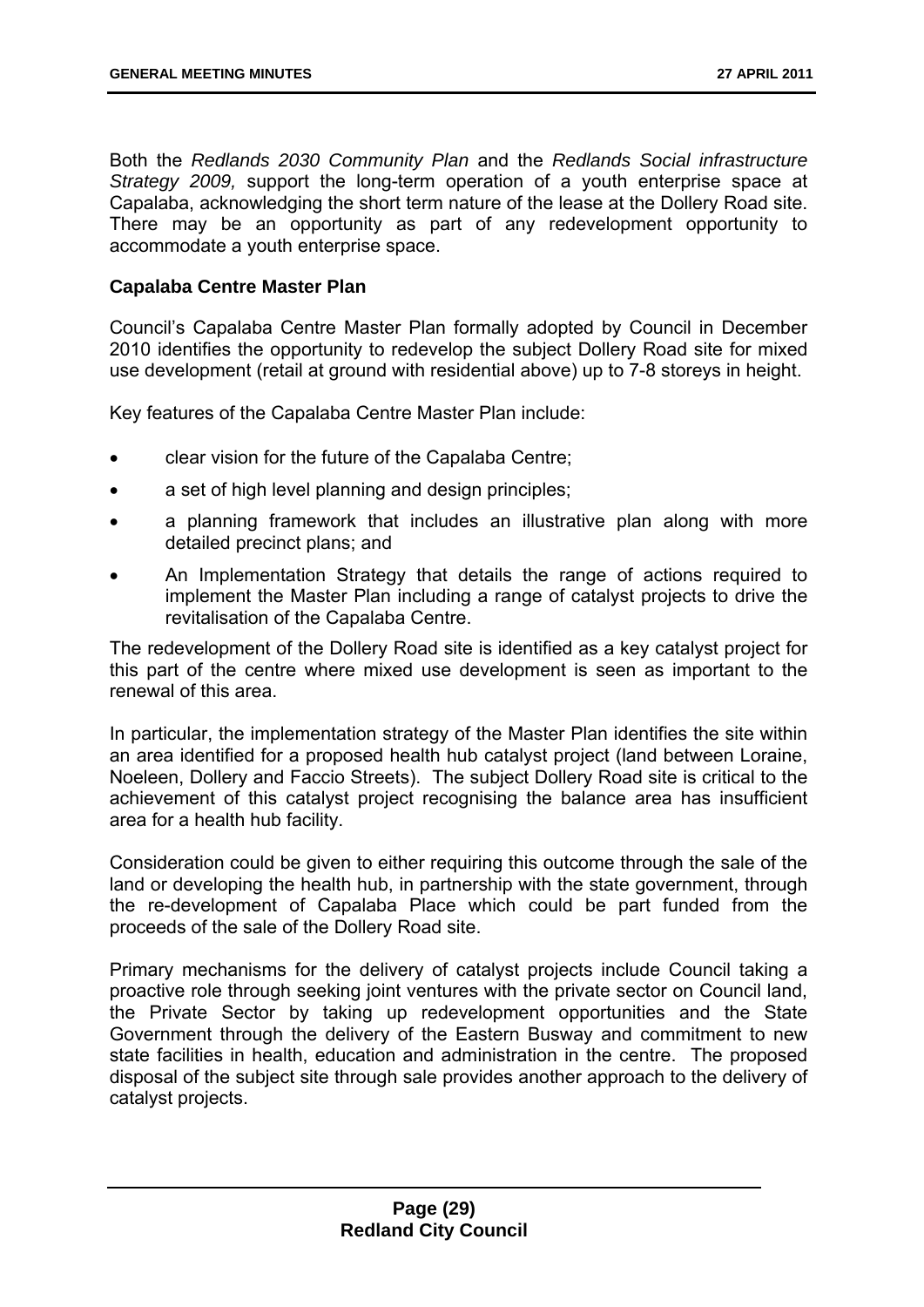Both the *Redlands 2030 Community Plan* and the *Redlands Social infrastructure Strategy 2009,* support the long-term operation of a youth enterprise space at Capalaba, acknowledging the short term nature of the lease at the Dollery Road site. There may be an opportunity as part of any redevelopment opportunity to accommodate a youth enterprise space.

#### **Capalaba Centre Master Plan**

Council's Capalaba Centre Master Plan formally adopted by Council in December 2010 identifies the opportunity to redevelop the subject Dollery Road site for mixed use development (retail at ground with residential above) up to 7-8 storeys in height.

Key features of the Capalaba Centre Master Plan include:

- clear vision for the future of the Capalaba Centre;
- a set of high level planning and design principles;
- a planning framework that includes an illustrative plan along with more detailed precinct plans; and
- An Implementation Strategy that details the range of actions required to implement the Master Plan including a range of catalyst projects to drive the revitalisation of the Capalaba Centre.

The redevelopment of the Dollery Road site is identified as a key catalyst project for this part of the centre where mixed use development is seen as important to the renewal of this area.

In particular, the implementation strategy of the Master Plan identifies the site within an area identified for a proposed health hub catalyst project (land between Loraine, Noeleen, Dollery and Faccio Streets). The subject Dollery Road site is critical to the achievement of this catalyst project recognising the balance area has insufficient area for a health hub facility.

Consideration could be given to either requiring this outcome through the sale of the land or developing the health hub, in partnership with the state government, through the re-development of Capalaba Place which could be part funded from the proceeds of the sale of the Dollery Road site.

Primary mechanisms for the delivery of catalyst projects include Council taking a proactive role through seeking joint ventures with the private sector on Council land, the Private Sector by taking up redevelopment opportunities and the State Government through the delivery of the Eastern Busway and commitment to new state facilities in health, education and administration in the centre. The proposed disposal of the subject site through sale provides another approach to the delivery of catalyst projects.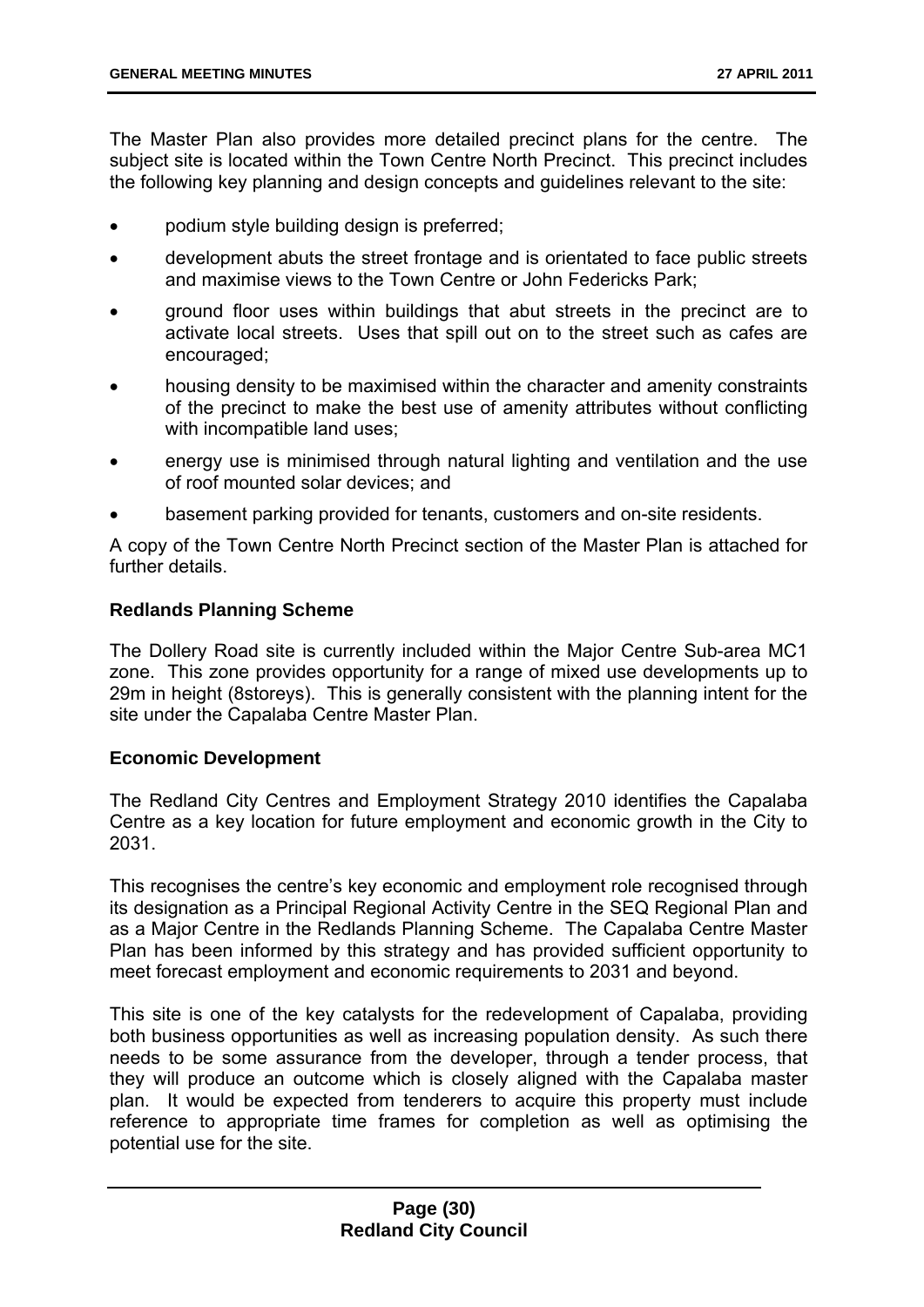The Master Plan also provides more detailed precinct plans for the centre. The subject site is located within the Town Centre North Precinct. This precinct includes the following key planning and design concepts and guidelines relevant to the site:

- podium style building design is preferred;
- development abuts the street frontage and is orientated to face public streets and maximise views to the Town Centre or John Federicks Park;
- ground floor uses within buildings that abut streets in the precinct are to activate local streets. Uses that spill out on to the street such as cafes are encouraged;
- housing density to be maximised within the character and amenity constraints of the precinct to make the best use of amenity attributes without conflicting with incompatible land uses:
- energy use is minimised through natural lighting and ventilation and the use of roof mounted solar devices; and
- basement parking provided for tenants, customers and on-site residents.

A copy of the Town Centre North Precinct section of the Master Plan is attached for further details.

#### **Redlands Planning Scheme**

The Dollery Road site is currently included within the Major Centre Sub-area MC1 zone. This zone provides opportunity for a range of mixed use developments up to 29m in height (8storeys). This is generally consistent with the planning intent for the site under the Capalaba Centre Master Plan.

#### **Economic Development**

The Redland City Centres and Employment Strategy 2010 identifies the Capalaba Centre as a key location for future employment and economic growth in the City to 2031.

This recognises the centre's key economic and employment role recognised through its designation as a Principal Regional Activity Centre in the SEQ Regional Plan and as a Major Centre in the Redlands Planning Scheme. The Capalaba Centre Master Plan has been informed by this strategy and has provided sufficient opportunity to meet forecast employment and economic requirements to 2031 and beyond.

This site is one of the key catalysts for the redevelopment of Capalaba, providing both business opportunities as well as increasing population density. As such there needs to be some assurance from the developer, through a tender process, that they will produce an outcome which is closely aligned with the Capalaba master plan. It would be expected from tenderers to acquire this property must include reference to appropriate time frames for completion as well as optimising the potential use for the site.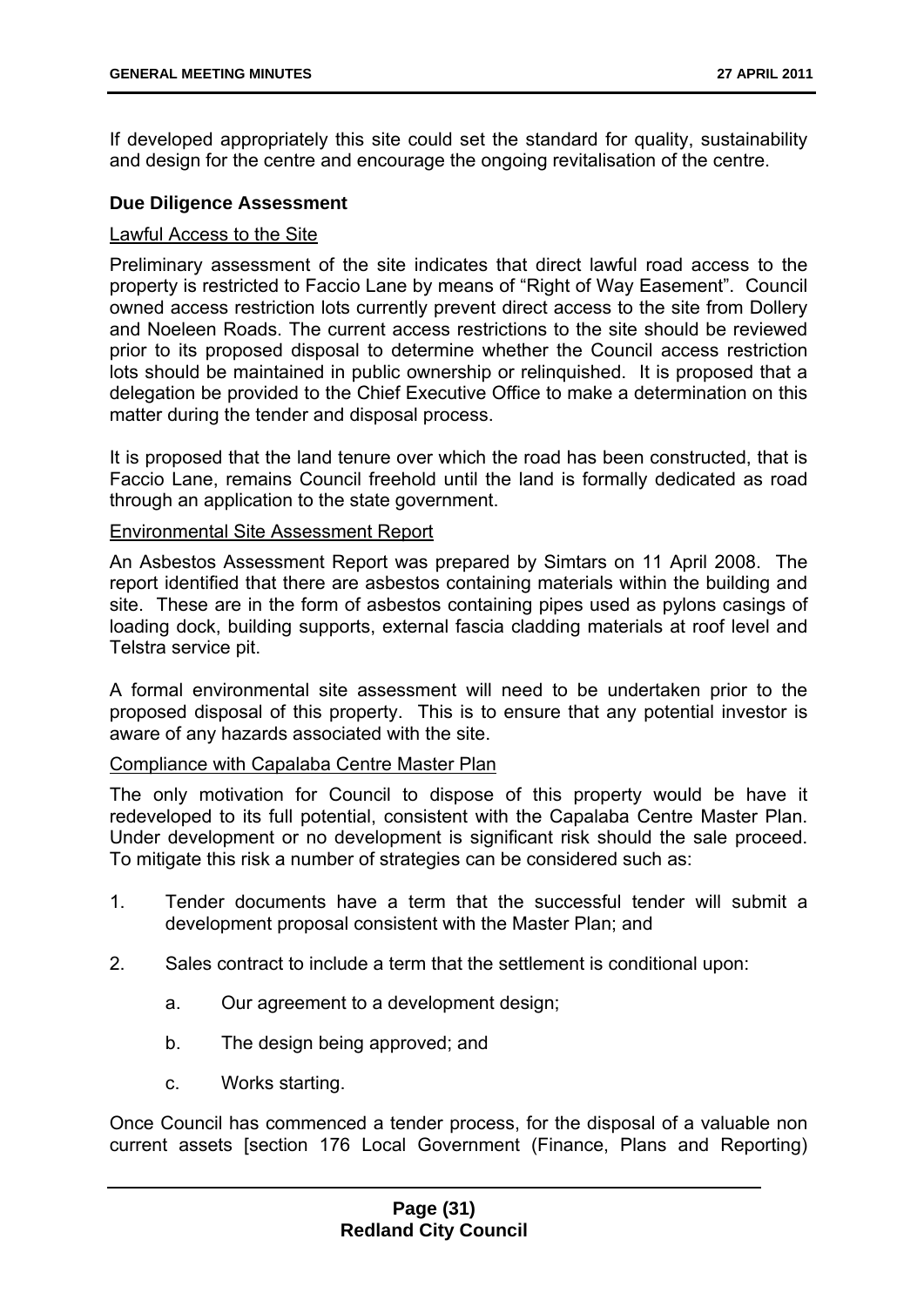If developed appropriately this site could set the standard for quality, sustainability and design for the centre and encourage the ongoing revitalisation of the centre.

#### **Due Diligence Assessment**

#### Lawful Access to the Site

Preliminary assessment of the site indicates that direct lawful road access to the property is restricted to Faccio Lane by means of "Right of Way Easement". Council owned access restriction lots currently prevent direct access to the site from Dollery and Noeleen Roads. The current access restrictions to the site should be reviewed prior to its proposed disposal to determine whether the Council access restriction lots should be maintained in public ownership or relinquished. It is proposed that a delegation be provided to the Chief Executive Office to make a determination on this matter during the tender and disposal process.

It is proposed that the land tenure over which the road has been constructed, that is Faccio Lane, remains Council freehold until the land is formally dedicated as road through an application to the state government.

#### Environmental Site Assessment Report

An Asbestos Assessment Report was prepared by Simtars on 11 April 2008. The report identified that there are asbestos containing materials within the building and site. These are in the form of asbestos containing pipes used as pylons casings of loading dock, building supports, external fascia cladding materials at roof level and Telstra service pit.

A formal environmental site assessment will need to be undertaken prior to the proposed disposal of this property. This is to ensure that any potential investor is aware of any hazards associated with the site.

#### Compliance with Capalaba Centre Master Plan

The only motivation for Council to dispose of this property would be have it redeveloped to its full potential, consistent with the Capalaba Centre Master Plan. Under development or no development is significant risk should the sale proceed. To mitigate this risk a number of strategies can be considered such as:

- 1. Tender documents have a term that the successful tender will submit a development proposal consistent with the Master Plan; and
- 2. Sales contract to include a term that the settlement is conditional upon:
	- a. Our agreement to a development design;
	- b. The design being approved; and
	- c. Works starting.

Once Council has commenced a tender process, for the disposal of a valuable non current assets [section 176 Local Government (Finance, Plans and Reporting)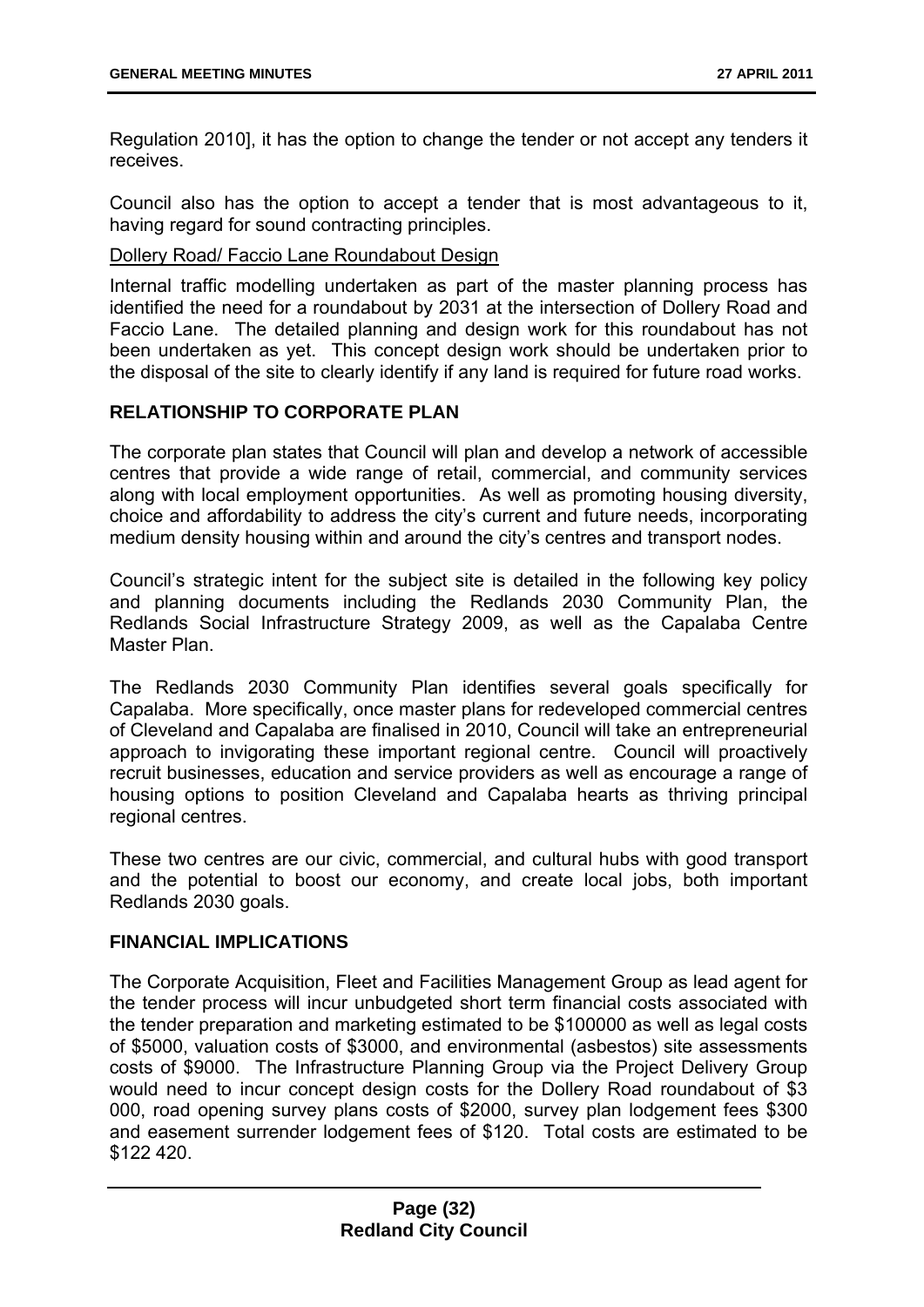Regulation 2010], it has the option to change the tender or not accept any tenders it receives.

Council also has the option to accept a tender that is most advantageous to it, having regard for sound contracting principles.

#### Dollery Road/ Faccio Lane Roundabout Design

Internal traffic modelling undertaken as part of the master planning process has identified the need for a roundabout by 2031 at the intersection of Dollery Road and Faccio Lane. The detailed planning and design work for this roundabout has not been undertaken as yet. This concept design work should be undertaken prior to the disposal of the site to clearly identify if any land is required for future road works.

#### **RELATIONSHIP TO CORPORATE PLAN**

The corporate plan states that Council will plan and develop a network of accessible centres that provide a wide range of retail, commercial, and community services along with local employment opportunities. As well as promoting housing diversity, choice and affordability to address the city's current and future needs, incorporating medium density housing within and around the city's centres and transport nodes.

Council's strategic intent for the subject site is detailed in the following key policy and planning documents including the Redlands 2030 Community Plan, the Redlands Social Infrastructure Strategy 2009, as well as the Capalaba Centre Master Plan.

The Redlands 2030 Community Plan identifies several goals specifically for Capalaba. More specifically, once master plans for redeveloped commercial centres of Cleveland and Capalaba are finalised in 2010, Council will take an entrepreneurial approach to invigorating these important regional centre. Council will proactively recruit businesses, education and service providers as well as encourage a range of housing options to position Cleveland and Capalaba hearts as thriving principal regional centres.

These two centres are our civic, commercial, and cultural hubs with good transport and the potential to boost our economy, and create local jobs, both important Redlands 2030 goals.

#### **FINANCIAL IMPLICATIONS**

The Corporate Acquisition, Fleet and Facilities Management Group as lead agent for the tender process will incur unbudgeted short term financial costs associated with the tender preparation and marketing estimated to be \$100000 as well as legal costs of \$5000, valuation costs of \$3000, and environmental (asbestos) site assessments costs of \$9000. The Infrastructure Planning Group via the Project Delivery Group would need to incur concept design costs for the Dollery Road roundabout of \$3 000, road opening survey plans costs of \$2000, survey plan lodgement fees \$300 and easement surrender lodgement fees of \$120. Total costs are estimated to be \$122 420.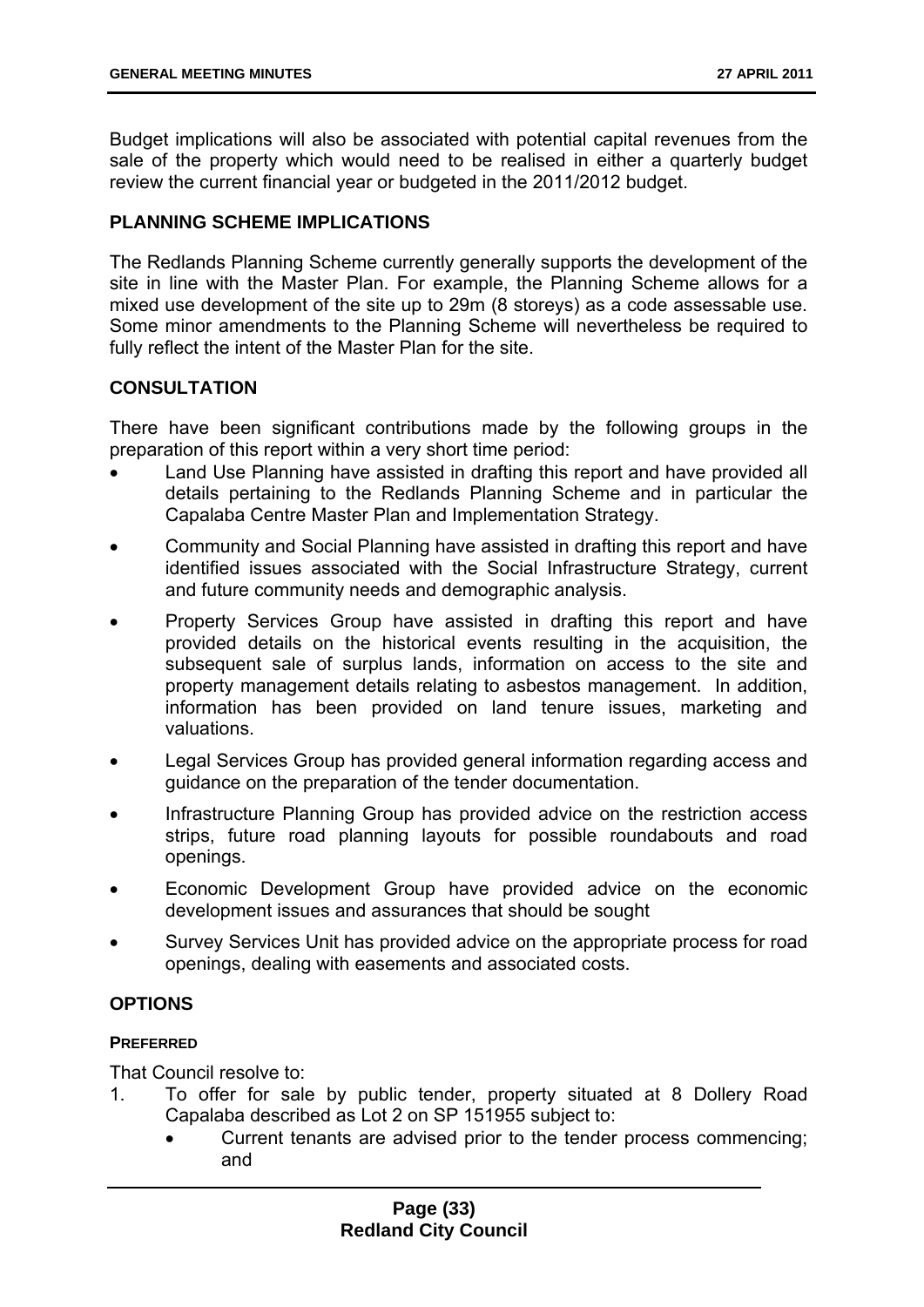Budget implications will also be associated with potential capital revenues from the sale of the property which would need to be realised in either a quarterly budget review the current financial year or budgeted in the 2011/2012 budget.

#### **PLANNING SCHEME IMPLICATIONS**

The Redlands Planning Scheme currently generally supports the development of the site in line with the Master Plan. For example, the Planning Scheme allows for a mixed use development of the site up to 29m (8 storeys) as a code assessable use. Some minor amendments to the Planning Scheme will nevertheless be required to fully reflect the intent of the Master Plan for the site.

#### **CONSULTATION**

There have been significant contributions made by the following groups in the preparation of this report within a very short time period:

- Land Use Planning have assisted in drafting this report and have provided all details pertaining to the Redlands Planning Scheme and in particular the Capalaba Centre Master Plan and Implementation Strategy.
- Community and Social Planning have assisted in drafting this report and have identified issues associated with the Social Infrastructure Strategy, current and future community needs and demographic analysis.
- Property Services Group have assisted in drafting this report and have provided details on the historical events resulting in the acquisition, the subsequent sale of surplus lands, information on access to the site and property management details relating to asbestos management. In addition, information has been provided on land tenure issues, marketing and valuations.
- Legal Services Group has provided general information regarding access and guidance on the preparation of the tender documentation.
- Infrastructure Planning Group has provided advice on the restriction access strips, future road planning layouts for possible roundabouts and road openings.
- Economic Development Group have provided advice on the economic development issues and assurances that should be sought
- Survey Services Unit has provided advice on the appropriate process for road openings, dealing with easements and associated costs.

#### **OPTIONS**

#### **PREFERRED**

That Council resolve to:

- 1. To offer for sale by public tender, property situated at 8 Dollery Road Capalaba described as Lot 2 on SP 151955 subject to:
	- Current tenants are advised prior to the tender process commencing; and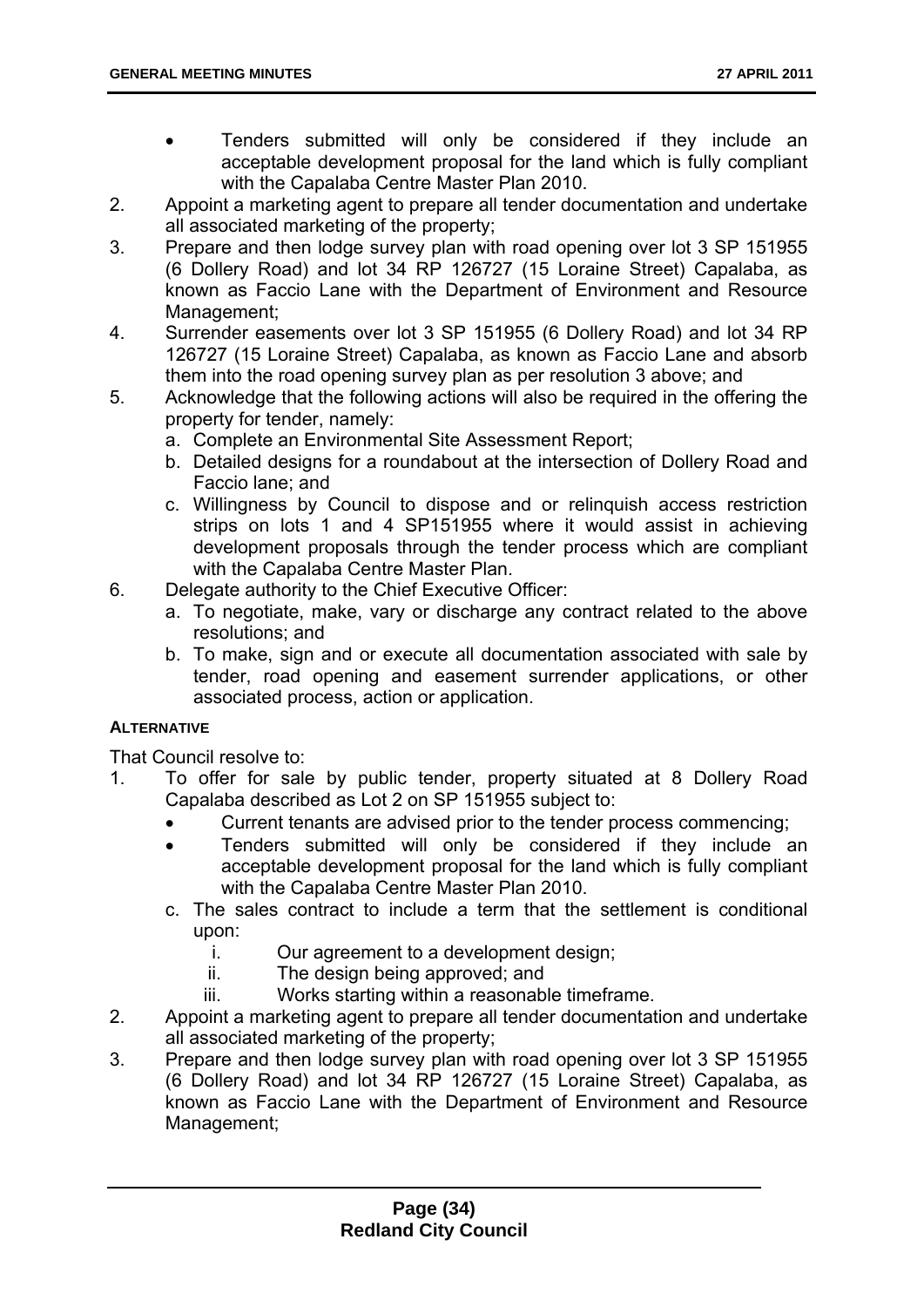- Tenders submitted will only be considered if they include an acceptable development proposal for the land which is fully compliant with the Capalaba Centre Master Plan 2010.
- 2. Appoint a marketing agent to prepare all tender documentation and undertake all associated marketing of the property;
- 3. Prepare and then lodge survey plan with road opening over lot 3 SP 151955 (6 Dollery Road) and lot 34 RP 126727 (15 Loraine Street) Capalaba, as known as Faccio Lane with the Department of Environment and Resource Management;
- 4. Surrender easements over lot 3 SP 151955 (6 Dollery Road) and lot 34 RP 126727 (15 Loraine Street) Capalaba, as known as Faccio Lane and absorb them into the road opening survey plan as per resolution 3 above; and
- 5. Acknowledge that the following actions will also be required in the offering the property for tender, namely:
	- a. Complete an Environmental Site Assessment Report;
	- b. Detailed designs for a roundabout at the intersection of Dollery Road and Faccio lane; and
	- c. Willingness by Council to dispose and or relinquish access restriction strips on lots 1 and 4 SP151955 where it would assist in achieving development proposals through the tender process which are compliant with the Capalaba Centre Master Plan.
- 6. Delegate authority to the Chief Executive Officer:
	- a. To negotiate, make, vary or discharge any contract related to the above resolutions; and
	- b. To make, sign and or execute all documentation associated with sale by tender, road opening and easement surrender applications, or other associated process, action or application.

#### **ALTERNATIVE**

That Council resolve to:

- 1. To offer for sale by public tender, property situated at 8 Dollery Road Capalaba described as Lot 2 on SP 151955 subject to:
	- Current tenants are advised prior to the tender process commencing;
	- Tenders submitted will only be considered if they include an acceptable development proposal for the land which is fully compliant with the Capalaba Centre Master Plan 2010.
	- c. The sales contract to include a term that the settlement is conditional upon:
		- i. Our agreement to a development design;
		- ii. The design being approved; and
		- iii. Works starting within a reasonable timeframe.
- 2. Appoint a marketing agent to prepare all tender documentation and undertake all associated marketing of the property;
- 3. Prepare and then lodge survey plan with road opening over lot 3 SP 151955 (6 Dollery Road) and lot 34 RP 126727 (15 Loraine Street) Capalaba, as known as Faccio Lane with the Department of Environment and Resource Management;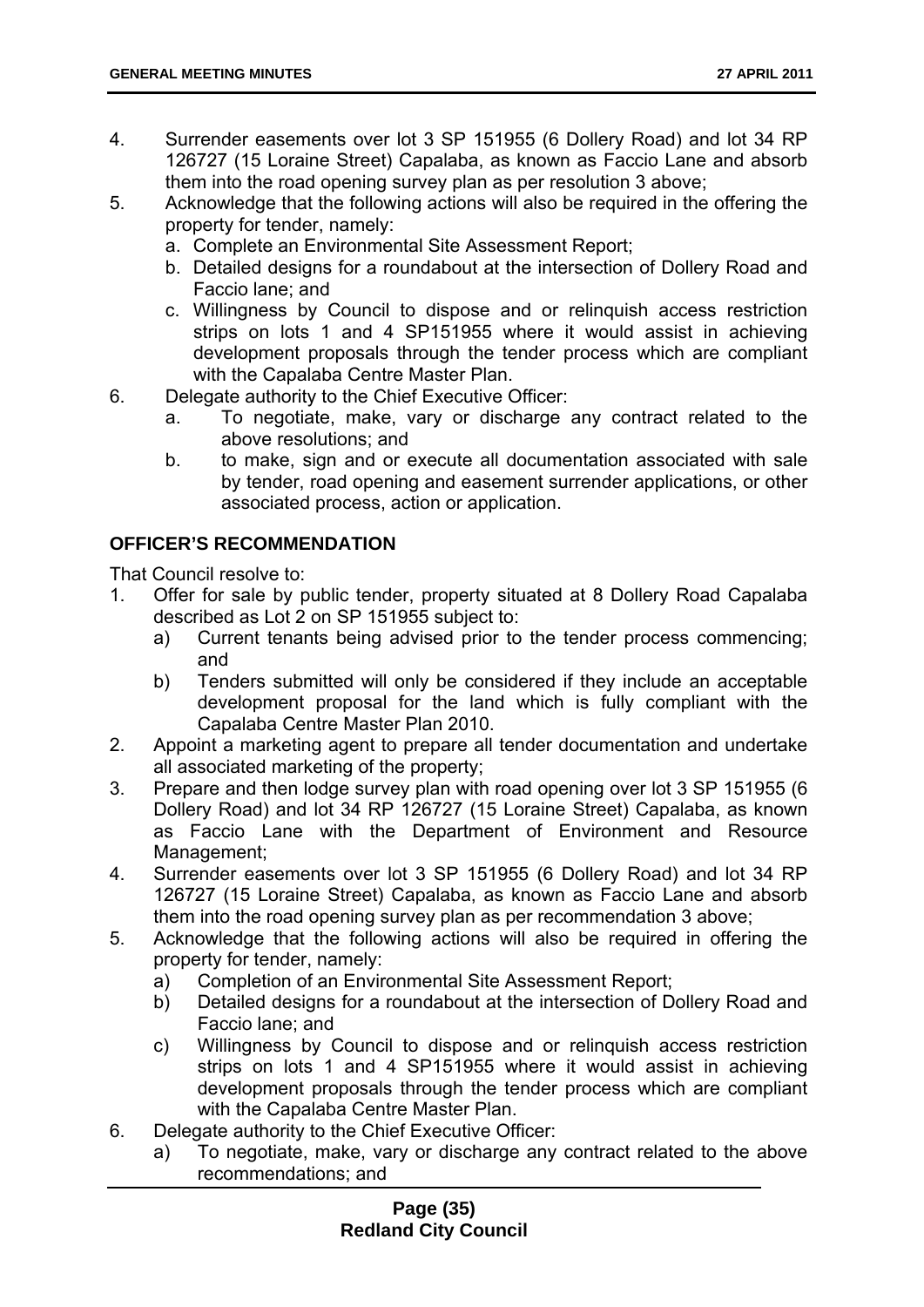- 4. Surrender easements over lot 3 SP 151955 (6 Dollery Road) and lot 34 RP 126727 (15 Loraine Street) Capalaba, as known as Faccio Lane and absorb them into the road opening survey plan as per resolution 3 above;
- 5. Acknowledge that the following actions will also be required in the offering the property for tender, namely:
	- a. Complete an Environmental Site Assessment Report;
	- b. Detailed designs for a roundabout at the intersection of Dollery Road and Faccio lane; and
	- c. Willingness by Council to dispose and or relinquish access restriction strips on lots 1 and 4 SP151955 where it would assist in achieving development proposals through the tender process which are compliant with the Capalaba Centre Master Plan.
- 6. Delegate authority to the Chief Executive Officer:
	- a. To negotiate, make, vary or discharge any contract related to the above resolutions; and
	- b. to make, sign and or execute all documentation associated with sale by tender, road opening and easement surrender applications, or other associated process, action or application.

#### **OFFICER'S RECOMMENDATION**

That Council resolve to:

- 1. Offer for sale by public tender, property situated at 8 Dollery Road Capalaba described as Lot 2 on SP 151955 subject to:
	- a) Current tenants being advised prior to the tender process commencing; and
	- b) Tenders submitted will only be considered if they include an acceptable development proposal for the land which is fully compliant with the Capalaba Centre Master Plan 2010.
- 2. Appoint a marketing agent to prepare all tender documentation and undertake all associated marketing of the property;
- 3. Prepare and then lodge survey plan with road opening over lot 3 SP 151955 (6 Dollery Road) and lot 34 RP 126727 (15 Loraine Street) Capalaba, as known as Faccio Lane with the Department of Environment and Resource Management;
- 4. Surrender easements over lot 3 SP 151955 (6 Dollery Road) and lot 34 RP 126727 (15 Loraine Street) Capalaba, as known as Faccio Lane and absorb them into the road opening survey plan as per recommendation 3 above;
- 5. Acknowledge that the following actions will also be required in offering the property for tender, namely:
	- a) Completion of an Environmental Site Assessment Report;
	- b) Detailed designs for a roundabout at the intersection of Dollery Road and Faccio lane; and
	- c) Willingness by Council to dispose and or relinquish access restriction strips on lots 1 and 4 SP151955 where it would assist in achieving development proposals through the tender process which are compliant with the Capalaba Centre Master Plan.
- 6. Delegate authority to the Chief Executive Officer:
	- a) To negotiate, make, vary or discharge any contract related to the above recommendations; and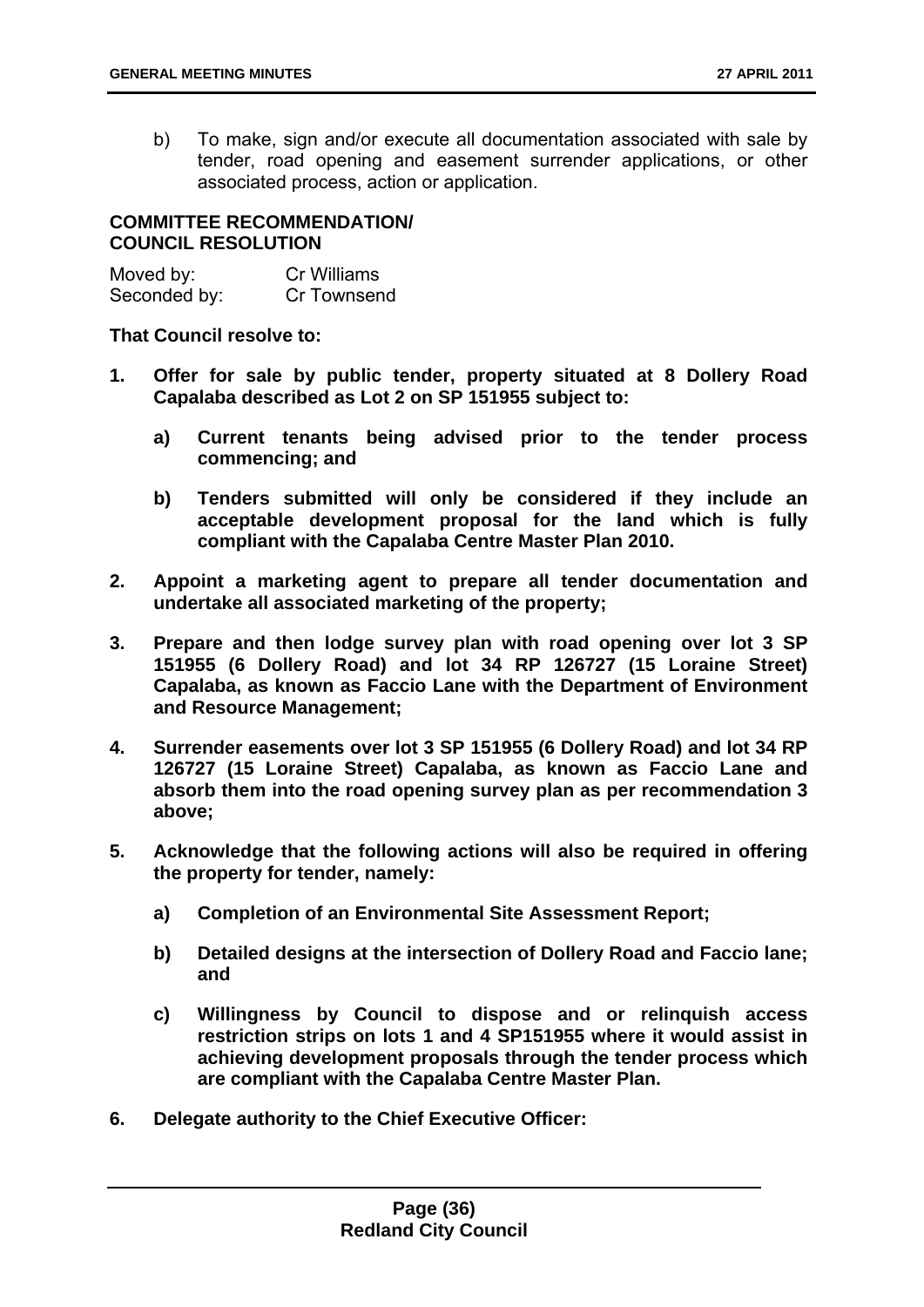b) To make, sign and/or execute all documentation associated with sale by tender, road opening and easement surrender applications, or other associated process, action or application.

### **COMMITTEE RECOMMENDATION/ COUNCIL RESOLUTION**

| Moved by:    | Cr Williams |
|--------------|-------------|
| Seconded by: | Cr Townsend |

**That Council resolve to:** 

- **1. Offer for sale by public tender, property situated at 8 Dollery Road Capalaba described as Lot 2 on SP 151955 subject to:** 
	- **a) Current tenants being advised prior to the tender process commencing; and**
	- **b) Tenders submitted will only be considered if they include an acceptable development proposal for the land which is fully compliant with the Capalaba Centre Master Plan 2010.**
- **2. Appoint a marketing agent to prepare all tender documentation and undertake all associated marketing of the property;**
- **3. Prepare and then lodge survey plan with road opening over lot 3 SP 151955 (6 Dollery Road) and lot 34 RP 126727 (15 Loraine Street) Capalaba, as known as Faccio Lane with the Department of Environment and Resource Management;**
- **4. Surrender easements over lot 3 SP 151955 (6 Dollery Road) and lot 34 RP 126727 (15 Loraine Street) Capalaba, as known as Faccio Lane and absorb them into the road opening survey plan as per recommendation 3 above;**
- **5. Acknowledge that the following actions will also be required in offering the property for tender, namely:** 
	- **a) Completion of an Environmental Site Assessment Report;**
	- **b) Detailed designs at the intersection of Dollery Road and Faccio lane; and**
	- **c) Willingness by Council to dispose and or relinquish access restriction strips on lots 1 and 4 SP151955 where it would assist in achieving development proposals through the tender process which are compliant with the Capalaba Centre Master Plan.**
- **6. Delegate authority to the Chief Executive Officer:**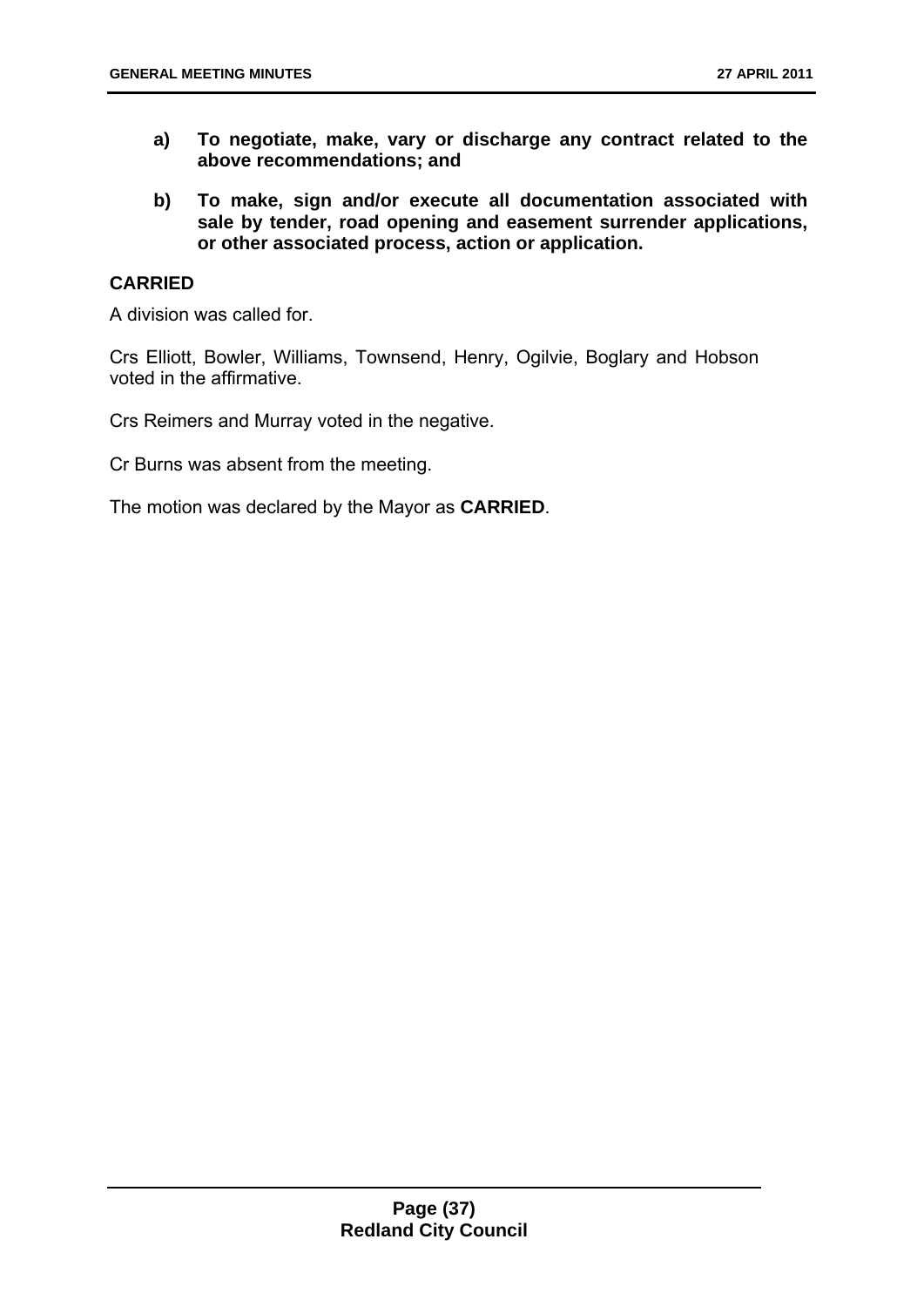- **a) To negotiate, make, vary or discharge any contract related to the above recommendations; and**
- **b) To make, sign and/or execute all documentation associated with sale by tender, road opening and easement surrender applications, or other associated process, action or application.**

### **CARRIED**

A division was called for.

Crs Elliott, Bowler, Williams, Townsend, Henry, Ogilvie, Boglary and Hobson voted in the affirmative.

Crs Reimers and Murray voted in the negative.

Cr Burns was absent from the meeting.

The motion was declared by the Mayor as **CARRIED**.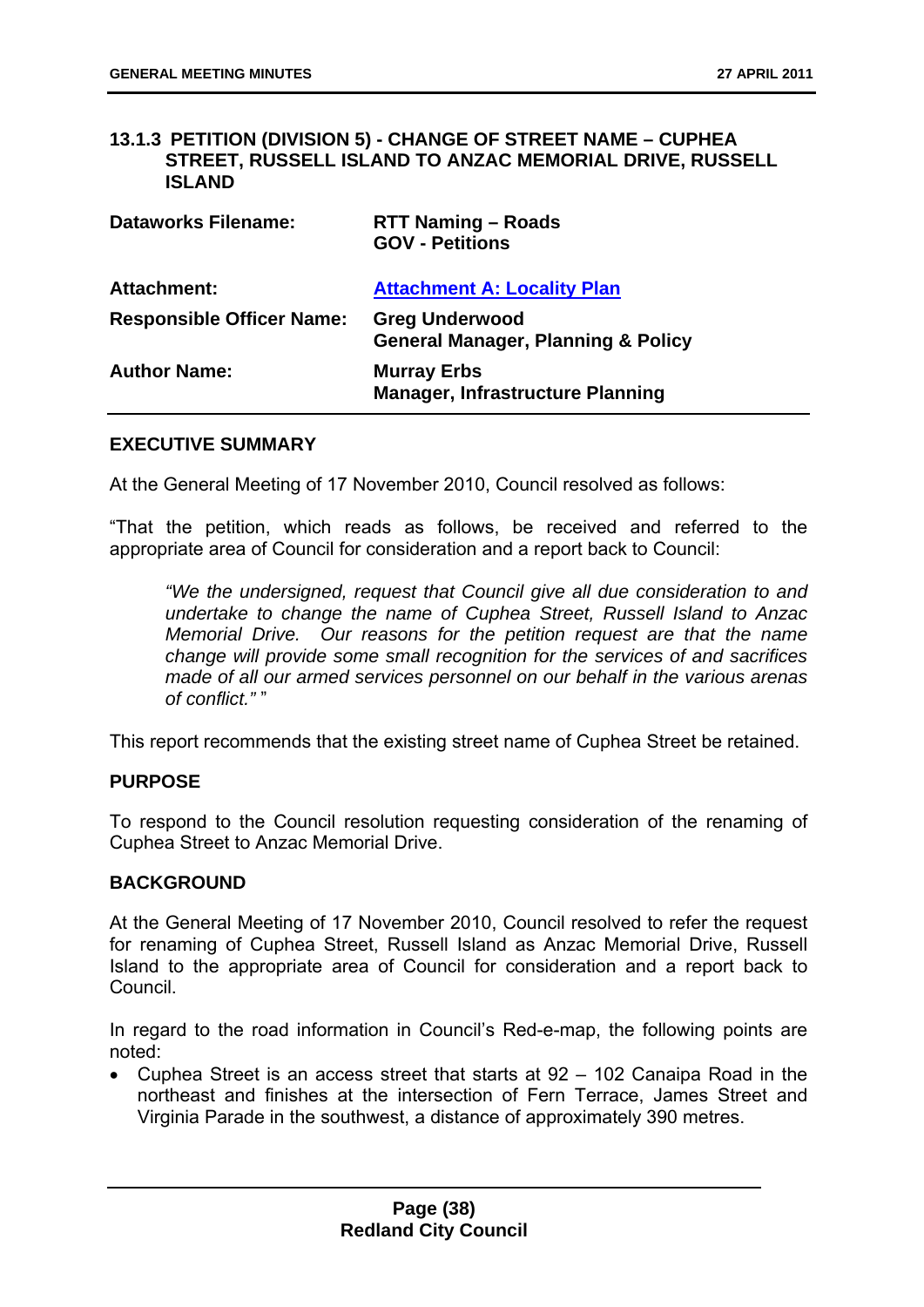### **13.1.3 PETITION (DIVISION 5) - CHANGE OF STREET NAME – CUPHEA STREET, RUSSELL ISLAND TO ANZAC MEMORIAL DRIVE, RUSSELL ISLAND**

| <b>Dataworks Filename:</b>       | <b>RTT Naming - Roads</b><br><b>GOV - Petitions</b>                    |
|----------------------------------|------------------------------------------------------------------------|
| <b>Attachment:</b>               | <b>Attachment A: Locality Plan</b>                                     |
| <b>Responsible Officer Name:</b> | <b>Greg Underwood</b><br><b>General Manager, Planning &amp; Policy</b> |
| <b>Author Name:</b>              | <b>Murray Erbs</b><br><b>Manager, Infrastructure Planning</b>          |

### **EXECUTIVE SUMMARY**

At the General Meeting of 17 November 2010, Council resolved as follows:

"That the petition, which reads as follows, be received and referred to the appropriate area of Council for consideration and a report back to Council:

*"We the undersigned, request that Council give all due consideration to and undertake to change the name of Cuphea Street, Russell Island to Anzac Memorial Drive. Our reasons for the petition request are that the name change will provide some small recognition for the services of and sacrifices made of all our armed services personnel on our behalf in the various arenas of conflict."* "

This report recommends that the existing street name of Cuphea Street be retained.

### **PURPOSE**

To respond to the Council resolution requesting consideration of the renaming of Cuphea Street to Anzac Memorial Drive.

#### **BACKGROUND**

At the General Meeting of 17 November 2010, Council resolved to refer the request for renaming of Cuphea Street, Russell Island as Anzac Memorial Drive, Russell Island to the appropriate area of Council for consideration and a report back to Council.

In regard to the road information in Council's Red-e-map, the following points are noted:

 Cuphea Street is an access street that starts at 92 – 102 Canaipa Road in the northeast and finishes at the intersection of Fern Terrace, James Street and Virginia Parade in the southwest, a distance of approximately 390 metres.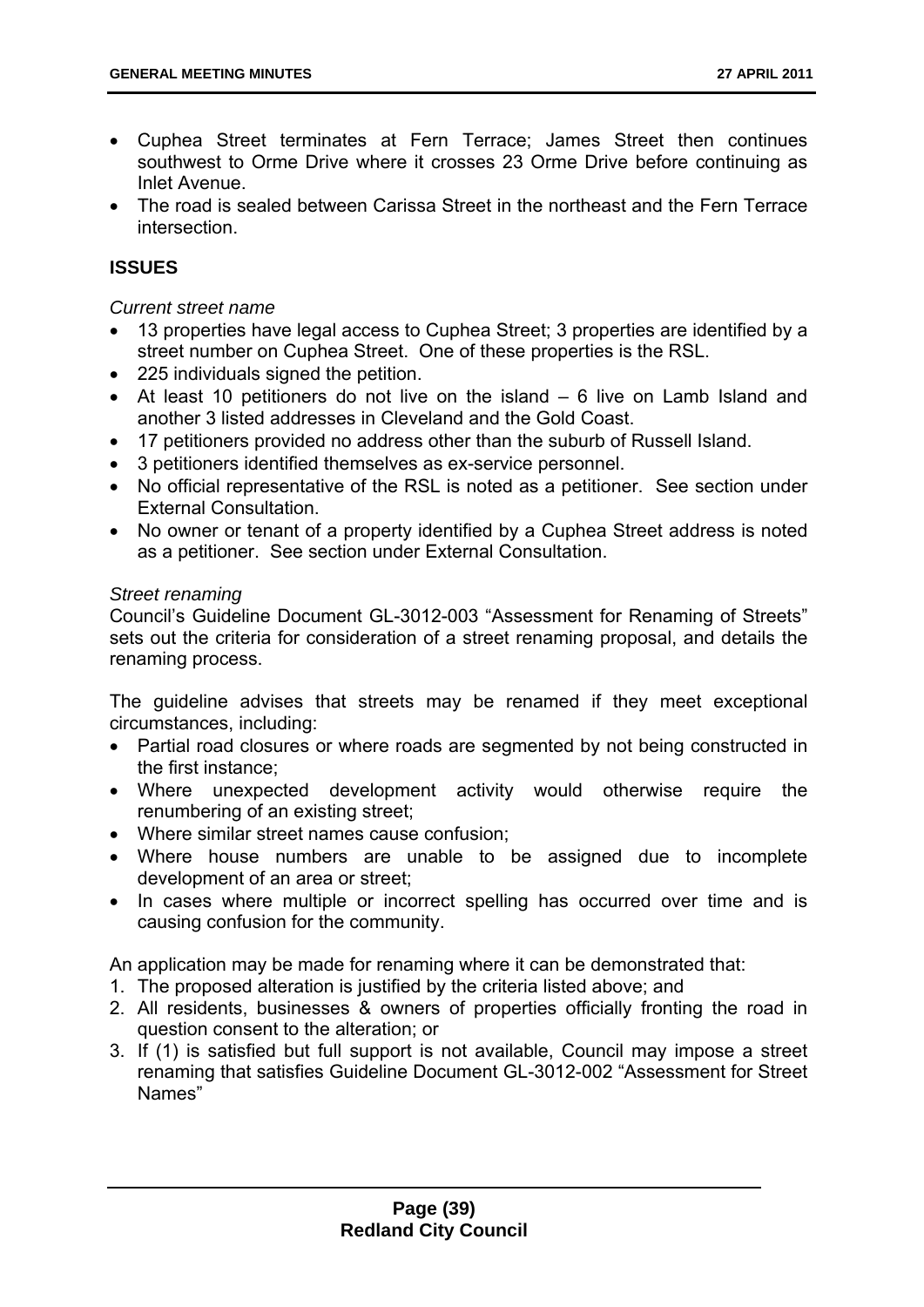- Cuphea Street terminates at Fern Terrace; James Street then continues southwest to Orme Drive where it crosses 23 Orme Drive before continuing as Inlet Avenue.
- The road is sealed between Carissa Street in the northeast and the Fern Terrace intersection.

# **ISSUES**

### *Current street name*

- 13 properties have legal access to Cuphea Street; 3 properties are identified by a street number on Cuphea Street. One of these properties is the RSL.
- 225 individuals signed the petition.
- At least 10 petitioners do not live on the island 6 live on Lamb Island and another 3 listed addresses in Cleveland and the Gold Coast.
- 17 petitioners provided no address other than the suburb of Russell Island.
- 3 petitioners identified themselves as ex-service personnel.
- No official representative of the RSL is noted as a petitioner. See section under External Consultation.
- No owner or tenant of a property identified by a Cuphea Street address is noted as a petitioner. See section under External Consultation.

### *Street renaming*

Council's Guideline Document GL-3012-003 "Assessment for Renaming of Streets" sets out the criteria for consideration of a street renaming proposal, and details the renaming process.

The guideline advises that streets may be renamed if they meet exceptional circumstances, including:

- Partial road closures or where roads are segmented by not being constructed in the first instance;
- Where unexpected development activity would otherwise require the renumbering of an existing street;
- Where similar street names cause confusion;
- Where house numbers are unable to be assigned due to incomplete development of an area or street;
- In cases where multiple or incorrect spelling has occurred over time and is causing confusion for the community.

An application may be made for renaming where it can be demonstrated that:

- 1. The proposed alteration is justified by the criteria listed above; and
- 2. All residents, businesses & owners of properties officially fronting the road in question consent to the alteration; or
- 3. If (1) is satisfied but full support is not available, Council may impose a street renaming that satisfies Guideline Document GL-3012-002 "Assessment for Street Names"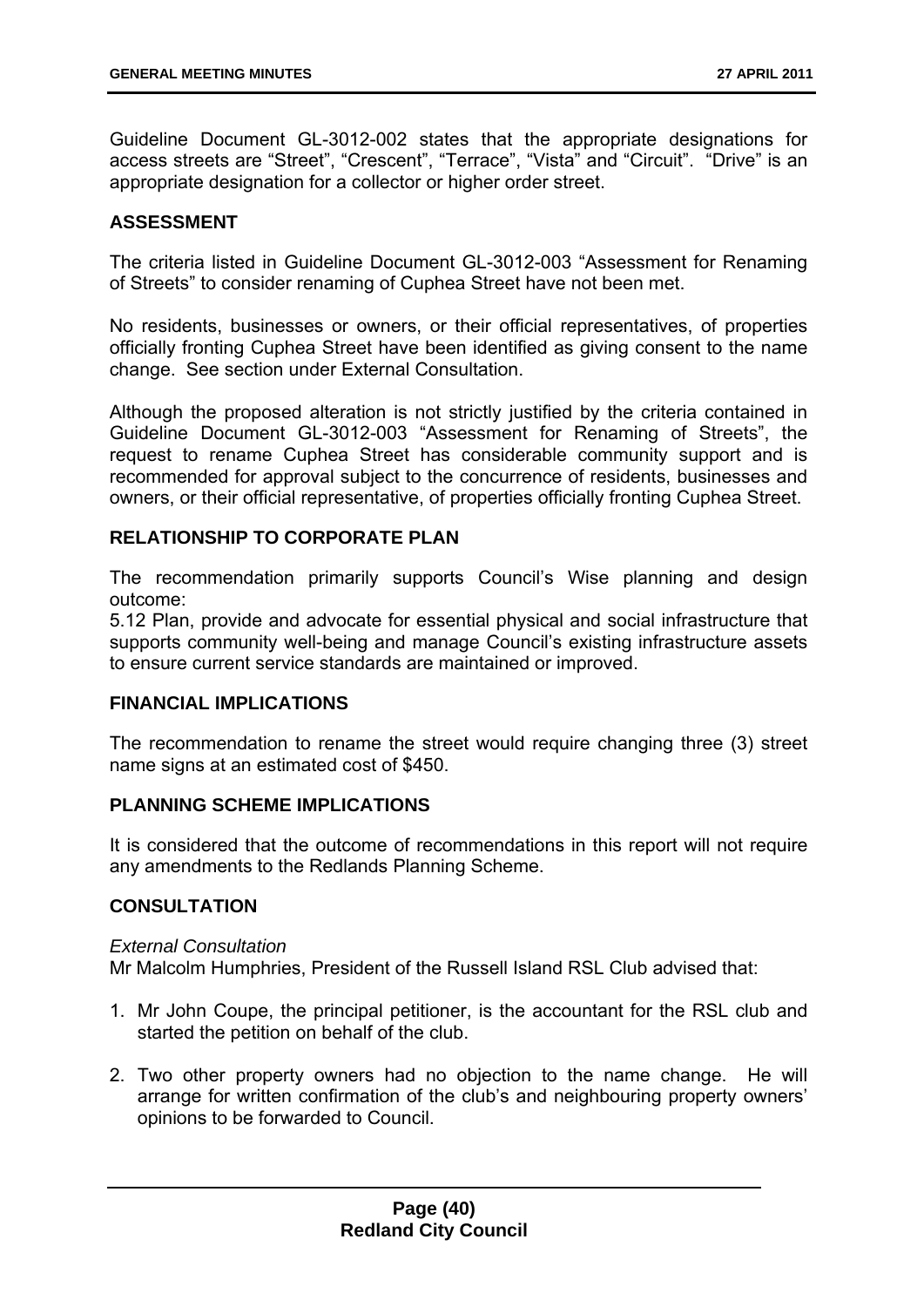Guideline Document GL-3012-002 states that the appropriate designations for access streets are "Street", "Crescent", "Terrace", "Vista" and "Circuit". "Drive" is an appropriate designation for a collector or higher order street.

## **ASSESSMENT**

The criteria listed in Guideline Document GL-3012-003 "Assessment for Renaming of Streets" to consider renaming of Cuphea Street have not been met.

No residents, businesses or owners, or their official representatives, of properties officially fronting Cuphea Street have been identified as giving consent to the name change. See section under External Consultation.

Although the proposed alteration is not strictly justified by the criteria contained in Guideline Document GL-3012-003 "Assessment for Renaming of Streets", the request to rename Cuphea Street has considerable community support and is recommended for approval subject to the concurrence of residents, businesses and owners, or their official representative, of properties officially fronting Cuphea Street.

## **RELATIONSHIP TO CORPORATE PLAN**

The recommendation primarily supports Council's Wise planning and design outcome:

5.12 Plan, provide and advocate for essential physical and social infrastructure that supports community well-being and manage Council's existing infrastructure assets to ensure current service standards are maintained or improved.

### **FINANCIAL IMPLICATIONS**

The recommendation to rename the street would require changing three (3) street name signs at an estimated cost of \$450.

### **PLANNING SCHEME IMPLICATIONS**

It is considered that the outcome of recommendations in this report will not require any amendments to the Redlands Planning Scheme.

## **CONSULTATION**

#### *External Consultation*

Mr Malcolm Humphries, President of the Russell Island RSL Club advised that:

- 1. Mr John Coupe, the principal petitioner, is the accountant for the RSL club and started the petition on behalf of the club.
- 2. Two other property owners had no objection to the name change. He will arrange for written confirmation of the club's and neighbouring property owners' opinions to be forwarded to Council.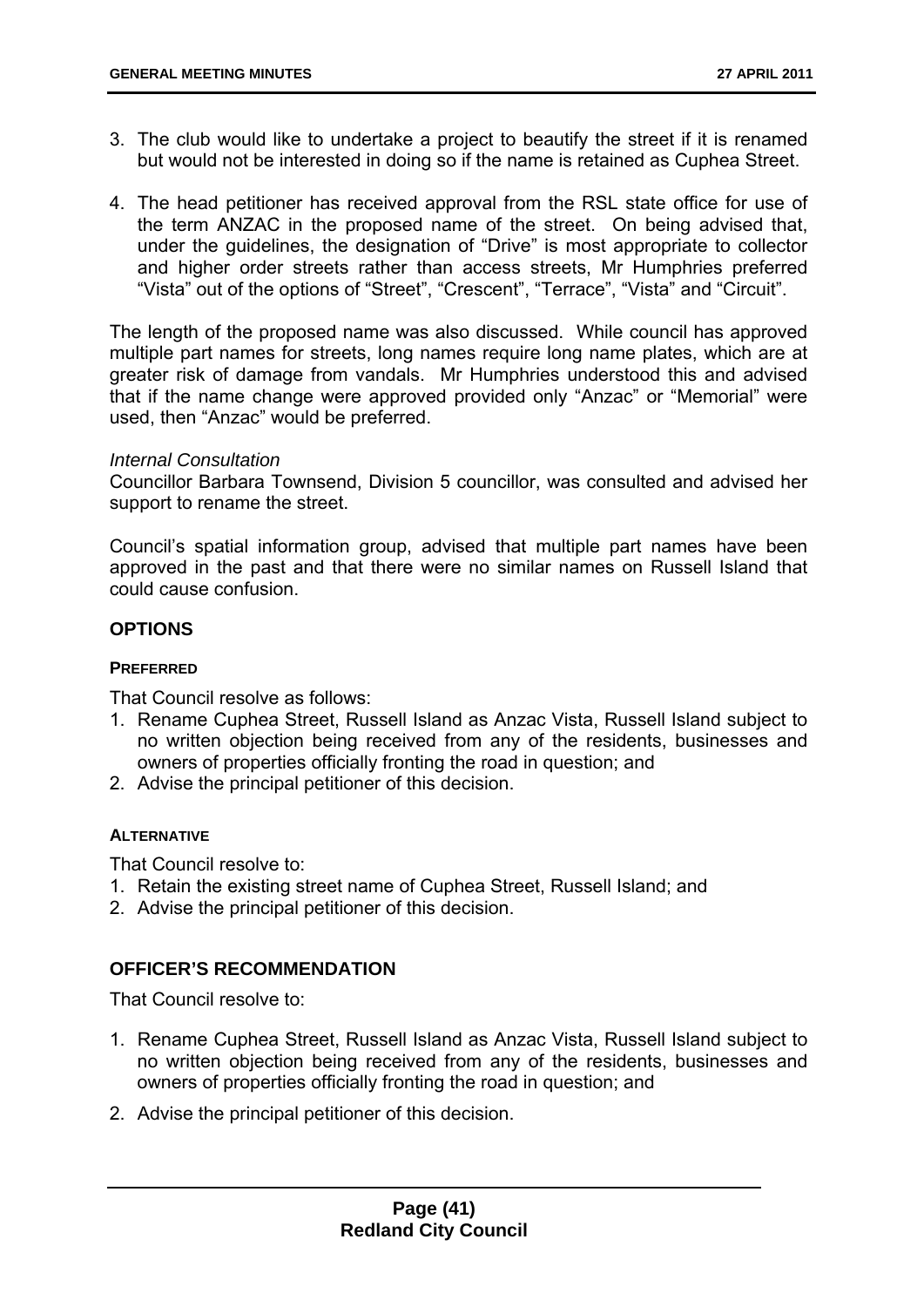- 3. The club would like to undertake a project to beautify the street if it is renamed but would not be interested in doing so if the name is retained as Cuphea Street.
- 4. The head petitioner has received approval from the RSL state office for use of the term ANZAC in the proposed name of the street. On being advised that, under the guidelines, the designation of "Drive" is most appropriate to collector and higher order streets rather than access streets, Mr Humphries preferred "Vista" out of the options of "Street", "Crescent", "Terrace", "Vista" and "Circuit".

The length of the proposed name was also discussed. While council has approved multiple part names for streets, long names require long name plates, which are at greater risk of damage from vandals. Mr Humphries understood this and advised that if the name change were approved provided only "Anzac" or "Memorial" were used, then "Anzac" would be preferred.

#### *Internal Consultation*

Councillor Barbara Townsend, Division 5 councillor, was consulted and advised her support to rename the street.

Council's spatial information group, advised that multiple part names have been approved in the past and that there were no similar names on Russell Island that could cause confusion.

### **OPTIONS**

#### **PREFERRED**

That Council resolve as follows:

- 1. Rename Cuphea Street, Russell Island as Anzac Vista, Russell Island subject to no written objection being received from any of the residents, businesses and owners of properties officially fronting the road in question; and
- 2. Advise the principal petitioner of this decision.

### **ALTERNATIVE**

That Council resolve to:

- 1. Retain the existing street name of Cuphea Street, Russell Island; and
- 2. Advise the principal petitioner of this decision.

### **OFFICER'S RECOMMENDATION**

That Council resolve to:

- 1. Rename Cuphea Street, Russell Island as Anzac Vista, Russell Island subject to no written objection being received from any of the residents, businesses and owners of properties officially fronting the road in question; and
- 2. Advise the principal petitioner of this decision.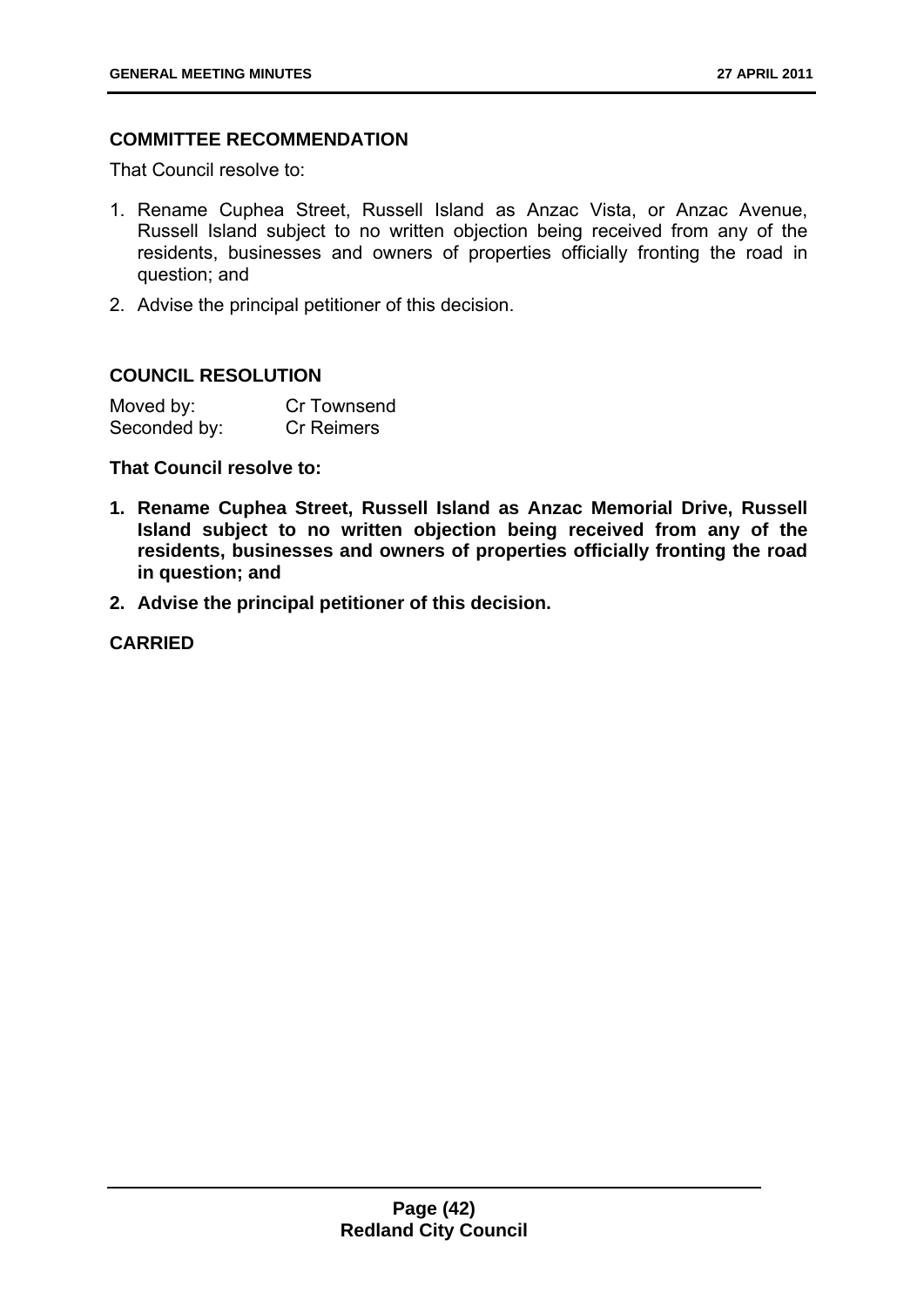## **COMMITTEE RECOMMENDATION**

That Council resolve to:

- 1. Rename Cuphea Street, Russell Island as Anzac Vista, or Anzac Avenue, Russell Island subject to no written objection being received from any of the residents, businesses and owners of properties officially fronting the road in question; and
- 2. Advise the principal petitioner of this decision.

### **COUNCIL RESOLUTION**

| Moved by:    | Cr Townsend       |
|--------------|-------------------|
| Seconded by: | <b>Cr Reimers</b> |

**That Council resolve to:** 

- **1. Rename Cuphea Street, Russell Island as Anzac Memorial Drive, Russell Island subject to no written objection being received from any of the residents, businesses and owners of properties officially fronting the road in question; and**
- **2. Advise the principal petitioner of this decision.**

**CARRIED**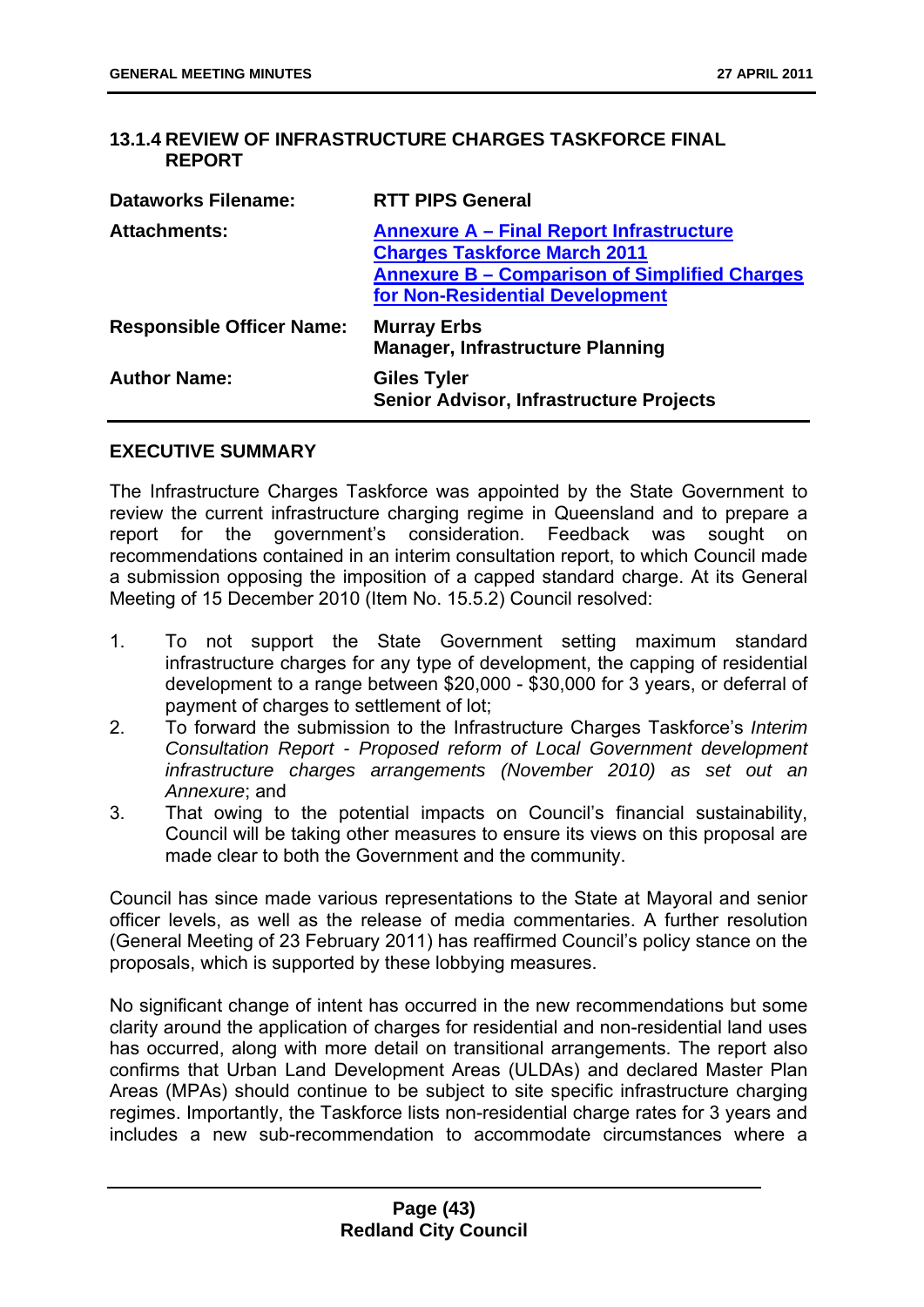## **13.1.4 REVIEW OF INFRASTRUCTURE CHARGES TASKFORCE FINAL REPORT**

| <b>RTT PIPS General</b>                                                                                                                                                           |
|-----------------------------------------------------------------------------------------------------------------------------------------------------------------------------------|
| <b>Annexure A - Final Report Infrastructure</b><br><b>Charges Taskforce March 2011</b><br><b>Annexure B – Comparison of Simplified Charges</b><br>for Non-Residential Development |
| <b>Murray Erbs</b><br><b>Manager, Infrastructure Planning</b>                                                                                                                     |
| <b>Giles Tyler</b><br><b>Senior Advisor, Infrastructure Projects</b>                                                                                                              |
|                                                                                                                                                                                   |

#### **EXECUTIVE SUMMARY**

The Infrastructure Charges Taskforce was appointed by the State Government to review the current infrastructure charging regime in Queensland and to prepare a report for the government's consideration. Feedback was sought on recommendations contained in an interim consultation report, to which Council made a submission opposing the imposition of a capped standard charge. At its General Meeting of 15 December 2010 (Item No. 15.5.2) Council resolved:

- 1. To not support the State Government setting maximum standard infrastructure charges for any type of development, the capping of residential development to a range between \$20,000 - \$30,000 for 3 years, or deferral of payment of charges to settlement of lot:
- 2. To forward the submission to the Infrastructure Charges Taskforce's *Interim Consultation Report - Proposed reform of Local Government development infrastructure charges arrangements (November 2010) as set out an Annexure*; and
- 3. That owing to the potential impacts on Council's financial sustainability, Council will be taking other measures to ensure its views on this proposal are made clear to both the Government and the community.

Council has since made various representations to the State at Mayoral and senior officer levels, as well as the release of media commentaries. A further resolution (General Meeting of 23 February 2011) has reaffirmed Council's policy stance on the proposals, which is supported by these lobbying measures.

No significant change of intent has occurred in the new recommendations but some clarity around the application of charges for residential and non-residential land uses has occurred, along with more detail on transitional arrangements. The report also confirms that Urban Land Development Areas (ULDAs) and declared Master Plan Areas (MPAs) should continue to be subject to site specific infrastructure charging regimes. Importantly, the Taskforce lists non-residential charge rates for 3 years and includes a new sub-recommendation to accommodate circumstances where a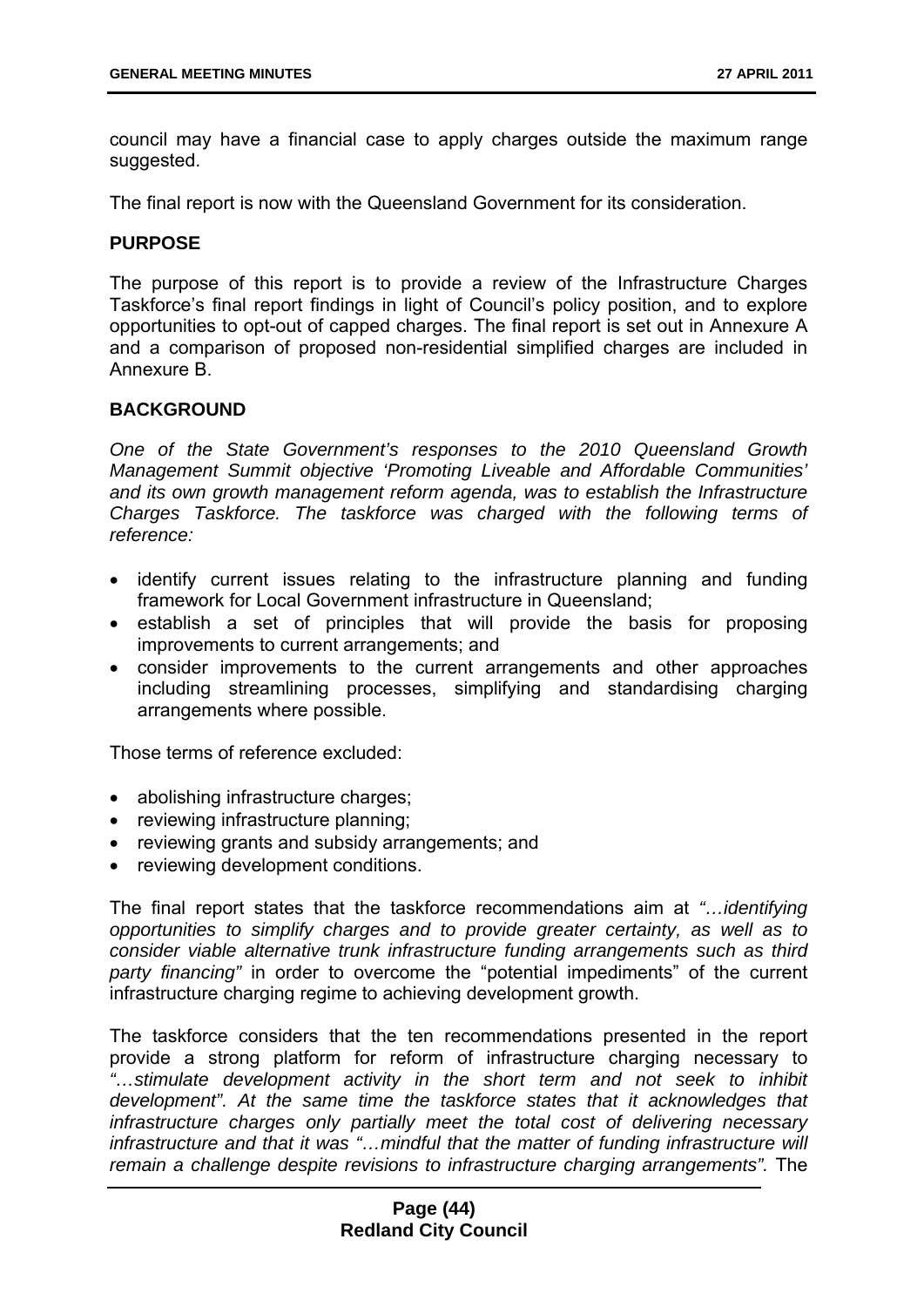council may have a financial case to apply charges outside the maximum range suggested.

The final report is now with the Queensland Government for its consideration.

### **PURPOSE**

The purpose of this report is to provide a review of the Infrastructure Charges Taskforce's final report findings in light of Council's policy position, and to explore opportunities to opt-out of capped charges. The final report is set out in Annexure A and a comparison of proposed non-residential simplified charges are included in Annexure B.

### **BACKGROUND**

*One of the State Government's responses to the 2010 Queensland Growth Management Summit objective 'Promoting Liveable and Affordable Communities' and its own growth management reform agenda, was to establish the Infrastructure Charges Taskforce. The taskforce was charged with the following terms of reference:* 

- identify current issues relating to the infrastructure planning and funding framework for Local Government infrastructure in Queensland;
- establish a set of principles that will provide the basis for proposing improvements to current arrangements; and
- consider improvements to the current arrangements and other approaches including streamlining processes, simplifying and standardising charging arrangements where possible.

Those terms of reference excluded:

- abolishing infrastructure charges:
- reviewing infrastructure planning;
- reviewing grants and subsidy arrangements; and
- reviewing development conditions.

The final report states that the taskforce recommendations aim at *"…identifying opportunities to simplify charges and to provide greater certainty, as well as to consider viable alternative trunk infrastructure funding arrangements such as third party financing"* in order to overcome the "potential impediments" of the current infrastructure charging regime to achieving development growth.

The taskforce considers that the ten recommendations presented in the report provide a strong platform for reform of infrastructure charging necessary to *"…stimulate development activity in the short term and not seek to inhibit development". At the same time the taskforce states that it acknowledges that infrastructure charges only partially meet the total cost of delivering necessary infrastructure and that it was "…mindful that the matter of funding infrastructure will remain a challenge despite revisions to infrastructure charging arrangements".* The

### **Page (44) Redland City Council**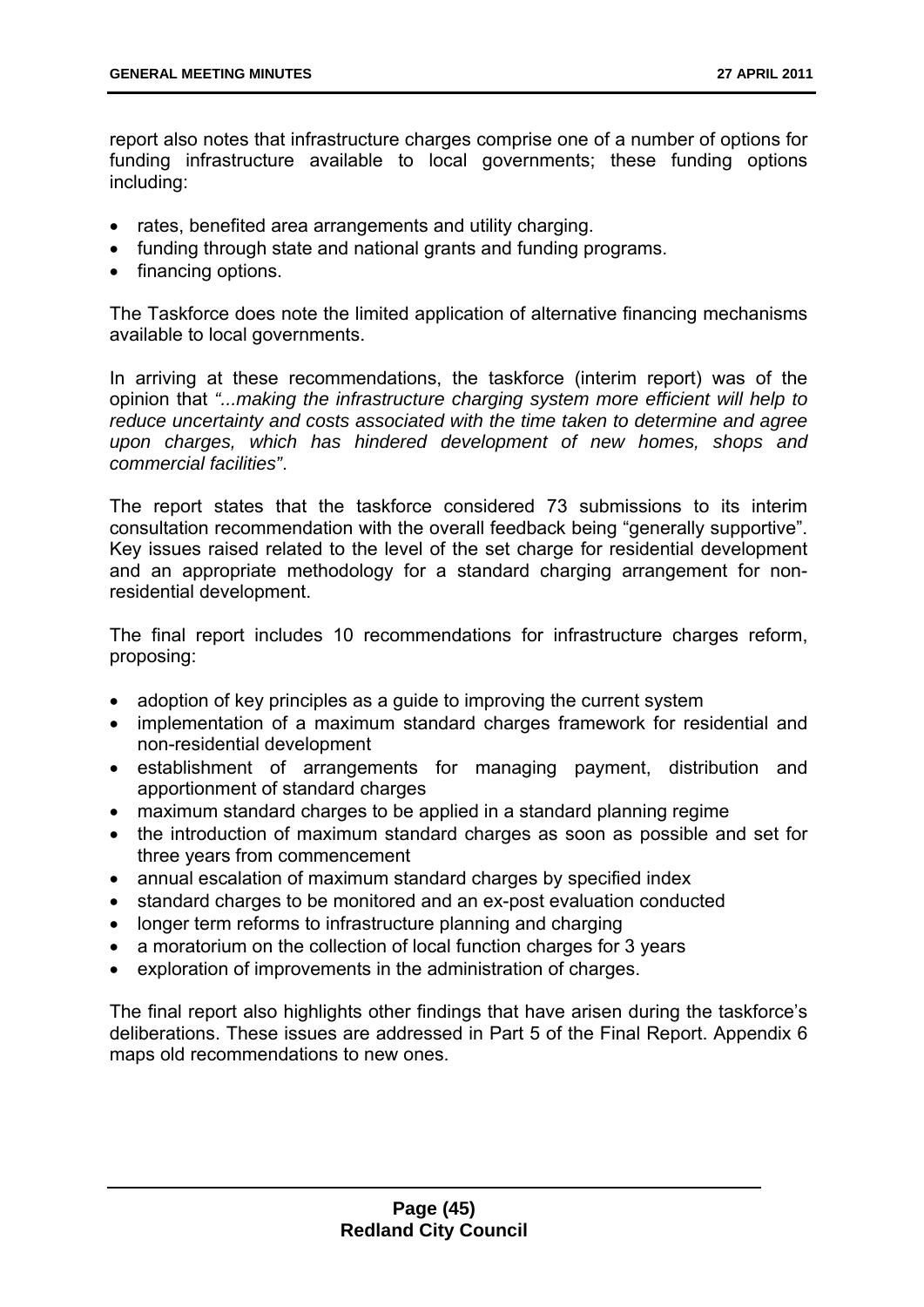report also notes that infrastructure charges comprise one of a number of options for funding infrastructure available to local governments; these funding options including:

- rates, benefited area arrangements and utility charging.
- funding through state and national grants and funding programs.
- financing options.

The Taskforce does note the limited application of alternative financing mechanisms available to local governments.

In arriving at these recommendations, the taskforce (interim report) was of the opinion that *"...making the infrastructure charging system more efficient will help to reduce uncertainty and costs associated with the time taken to determine and agree upon charges, which has hindered development of new homes, shops and commercial facilities"*.

The report states that the taskforce considered 73 submissions to its interim consultation recommendation with the overall feedback being "generally supportive". Key issues raised related to the level of the set charge for residential development and an appropriate methodology for a standard charging arrangement for nonresidential development.

The final report includes 10 recommendations for infrastructure charges reform, proposing:

- adoption of key principles as a guide to improving the current system
- implementation of a maximum standard charges framework for residential and non-residential development
- establishment of arrangements for managing payment, distribution and apportionment of standard charges
- maximum standard charges to be applied in a standard planning regime
- the introduction of maximum standard charges as soon as possible and set for three years from commencement
- annual escalation of maximum standard charges by specified index
- standard charges to be monitored and an ex-post evaluation conducted
- longer term reforms to infrastructure planning and charging
- a moratorium on the collection of local function charges for 3 years
- exploration of improvements in the administration of charges.

The final report also highlights other findings that have arisen during the taskforce's deliberations. These issues are addressed in Part 5 of the Final Report. Appendix 6 maps old recommendations to new ones.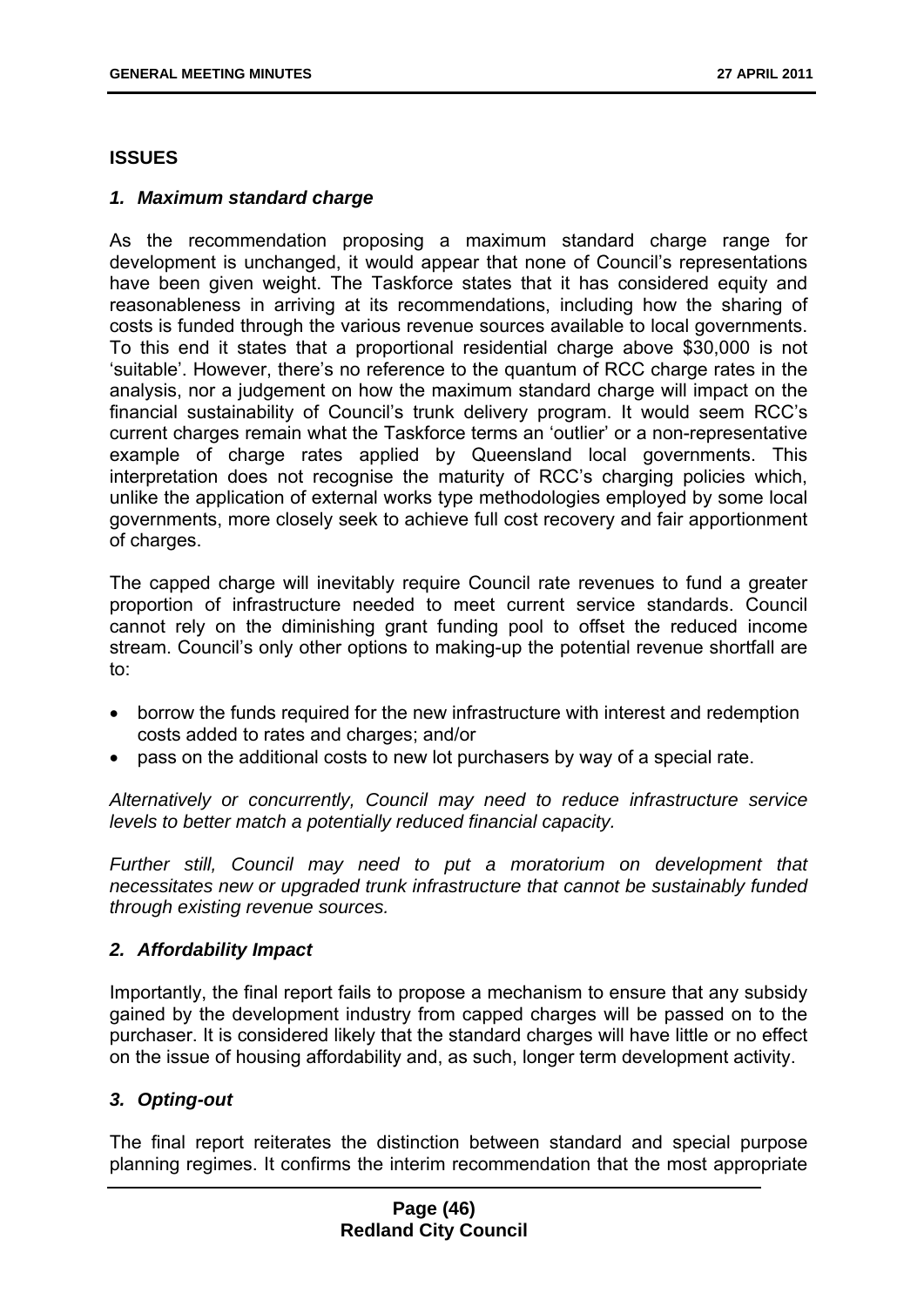### **ISSUES**

#### *1. Maximum standard charge*

As the recommendation proposing a maximum standard charge range for development is unchanged, it would appear that none of Council's representations have been given weight. The Taskforce states that it has considered equity and reasonableness in arriving at its recommendations, including how the sharing of costs is funded through the various revenue sources available to local governments. To this end it states that a proportional residential charge above \$30,000 is not 'suitable'. However, there's no reference to the quantum of RCC charge rates in the analysis, nor a judgement on how the maximum standard charge will impact on the financial sustainability of Council's trunk delivery program. It would seem RCC's current charges remain what the Taskforce terms an 'outlier' or a non-representative example of charge rates applied by Queensland local governments. This interpretation does not recognise the maturity of RCC's charging policies which, unlike the application of external works type methodologies employed by some local governments, more closely seek to achieve full cost recovery and fair apportionment of charges.

The capped charge will inevitably require Council rate revenues to fund a greater proportion of infrastructure needed to meet current service standards. Council cannot rely on the diminishing grant funding pool to offset the reduced income stream. Council's only other options to making-up the potential revenue shortfall are to:

- borrow the funds required for the new infrastructure with interest and redemption costs added to rates and charges; and/or
- pass on the additional costs to new lot purchasers by way of a special rate.

*Alternatively or concurrently, Council may need to reduce infrastructure service levels to better match a potentially reduced financial capacity.*

*Further still, Council may need to put a moratorium on development that necessitates new or upgraded trunk infrastructure that cannot be sustainably funded through existing revenue sources.* 

### *2. Affordability Impact*

Importantly, the final report fails to propose a mechanism to ensure that any subsidy gained by the development industry from capped charges will be passed on to the purchaser. It is considered likely that the standard charges will have little or no effect on the issue of housing affordability and, as such, longer term development activity.

### *3. Opting-out*

The final report reiterates the distinction between standard and special purpose planning regimes. It confirms the interim recommendation that the most appropriate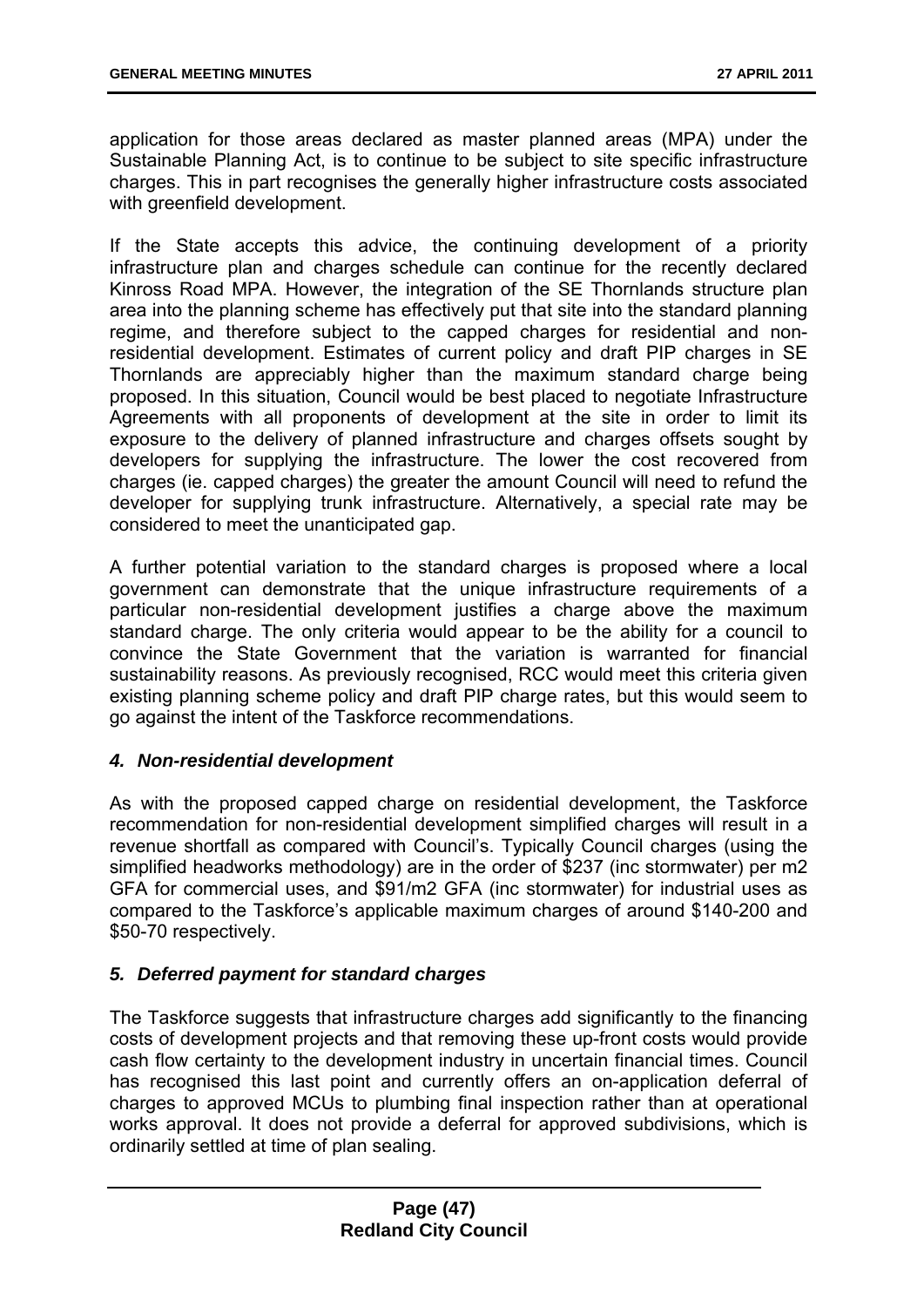application for those areas declared as master planned areas (MPA) under the Sustainable Planning Act, is to continue to be subject to site specific infrastructure charges. This in part recognises the generally higher infrastructure costs associated with greenfield development.

If the State accepts this advice, the continuing development of a priority infrastructure plan and charges schedule can continue for the recently declared Kinross Road MPA. However, the integration of the SE Thornlands structure plan area into the planning scheme has effectively put that site into the standard planning regime, and therefore subject to the capped charges for residential and nonresidential development. Estimates of current policy and draft PIP charges in SE Thornlands are appreciably higher than the maximum standard charge being proposed. In this situation, Council would be best placed to negotiate Infrastructure Agreements with all proponents of development at the site in order to limit its exposure to the delivery of planned infrastructure and charges offsets sought by developers for supplying the infrastructure. The lower the cost recovered from charges (ie. capped charges) the greater the amount Council will need to refund the developer for supplying trunk infrastructure. Alternatively, a special rate may be considered to meet the unanticipated gap.

A further potential variation to the standard charges is proposed where a local government can demonstrate that the unique infrastructure requirements of a particular non-residential development justifies a charge above the maximum standard charge. The only criteria would appear to be the ability for a council to convince the State Government that the variation is warranted for financial sustainability reasons. As previously recognised, RCC would meet this criteria given existing planning scheme policy and draft PIP charge rates, but this would seem to go against the intent of the Taskforce recommendations.

## *4. Non-residential development*

As with the proposed capped charge on residential development, the Taskforce recommendation for non-residential development simplified charges will result in a revenue shortfall as compared with Council's. Typically Council charges (using the simplified headworks methodology) are in the order of \$237 (inc stormwater) per m2 GFA for commercial uses, and \$91/m2 GFA (inc stormwater) for industrial uses as compared to the Taskforce's applicable maximum charges of around \$140-200 and \$50-70 respectively.

### *5. Deferred payment for standard charges*

The Taskforce suggests that infrastructure charges add significantly to the financing costs of development projects and that removing these up-front costs would provide cash flow certainty to the development industry in uncertain financial times. Council has recognised this last point and currently offers an on-application deferral of charges to approved MCUs to plumbing final inspection rather than at operational works approval. It does not provide a deferral for approved subdivisions, which is ordinarily settled at time of plan sealing.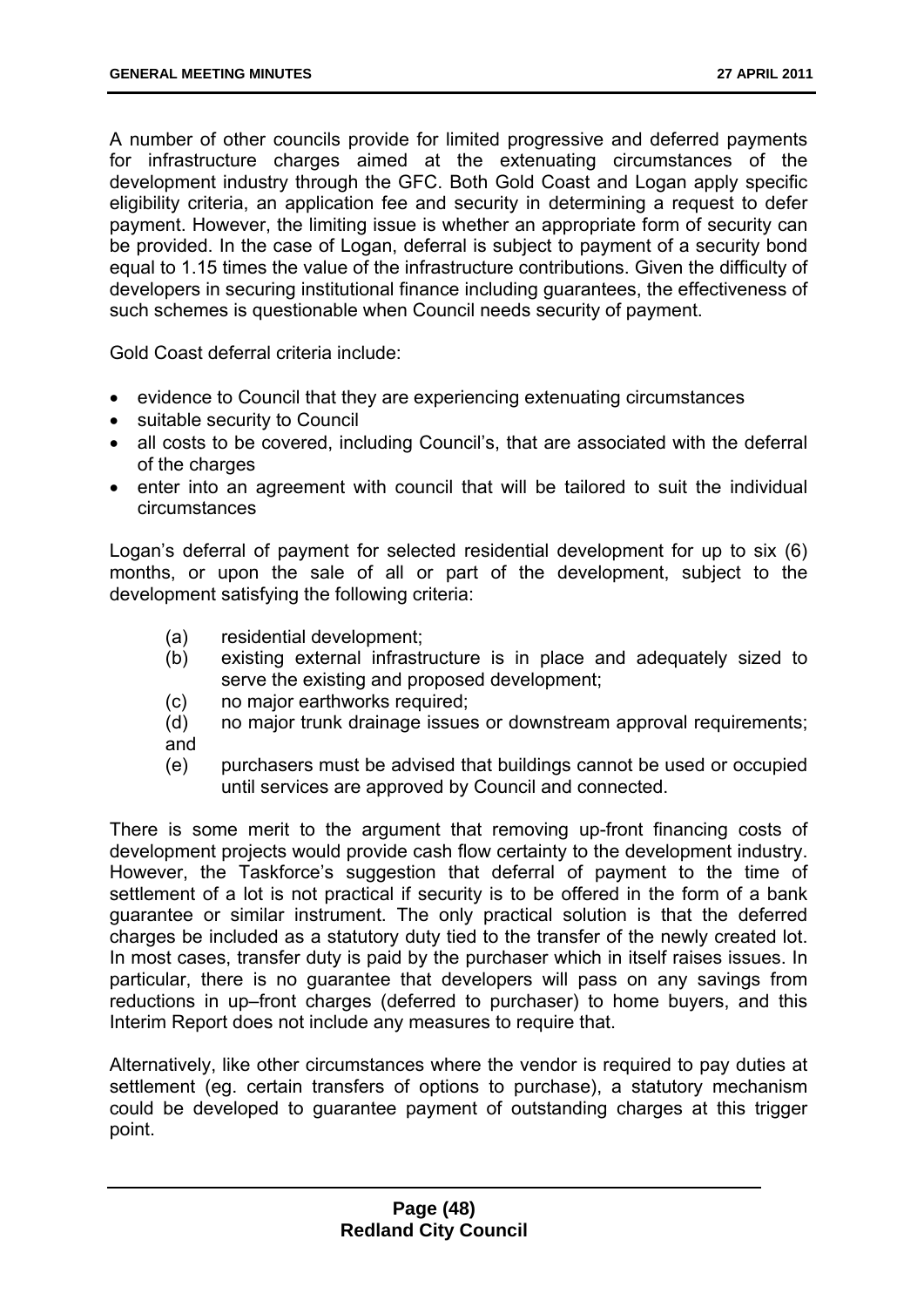A number of other councils provide for limited progressive and deferred payments for infrastructure charges aimed at the extenuating circumstances of the development industry through the GFC. Both Gold Coast and Logan apply specific eligibility criteria, an application fee and security in determining a request to defer payment. However, the limiting issue is whether an appropriate form of security can be provided. In the case of Logan, deferral is subject to payment of a security bond equal to 1.15 times the value of the infrastructure contributions. Given the difficulty of developers in securing institutional finance including guarantees, the effectiveness of such schemes is questionable when Council needs security of payment.

Gold Coast deferral criteria include:

- evidence to Council that they are experiencing extenuating circumstances
- suitable security to Council
- all costs to be covered, including Council's, that are associated with the deferral of the charges
- enter into an agreement with council that will be tailored to suit the individual circumstances

Logan's deferral of payment for selected residential development for up to six (6) months, or upon the sale of all or part of the development, subject to the development satisfying the following criteria:

- (a) residential development;
- (b) existing external infrastructure is in place and adequately sized to serve the existing and proposed development;
- (c) no major earthworks required;
- (d) no major trunk drainage issues or downstream approval requirements; and
- (e) purchasers must be advised that buildings cannot be used or occupied until services are approved by Council and connected.

There is some merit to the argument that removing up-front financing costs of development projects would provide cash flow certainty to the development industry. However, the Taskforce's suggestion that deferral of payment to the time of settlement of a lot is not practical if security is to be offered in the form of a bank guarantee or similar instrument. The only practical solution is that the deferred charges be included as a statutory duty tied to the transfer of the newly created lot. In most cases, transfer duty is paid by the purchaser which in itself raises issues. In particular, there is no guarantee that developers will pass on any savings from reductions in up–front charges (deferred to purchaser) to home buyers, and this Interim Report does not include any measures to require that.

Alternatively, like other circumstances where the vendor is required to pay duties at settlement (eg. certain transfers of options to purchase), a statutory mechanism could be developed to guarantee payment of outstanding charges at this trigger point.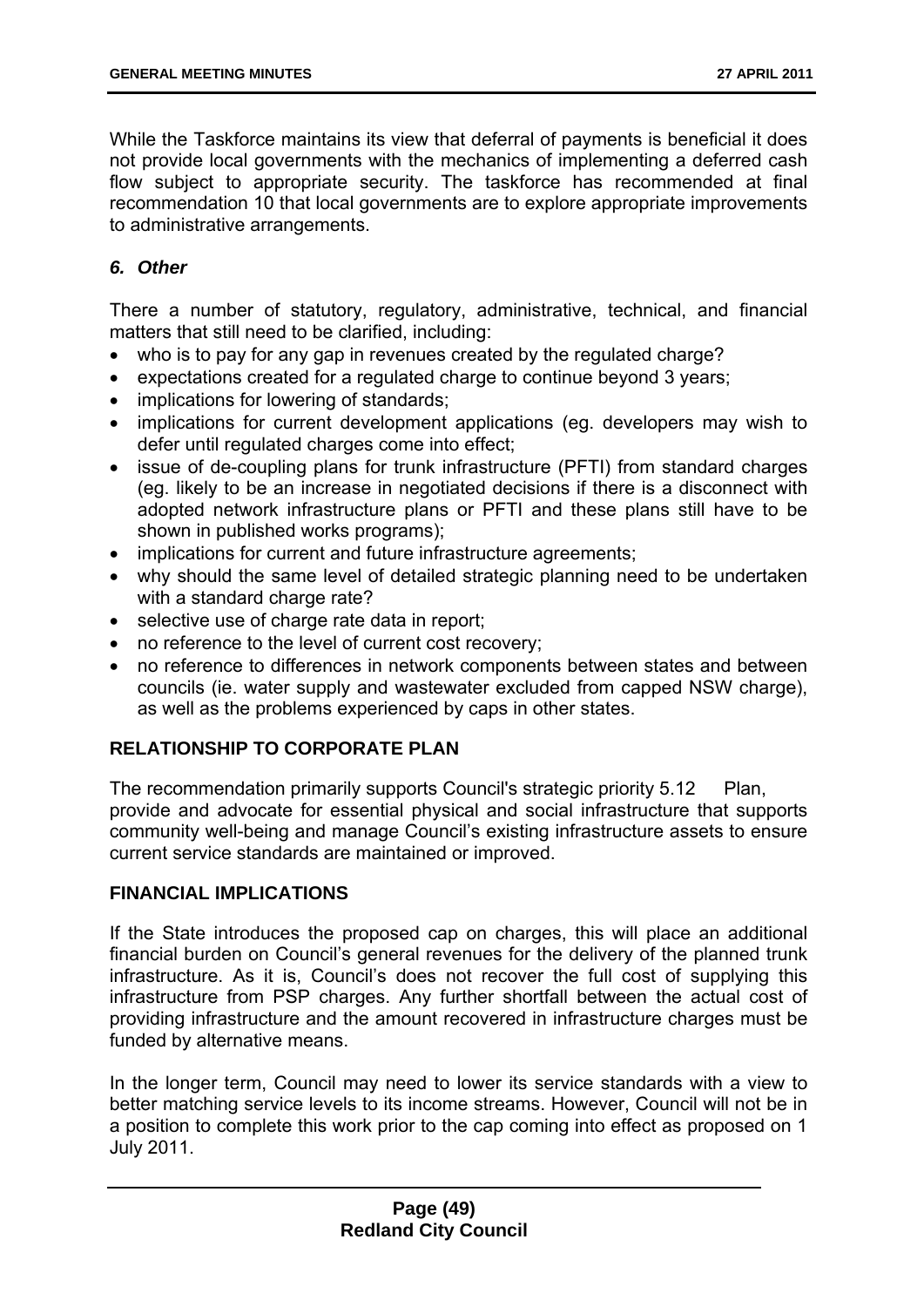While the Taskforce maintains its view that deferral of payments is beneficial it does not provide local governments with the mechanics of implementing a deferred cash flow subject to appropriate security. The taskforce has recommended at final recommendation 10 that local governments are to explore appropriate improvements to administrative arrangements.

# *6. Other*

There a number of statutory, regulatory, administrative, technical, and financial matters that still need to be clarified, including:

- who is to pay for any gap in revenues created by the regulated charge?
- expectations created for a regulated charge to continue beyond 3 years;
- implications for lowering of standards;
- implications for current development applications (eg. developers may wish to defer until regulated charges come into effect;
- issue of de-coupling plans for trunk infrastructure (PFTI) from standard charges (eg. likely to be an increase in negotiated decisions if there is a disconnect with adopted network infrastructure plans or PFTI and these plans still have to be shown in published works programs);
- implications for current and future infrastructure agreements:
- why should the same level of detailed strategic planning need to be undertaken with a standard charge rate?
- selective use of charge rate data in report;
- no reference to the level of current cost recovery;
- no reference to differences in network components between states and between councils (ie. water supply and wastewater excluded from capped NSW charge), as well as the problems experienced by caps in other states.

# **RELATIONSHIP TO CORPORATE PLAN**

The recommendation primarily supports Council's strategic priority 5.12 Plan, provide and advocate for essential physical and social infrastructure that supports community well-being and manage Council's existing infrastructure assets to ensure current service standards are maintained or improved.

## **FINANCIAL IMPLICATIONS**

If the State introduces the proposed cap on charges, this will place an additional financial burden on Council's general revenues for the delivery of the planned trunk infrastructure. As it is, Council's does not recover the full cost of supplying this infrastructure from PSP charges. Any further shortfall between the actual cost of providing infrastructure and the amount recovered in infrastructure charges must be funded by alternative means.

In the longer term, Council may need to lower its service standards with a view to better matching service levels to its income streams. However, Council will not be in a position to complete this work prior to the cap coming into effect as proposed on 1 July 2011.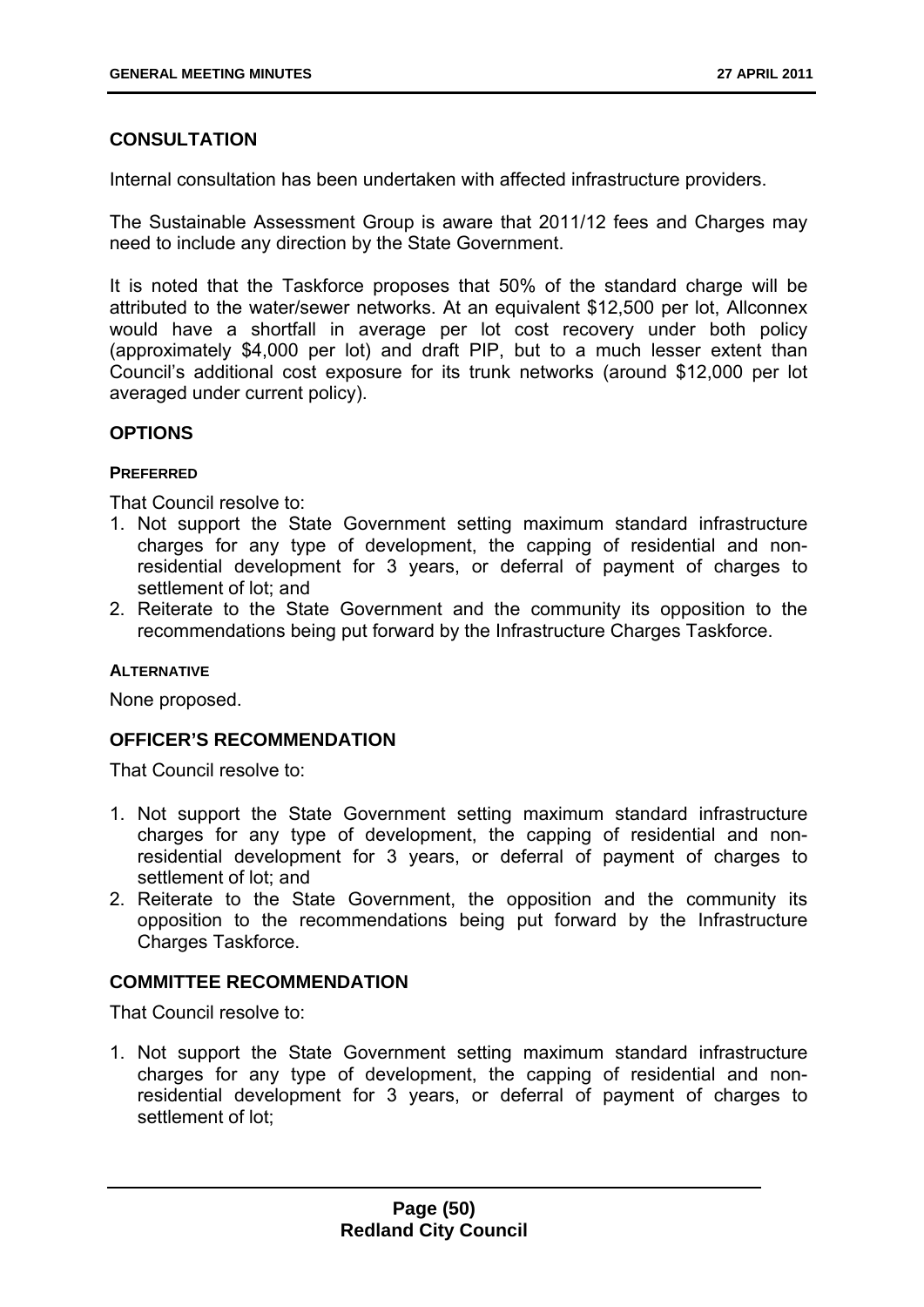## **CONSULTATION**

Internal consultation has been undertaken with affected infrastructure providers.

The Sustainable Assessment Group is aware that 2011/12 fees and Charges may need to include any direction by the State Government.

It is noted that the Taskforce proposes that 50% of the standard charge will be attributed to the water/sewer networks. At an equivalent \$12,500 per lot, Allconnex would have a shortfall in average per lot cost recovery under both policy (approximately \$4,000 per lot) and draft PIP, but to a much lesser extent than Council's additional cost exposure for its trunk networks (around \$12,000 per lot averaged under current policy).

### **OPTIONS**

### **PREFERRED**

That Council resolve to:

- 1. Not support the State Government setting maximum standard infrastructure charges for any type of development, the capping of residential and nonresidential development for 3 years, or deferral of payment of charges to settlement of lot; and
- 2. Reiterate to the State Government and the community its opposition to the recommendations being put forward by the Infrastructure Charges Taskforce.

### **ALTERNATIVE**

None proposed.

## **OFFICER'S RECOMMENDATION**

That Council resolve to:

- 1. Not support the State Government setting maximum standard infrastructure charges for any type of development, the capping of residential and nonresidential development for 3 years, or deferral of payment of charges to settlement of lot; and
- 2. Reiterate to the State Government, the opposition and the community its opposition to the recommendations being put forward by the Infrastructure Charges Taskforce.

## **COMMITTEE RECOMMENDATION**

That Council resolve to:

1. Not support the State Government setting maximum standard infrastructure charges for any type of development, the capping of residential and nonresidential development for 3 years, or deferral of payment of charges to settlement of lot;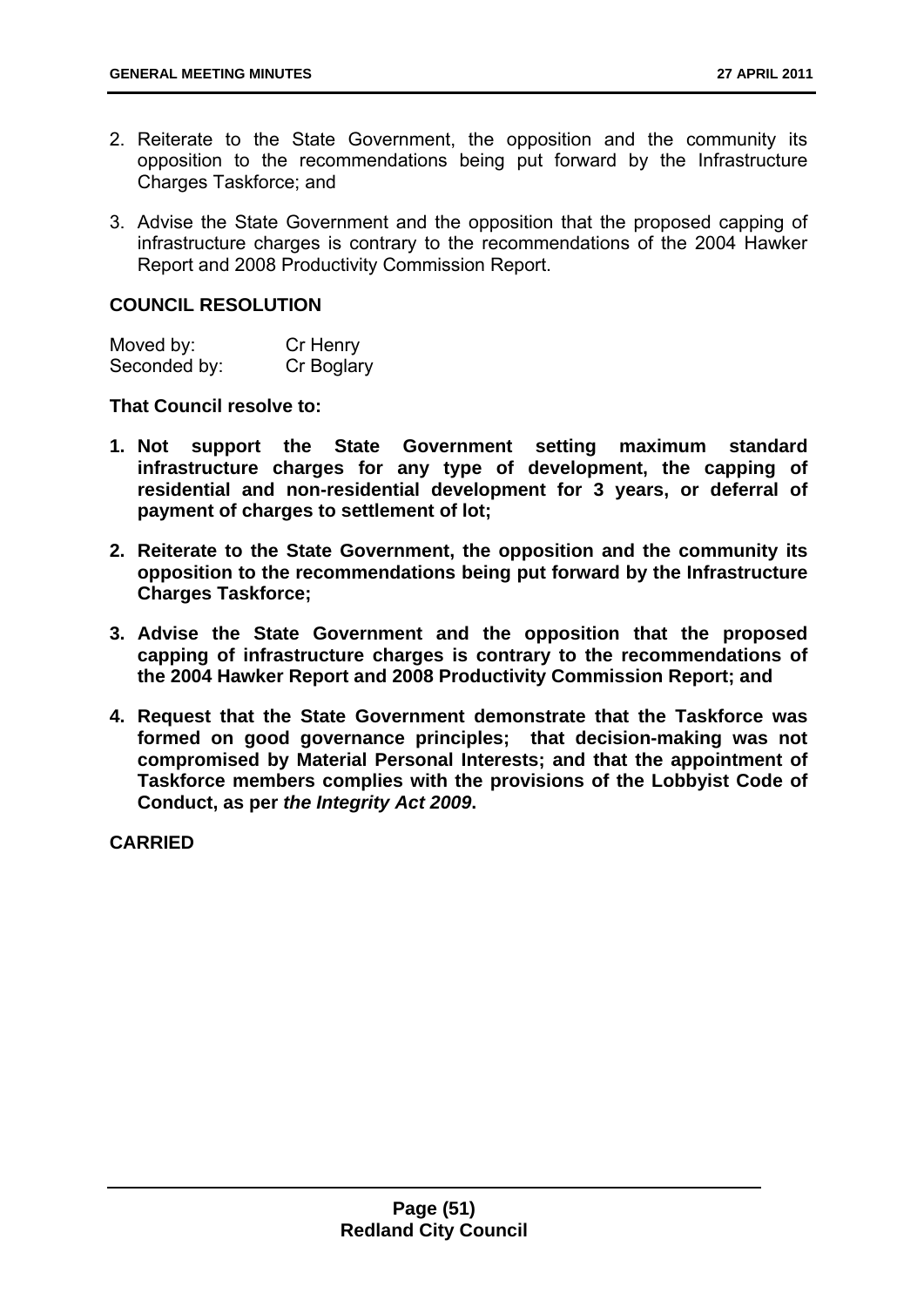- 2. Reiterate to the State Government, the opposition and the community its opposition to the recommendations being put forward by the Infrastructure Charges Taskforce; and
- 3. Advise the State Government and the opposition that the proposed capping of infrastructure charges is contrary to the recommendations of the 2004 Hawker Report and 2008 Productivity Commission Report.

#### **COUNCIL RESOLUTION**

| Moved by:    | Cr Henry   |
|--------------|------------|
| Seconded by: | Cr Boglary |

**That Council resolve to:** 

- **1. Not support the State Government setting maximum standard infrastructure charges for any type of development, the capping of residential and non-residential development for 3 years, or deferral of payment of charges to settlement of lot;**
- **2. Reiterate to the State Government, the opposition and the community its opposition to the recommendations being put forward by the Infrastructure Charges Taskforce;**
- **3. Advise the State Government and the opposition that the proposed capping of infrastructure charges is contrary to the recommendations of the 2004 Hawker Report and 2008 Productivity Commission Report; and**
- **4. Request that the State Government demonstrate that the Taskforce was formed on good governance principles; that decision-making was not compromised by Material Personal Interests; and that the appointment of Taskforce members complies with the provisions of the Lobbyist Code of Conduct, as per** *the Integrity Act 2009***.**

**CARRIED**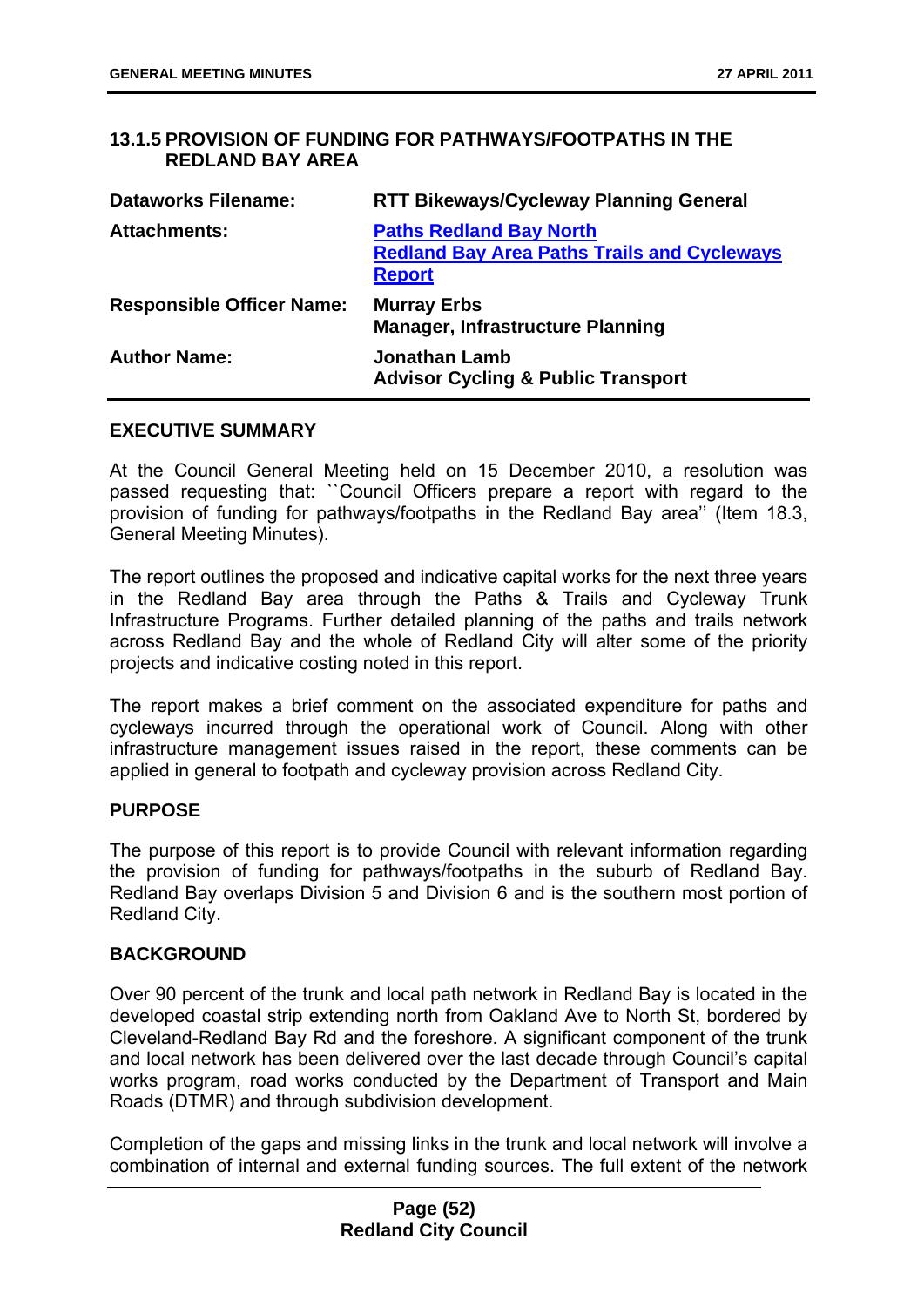## **13.1.5 PROVISION OF FUNDING FOR PATHWAYS/FOOTPATHS IN THE REDLAND BAY AREA**

| <b>Dataworks Filename:</b>       | <b>RTT Bikeways/Cycleway Planning General</b>                                                         |
|----------------------------------|-------------------------------------------------------------------------------------------------------|
| <b>Attachments:</b>              | <b>Paths Redland Bay North</b><br><b>Redland Bay Area Paths Trails and Cycleways</b><br><b>Report</b> |
| <b>Responsible Officer Name:</b> | <b>Murray Erbs</b><br><b>Manager, Infrastructure Planning</b>                                         |
| <b>Author Name:</b>              | <b>Jonathan Lamb</b><br><b>Advisor Cycling &amp; Public Transport</b>                                 |

#### **EXECUTIVE SUMMARY**

At the Council General Meeting held on 15 December 2010, a resolution was passed requesting that: ``Council Officers prepare a report with regard to the provision of funding for pathways/footpaths in the Redland Bay area'' (Item 18.3, General Meeting Minutes).

The report outlines the proposed and indicative capital works for the next three years in the Redland Bay area through the Paths & Trails and Cycleway Trunk Infrastructure Programs. Further detailed planning of the paths and trails network across Redland Bay and the whole of Redland City will alter some of the priority projects and indicative costing noted in this report.

The report makes a brief comment on the associated expenditure for paths and cycleways incurred through the operational work of Council. Along with other infrastructure management issues raised in the report, these comments can be applied in general to footpath and cycleway provision across Redland City.

#### **PURPOSE**

The purpose of this report is to provide Council with relevant information regarding the provision of funding for pathways/footpaths in the suburb of Redland Bay. Redland Bay overlaps Division 5 and Division 6 and is the southern most portion of Redland City.

### **BACKGROUND**

Over 90 percent of the trunk and local path network in Redland Bay is located in the developed coastal strip extending north from Oakland Ave to North St, bordered by Cleveland-Redland Bay Rd and the foreshore. A significant component of the trunk and local network has been delivered over the last decade through Council's capital works program, road works conducted by the Department of Transport and Main Roads (DTMR) and through subdivision development.

Completion of the gaps and missing links in the trunk and local network will involve a combination of internal and external funding sources. The full extent of the network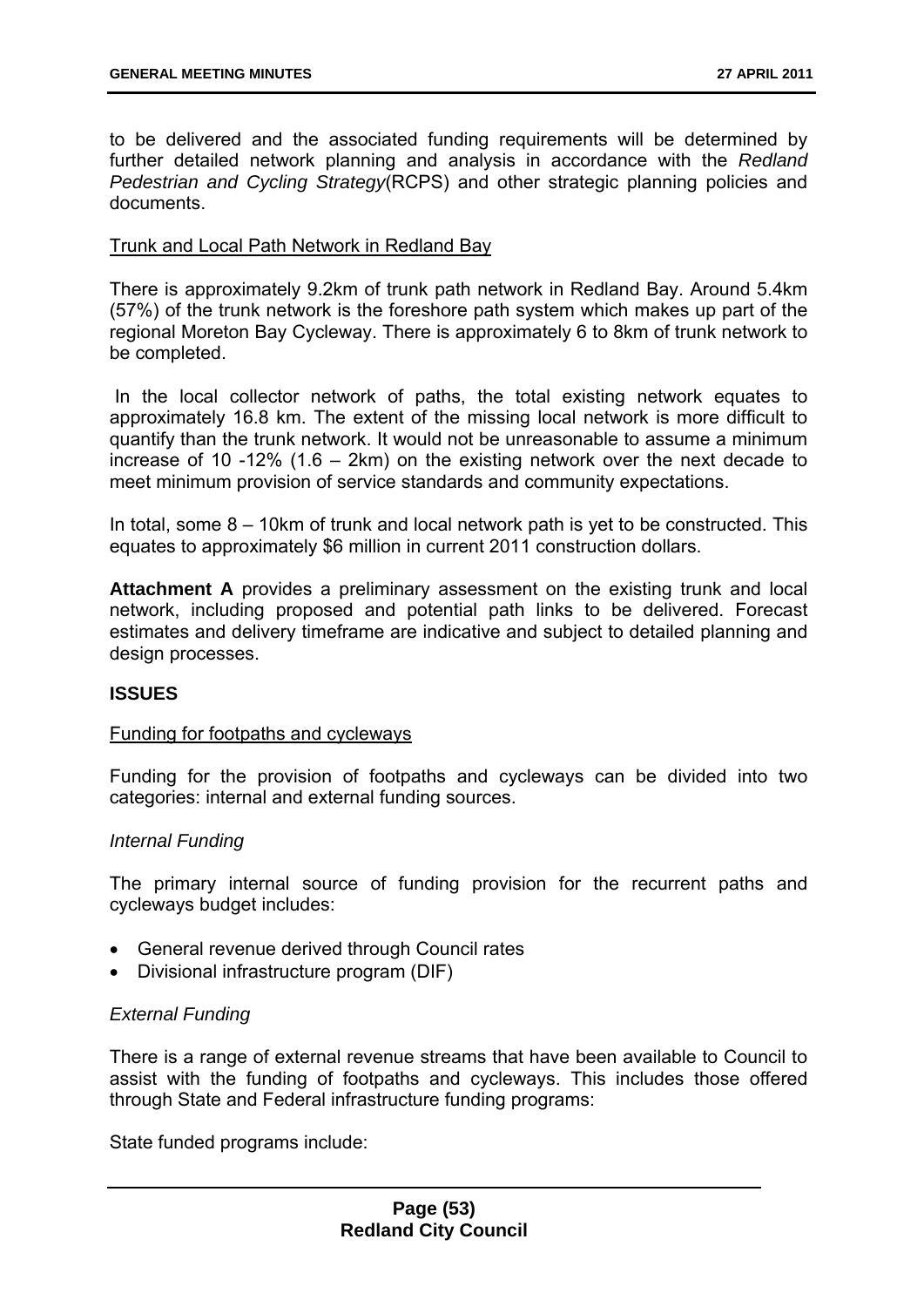to be delivered and the associated funding requirements will be determined by further detailed network planning and analysis in accordance with the *Redland Pedestrian and Cycling Strategy*(RCPS) and other strategic planning policies and documents.

### Trunk and Local Path Network in Redland Bay

There is approximately 9.2km of trunk path network in Redland Bay. Around 5.4km (57%) of the trunk network is the foreshore path system which makes up part of the regional Moreton Bay Cycleway. There is approximately 6 to 8km of trunk network to be completed.

 In the local collector network of paths, the total existing network equates to approximately 16.8 km. The extent of the missing local network is more difficult to quantify than the trunk network. It would not be unreasonable to assume a minimum increase of 10 -12% (1.6 – 2km) on the existing network over the next decade to meet minimum provision of service standards and community expectations.

In total, some 8 – 10km of trunk and local network path is yet to be constructed. This equates to approximately \$6 million in current 2011 construction dollars.

**Attachment A** provides a preliminary assessment on the existing trunk and local network, including proposed and potential path links to be delivered. Forecast estimates and delivery timeframe are indicative and subject to detailed planning and design processes.

### **ISSUES**

### Funding for footpaths and cycleways

Funding for the provision of footpaths and cycleways can be divided into two categories: internal and external funding sources.

### *Internal Funding*

The primary internal source of funding provision for the recurrent paths and cycleways budget includes:

- General revenue derived through Council rates
- Divisional infrastructure program (DIF)

### *External Funding*

There is a range of external revenue streams that have been available to Council to assist with the funding of footpaths and cycleways. This includes those offered through State and Federal infrastructure funding programs:

State funded programs include: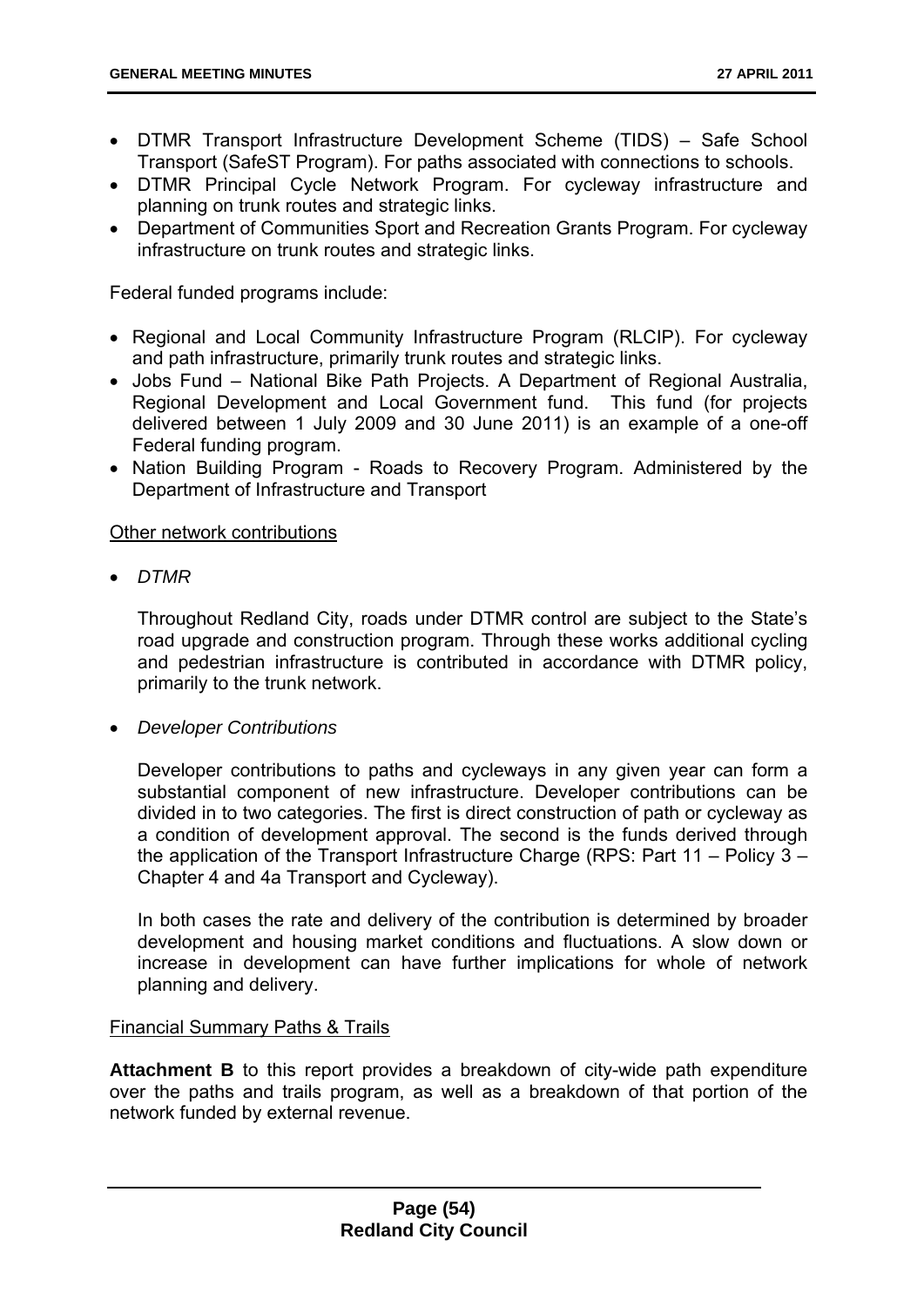- DTMR Transport Infrastructure Development Scheme (TIDS) Safe School Transport (SafeST Program). For paths associated with connections to schools.
- DTMR Principal Cycle Network Program. For cycleway infrastructure and planning on trunk routes and strategic links.
- Department of Communities Sport and Recreation Grants Program. For cycleway infrastructure on trunk routes and strategic links.

Federal funded programs include:

- Regional and Local Community Infrastructure Program (RLCIP). For cycleway and path infrastructure, primarily trunk routes and strategic links.
- Jobs Fund National Bike Path Projects. A Department of Regional Australia, Regional Development and Local Government fund. This fund (for projects delivered between 1 July 2009 and 30 June 2011) is an example of a one-off Federal funding program.
- Nation Building Program Roads to Recovery Program. Administered by the Department of Infrastructure and Transport

### Other network contributions

*DTMR* 

Throughout Redland City, roads under DTMR control are subject to the State's road upgrade and construction program. Through these works additional cycling and pedestrian infrastructure is contributed in accordance with DTMR policy, primarily to the trunk network.

*Developer Contributions* 

Developer contributions to paths and cycleways in any given year can form a substantial component of new infrastructure. Developer contributions can be divided in to two categories. The first is direct construction of path or cycleway as a condition of development approval. The second is the funds derived through the application of the Transport Infrastructure Charge (RPS: Part 11 – Policy 3 – Chapter 4 and 4a Transport and Cycleway).

In both cases the rate and delivery of the contribution is determined by broader development and housing market conditions and fluctuations. A slow down or increase in development can have further implications for whole of network planning and delivery.

### Financial Summary Paths & Trails

**Attachment B** to this report provides a breakdown of city-wide path expenditure over the paths and trails program, as well as a breakdown of that portion of the network funded by external revenue.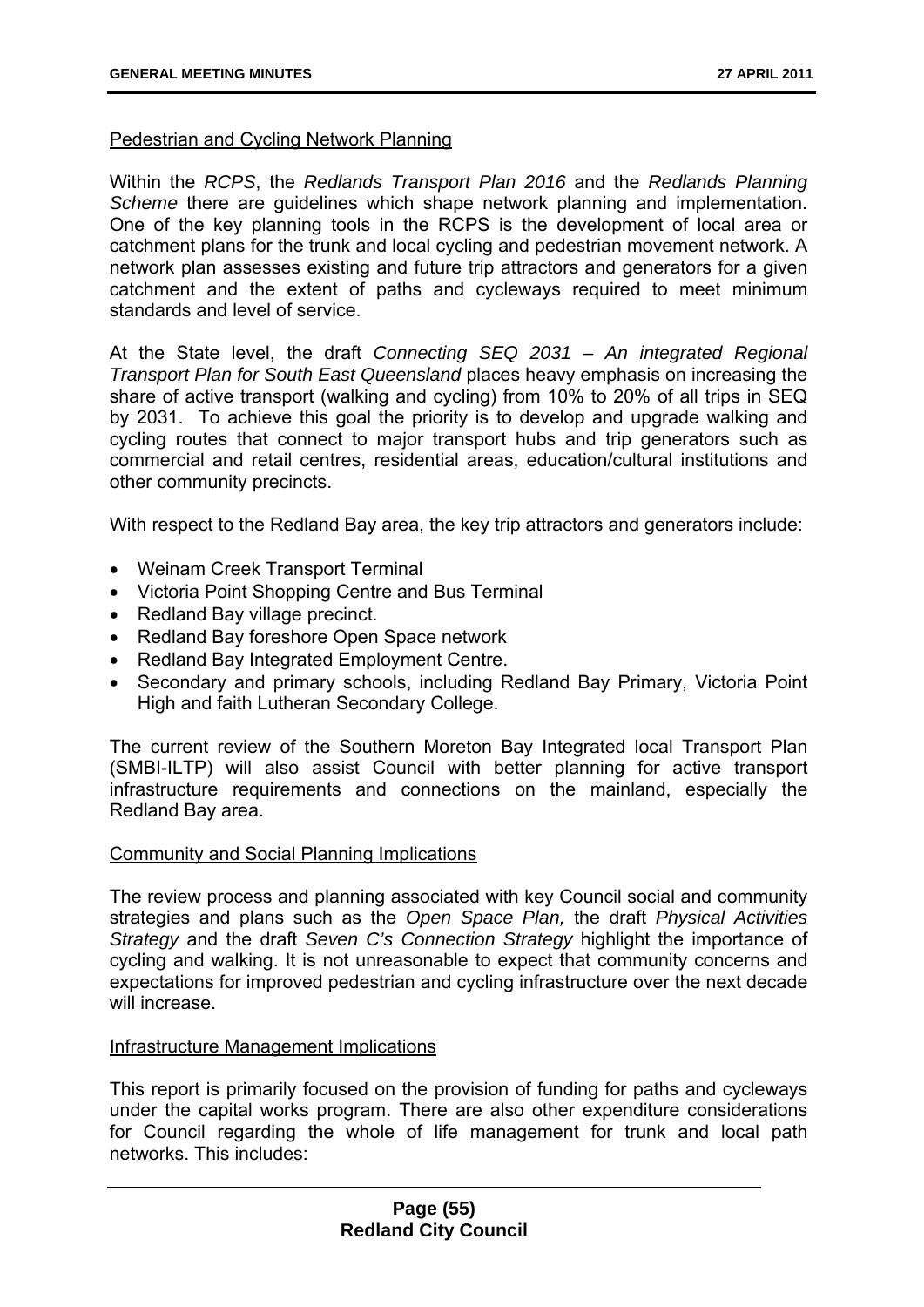### Pedestrian and Cycling Network Planning

Within the *RCPS*, the *Redlands Transport Plan 2016* and the *Redlands Planning Scheme* there are guidelines which shape network planning and implementation. One of the key planning tools in the RCPS is the development of local area or catchment plans for the trunk and local cycling and pedestrian movement network. A network plan assesses existing and future trip attractors and generators for a given catchment and the extent of paths and cycleways required to meet minimum standards and level of service.

At the State level, the draft *Connecting SEQ 2031 – An integrated Regional Transport Plan for South East Queensland* places heavy emphasis on increasing the share of active transport (walking and cycling) from 10% to 20% of all trips in SEQ by 2031. To achieve this goal the priority is to develop and upgrade walking and cycling routes that connect to major transport hubs and trip generators such as commercial and retail centres, residential areas, education/cultural institutions and other community precincts.

With respect to the Redland Bay area, the key trip attractors and generators include:

- Weinam Creek Transport Terminal
- Victoria Point Shopping Centre and Bus Terminal
- Redland Bay village precinct.
- Redland Bay foreshore Open Space network
- Redland Bay Integrated Employment Centre.
- Secondary and primary schools, including Redland Bay Primary, Victoria Point High and faith Lutheran Secondary College.

The current review of the Southern Moreton Bay Integrated local Transport Plan (SMBI-ILTP) will also assist Council with better planning for active transport infrastructure requirements and connections on the mainland, especially the Redland Bay area.

### Community and Social Planning Implications

The review process and planning associated with key Council social and community strategies and plans such as the *Open Space Plan,* the draft *Physical Activities Strategy* and the draft *Seven C's Connection Strategy* highlight the importance of cycling and walking. It is not unreasonable to expect that community concerns and expectations for improved pedestrian and cycling infrastructure over the next decade will increase.

#### Infrastructure Management Implications

This report is primarily focused on the provision of funding for paths and cycleways under the capital works program. There are also other expenditure considerations for Council regarding the whole of life management for trunk and local path networks. This includes: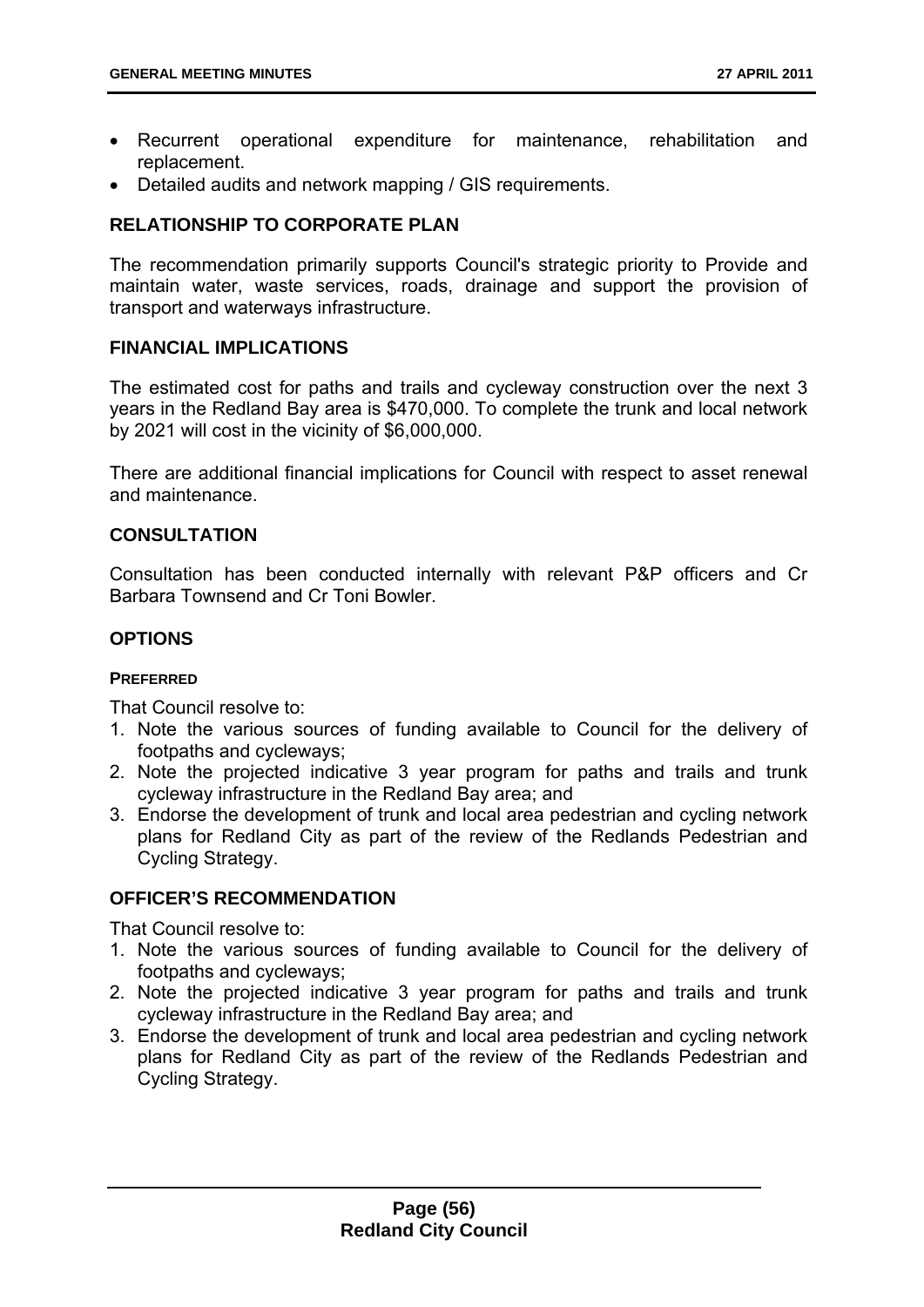- Recurrent operational expenditure for maintenance, rehabilitation and replacement.
- Detailed audits and network mapping / GIS requirements.

## **RELATIONSHIP TO CORPORATE PLAN**

The recommendation primarily supports Council's strategic priority to Provide and maintain water, waste services, roads, drainage and support the provision of transport and waterways infrastructure.

### **FINANCIAL IMPLICATIONS**

The estimated cost for paths and trails and cycleway construction over the next 3 years in the Redland Bay area is \$470,000. To complete the trunk and local network by 2021 will cost in the vicinity of \$6,000,000.

There are additional financial implications for Council with respect to asset renewal and maintenance.

### **CONSULTATION**

Consultation has been conducted internally with relevant P&P officers and Cr Barbara Townsend and Cr Toni Bowler.

### **OPTIONS**

### **PREFERRED**

That Council resolve to:

- 1. Note the various sources of funding available to Council for the delivery of footpaths and cycleways;
- 2. Note the projected indicative 3 year program for paths and trails and trunk cycleway infrastructure in the Redland Bay area; and
- 3. Endorse the development of trunk and local area pedestrian and cycling network plans for Redland City as part of the review of the Redlands Pedestrian and Cycling Strategy.

### **OFFICER'S RECOMMENDATION**

That Council resolve to:

- 1. Note the various sources of funding available to Council for the delivery of footpaths and cycleways;
- 2. Note the projected indicative 3 year program for paths and trails and trunk cycleway infrastructure in the Redland Bay area; and
- 3. Endorse the development of trunk and local area pedestrian and cycling network plans for Redland City as part of the review of the Redlands Pedestrian and Cycling Strategy.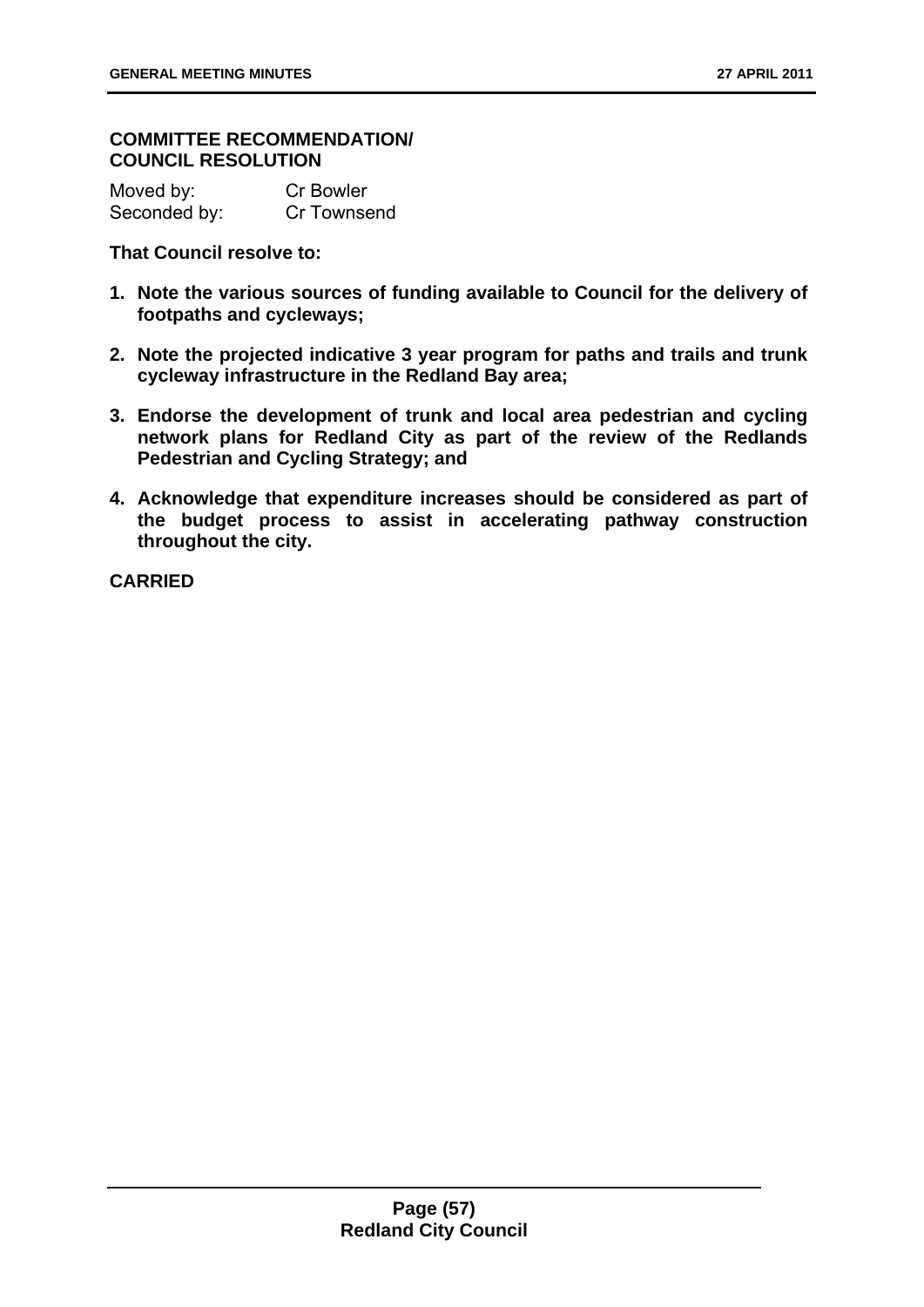### **COMMITTEE RECOMMENDATION/ COUNCIL RESOLUTION**

Moved by: Cr Bowler Seconded by: Cr Townsend

**That Council resolve to:** 

- **1. Note the various sources of funding available to Council for the delivery of footpaths and cycleways;**
- **2. Note the projected indicative 3 year program for paths and trails and trunk cycleway infrastructure in the Redland Bay area;**
- **3. Endorse the development of trunk and local area pedestrian and cycling network plans for Redland City as part of the review of the Redlands Pedestrian and Cycling Strategy; and**
- **4. Acknowledge that expenditure increases should be considered as part of the budget process to assist in accelerating pathway construction throughout the city.**

**CARRIED**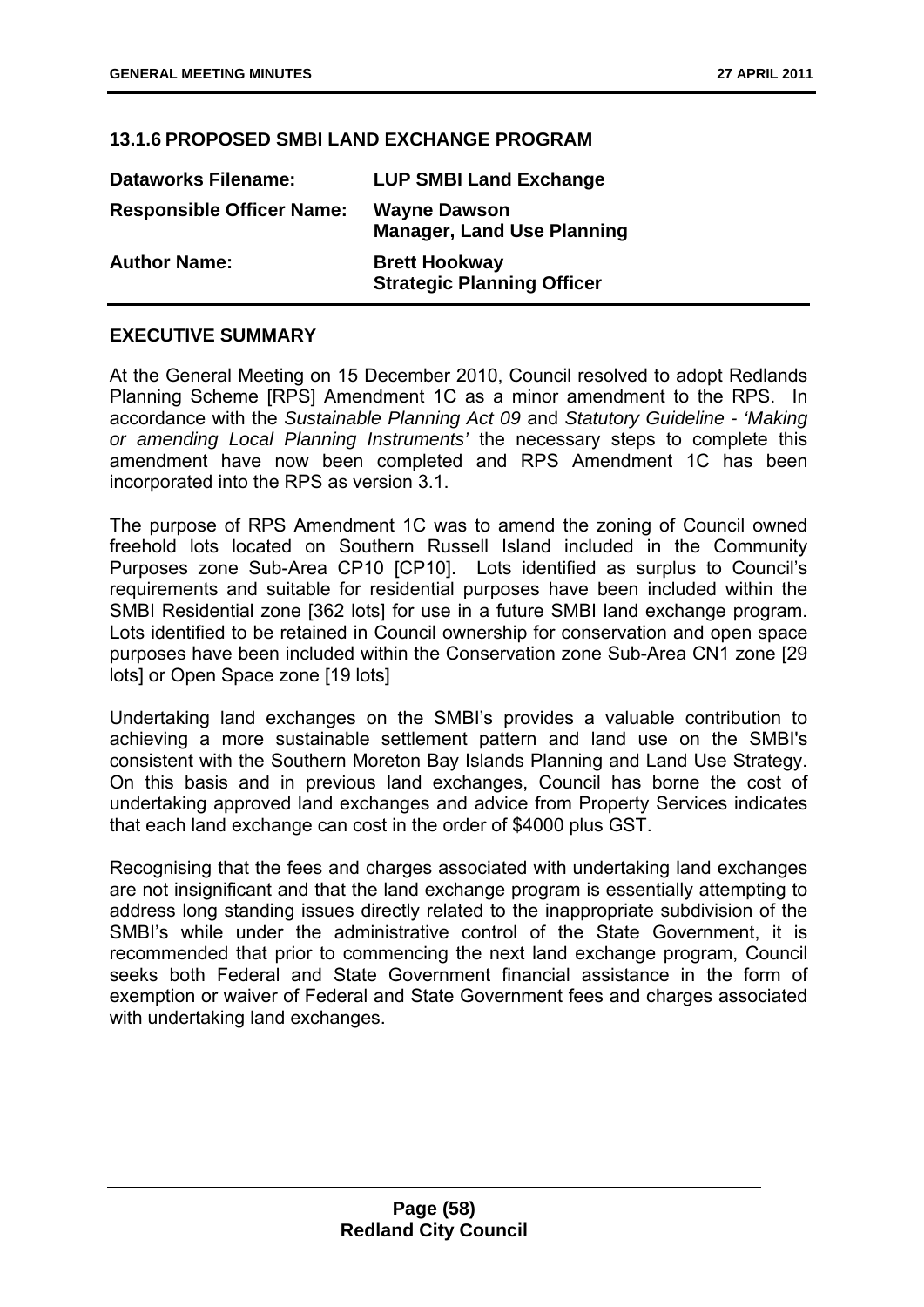### **13.1.6 PROPOSED SMBI LAND EXCHANGE PROGRAM**

| <b>Dataworks Filename:</b>       | <b>LUP SMBI Land Exchange</b>                             |
|----------------------------------|-----------------------------------------------------------|
| <b>Responsible Officer Name:</b> | <b>Wayne Dawson</b><br><b>Manager, Land Use Planning</b>  |
| <b>Author Name:</b>              | <b>Brett Hookway</b><br><b>Strategic Planning Officer</b> |

### **EXECUTIVE SUMMARY**

At the General Meeting on 15 December 2010, Council resolved to adopt Redlands Planning Scheme [RPS] Amendment 1C as a minor amendment to the RPS. In accordance with the *Sustainable Planning Act 09* and *Statutory Guideline - 'Making or amending Local Planning Instruments'* the necessary steps to complete this amendment have now been completed and RPS Amendment 1C has been incorporated into the RPS as version 3.1.

The purpose of RPS Amendment 1C was to amend the zoning of Council owned freehold lots located on Southern Russell Island included in the Community Purposes zone Sub-Area CP10 [CP10]. Lots identified as surplus to Council's requirements and suitable for residential purposes have been included within the SMBI Residential zone [362 lots] for use in a future SMBI land exchange program. Lots identified to be retained in Council ownership for conservation and open space purposes have been included within the Conservation zone Sub-Area CN1 zone [29 lots] or Open Space zone [19 lots]

Undertaking land exchanges on the SMBI's provides a valuable contribution to achieving a more sustainable settlement pattern and land use on the SMBI's consistent with the Southern Moreton Bay Islands Planning and Land Use Strategy. On this basis and in previous land exchanges, Council has borne the cost of undertaking approved land exchanges and advice from Property Services indicates that each land exchange can cost in the order of \$4000 plus GST.

Recognising that the fees and charges associated with undertaking land exchanges are not insignificant and that the land exchange program is essentially attempting to address long standing issues directly related to the inappropriate subdivision of the SMBI's while under the administrative control of the State Government, it is recommended that prior to commencing the next land exchange program, Council seeks both Federal and State Government financial assistance in the form of exemption or waiver of Federal and State Government fees and charges associated with undertaking land exchanges.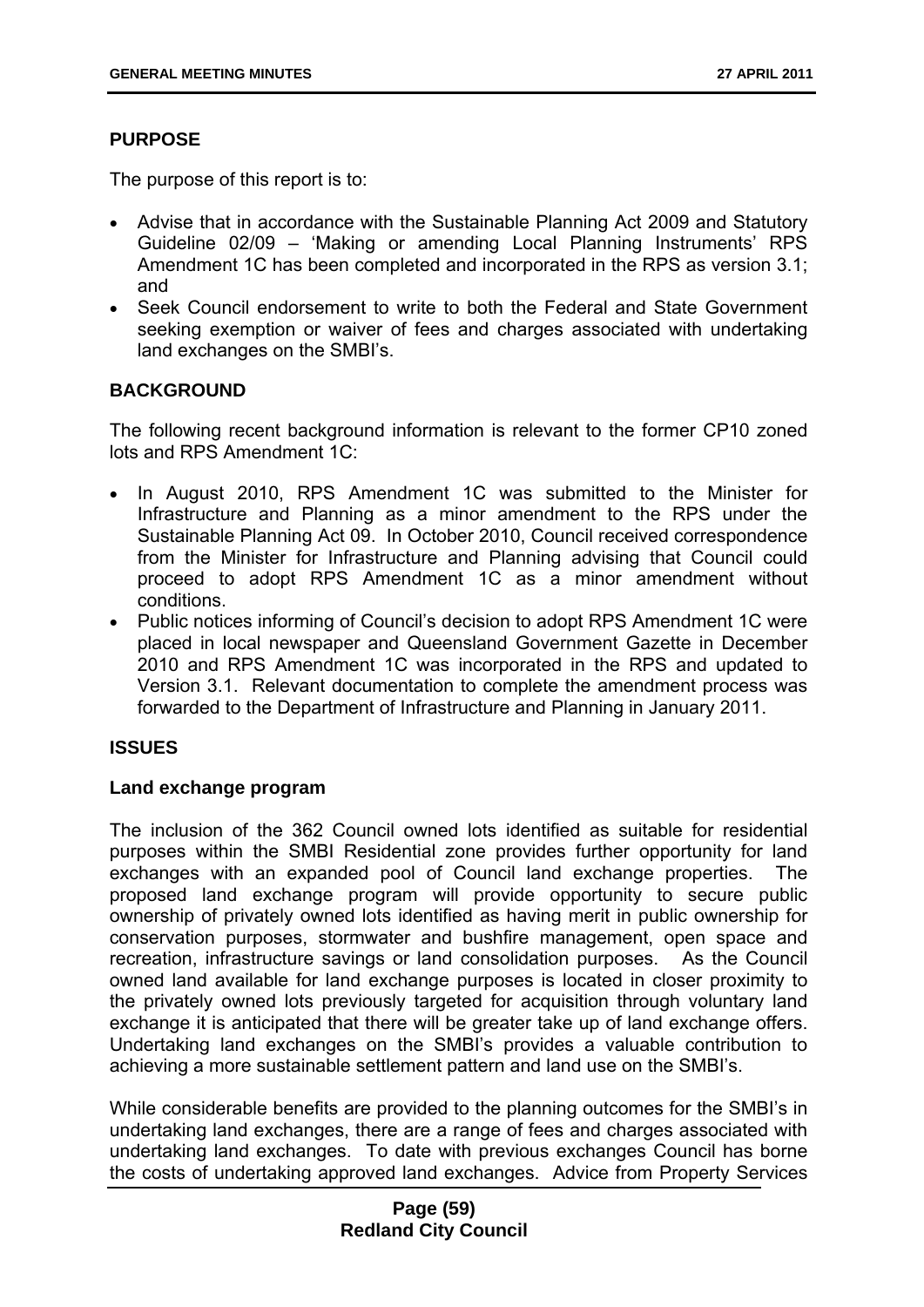## **PURPOSE**

The purpose of this report is to:

- Advise that in accordance with the Sustainable Planning Act 2009 and Statutory Guideline 02/09 – 'Making or amending Local Planning Instruments' RPS Amendment 1C has been completed and incorporated in the RPS as version 3.1; and
- Seek Council endorsement to write to both the Federal and State Government seeking exemption or waiver of fees and charges associated with undertaking land exchanges on the SMBI's.

### **BACKGROUND**

The following recent background information is relevant to the former CP10 zoned lots and RPS Amendment 1C:

- In August 2010, RPS Amendment 1C was submitted to the Minister for Infrastructure and Planning as a minor amendment to the RPS under the Sustainable Planning Act 09. In October 2010, Council received correspondence from the Minister for Infrastructure and Planning advising that Council could proceed to adopt RPS Amendment 1C as a minor amendment without conditions.
- Public notices informing of Council's decision to adopt RPS Amendment 1C were placed in local newspaper and Queensland Government Gazette in December 2010 and RPS Amendment 1C was incorporated in the RPS and updated to Version 3.1. Relevant documentation to complete the amendment process was forwarded to the Department of Infrastructure and Planning in January 2011.

### **ISSUES**

### **Land exchange program**

The inclusion of the 362 Council owned lots identified as suitable for residential purposes within the SMBI Residential zone provides further opportunity for land exchanges with an expanded pool of Council land exchange properties. The proposed land exchange program will provide opportunity to secure public ownership of privately owned lots identified as having merit in public ownership for conservation purposes, stormwater and bushfire management, open space and recreation, infrastructure savings or land consolidation purposes. As the Council owned land available for land exchange purposes is located in closer proximity to the privately owned lots previously targeted for acquisition through voluntary land exchange it is anticipated that there will be greater take up of land exchange offers. Undertaking land exchanges on the SMBI's provides a valuable contribution to achieving a more sustainable settlement pattern and land use on the SMBI's.

While considerable benefits are provided to the planning outcomes for the SMBI's in undertaking land exchanges, there are a range of fees and charges associated with undertaking land exchanges. To date with previous exchanges Council has borne the costs of undertaking approved land exchanges. Advice from Property Services

## **Page (59) Redland City Council**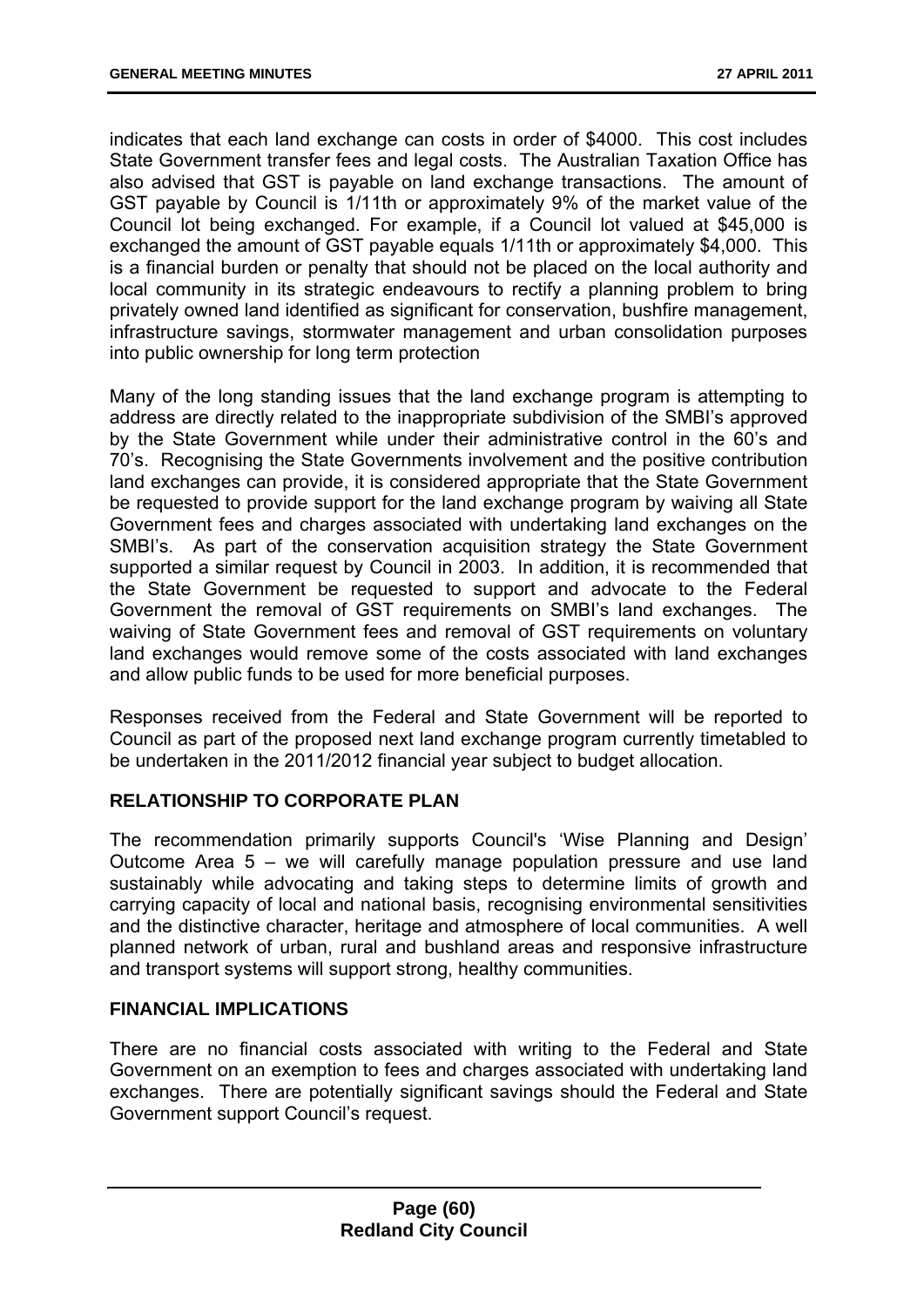indicates that each land exchange can costs in order of \$4000. This cost includes State Government transfer fees and legal costs. The Australian Taxation Office has also advised that GST is payable on land exchange transactions. The amount of GST payable by Council is 1/11th or approximately 9% of the market value of the Council lot being exchanged. For example, if a Council lot valued at \$45,000 is exchanged the amount of GST payable equals 1/11th or approximately \$4,000. This is a financial burden or penalty that should not be placed on the local authority and local community in its strategic endeavours to rectify a planning problem to bring privately owned land identified as significant for conservation, bushfire management, infrastructure savings, stormwater management and urban consolidation purposes into public ownership for long term protection

Many of the long standing issues that the land exchange program is attempting to address are directly related to the inappropriate subdivision of the SMBI's approved by the State Government while under their administrative control in the 60's and 70's. Recognising the State Governments involvement and the positive contribution land exchanges can provide, it is considered appropriate that the State Government be requested to provide support for the land exchange program by waiving all State Government fees and charges associated with undertaking land exchanges on the SMBI's. As part of the conservation acquisition strategy the State Government supported a similar request by Council in 2003. In addition, it is recommended that the State Government be requested to support and advocate to the Federal Government the removal of GST requirements on SMBI's land exchanges. The waiving of State Government fees and removal of GST requirements on voluntary land exchanges would remove some of the costs associated with land exchanges and allow public funds to be used for more beneficial purposes.

Responses received from the Federal and State Government will be reported to Council as part of the proposed next land exchange program currently timetabled to be undertaken in the 2011/2012 financial year subject to budget allocation.

## **RELATIONSHIP TO CORPORATE PLAN**

The recommendation primarily supports Council's 'Wise Planning and Design' Outcome Area 5 – we will carefully manage population pressure and use land sustainably while advocating and taking steps to determine limits of growth and carrying capacity of local and national basis, recognising environmental sensitivities and the distinctive character, heritage and atmosphere of local communities. A well planned network of urban, rural and bushland areas and responsive infrastructure and transport systems will support strong, healthy communities.

### **FINANCIAL IMPLICATIONS**

There are no financial costs associated with writing to the Federal and State Government on an exemption to fees and charges associated with undertaking land exchanges. There are potentially significant savings should the Federal and State Government support Council's request.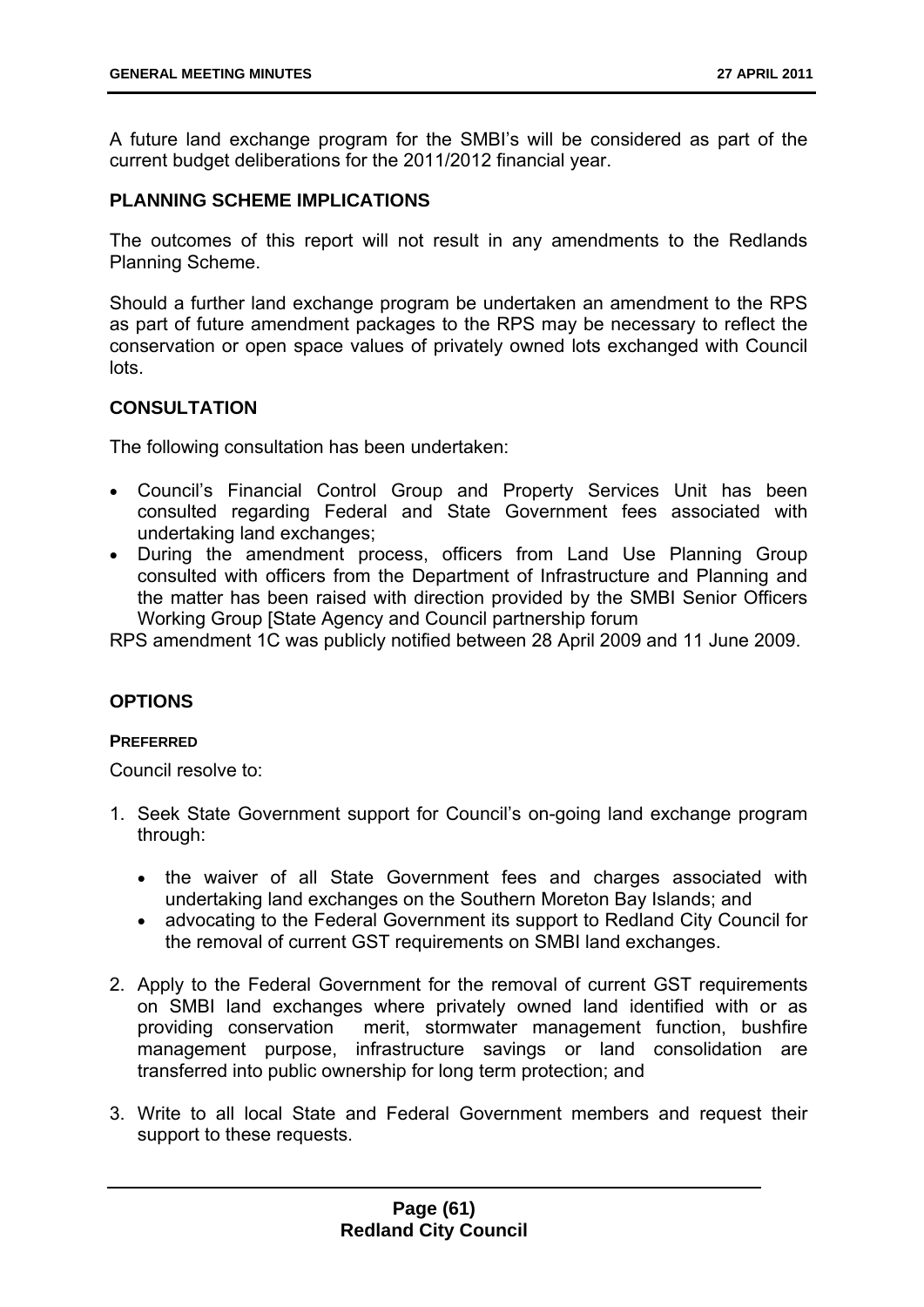A future land exchange program for the SMBI's will be considered as part of the current budget deliberations for the 2011/2012 financial year.

### **PLANNING SCHEME IMPLICATIONS**

The outcomes of this report will not result in any amendments to the Redlands Planning Scheme.

Should a further land exchange program be undertaken an amendment to the RPS as part of future amendment packages to the RPS may be necessary to reflect the conservation or open space values of privately owned lots exchanged with Council lots.

### **CONSULTATION**

The following consultation has been undertaken:

- Council's Financial Control Group and Property Services Unit has been consulted regarding Federal and State Government fees associated with undertaking land exchanges;
- During the amendment process, officers from Land Use Planning Group consulted with officers from the Department of Infrastructure and Planning and the matter has been raised with direction provided by the SMBI Senior Officers Working Group [State Agency and Council partnership forum

RPS amendment 1C was publicly notified between 28 April 2009 and 11 June 2009.

## **OPTIONS**

### **PREFERRED**

Council resolve to:

- 1. Seek State Government support for Council's on-going land exchange program through:
	- the waiver of all State Government fees and charges associated with undertaking land exchanges on the Southern Moreton Bay Islands; and
	- advocating to the Federal Government its support to Redland City Council for the removal of current GST requirements on SMBI land exchanges.
- 2. Apply to the Federal Government for the removal of current GST requirements on SMBI land exchanges where privately owned land identified with or as providing conservation merit, stormwater management function, bushfire management purpose, infrastructure savings or land consolidation are transferred into public ownership for long term protection; and
- 3. Write to all local State and Federal Government members and request their support to these requests.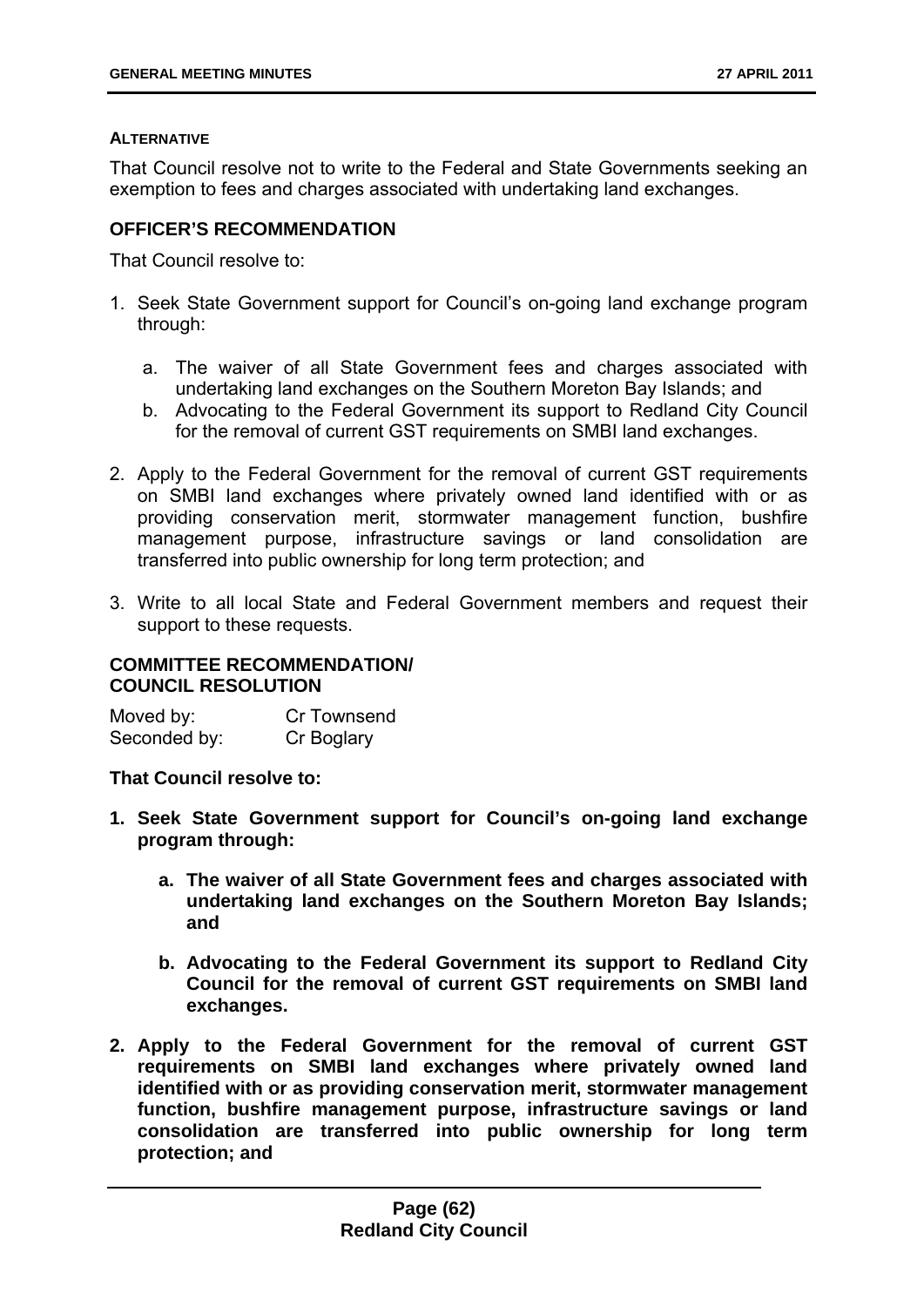### **ALTERNATIVE**

That Council resolve not to write to the Federal and State Governments seeking an exemption to fees and charges associated with undertaking land exchanges.

## **OFFICER'S RECOMMENDATION**

That Council resolve to:

- 1. Seek State Government support for Council's on-going land exchange program through:
	- a. The waiver of all State Government fees and charges associated with undertaking land exchanges on the Southern Moreton Bay Islands; and
	- b. Advocating to the Federal Government its support to Redland City Council for the removal of current GST requirements on SMBI land exchanges.
- 2. Apply to the Federal Government for the removal of current GST requirements on SMBI land exchanges where privately owned land identified with or as providing conservation merit, stormwater management function, bushfire management purpose, infrastructure savings or land consolidation are transferred into public ownership for long term protection; and
- 3. Write to all local State and Federal Government members and request their support to these requests.

### **COMMITTEE RECOMMENDATION/ COUNCIL RESOLUTION**

Moved by: Cr Townsend Seconded by: Cr Boglary

**That Council resolve to:** 

- **1. Seek State Government support for Council's on-going land exchange program through:** 
	- **a. The waiver of all State Government fees and charges associated with undertaking land exchanges on the Southern Moreton Bay Islands; and**
	- **b. Advocating to the Federal Government its support to Redland City Council for the removal of current GST requirements on SMBI land exchanges.**
- **2. Apply to the Federal Government for the removal of current GST requirements on SMBI land exchanges where privately owned land identified with or as providing conservation merit, stormwater management function, bushfire management purpose, infrastructure savings or land consolidation are transferred into public ownership for long term protection; and**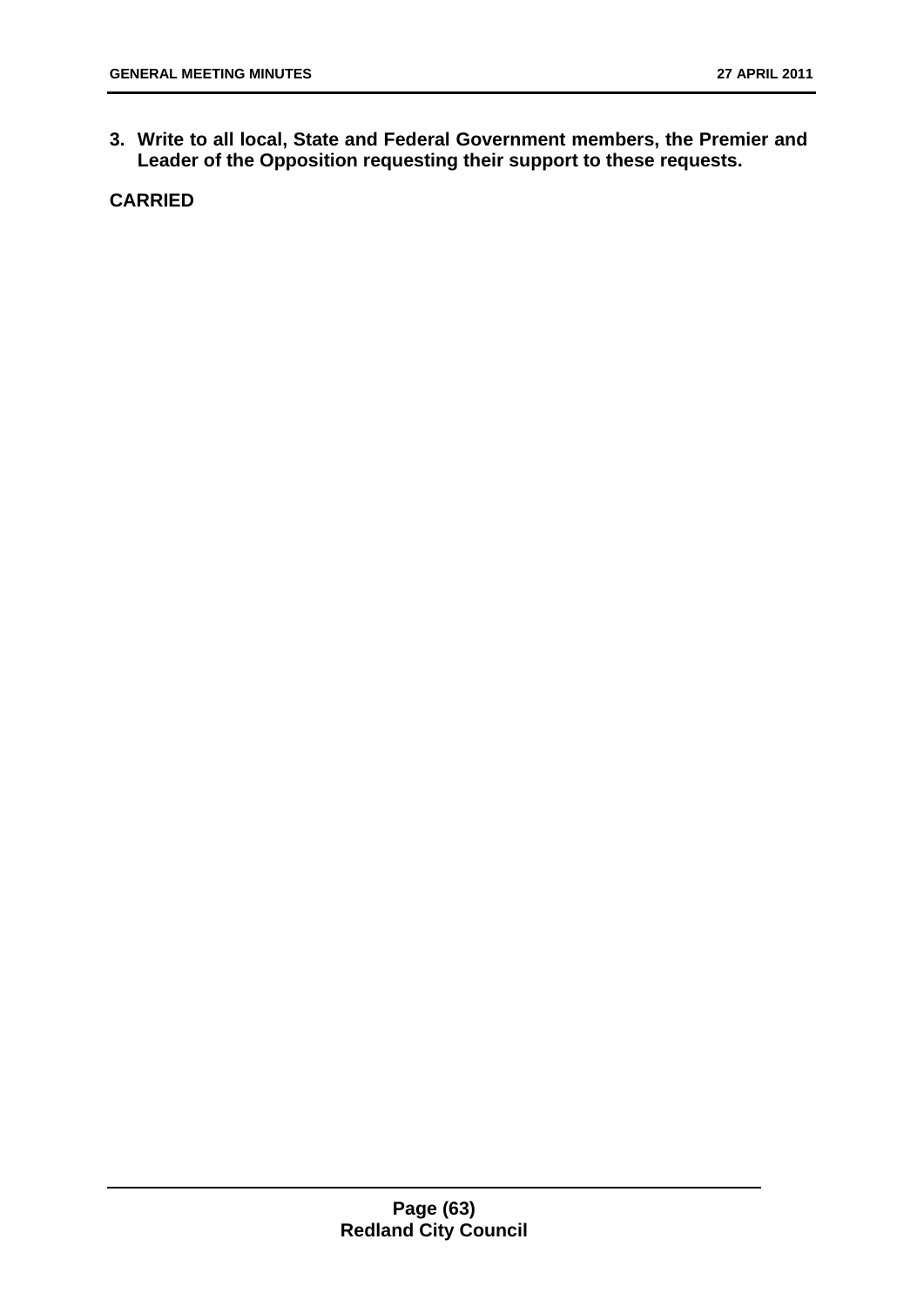**3. Write to all local, State and Federal Government members, the Premier and Leader of the Opposition requesting their support to these requests.** 

**CARRIED**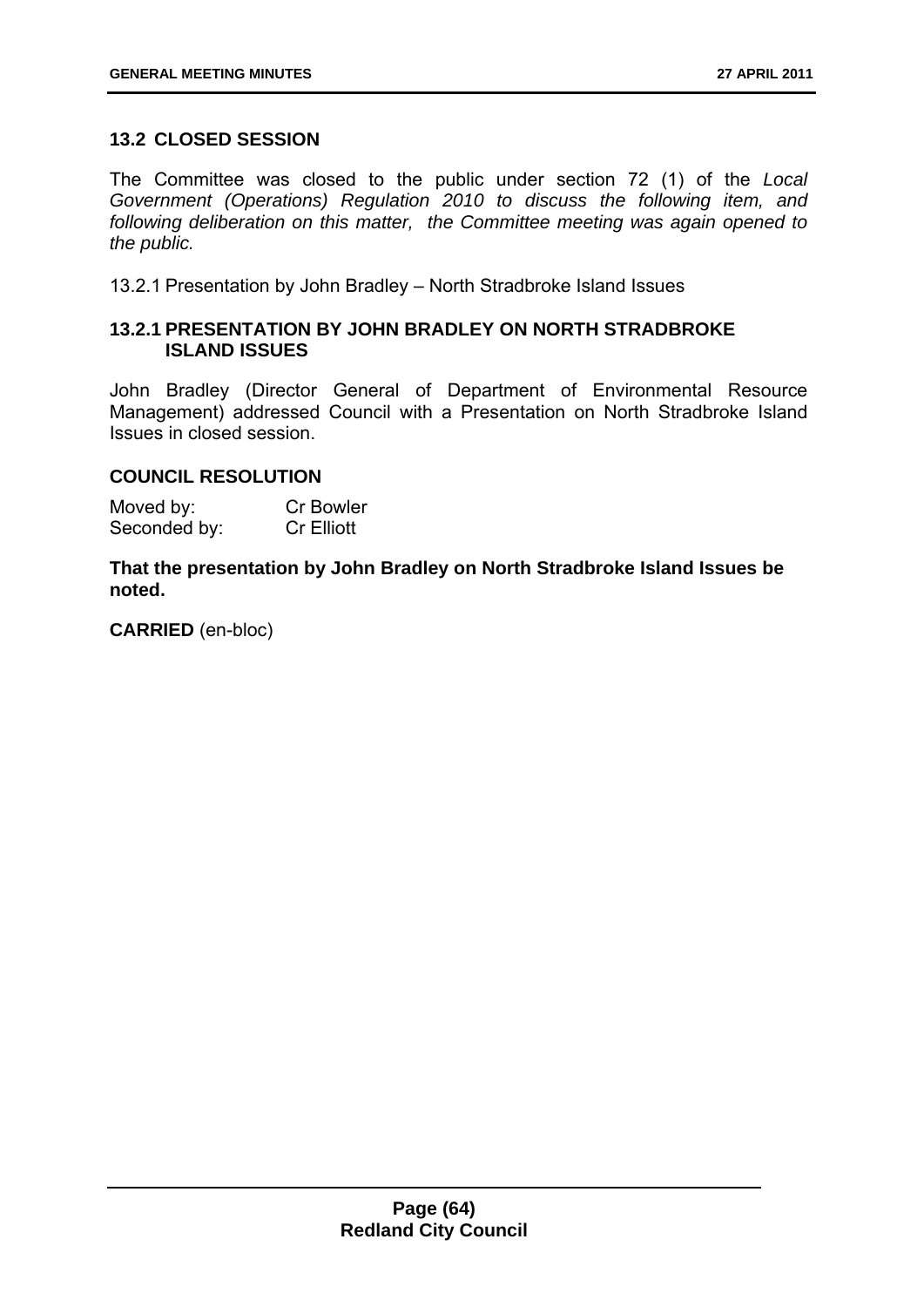## **13.2 CLOSED SESSION**

The Committee was closed to the public under section 72 (1) of the *Local Government (Operations) Regulation 2010 to discuss the following item, and following deliberation on this matter, the Committee meeting was again opened to the public.*

13.2.1 Presentation by John Bradley – North Stradbroke Island Issues

## **13.2.1 PRESENTATION BY JOHN BRADLEY ON NORTH STRADBROKE ISLAND ISSUES**

John Bradley (Director General of Department of Environmental Resource Management) addressed Council with a Presentation on North Stradbroke Island Issues in closed session.

### **COUNCIL RESOLUTION**

| Moved by:    | <b>Cr Bowler</b>  |
|--------------|-------------------|
| Seconded by: | <b>Cr Elliott</b> |

**That the presentation by John Bradley on North Stradbroke Island Issues be noted.** 

**CARRIED** (en-bloc)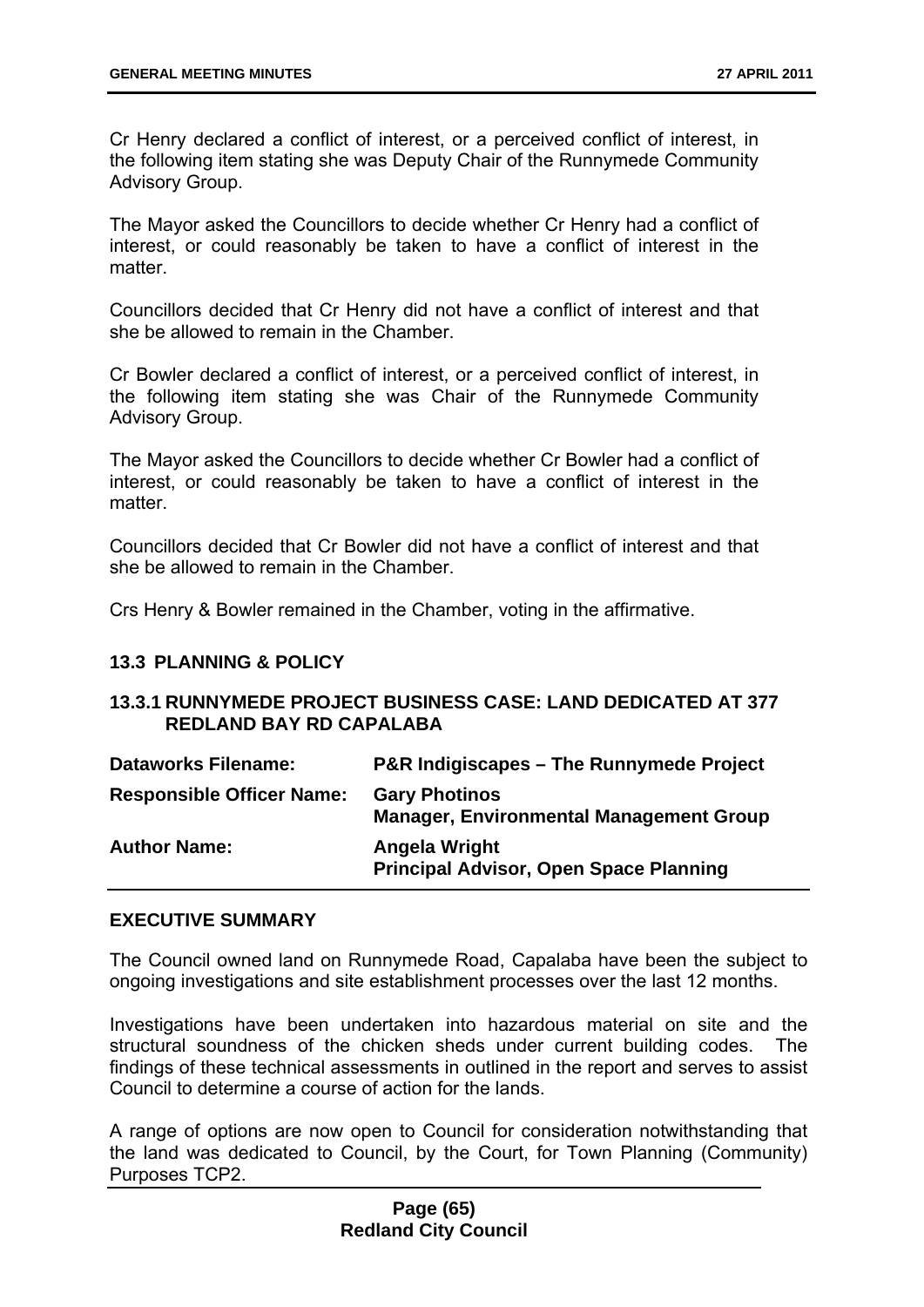Cr Henry declared a conflict of interest, or a perceived conflict of interest, in the following item stating she was Deputy Chair of the Runnymede Community Advisory Group.

The Mayor asked the Councillors to decide whether Cr Henry had a conflict of interest, or could reasonably be taken to have a conflict of interest in the matter.

Councillors decided that Cr Henry did not have a conflict of interest and that she be allowed to remain in the Chamber.

Cr Bowler declared a conflict of interest, or a perceived conflict of interest, in the following item stating she was Chair of the Runnymede Community Advisory Group.

The Mayor asked the Councillors to decide whether Cr Bowler had a conflict of interest, or could reasonably be taken to have a conflict of interest in the matter.

Councillors decided that Cr Bowler did not have a conflict of interest and that she be allowed to remain in the Chamber.

Crs Henry & Bowler remained in the Chamber, voting in the affirmative.

### **13.3 PLANNING & POLICY**

### **13.3.1 RUNNYMEDE PROJECT BUSINESS CASE: LAND DEDICATED AT 377 REDLAND BAY RD CAPALABA**

| <b>Dataworks Filename:</b>       | <b>P&amp;R Indigiscapes – The Runnymede Project</b>                    |
|----------------------------------|------------------------------------------------------------------------|
| <b>Responsible Officer Name:</b> | <b>Gary Photinos</b><br><b>Manager, Environmental Management Group</b> |
| <b>Author Name:</b>              | <b>Angela Wright</b><br><b>Principal Advisor, Open Space Planning</b>  |

#### **EXECUTIVE SUMMARY**

The Council owned land on Runnymede Road, Capalaba have been the subject to ongoing investigations and site establishment processes over the last 12 months.

Investigations have been undertaken into hazardous material on site and the structural soundness of the chicken sheds under current building codes. The findings of these technical assessments in outlined in the report and serves to assist Council to determine a course of action for the lands.

A range of options are now open to Council for consideration notwithstanding that the land was dedicated to Council, by the Court, for Town Planning (Community) Purposes TCP2.

### **Page (65) Redland City Council**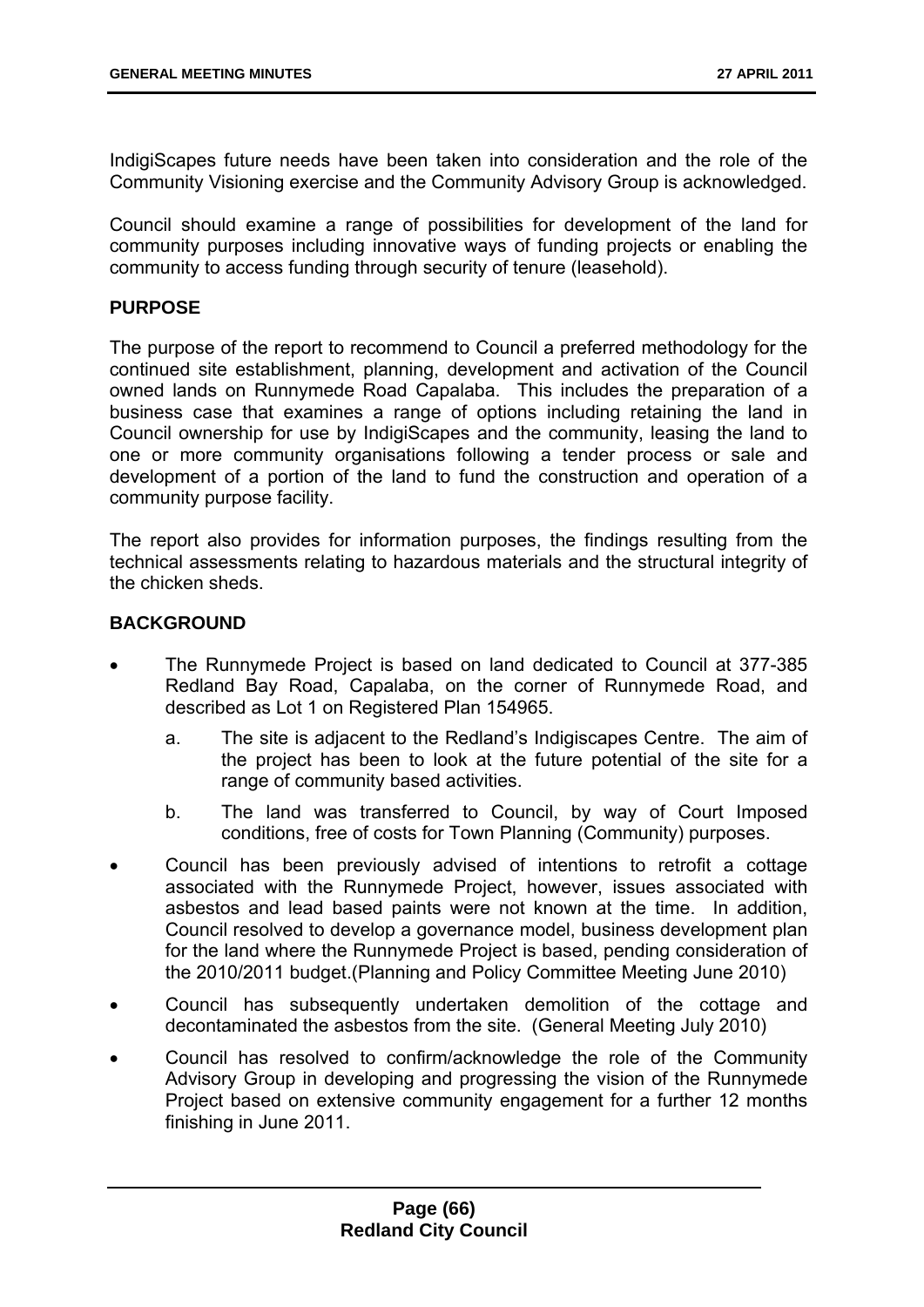IndigiScapes future needs have been taken into consideration and the role of the Community Visioning exercise and the Community Advisory Group is acknowledged.

Council should examine a range of possibilities for development of the land for community purposes including innovative ways of funding projects or enabling the community to access funding through security of tenure (leasehold).

### **PURPOSE**

The purpose of the report to recommend to Council a preferred methodology for the continued site establishment, planning, development and activation of the Council owned lands on Runnymede Road Capalaba. This includes the preparation of a business case that examines a range of options including retaining the land in Council ownership for use by IndigiScapes and the community, leasing the land to one or more community organisations following a tender process or sale and development of a portion of the land to fund the construction and operation of a community purpose facility.

The report also provides for information purposes, the findings resulting from the technical assessments relating to hazardous materials and the structural integrity of the chicken sheds.

### **BACKGROUND**

- The Runnymede Project is based on land dedicated to Council at 377-385 Redland Bay Road, Capalaba, on the corner of Runnymede Road, and described as Lot 1 on Registered Plan 154965.
	- a. The site is adjacent to the Redland's Indigiscapes Centre. The aim of the project has been to look at the future potential of the site for a range of community based activities.
	- b. The land was transferred to Council, by way of Court Imposed conditions, free of costs for Town Planning (Community) purposes.
- Council has been previously advised of intentions to retrofit a cottage associated with the Runnymede Project, however, issues associated with asbestos and lead based paints were not known at the time. In addition, Council resolved to develop a governance model, business development plan for the land where the Runnymede Project is based, pending consideration of the 2010/2011 budget.(Planning and Policy Committee Meeting June 2010)
- Council has subsequently undertaken demolition of the cottage and decontaminated the asbestos from the site. (General Meeting July 2010)
- Council has resolved to confirm/acknowledge the role of the Community Advisory Group in developing and progressing the vision of the Runnymede Project based on extensive community engagement for a further 12 months finishing in June 2011.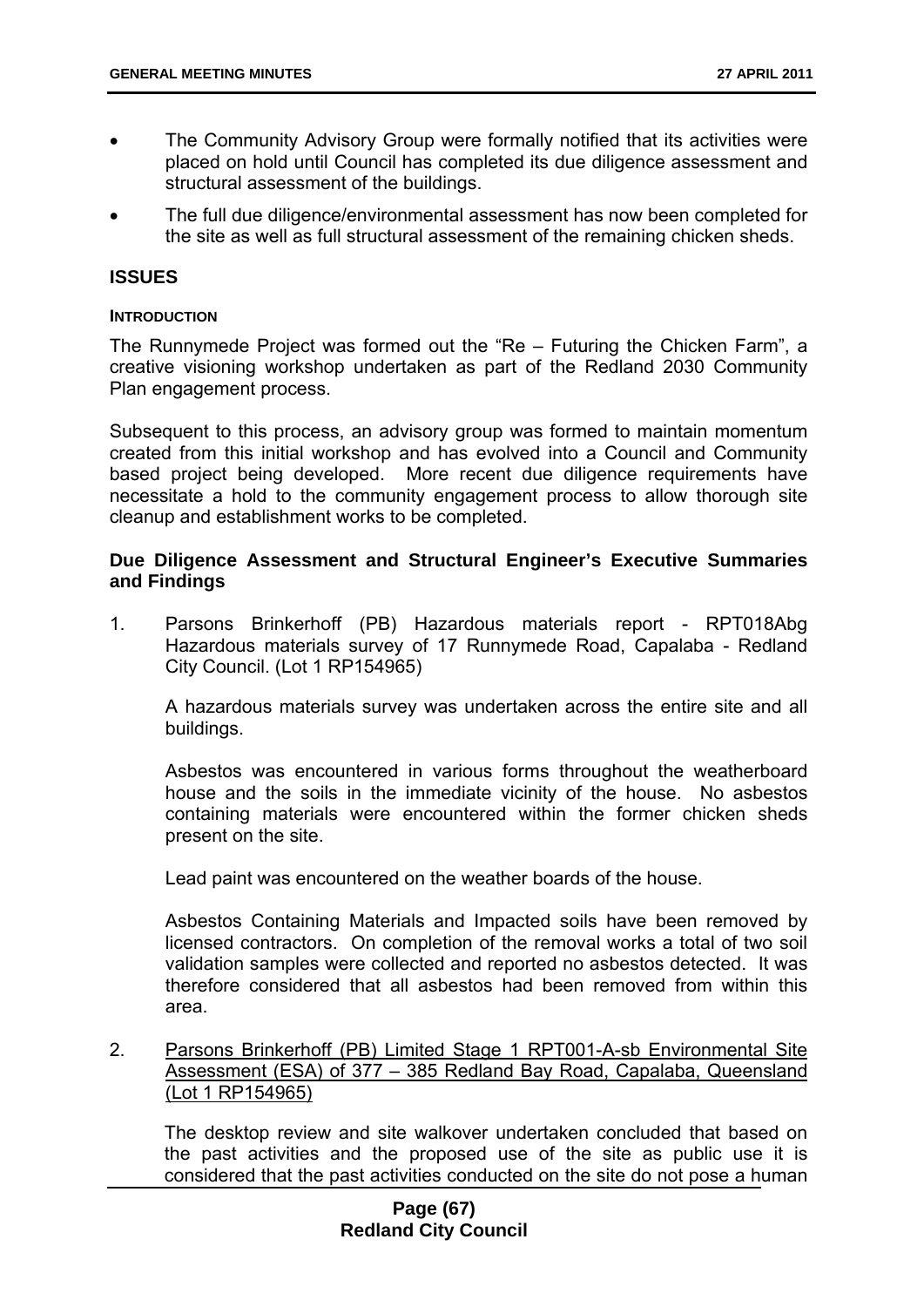- The Community Advisory Group were formally notified that its activities were placed on hold until Council has completed its due diligence assessment and structural assessment of the buildings.
- The full due diligence/environmental assessment has now been completed for the site as well as full structural assessment of the remaining chicken sheds.

### **ISSUES**

#### **INTRODUCTION**

The Runnymede Project was formed out the "Re – Futuring the Chicken Farm", a creative visioning workshop undertaken as part of the Redland 2030 Community Plan engagement process.

Subsequent to this process, an advisory group was formed to maintain momentum created from this initial workshop and has evolved into a Council and Community based project being developed. More recent due diligence requirements have necessitate a hold to the community engagement process to allow thorough site cleanup and establishment works to be completed.

### **Due Diligence Assessment and Structural Engineer's Executive Summaries and Findings**

1. Parsons Brinkerhoff (PB) Hazardous materials report - RPT018Abg Hazardous materials survey of 17 Runnymede Road, Capalaba - Redland City Council. (Lot 1 RP154965)

A hazardous materials survey was undertaken across the entire site and all buildings.

Asbestos was encountered in various forms throughout the weatherboard house and the soils in the immediate vicinity of the house. No asbestos containing materials were encountered within the former chicken sheds present on the site.

Lead paint was encountered on the weather boards of the house.

Asbestos Containing Materials and Impacted soils have been removed by licensed contractors. On completion of the removal works a total of two soil validation samples were collected and reported no asbestos detected. It was therefore considered that all asbestos had been removed from within this area.

2. Parsons Brinkerhoff (PB) Limited Stage 1 RPT001-A-sb Environmental Site Assessment (ESA) of 377 – 385 Redland Bay Road, Capalaba, Queensland (Lot 1 RP154965)

The desktop review and site walkover undertaken concluded that based on the past activities and the proposed use of the site as public use it is considered that the past activities conducted on the site do not pose a human

### **Page (67) Redland City Council**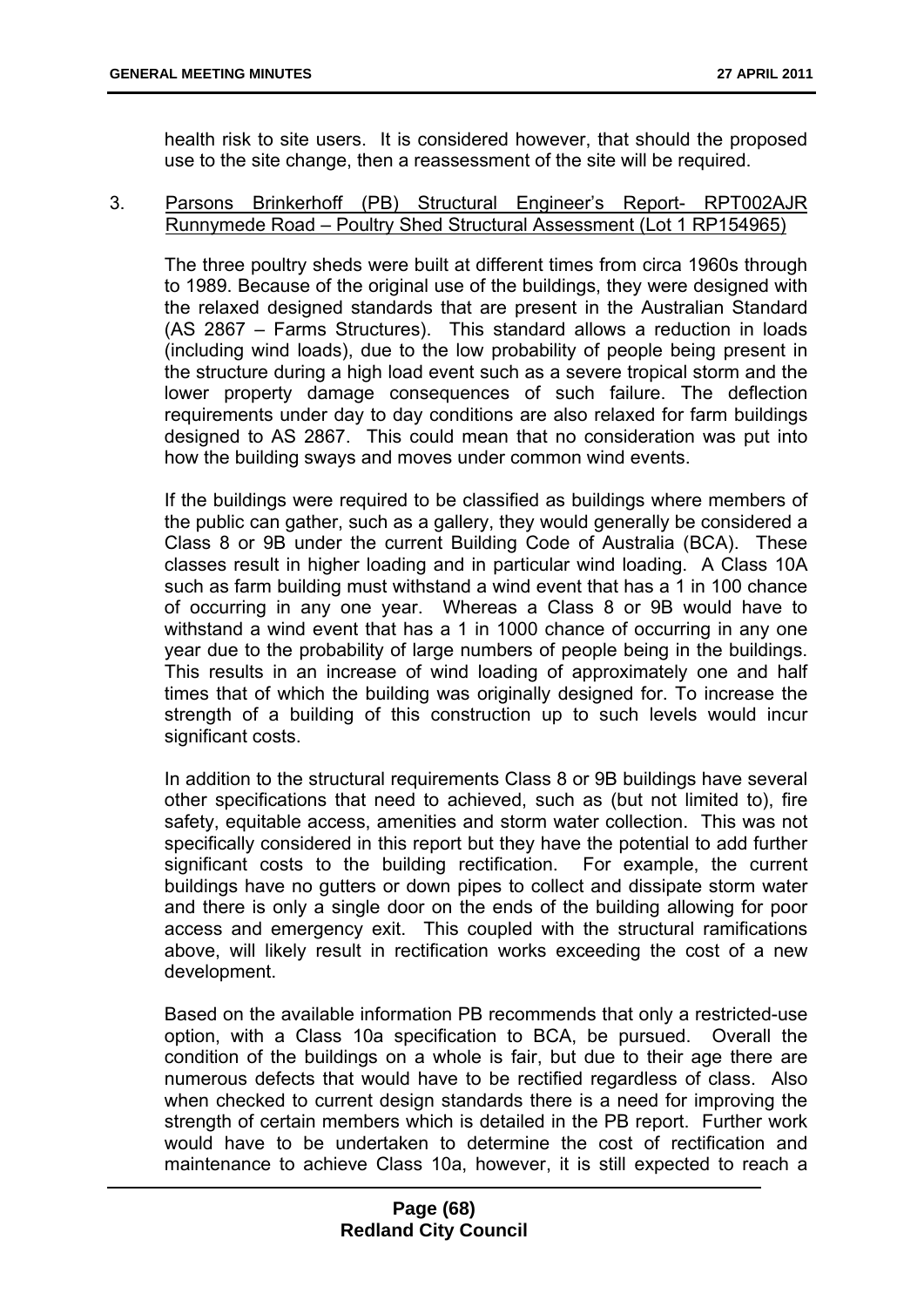health risk to site users. It is considered however, that should the proposed use to the site change, then a reassessment of the site will be required.

### 3. Parsons Brinkerhoff (PB) Structural Engineer's Report- RPT002AJR Runnymede Road – Poultry Shed Structural Assessment (Lot 1 RP154965)

The three poultry sheds were built at different times from circa 1960s through to 1989. Because of the original use of the buildings, they were designed with the relaxed designed standards that are present in the Australian Standard (AS 2867 – Farms Structures). This standard allows a reduction in loads (including wind loads), due to the low probability of people being present in the structure during a high load event such as a severe tropical storm and the lower property damage consequences of such failure. The deflection requirements under day to day conditions are also relaxed for farm buildings designed to AS 2867. This could mean that no consideration was put into how the building sways and moves under common wind events.

If the buildings were required to be classified as buildings where members of the public can gather, such as a gallery, they would generally be considered a Class 8 or 9B under the current Building Code of Australia (BCA). These classes result in higher loading and in particular wind loading. A Class 10A such as farm building must withstand a wind event that has a 1 in 100 chance of occurring in any one year. Whereas a Class 8 or 9B would have to withstand a wind event that has a 1 in 1000 chance of occurring in any one year due to the probability of large numbers of people being in the buildings. This results in an increase of wind loading of approximately one and half times that of which the building was originally designed for. To increase the strength of a building of this construction up to such levels would incur significant costs.

In addition to the structural requirements Class 8 or 9B buildings have several other specifications that need to achieved, such as (but not limited to), fire safety, equitable access, amenities and storm water collection. This was not specifically considered in this report but they have the potential to add further significant costs to the building rectification. For example, the current buildings have no gutters or down pipes to collect and dissipate storm water and there is only a single door on the ends of the building allowing for poor access and emergency exit. This coupled with the structural ramifications above, will likely result in rectification works exceeding the cost of a new development.

Based on the available information PB recommends that only a restricted-use option, with a Class 10a specification to BCA, be pursued. Overall the condition of the buildings on a whole is fair, but due to their age there are numerous defects that would have to be rectified regardless of class. Also when checked to current design standards there is a need for improving the strength of certain members which is detailed in the PB report. Further work would have to be undertaken to determine the cost of rectification and maintenance to achieve Class 10a, however, it is still expected to reach a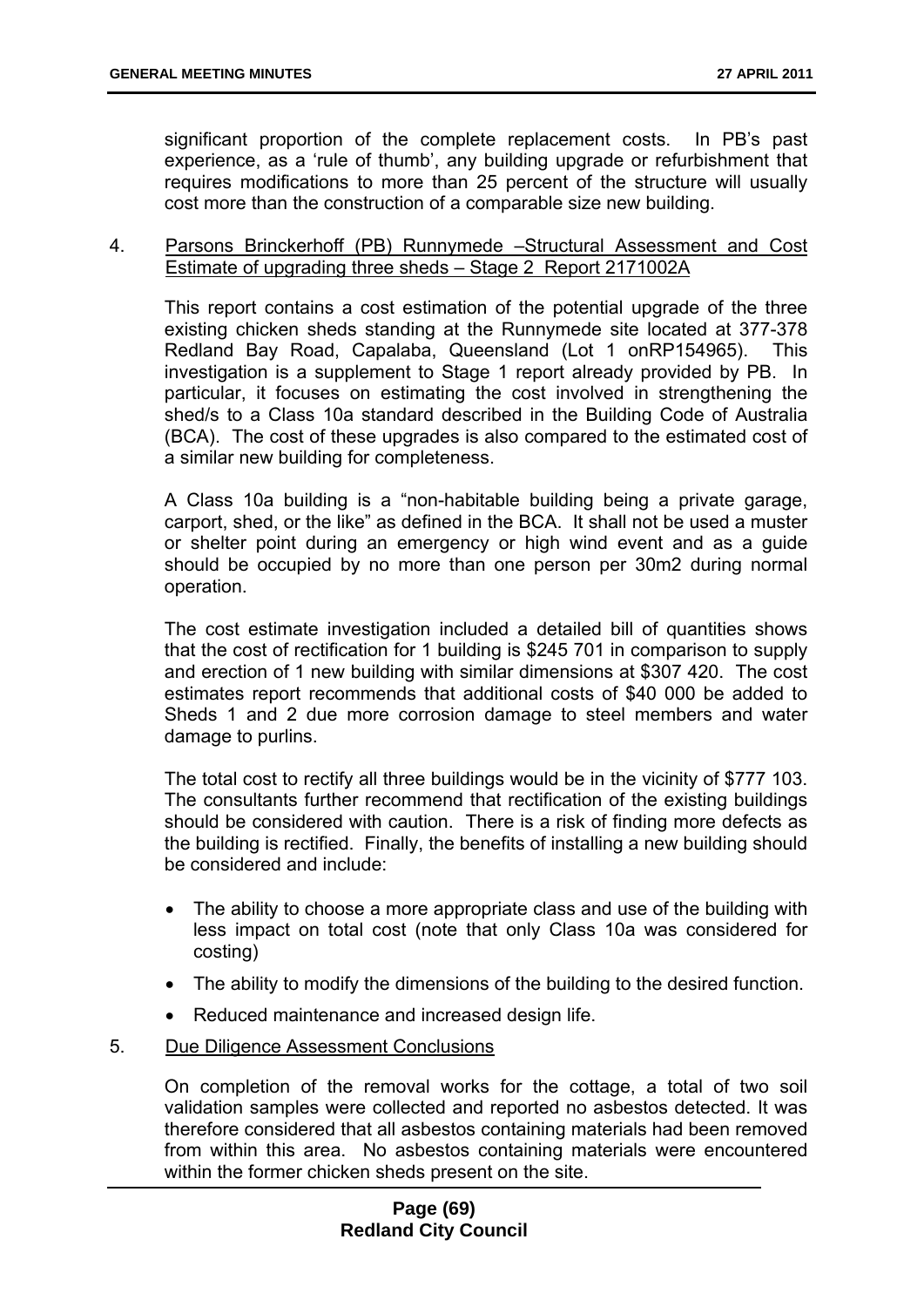significant proportion of the complete replacement costs. In PB's past experience, as a 'rule of thumb', any building upgrade or refurbishment that requires modifications to more than 25 percent of the structure will usually cost more than the construction of a comparable size new building.

### 4. Parsons Brinckerhoff (PB) Runnymede –Structural Assessment and Cost Estimate of upgrading three sheds – Stage 2 Report 2171002A

This report contains a cost estimation of the potential upgrade of the three existing chicken sheds standing at the Runnymede site located at 377-378 Redland Bay Road, Capalaba, Queensland (Lot 1 onRP154965). This investigation is a supplement to Stage 1 report already provided by PB. In particular, it focuses on estimating the cost involved in strengthening the shed/s to a Class 10a standard described in the Building Code of Australia (BCA). The cost of these upgrades is also compared to the estimated cost of a similar new building for completeness.

A Class 10a building is a "non-habitable building being a private garage, carport, shed, or the like" as defined in the BCA. It shall not be used a muster or shelter point during an emergency or high wind event and as a guide should be occupied by no more than one person per 30m2 during normal operation.

The cost estimate investigation included a detailed bill of quantities shows that the cost of rectification for 1 building is \$245 701 in comparison to supply and erection of 1 new building with similar dimensions at \$307 420. The cost estimates report recommends that additional costs of \$40 000 be added to Sheds 1 and 2 due more corrosion damage to steel members and water damage to purlins.

The total cost to rectify all three buildings would be in the vicinity of \$777 103. The consultants further recommend that rectification of the existing buildings should be considered with caution. There is a risk of finding more defects as the building is rectified. Finally, the benefits of installing a new building should be considered and include:

- The ability to choose a more appropriate class and use of the building with less impact on total cost (note that only Class 10a was considered for costing)
- The ability to modify the dimensions of the building to the desired function.
- Reduced maintenance and increased design life.
- 5. Due Diligence Assessment Conclusions

On completion of the removal works for the cottage, a total of two soil validation samples were collected and reported no asbestos detected. It was therefore considered that all asbestos containing materials had been removed from within this area. No asbestos containing materials were encountered within the former chicken sheds present on the site.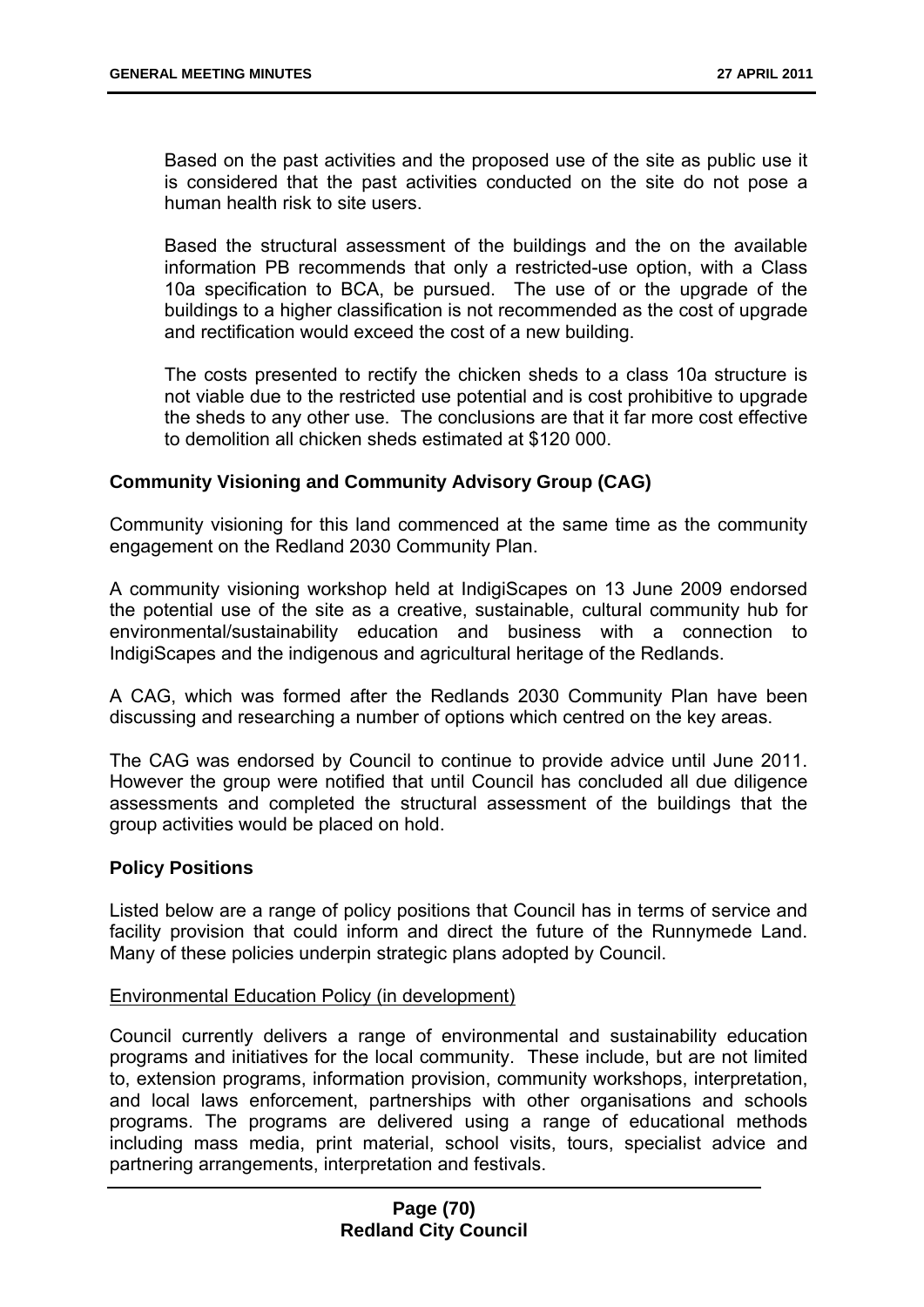Based on the past activities and the proposed use of the site as public use it is considered that the past activities conducted on the site do not pose a human health risk to site users.

Based the structural assessment of the buildings and the on the available information PB recommends that only a restricted-use option, with a Class 10a specification to BCA, be pursued. The use of or the upgrade of the buildings to a higher classification is not recommended as the cost of upgrade and rectification would exceed the cost of a new building.

The costs presented to rectify the chicken sheds to a class 10a structure is not viable due to the restricted use potential and is cost prohibitive to upgrade the sheds to any other use. The conclusions are that it far more cost effective to demolition all chicken sheds estimated at \$120 000.

#### **Community Visioning and Community Advisory Group (CAG)**

Community visioning for this land commenced at the same time as the community engagement on the Redland 2030 Community Plan.

A community visioning workshop held at IndigiScapes on 13 June 2009 endorsed the potential use of the site as a creative, sustainable, cultural community hub for environmental/sustainability education and business with a connection to IndigiScapes and the indigenous and agricultural heritage of the Redlands.

A CAG, which was formed after the Redlands 2030 Community Plan have been discussing and researching a number of options which centred on the key areas.

The CAG was endorsed by Council to continue to provide advice until June 2011. However the group were notified that until Council has concluded all due diligence assessments and completed the structural assessment of the buildings that the group activities would be placed on hold.

#### **Policy Positions**

Listed below are a range of policy positions that Council has in terms of service and facility provision that could inform and direct the future of the Runnymede Land. Many of these policies underpin strategic plans adopted by Council.

#### Environmental Education Policy (in development)

Council currently delivers a range of environmental and sustainability education programs and initiatives for the local community. These include, but are not limited to, extension programs, information provision, community workshops, interpretation, and local laws enforcement, partnerships with other organisations and schools programs. The programs are delivered using a range of educational methods including mass media, print material, school visits, tours, specialist advice and partnering arrangements, interpretation and festivals.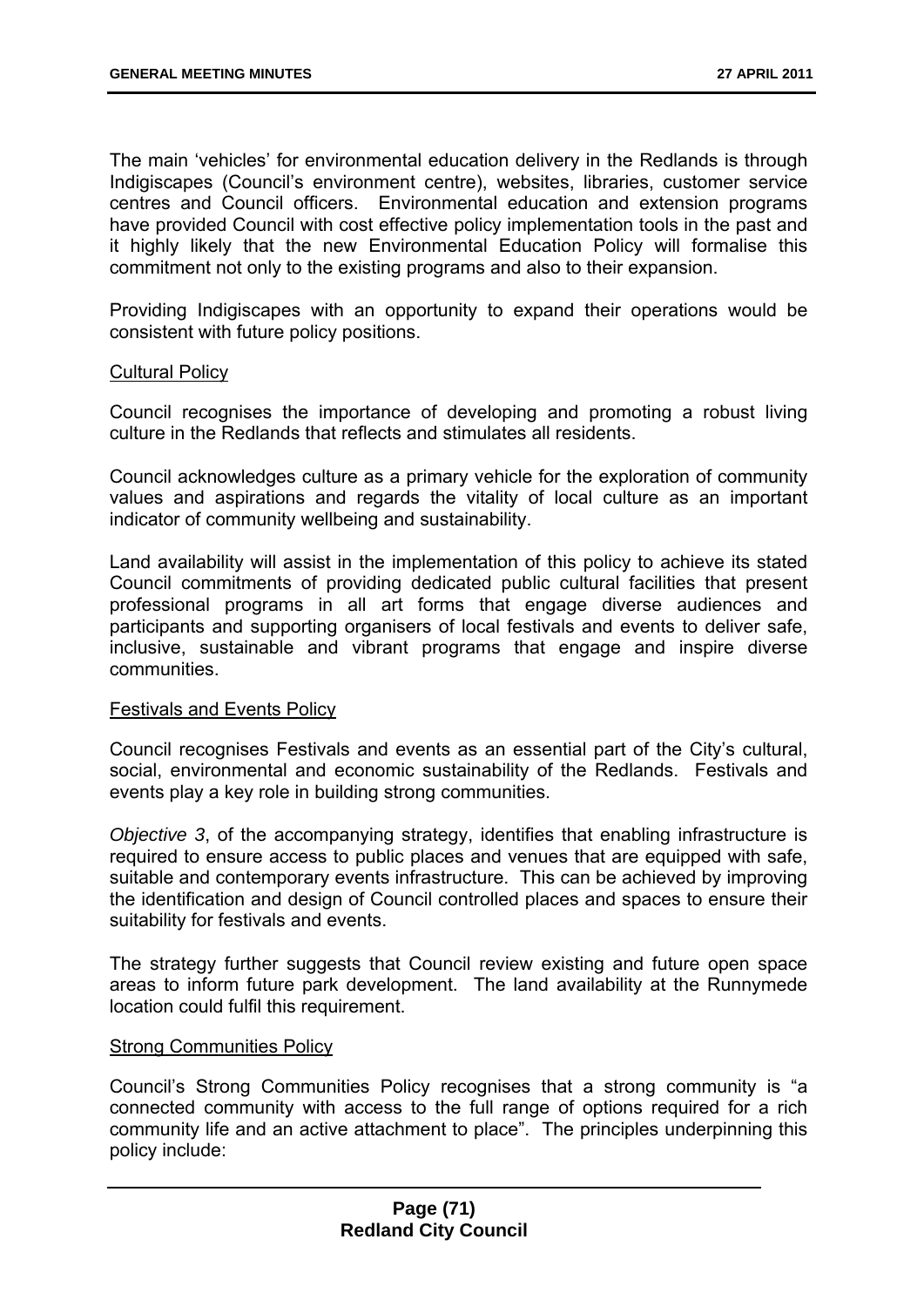The main 'vehicles' for environmental education delivery in the Redlands is through Indigiscapes (Council's environment centre), websites, libraries, customer service centres and Council officers. Environmental education and extension programs have provided Council with cost effective policy implementation tools in the past and it highly likely that the new Environmental Education Policy will formalise this commitment not only to the existing programs and also to their expansion.

Providing Indigiscapes with an opportunity to expand their operations would be consistent with future policy positions.

### Cultural Policy

Council recognises the importance of developing and promoting a robust living culture in the Redlands that reflects and stimulates all residents.

Council acknowledges culture as a primary vehicle for the exploration of community values and aspirations and regards the vitality of local culture as an important indicator of community wellbeing and sustainability.

Land availability will assist in the implementation of this policy to achieve its stated Council commitments of providing dedicated public cultural facilities that present professional programs in all art forms that engage diverse audiences and participants and supporting organisers of local festivals and events to deliver safe, inclusive, sustainable and vibrant programs that engage and inspire diverse communities.

### Festivals and Events Policy

Council recognises Festivals and events as an essential part of the City's cultural, social, environmental and economic sustainability of the Redlands. Festivals and events play a key role in building strong communities.

*Objective 3*, of the accompanying strategy, identifies that enabling infrastructure is required to ensure access to public places and venues that are equipped with safe, suitable and contemporary events infrastructure. This can be achieved by improving the identification and design of Council controlled places and spaces to ensure their suitability for festivals and events.

The strategy further suggests that Council review existing and future open space areas to inform future park development. The land availability at the Runnymede location could fulfil this requirement.

#### Strong Communities Policy

Council's Strong Communities Policy recognises that a strong community is "a connected community with access to the full range of options required for a rich community life and an active attachment to place". The principles underpinning this policy include: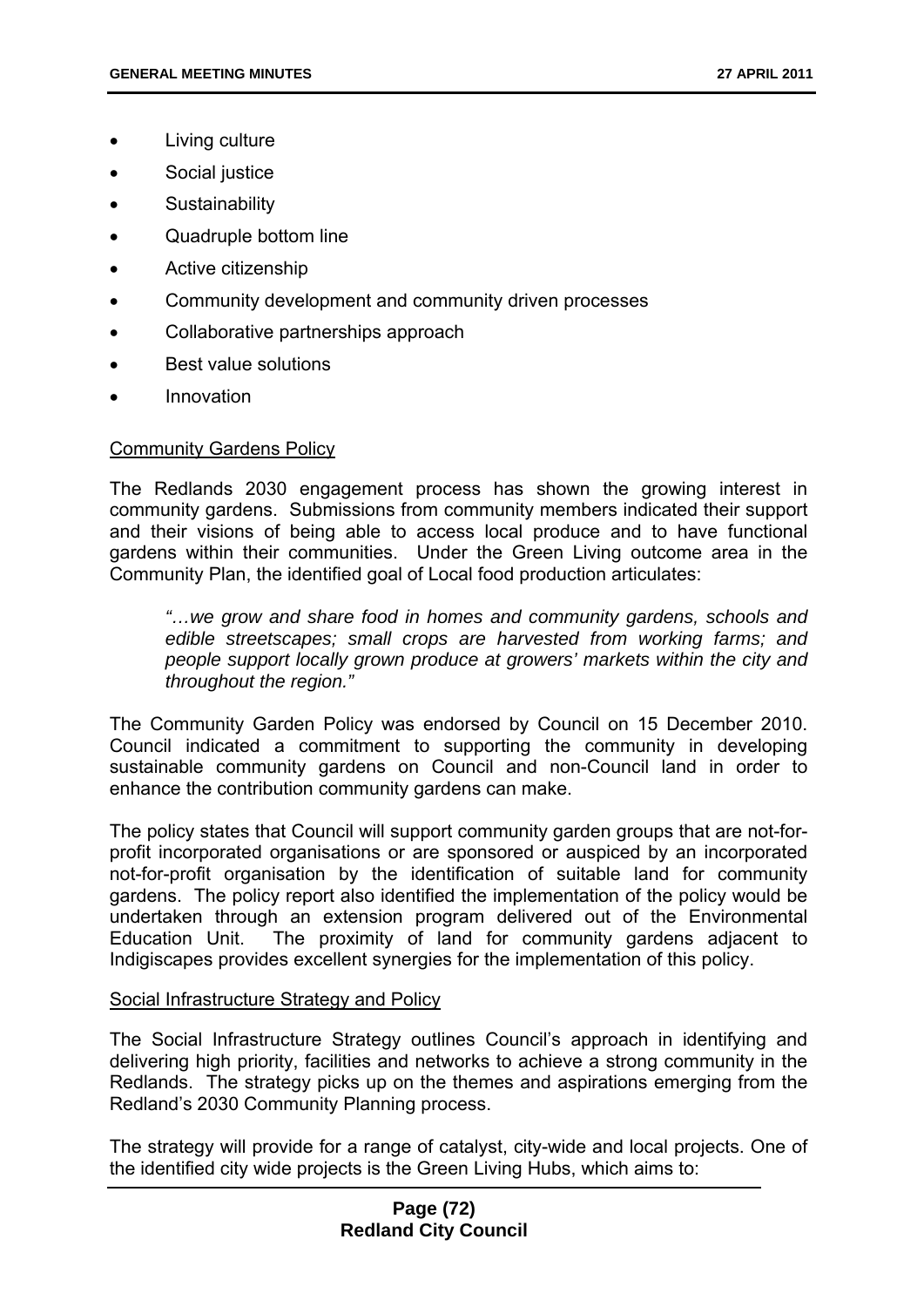- Living culture
- Social justice
- **Sustainability**
- Quadruple bottom line
- Active citizenship
- Community development and community driven processes
- Collaborative partnerships approach
- Best value solutions
- Innovation

## Community Gardens Policy

The Redlands 2030 engagement process has shown the growing interest in community gardens. Submissions from community members indicated their support and their visions of being able to access local produce and to have functional gardens within their communities. Under the Green Living outcome area in the Community Plan, the identified goal of Local food production articulates:

*"…we grow and share food in homes and community gardens, schools and edible streetscapes; small crops are harvested from working farms; and people support locally grown produce at growers' markets within the city and throughout the region."* 

The Community Garden Policy was endorsed by Council on 15 December 2010. Council indicated a commitment to supporting the community in developing sustainable community gardens on Council and non-Council land in order to enhance the contribution community gardens can make.

The policy states that Council will support community garden groups that are not-forprofit incorporated organisations or are sponsored or auspiced by an incorporated not-for-profit organisation by the identification of suitable land for community gardens. The policy report also identified the implementation of the policy would be undertaken through an extension program delivered out of the Environmental Education Unit. The proximity of land for community gardens adjacent to Indigiscapes provides excellent synergies for the implementation of this policy.

### Social Infrastructure Strategy and Policy

The Social Infrastructure Strategy outlines Council's approach in identifying and delivering high priority, facilities and networks to achieve a strong community in the Redlands. The strategy picks up on the themes and aspirations emerging from the Redland's 2030 Community Planning process.

The strategy will provide for a range of catalyst, city-wide and local projects. One of the identified city wide projects is the Green Living Hubs, which aims to: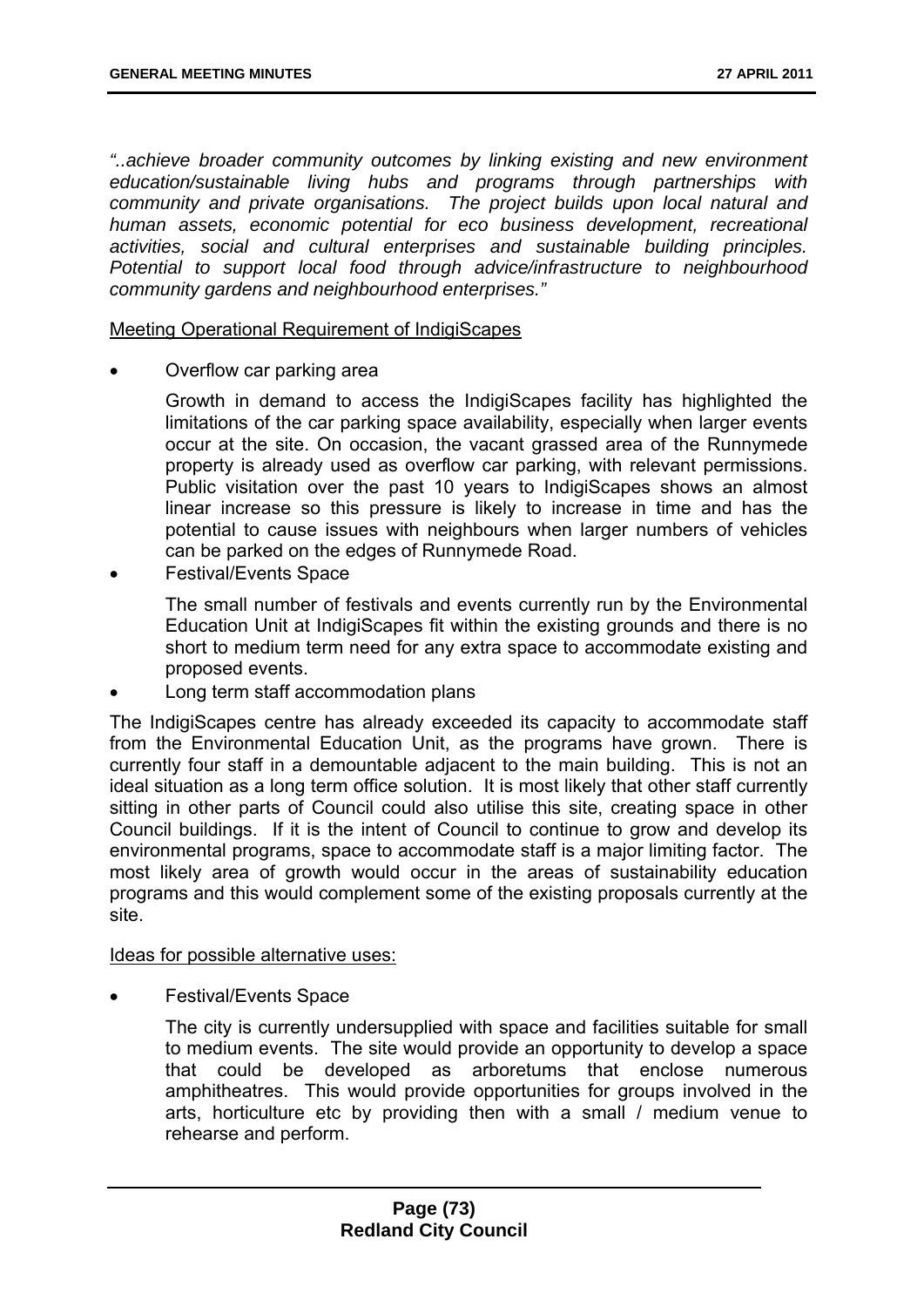*"..achieve broader community outcomes by linking existing and new environment education/sustainable living hubs and programs through partnerships with community and private organisations. The project builds upon local natural and human assets, economic potential for eco business development, recreational activities, social and cultural enterprises and sustainable building principles. Potential to support local food through advice/infrastructure to neighbourhood community gardens and neighbourhood enterprises."* 

Meeting Operational Requirement of IndigiScapes

- Overflow car parking area
	- Growth in demand to access the IndigiScapes facility has highlighted the limitations of the car parking space availability, especially when larger events occur at the site. On occasion, the vacant grassed area of the Runnymede property is already used as overflow car parking, with relevant permissions. Public visitation over the past 10 years to IndigiScapes shows an almost linear increase so this pressure is likely to increase in time and has the potential to cause issues with neighbours when larger numbers of vehicles can be parked on the edges of Runnymede Road.
- Festival/Events Space
	- The small number of festivals and events currently run by the Environmental Education Unit at IndigiScapes fit within the existing grounds and there is no short to medium term need for any extra space to accommodate existing and proposed events.
- Long term staff accommodation plans

The IndigiScapes centre has already exceeded its capacity to accommodate staff from the Environmental Education Unit, as the programs have grown. There is currently four staff in a demountable adjacent to the main building. This is not an ideal situation as a long term office solution. It is most likely that other staff currently sitting in other parts of Council could also utilise this site, creating space in other Council buildings. If it is the intent of Council to continue to grow and develop its environmental programs, space to accommodate staff is a major limiting factor. The most likely area of growth would occur in the areas of sustainability education programs and this would complement some of the existing proposals currently at the site.

#### Ideas for possible alternative uses:

- Festival/Events Space
	- The city is currently undersupplied with space and facilities suitable for small to medium events. The site would provide an opportunity to develop a space that could be developed as arboretums that enclose numerous amphitheatres. This would provide opportunities for groups involved in the arts, horticulture etc by providing then with a small / medium venue to rehearse and perform.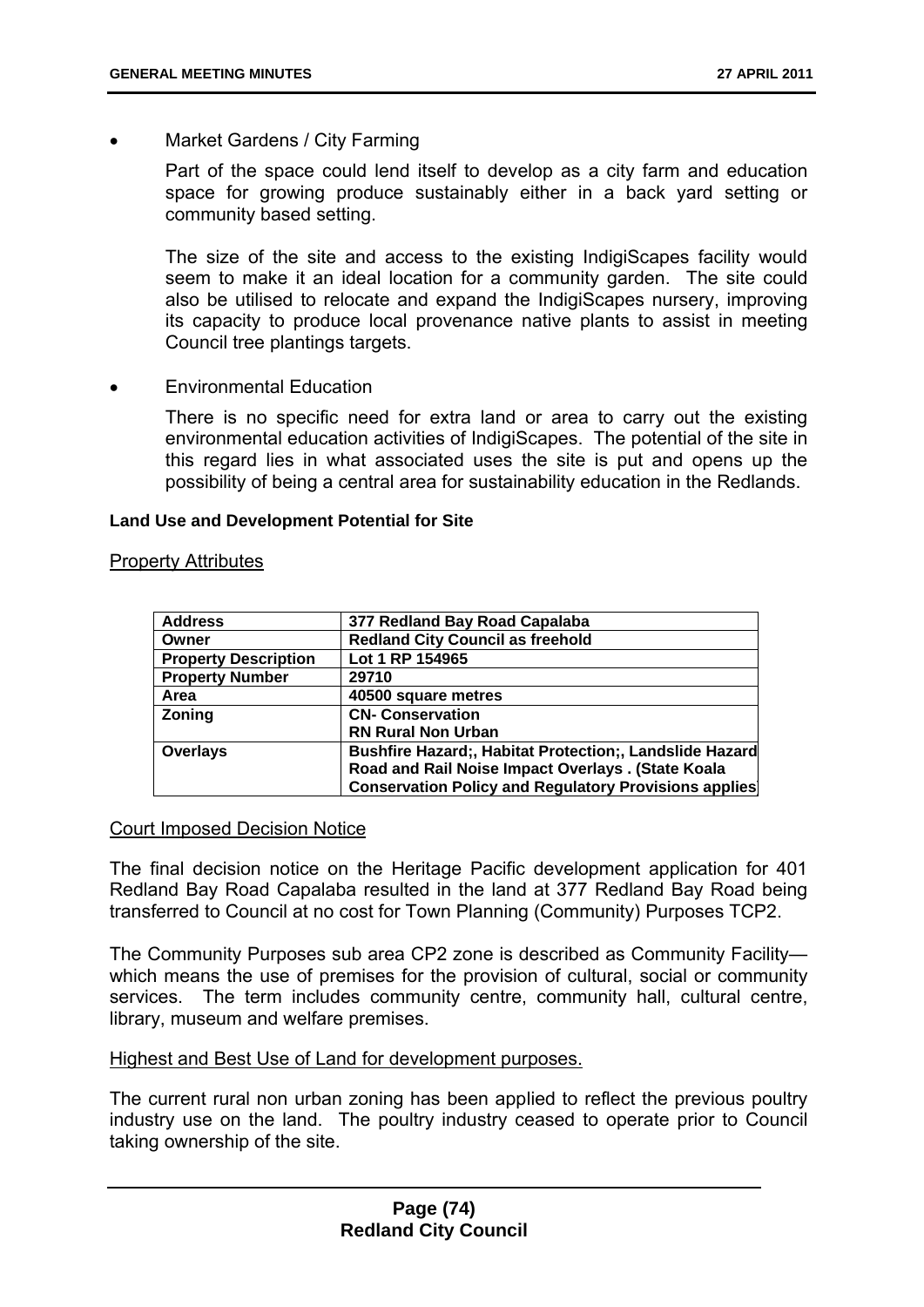Market Gardens / City Farming

Part of the space could lend itself to develop as a city farm and education space for growing produce sustainably either in a back yard setting or community based setting.

The size of the site and access to the existing IndigiScapes facility would seem to make it an ideal location for a community garden. The site could also be utilised to relocate and expand the IndigiScapes nursery, improving its capacity to produce local provenance native plants to assist in meeting Council tree plantings targets.

Environmental Education

There is no specific need for extra land or area to carry out the existing environmental education activities of IndigiScapes. The potential of the site in this regard lies in what associated uses the site is put and opens up the possibility of being a central area for sustainability education in the Redlands.

#### **Land Use and Development Potential for Site**

#### Property Attributes

| <b>Address</b>              | 377 Redland Bay Road Capalaba                                |
|-----------------------------|--------------------------------------------------------------|
| Owner                       | <b>Redland City Council as freehold</b>                      |
| <b>Property Description</b> | Lot 1 RP 154965                                              |
| <b>Property Number</b>      | 29710                                                        |
| Area                        | 40500 square metres                                          |
| <b>Zoning</b>               | <b>CN- Conservation</b>                                      |
|                             | <b>RN Rural Non Urban</b>                                    |
| Overlays                    | Bushfire Hazard;, Habitat Protection;, Landslide Hazard      |
|                             | Road and Rail Noise Impact Overlays . (State Koala           |
|                             | <b>Conservation Policy and Regulatory Provisions applies</b> |

#### Court Imposed Decision Notice

The final decision notice on the Heritage Pacific development application for 401 Redland Bay Road Capalaba resulted in the land at 377 Redland Bay Road being transferred to Council at no cost for Town Planning (Community) Purposes TCP2.

The Community Purposes sub area CP2 zone is described as Community Facility which means the use of premises for the provision of cultural, social or community services. The term includes community centre, community hall, cultural centre, library, museum and welfare premises.

#### Highest and Best Use of Land for development purposes.

The current rural non urban zoning has been applied to reflect the previous poultry industry use on the land. The poultry industry ceased to operate prior to Council taking ownership of the site.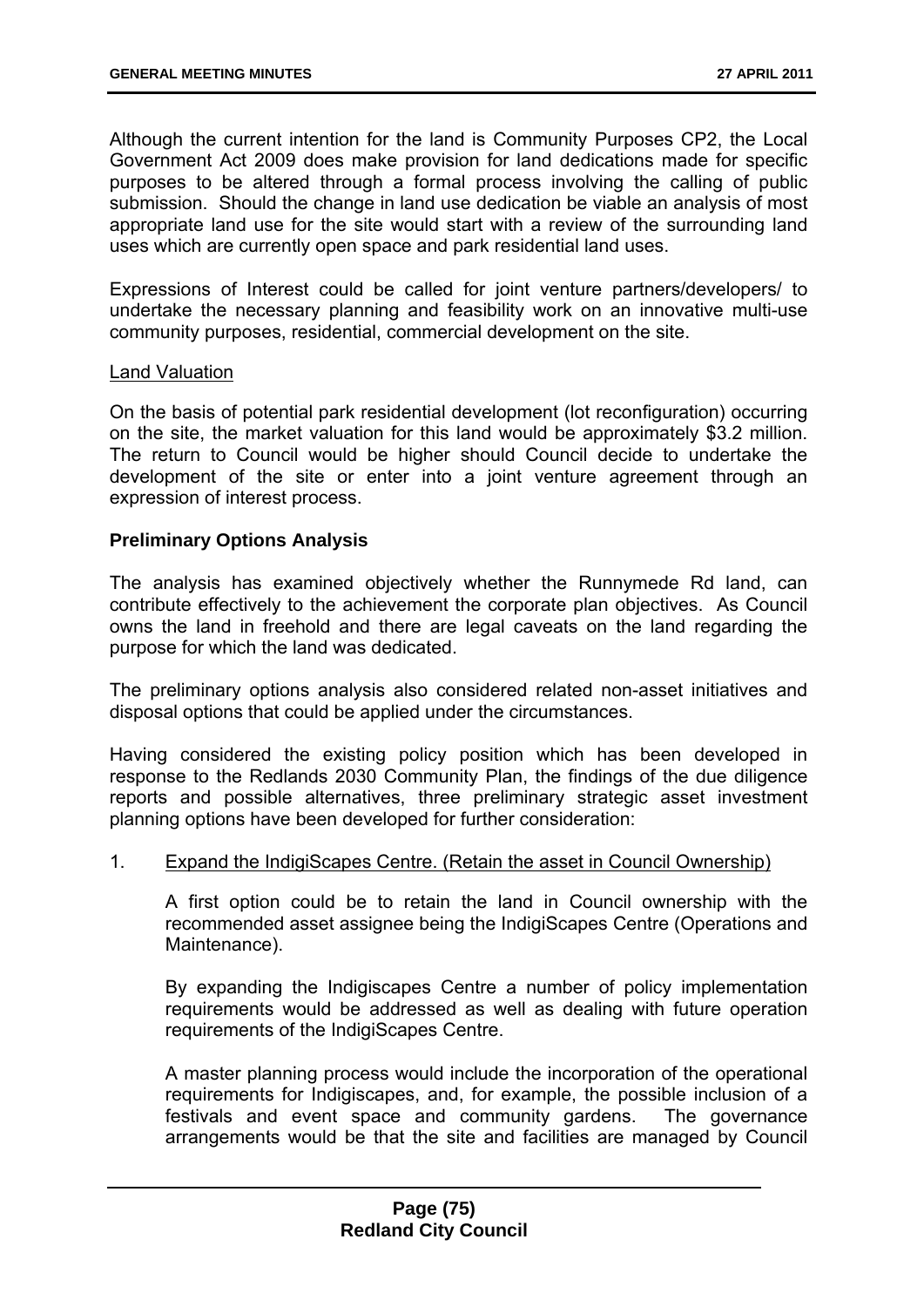Although the current intention for the land is Community Purposes CP2, the Local Government Act 2009 does make provision for land dedications made for specific purposes to be altered through a formal process involving the calling of public submission. Should the change in land use dedication be viable an analysis of most appropriate land use for the site would start with a review of the surrounding land uses which are currently open space and park residential land uses.

Expressions of Interest could be called for joint venture partners/developers/ to undertake the necessary planning and feasibility work on an innovative multi-use community purposes, residential, commercial development on the site.

#### Land Valuation

On the basis of potential park residential development (lot reconfiguration) occurring on the site, the market valuation for this land would be approximately \$3.2 million. The return to Council would be higher should Council decide to undertake the development of the site or enter into a joint venture agreement through an expression of interest process.

### **Preliminary Options Analysis**

The analysis has examined objectively whether the Runnymede Rd land, can contribute effectively to the achievement the corporate plan objectives. As Council owns the land in freehold and there are legal caveats on the land regarding the purpose for which the land was dedicated.

The preliminary options analysis also considered related non-asset initiatives and disposal options that could be applied under the circumstances.

Having considered the existing policy position which has been developed in response to the Redlands 2030 Community Plan, the findings of the due diligence reports and possible alternatives, three preliminary strategic asset investment planning options have been developed for further consideration:

### 1. Expand the IndigiScapes Centre. (Retain the asset in Council Ownership)

A first option could be to retain the land in Council ownership with the recommended asset assignee being the IndigiScapes Centre (Operations and Maintenance).

By expanding the Indigiscapes Centre a number of policy implementation requirements would be addressed as well as dealing with future operation requirements of the IndigiScapes Centre.

A master planning process would include the incorporation of the operational requirements for Indigiscapes, and, for example, the possible inclusion of a festivals and event space and community gardens. The governance arrangements would be that the site and facilities are managed by Council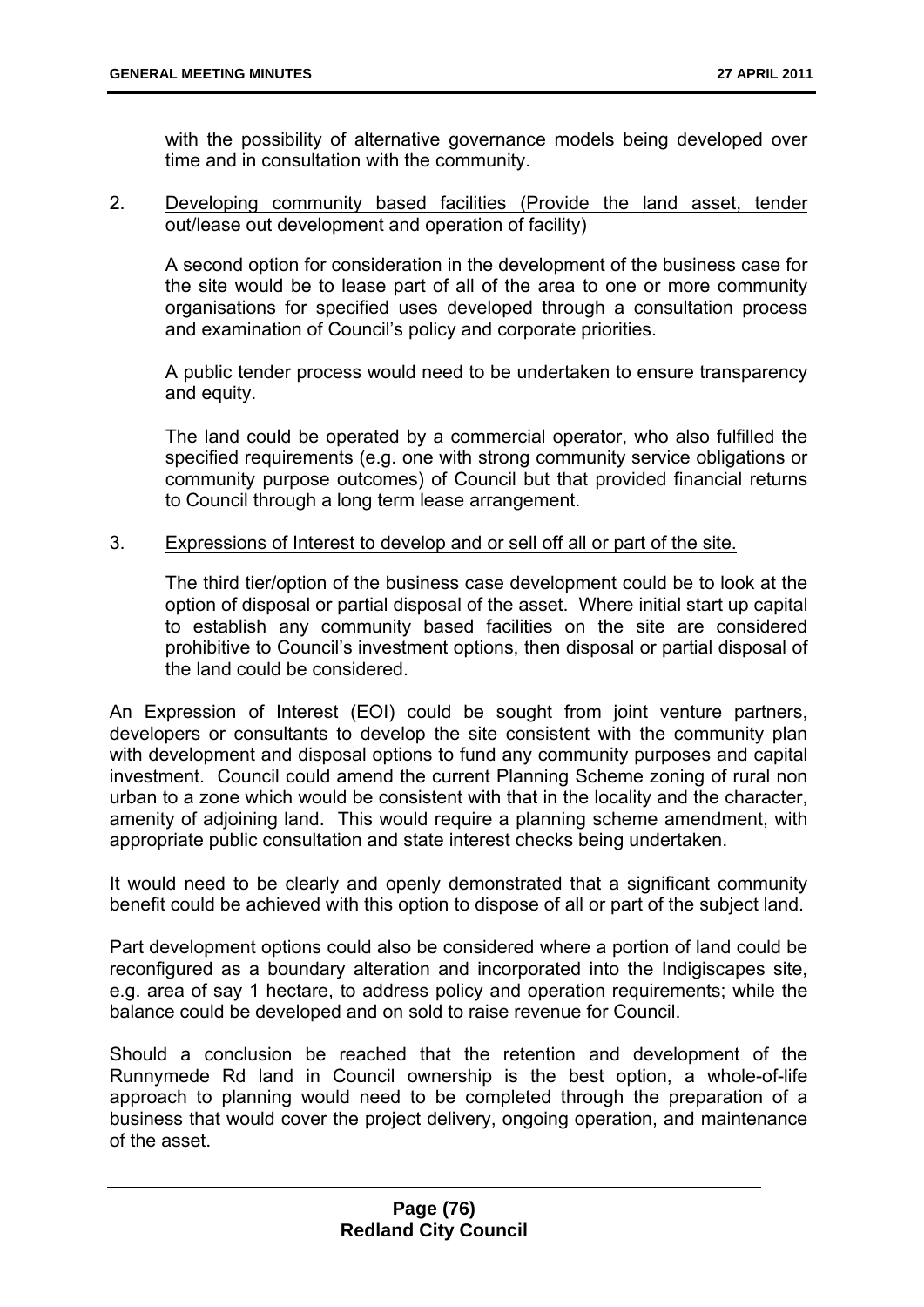with the possibility of alternative governance models being developed over time and in consultation with the community.

### 2. Developing community based facilities (Provide the land asset, tender out/lease out development and operation of facility)

A second option for consideration in the development of the business case for the site would be to lease part of all of the area to one or more community organisations for specified uses developed through a consultation process and examination of Council's policy and corporate priorities.

A public tender process would need to be undertaken to ensure transparency and equity.

The land could be operated by a commercial operator, who also fulfilled the specified requirements (e.g. one with strong community service obligations or community purpose outcomes) of Council but that provided financial returns to Council through a long term lease arrangement.

## 3. Expressions of Interest to develop and or sell off all or part of the site.

The third tier/option of the business case development could be to look at the option of disposal or partial disposal of the asset. Where initial start up capital to establish any community based facilities on the site are considered prohibitive to Council's investment options, then disposal or partial disposal of the land could be considered.

An Expression of Interest (EOI) could be sought from joint venture partners, developers or consultants to develop the site consistent with the community plan with development and disposal options to fund any community purposes and capital investment. Council could amend the current Planning Scheme zoning of rural non urban to a zone which would be consistent with that in the locality and the character, amenity of adjoining land. This would require a planning scheme amendment, with appropriate public consultation and state interest checks being undertaken.

It would need to be clearly and openly demonstrated that a significant community benefit could be achieved with this option to dispose of all or part of the subject land.

Part development options could also be considered where a portion of land could be reconfigured as a boundary alteration and incorporated into the Indigiscapes site, e.g. area of say 1 hectare, to address policy and operation requirements; while the balance could be developed and on sold to raise revenue for Council.

Should a conclusion be reached that the retention and development of the Runnymede Rd land in Council ownership is the best option, a whole-of-life approach to planning would need to be completed through the preparation of a business that would cover the project delivery, ongoing operation, and maintenance of the asset.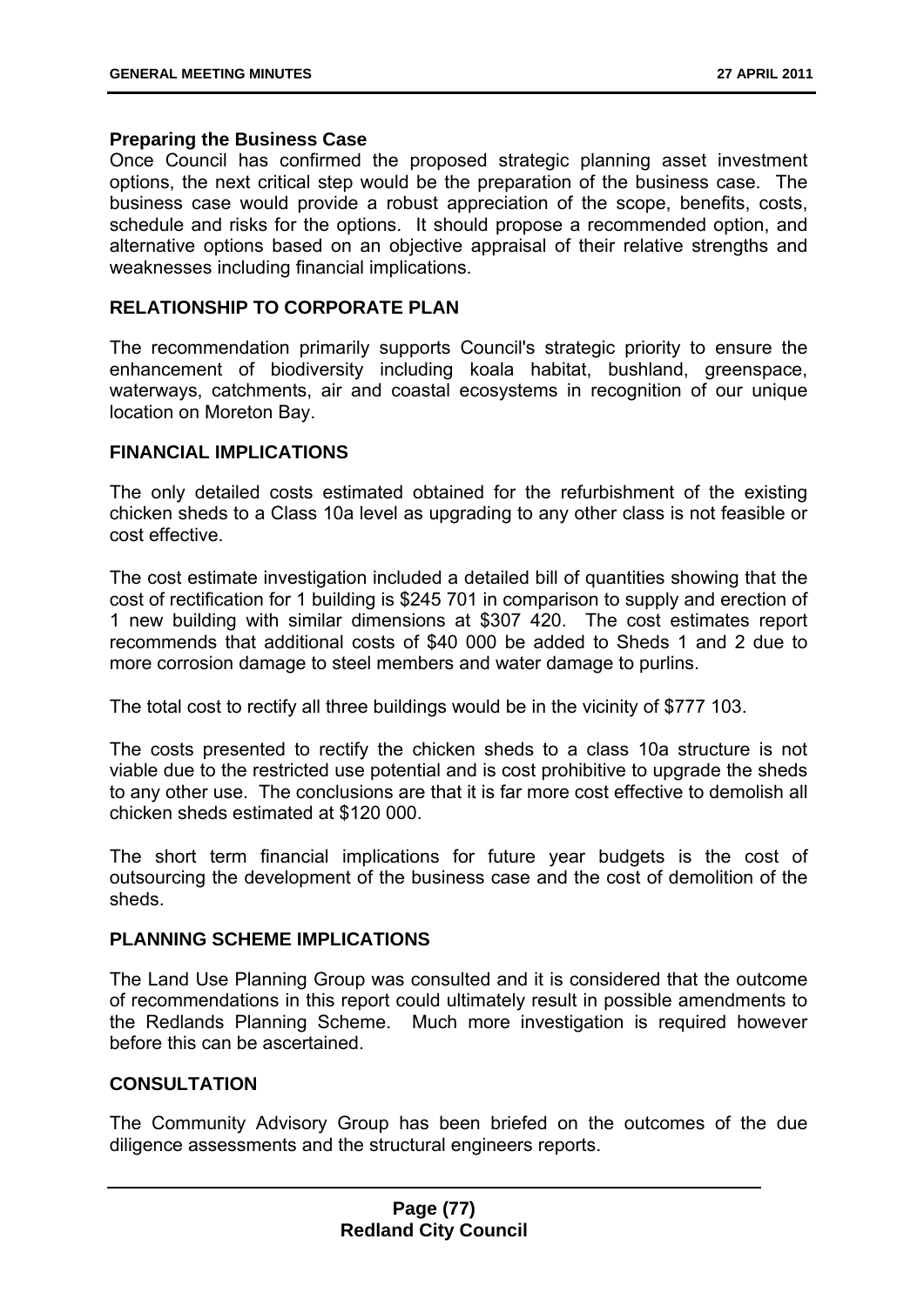#### **Preparing the Business Case**

Once Council has confirmed the proposed strategic planning asset investment options, the next critical step would be the preparation of the business case. The business case would provide a robust appreciation of the scope, benefits, costs, schedule and risks for the options. It should propose a recommended option, and alternative options based on an objective appraisal of their relative strengths and weaknesses including financial implications.

#### **RELATIONSHIP TO CORPORATE PLAN**

The recommendation primarily supports Council's strategic priority to ensure the enhancement of biodiversity including koala habitat, bushland, greenspace, waterways, catchments, air and coastal ecosystems in recognition of our unique location on Moreton Bay.

#### **FINANCIAL IMPLICATIONS**

The only detailed costs estimated obtained for the refurbishment of the existing chicken sheds to a Class 10a level as upgrading to any other class is not feasible or cost effective.

The cost estimate investigation included a detailed bill of quantities showing that the cost of rectification for 1 building is \$245 701 in comparison to supply and erection of 1 new building with similar dimensions at \$307 420. The cost estimates report recommends that additional costs of \$40 000 be added to Sheds 1 and 2 due to more corrosion damage to steel members and water damage to purlins.

The total cost to rectify all three buildings would be in the vicinity of \$777 103.

The costs presented to rectify the chicken sheds to a class 10a structure is not viable due to the restricted use potential and is cost prohibitive to upgrade the sheds to any other use. The conclusions are that it is far more cost effective to demolish all chicken sheds estimated at \$120 000.

The short term financial implications for future year budgets is the cost of outsourcing the development of the business case and the cost of demolition of the sheds.

#### **PLANNING SCHEME IMPLICATIONS**

The Land Use Planning Group was consulted and it is considered that the outcome of recommendations in this report could ultimately result in possible amendments to the Redlands Planning Scheme. Much more investigation is required however before this can be ascertained.

## **CONSULTATION**

The Community Advisory Group has been briefed on the outcomes of the due diligence assessments and the structural engineers reports.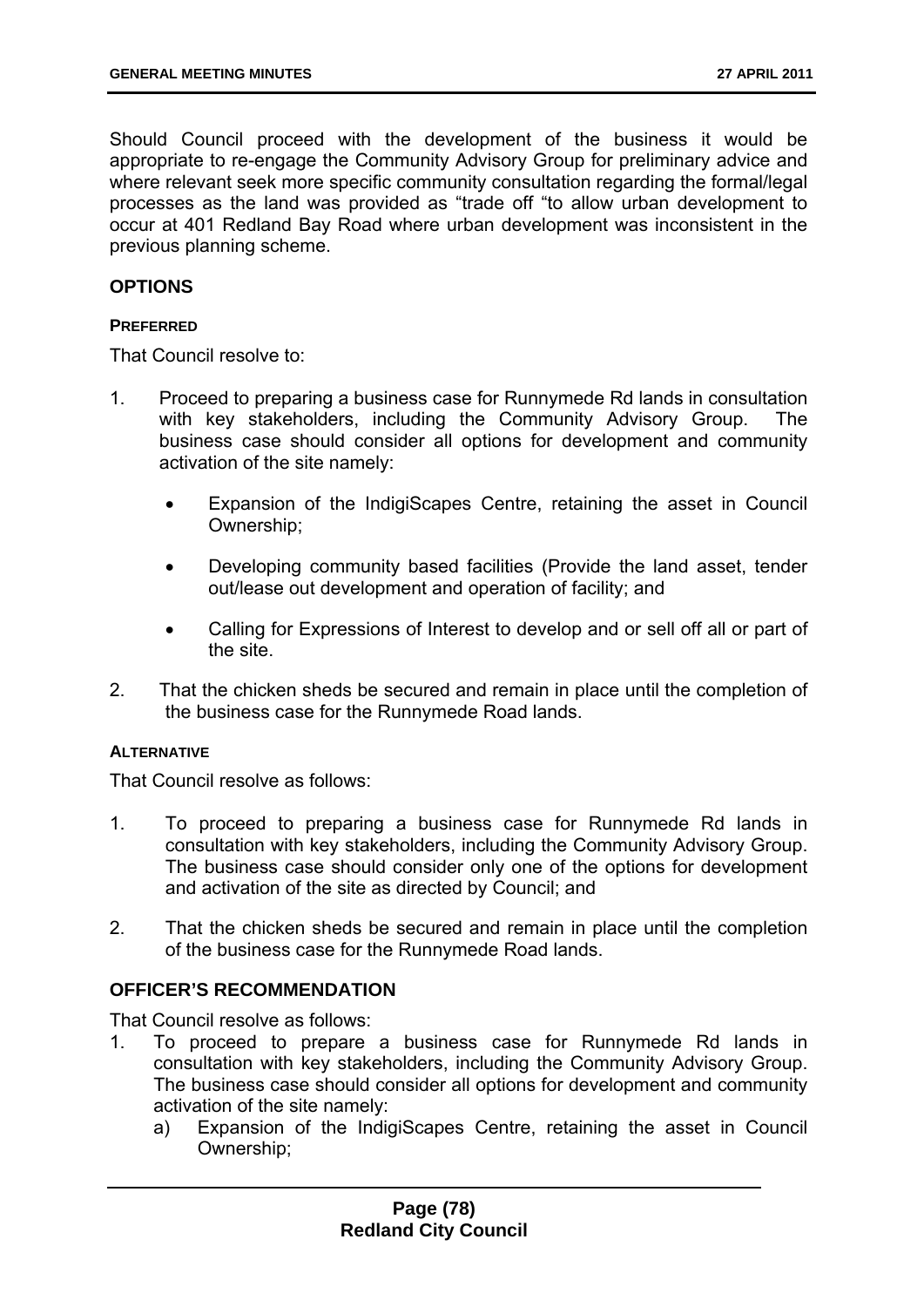Should Council proceed with the development of the business it would be appropriate to re-engage the Community Advisory Group for preliminary advice and where relevant seek more specific community consultation regarding the formal/legal processes as the land was provided as "trade off "to allow urban development to occur at 401 Redland Bay Road where urban development was inconsistent in the previous planning scheme.

### **OPTIONS**

#### **PREFERRED**

That Council resolve to:

- 1. Proceed to preparing a business case for Runnymede Rd lands in consultation with key stakeholders, including the Community Advisory Group. The business case should consider all options for development and community activation of the site namely:
	- Expansion of the IndigiScapes Centre, retaining the asset in Council Ownership;
	- Developing community based facilities (Provide the land asset, tender out/lease out development and operation of facility; and
	- Calling for Expressions of Interest to develop and or sell off all or part of the site.
- 2. That the chicken sheds be secured and remain in place until the completion of the business case for the Runnymede Road lands.

### **ALTERNATIVE**

That Council resolve as follows:

- 1. To proceed to preparing a business case for Runnymede Rd lands in consultation with key stakeholders, including the Community Advisory Group. The business case should consider only one of the options for development and activation of the site as directed by Council; and
- 2. That the chicken sheds be secured and remain in place until the completion of the business case for the Runnymede Road lands.

## **OFFICER'S RECOMMENDATION**

That Council resolve as follows:

- 1. To proceed to prepare a business case for Runnymede Rd lands in consultation with key stakeholders, including the Community Advisory Group. The business case should consider all options for development and community activation of the site namely:
	- a) Expansion of the IndigiScapes Centre, retaining the asset in Council Ownership;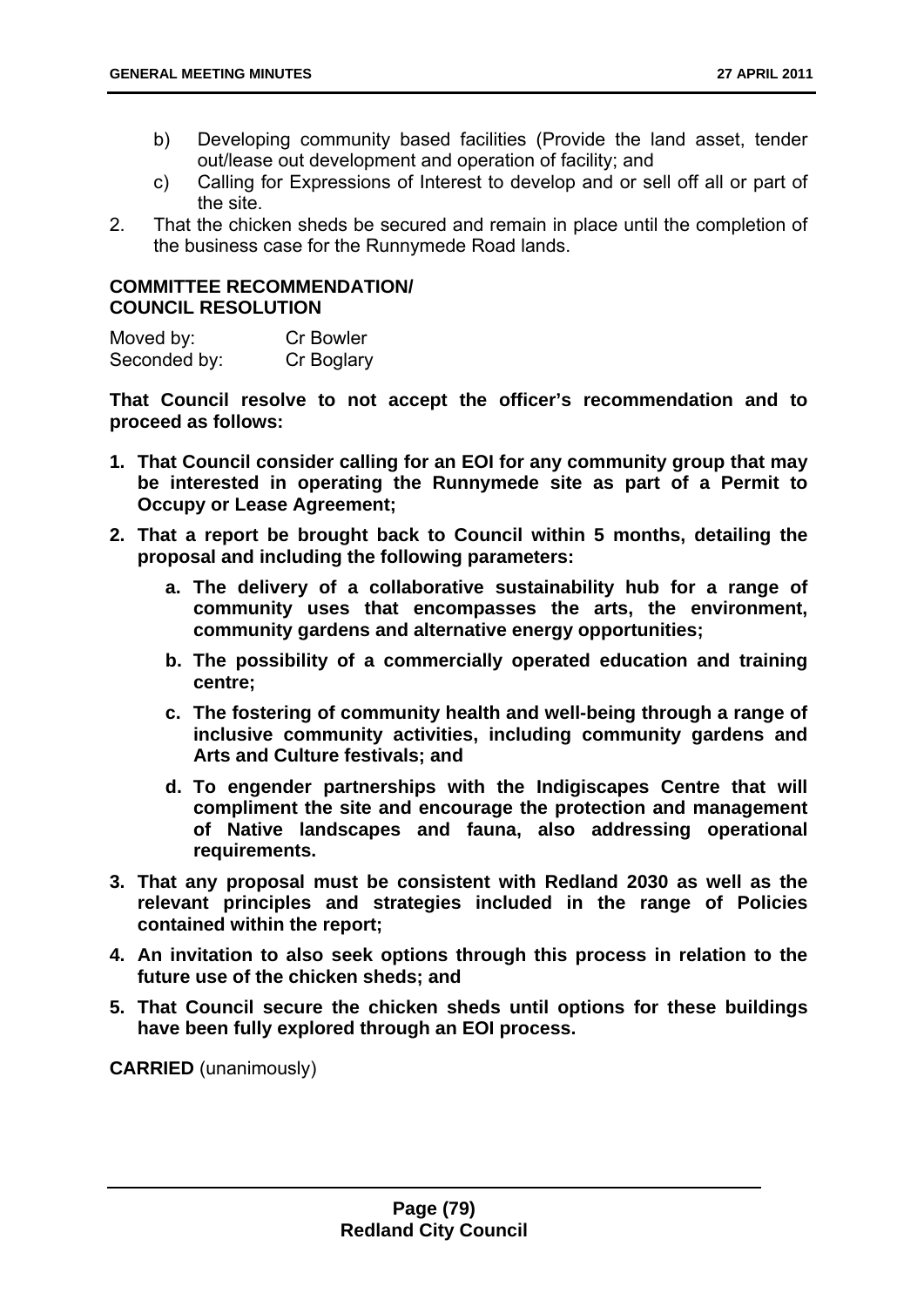- b) Developing community based facilities (Provide the land asset, tender out/lease out development and operation of facility; and
- c) Calling for Expressions of Interest to develop and or sell off all or part of the site.
- 2. That the chicken sheds be secured and remain in place until the completion of the business case for the Runnymede Road lands.

## **COMMITTEE RECOMMENDATION/ COUNCIL RESOLUTION**

| Moved by:    | <b>Cr Bowler</b> |
|--------------|------------------|
| Seconded by: | Cr Boglary       |

**That Council resolve to not accept the officer's recommendation and to proceed as follows:** 

- **1. That Council consider calling for an EOI for any community group that may be interested in operating the Runnymede site as part of a Permit to Occupy or Lease Agreement;**
- **2. That a report be brought back to Council within 5 months, detailing the proposal and including the following parameters:** 
	- **a. The delivery of a collaborative sustainability hub for a range of community uses that encompasses the arts, the environment, community gardens and alternative energy opportunities;**
	- **b. The possibility of a commercially operated education and training centre;**
	- **c. The fostering of community health and well-being through a range of inclusive community activities, including community gardens and Arts and Culture festivals; and**
	- **d. To engender partnerships with the Indigiscapes Centre that will compliment the site and encourage the protection and management of Native landscapes and fauna, also addressing operational requirements.**
- **3. That any proposal must be consistent with Redland 2030 as well as the relevant principles and strategies included in the range of Policies contained within the report;**
- **4. An invitation to also seek options through this process in relation to the future use of the chicken sheds; and**
- **5. That Council secure the chicken sheds until options for these buildings have been fully explored through an EOI process.**

**CARRIED** (unanimously)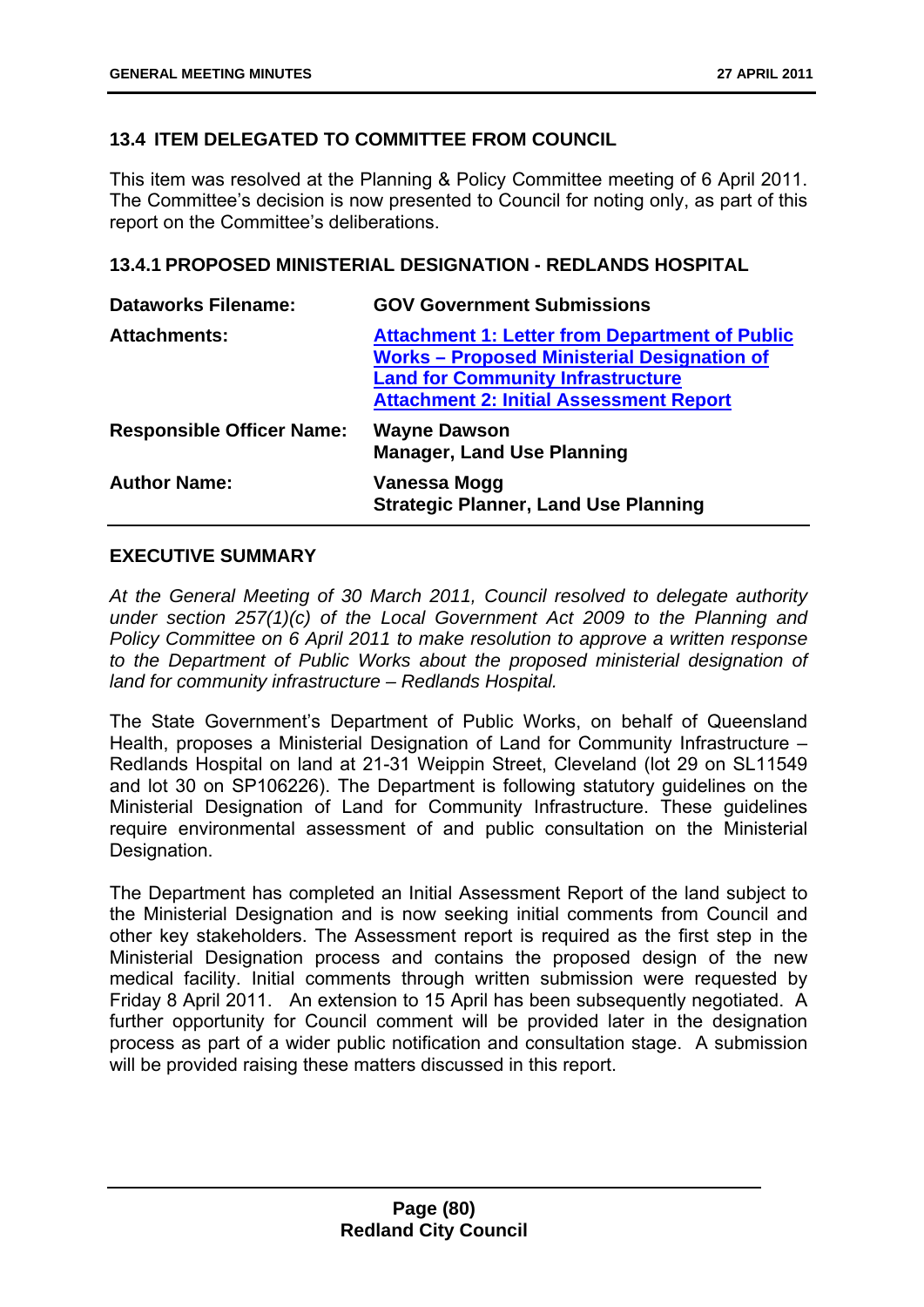# **13.4 ITEM DELEGATED TO COMMITTEE FROM COUNCIL**

This item was resolved at the Planning & Policy Committee meeting of 6 April 2011. The Committee's decision is now presented to Council for noting only, as part of this report on the Committee's deliberations.

## **13.4.1 PROPOSED MINISTERIAL DESIGNATION - REDLANDS HOSPITAL**

| <b>Dataworks Filename:</b>       | <b>GOV Government Submissions</b>                                                                                                                                                                         |
|----------------------------------|-----------------------------------------------------------------------------------------------------------------------------------------------------------------------------------------------------------|
| <b>Attachments:</b>              | <b>Attachment 1: Letter from Department of Public</b><br><b>Works - Proposed Ministerial Designation of</b><br><b>Land for Community Infrastructure</b><br><b>Attachment 2: Initial Assessment Report</b> |
| <b>Responsible Officer Name:</b> | <b>Wayne Dawson</b><br><b>Manager, Land Use Planning</b>                                                                                                                                                  |
| <b>Author Name:</b>              | Vanessa Mogg<br><b>Strategic Planner, Land Use Planning</b>                                                                                                                                               |

## **EXECUTIVE SUMMARY**

*At the General Meeting of 30 March 2011, Council resolved to delegate authority under section 257(1)(c) of the Local Government Act 2009 to the Planning and Policy Committee on 6 April 2011 to make resolution to approve a written response to the Department of Public Works about the proposed ministerial designation of land for community infrastructure – Redlands Hospital.* 

The State Government's Department of Public Works, on behalf of Queensland Health, proposes a Ministerial Designation of Land for Community Infrastructure – Redlands Hospital on land at 21-31 Weippin Street, Cleveland (lot 29 on SL11549 and lot 30 on SP106226). The Department is following statutory guidelines on the Ministerial Designation of Land for Community Infrastructure. These guidelines require environmental assessment of and public consultation on the Ministerial Designation.

The Department has completed an Initial Assessment Report of the land subject to the Ministerial Designation and is now seeking initial comments from Council and other key stakeholders. The Assessment report is required as the first step in the Ministerial Designation process and contains the proposed design of the new medical facility. Initial comments through written submission were requested by Friday 8 April 2011. An extension to 15 April has been subsequently negotiated. A further opportunity for Council comment will be provided later in the designation process as part of a wider public notification and consultation stage. A submission will be provided raising these matters discussed in this report.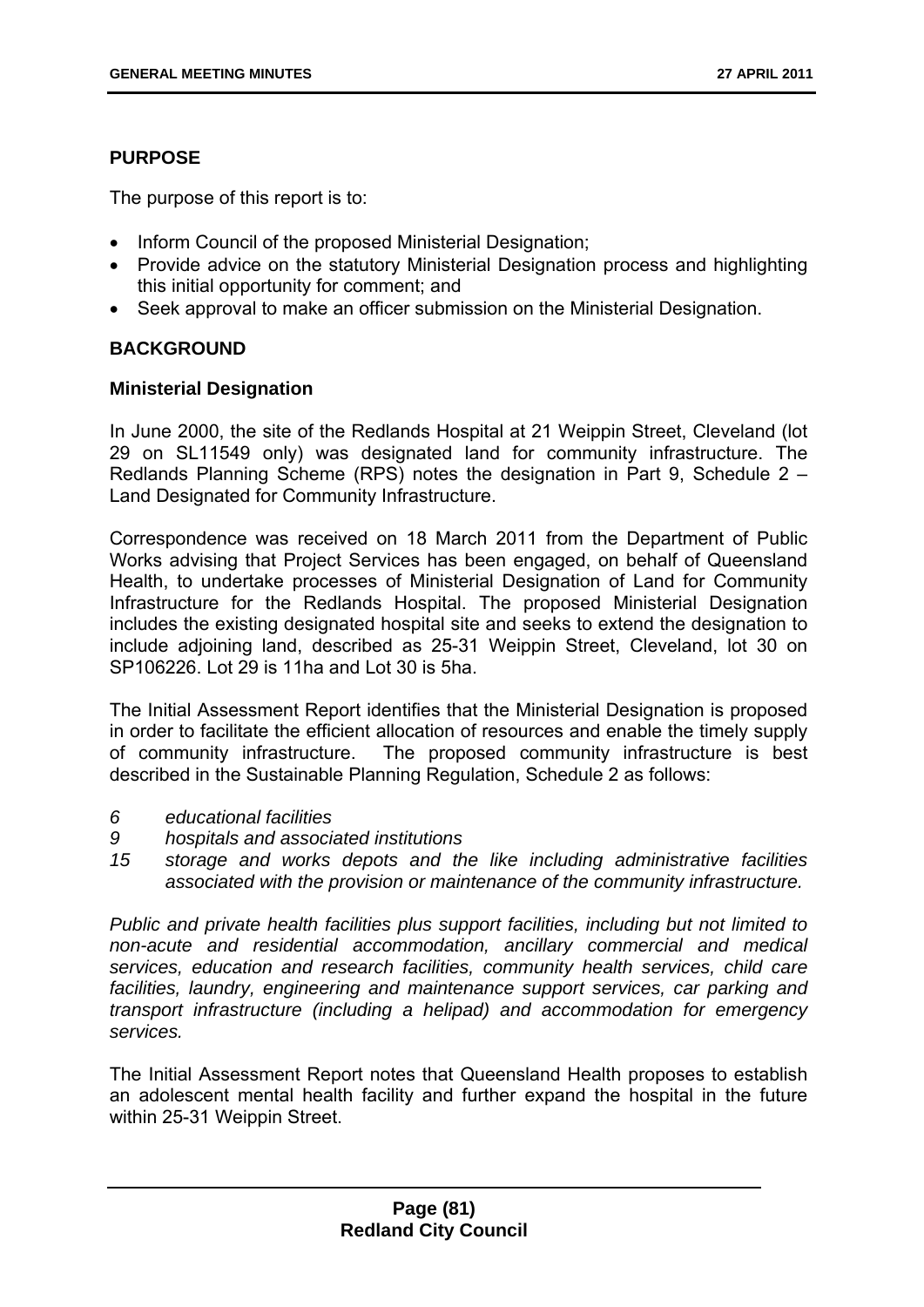# **PURPOSE**

The purpose of this report is to:

- Inform Council of the proposed Ministerial Designation;
- Provide advice on the statutory Ministerial Designation process and highlighting this initial opportunity for comment; and
- Seek approval to make an officer submission on the Ministerial Designation.

# **BACKGROUND**

# **Ministerial Designation**

In June 2000, the site of the Redlands Hospital at 21 Weippin Street, Cleveland (lot 29 on SL11549 only) was designated land for community infrastructure. The Redlands Planning Scheme (RPS) notes the designation in Part 9, Schedule 2 – Land Designated for Community Infrastructure.

Correspondence was received on 18 March 2011 from the Department of Public Works advising that Project Services has been engaged, on behalf of Queensland Health, to undertake processes of Ministerial Designation of Land for Community Infrastructure for the Redlands Hospital. The proposed Ministerial Designation includes the existing designated hospital site and seeks to extend the designation to include adjoining land, described as 25-31 Weippin Street, Cleveland, lot 30 on SP106226. Lot 29 is 11ha and Lot 30 is 5ha.

The Initial Assessment Report identifies that the Ministerial Designation is proposed in order to facilitate the efficient allocation of resources and enable the timely supply of community infrastructure. The proposed community infrastructure is best described in the Sustainable Planning Regulation, Schedule 2 as follows:

- *6 educational facilities*
- *9 hospitals and associated institutions*
- *15 storage and works depots and the like including administrative facilities associated with the provision or maintenance of the community infrastructure.*

*Public and private health facilities plus support facilities, including but not limited to non-acute and residential accommodation, ancillary commercial and medical services, education and research facilities, community health services, child care facilities, laundry, engineering and maintenance support services, car parking and transport infrastructure (including a helipad) and accommodation for emergency services.* 

The Initial Assessment Report notes that Queensland Health proposes to establish an adolescent mental health facility and further expand the hospital in the future within 25-31 Weippin Street.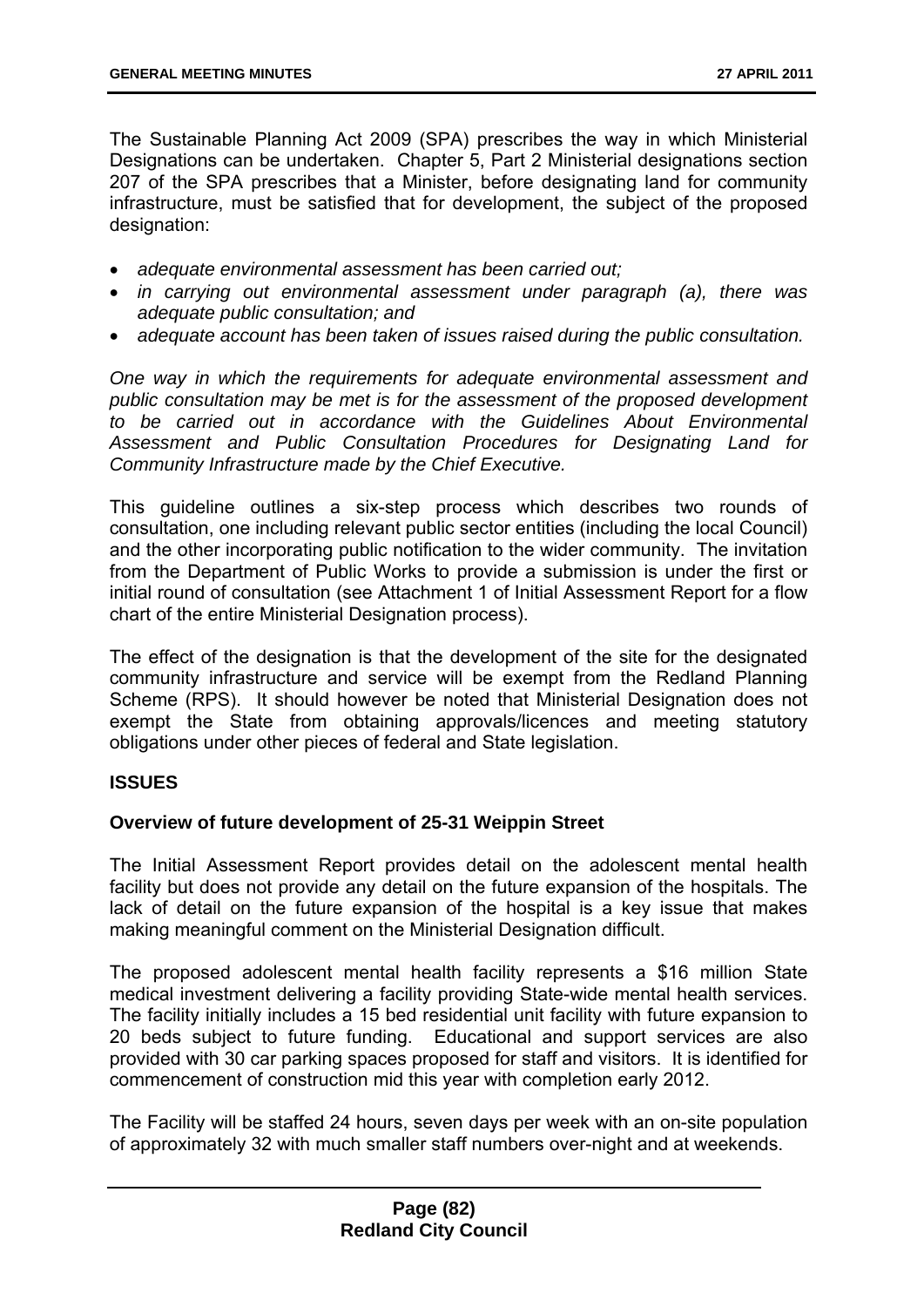The Sustainable Planning Act 2009 (SPA) prescribes the way in which Ministerial Designations can be undertaken. Chapter 5, Part 2 Ministerial designations section 207 of the SPA prescribes that a Minister, before designating land for community infrastructure, must be satisfied that for development, the subject of the proposed designation:

- *adequate environmental assessment has been carried out;*
- *in carrying out environmental assessment under paragraph (a), there was adequate public consultation; and*
- *adequate account has been taken of issues raised during the public consultation.*

*One way in which the requirements for adequate environmental assessment and public consultation may be met is for the assessment of the proposed development to be carried out in accordance with the Guidelines About Environmental Assessment and Public Consultation Procedures for Designating Land for Community Infrastructure made by the Chief Executive.* 

This guideline outlines a six-step process which describes two rounds of consultation, one including relevant public sector entities (including the local Council) and the other incorporating public notification to the wider community. The invitation from the Department of Public Works to provide a submission is under the first or initial round of consultation (see Attachment 1 of Initial Assessment Report for a flow chart of the entire Ministerial Designation process).

The effect of the designation is that the development of the site for the designated community infrastructure and service will be exempt from the Redland Planning Scheme (RPS). It should however be noted that Ministerial Designation does not exempt the State from obtaining approvals/licences and meeting statutory obligations under other pieces of federal and State legislation.

## **ISSUES**

### **Overview of future development of 25-31 Weippin Street**

The Initial Assessment Report provides detail on the adolescent mental health facility but does not provide any detail on the future expansion of the hospitals. The lack of detail on the future expansion of the hospital is a key issue that makes making meaningful comment on the Ministerial Designation difficult.

The proposed adolescent mental health facility represents a \$16 million State medical investment delivering a facility providing State-wide mental health services. The facility initially includes a 15 bed residential unit facility with future expansion to 20 beds subject to future funding. Educational and support services are also provided with 30 car parking spaces proposed for staff and visitors. It is identified for commencement of construction mid this year with completion early 2012.

The Facility will be staffed 24 hours, seven days per week with an on-site population of approximately 32 with much smaller staff numbers over-night and at weekends.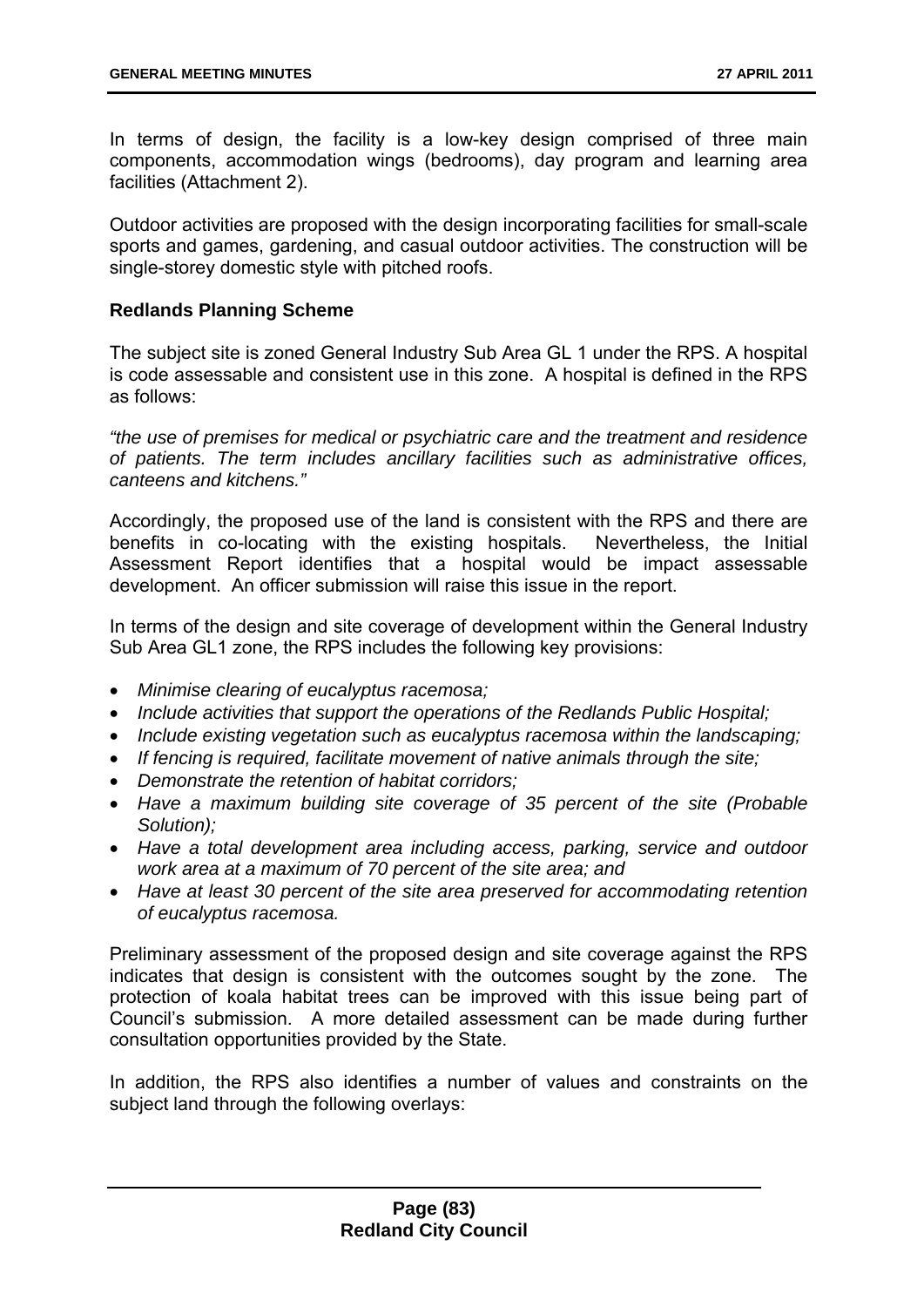In terms of design, the facility is a low-key design comprised of three main components, accommodation wings (bedrooms), day program and learning area facilities (Attachment 2).

Outdoor activities are proposed with the design incorporating facilities for small-scale sports and games, gardening, and casual outdoor activities. The construction will be single-storey domestic style with pitched roofs.

## **Redlands Planning Scheme**

The subject site is zoned General Industry Sub Area GL 1 under the RPS. A hospital is code assessable and consistent use in this zone. A hospital is defined in the RPS as follows:

*"the use of premises for medical or psychiatric care and the treatment and residence of patients. The term includes ancillary facilities such as administrative offices, canteens and kitchens."* 

Accordingly, the proposed use of the land is consistent with the RPS and there are benefits in co-locating with the existing hospitals. Nevertheless, the Initial Assessment Report identifies that a hospital would be impact assessable development. An officer submission will raise this issue in the report.

In terms of the design and site coverage of development within the General Industry Sub Area GL1 zone, the RPS includes the following key provisions:

- *Minimise clearing of eucalyptus racemosa;*
- *Include activities that support the operations of the Redlands Public Hospital;*
- *Include existing vegetation such as eucalyptus racemosa within the landscaping;*
- *If fencing is required, facilitate movement of native animals through the site;*
- *Demonstrate the retention of habitat corridors;*
- *Have a maximum building site coverage of 35 percent of the site (Probable Solution);*
- *Have a total development area including access, parking, service and outdoor work area at a maximum of 70 percent of the site area; and*
- *Have at least 30 percent of the site area preserved for accommodating retention of eucalyptus racemosa.*

Preliminary assessment of the proposed design and site coverage against the RPS indicates that design is consistent with the outcomes sought by the zone. The protection of koala habitat trees can be improved with this issue being part of Council's submission. A more detailed assessment can be made during further consultation opportunities provided by the State.

In addition, the RPS also identifies a number of values and constraints on the subject land through the following overlays: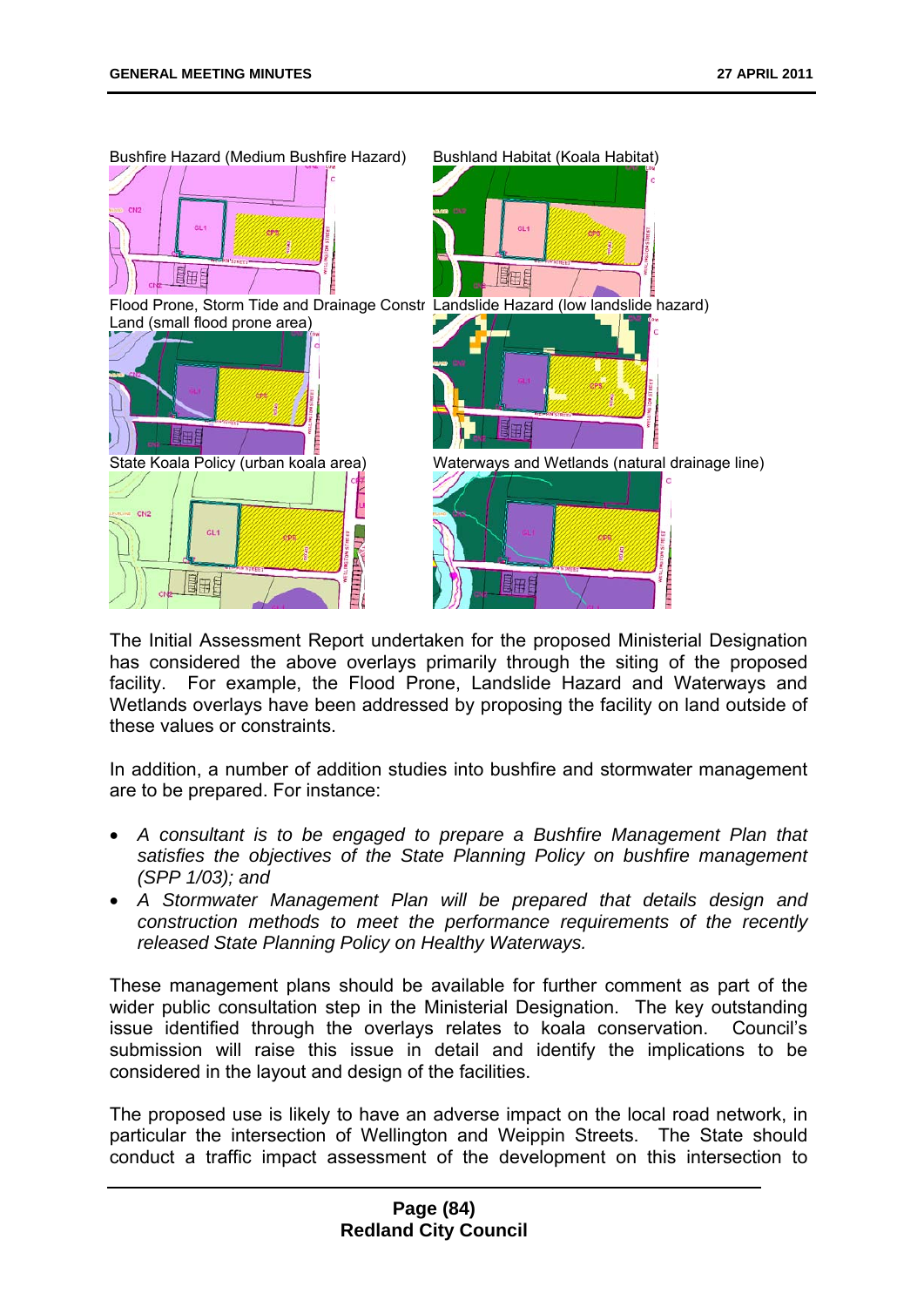

The Initial Assessment Report undertaken for the proposed Ministerial Designation has considered the above overlays primarily through the siting of the proposed facility. For example, the Flood Prone, Landslide Hazard and Waterways and Wetlands overlays have been addressed by proposing the facility on land outside of these values or constraints.

In addition, a number of addition studies into bushfire and stormwater management are to be prepared. For instance:

- *A consultant is to be engaged to prepare a Bushfire Management Plan that satisfies the objectives of the State Planning Policy on bushfire management (SPP 1/03); and*
- *A Stormwater Management Plan will be prepared that details design and construction methods to meet the performance requirements of the recently released State Planning Policy on Healthy Waterways.*

These management plans should be available for further comment as part of the wider public consultation step in the Ministerial Designation. The key outstanding issue identified through the overlays relates to koala conservation. Council's submission will raise this issue in detail and identify the implications to be considered in the layout and design of the facilities.

The proposed use is likely to have an adverse impact on the local road network, in particular the intersection of Wellington and Weippin Streets. The State should conduct a traffic impact assessment of the development on this intersection to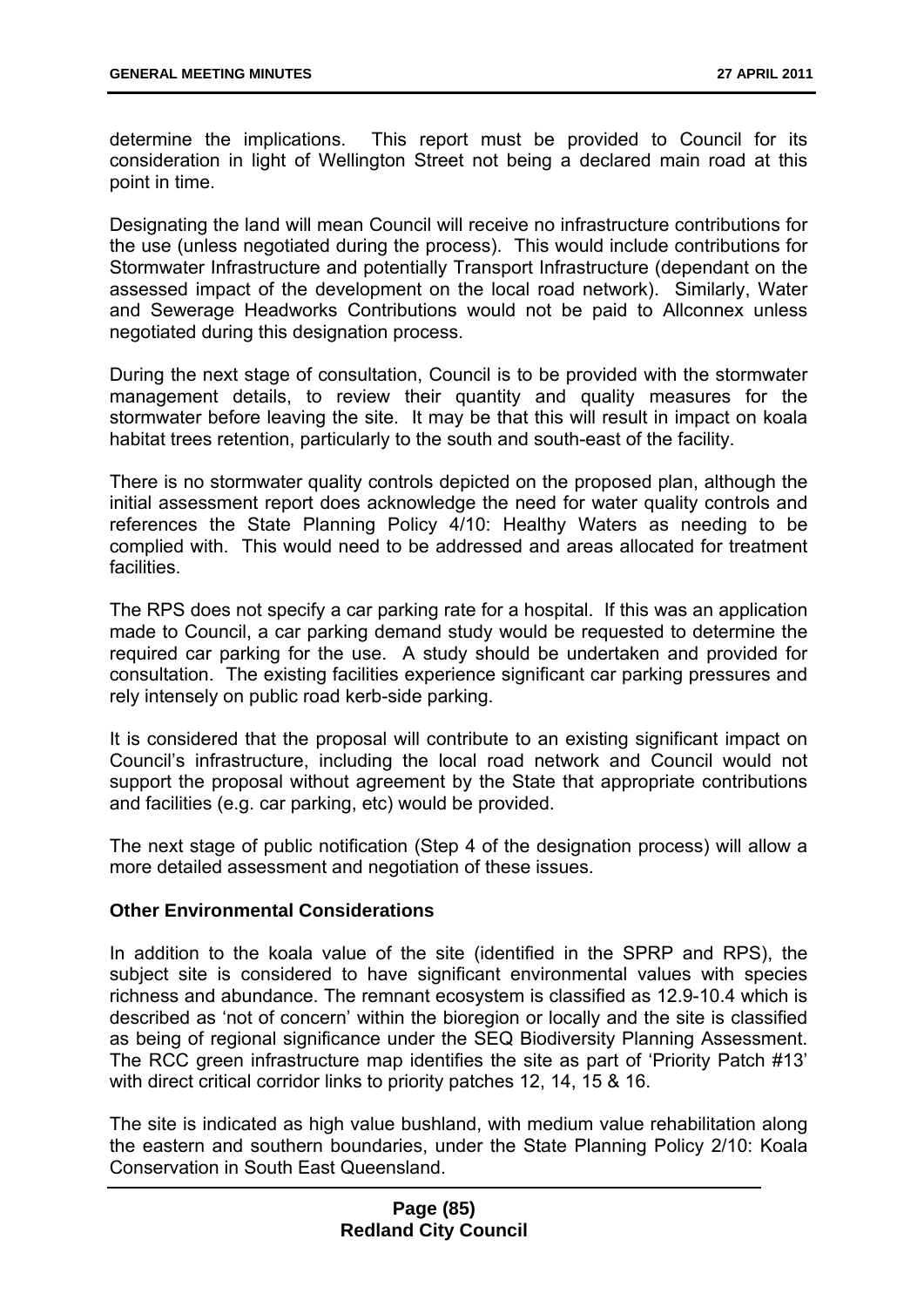determine the implications. This report must be provided to Council for its consideration in light of Wellington Street not being a declared main road at this point in time.

Designating the land will mean Council will receive no infrastructure contributions for the use (unless negotiated during the process). This would include contributions for Stormwater Infrastructure and potentially Transport Infrastructure (dependant on the assessed impact of the development on the local road network). Similarly, Water and Sewerage Headworks Contributions would not be paid to Allconnex unless negotiated during this designation process.

During the next stage of consultation, Council is to be provided with the stormwater management details, to review their quantity and quality measures for the stormwater before leaving the site. It may be that this will result in impact on koala habitat trees retention, particularly to the south and south-east of the facility.

There is no stormwater quality controls depicted on the proposed plan, although the initial assessment report does acknowledge the need for water quality controls and references the State Planning Policy 4/10: Healthy Waters as needing to be complied with. This would need to be addressed and areas allocated for treatment facilities.

The RPS does not specify a car parking rate for a hospital. If this was an application made to Council, a car parking demand study would be requested to determine the required car parking for the use. A study should be undertaken and provided for consultation. The existing facilities experience significant car parking pressures and rely intensely on public road kerb-side parking.

It is considered that the proposal will contribute to an existing significant impact on Council's infrastructure, including the local road network and Council would not support the proposal without agreement by the State that appropriate contributions and facilities (e.g. car parking, etc) would be provided.

The next stage of public notification (Step 4 of the designation process) will allow a more detailed assessment and negotiation of these issues.

### **Other Environmental Considerations**

In addition to the koala value of the site (identified in the SPRP and RPS), the subject site is considered to have significant environmental values with species richness and abundance. The remnant ecosystem is classified as 12.9-10.4 which is described as 'not of concern' within the bioregion or locally and the site is classified as being of regional significance under the SEQ Biodiversity Planning Assessment. The RCC green infrastructure map identifies the site as part of 'Priority Patch #13' with direct critical corridor links to priority patches 12, 14, 15 & 16.

The site is indicated as high value bushland, with medium value rehabilitation along the eastern and southern boundaries, under the State Planning Policy 2/10: Koala Conservation in South East Queensland.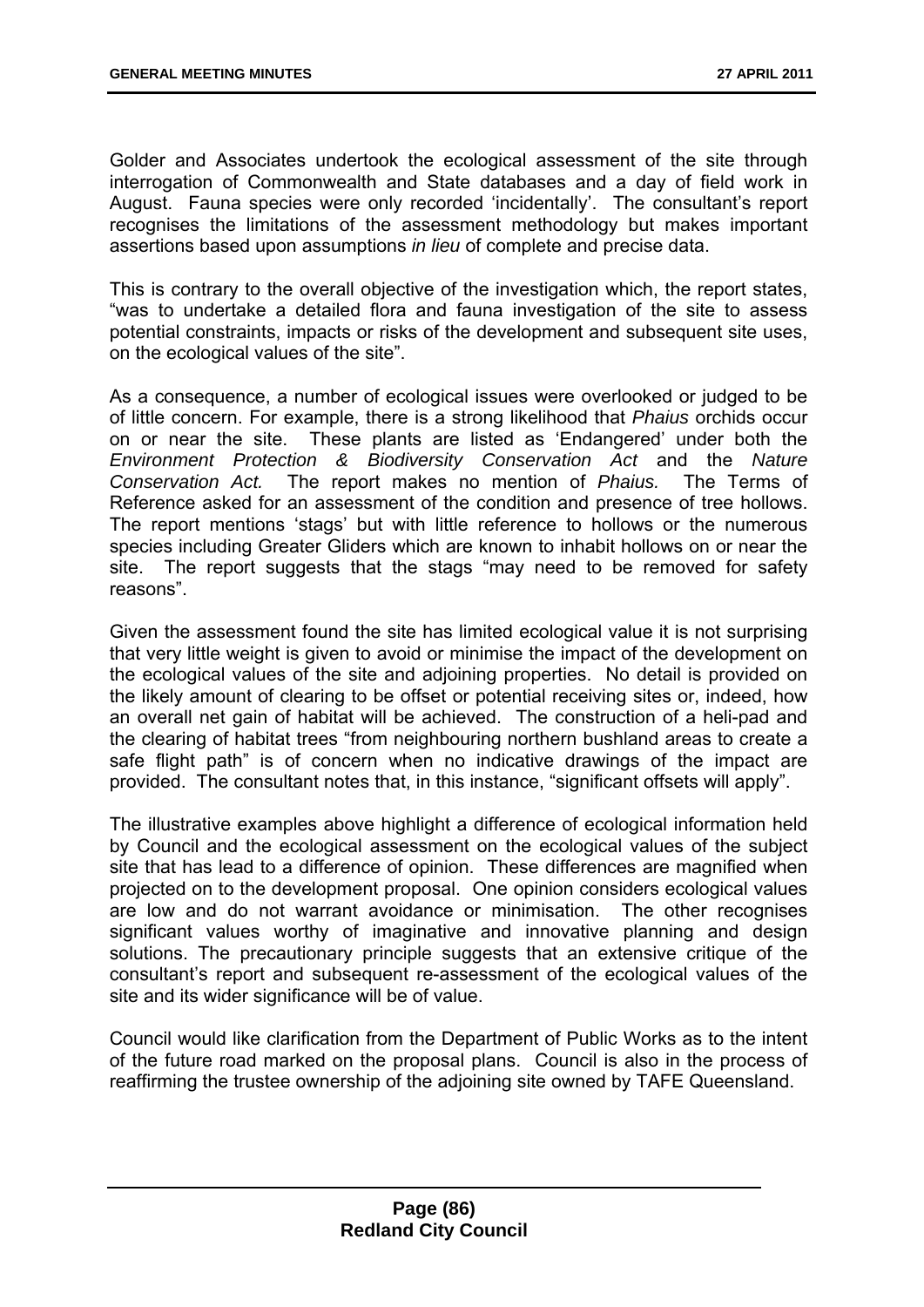Golder and Associates undertook the ecological assessment of the site through interrogation of Commonwealth and State databases and a day of field work in August. Fauna species were only recorded 'incidentally'. The consultant's report recognises the limitations of the assessment methodology but makes important assertions based upon assumptions *in lieu* of complete and precise data.

This is contrary to the overall objective of the investigation which, the report states, "was to undertake a detailed flora and fauna investigation of the site to assess potential constraints, impacts or risks of the development and subsequent site uses, on the ecological values of the site".

As a consequence, a number of ecological issues were overlooked or judged to be of little concern. For example, there is a strong likelihood that *Phaius* orchids occur on or near the site. These plants are listed as 'Endangered' under both the *Environment Protection & Biodiversity Conservation Act* and the *Nature Conservation Act.* The report makes no mention of *Phaius.* The Terms of Reference asked for an assessment of the condition and presence of tree hollows. The report mentions 'stags' but with little reference to hollows or the numerous species including Greater Gliders which are known to inhabit hollows on or near the site. The report suggests that the stags "may need to be removed for safety reasons".

Given the assessment found the site has limited ecological value it is not surprising that very little weight is given to avoid or minimise the impact of the development on the ecological values of the site and adjoining properties. No detail is provided on the likely amount of clearing to be offset or potential receiving sites or, indeed, how an overall net gain of habitat will be achieved. The construction of a heli-pad and the clearing of habitat trees "from neighbouring northern bushland areas to create a safe flight path" is of concern when no indicative drawings of the impact are provided. The consultant notes that, in this instance, "significant offsets will apply".

The illustrative examples above highlight a difference of ecological information held by Council and the ecological assessment on the ecological values of the subject site that has lead to a difference of opinion. These differences are magnified when projected on to the development proposal. One opinion considers ecological values are low and do not warrant avoidance or minimisation. The other recognises significant values worthy of imaginative and innovative planning and design solutions. The precautionary principle suggests that an extensive critique of the consultant's report and subsequent re-assessment of the ecological values of the site and its wider significance will be of value.

Council would like clarification from the Department of Public Works as to the intent of the future road marked on the proposal plans. Council is also in the process of reaffirming the trustee ownership of the adjoining site owned by TAFE Queensland.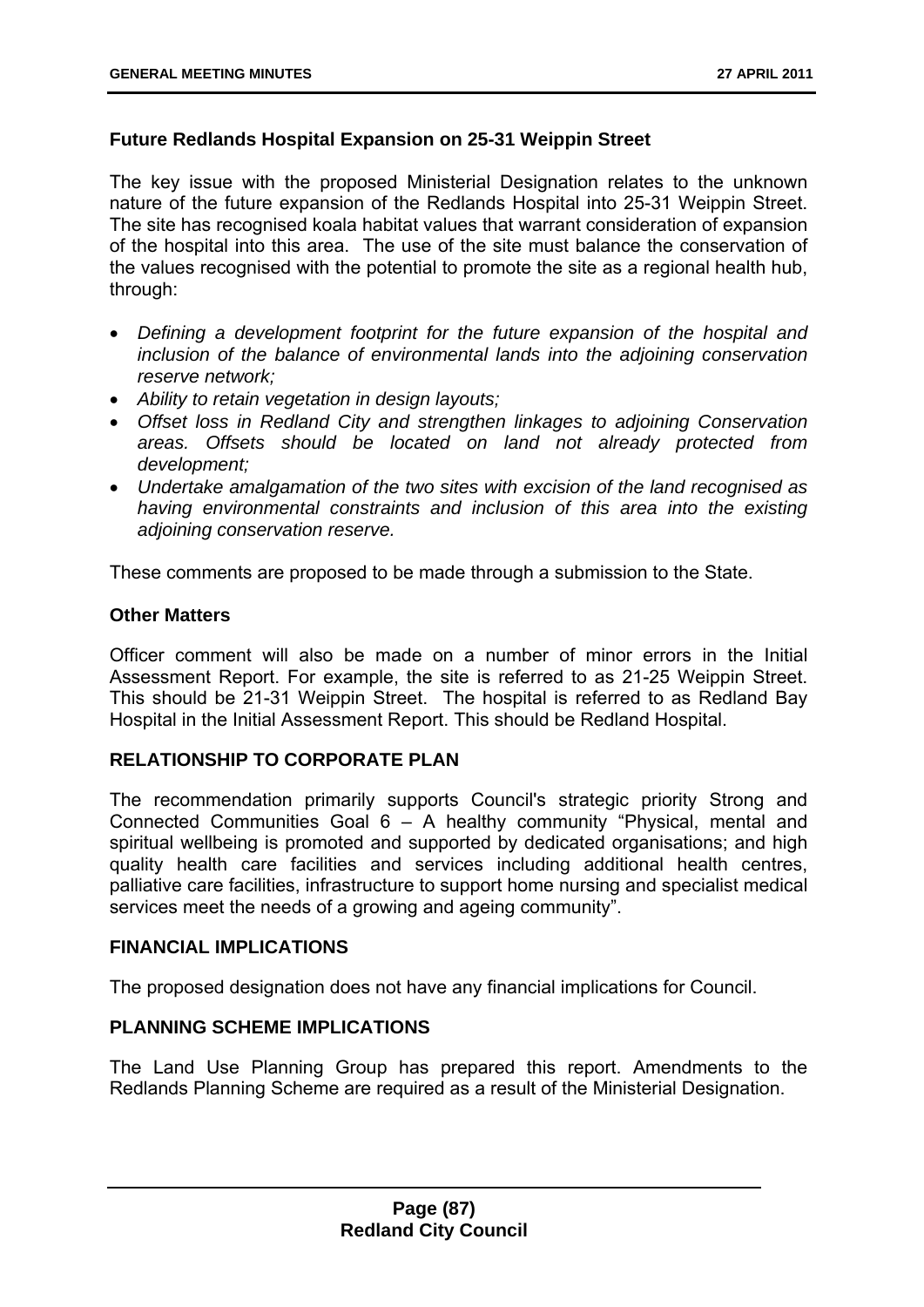## **Future Redlands Hospital Expansion on 25-31 Weippin Street**

The key issue with the proposed Ministerial Designation relates to the unknown nature of the future expansion of the Redlands Hospital into 25-31 Weippin Street. The site has recognised koala habitat values that warrant consideration of expansion of the hospital into this area. The use of the site must balance the conservation of the values recognised with the potential to promote the site as a regional health hub, through:

- *Defining a development footprint for the future expansion of the hospital and inclusion of the balance of environmental lands into the adjoining conservation reserve network;*
- *Ability to retain vegetation in design layouts;*
- *Offset loss in Redland City and strengthen linkages to adjoining Conservation areas. Offsets should be located on land not already protected from development;*
- *Undertake amalgamation of the two sites with excision of the land recognised as having environmental constraints and inclusion of this area into the existing adjoining conservation reserve.*

These comments are proposed to be made through a submission to the State.

### **Other Matters**

Officer comment will also be made on a number of minor errors in the Initial Assessment Report. For example, the site is referred to as 21-25 Weippin Street. This should be 21-31 Weippin Street. The hospital is referred to as Redland Bay Hospital in the Initial Assessment Report. This should be Redland Hospital.

## **RELATIONSHIP TO CORPORATE PLAN**

The recommendation primarily supports Council's strategic priority Strong and Connected Communities Goal 6 – A healthy community "Physical, mental and spiritual wellbeing is promoted and supported by dedicated organisations; and high quality health care facilities and services including additional health centres, palliative care facilities, infrastructure to support home nursing and specialist medical services meet the needs of a growing and ageing community".

### **FINANCIAL IMPLICATIONS**

The proposed designation does not have any financial implications for Council.

### **PLANNING SCHEME IMPLICATIONS**

The Land Use Planning Group has prepared this report. Amendments to the Redlands Planning Scheme are required as a result of the Ministerial Designation.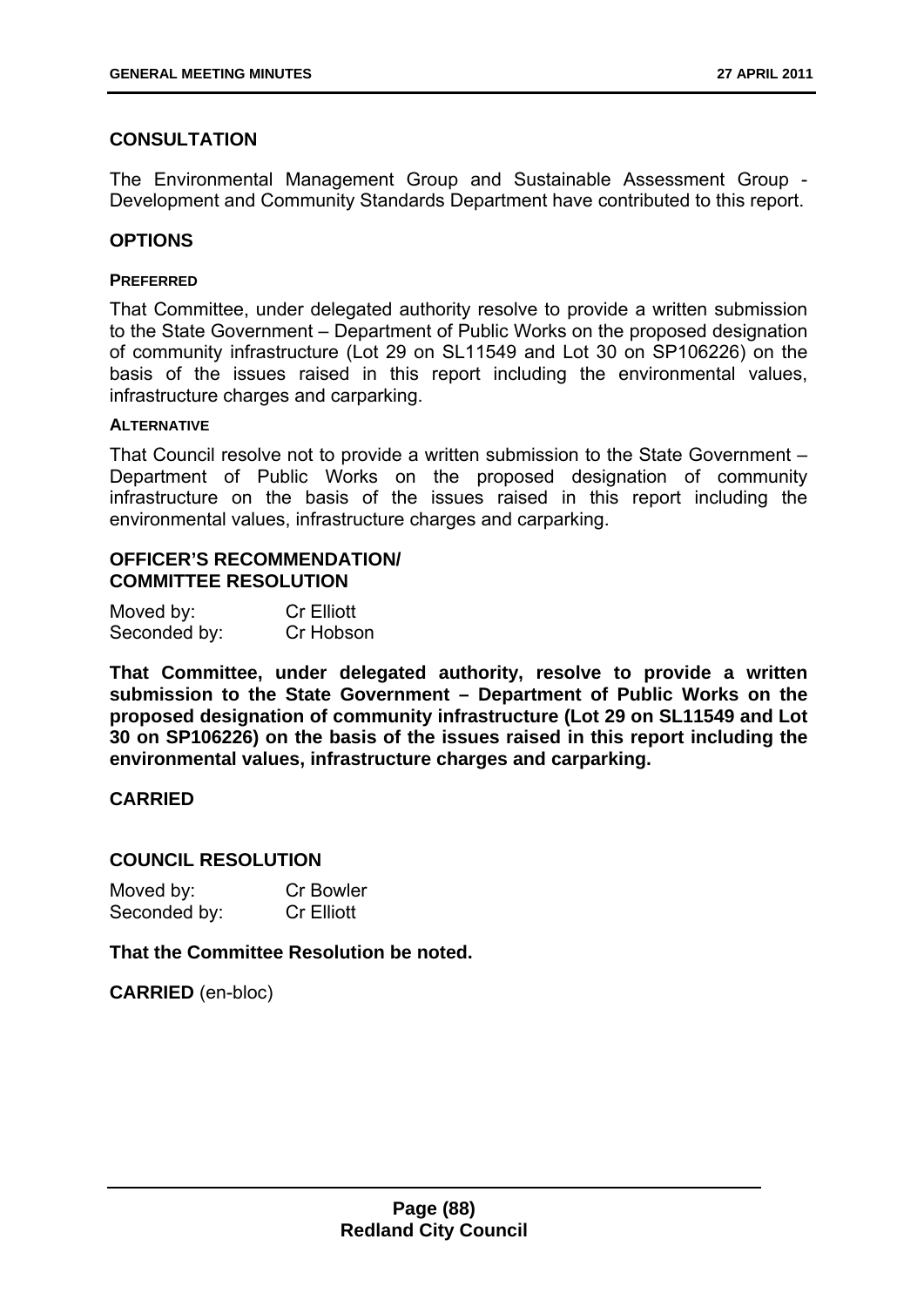# **CONSULTATION**

The Environmental Management Group and Sustainable Assessment Group - Development and Community Standards Department have contributed to this report.

## **OPTIONS**

#### **PREFERRED**

That Committee, under delegated authority resolve to provide a written submission to the State Government – Department of Public Works on the proposed designation of community infrastructure (Lot 29 on SL11549 and Lot 30 on SP106226) on the basis of the issues raised in this report including the environmental values, infrastructure charges and carparking.

#### **ALTERNATIVE**

That Council resolve not to provide a written submission to the State Government – Department of Public Works on the proposed designation of community infrastructure on the basis of the issues raised in this report including the environmental values, infrastructure charges and carparking.

## **OFFICER'S RECOMMENDATION/ COMMITTEE RESOLUTION**

| Moved by:    | <b>Cr Elliott</b> |
|--------------|-------------------|
| Seconded by: | Cr Hobson         |

**That Committee, under delegated authority, resolve to provide a written submission to the State Government – Department of Public Works on the proposed designation of community infrastructure (Lot 29 on SL11549 and Lot 30 on SP106226) on the basis of the issues raised in this report including the environmental values, infrastructure charges and carparking.** 

### **CARRIED**

### **COUNCIL RESOLUTION**

| Moved by:    | <b>Cr Bowler</b>  |
|--------------|-------------------|
| Seconded by: | <b>Cr Elliott</b> |

**That the Committee Resolution be noted.** 

**CARRIED** (en-bloc)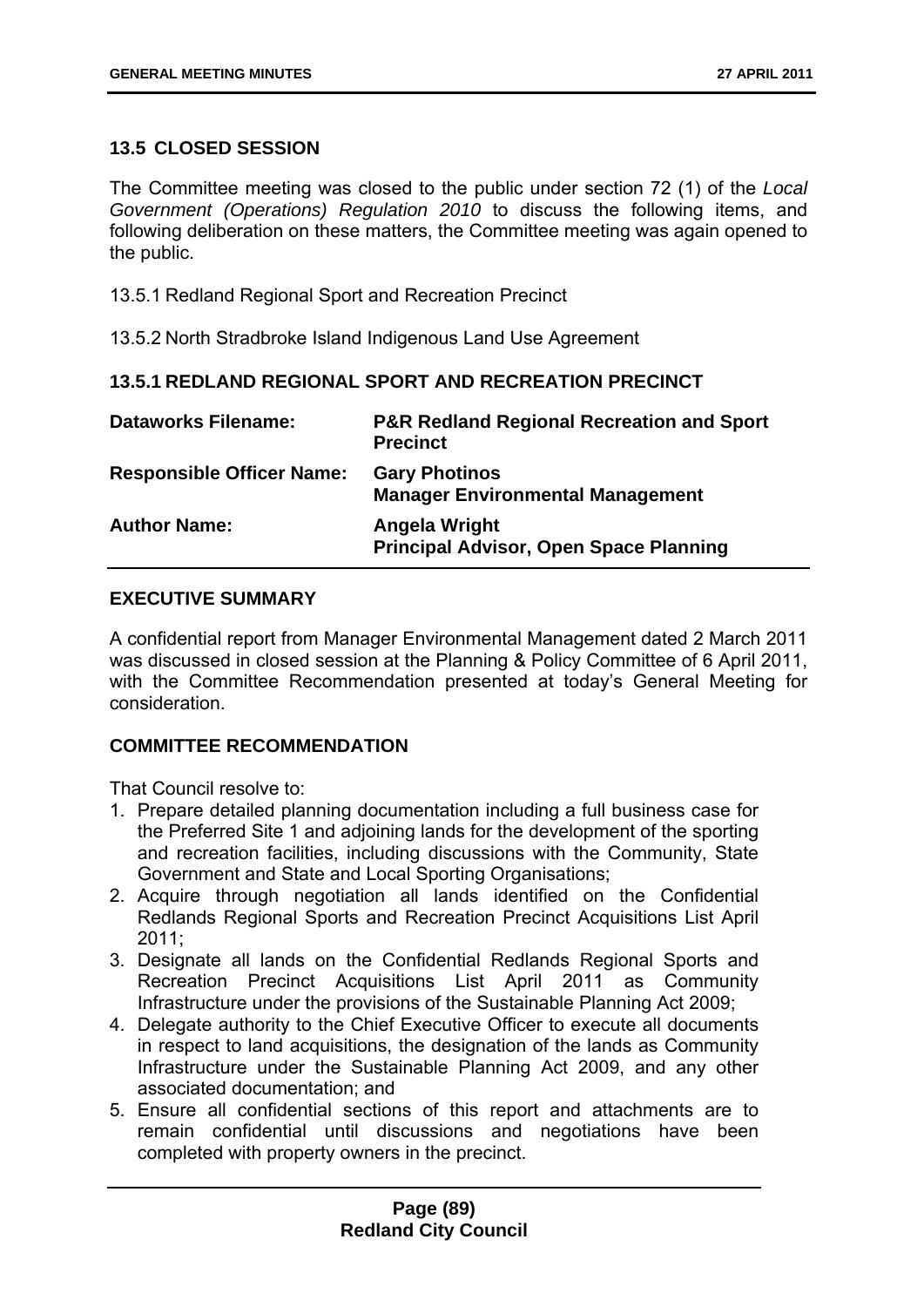## **13.5 CLOSED SESSION**

The Committee meeting was closed to the public under section 72 (1) of the *Local Government (Operations) Regulation 2010* to discuss the following items, and following deliberation on these matters, the Committee meeting was again opened to the public.

13.5.1 Redland Regional Sport and Recreation Precinct

13.5.2 North Stradbroke Island Indigenous Land Use Agreement

## **13.5.1 REDLAND REGIONAL SPORT AND RECREATION PRECINCT**

| <b>Dataworks Filename:</b>       | <b>P&amp;R Redland Regional Recreation and Sport</b><br><b>Precinct</b> |
|----------------------------------|-------------------------------------------------------------------------|
| <b>Responsible Officer Name:</b> | <b>Gary Photinos</b><br><b>Manager Environmental Management</b>         |
| <b>Author Name:</b>              | Angela Wright<br><b>Principal Advisor, Open Space Planning</b>          |

## **EXECUTIVE SUMMARY**

A confidential report from Manager Environmental Management dated 2 March 2011 was discussed in closed session at the Planning & Policy Committee of 6 April 2011, with the Committee Recommendation presented at today's General Meeting for consideration.

### **COMMITTEE RECOMMENDATION**

That Council resolve to:

- 1. Prepare detailed planning documentation including a full business case for the Preferred Site 1 and adjoining lands for the development of the sporting and recreation facilities, including discussions with the Community, State Government and State and Local Sporting Organisations;
- 2. Acquire through negotiation all lands identified on the Confidential Redlands Regional Sports and Recreation Precinct Acquisitions List April 2011;
- 3. Designate all lands on the Confidential Redlands Regional Sports and Recreation Precinct Acquisitions List April 2011 as Community Infrastructure under the provisions of the Sustainable Planning Act 2009;
- 4. Delegate authority to the Chief Executive Officer to execute all documents in respect to land acquisitions, the designation of the lands as Community Infrastructure under the Sustainable Planning Act 2009, and any other associated documentation; and
- 5. Ensure all confidential sections of this report and attachments are to remain confidential until discussions and negotiations have been completed with property owners in the precinct.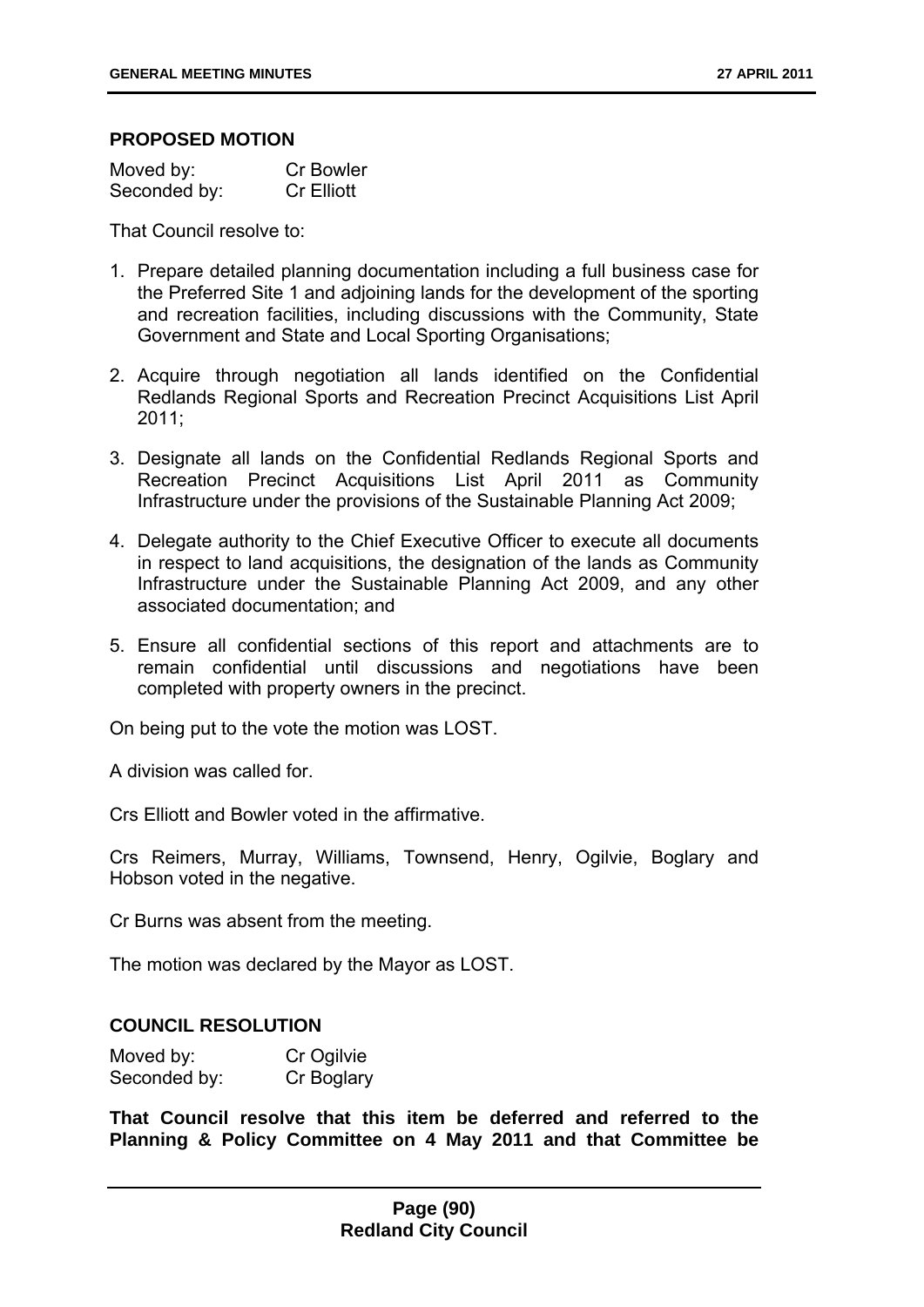### **PROPOSED MOTION**

| Moved by:    | <b>Cr Bowler</b>  |
|--------------|-------------------|
| Seconded by: | <b>Cr Elliott</b> |

That Council resolve to:

- 1. Prepare detailed planning documentation including a full business case for the Preferred Site 1 and adjoining lands for the development of the sporting and recreation facilities, including discussions with the Community, State Government and State and Local Sporting Organisations;
- 2. Acquire through negotiation all lands identified on the Confidential Redlands Regional Sports and Recreation Precinct Acquisitions List April  $2011$
- 3. Designate all lands on the Confidential Redlands Regional Sports and Recreation Precinct Acquisitions List April 2011 as Community Infrastructure under the provisions of the Sustainable Planning Act 2009;
- 4. Delegate authority to the Chief Executive Officer to execute all documents in respect to land acquisitions, the designation of the lands as Community Infrastructure under the Sustainable Planning Act 2009, and any other associated documentation; and
- 5. Ensure all confidential sections of this report and attachments are to remain confidential until discussions and negotiations have been completed with property owners in the precinct.

On being put to the vote the motion was LOST.

A division was called for.

Crs Elliott and Bowler voted in the affirmative.

Crs Reimers, Murray, Williams, Townsend, Henry, Ogilvie, Boglary and Hobson voted in the negative.

Cr Burns was absent from the meeting.

The motion was declared by the Mayor as LOST.

### **COUNCIL RESOLUTION**

| Moved by:    | Cr Ogilvie |
|--------------|------------|
| Seconded by: | Cr Boglary |

**That Council resolve that this item be deferred and referred to the Planning & Policy Committee on 4 May 2011 and that Committee be**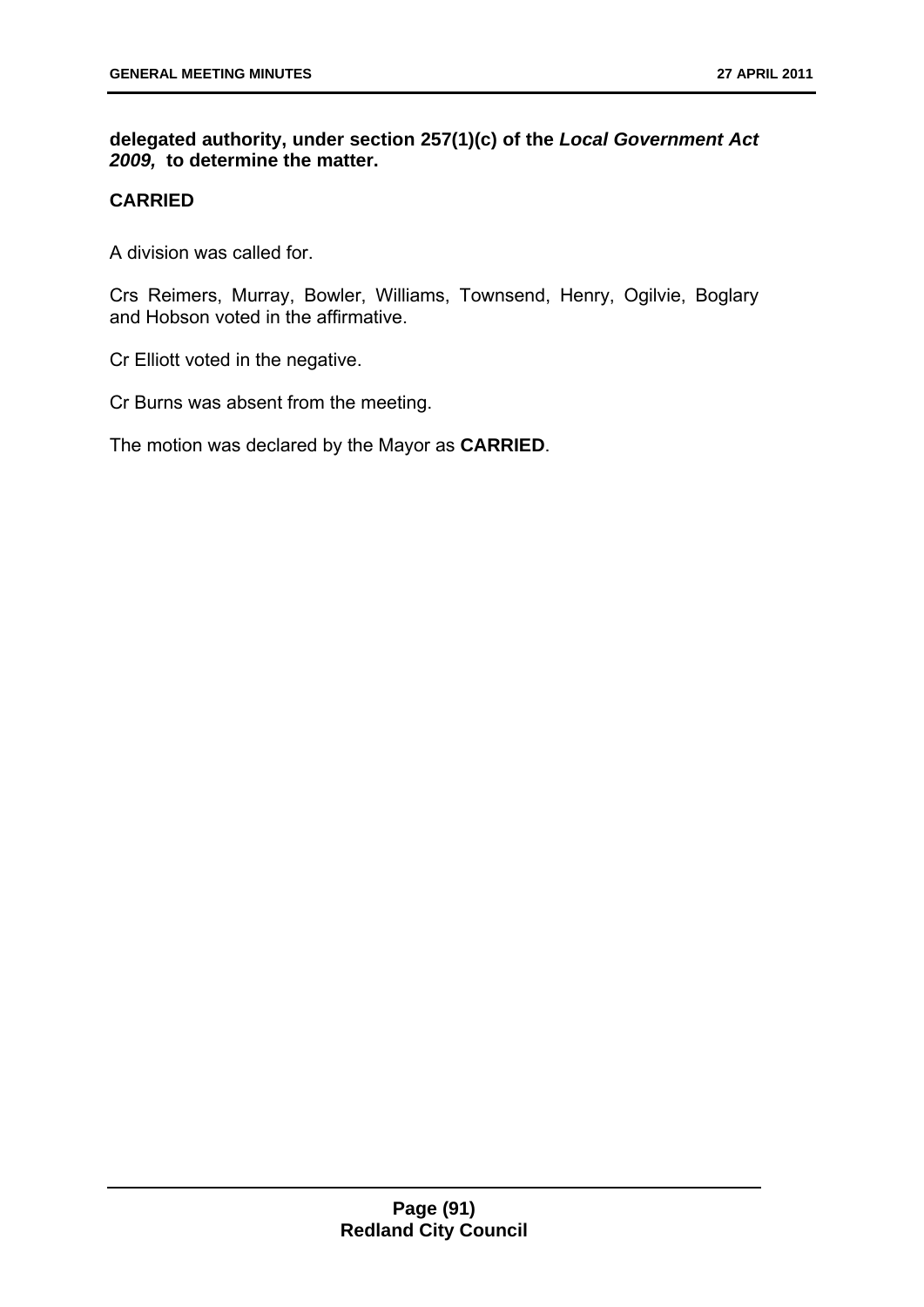**delegated authority, under section 257(1)(c) of the** *Local Government Act 2009,* **to determine the matter.** 

# **CARRIED**

A division was called for.

Crs Reimers, Murray, Bowler, Williams, Townsend, Henry, Ogilvie, Boglary and Hobson voted in the affirmative.

Cr Elliott voted in the negative.

Cr Burns was absent from the meeting.

The motion was declared by the Mayor as **CARRIED**.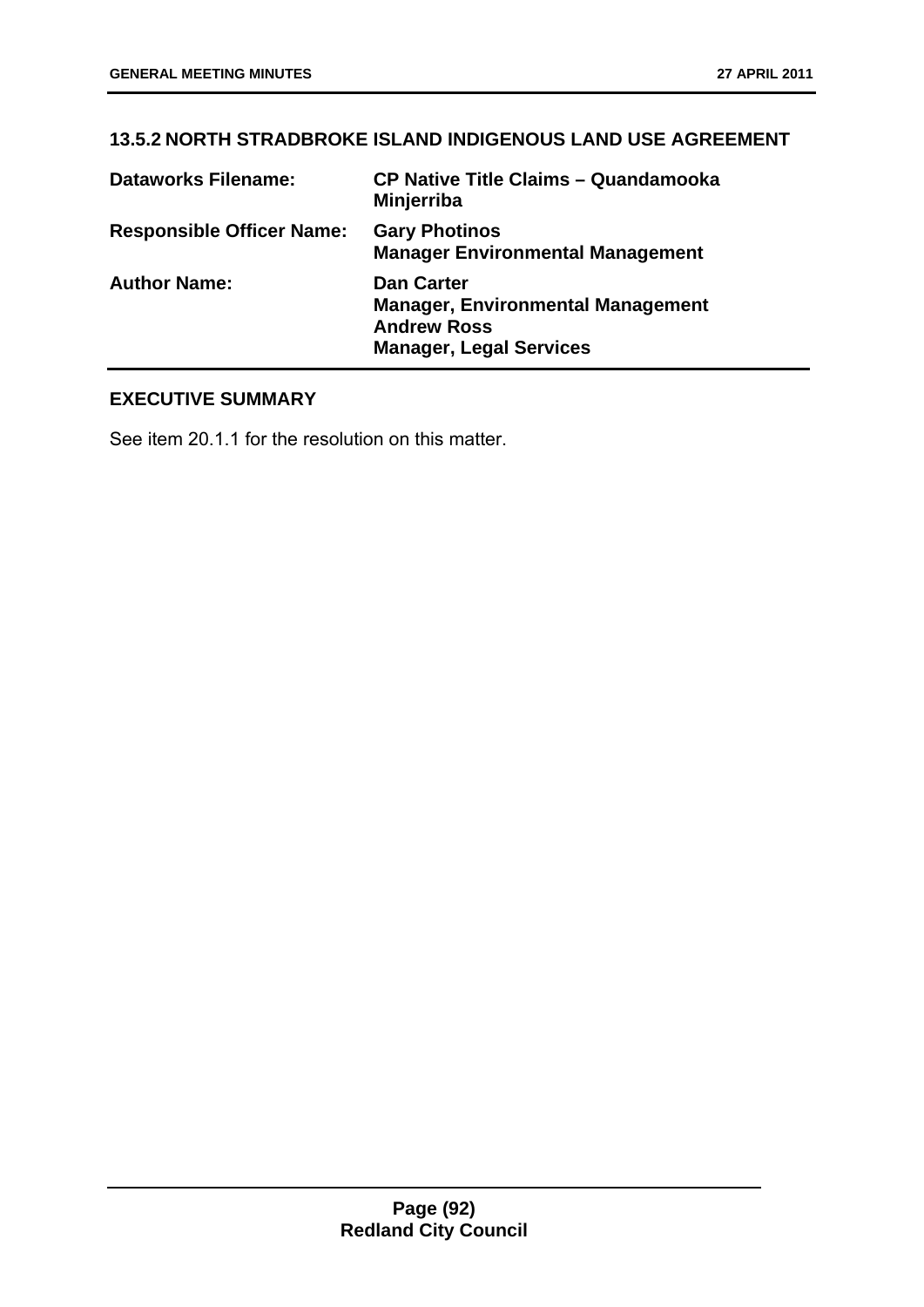# **13.5.2 NORTH STRADBROKE ISLAND INDIGENOUS LAND USE AGREEMENT**

| <b>Dataworks Filename:</b>       | <b>CP Native Title Claims - Quandamooka</b><br>Minjerriba                                                             |
|----------------------------------|-----------------------------------------------------------------------------------------------------------------------|
| <b>Responsible Officer Name:</b> | <b>Gary Photinos</b><br><b>Manager Environmental Management</b>                                                       |
| <b>Author Name:</b>              | <b>Dan Carter</b><br><b>Manager, Environmental Management</b><br><b>Andrew Ross</b><br><b>Manager, Legal Services</b> |

# **EXECUTIVE SUMMARY**

See item 20.1.1 for the resolution on this matter.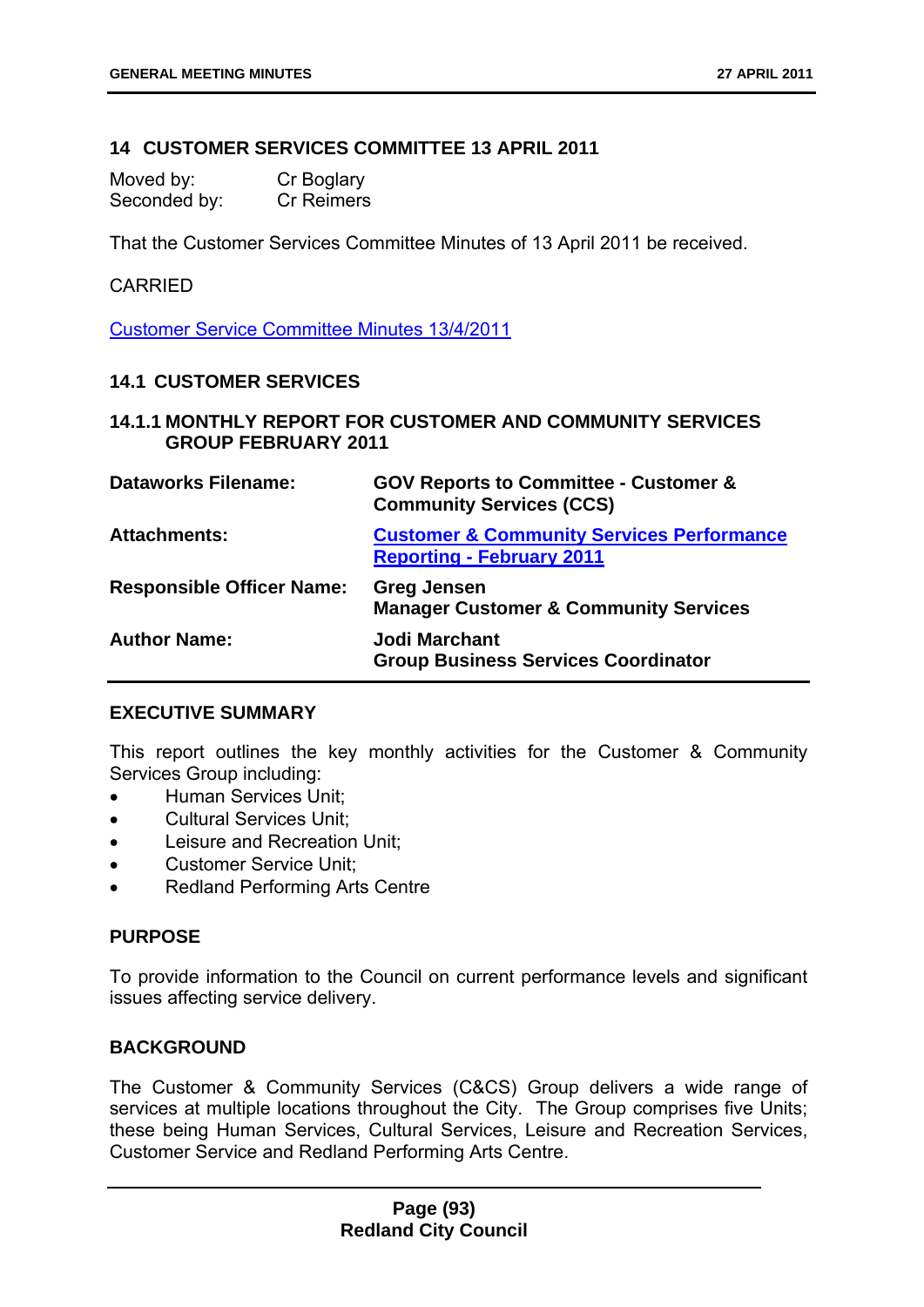### **14 CUSTOMER SERVICES COMMITTEE 13 APRIL 2011**

| Moved by:    | Cr Boglary |
|--------------|------------|
| Seconded by: | Cr Reimers |

That the Customer Services Committee Minutes of 13 April 2011 be received.

#### CARRIED

Customer Service Committee Minutes 13/4/2011

### **14.1 CUSTOMER SERVICES**

## **14.1.1 MONTHLY REPORT FOR CUSTOMER AND COMMUNITY SERVICES GROUP FEBRUARY 2011**

| <b>Dataworks Filename:</b>       | <b>GOV Reports to Committee - Customer &amp;</b><br><b>Community Services (CCS)</b>      |
|----------------------------------|------------------------------------------------------------------------------------------|
| <b>Attachments:</b>              | <b>Customer &amp; Community Services Performance</b><br><b>Reporting - February 2011</b> |
| <b>Responsible Officer Name:</b> | <b>Greg Jensen</b><br><b>Manager Customer &amp; Community Services</b>                   |
| <b>Author Name:</b>              | <b>Jodi Marchant</b><br><b>Group Business Services Coordinator</b>                       |

### **EXECUTIVE SUMMARY**

This report outlines the key monthly activities for the Customer & Community Services Group including:

- Human Services Unit:
- Cultural Services Unit;
- **•** Leisure and Recreation Unit:
- Customer Service Unit;
- Redland Performing Arts Centre

### **PURPOSE**

To provide information to the Council on current performance levels and significant issues affecting service delivery.

### **BACKGROUND**

The Customer & Community Services (C&CS) Group delivers a wide range of services at multiple locations throughout the City. The Group comprises five Units; these being Human Services, Cultural Services, Leisure and Recreation Services, Customer Service and Redland Performing Arts Centre.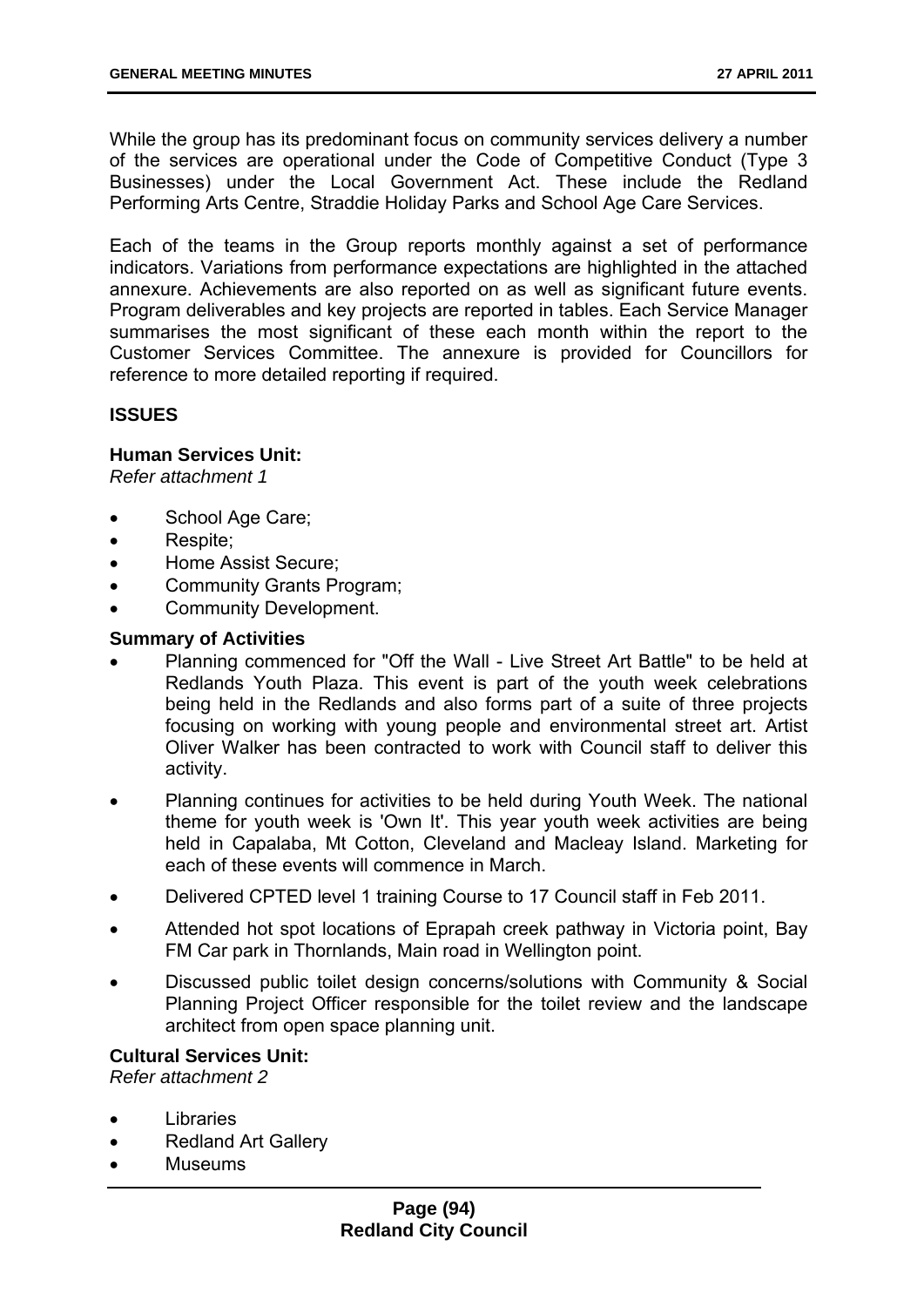While the group has its predominant focus on community services delivery a number of the services are operational under the Code of Competitive Conduct (Type 3 Businesses) under the Local Government Act. These include the Redland Performing Arts Centre, Straddie Holiday Parks and School Age Care Services.

Each of the teams in the Group reports monthly against a set of performance indicators. Variations from performance expectations are highlighted in the attached annexure. Achievements are also reported on as well as significant future events. Program deliverables and key projects are reported in tables. Each Service Manager summarises the most significant of these each month within the report to the Customer Services Committee. The annexure is provided for Councillors for reference to more detailed reporting if required.

# **ISSUES**

## **Human Services Unit:**

*Refer attachment 1* 

- School Age Care;
- Respite:
- Home Assist Secure;
- Community Grants Program;
- Community Development.

## **Summary of Activities**

- Planning commenced for "Off the Wall Live Street Art Battle" to be held at Redlands Youth Plaza. This event is part of the youth week celebrations being held in the Redlands and also forms part of a suite of three projects focusing on working with young people and environmental street art. Artist Oliver Walker has been contracted to work with Council staff to deliver this activity.
- Planning continues for activities to be held during Youth Week. The national theme for youth week is 'Own It'. This year youth week activities are being held in Capalaba, Mt Cotton, Cleveland and Macleay Island. Marketing for each of these events will commence in March.
- Delivered CPTED level 1 training Course to 17 Council staff in Feb 2011.
- Attended hot spot locations of Eprapah creek pathway in Victoria point, Bay FM Car park in Thornlands, Main road in Wellington point.
- Discussed public toilet design concerns/solutions with Community & Social Planning Project Officer responsible for the toilet review and the landscape architect from open space planning unit.

### **Cultural Services Unit:**

*Refer attachment 2* 

- Libraries
- Redland Art Gallery
- Museums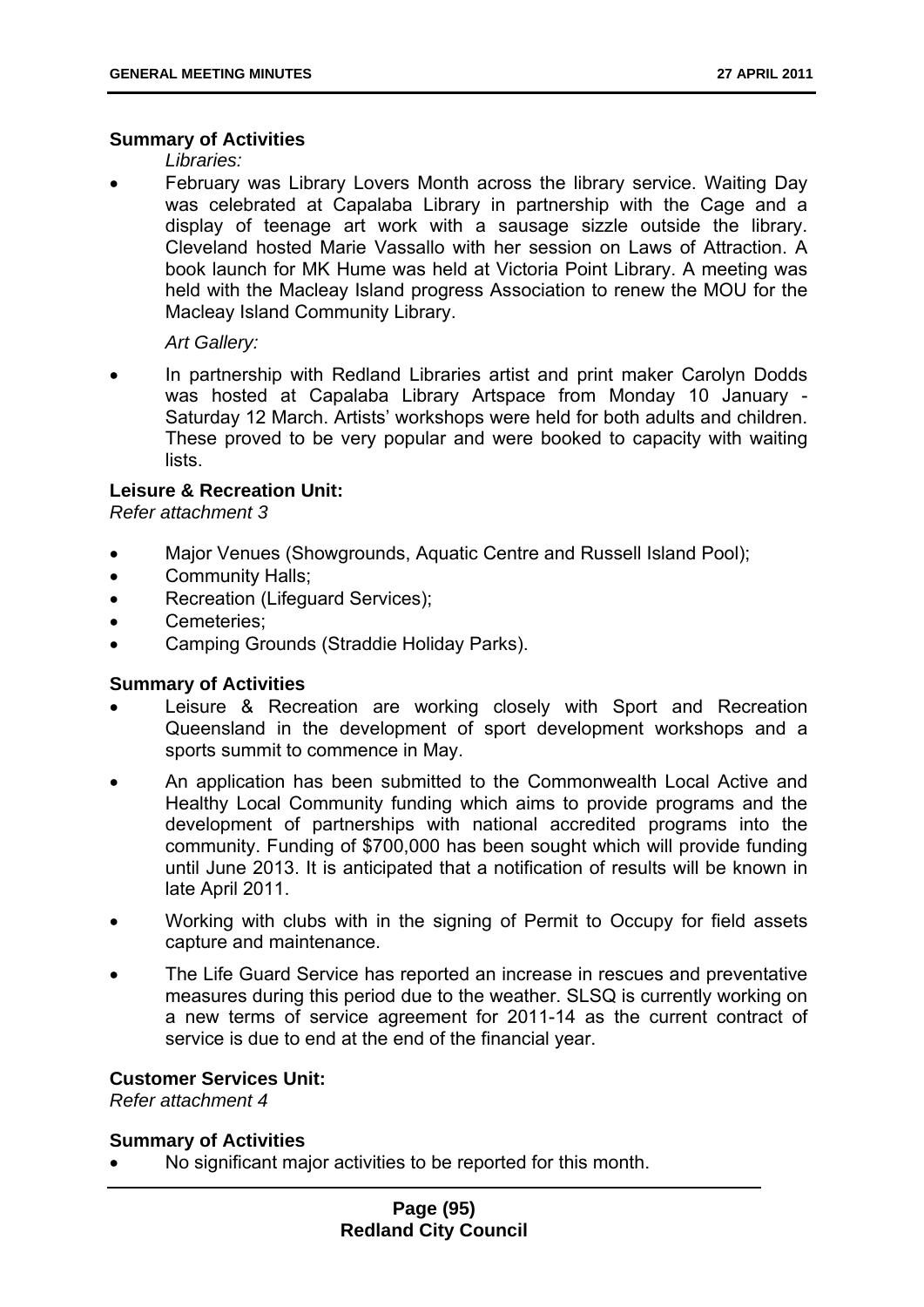### **Summary of Activities**

*Libraries:* 

 February was Library Lovers Month across the library service. Waiting Day was celebrated at Capalaba Library in partnership with the Cage and a display of teenage art work with a sausage sizzle outside the library. Cleveland hosted Marie Vassallo with her session on Laws of Attraction. A book launch for MK Hume was held at Victoria Point Library. A meeting was held with the Macleay Island progress Association to renew the MOU for the Macleay Island Community Library.

*Art Gallery:* 

• In partnership with Redland Libraries artist and print maker Carolyn Dodds was hosted at Capalaba Library Artspace from Monday 10 January - Saturday 12 March. Artists' workshops were held for both adults and children. These proved to be very popular and were booked to capacity with waiting lists.

## **Leisure & Recreation Unit:**

*Refer attachment 3* 

- Major Venues (Showgrounds, Aquatic Centre and Russell Island Pool);
- Community Halls;
- Recreation (Lifeguard Services);
- Cemeteries:
- Camping Grounds (Straddie Holiday Parks).

### **Summary of Activities**

- Leisure & Recreation are working closely with Sport and Recreation Queensland in the development of sport development workshops and a sports summit to commence in May.
- An application has been submitted to the Commonwealth Local Active and Healthy Local Community funding which aims to provide programs and the development of partnerships with national accredited programs into the community. Funding of \$700,000 has been sought which will provide funding until June 2013. It is anticipated that a notification of results will be known in late April 2011.
- Working with clubs with in the signing of Permit to Occupy for field assets capture and maintenance.
- The Life Guard Service has reported an increase in rescues and preventative measures during this period due to the weather. SLSQ is currently working on a new terms of service agreement for 2011-14 as the current contract of service is due to end at the end of the financial year.

## **Customer Services Unit:**

*Refer attachment 4* 

## **Summary of Activities**

No significant major activities to be reported for this month.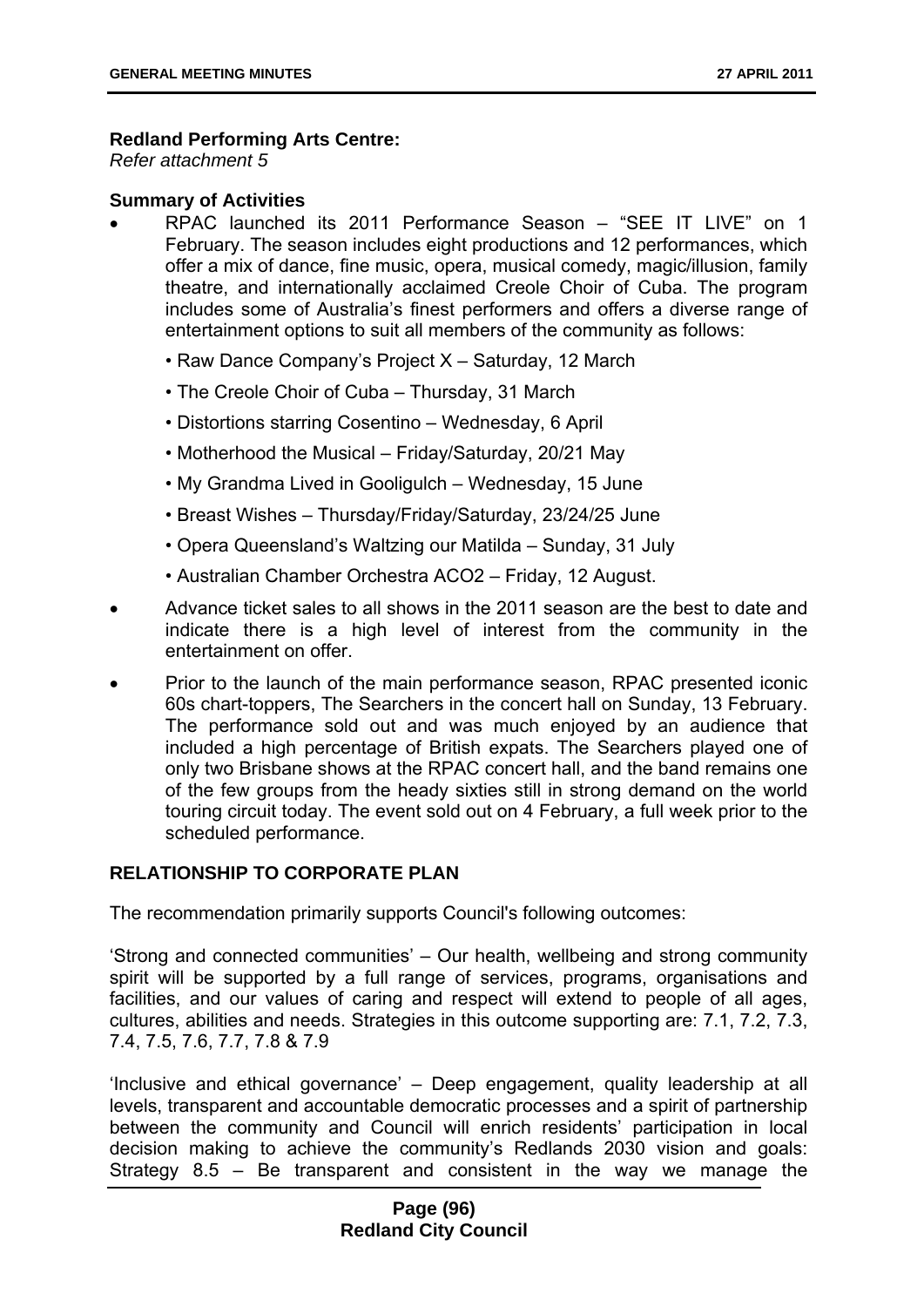## **Redland Performing Arts Centre:**

*Refer attachment 5* 

## **Summary of Activities**

- RPAC launched its 2011 Performance Season "SEE IT LIVE" on 1 February. The season includes eight productions and 12 performances, which offer a mix of dance, fine music, opera, musical comedy, magic/illusion, family theatre, and internationally acclaimed Creole Choir of Cuba. The program includes some of Australia's finest performers and offers a diverse range of entertainment options to suit all members of the community as follows:
	- Raw Dance Company's Project X Saturday, 12 March
	- The Creole Choir of Cuba Thursday, 31 March
	- Distortions starring Cosentino Wednesday, 6 April
	- Motherhood the Musical Friday/Saturday, 20/21 May
	- My Grandma Lived in Gooligulch Wednesday, 15 June
	- Breast Wishes Thursday/Friday/Saturday, 23/24/25 June
	- Opera Queensland's Waltzing our Matilda Sunday, 31 July
	- Australian Chamber Orchestra ACO2 Friday, 12 August.
- Advance ticket sales to all shows in the 2011 season are the best to date and indicate there is a high level of interest from the community in the entertainment on offer.
- Prior to the launch of the main performance season, RPAC presented iconic 60s chart-toppers, The Searchers in the concert hall on Sunday, 13 February. The performance sold out and was much enjoyed by an audience that included a high percentage of British expats. The Searchers played one of only two Brisbane shows at the RPAC concert hall, and the band remains one of the few groups from the heady sixties still in strong demand on the world touring circuit today. The event sold out on 4 February, a full week prior to the scheduled performance.

## **RELATIONSHIP TO CORPORATE PLAN**

The recommendation primarily supports Council's following outcomes:

'Strong and connected communities' – Our health, wellbeing and strong community spirit will be supported by a full range of services, programs, organisations and facilities, and our values of caring and respect will extend to people of all ages, cultures, abilities and needs. Strategies in this outcome supporting are: 7.1, 7.2, 7.3, 7.4, 7.5, 7.6, 7.7, 7.8 & 7.9

'Inclusive and ethical governance' – Deep engagement, quality leadership at all levels, transparent and accountable democratic processes and a spirit of partnership between the community and Council will enrich residents' participation in local decision making to achieve the community's Redlands 2030 vision and goals: Strategy 8.5 – Be transparent and consistent in the way we manage the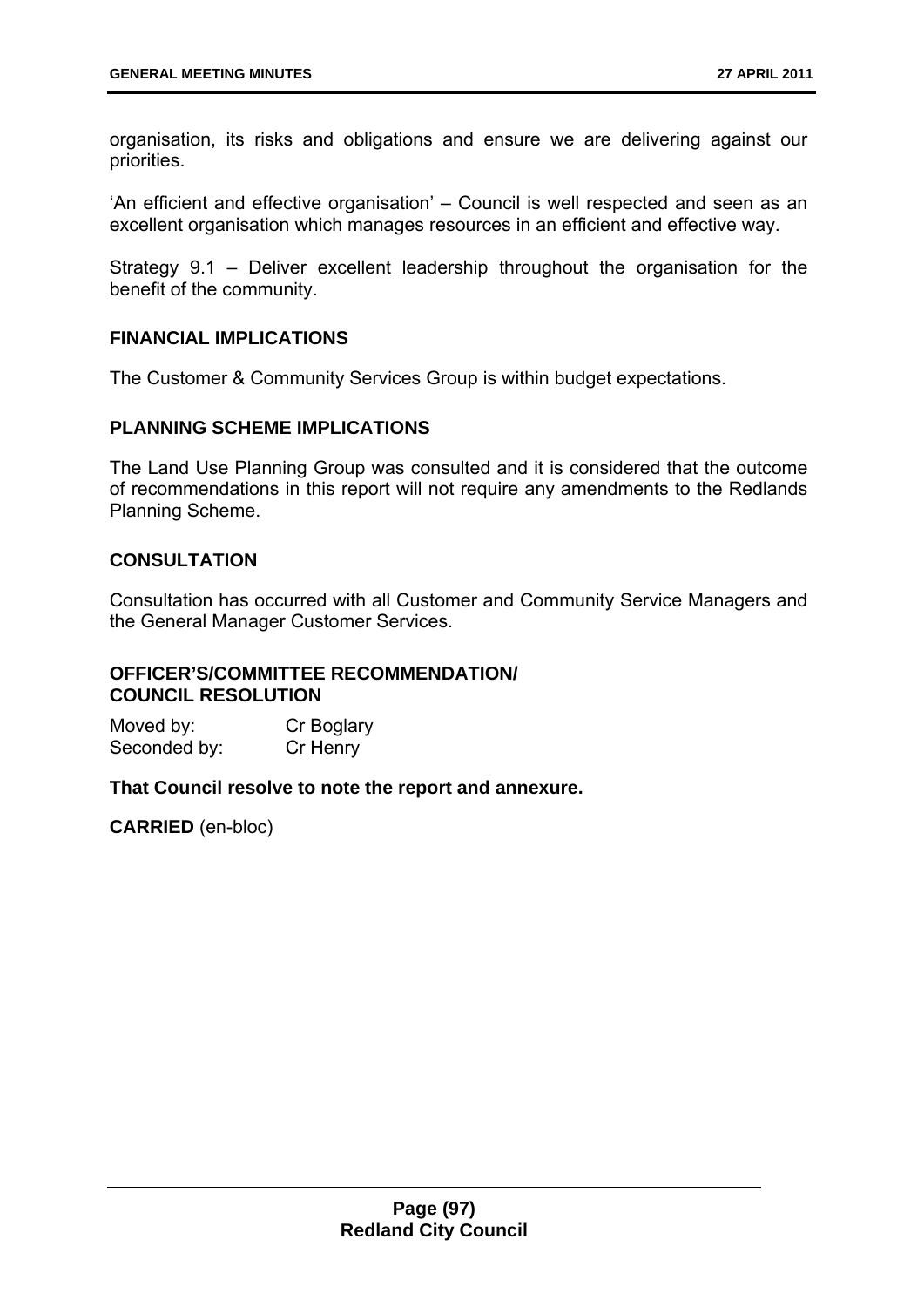organisation, its risks and obligations and ensure we are delivering against our priorities.

'An efficient and effective organisation' – Council is well respected and seen as an excellent organisation which manages resources in an efficient and effective way.

Strategy 9.1 – Deliver excellent leadership throughout the organisation for the benefit of the community.

## **FINANCIAL IMPLICATIONS**

The Customer & Community Services Group is within budget expectations.

## **PLANNING SCHEME IMPLICATIONS**

The Land Use Planning Group was consulted and it is considered that the outcome of recommendations in this report will not require any amendments to the Redlands Planning Scheme.

## **CONSULTATION**

Consultation has occurred with all Customer and Community Service Managers and the General Manager Customer Services.

# **OFFICER'S/COMMITTEE RECOMMENDATION/ COUNCIL RESOLUTION**

Moved by: Cr Boglary Seconded by: Cr Henry

### **That Council resolve to note the report and annexure.**

**CARRIED** (en-bloc)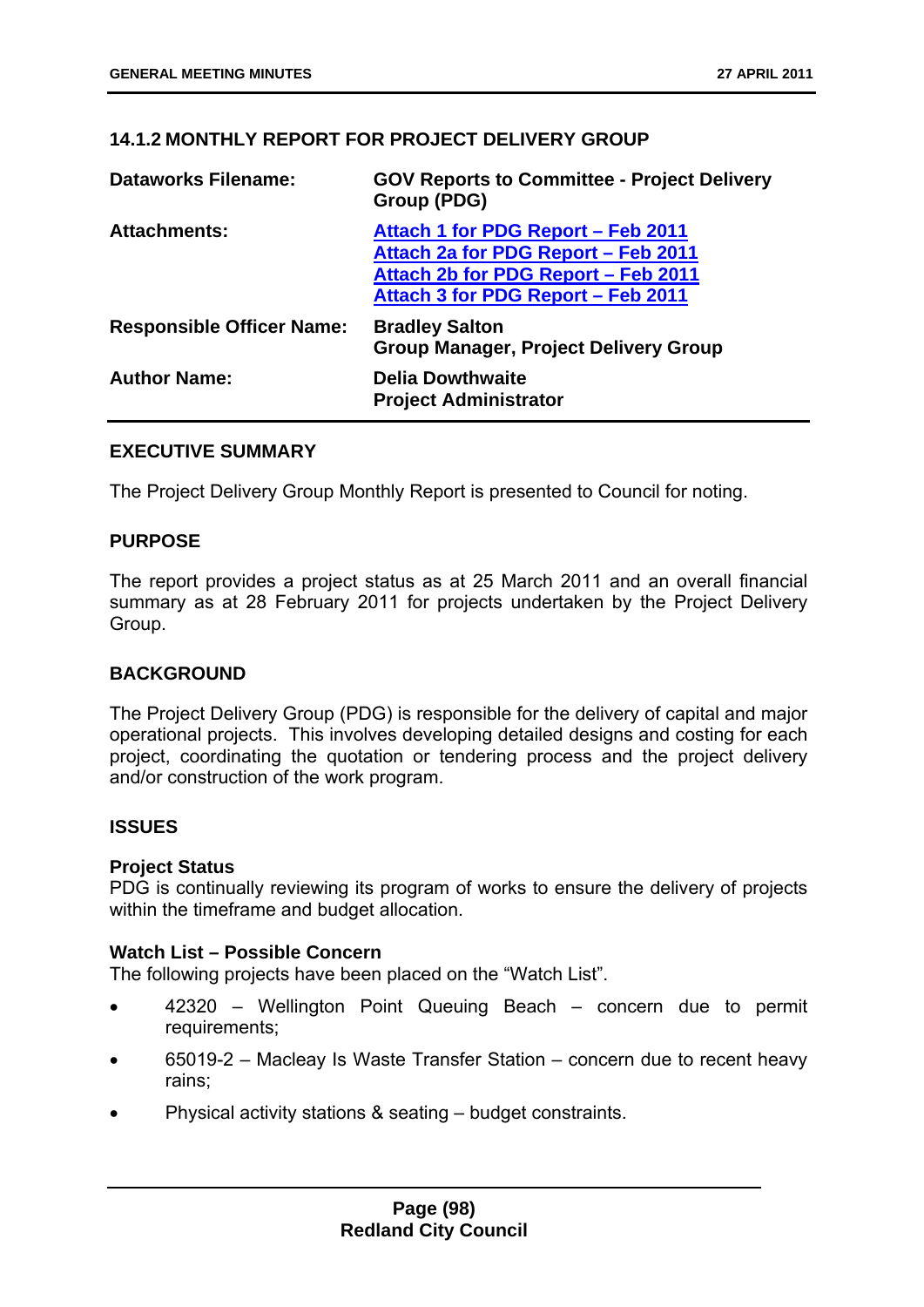# **14.1.2 MONTHLY REPORT FOR PROJECT DELIVERY GROUP**

| <b>Dataworks Filename:</b>       | <b>GOV Reports to Committee - Project Delivery</b><br>Group (PDG)                                                                                      |
|----------------------------------|--------------------------------------------------------------------------------------------------------------------------------------------------------|
| <b>Attachments:</b>              | Attach 1 for PDG Report – Feb 2011<br>Attach 2a for PDG Report - Feb 2011<br>Attach 2b for PDG Report - Feb 2011<br>Attach 3 for PDG Report – Feb 2011 |
| <b>Responsible Officer Name:</b> | <b>Bradley Salton</b><br><b>Group Manager, Project Delivery Group</b>                                                                                  |
| <b>Author Name:</b>              | <b>Delia Dowthwaite</b><br><b>Project Administrator</b>                                                                                                |

## **EXECUTIVE SUMMARY**

The Project Delivery Group Monthly Report is presented to Council for noting.

## **PURPOSE**

The report provides a project status as at 25 March 2011 and an overall financial summary as at 28 February 2011 for projects undertaken by the Project Delivery Group.

## **BACKGROUND**

The Project Delivery Group (PDG) is responsible for the delivery of capital and major operational projects. This involves developing detailed designs and costing for each project, coordinating the quotation or tendering process and the project delivery and/or construction of the work program.

## **ISSUES**

### **Project Status**

PDG is continually reviewing its program of works to ensure the delivery of projects within the timeframe and budget allocation.

### **Watch List – Possible Concern**

The following projects have been placed on the "Watch List".

- 42320 Wellington Point Queuing Beach concern due to permit requirements;
- 65019-2 Macleay Is Waste Transfer Station concern due to recent heavy rains;
- Physical activity stations & seating budget constraints.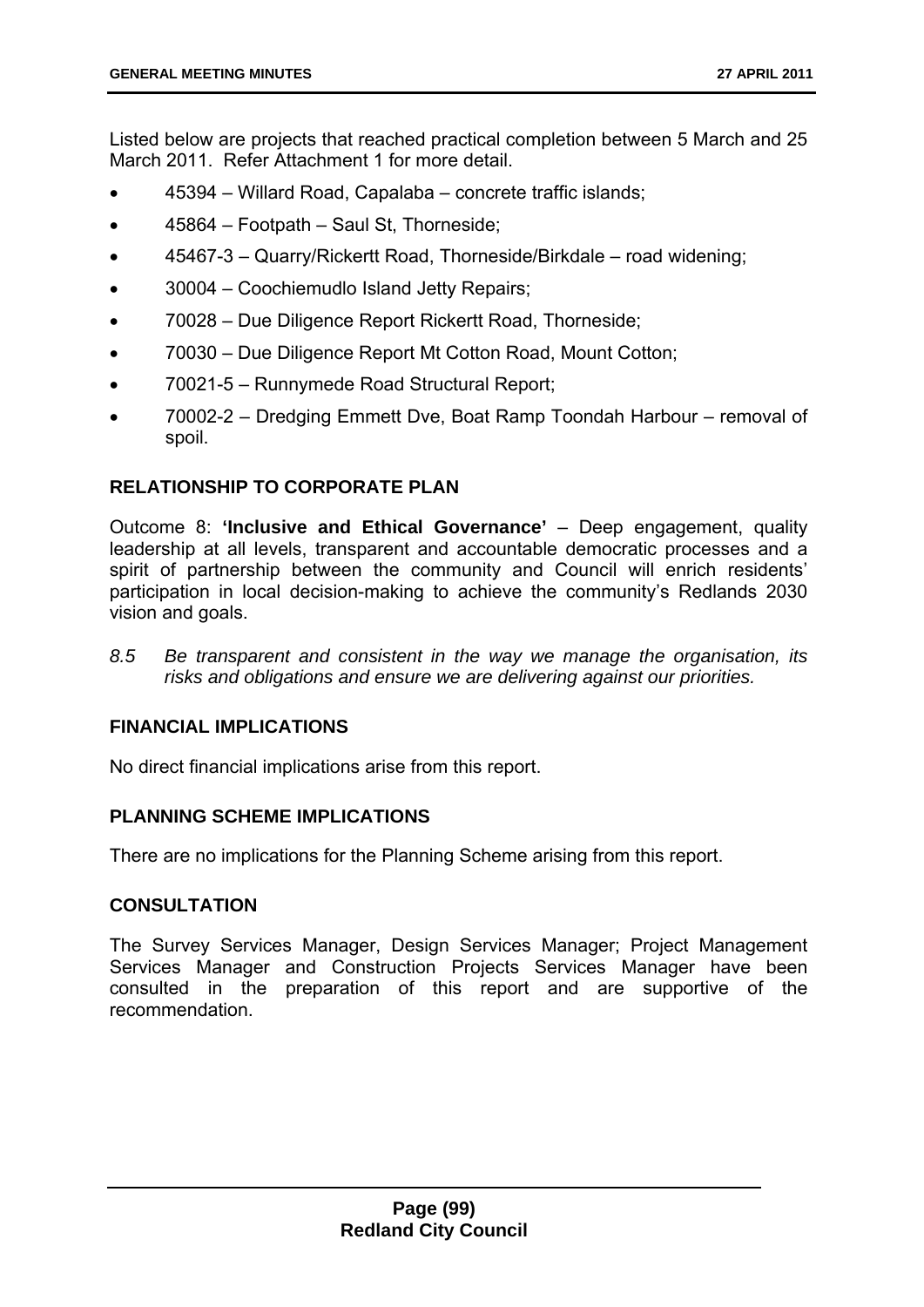Listed below are projects that reached practical completion between 5 March and 25 March 2011. Refer Attachment 1 for more detail.

- 45394 Willard Road, Capalaba concrete traffic islands;
- 45864 Footpath Saul St, Thorneside;
- 45467-3 Quarry/Rickertt Road, Thorneside/Birkdale road widening;
- 30004 Coochiemudlo Island Jetty Repairs;
- 70028 Due Diligence Report Rickertt Road, Thorneside;
- 70030 Due Diligence Report Mt Cotton Road, Mount Cotton;
- 70021-5 Runnymede Road Structural Report;
- 70002-2 Dredging Emmett Dve, Boat Ramp Toondah Harbour removal of spoil.

## **RELATIONSHIP TO CORPORATE PLAN**

Outcome 8: **'Inclusive and Ethical Governance'** – Deep engagement, quality leadership at all levels, transparent and accountable democratic processes and a spirit of partnership between the community and Council will enrich residents' participation in local decision-making to achieve the community's Redlands 2030 vision and goals.

*8.5 Be transparent and consistent in the way we manage the organisation, its risks and obligations and ensure we are delivering against our priorities.* 

## **FINANCIAL IMPLICATIONS**

No direct financial implications arise from this report.

### **PLANNING SCHEME IMPLICATIONS**

There are no implications for the Planning Scheme arising from this report.

### **CONSULTATION**

The Survey Services Manager, Design Services Manager; Project Management Services Manager and Construction Projects Services Manager have been consulted in the preparation of this report and are supportive of the recommendation.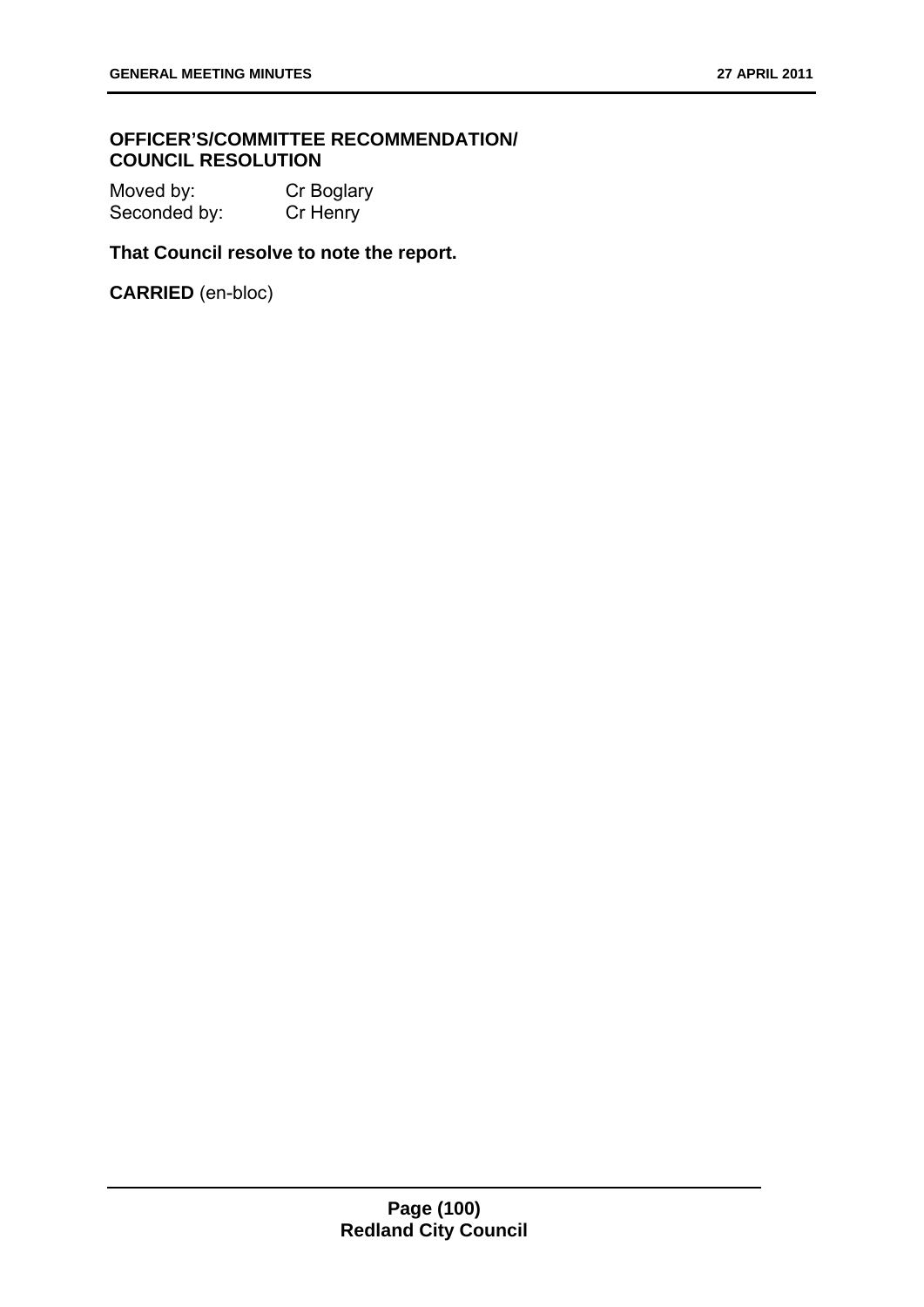## **OFFICER'S/COMMITTEE RECOMMENDATION/ COUNCIL RESOLUTION**

Moved by: Cr Boglary Seconded by: Cr Henry

# **That Council resolve to note the report.**

**CARRIED** (en-bloc)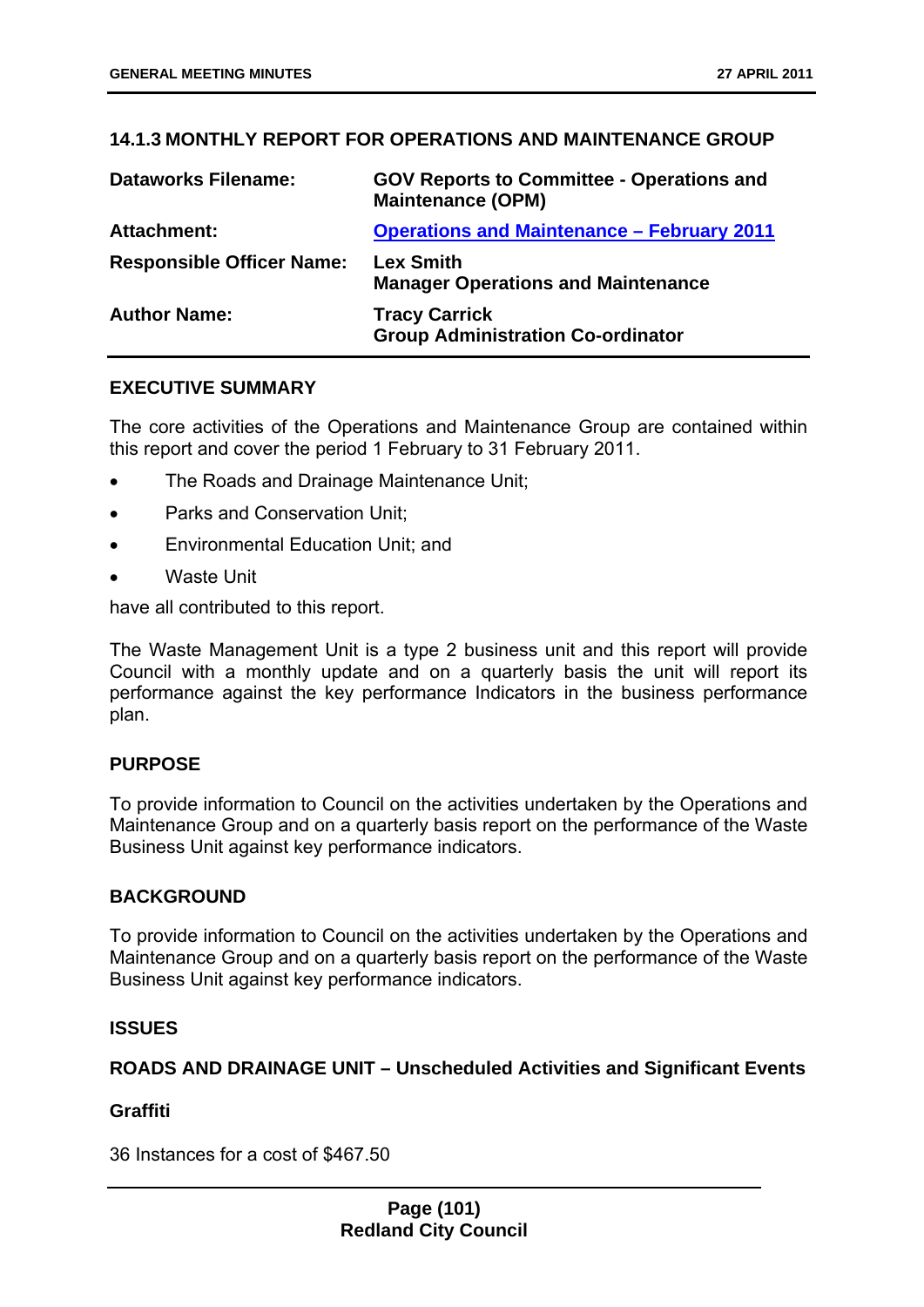# **14.1.3 MONTHLY REPORT FOR OPERATIONS AND MAINTENANCE GROUP**

| <b>Dataworks Filename:</b>       | <b>GOV Reports to Committee - Operations and</b><br><b>Maintenance (OPM)</b> |
|----------------------------------|------------------------------------------------------------------------------|
| <b>Attachment:</b>               | <b>Operations and Maintenance - February 2011</b>                            |
| <b>Responsible Officer Name:</b> | <b>Lex Smith</b><br><b>Manager Operations and Maintenance</b>                |
| <b>Author Name:</b>              | <b>Tracy Carrick</b><br><b>Group Administration Co-ordinator</b>             |

## **EXECUTIVE SUMMARY**

The core activities of the Operations and Maintenance Group are contained within this report and cover the period 1 February to 31 February 2011.

- The Roads and Drainage Maintenance Unit;
- Parks and Conservation Unit;
- Environmental Education Unit; and
- Waste Unit

have all contributed to this report.

The Waste Management Unit is a type 2 business unit and this report will provide Council with a monthly update and on a quarterly basis the unit will report its performance against the key performance Indicators in the business performance plan.

## **PURPOSE**

To provide information to Council on the activities undertaken by the Operations and Maintenance Group and on a quarterly basis report on the performance of the Waste Business Unit against key performance indicators.

### **BACKGROUND**

To provide information to Council on the activities undertaken by the Operations and Maintenance Group and on a quarterly basis report on the performance of the Waste Business Unit against key performance indicators.

### **ISSUES**

## **ROADS AND DRAINAGE UNIT – Unscheduled Activities and Significant Events**

### **Graffiti**

36 Instances for a cost of \$467.50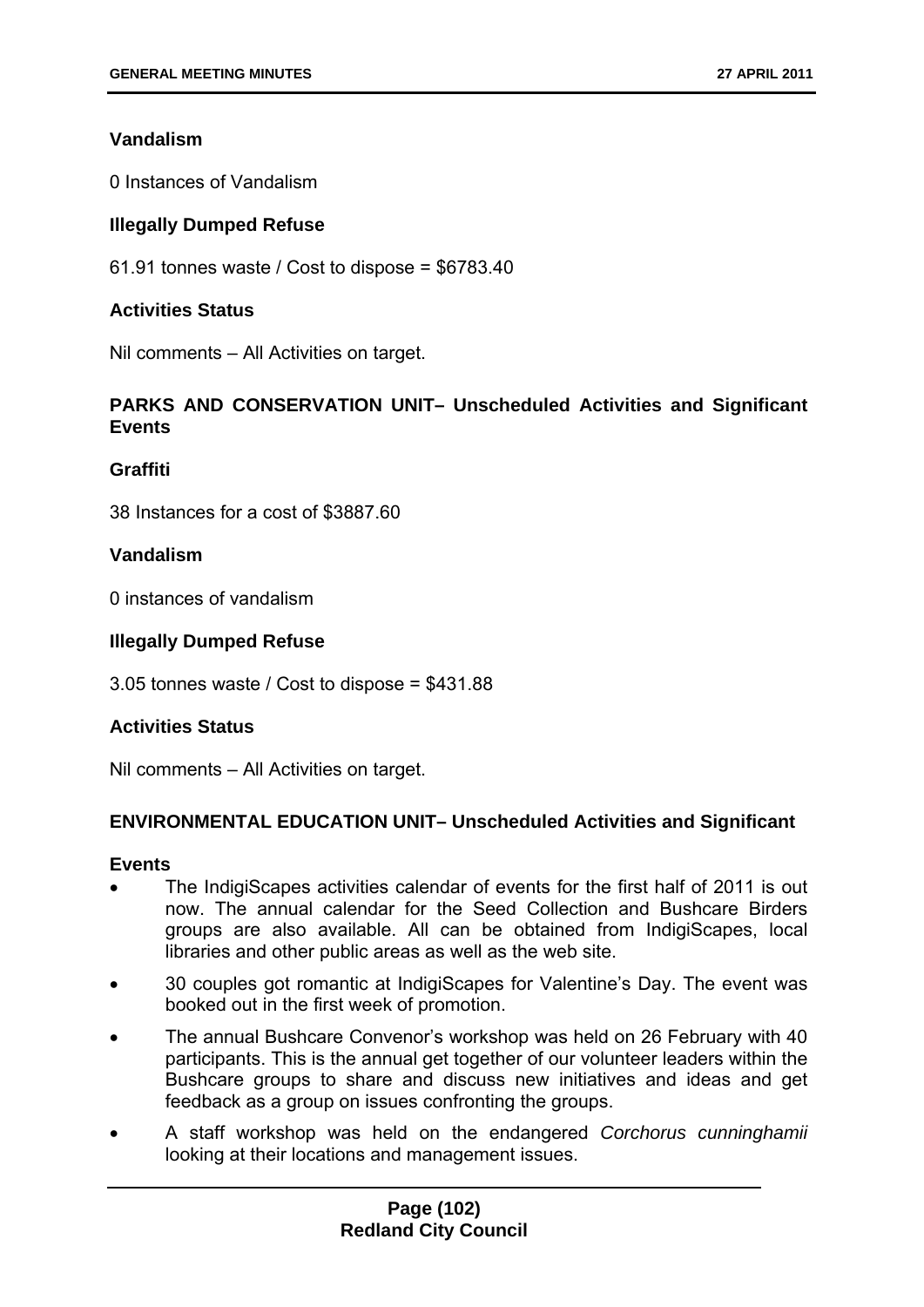# **Vandalism**

0 Instances of Vandalism

# **Illegally Dumped Refuse**

61.91 tonnes waste / Cost to dispose = \$6783.40

## **Activities Status**

Nil comments – All Activities on target.

# **PARKS AND CONSERVATION UNIT– Unscheduled Activities and Significant Events**

## **Graffiti**

38 Instances for a cost of \$3887.60

## **Vandalism**

0 instances of vandalism

## **Illegally Dumped Refuse**

3.05 tonnes waste / Cost to dispose = \$431.88

## **Activities Status**

Nil comments – All Activities on target.

## **ENVIRONMENTAL EDUCATION UNIT– Unscheduled Activities and Significant**

### **Events**

- The IndigiScapes activities calendar of events for the first half of 2011 is out now. The annual calendar for the Seed Collection and Bushcare Birders groups are also available. All can be obtained from IndigiScapes, local libraries and other public areas as well as the web site.
- 30 couples got romantic at IndigiScapes for Valentine's Day. The event was booked out in the first week of promotion.
- The annual Bushcare Convenor's workshop was held on 26 February with 40 participants. This is the annual get together of our volunteer leaders within the Bushcare groups to share and discuss new initiatives and ideas and get feedback as a group on issues confronting the groups.
- A staff workshop was held on the endangered *Corchorus cunninghamii* looking at their locations and management issues.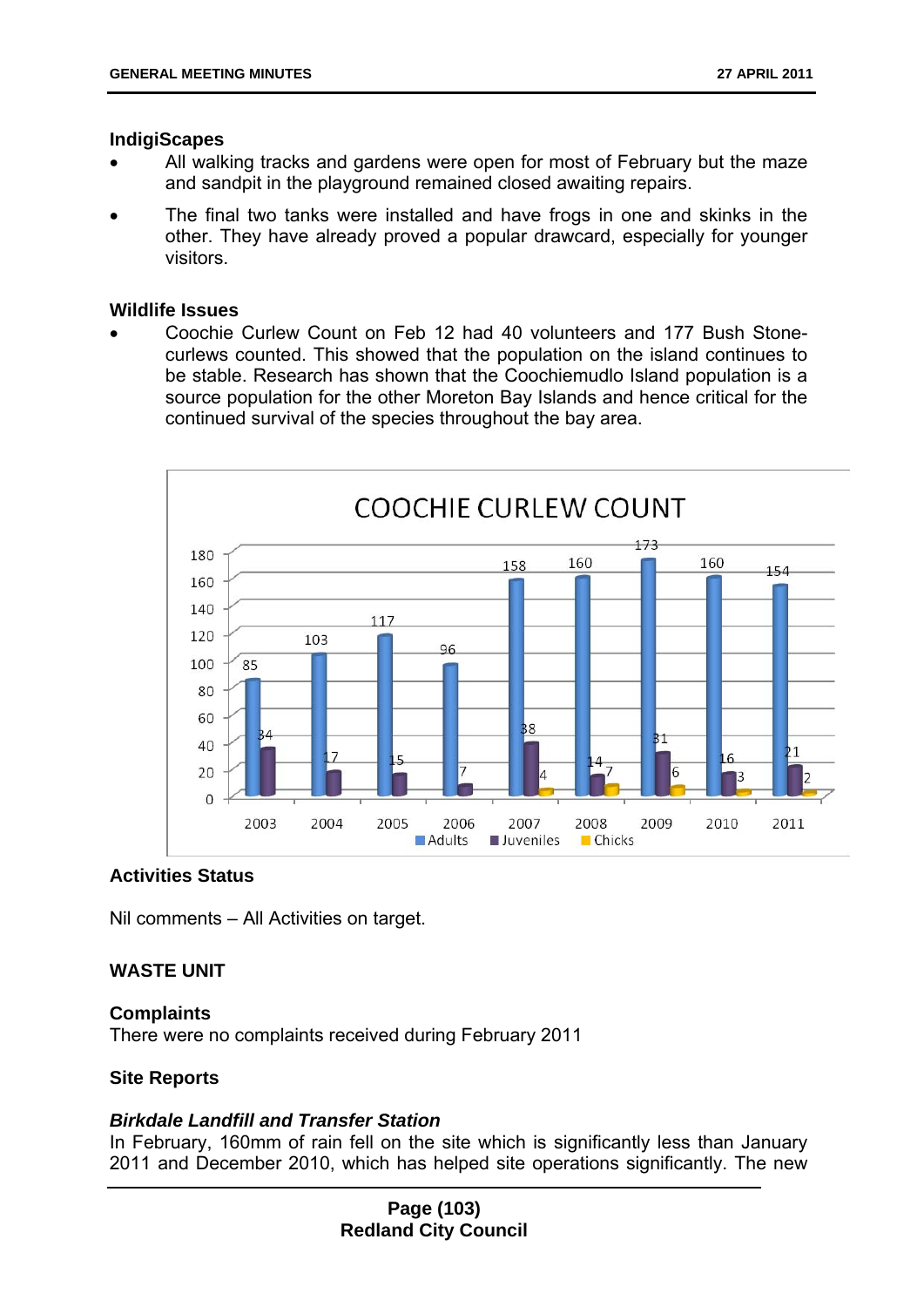#### **IndigiScapes**

- All walking tracks and gardens were open for most of February but the maze and sandpit in the playground remained closed awaiting repairs.
- The final two tanks were installed and have frogs in one and skinks in the other. They have already proved a popular drawcard, especially for younger visitors.

#### **Wildlife Issues**

 Coochie Curlew Count on Feb 12 had 40 volunteers and 177 Bush Stonecurlews counted. This showed that the population on the island continues to be stable. Research has shown that the Coochiemudlo Island population is a source population for the other Moreton Bay Islands and hence critical for the continued survival of the species throughout the bay area.



### **Activities Status**

Nil comments – All Activities on target.

### **WASTE UNIT**

#### **Complaints**

There were no complaints received during February 2011

### **Site Reports**

### *Birkdale Landfill and Transfer Station*

In February, 160mm of rain fell on the site which is significantly less than January 2011 and December 2010, which has helped site operations significantly. The new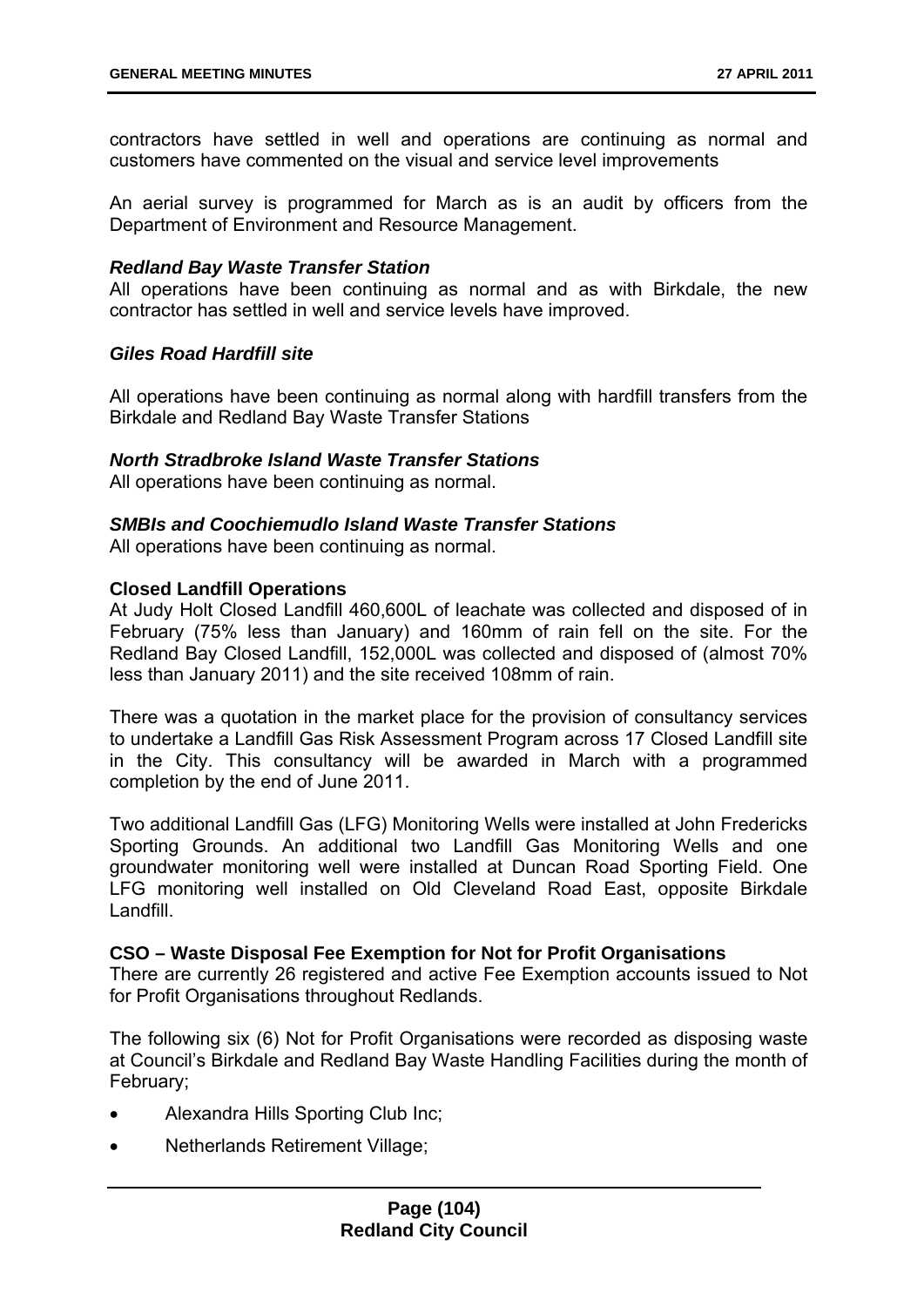contractors have settled in well and operations are continuing as normal and customers have commented on the visual and service level improvements

An aerial survey is programmed for March as is an audit by officers from the Department of Environment and Resource Management.

### *Redland Bay Waste Transfer Station*

All operations have been continuing as normal and as with Birkdale, the new contractor has settled in well and service levels have improved.

## *Giles Road Hardfill site*

All operations have been continuing as normal along with hardfill transfers from the Birkdale and Redland Bay Waste Transfer Stations

## *North Stradbroke Island Waste Transfer Stations*

All operations have been continuing as normal.

## *SMBIs and Coochiemudlo Island Waste Transfer Stations*

All operations have been continuing as normal.

### **Closed Landfill Operations**

At Judy Holt Closed Landfill 460,600L of leachate was collected and disposed of in February (75% less than January) and 160mm of rain fell on the site. For the Redland Bay Closed Landfill, 152,000L was collected and disposed of (almost 70% less than January 2011) and the site received 108mm of rain.

There was a quotation in the market place for the provision of consultancy services to undertake a Landfill Gas Risk Assessment Program across 17 Closed Landfill site in the City. This consultancy will be awarded in March with a programmed completion by the end of June 2011.

Two additional Landfill Gas (LFG) Monitoring Wells were installed at John Fredericks Sporting Grounds. An additional two Landfill Gas Monitoring Wells and one groundwater monitoring well were installed at Duncan Road Sporting Field. One LFG monitoring well installed on Old Cleveland Road East, opposite Birkdale Landfill.

### **CSO – Waste Disposal Fee Exemption for Not for Profit Organisations**

There are currently 26 registered and active Fee Exemption accounts issued to Not for Profit Organisations throughout Redlands.

The following six (6) Not for Profit Organisations were recorded as disposing waste at Council's Birkdale and Redland Bay Waste Handling Facilities during the month of February;

- Alexandra Hills Sporting Club Inc;
- Netherlands Retirement Village;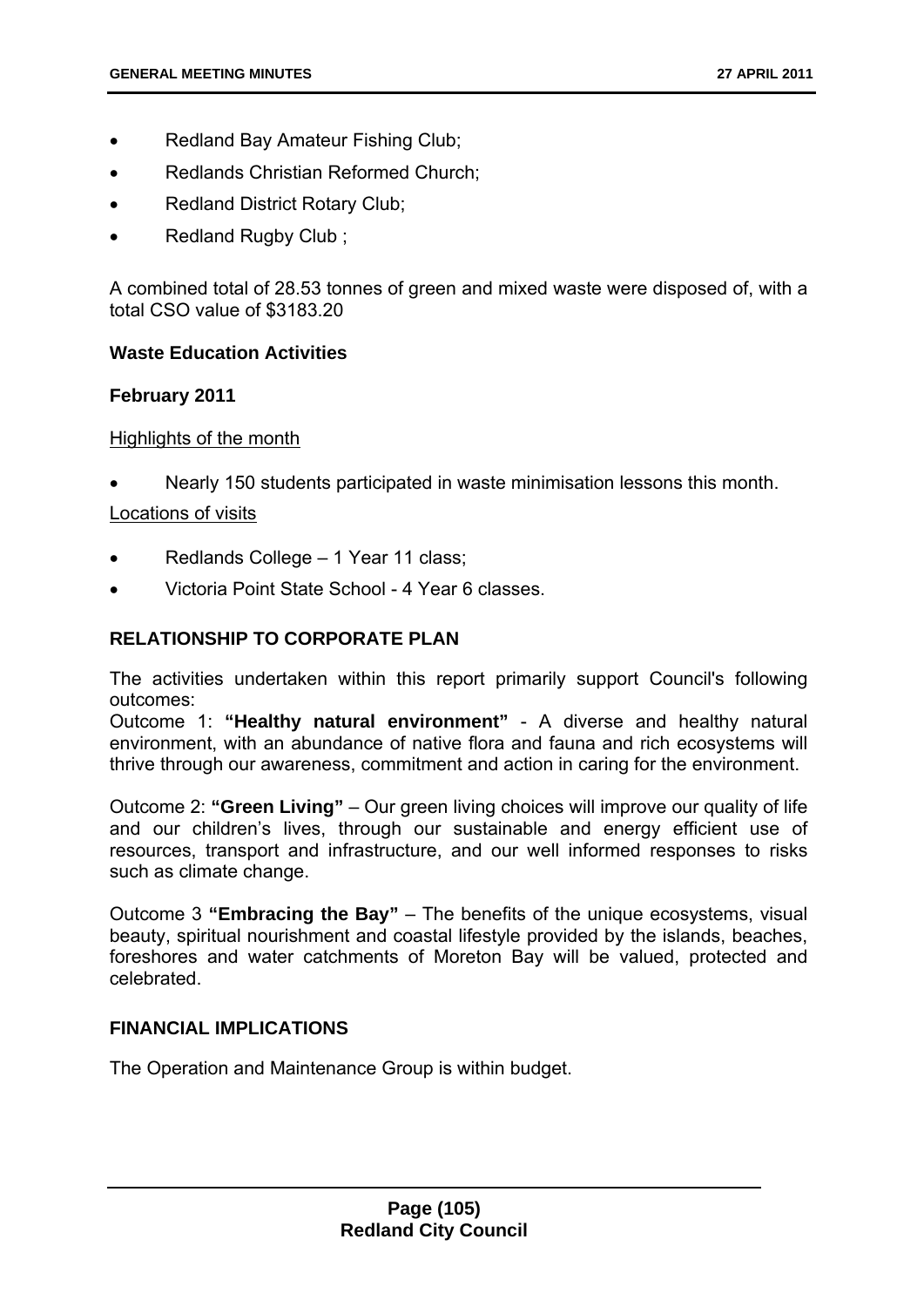- Redland Bay Amateur Fishing Club;
- Redlands Christian Reformed Church;
- Redland District Rotary Club;
- Redland Rugby Club ;

A combined total of 28.53 tonnes of green and mixed waste were disposed of, with a total CSO value of \$3183.20

## **Waste Education Activities**

## **February 2011**

## Highlights of the month

Nearly 150 students participated in waste minimisation lessons this month.

## Locations of visits

- Redlands College 1 Year 11 class;
- Victoria Point State School 4 Year 6 classes.

# **RELATIONSHIP TO CORPORATE PLAN**

The activities undertaken within this report primarily support Council's following outcomes:

Outcome 1: **"Healthy natural environment"** - A diverse and healthy natural environment, with an abundance of native flora and fauna and rich ecosystems will thrive through our awareness, commitment and action in caring for the environment.

Outcome 2: **"Green Living"** – Our green living choices will improve our quality of life and our children's lives, through our sustainable and energy efficient use of resources, transport and infrastructure, and our well informed responses to risks such as climate change.

Outcome 3 **"Embracing the Bay"** – The benefits of the unique ecosystems, visual beauty, spiritual nourishment and coastal lifestyle provided by the islands, beaches, foreshores and water catchments of Moreton Bay will be valued, protected and celebrated.

## **FINANCIAL IMPLICATIONS**

The Operation and Maintenance Group is within budget.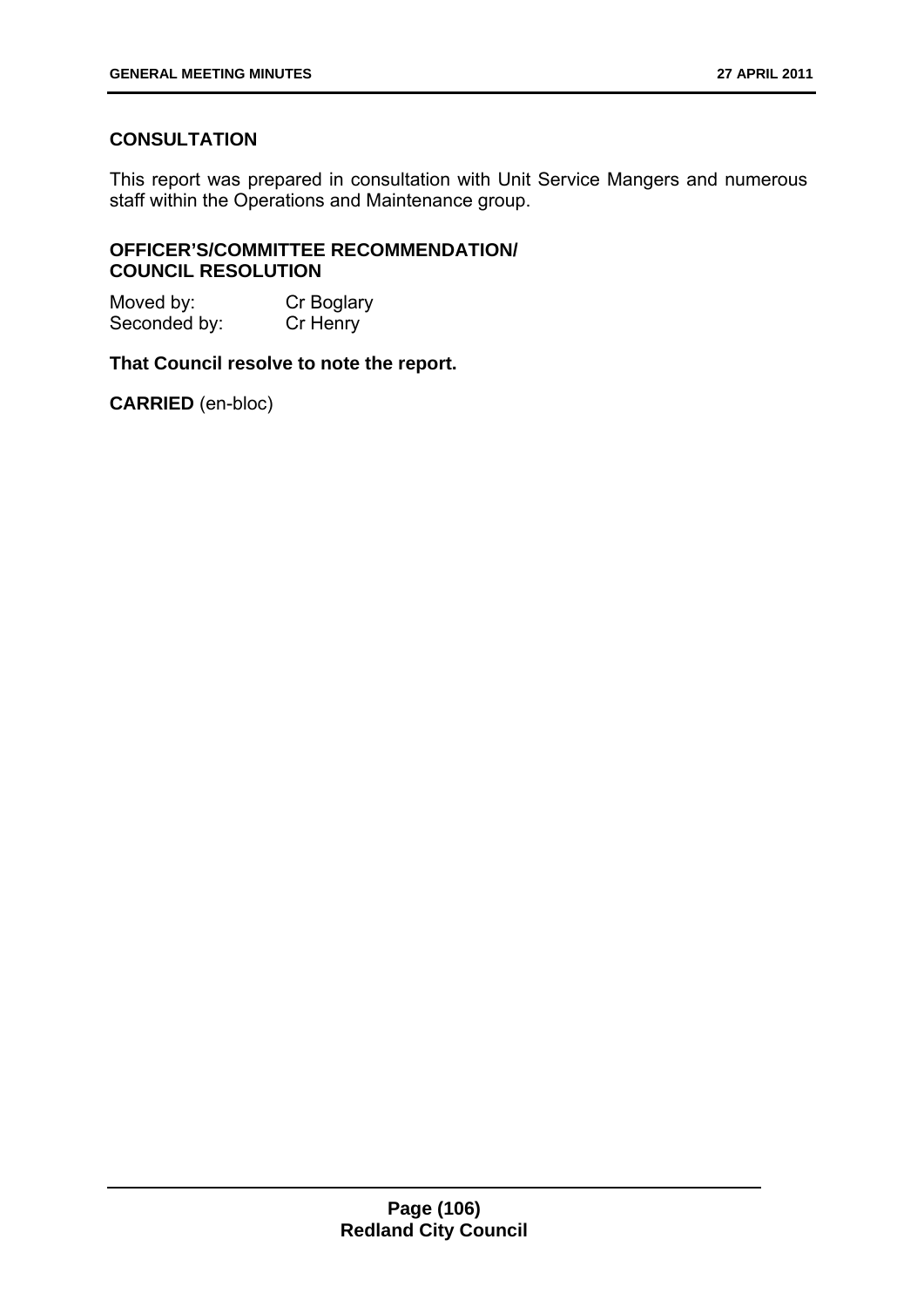# **CONSULTATION**

This report was prepared in consultation with Unit Service Mangers and numerous staff within the Operations and Maintenance group.

## **OFFICER'S/COMMITTEE RECOMMENDATION/ COUNCIL RESOLUTION**

| Moved by:    | Cr Boglary |
|--------------|------------|
| Seconded by: | Cr Henry   |

## **That Council resolve to note the report.**

**CARRIED** (en-bloc)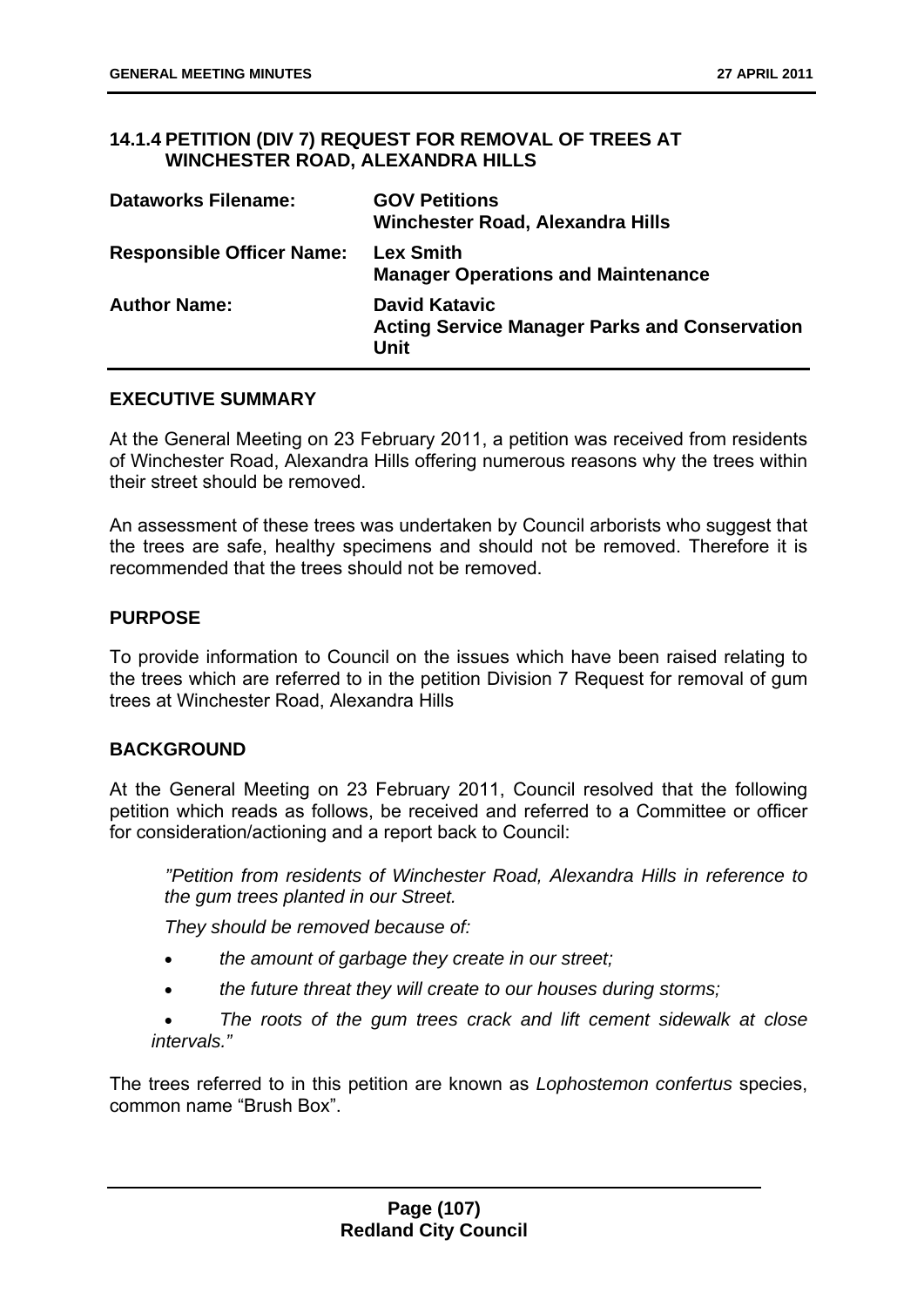## **14.1.4 PETITION (DIV 7) REQUEST FOR REMOVAL OF TREES AT WINCHESTER ROAD, ALEXANDRA HILLS**

| <b>Dataworks Filename:</b>       | <b>GOV Petitions</b><br>Winchester Road, Alexandra Hills                             |
|----------------------------------|--------------------------------------------------------------------------------------|
| <b>Responsible Officer Name:</b> | <b>Lex Smith</b><br><b>Manager Operations and Maintenance</b>                        |
| <b>Author Name:</b>              | <b>David Katavic</b><br><b>Acting Service Manager Parks and Conservation</b><br>Unit |

# **EXECUTIVE SUMMARY**

At the General Meeting on 23 February 2011, a petition was received from residents of Winchester Road, Alexandra Hills offering numerous reasons why the trees within their street should be removed.

An assessment of these trees was undertaken by Council arborists who suggest that the trees are safe, healthy specimens and should not be removed. Therefore it is recommended that the trees should not be removed.

## **PURPOSE**

To provide information to Council on the issues which have been raised relating to the trees which are referred to in the petition Division 7 Request for removal of gum trees at Winchester Road, Alexandra Hills

### **BACKGROUND**

At the General Meeting on 23 February 2011, Council resolved that the following petition which reads as follows, be received and referred to a Committee or officer for consideration/actioning and a report back to Council:

 *"Petition from residents of Winchester Road, Alexandra Hills in reference to the gum trees planted in our Street.* 

*They should be removed because of:* 

- *the amount of garbage they create in our street;*
- *the future threat they will create to our houses during storms;*

 *The roots of the gum trees crack and lift cement sidewalk at close intervals."* 

The trees referred to in this petition are known as *Lophostemon confertus* species, common name "Brush Box".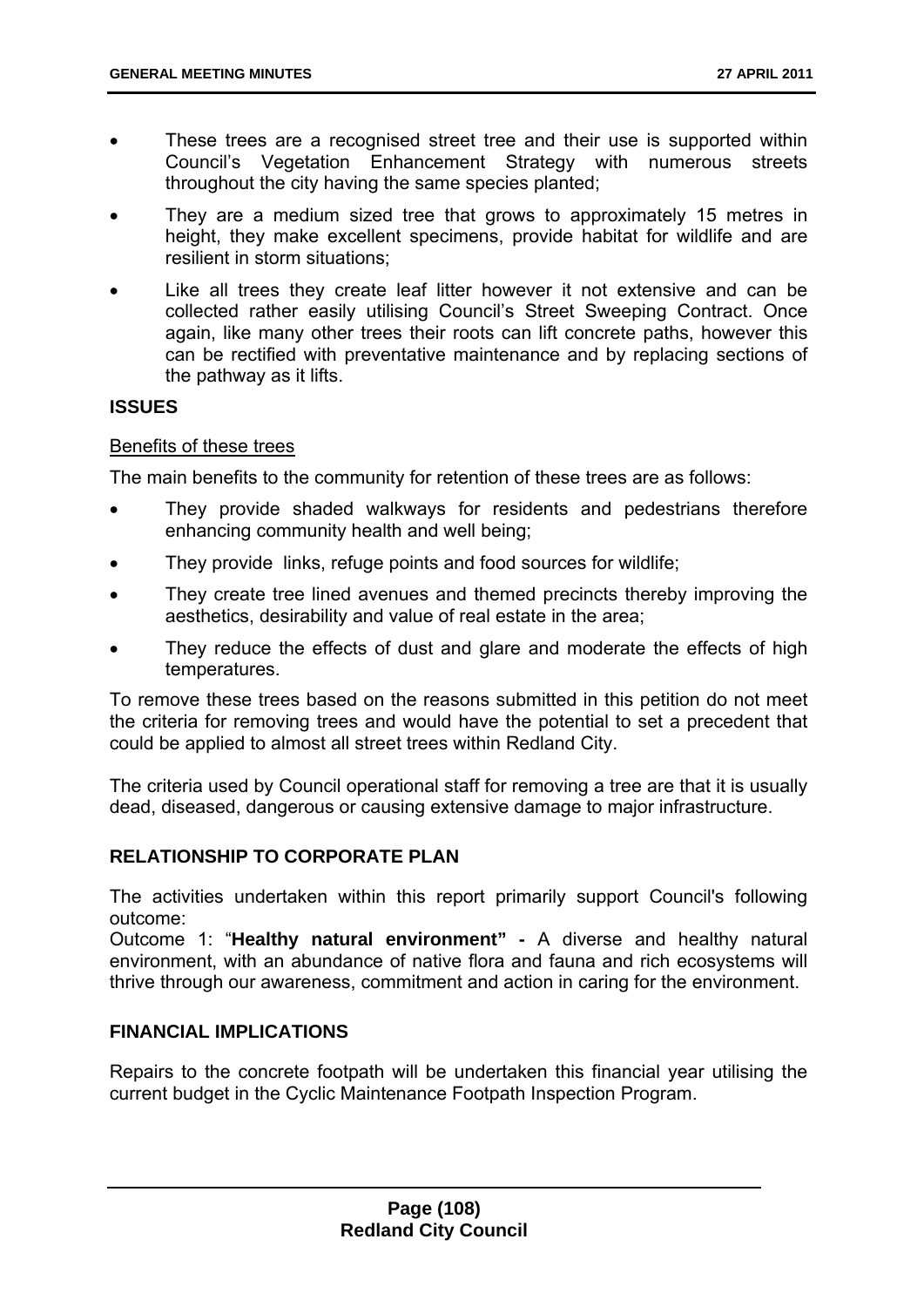- These trees are a recognised street tree and their use is supported within Council's Vegetation Enhancement Strategy with numerous streets throughout the city having the same species planted;
- They are a medium sized tree that grows to approximately 15 metres in height, they make excellent specimens, provide habitat for wildlife and are resilient in storm situations;
- Like all trees they create leaf litter however it not extensive and can be collected rather easily utilising Council's Street Sweeping Contract. Once again, like many other trees their roots can lift concrete paths, however this can be rectified with preventative maintenance and by replacing sections of the pathway as it lifts.

### **ISSUES**

### Benefits of these trees

The main benefits to the community for retention of these trees are as follows:

- They provide shaded walkways for residents and pedestrians therefore enhancing community health and well being;
- They provide links, refuge points and food sources for wildlife;
- They create tree lined avenues and themed precincts thereby improving the aesthetics, desirability and value of real estate in the area;
- They reduce the effects of dust and glare and moderate the effects of high temperatures.

To remove these trees based on the reasons submitted in this petition do not meet the criteria for removing trees and would have the potential to set a precedent that could be applied to almost all street trees within Redland City.

The criteria used by Council operational staff for removing a tree are that it is usually dead, diseased, dangerous or causing extensive damage to major infrastructure.

# **RELATIONSHIP TO CORPORATE PLAN**

The activities undertaken within this report primarily support Council's following outcome:

Outcome 1: "**Healthy natural environment" -** A diverse and healthy natural environment, with an abundance of native flora and fauna and rich ecosystems will thrive through our awareness, commitment and action in caring for the environment.

# **FINANCIAL IMPLICATIONS**

Repairs to the concrete footpath will be undertaken this financial year utilising the current budget in the Cyclic Maintenance Footpath Inspection Program.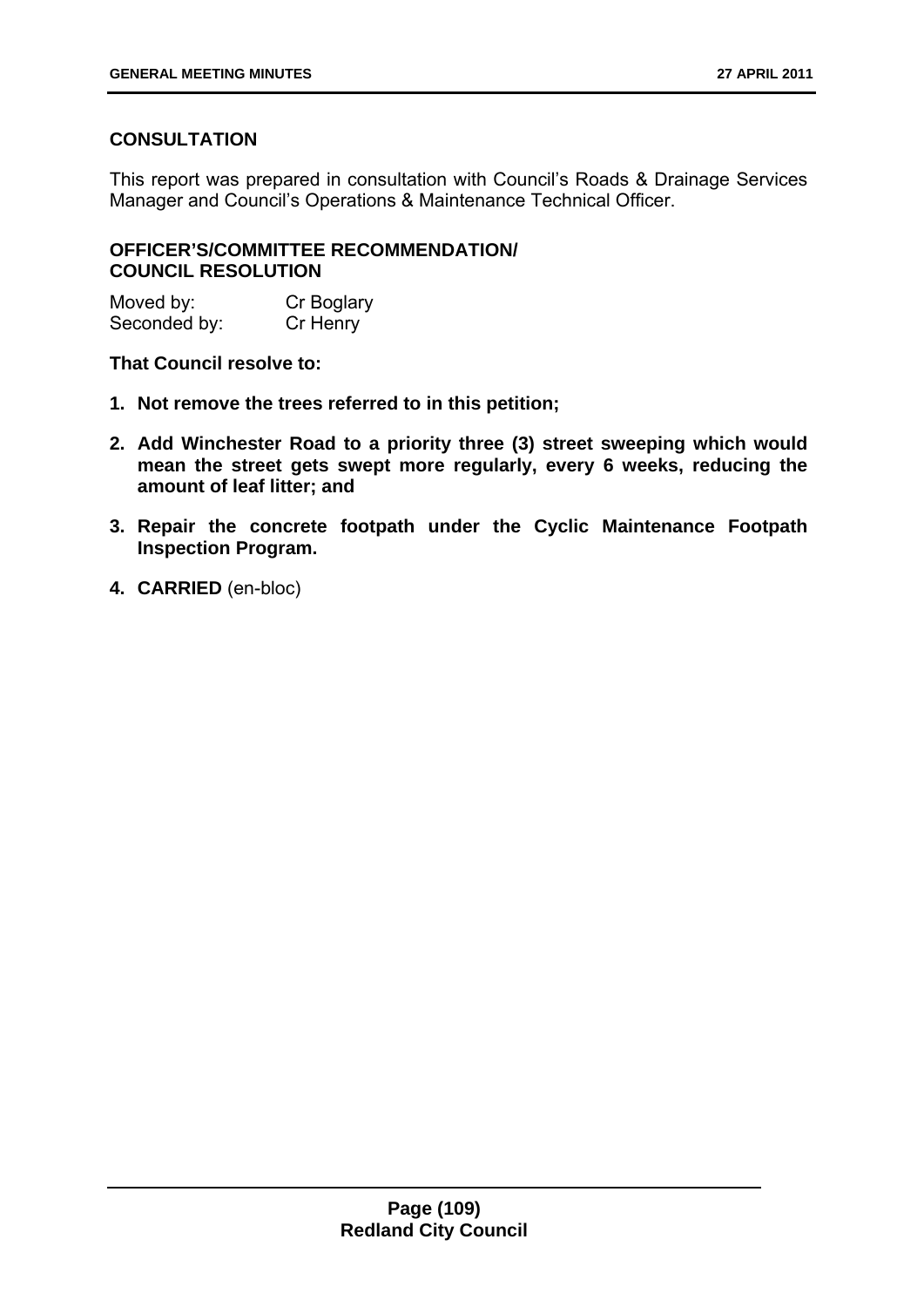# **CONSULTATION**

This report was prepared in consultation with Council's Roads & Drainage Services Manager and Council's Operations & Maintenance Technical Officer.

# **OFFICER'S/COMMITTEE RECOMMENDATION/ COUNCIL RESOLUTION**

Moved by: Cr Boglary Seconded by: Cr Henry

**That Council resolve to:** 

- **1. Not remove the trees referred to in this petition;**
- **2. Add Winchester Road to a priority three (3) street sweeping which would mean the street gets swept more regularly, every 6 weeks, reducing the amount of leaf litter; and**
- **3. Repair the concrete footpath under the Cyclic Maintenance Footpath Inspection Program.**
- **4. CARRIED** (en-bloc)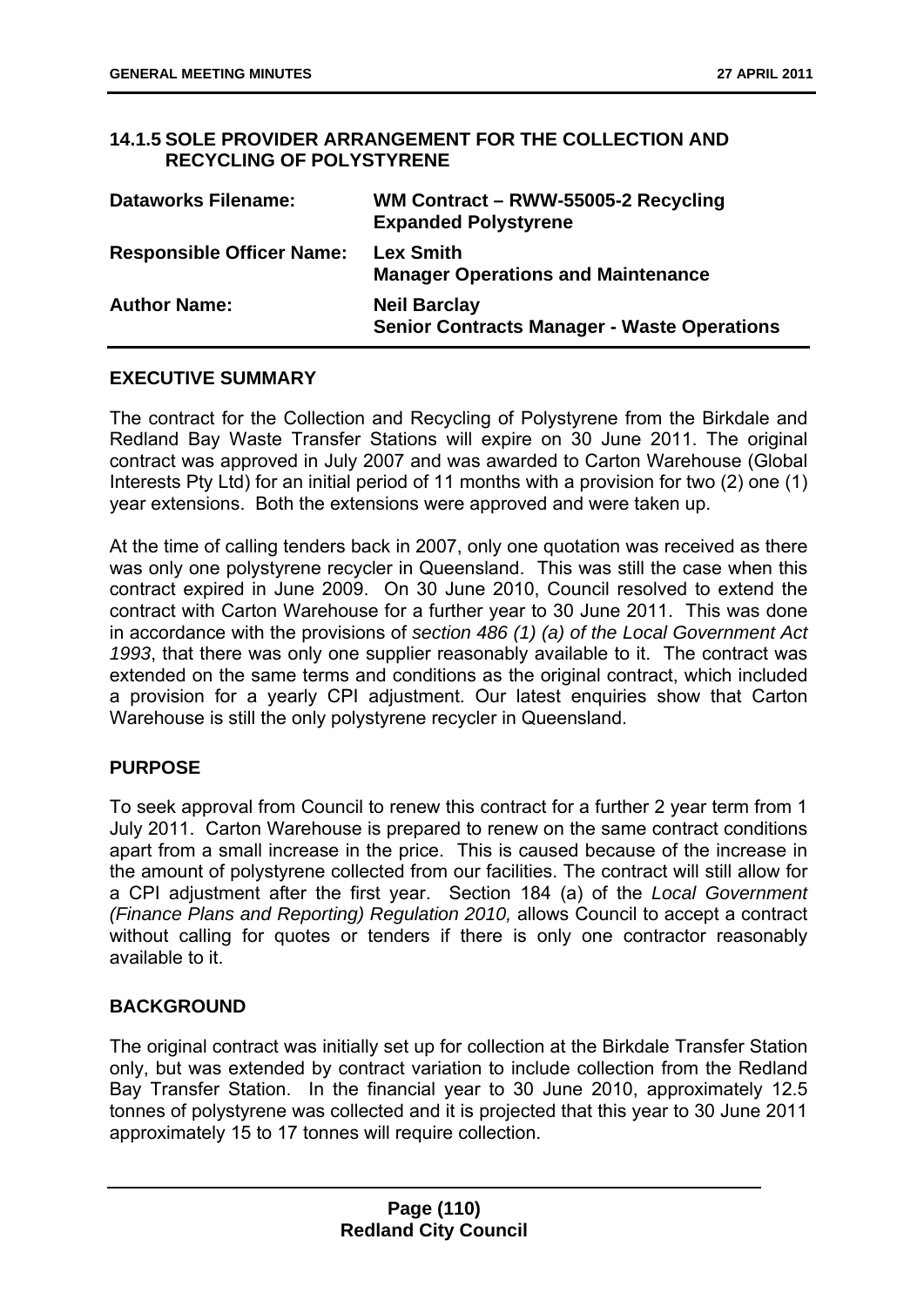### **14.1.5 SOLE PROVIDER ARRANGEMENT FOR THE COLLECTION AND RECYCLING OF POLYSTYRENE**

| <b>Dataworks Filename:</b>       | WM Contract - RWW-55005-2 Recycling<br><b>Expanded Polystyrene</b>        |
|----------------------------------|---------------------------------------------------------------------------|
| <b>Responsible Officer Name:</b> | <b>Lex Smith</b><br><b>Manager Operations and Maintenance</b>             |
| <b>Author Name:</b>              | <b>Neil Barclay</b><br><b>Senior Contracts Manager - Waste Operations</b> |

### **EXECUTIVE SUMMARY**

The contract for the Collection and Recycling of Polystyrene from the Birkdale and Redland Bay Waste Transfer Stations will expire on 30 June 2011. The original contract was approved in July 2007 and was awarded to Carton Warehouse (Global Interests Pty Ltd) for an initial period of 11 months with a provision for two (2) one (1) year extensions. Both the extensions were approved and were taken up.

At the time of calling tenders back in 2007, only one quotation was received as there was only one polystyrene recycler in Queensland. This was still the case when this contract expired in June 2009. On 30 June 2010, Council resolved to extend the contract with Carton Warehouse for a further year to 30 June 2011. This was done in accordance with the provisions of *section 486 (1) (a) of the Local Government Act 1993*, that there was only one supplier reasonably available to it. The contract was extended on the same terms and conditions as the original contract, which included a provision for a yearly CPI adjustment. Our latest enquiries show that Carton Warehouse is still the only polystyrene recycler in Queensland.

# **PURPOSE**

To seek approval from Council to renew this contract for a further 2 year term from 1 July 2011. Carton Warehouse is prepared to renew on the same contract conditions apart from a small increase in the price. This is caused because of the increase in the amount of polystyrene collected from our facilities. The contract will still allow for a CPI adjustment after the first year. Section 184 (a) of the *Local Government (Finance Plans and Reporting) Regulation 2010,* allows Council to accept a contract without calling for quotes or tenders if there is only one contractor reasonably available to it.

# **BACKGROUND**

The original contract was initially set up for collection at the Birkdale Transfer Station only, but was extended by contract variation to include collection from the Redland Bay Transfer Station. In the financial year to 30 June 2010, approximately 12.5 tonnes of polystyrene was collected and it is projected that this year to 30 June 2011 approximately 15 to 17 tonnes will require collection.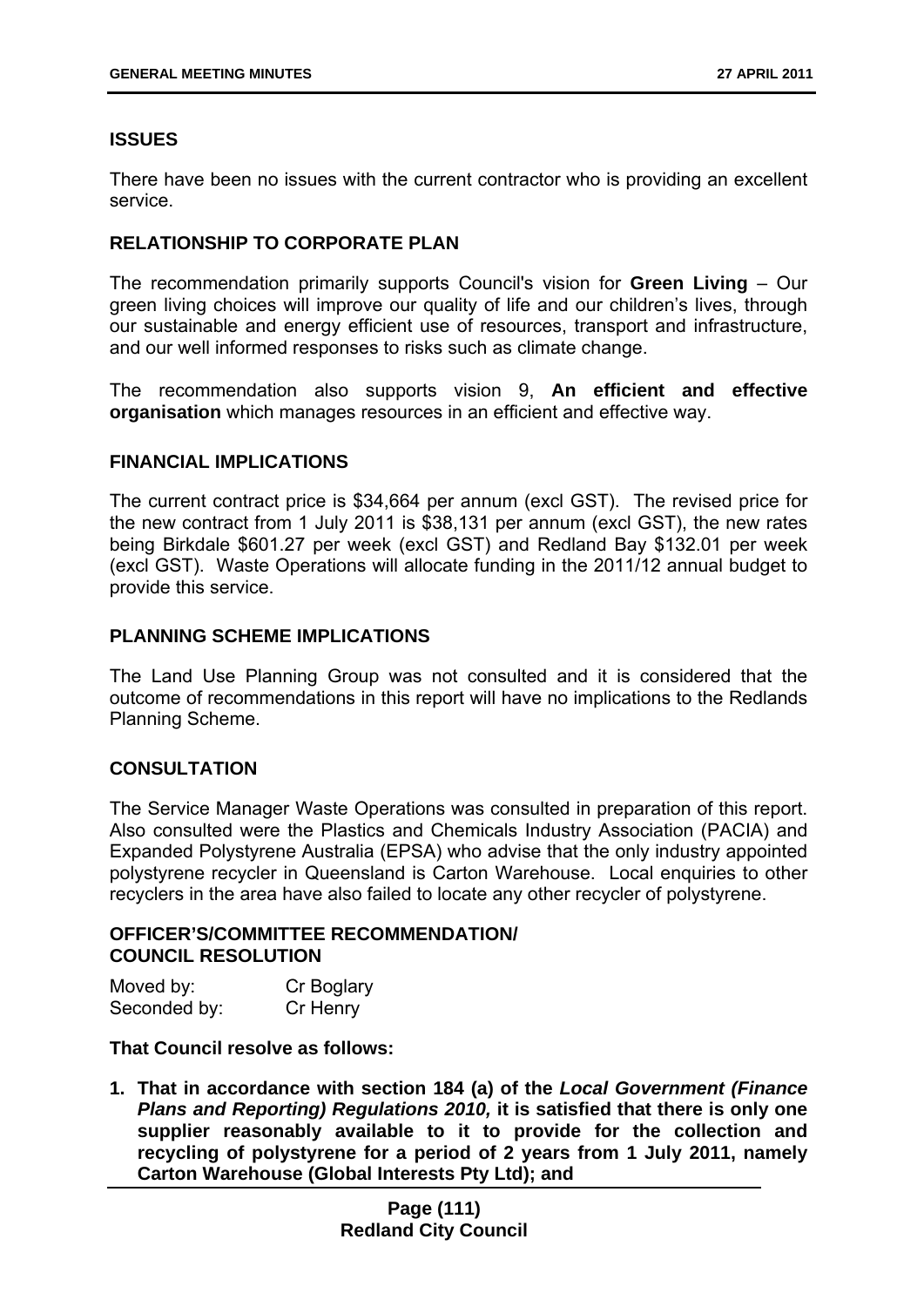# **ISSUES**

There have been no issues with the current contractor who is providing an excellent service.

# **RELATIONSHIP TO CORPORATE PLAN**

The recommendation primarily supports Council's vision for **Green Living** – Our green living choices will improve our quality of life and our children's lives, through our sustainable and energy efficient use of resources, transport and infrastructure, and our well informed responses to risks such as climate change.

The recommendation also supports vision 9, **An efficient and effective organisation** which manages resources in an efficient and effective way.

### **FINANCIAL IMPLICATIONS**

The current contract price is \$34,664 per annum (excl GST). The revised price for the new contract from 1 July 2011 is \$38,131 per annum (excl GST), the new rates being Birkdale \$601.27 per week (excl GST) and Redland Bay \$132.01 per week (excl GST). Waste Operations will allocate funding in the 2011/12 annual budget to provide this service.

## **PLANNING SCHEME IMPLICATIONS**

The Land Use Planning Group was not consulted and it is considered that the outcome of recommendations in this report will have no implications to the Redlands Planning Scheme.

# **CONSULTATION**

The Service Manager Waste Operations was consulted in preparation of this report. Also consulted were the Plastics and Chemicals Industry Association (PACIA) and Expanded Polystyrene Australia (EPSA) who advise that the only industry appointed polystyrene recycler in Queensland is Carton Warehouse. Local enquiries to other recyclers in the area have also failed to locate any other recycler of polystyrene.

### **OFFICER'S/COMMITTEE RECOMMENDATION/ COUNCIL RESOLUTION**

| Moved by:    | Cr Boglary |
|--------------|------------|
| Seconded by: | Cr Henry   |

### **That Council resolve as follows:**

**1. That in accordance with section 184 (a) of the** *Local Government (Finance Plans and Reporting) Regulations 2010,* **it is satisfied that there is only one supplier reasonably available to it to provide for the collection and recycling of polystyrene for a period of 2 years from 1 July 2011, namely Carton Warehouse (Global Interests Pty Ltd); and**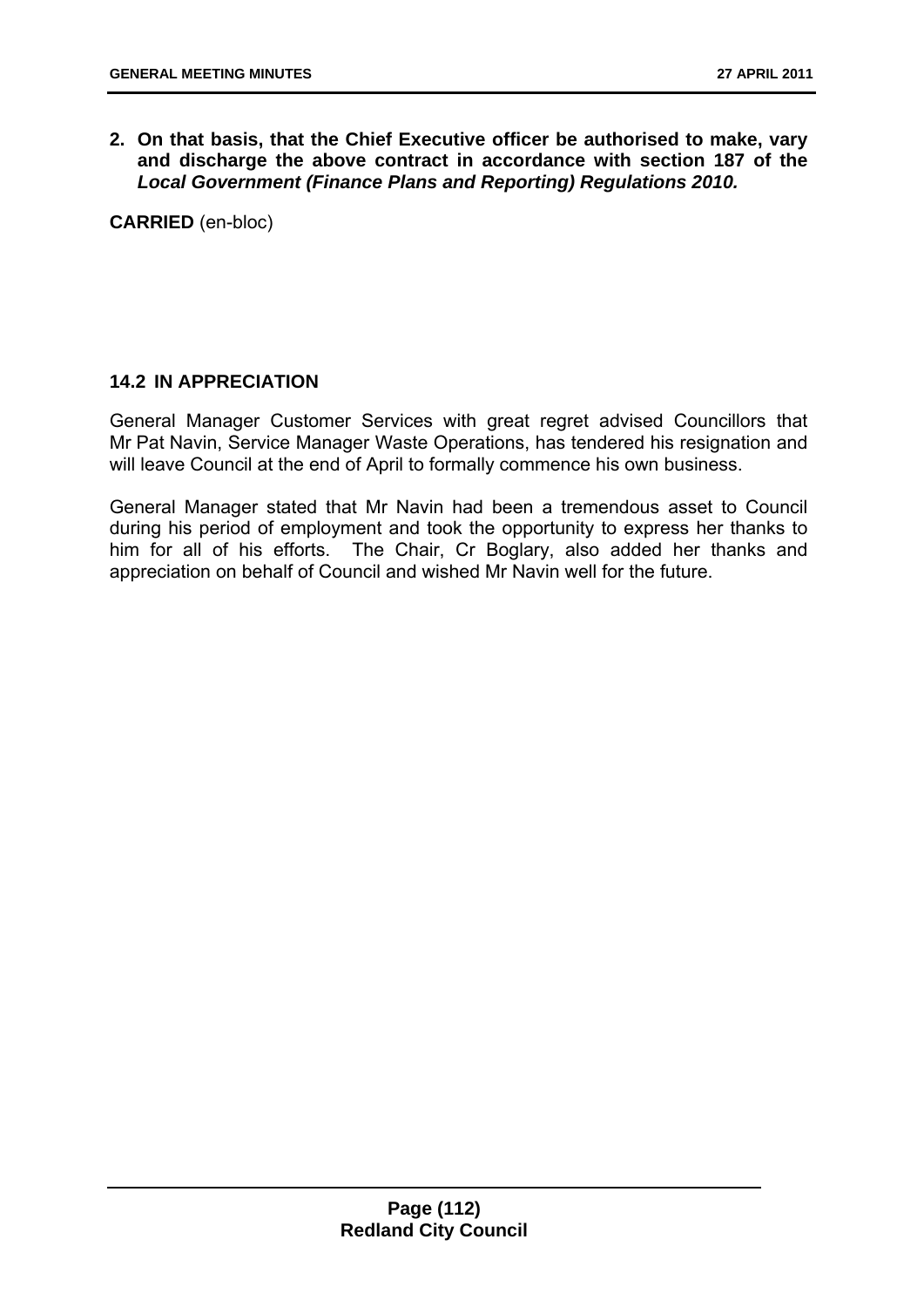**2. On that basis, that the Chief Executive officer be authorised to make, vary and discharge the above contract in accordance with section 187 of the**  *Local Government (Finance Plans and Reporting) Regulations 2010.*

**CARRIED** (en-bloc)

# **14.2 IN APPRECIATION**

General Manager Customer Services with great regret advised Councillors that Mr Pat Navin, Service Manager Waste Operations, has tendered his resignation and will leave Council at the end of April to formally commence his own business.

General Manager stated that Mr Navin had been a tremendous asset to Council during his period of employment and took the opportunity to express her thanks to him for all of his efforts. The Chair, Cr Boglary, also added her thanks and appreciation on behalf of Council and wished Mr Navin well for the future.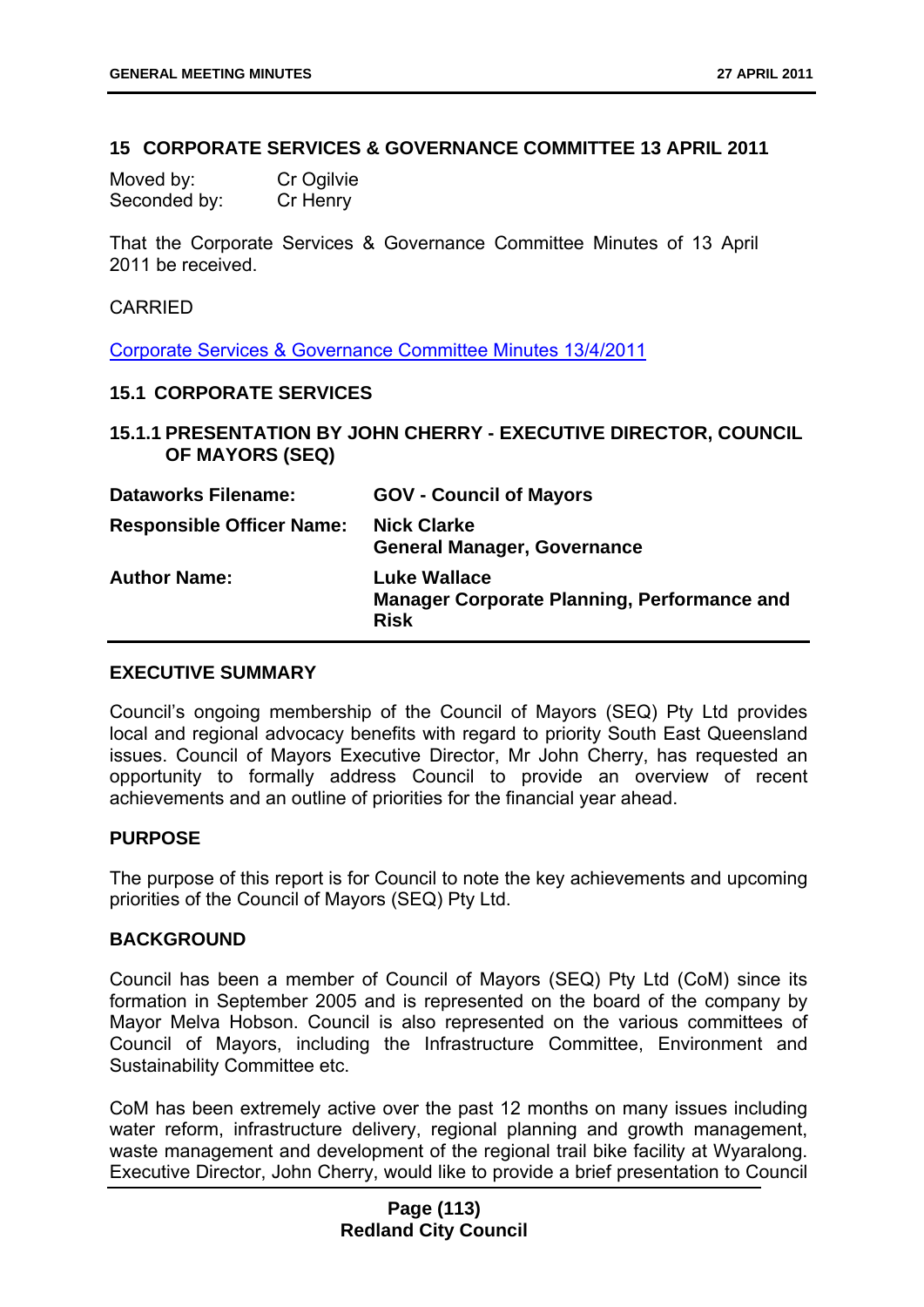#### **15 CORPORATE SERVICES & GOVERNANCE COMMITTEE 13 APRIL 2011**

Moved by: Cr Ogilvie Seconded by: Cr Henry

That the Corporate Services & Governance Committee Minutes of 13 April 2011 be received.

### **CARRIED**

Corporate Services & Governance Committee Minutes 13/4/2011

#### **15.1 CORPORATE SERVICES**

**15.1.1 PRESENTATION BY JOHN CHERRY - EXECUTIVE DIRECTOR, COUNCIL OF MAYORS (SEQ)** 

| <b>Dataworks Filename:</b>       | <b>GOV - Council of Mayors</b>                                                    |
|----------------------------------|-----------------------------------------------------------------------------------|
| <b>Responsible Officer Name:</b> | <b>Nick Clarke</b><br><b>General Manager, Governance</b>                          |
| <b>Author Name:</b>              | Luke Wallace<br><b>Manager Corporate Planning, Performance and</b><br><b>Risk</b> |

#### **EXECUTIVE SUMMARY**

Council's ongoing membership of the Council of Mayors (SEQ) Pty Ltd provides local and regional advocacy benefits with regard to priority South East Queensland issues. Council of Mayors Executive Director, Mr John Cherry, has requested an opportunity to formally address Council to provide an overview of recent achievements and an outline of priorities for the financial year ahead.

### **PURPOSE**

The purpose of this report is for Council to note the key achievements and upcoming priorities of the Council of Mayors (SEQ) Pty Ltd.

#### **BACKGROUND**

Council has been a member of Council of Mayors (SEQ) Pty Ltd (CoM) since its formation in September 2005 and is represented on the board of the company by Mayor Melva Hobson. Council is also represented on the various committees of Council of Mayors, including the Infrastructure Committee, Environment and Sustainability Committee etc.

CoM has been extremely active over the past 12 months on many issues including water reform, infrastructure delivery, regional planning and growth management, waste management and development of the regional trail bike facility at Wyaralong. Executive Director, John Cherry, would like to provide a brief presentation to Council

### **Page (113) Redland City Council**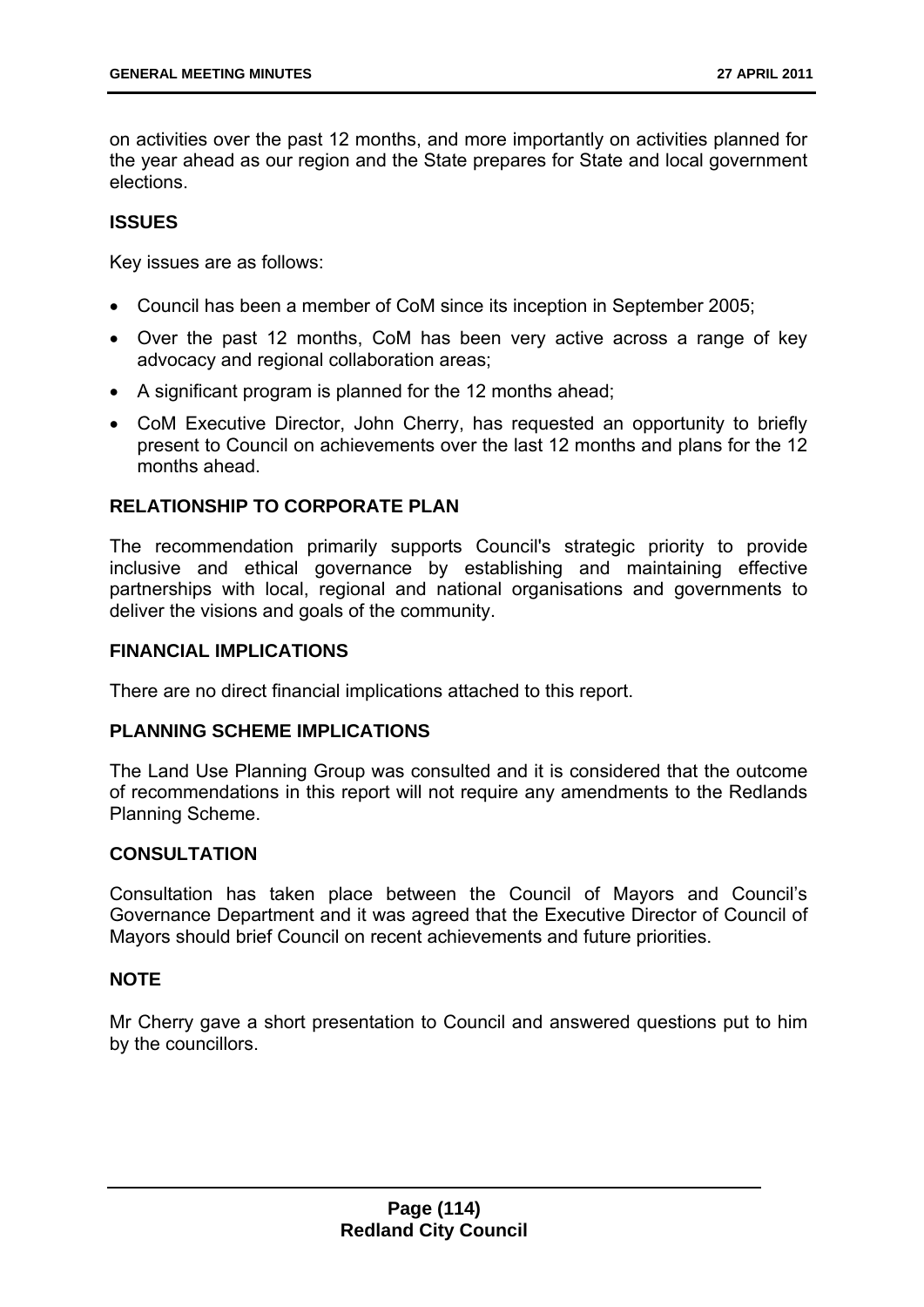on activities over the past 12 months, and more importantly on activities planned for the year ahead as our region and the State prepares for State and local government elections.

# **ISSUES**

Key issues are as follows:

- Council has been a member of CoM since its inception in September 2005;
- Over the past 12 months, CoM has been very active across a range of key advocacy and regional collaboration areas;
- A significant program is planned for the 12 months ahead;
- CoM Executive Director, John Cherry, has requested an opportunity to briefly present to Council on achievements over the last 12 months and plans for the 12 months ahead.

### **RELATIONSHIP TO CORPORATE PLAN**

The recommendation primarily supports Council's strategic priority to provide inclusive and ethical governance by establishing and maintaining effective partnerships with local, regional and national organisations and governments to deliver the visions and goals of the community.

### **FINANCIAL IMPLICATIONS**

There are no direct financial implications attached to this report.

### **PLANNING SCHEME IMPLICATIONS**

The Land Use Planning Group was consulted and it is considered that the outcome of recommendations in this report will not require any amendments to the Redlands Planning Scheme.

# **CONSULTATION**

Consultation has taken place between the Council of Mayors and Council's Governance Department and it was agreed that the Executive Director of Council of Mayors should brief Council on recent achievements and future priorities.

### **NOTE**

Mr Cherry gave a short presentation to Council and answered questions put to him by the councillors.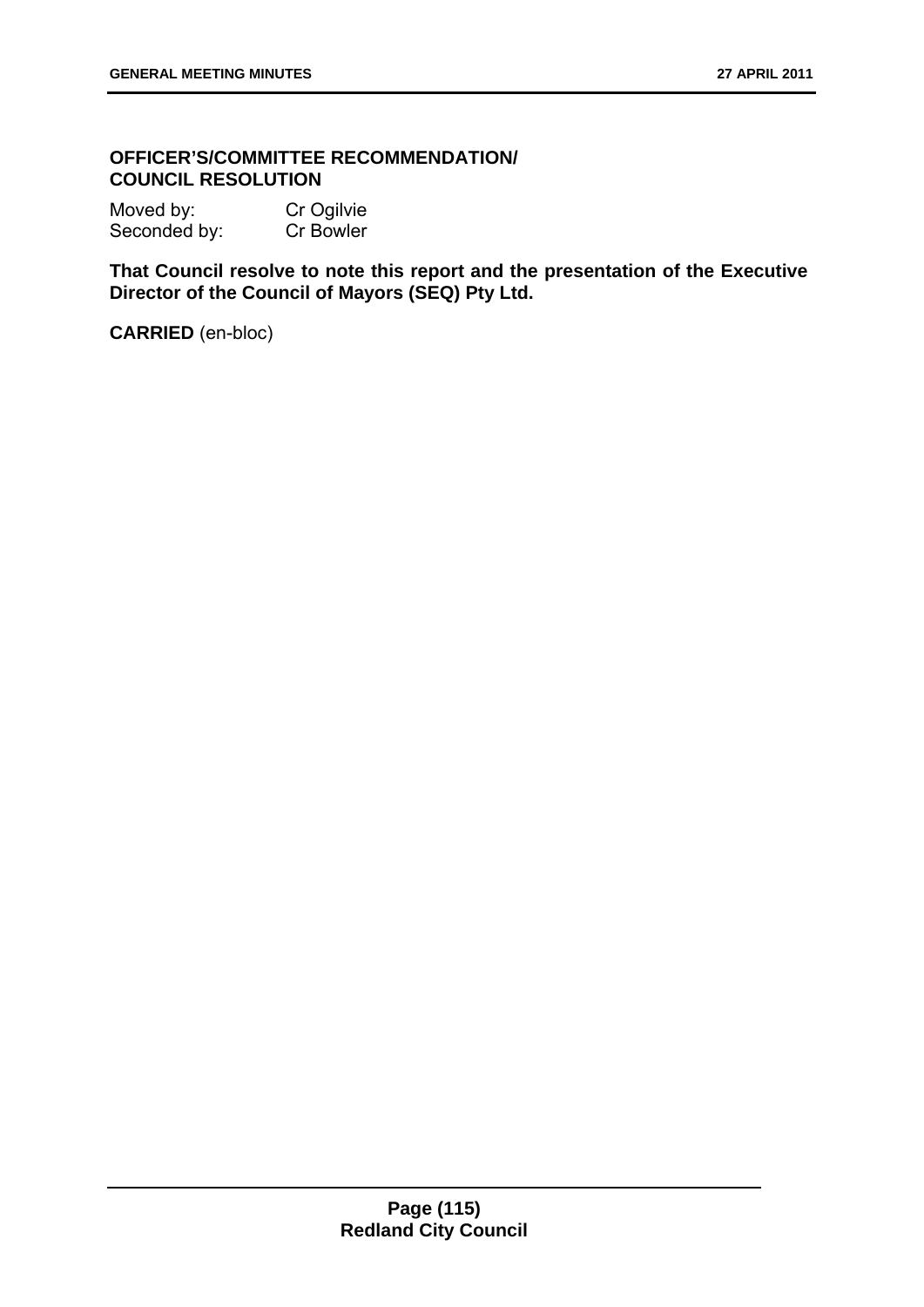# **OFFICER'S/COMMITTEE RECOMMENDATION/ COUNCIL RESOLUTION**

Moved by: Cr Ogilvie Seconded by: Cr Bowler

**That Council resolve to note this report and the presentation of the Executive Director of the Council of Mayors (SEQ) Pty Ltd.**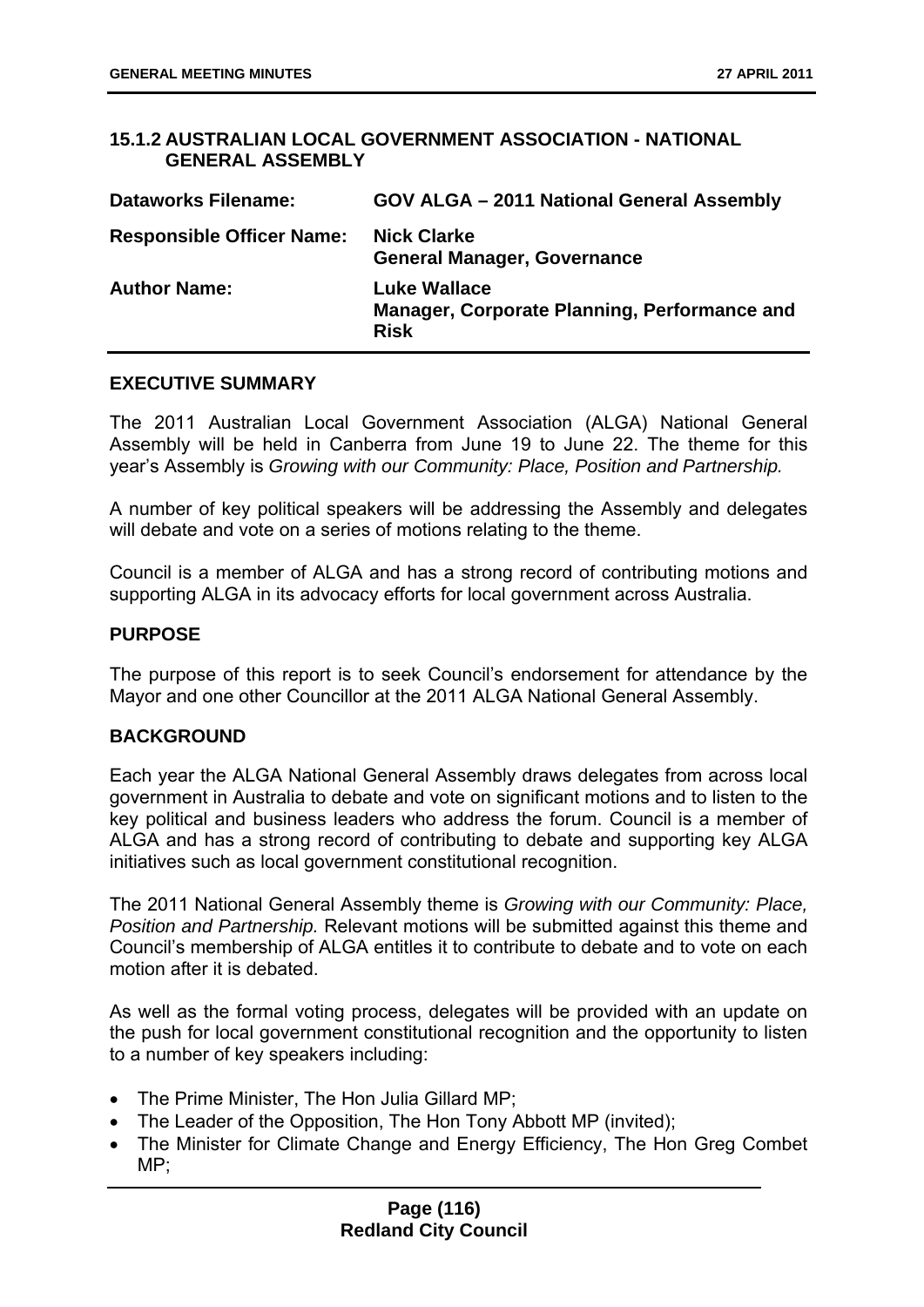### **15.1.2 AUSTRALIAN LOCAL GOVERNMENT ASSOCIATION - NATIONAL GENERAL ASSEMBLY**

| <b>Dataworks Filename:</b>       | GOV ALGA - 2011 National General Assembly                                          |
|----------------------------------|------------------------------------------------------------------------------------|
| <b>Responsible Officer Name:</b> | <b>Nick Clarke</b><br><b>General Manager, Governance</b>                           |
| <b>Author Name:</b>              | <b>Luke Wallace</b><br>Manager, Corporate Planning, Performance and<br><b>Risk</b> |

### **EXECUTIVE SUMMARY**

The 2011 Australian Local Government Association (ALGA) National General Assembly will be held in Canberra from June 19 to June 22. The theme for this year's Assembly is *Growing with our Community: Place, Position and Partnership.* 

A number of key political speakers will be addressing the Assembly and delegates will debate and vote on a series of motions relating to the theme.

Council is a member of ALGA and has a strong record of contributing motions and supporting ALGA in its advocacy efforts for local government across Australia.

### **PURPOSE**

The purpose of this report is to seek Council's endorsement for attendance by the Mayor and one other Councillor at the 2011 ALGA National General Assembly.

### **BACKGROUND**

Each year the ALGA National General Assembly draws delegates from across local government in Australia to debate and vote on significant motions and to listen to the key political and business leaders who address the forum. Council is a member of ALGA and has a strong record of contributing to debate and supporting key ALGA initiatives such as local government constitutional recognition.

The 2011 National General Assembly theme is *Growing with our Community: Place, Position and Partnership.* Relevant motions will be submitted against this theme and Council's membership of ALGA entitles it to contribute to debate and to vote on each motion after it is debated.

As well as the formal voting process, delegates will be provided with an update on the push for local government constitutional recognition and the opportunity to listen to a number of key speakers including:

- The Prime Minister, The Hon Julia Gillard MP:
- The Leader of the Opposition, The Hon Tony Abbott MP (invited);
- The Minister for Climate Change and Energy Efficiency, The Hon Greg Combet MP;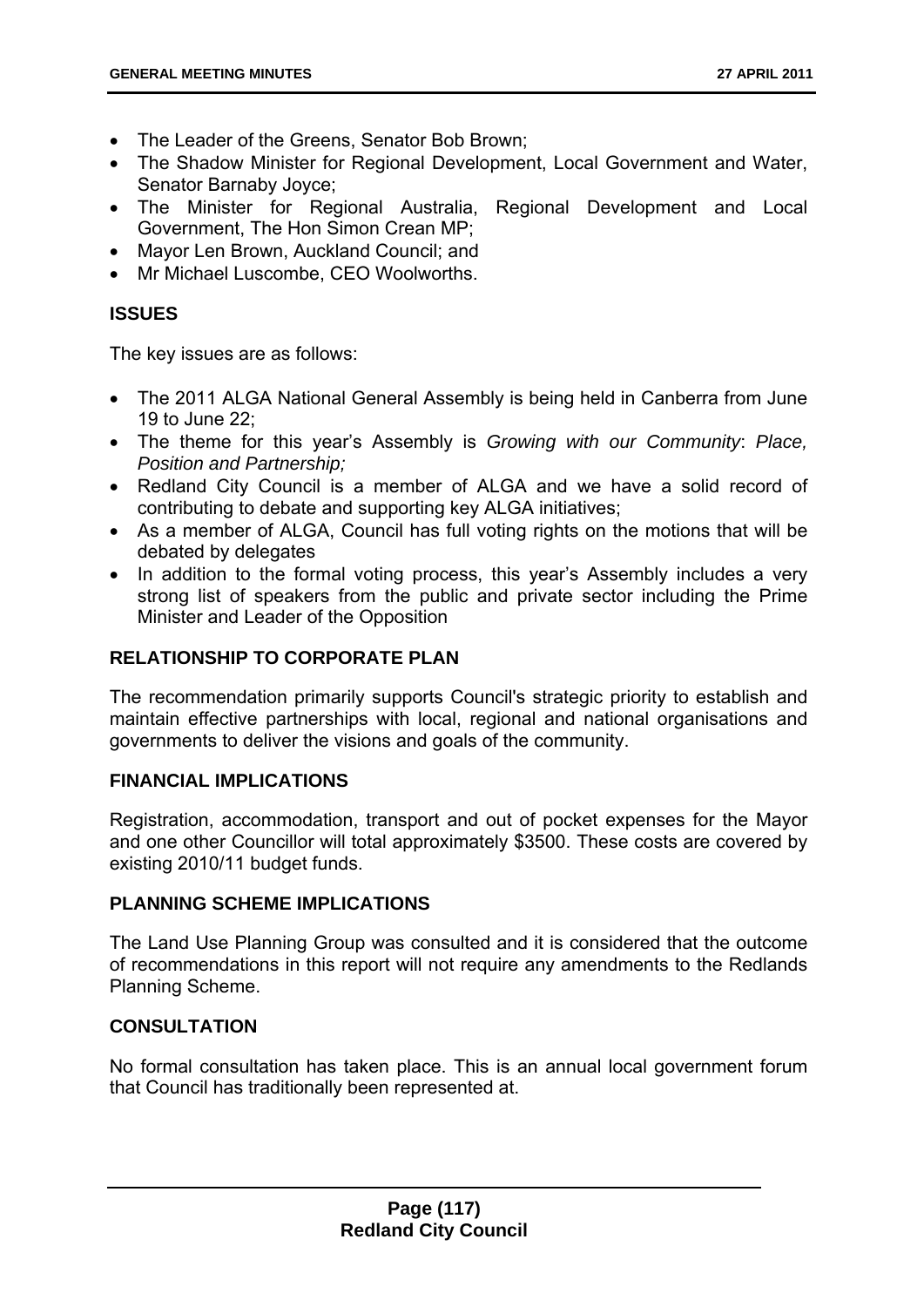- The Leader of the Greens, Senator Bob Brown;
- The Shadow Minister for Regional Development, Local Government and Water, Senator Barnaby Joyce;
- The Minister for Regional Australia, Regional Development and Local Government, The Hon Simon Crean MP;
- Mayor Len Brown, Auckland Council; and
- Mr Michael Luscombe, CEO Woolworths.

### **ISSUES**

The key issues are as follows:

- The 2011 ALGA National General Assembly is being held in Canberra from June 19 to June 22;
- The theme for this year's Assembly is *Growing with our Community*: *Place, Position and Partnership;*
- Redland City Council is a member of ALGA and we have a solid record of contributing to debate and supporting key ALGA initiatives;
- As a member of ALGA, Council has full voting rights on the motions that will be debated by delegates
- In addition to the formal voting process, this year's Assembly includes a very strong list of speakers from the public and private sector including the Prime Minister and Leader of the Opposition

# **RELATIONSHIP TO CORPORATE PLAN**

The recommendation primarily supports Council's strategic priority to establish and maintain effective partnerships with local, regional and national organisations and governments to deliver the visions and goals of the community.

### **FINANCIAL IMPLICATIONS**

Registration, accommodation, transport and out of pocket expenses for the Mayor and one other Councillor will total approximately \$3500. These costs are covered by existing 2010/11 budget funds.

### **PLANNING SCHEME IMPLICATIONS**

The Land Use Planning Group was consulted and it is considered that the outcome of recommendations in this report will not require any amendments to the Redlands Planning Scheme.

### **CONSULTATION**

No formal consultation has taken place. This is an annual local government forum that Council has traditionally been represented at.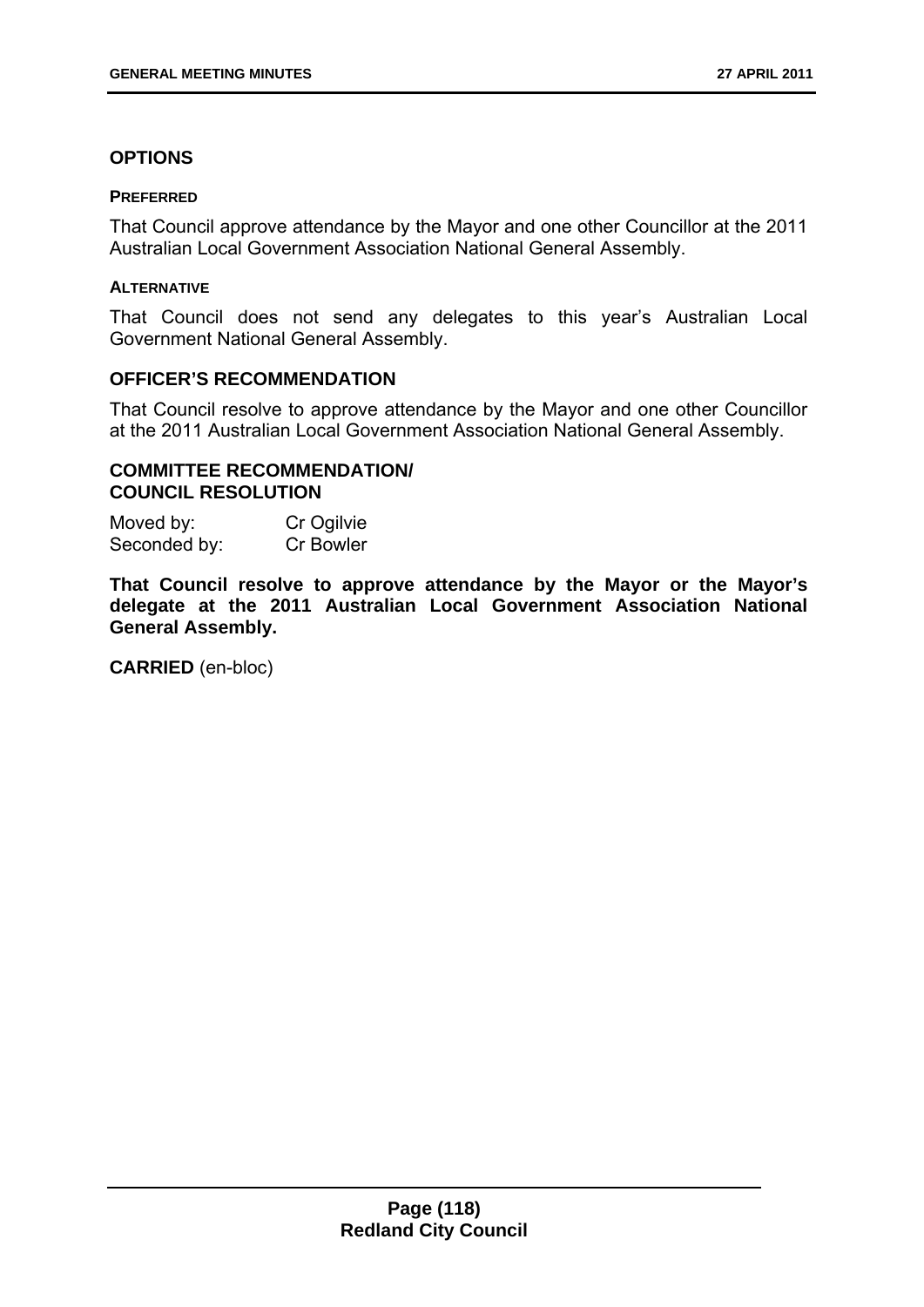### **OPTIONS**

#### **PREFERRED**

That Council approve attendance by the Mayor and one other Councillor at the 2011 Australian Local Government Association National General Assembly.

#### **ALTERNATIVE**

That Council does not send any delegates to this year's Australian Local Government National General Assembly.

### **OFFICER'S RECOMMENDATION**

That Council resolve to approve attendance by the Mayor and one other Councillor at the 2011 Australian Local Government Association National General Assembly.

# **COMMITTEE RECOMMENDATION/ COUNCIL RESOLUTION**

Moved by: Cr Ogilvie Seconded by: Cr Bowler

**That Council resolve to approve attendance by the Mayor or the Mayor's delegate at the 2011 Australian Local Government Association National General Assembly.**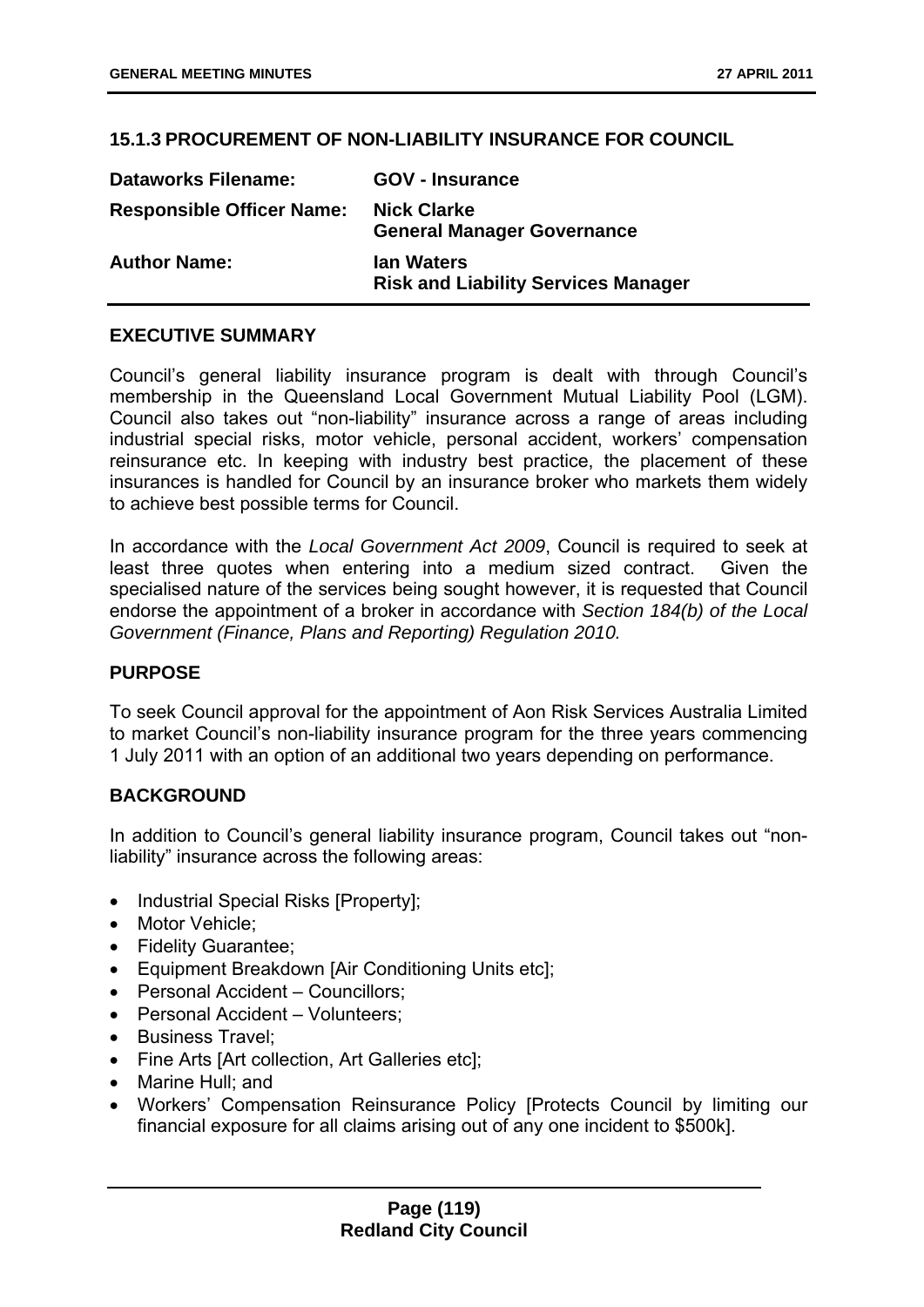# **15.1.3 PROCUREMENT OF NON-LIABILITY INSURANCE FOR COUNCIL**

| <b>Dataworks Filename:</b>       | <b>GOV - Insurance</b>                                          |
|----------------------------------|-----------------------------------------------------------------|
| <b>Responsible Officer Name:</b> | <b>Nick Clarke</b><br><b>General Manager Governance</b>         |
| <b>Author Name:</b>              | <b>Ian Waters</b><br><b>Risk and Liability Services Manager</b> |

### **EXECUTIVE SUMMARY**

Council's general liability insurance program is dealt with through Council's membership in the Queensland Local Government Mutual Liability Pool (LGM). Council also takes out "non-liability" insurance across a range of areas including industrial special risks, motor vehicle, personal accident, workers' compensation reinsurance etc. In keeping with industry best practice, the placement of these insurances is handled for Council by an insurance broker who markets them widely to achieve best possible terms for Council.

In accordance with the *Local Government Act 2009*, Council is required to seek at least three quotes when entering into a medium sized contract. Given the specialised nature of the services being sought however, it is requested that Council endorse the appointment of a broker in accordance with *Section 184(b) of the Local Government (Finance, Plans and Reporting) Regulation 2010.* 

# **PURPOSE**

To seek Council approval for the appointment of Aon Risk Services Australia Limited to market Council's non-liability insurance program for the three years commencing 1 July 2011 with an option of an additional two years depending on performance.

# **BACKGROUND**

In addition to Council's general liability insurance program, Council takes out "nonliability" insurance across the following areas:

- Industrial Special Risks [Property];
- Motor Vehicle;
- Fidelity Guarantee;
- Equipment Breakdown [Air Conditioning Units etc];
- Personal Accident Councillors;
- Personal Accident Volunteers:
- Business Travel:
- Fine Arts [Art collection, Art Galleries etc];
- Marine Hull: and
- Workers' Compensation Reinsurance Policy [Protects Council by limiting our financial exposure for all claims arising out of any one incident to \$500k].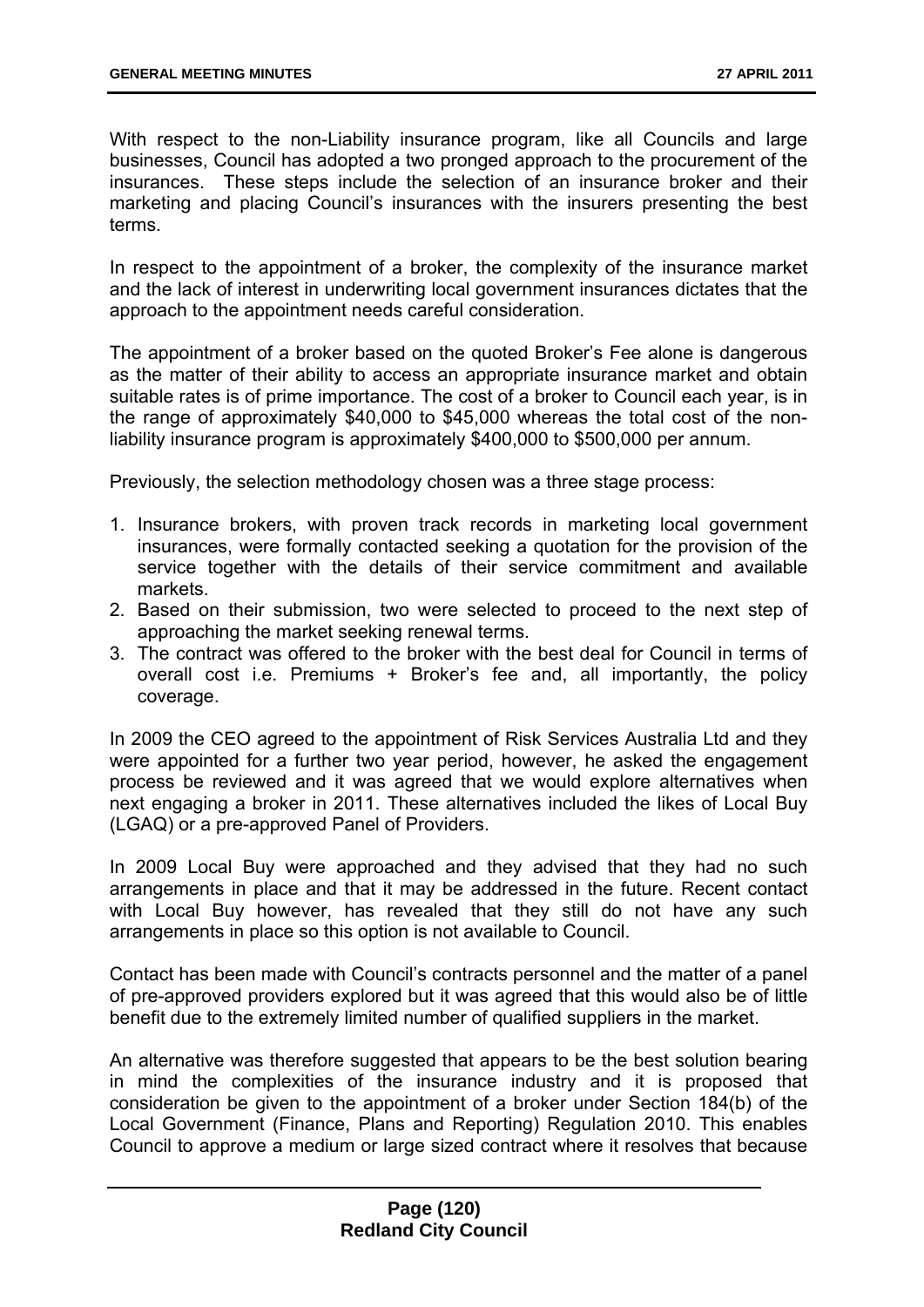With respect to the non-Liability insurance program, like all Councils and large businesses, Council has adopted a two pronged approach to the procurement of the insurances. These steps include the selection of an insurance broker and their marketing and placing Council's insurances with the insurers presenting the best terms.

In respect to the appointment of a broker, the complexity of the insurance market and the lack of interest in underwriting local government insurances dictates that the approach to the appointment needs careful consideration.

The appointment of a broker based on the quoted Broker's Fee alone is dangerous as the matter of their ability to access an appropriate insurance market and obtain suitable rates is of prime importance. The cost of a broker to Council each year, is in the range of approximately \$40,000 to \$45,000 whereas the total cost of the nonliability insurance program is approximately \$400,000 to \$500,000 per annum.

Previously, the selection methodology chosen was a three stage process:

- 1. Insurance brokers, with proven track records in marketing local government insurances, were formally contacted seeking a quotation for the provision of the service together with the details of their service commitment and available markets.
- 2. Based on their submission, two were selected to proceed to the next step of approaching the market seeking renewal terms.
- 3. The contract was offered to the broker with the best deal for Council in terms of overall cost i.e. Premiums + Broker's fee and, all importantly, the policy coverage.

In 2009 the CEO agreed to the appointment of Risk Services Australia Ltd and they were appointed for a further two year period, however, he asked the engagement process be reviewed and it was agreed that we would explore alternatives when next engaging a broker in 2011. These alternatives included the likes of Local Buy (LGAQ) or a pre-approved Panel of Providers.

In 2009 Local Buy were approached and they advised that they had no such arrangements in place and that it may be addressed in the future. Recent contact with Local Buy however, has revealed that they still do not have any such arrangements in place so this option is not available to Council.

Contact has been made with Council's contracts personnel and the matter of a panel of pre-approved providers explored but it was agreed that this would also be of little benefit due to the extremely limited number of qualified suppliers in the market.

An alternative was therefore suggested that appears to be the best solution bearing in mind the complexities of the insurance industry and it is proposed that consideration be given to the appointment of a broker under Section 184(b) of the Local Government (Finance, Plans and Reporting) Regulation 2010. This enables Council to approve a medium or large sized contract where it resolves that because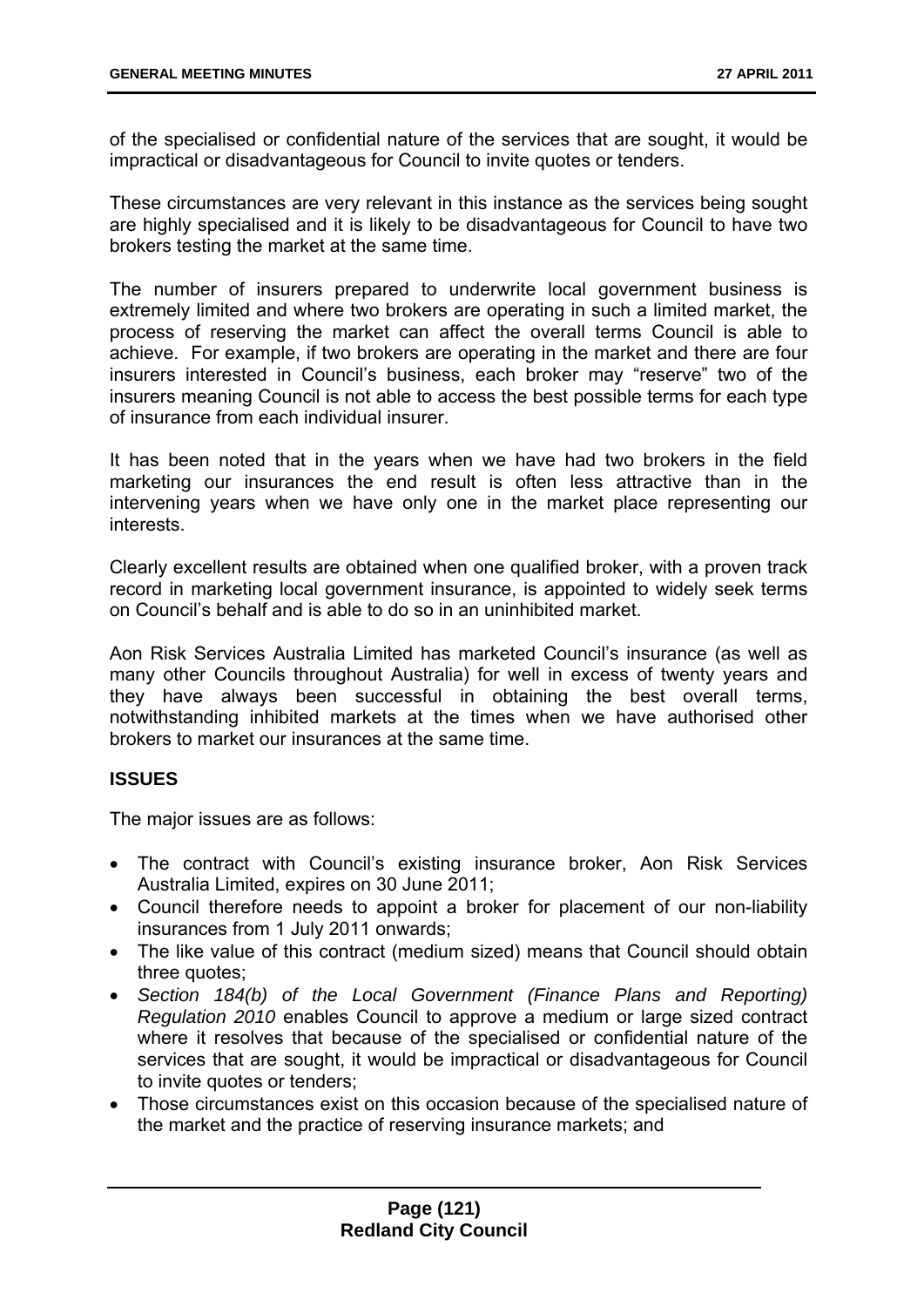of the specialised or confidential nature of the services that are sought, it would be impractical or disadvantageous for Council to invite quotes or tenders.

These circumstances are very relevant in this instance as the services being sought are highly specialised and it is likely to be disadvantageous for Council to have two brokers testing the market at the same time.

The number of insurers prepared to underwrite local government business is extremely limited and where two brokers are operating in such a limited market, the process of reserving the market can affect the overall terms Council is able to achieve. For example, if two brokers are operating in the market and there are four insurers interested in Council's business, each broker may "reserve" two of the insurers meaning Council is not able to access the best possible terms for each type of insurance from each individual insurer.

It has been noted that in the years when we have had two brokers in the field marketing our insurances the end result is often less attractive than in the intervening years when we have only one in the market place representing our interests.

Clearly excellent results are obtained when one qualified broker, with a proven track record in marketing local government insurance, is appointed to widely seek terms on Council's behalf and is able to do so in an uninhibited market.

Aon Risk Services Australia Limited has marketed Council's insurance (as well as many other Councils throughout Australia) for well in excess of twenty years and they have always been successful in obtaining the best overall terms, notwithstanding inhibited markets at the times when we have authorised other brokers to market our insurances at the same time.

# **ISSUES**

The major issues are as follows:

- The contract with Council's existing insurance broker, Aon Risk Services Australia Limited, expires on 30 June 2011;
- Council therefore needs to appoint a broker for placement of our non-liability insurances from 1 July 2011 onwards;
- The like value of this contract (medium sized) means that Council should obtain three quotes:
- *Section 184(b) of the Local Government (Finance Plans and Reporting) Regulation 2010* enables Council to approve a medium or large sized contract where it resolves that because of the specialised or confidential nature of the services that are sought, it would be impractical or disadvantageous for Council to invite quotes or tenders;
- Those circumstances exist on this occasion because of the specialised nature of the market and the practice of reserving insurance markets; and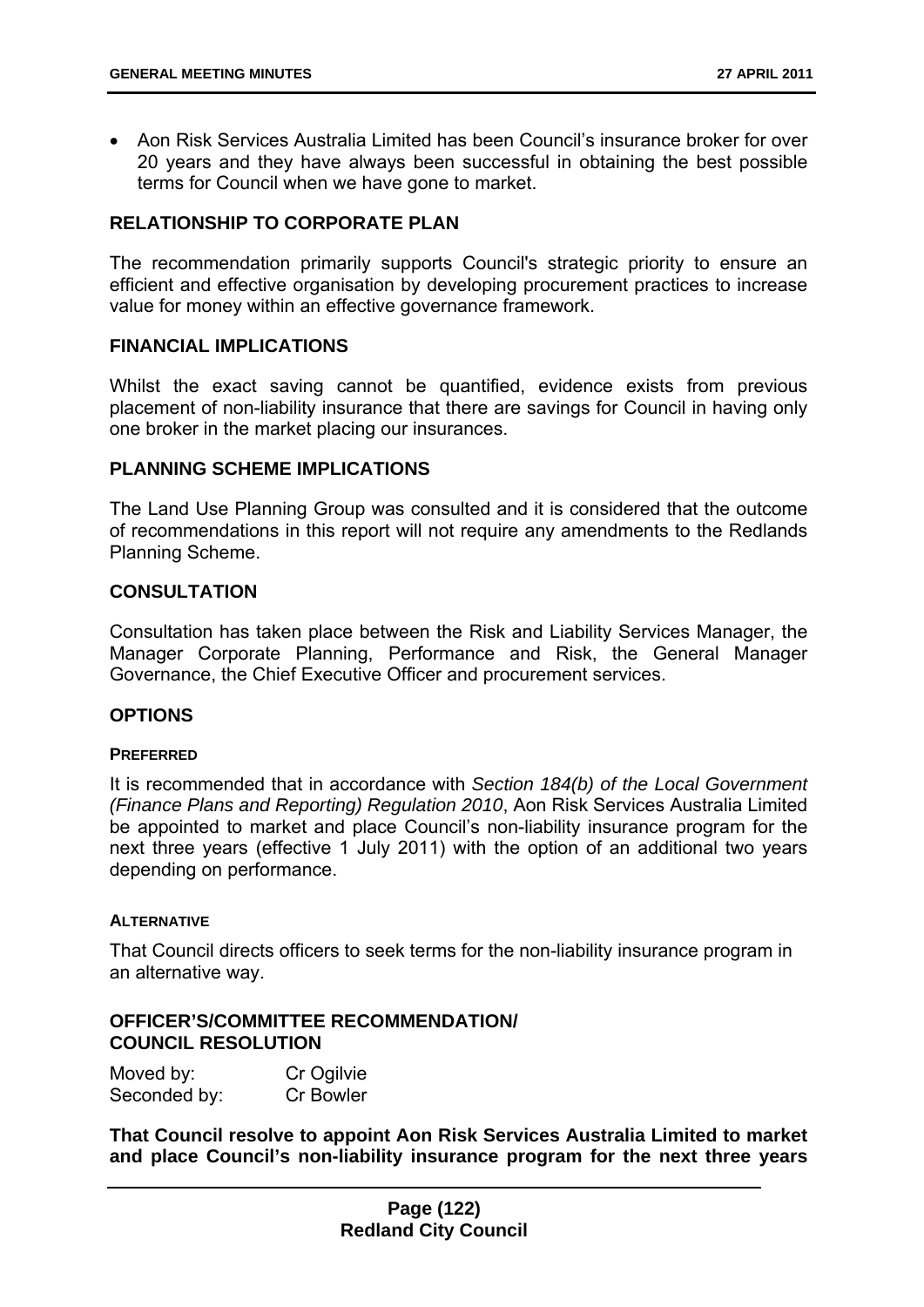Aon Risk Services Australia Limited has been Council's insurance broker for over 20 years and they have always been successful in obtaining the best possible terms for Council when we have gone to market.

### **RELATIONSHIP TO CORPORATE PLAN**

The recommendation primarily supports Council's strategic priority to ensure an efficient and effective organisation by developing procurement practices to increase value for money within an effective governance framework.

#### **FINANCIAL IMPLICATIONS**

Whilst the exact saving cannot be quantified, evidence exists from previous placement of non-liability insurance that there are savings for Council in having only one broker in the market placing our insurances.

### **PLANNING SCHEME IMPLICATIONS**

The Land Use Planning Group was consulted and it is considered that the outcome of recommendations in this report will not require any amendments to the Redlands Planning Scheme.

#### **CONSULTATION**

Consultation has taken place between the Risk and Liability Services Manager, the Manager Corporate Planning, Performance and Risk, the General Manager Governance, the Chief Executive Officer and procurement services.

### **OPTIONS**

#### **PREFERRED**

It is recommended that in accordance with *Section 184(b) of the Local Government (Finance Plans and Reporting) Regulation 2010*, Aon Risk Services Australia Limited be appointed to market and place Council's non-liability insurance program for the next three years (effective 1 July 2011) with the option of an additional two years depending on performance.

#### **ALTERNATIVE**

That Council directs officers to seek terms for the non-liability insurance program in an alternative way.

### **OFFICER'S/COMMITTEE RECOMMENDATION/ COUNCIL RESOLUTION**

| Moved by:    | Cr Ogilvie |
|--------------|------------|
| Seconded by: | Cr Bowler  |

**That Council resolve to appoint Aon Risk Services Australia Limited to market and place Council's non-liability insurance program for the next three years**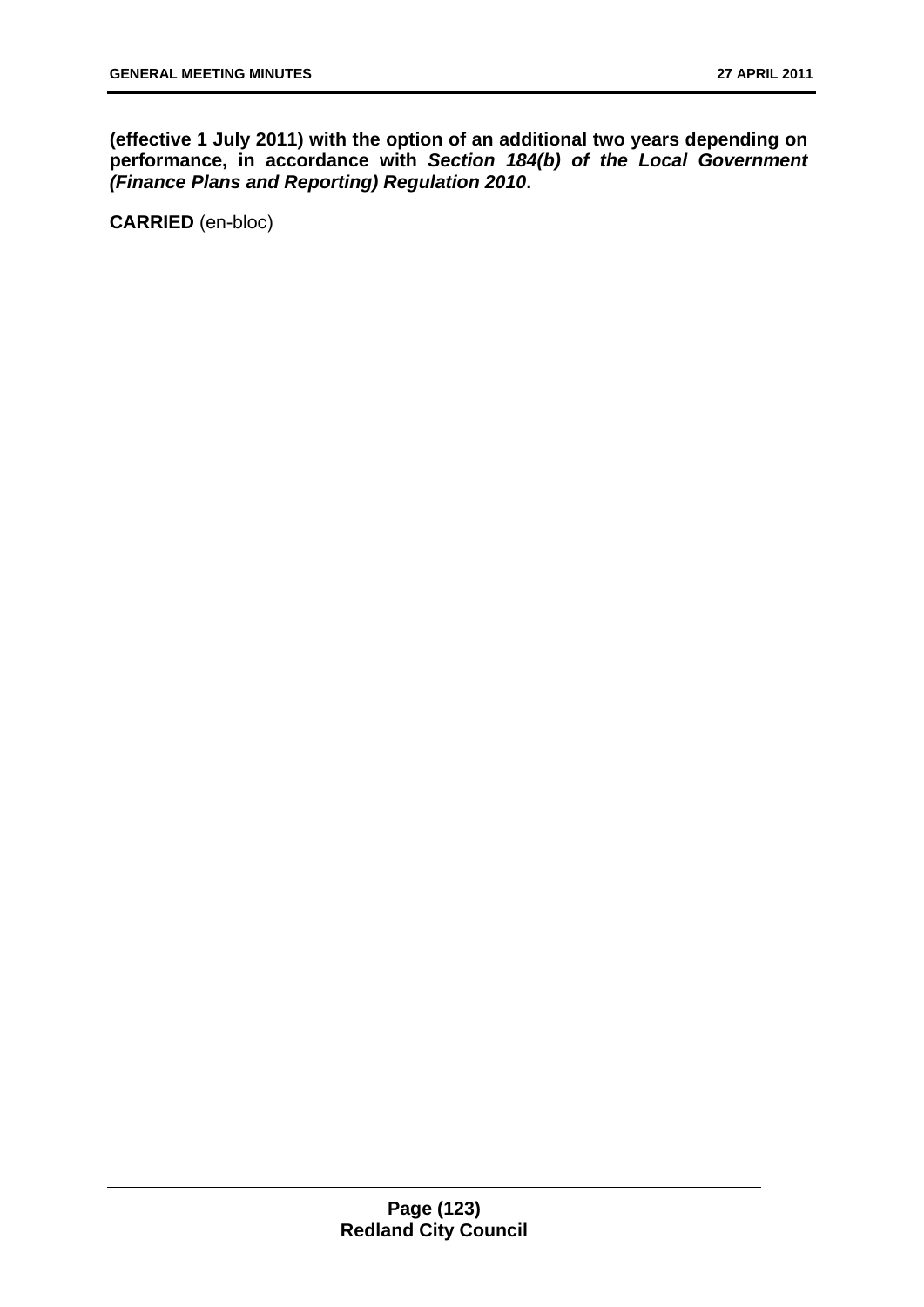**(effective 1 July 2011) with the option of an additional two years depending on performance, in accordance with** *Section 184(b) of the Local Government (Finance Plans and Reporting) Regulation 2010***.**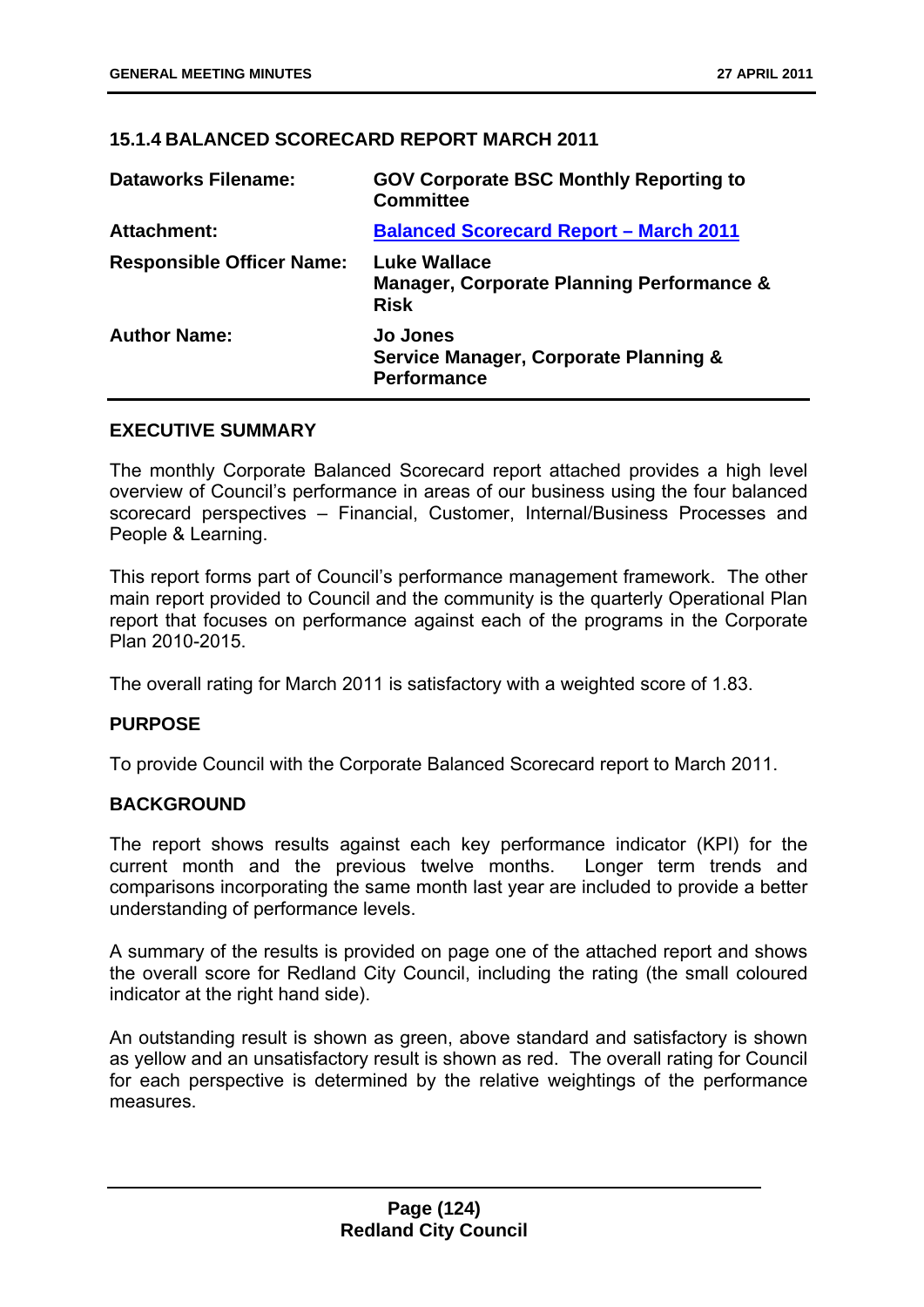# **15.1.4 BALANCED SCORECARD REPORT MARCH 2011**

| <b>Dataworks Filename:</b>       | <b>GOV Corporate BSC Monthly Reporting to</b><br><b>Committee</b>                          |
|----------------------------------|--------------------------------------------------------------------------------------------|
| <b>Attachment:</b>               | <b>Balanced Scorecard Report - March 2011</b>                                              |
| <b>Responsible Officer Name:</b> | <b>Luke Wallace</b><br><b>Manager, Corporate Planning Performance &amp;</b><br><b>Risk</b> |
| <b>Author Name:</b>              | <b>Jo Jones</b><br><b>Service Manager, Corporate Planning &amp;</b><br><b>Performance</b>  |

### **EXECUTIVE SUMMARY**

The monthly Corporate Balanced Scorecard report attached provides a high level overview of Council's performance in areas of our business using the four balanced scorecard perspectives – Financial, Customer, Internal/Business Processes and People & Learning.

This report forms part of Council's performance management framework. The other main report provided to Council and the community is the quarterly Operational Plan report that focuses on performance against each of the programs in the Corporate Plan 2010-2015.

The overall rating for March 2011 is satisfactory with a weighted score of 1.83.

# **PURPOSE**

To provide Council with the Corporate Balanced Scorecard report to March 2011.

### **BACKGROUND**

The report shows results against each key performance indicator (KPI) for the current month and the previous twelve months. Longer term trends and comparisons incorporating the same month last year are included to provide a better understanding of performance levels.

A summary of the results is provided on page one of the attached report and shows the overall score for Redland City Council, including the rating (the small coloured indicator at the right hand side).

An outstanding result is shown as green, above standard and satisfactory is shown as yellow and an unsatisfactory result is shown as red. The overall rating for Council for each perspective is determined by the relative weightings of the performance measures.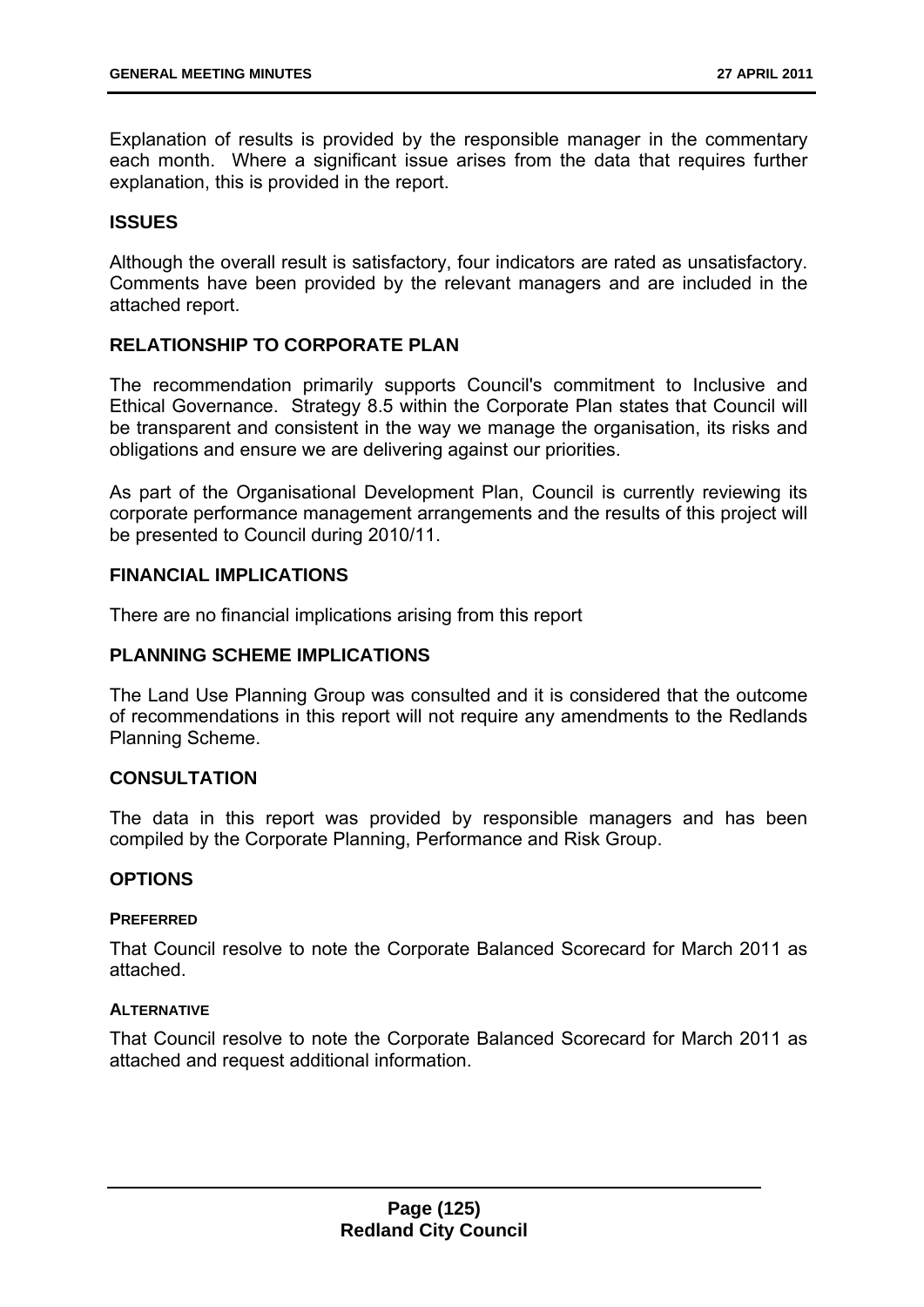Explanation of results is provided by the responsible manager in the commentary each month. Where a significant issue arises from the data that requires further explanation, this is provided in the report.

### **ISSUES**

Although the overall result is satisfactory, four indicators are rated as unsatisfactory. Comments have been provided by the relevant managers and are included in the attached report.

### **RELATIONSHIP TO CORPORATE PLAN**

The recommendation primarily supports Council's commitment to Inclusive and Ethical Governance. Strategy 8.5 within the Corporate Plan states that Council will be transparent and consistent in the way we manage the organisation, its risks and obligations and ensure we are delivering against our priorities.

As part of the Organisational Development Plan, Council is currently reviewing its corporate performance management arrangements and the results of this project will be presented to Council during 2010/11.

### **FINANCIAL IMPLICATIONS**

There are no financial implications arising from this report

### **PLANNING SCHEME IMPLICATIONS**

The Land Use Planning Group was consulted and it is considered that the outcome of recommendations in this report will not require any amendments to the Redlands Planning Scheme.

### **CONSULTATION**

The data in this report was provided by responsible managers and has been compiled by the Corporate Planning, Performance and Risk Group.

### **OPTIONS**

### **PREFERRED**

That Council resolve to note the Corporate Balanced Scorecard for March 2011 as attached.

#### **ALTERNATIVE**

That Council resolve to note the Corporate Balanced Scorecard for March 2011 as attached and request additional information.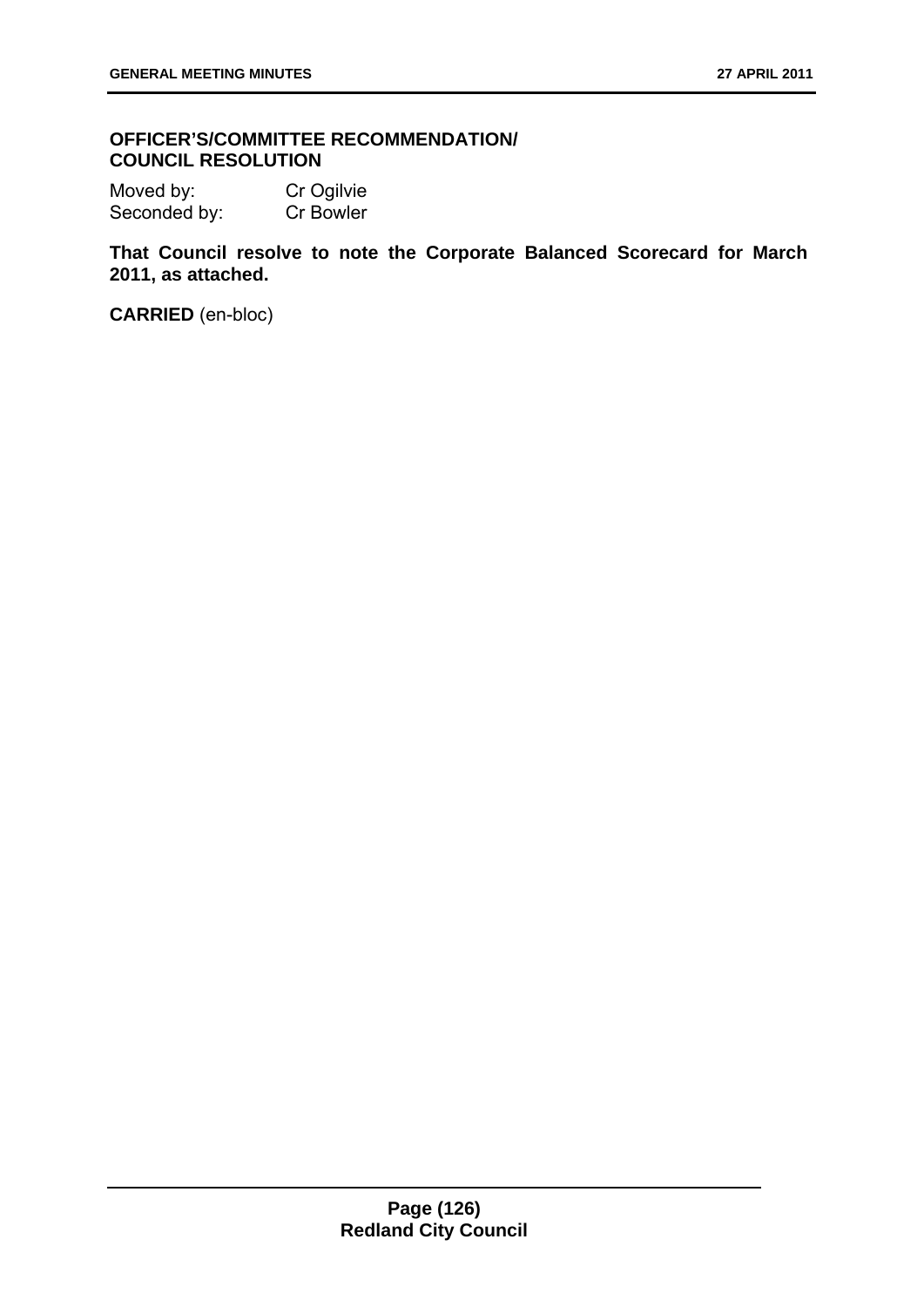### **OFFICER'S/COMMITTEE RECOMMENDATION/ COUNCIL RESOLUTION**

Moved by: Cr Ogilvie Seconded by: Cr Bowler

**That Council resolve to note the Corporate Balanced Scorecard for March 2011, as attached.**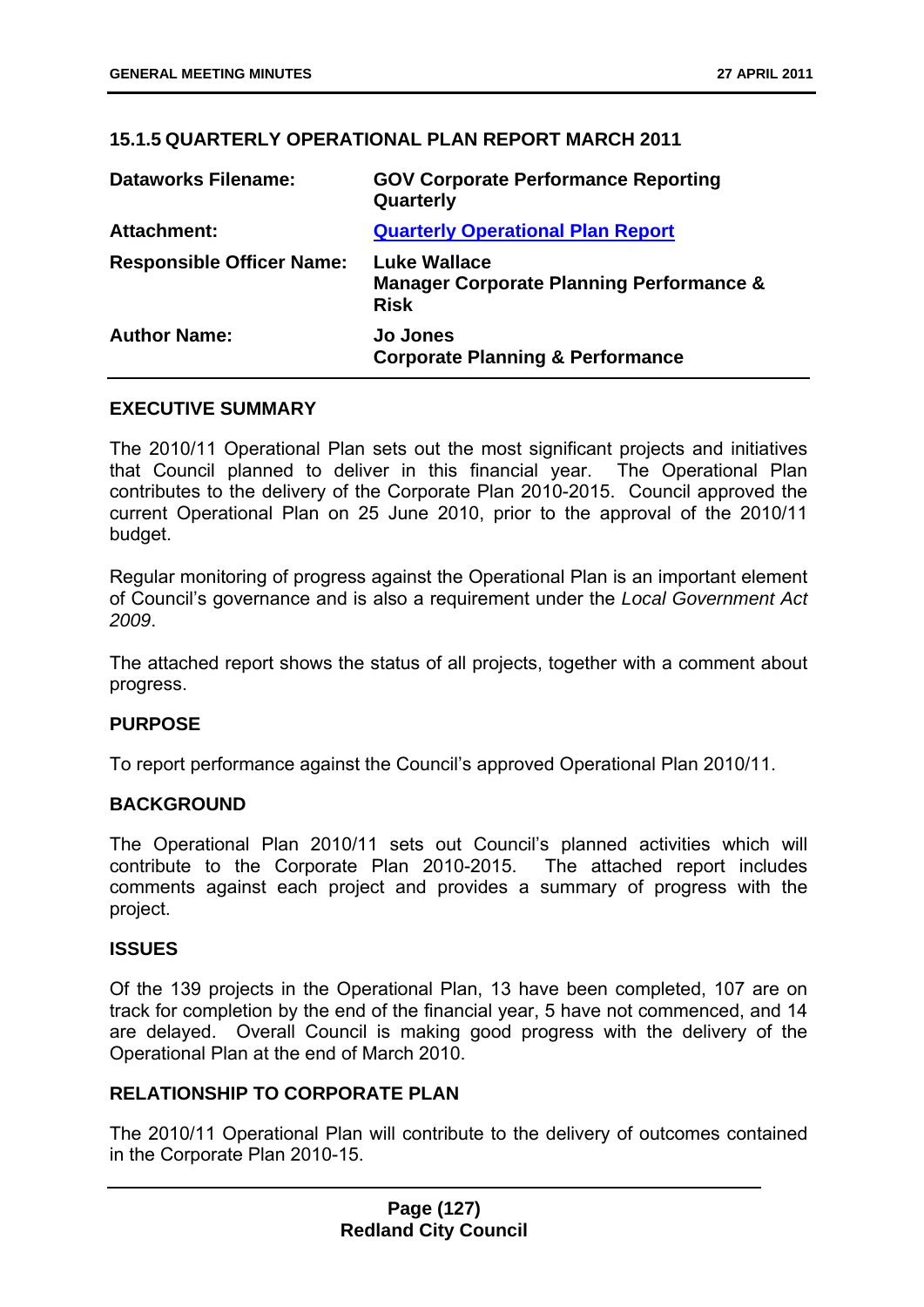### **15.1.5 QUARTERLY OPERATIONAL PLAN REPORT MARCH 2011**

| <b>Dataworks Filename:</b>       | <b>GOV Corporate Performance Reporting</b><br>Quarterly                                   |
|----------------------------------|-------------------------------------------------------------------------------------------|
| Attachment:                      | <b>Quarterly Operational Plan Report</b>                                                  |
| <b>Responsible Officer Name:</b> | <b>Luke Wallace</b><br><b>Manager Corporate Planning Performance &amp;</b><br><b>Risk</b> |
| <b>Author Name:</b>              | <b>Jo Jones</b><br><b>Corporate Planning &amp; Performance</b>                            |

### **EXECUTIVE SUMMARY**

The 2010/11 Operational Plan sets out the most significant projects and initiatives that Council planned to deliver in this financial year. The Operational Plan contributes to the delivery of the Corporate Plan 2010-2015. Council approved the current Operational Plan on 25 June 2010, prior to the approval of the 2010/11 budget.

Regular monitoring of progress against the Operational Plan is an important element of Council's governance and is also a requirement under the *Local Government Act 2009*.

The attached report shows the status of all projects, together with a comment about progress.

### **PURPOSE**

To report performance against the Council's approved Operational Plan 2010/11.

### **BACKGROUND**

The Operational Plan 2010/11 sets out Council's planned activities which will contribute to the Corporate Plan 2010-2015. The attached report includes comments against each project and provides a summary of progress with the project.

### **ISSUES**

Of the 139 projects in the Operational Plan, 13 have been completed, 107 are on track for completion by the end of the financial year, 5 have not commenced, and 14 are delayed. Overall Council is making good progress with the delivery of the Operational Plan at the end of March 2010.

### **RELATIONSHIP TO CORPORATE PLAN**

The 2010/11 Operational Plan will contribute to the delivery of outcomes contained in the Corporate Plan 2010-15.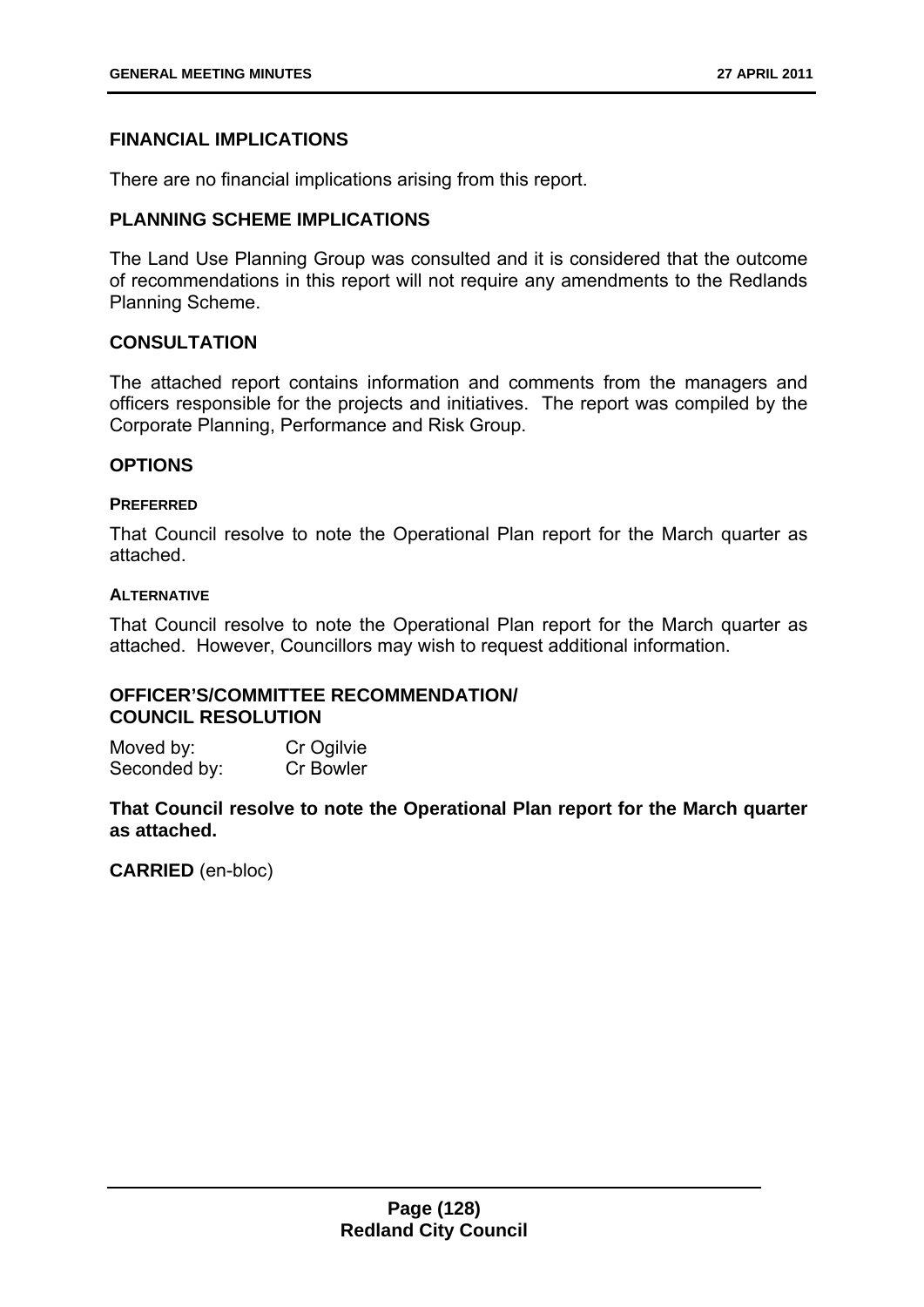# **FINANCIAL IMPLICATIONS**

There are no financial implications arising from this report.

# **PLANNING SCHEME IMPLICATIONS**

The Land Use Planning Group was consulted and it is considered that the outcome of recommendations in this report will not require any amendments to the Redlands Planning Scheme.

### **CONSULTATION**

The attached report contains information and comments from the managers and officers responsible for the projects and initiatives. The report was compiled by the Corporate Planning, Performance and Risk Group.

### **OPTIONS**

### **PREFERRED**

That Council resolve to note the Operational Plan report for the March quarter as attached.

### **ALTERNATIVE**

That Council resolve to note the Operational Plan report for the March quarter as attached. However, Councillors may wish to request additional information.

# **OFFICER'S/COMMITTEE RECOMMENDATION/ COUNCIL RESOLUTION**

Moved by: Cr Ogilvie Seconded by: Cr Bowler

**That Council resolve to note the Operational Plan report for the March quarter as attached.**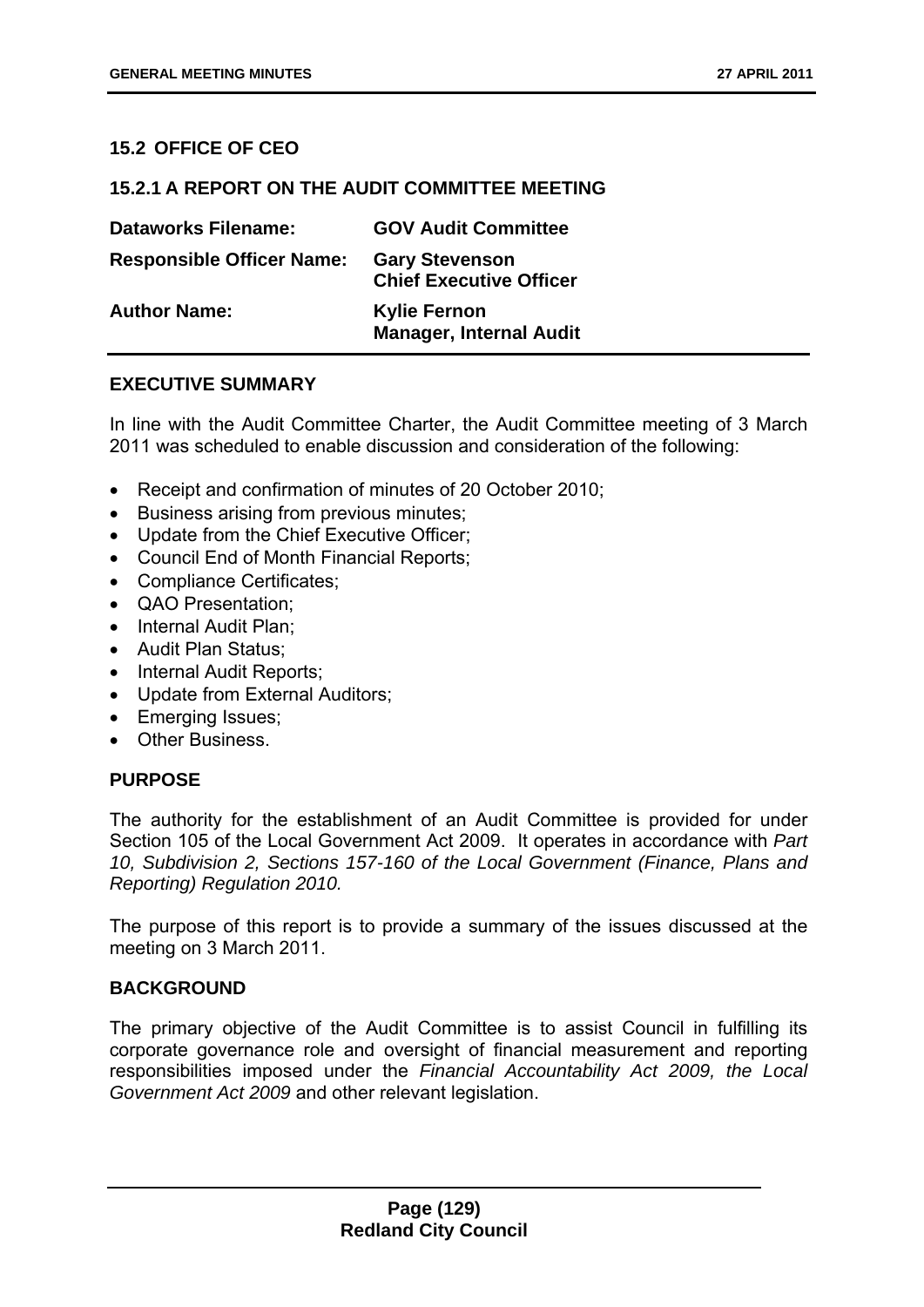### **15.2 OFFICE OF CEO**

### **15.2.1 A REPORT ON THE AUDIT COMMITTEE MEETING**

| <b>Dataworks Filename:</b>       | <b>GOV Audit Committee</b>                              |
|----------------------------------|---------------------------------------------------------|
| <b>Responsible Officer Name:</b> | <b>Gary Stevenson</b><br><b>Chief Executive Officer</b> |
| <b>Author Name:</b>              | <b>Kylie Fernon</b><br><b>Manager, Internal Audit</b>   |

### **EXECUTIVE SUMMARY**

In line with the Audit Committee Charter, the Audit Committee meeting of 3 March 2011 was scheduled to enable discussion and consideration of the following:

- Receipt and confirmation of minutes of 20 October 2010;
- **•** Business arising from previous minutes;
- Update from the Chief Executive Officer:
- Council End of Month Financial Reports;
- Compliance Certificates;
- QAO Presentation;
- Internal Audit Plan:
- Audit Plan Status;
- Internal Audit Reports;
- Update from External Auditors;
- Emerging Issues;
- Other Business.

#### **PURPOSE**

The authority for the establishment of an Audit Committee is provided for under Section 105 of the Local Government Act 2009. It operates in accordance with *Part 10, Subdivision 2, Sections 157-160 of the Local Government (Finance, Plans and Reporting) Regulation 2010.*

The purpose of this report is to provide a summary of the issues discussed at the meeting on 3 March 2011.

### **BACKGROUND**

The primary objective of the Audit Committee is to assist Council in fulfilling its corporate governance role and oversight of financial measurement and reporting responsibilities imposed under the *Financial Accountability Act 2009, the Local Government Act 2009* and other relevant legislation.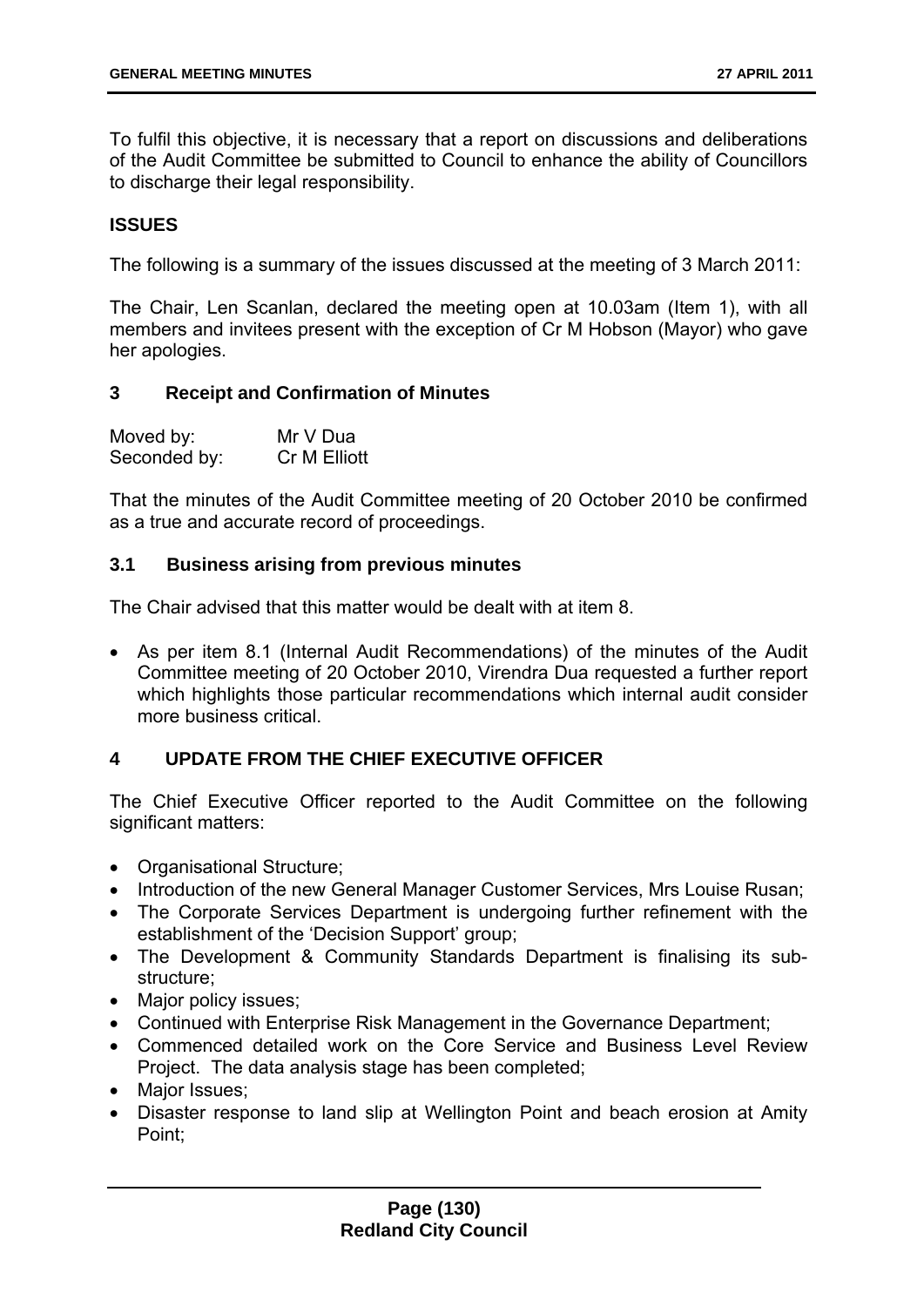To fulfil this objective, it is necessary that a report on discussions and deliberations of the Audit Committee be submitted to Council to enhance the ability of Councillors to discharge their legal responsibility.

### **ISSUES**

The following is a summary of the issues discussed at the meeting of 3 March 2011:

The Chair, Len Scanlan, declared the meeting open at 10.03am (Item 1), with all members and invitees present with the exception of Cr M Hobson (Mayor) who gave her apologies.

### **3 Receipt and Confirmation of Minutes**

| Moved by:    | Mr V Dua     |
|--------------|--------------|
| Seconded by: | Cr M Elliott |

That the minutes of the Audit Committee meeting of 20 October 2010 be confirmed as a true and accurate record of proceedings.

### **3.1 Business arising from previous minutes**

The Chair advised that this matter would be dealt with at item 8.

 As per item 8.1 (Internal Audit Recommendations) of the minutes of the Audit Committee meeting of 20 October 2010, Virendra Dua requested a further report which highlights those particular recommendations which internal audit consider more business critical.

# **4 UPDATE FROM THE CHIEF EXECUTIVE OFFICER**

The Chief Executive Officer reported to the Audit Committee on the following significant matters:

- Organisational Structure;
- Introduction of the new General Manager Customer Services, Mrs Louise Rusan;
- The Corporate Services Department is undergoing further refinement with the establishment of the 'Decision Support' group;
- The Development & Community Standards Department is finalising its substructure;
- Major policy issues:
- Continued with Enterprise Risk Management in the Governance Department;
- Commenced detailed work on the Core Service and Business Level Review Project. The data analysis stage has been completed;
- Major Issues;
- Disaster response to land slip at Wellington Point and beach erosion at Amity Point;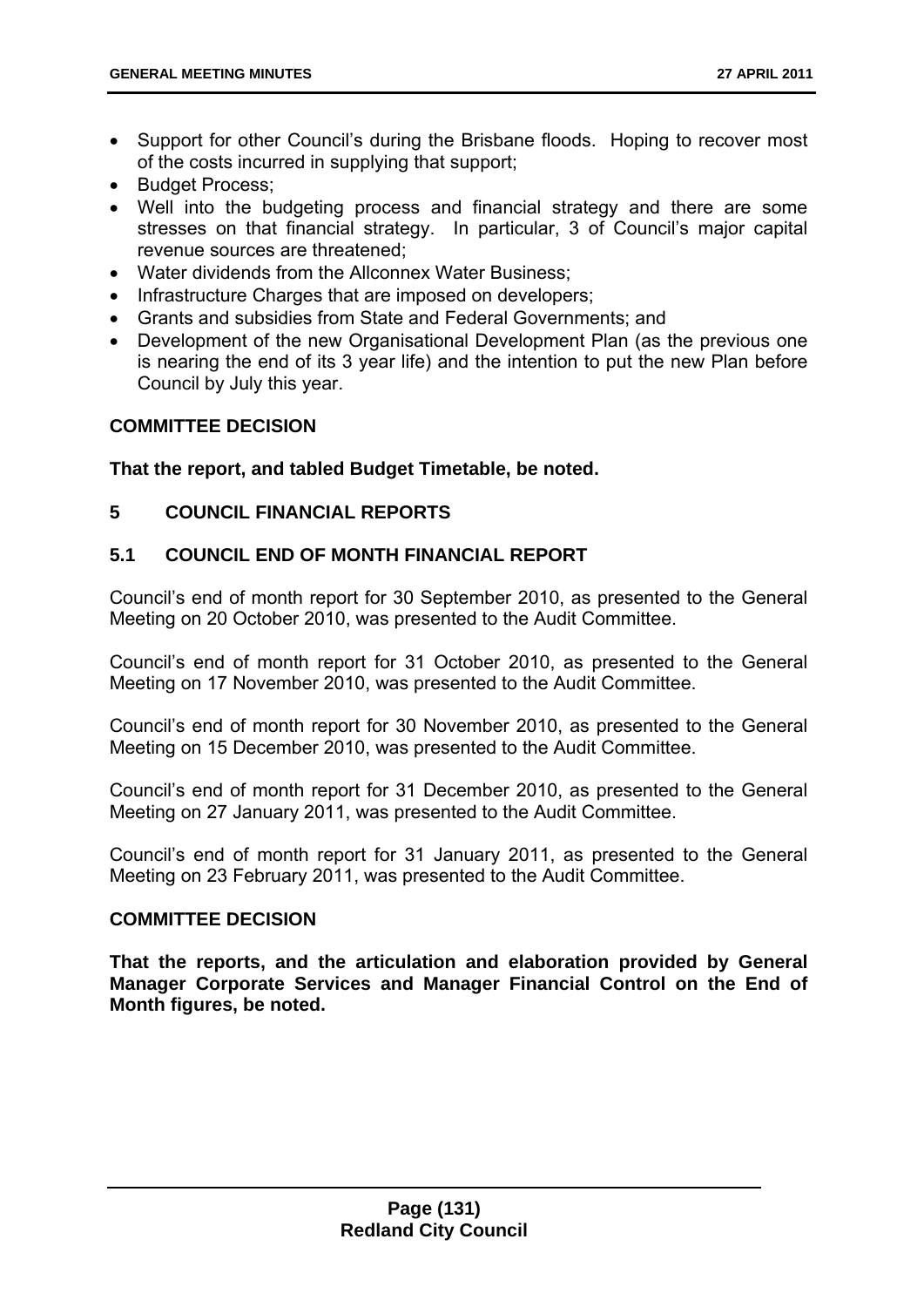- Support for other Council's during the Brisbane floods. Hoping to recover most of the costs incurred in supplying that support;
- Budget Process:
- Well into the budgeting process and financial strategy and there are some stresses on that financial strategy. In particular, 3 of Council's major capital revenue sources are threatened;
- Water dividends from the Allconnex Water Business;
- Infrastructure Charges that are imposed on developers;
- Grants and subsidies from State and Federal Governments; and
- Development of the new Organisational Development Plan (as the previous one is nearing the end of its 3 year life) and the intention to put the new Plan before Council by July this year.

# **COMMITTEE DECISION**

**That the report, and tabled Budget Timetable, be noted.** 

# **5 COUNCIL FINANCIAL REPORTS**

# **5.1 COUNCIL END OF MONTH FINANCIAL REPORT**

Council's end of month report for 30 September 2010, as presented to the General Meeting on 20 October 2010, was presented to the Audit Committee.

Council's end of month report for 31 October 2010, as presented to the General Meeting on 17 November 2010, was presented to the Audit Committee.

Council's end of month report for 30 November 2010, as presented to the General Meeting on 15 December 2010, was presented to the Audit Committee.

Council's end of month report for 31 December 2010, as presented to the General Meeting on 27 January 2011, was presented to the Audit Committee.

Council's end of month report for 31 January 2011, as presented to the General Meeting on 23 February 2011, was presented to the Audit Committee.

# **COMMITTEE DECISION**

**That the reports, and the articulation and elaboration provided by General Manager Corporate Services and Manager Financial Control on the End of Month figures, be noted.**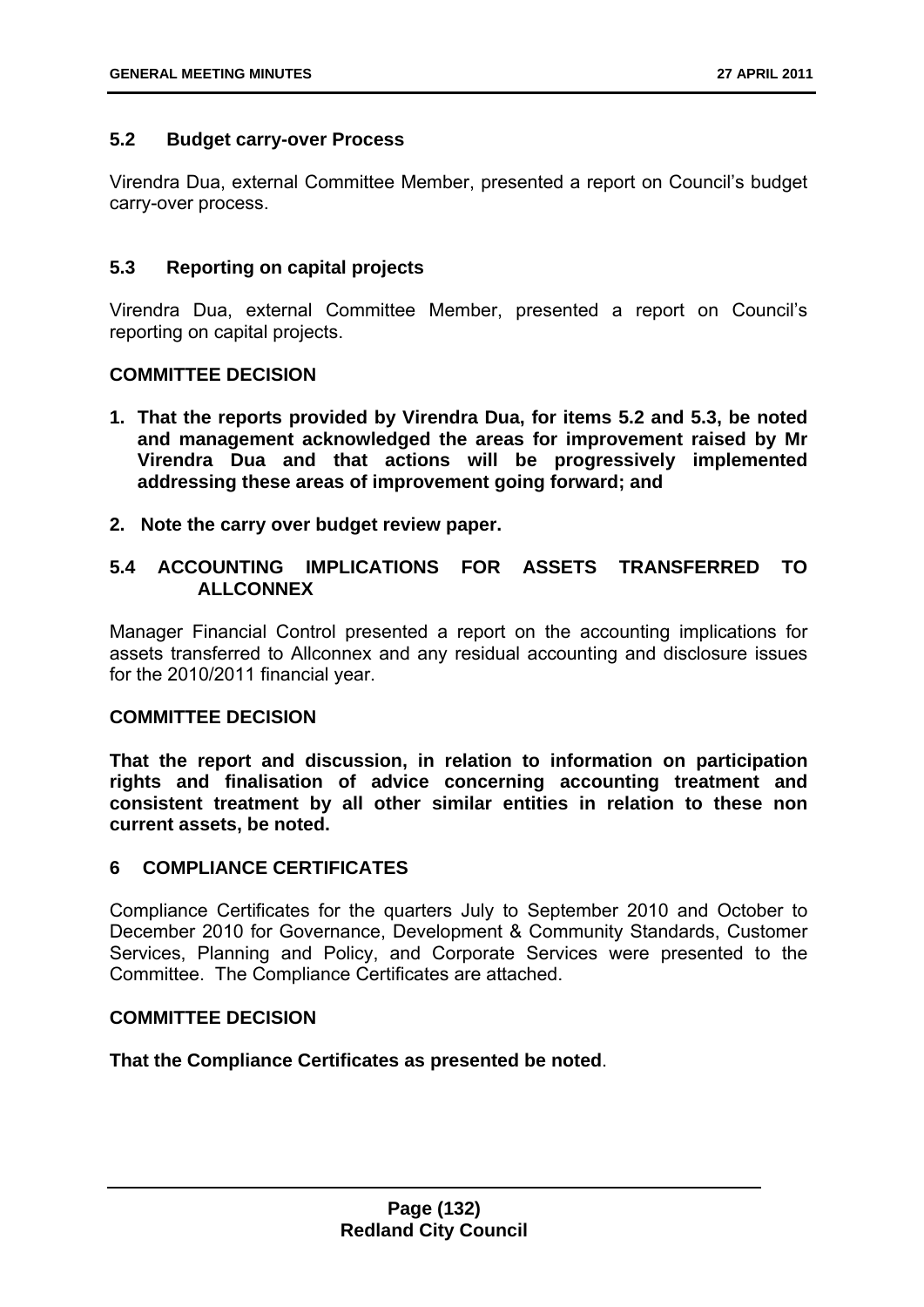### **5.2 Budget carry-over Process**

Virendra Dua, external Committee Member, presented a report on Council's budget carry-over process.

### **5.3 Reporting on capital projects**

Virendra Dua, external Committee Member, presented a report on Council's reporting on capital projects.

### **COMMITTEE DECISION**

- **1. That the reports provided by Virendra Dua, for items 5.2 and 5.3, be noted and management acknowledged the areas for improvement raised by Mr Virendra Dua and that actions will be progressively implemented addressing these areas of improvement going forward; and**
- **2. Note the carry over budget review paper.**

# **5.4 ACCOUNTING IMPLICATIONS FOR ASSETS TRANSFERRED TO ALLCONNEX**

Manager Financial Control presented a report on the accounting implications for assets transferred to Allconnex and any residual accounting and disclosure issues for the 2010/2011 financial year.

### **COMMITTEE DECISION**

**That the report and discussion, in relation to information on participation rights and finalisation of advice concerning accounting treatment and consistent treatment by all other similar entities in relation to these non current assets, be noted.** 

### **6 COMPLIANCE CERTIFICATES**

Compliance Certificates for the quarters July to September 2010 and October to December 2010 for Governance, Development & Community Standards, Customer Services, Planning and Policy, and Corporate Services were presented to the Committee. The Compliance Certificates are attached.

### **COMMITTEE DECISION**

**That the Compliance Certificates as presented be noted**.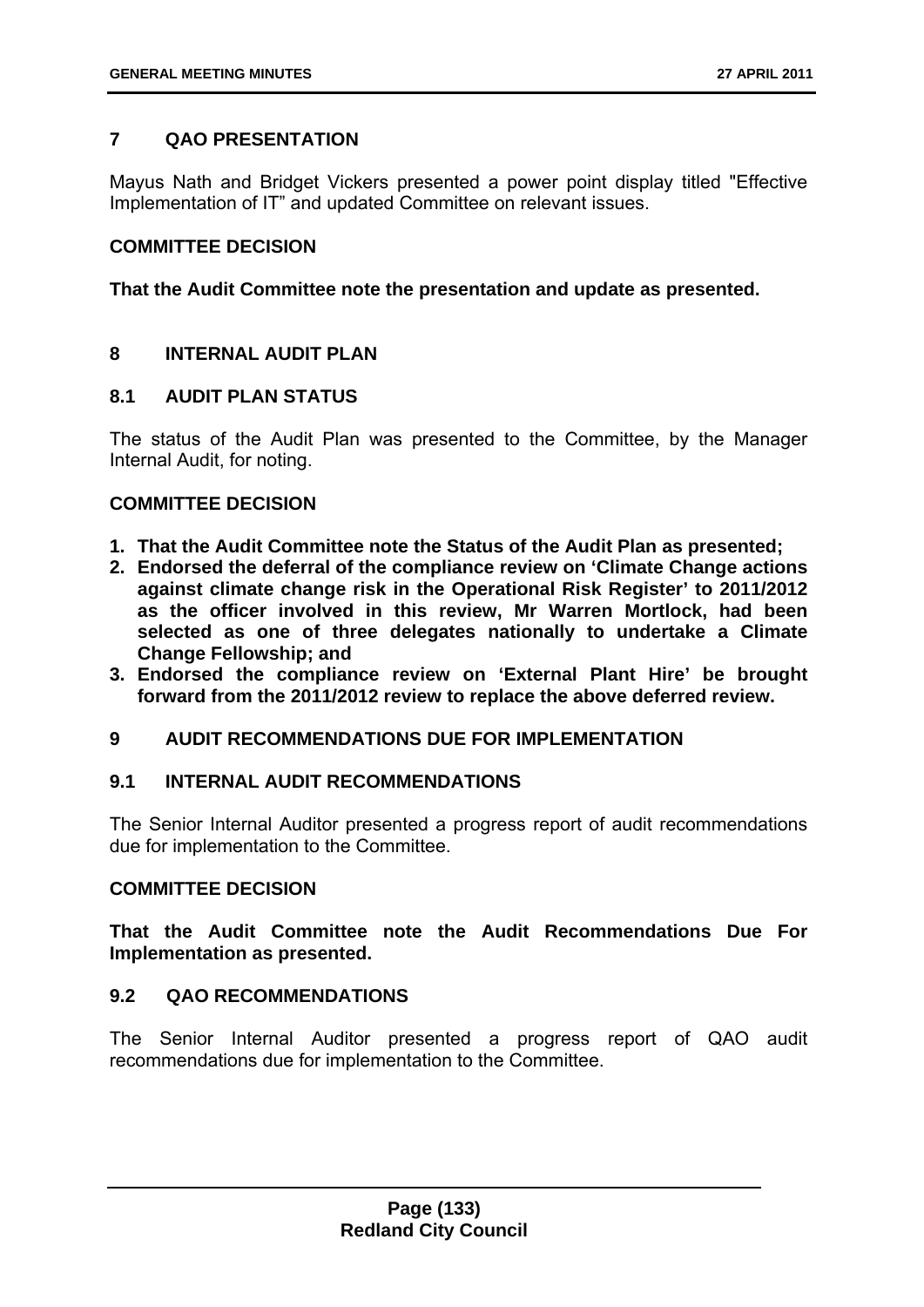# **7 QAO PRESENTATION**

Mayus Nath and Bridget Vickers presented a power point display titled "Effective Implementation of IT" and updated Committee on relevant issues.

### **COMMITTEE DECISION**

**That the Audit Committee note the presentation and update as presented.** 

# **8 INTERNAL AUDIT PLAN**

### **8.1 AUDIT PLAN STATUS**

The status of the Audit Plan was presented to the Committee, by the Manager Internal Audit, for noting.

# **COMMITTEE DECISION**

- **1. That the Audit Committee note the Status of the Audit Plan as presented;**
- **2. Endorsed the deferral of the compliance review on 'Climate Change actions against climate change risk in the Operational Risk Register' to 2011/2012 as the officer involved in this review, Mr Warren Mortlock, had been selected as one of three delegates nationally to undertake a Climate Change Fellowship; and**
- **3. Endorsed the compliance review on 'External Plant Hire' be brought forward from the 2011/2012 review to replace the above deferred review.**

### **9 AUDIT RECOMMENDATIONS DUE FOR IMPLEMENTATION**

### **9.1 INTERNAL AUDIT RECOMMENDATIONS**

The Senior Internal Auditor presented a progress report of audit recommendations due for implementation to the Committee.

### **COMMITTEE DECISION**

**That the Audit Committee note the Audit Recommendations Due For Implementation as presented.** 

# **9.2 QAO RECOMMENDATIONS**

The Senior Internal Auditor presented a progress report of QAO audit recommendations due for implementation to the Committee.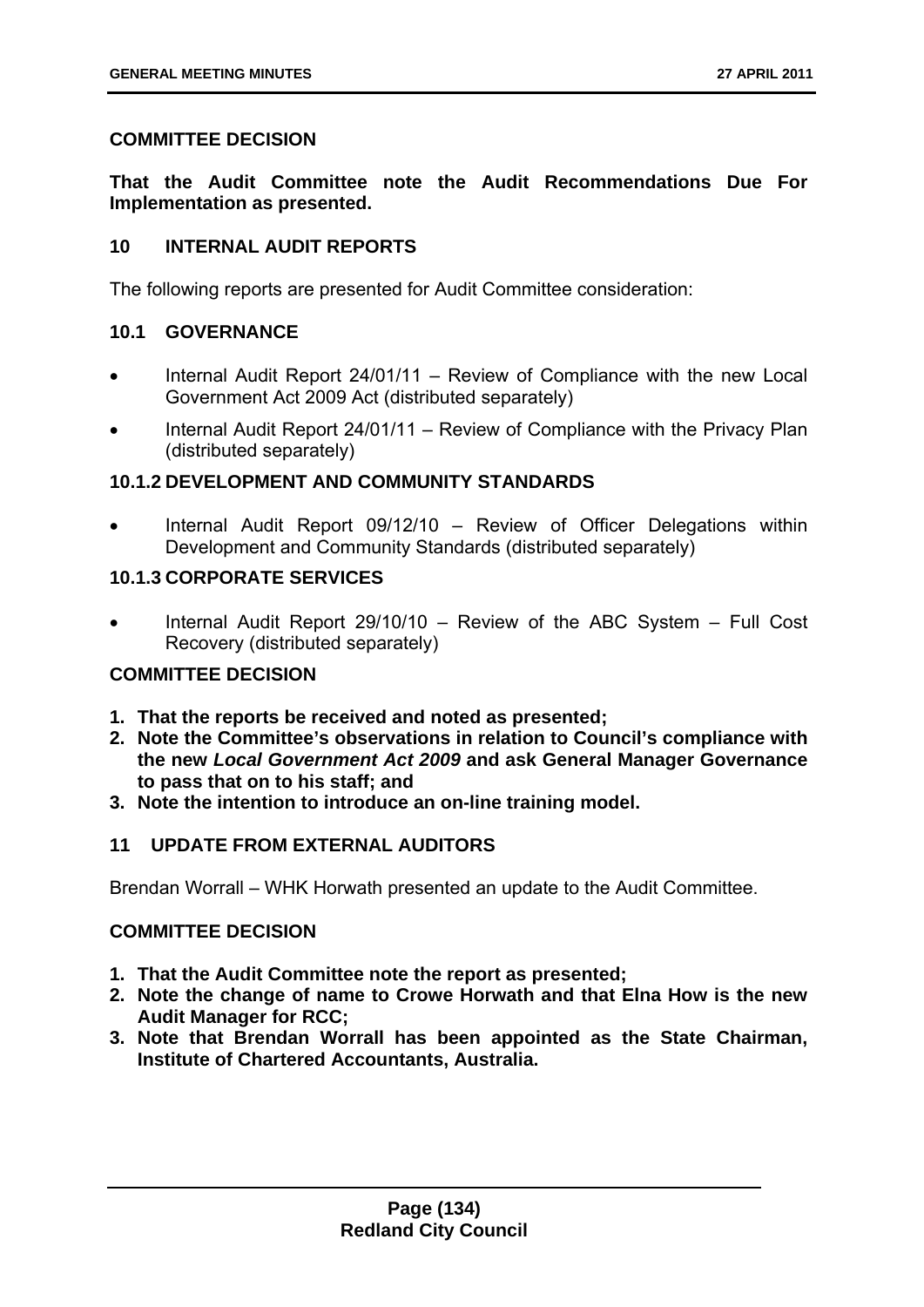# **COMMITTEE DECISION**

**That the Audit Committee note the Audit Recommendations Due For Implementation as presented.** 

### **10 INTERNAL AUDIT REPORTS**

The following reports are presented for Audit Committee consideration:

# **10.1 GOVERNANCE**

- Internal Audit Report 24/01/11 Review of Compliance with the new Local Government Act 2009 Act (distributed separately)
- Internal Audit Report 24/01/11 Review of Compliance with the Privacy Plan (distributed separately)

# **10.1.2 DEVELOPMENT AND COMMUNITY STANDARDS**

 Internal Audit Report 09/12/10 – Review of Officer Delegations within Development and Community Standards (distributed separately)

### **10.1.3 CORPORATE SERVICES**

 Internal Audit Report 29/10/10 – Review of the ABC System – Full Cost Recovery (distributed separately)

# **COMMITTEE DECISION**

- **1. That the reports be received and noted as presented;**
- **2. Note the Committee's observations in relation to Council's compliance with the new** *Local Government Act 2009* **and ask General Manager Governance to pass that on to his staff; and**
- **3. Note the intention to introduce an on-line training model.**

# **11 UPDATE FROM EXTERNAL AUDITORS**

Brendan Worrall – WHK Horwath presented an update to the Audit Committee.

### **COMMITTEE DECISION**

- **1. That the Audit Committee note the report as presented;**
- **2. Note the change of name to Crowe Horwath and that Elna How is the new Audit Manager for RCC;**
- **3. Note that Brendan Worrall has been appointed as the State Chairman, Institute of Chartered Accountants, Australia.**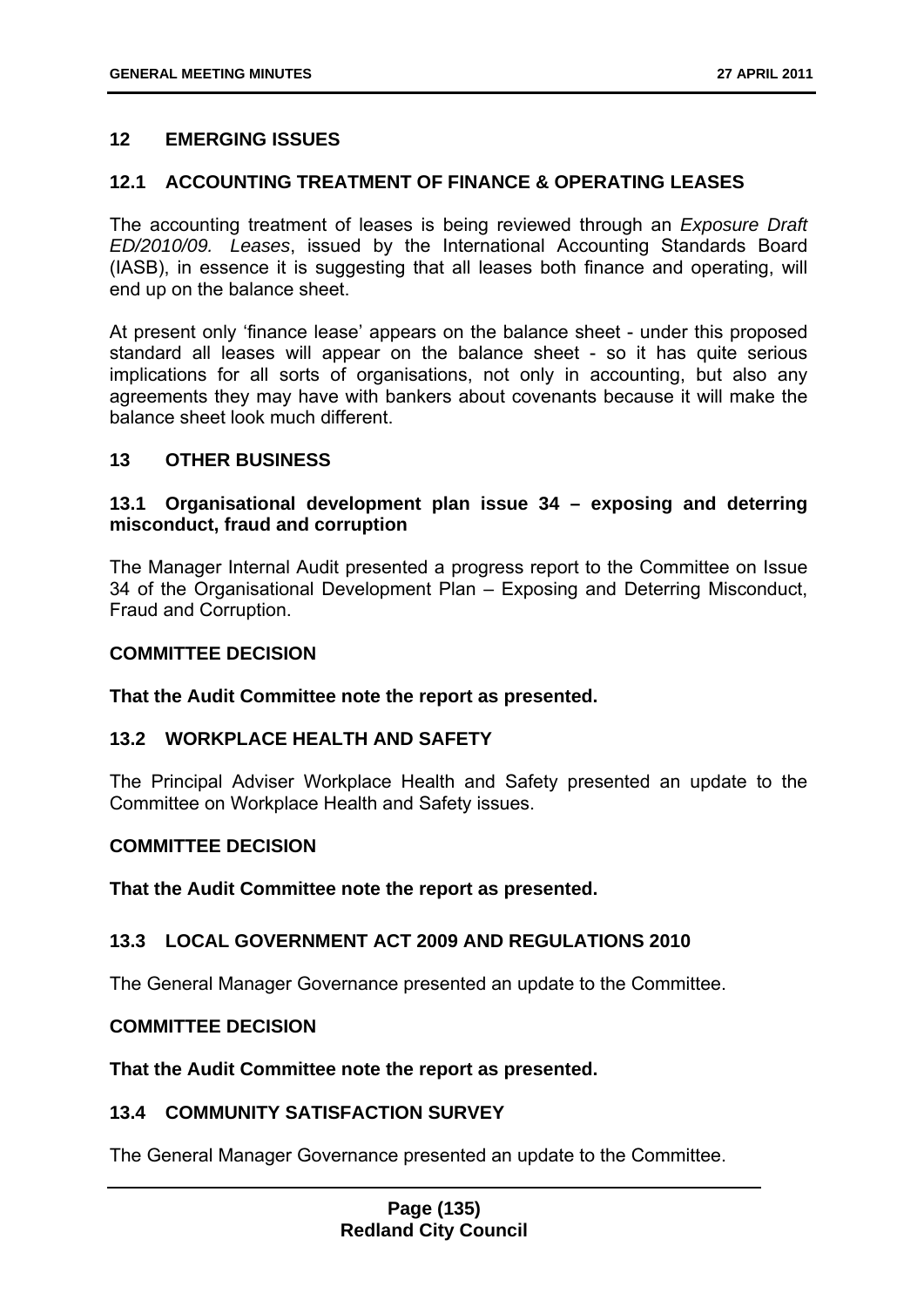### **12 EMERGING ISSUES**

### **12.1 ACCOUNTING TREATMENT OF FINANCE & OPERATING LEASES**

The accounting treatment of leases is being reviewed through an *Exposure Draft ED/2010/09. Leases*, issued by the International Accounting Standards Board (IASB), in essence it is suggesting that all leases both finance and operating, will end up on the balance sheet.

At present only 'finance lease' appears on the balance sheet - under this proposed standard all leases will appear on the balance sheet - so it has quite serious implications for all sorts of organisations, not only in accounting, but also any agreements they may have with bankers about covenants because it will make the balance sheet look much different.

#### **13 OTHER BUSINESS**

### **13.1 Organisational development plan issue 34 – exposing and deterring misconduct, fraud and corruption**

The Manager Internal Audit presented a progress report to the Committee on Issue 34 of the Organisational Development Plan – Exposing and Deterring Misconduct, Fraud and Corruption.

# **COMMITTEE DECISION**

#### **That the Audit Committee note the report as presented.**

### **13.2 WORKPLACE HEALTH AND SAFETY**

The Principal Adviser Workplace Health and Safety presented an update to the Committee on Workplace Health and Safety issues.

#### **COMMITTEE DECISION**

**That the Audit Committee note the report as presented.** 

### **13.3 LOCAL GOVERNMENT ACT 2009 AND REGULATIONS 2010**

The General Manager Governance presented an update to the Committee.

### **COMMITTEE DECISION**

**That the Audit Committee note the report as presented.** 

#### **13.4 COMMUNITY SATISFACTION SURVEY**

The General Manager Governance presented an update to the Committee.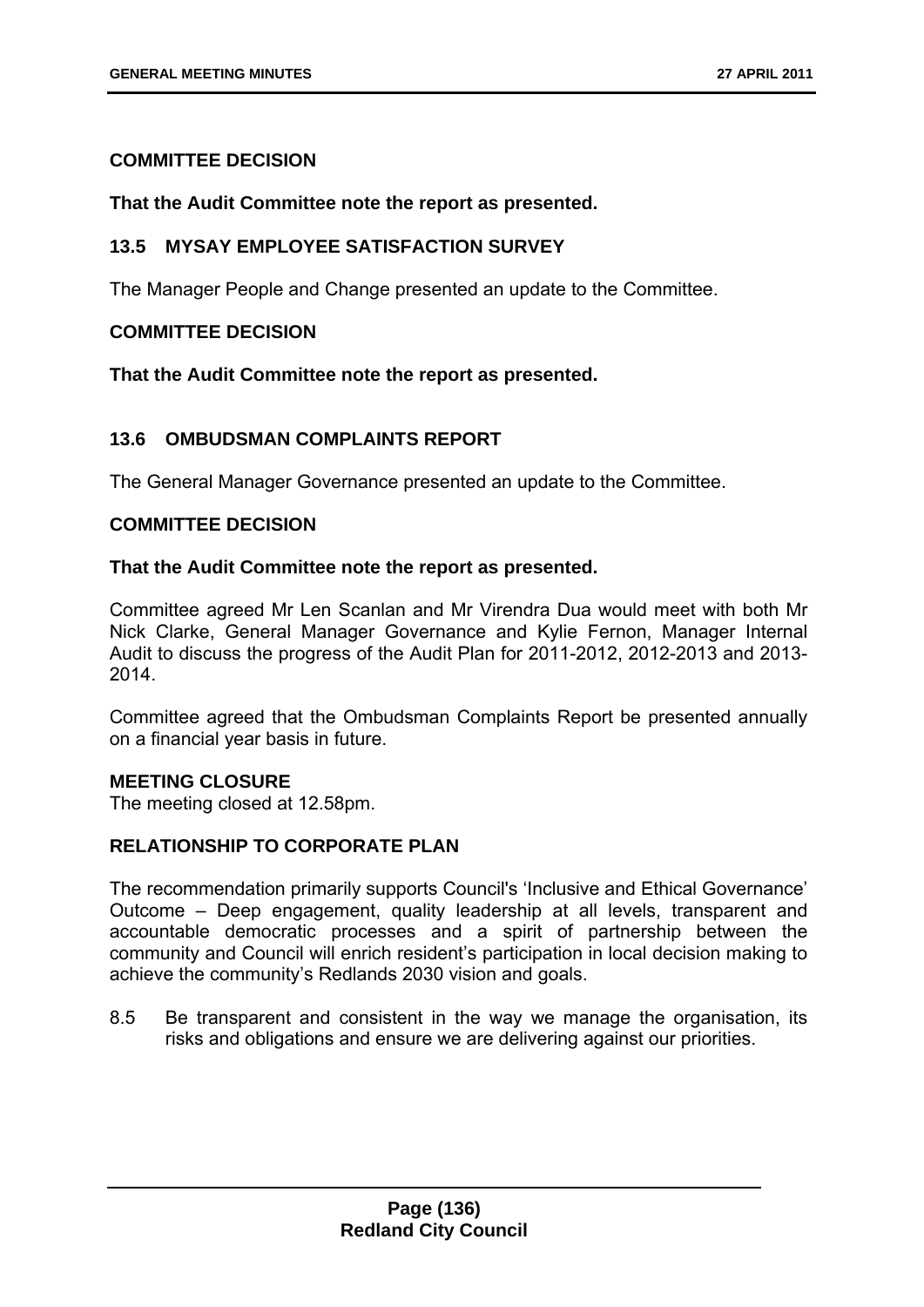### **COMMITTEE DECISION**

#### **That the Audit Committee note the report as presented.**

### **13.5 MYSAY EMPLOYEE SATISFACTION SURVEY**

The Manager People and Change presented an update to the Committee.

### **COMMITTEE DECISION**

**That the Audit Committee note the report as presented.** 

### **13.6 OMBUDSMAN COMPLAINTS REPORT**

The General Manager Governance presented an update to the Committee.

### **COMMITTEE DECISION**

### **That the Audit Committee note the report as presented.**

Committee agreed Mr Len Scanlan and Mr Virendra Dua would meet with both Mr Nick Clarke, General Manager Governance and Kylie Fernon, Manager Internal Audit to discuss the progress of the Audit Plan for 2011-2012, 2012-2013 and 2013- 2014.

Committee agreed that the Ombudsman Complaints Report be presented annually on a financial year basis in future.

### **MEETING CLOSURE**

The meeting closed at 12.58pm.

### **RELATIONSHIP TO CORPORATE PLAN**

The recommendation primarily supports Council's 'Inclusive and Ethical Governance' Outcome – Deep engagement, quality leadership at all levels, transparent and accountable democratic processes and a spirit of partnership between the community and Council will enrich resident's participation in local decision making to achieve the community's Redlands 2030 vision and goals.

8.5 Be transparent and consistent in the way we manage the organisation, its risks and obligations and ensure we are delivering against our priorities.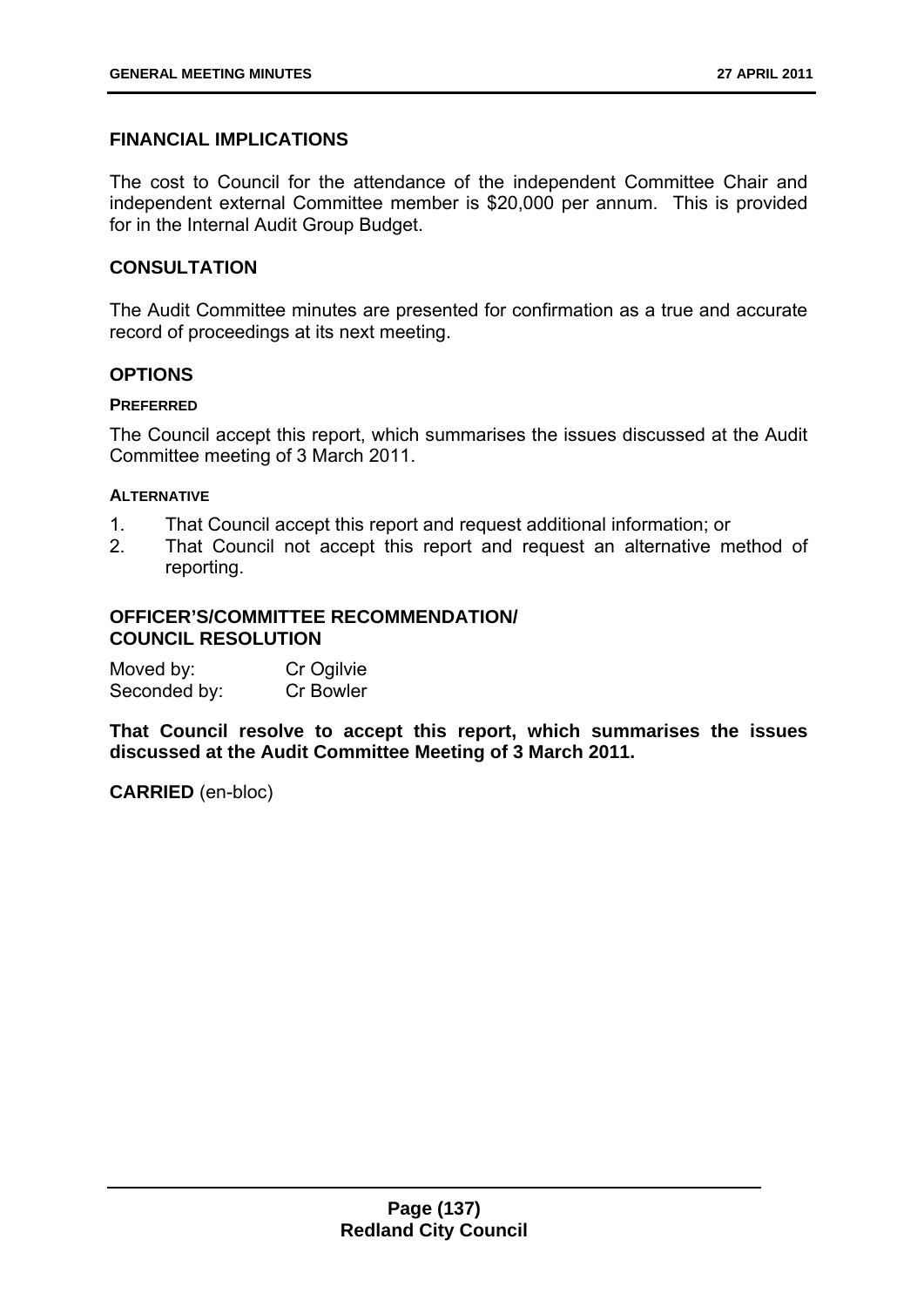# **FINANCIAL IMPLICATIONS**

The cost to Council for the attendance of the independent Committee Chair and independent external Committee member is \$20,000 per annum. This is provided for in the Internal Audit Group Budget.

### **CONSULTATION**

The Audit Committee minutes are presented for confirmation as a true and accurate record of proceedings at its next meeting.

### **OPTIONS**

#### **PREFERRED**

The Council accept this report, which summarises the issues discussed at the Audit Committee meeting of 3 March 2011.

#### **ALTERNATIVE**

- 1. That Council accept this report and request additional information; or
- 2. That Council not accept this report and request an alternative method of reporting.

### **OFFICER'S/COMMITTEE RECOMMENDATION/ COUNCIL RESOLUTION**

| Moved by:    | Cr Ogilvie |
|--------------|------------|
| Seconded by: | Cr Bowler  |

**That Council resolve to accept this report, which summarises the issues discussed at the Audit Committee Meeting of 3 March 2011.**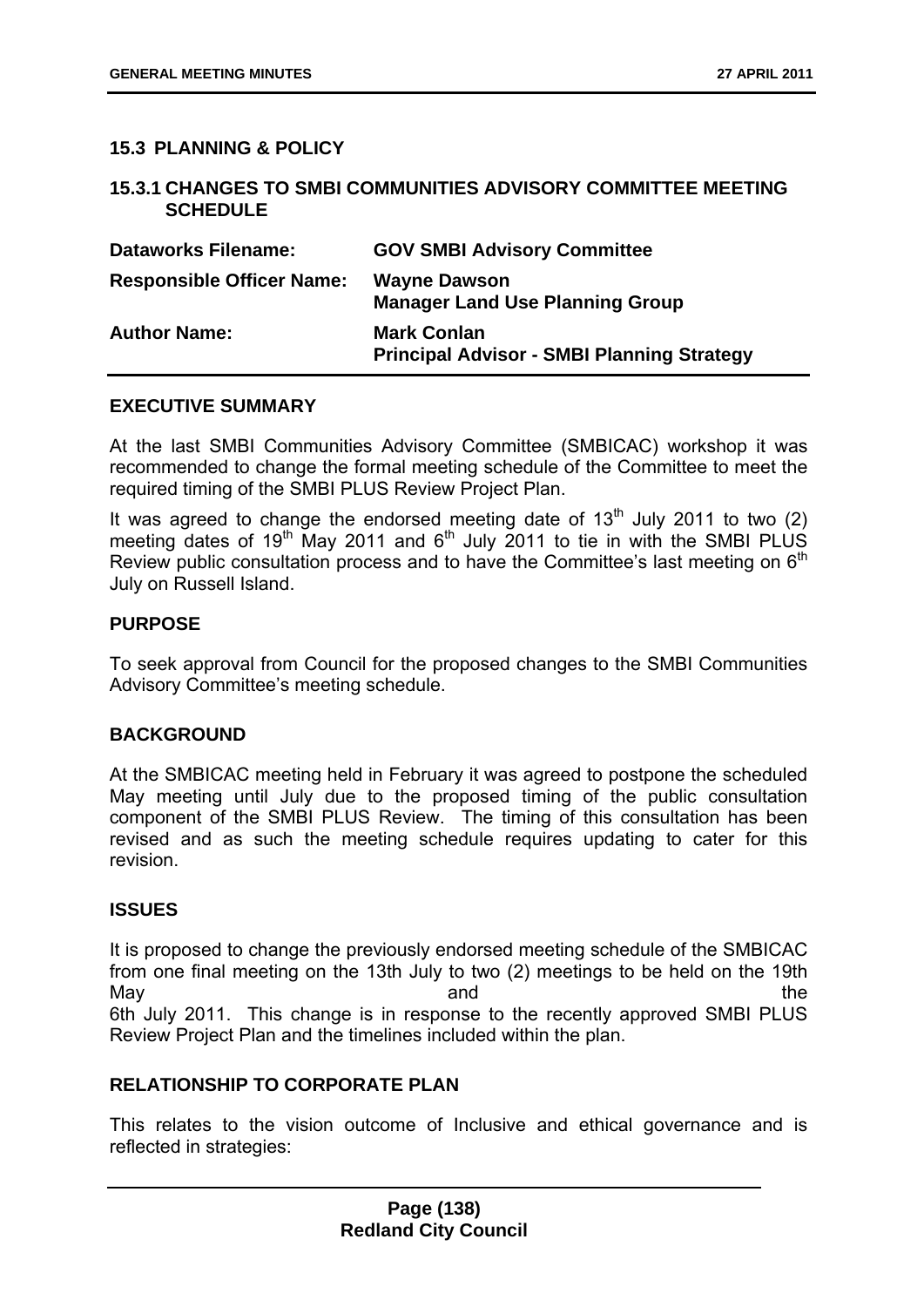### **15.3 PLANNING & POLICY**

### **15.3.1 CHANGES TO SMBI COMMUNITIES ADVISORY COMMITTEE MEETING SCHEDULE**

| <b>Dataworks Filename:</b>       | <b>GOV SMBI Advisory Committee</b>                                      |
|----------------------------------|-------------------------------------------------------------------------|
| <b>Responsible Officer Name:</b> | <b>Wayne Dawson</b><br><b>Manager Land Use Planning Group</b>           |
| <b>Author Name:</b>              | <b>Mark Conlan</b><br><b>Principal Advisor - SMBI Planning Strategy</b> |

### **EXECUTIVE SUMMARY**

At the last SMBI Communities Advisory Committee (SMBICAC) workshop it was recommended to change the formal meeting schedule of the Committee to meet the required timing of the SMBI PLUS Review Project Plan.

It was agreed to change the endorsed meeting date of  $13<sup>th</sup>$  July 2011 to two (2) meeting dates of  $19<sup>th</sup>$  May 2011 and  $6<sup>th</sup>$  July 2011 to tie in with the SMBI PLUS Review public consultation process and to have the Committee's last meeting on  $6<sup>th</sup>$ July on Russell Island.

### **PURPOSE**

To seek approval from Council for the proposed changes to the SMBI Communities Advisory Committee's meeting schedule.

### **BACKGROUND**

At the SMBICAC meeting held in February it was agreed to postpone the scheduled May meeting until July due to the proposed timing of the public consultation component of the SMBI PLUS Review. The timing of this consultation has been revised and as such the meeting schedule requires updating to cater for this revision.

### **ISSUES**

It is proposed to change the previously endorsed meeting schedule of the SMBICAC from one final meeting on the 13th July to two (2) meetings to be held on the 19th May be a set of the contract of the contract and the contract of the contract of the contract of the contract of the contract of the contract of the contract of the contract of the contract of the contract of the contract 6th July 2011. This change is in response to the recently approved SMBI PLUS Review Project Plan and the timelines included within the plan.

### **RELATIONSHIP TO CORPORATE PLAN**

This relates to the vision outcome of Inclusive and ethical governance and is reflected in strategies: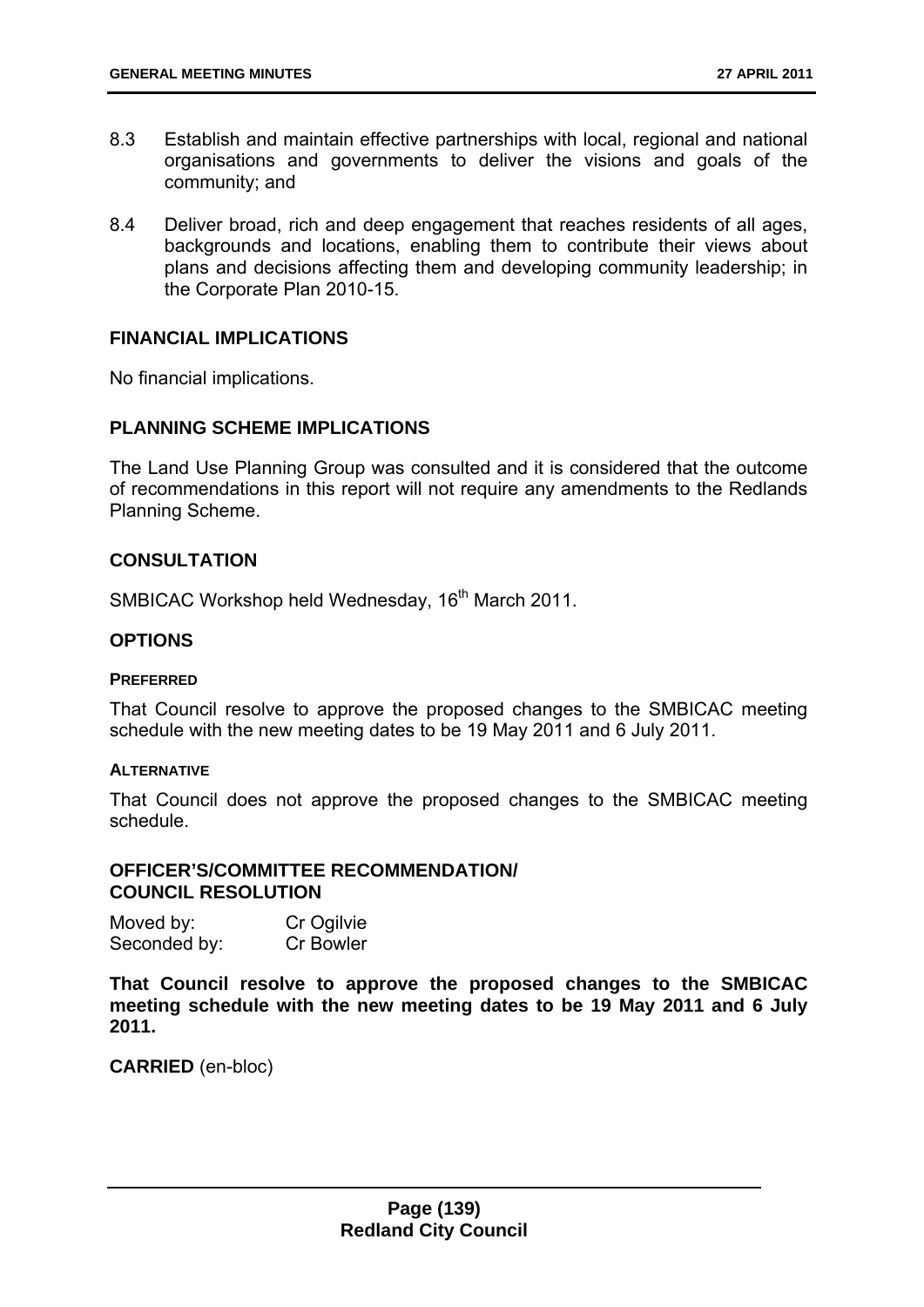- 8.3 Establish and maintain effective partnerships with local, regional and national organisations and governments to deliver the visions and goals of the community; and
- 8.4 Deliver broad, rich and deep engagement that reaches residents of all ages, backgrounds and locations, enabling them to contribute their views about plans and decisions affecting them and developing community leadership; in the Corporate Plan 2010-15.

#### **FINANCIAL IMPLICATIONS**

No financial implications.

#### **PLANNING SCHEME IMPLICATIONS**

The Land Use Planning Group was consulted and it is considered that the outcome of recommendations in this report will not require any amendments to the Redlands Planning Scheme.

#### **CONSULTATION**

SMBICAC Workshop held Wednesday, 16<sup>th</sup> March 2011.

### **OPTIONS**

#### **PREFERRED**

That Council resolve to approve the proposed changes to the SMBICAC meeting schedule with the new meeting dates to be 19 May 2011 and 6 July 2011.

#### **ALTERNATIVE**

That Council does not approve the proposed changes to the SMBICAC meeting schedule.

#### **OFFICER'S/COMMITTEE RECOMMENDATION/ COUNCIL RESOLUTION**

| Moved by:    | Cr Ogilvie |
|--------------|------------|
| Seconded by: | Cr Bowler  |

**That Council resolve to approve the proposed changes to the SMBICAC meeting schedule with the new meeting dates to be 19 May 2011 and 6 July 2011.**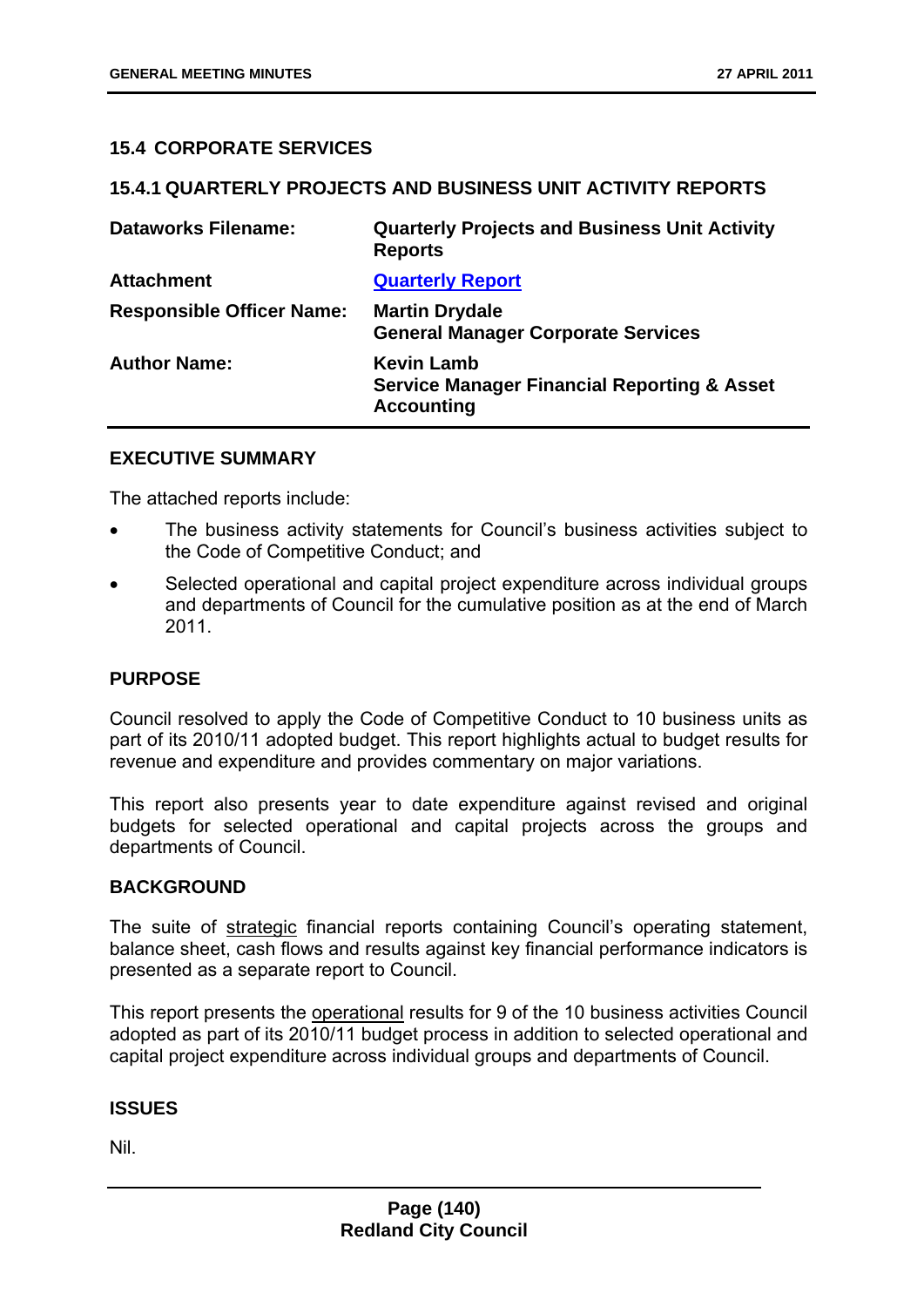### **15.4 CORPORATE SERVICES**

### **15.4.1 QUARTERLY PROJECTS AND BUSINESS UNIT ACTIVITY REPORTS**

| <b>Dataworks Filename:</b>       | <b>Quarterly Projects and Business Unit Activity</b><br><b>Reports</b>                           |
|----------------------------------|--------------------------------------------------------------------------------------------------|
| <b>Attachment</b>                | <b>Quarterly Report</b>                                                                          |
| <b>Responsible Officer Name:</b> | <b>Martin Drydale</b><br><b>General Manager Corporate Services</b>                               |
| <b>Author Name:</b>              | <b>Kevin Lamb</b><br><b>Service Manager Financial Reporting &amp; Asset</b><br><b>Accounting</b> |

### **EXECUTIVE SUMMARY**

The attached reports include:

- The business activity statements for Council's business activities subject to the Code of Competitive Conduct; and
- Selected operational and capital project expenditure across individual groups and departments of Council for the cumulative position as at the end of March 2011.

### **PURPOSE**

Council resolved to apply the Code of Competitive Conduct to 10 business units as part of its 2010/11 adopted budget. This report highlights actual to budget results for revenue and expenditure and provides commentary on major variations.

This report also presents year to date expenditure against revised and original budgets for selected operational and capital projects across the groups and departments of Council.

### **BACKGROUND**

The suite of strategic financial reports containing Council's operating statement, balance sheet, cash flows and results against key financial performance indicators is presented as a separate report to Council.

This report presents the operational results for 9 of the 10 business activities Council adopted as part of its 2010/11 budget process in addition to selected operational and capital project expenditure across individual groups and departments of Council.

### **ISSUES**

Nil.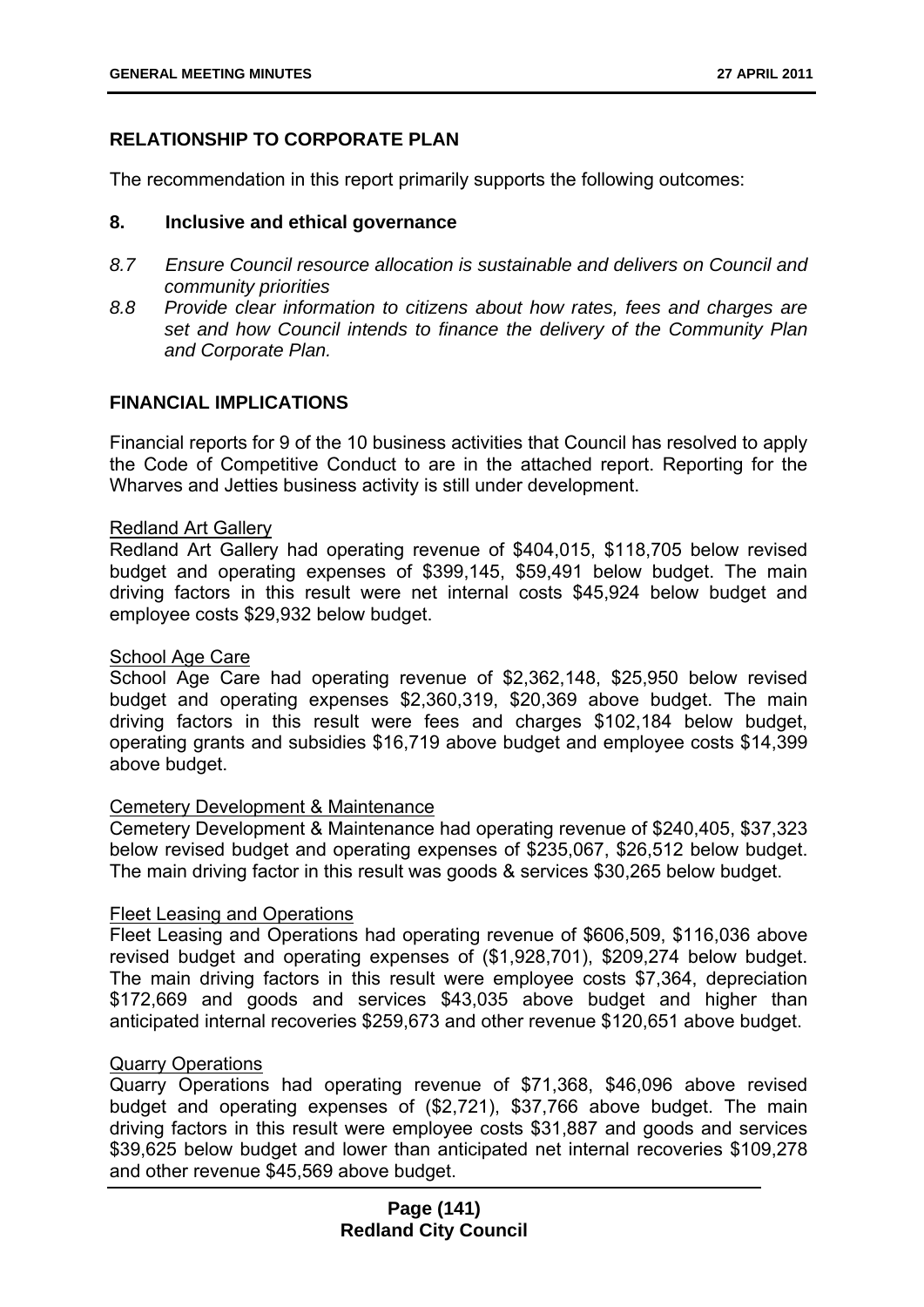# **RELATIONSHIP TO CORPORATE PLAN**

The recommendation in this report primarily supports the following outcomes:

#### **8. Inclusive and ethical governance**

- *8.7 Ensure Council resource allocation is sustainable and delivers on Council and community priorities*
- *8.8 Provide clear information to citizens about how rates, fees and charges are set and how Council intends to finance the delivery of the Community Plan and Corporate Plan.*

### **FINANCIAL IMPLICATIONS**

Financial reports for 9 of the 10 business activities that Council has resolved to apply the Code of Competitive Conduct to are in the attached report. Reporting for the Wharves and Jetties business activity is still under development.

#### Redland Art Gallery

Redland Art Gallery had operating revenue of \$404,015, \$118,705 below revised budget and operating expenses of \$399,145, \$59,491 below budget. The main driving factors in this result were net internal costs \$45,924 below budget and employee costs \$29,932 below budget.

#### School Age Care

School Age Care had operating revenue of \$2,362,148, \$25,950 below revised budget and operating expenses \$2,360,319, \$20,369 above budget. The main driving factors in this result were fees and charges \$102,184 below budget, operating grants and subsidies \$16,719 above budget and employee costs \$14,399 above budget.

### Cemetery Development & Maintenance

Cemetery Development & Maintenance had operating revenue of \$240,405, \$37,323 below revised budget and operating expenses of \$235,067, \$26,512 below budget. The main driving factor in this result was goods & services \$30,265 below budget.

#### Fleet Leasing and Operations

Fleet Leasing and Operations had operating revenue of \$606,509, \$116,036 above revised budget and operating expenses of (\$1,928,701), \$209,274 below budget. The main driving factors in this result were employee costs \$7,364, depreciation \$172,669 and goods and services \$43,035 above budget and higher than anticipated internal recoveries \$259,673 and other revenue \$120,651 above budget.

### Quarry Operations

Quarry Operations had operating revenue of \$71,368, \$46,096 above revised budget and operating expenses of (\$2,721), \$37,766 above budget. The main driving factors in this result were employee costs \$31,887 and goods and services \$39,625 below budget and lower than anticipated net internal recoveries \$109,278 and other revenue \$45,569 above budget.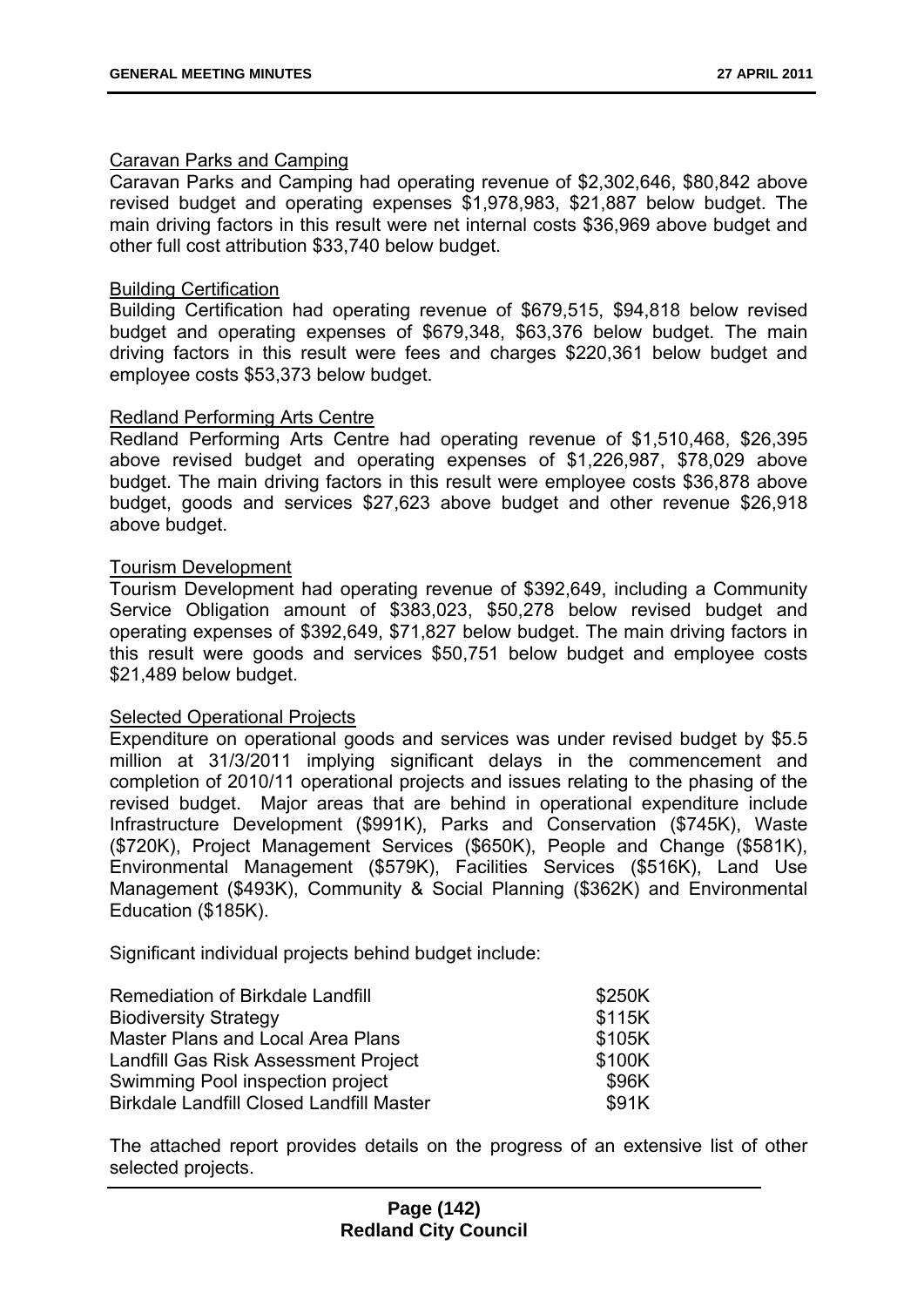### Caravan Parks and Camping

Caravan Parks and Camping had operating revenue of \$2,302,646, \$80,842 above revised budget and operating expenses \$1,978,983, \$21,887 below budget. The main driving factors in this result were net internal costs \$36,969 above budget and other full cost attribution \$33,740 below budget.

### Building Certification

Building Certification had operating revenue of \$679,515, \$94,818 below revised budget and operating expenses of \$679,348, \$63,376 below budget. The main driving factors in this result were fees and charges \$220,361 below budget and employee costs \$53,373 below budget.

### Redland Performing Arts Centre

Redland Performing Arts Centre had operating revenue of \$1,510,468, \$26,395 above revised budget and operating expenses of \$1,226,987, \$78,029 above budget. The main driving factors in this result were employee costs \$36,878 above budget, goods and services \$27,623 above budget and other revenue \$26,918 above budget.

### Tourism Development

Tourism Development had operating revenue of \$392,649, including a Community Service Obligation amount of \$383,023, \$50,278 below revised budget and operating expenses of \$392,649, \$71,827 below budget. The main driving factors in this result were goods and services \$50,751 below budget and employee costs \$21,489 below budget.

### Selected Operational Projects

Expenditure on operational goods and services was under revised budget by \$5.5 million at 31/3/2011 implying significant delays in the commencement and completion of 2010/11 operational projects and issues relating to the phasing of the revised budget. Major areas that are behind in operational expenditure include Infrastructure Development (\$991K), Parks and Conservation (\$745K), Waste (\$720K), Project Management Services (\$650K), People and Change (\$581K), Environmental Management (\$579K), Facilities Services (\$516K), Land Use Management (\$493K), Community & Social Planning (\$362K) and Environmental Education (\$185K).

Significant individual projects behind budget include:

| <b>Remediation of Birkdale Landfill</b>         | \$250K |
|-------------------------------------------------|--------|
| <b>Biodiversity Strategy</b>                    | \$115K |
| Master Plans and Local Area Plans               | \$105K |
| Landfill Gas Risk Assessment Project            | \$100K |
| Swimming Pool inspection project                | \$96K  |
| <b>Birkdale Landfill Closed Landfill Master</b> | \$91K  |

The attached report provides details on the progress of an extensive list of other selected projects.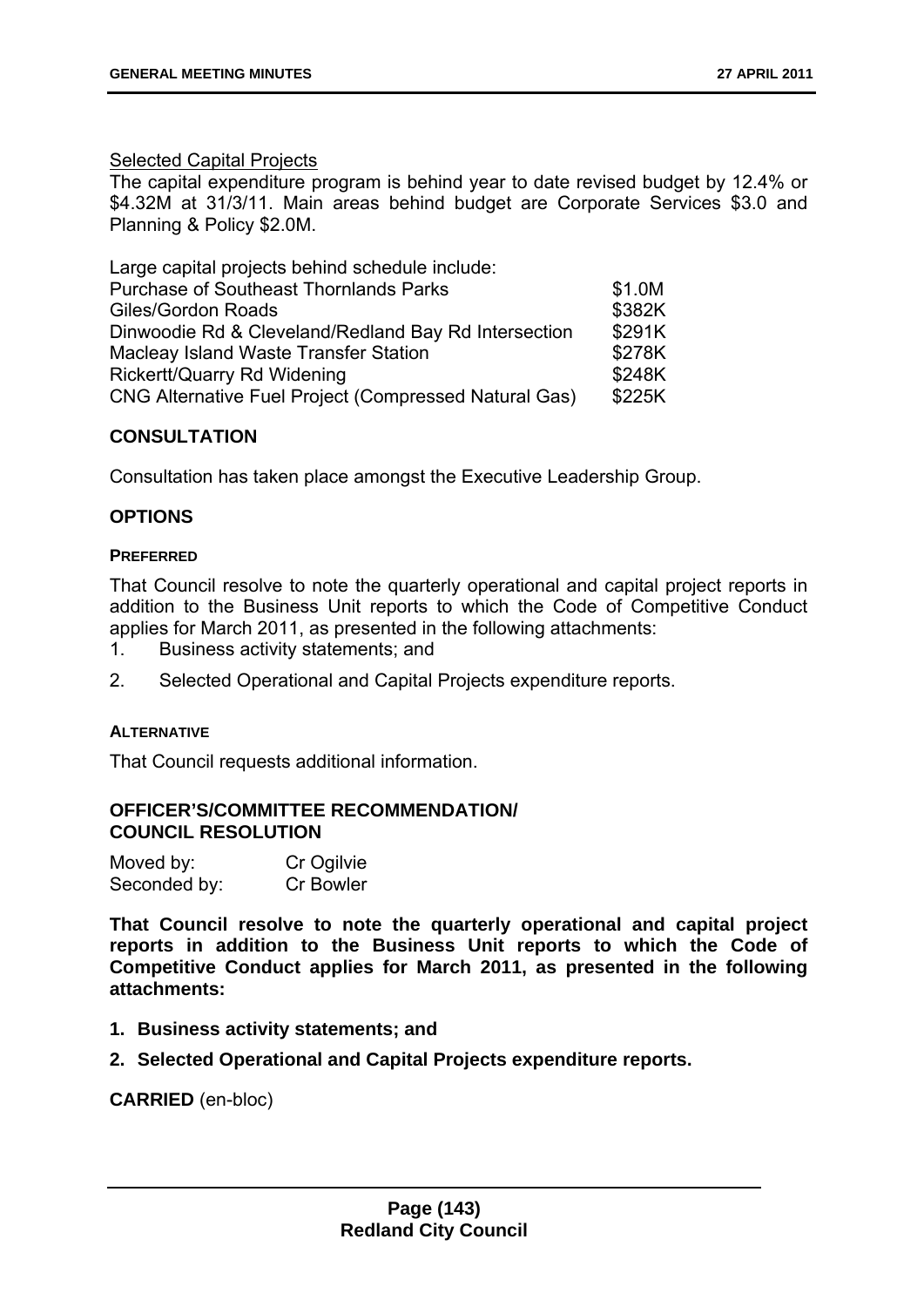### Selected Capital Projects

The capital expenditure program is behind year to date revised budget by 12.4% or \$4.32M at 31/3/11. Main areas behind budget are Corporate Services \$3.0 and Planning & Policy \$2.0M.

| Large capital projects behind schedule include:       |        |
|-------------------------------------------------------|--------|
| <b>Purchase of Southeast Thornlands Parks</b>         | \$1.0M |
| Giles/Gordon Roads                                    | \$382K |
| Dinwoodie Rd & Cleveland/Redland Bay Rd Intersection  | \$291K |
| Macleay Island Waste Transfer Station                 | \$278K |
| <b>Rickertt/Quarry Rd Widening</b>                    | \$248K |
| CNG Alternative Fuel Project (Compressed Natural Gas) | \$225K |

# **CONSULTATION**

Consultation has taken place amongst the Executive Leadership Group.

### **OPTIONS**

#### **PREFERRED**

That Council resolve to note the quarterly operational and capital project reports in addition to the Business Unit reports to which the Code of Competitive Conduct applies for March 2011, as presented in the following attachments:

- 1. Business activity statements; and
- 2. Selected Operational and Capital Projects expenditure reports.

### **ALTERNATIVE**

That Council requests additional information.

### **OFFICER'S/COMMITTEE RECOMMENDATION/ COUNCIL RESOLUTION**

| Moved by:    | Cr Ogilvie |
|--------------|------------|
| Seconded by: | Cr Bowler  |

**That Council resolve to note the quarterly operational and capital project reports in addition to the Business Unit reports to which the Code of Competitive Conduct applies for March 2011, as presented in the following attachments:** 

- **1. Business activity statements; and**
- **2. Selected Operational and Capital Projects expenditure reports.**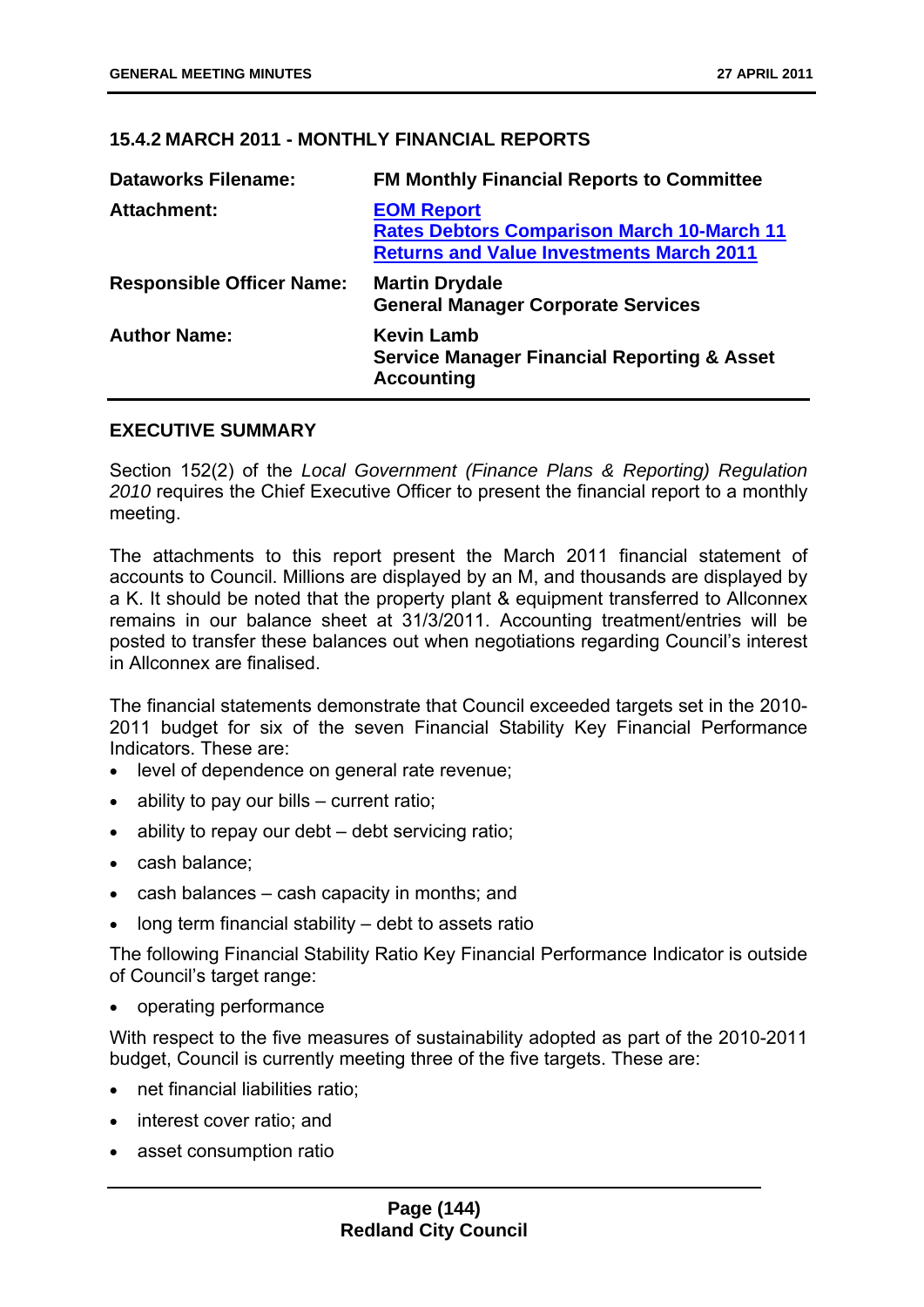### **15.4.2 MARCH 2011 - MONTHLY FINANCIAL REPORTS**

| <b>Dataworks Filename:</b>       | <b>FM Monthly Financial Reports to Committee</b>                                                                          |
|----------------------------------|---------------------------------------------------------------------------------------------------------------------------|
| <b>Attachment:</b>               | <b>EOM Report</b><br><b>Rates Debtors Comparison March 10-March 11</b><br><b>Returns and Value Investments March 2011</b> |
| <b>Responsible Officer Name:</b> | <b>Martin Drydale</b><br><b>General Manager Corporate Services</b>                                                        |
| <b>Author Name:</b>              | <b>Kevin Lamb</b><br><b>Service Manager Financial Reporting &amp; Asset</b><br><b>Accounting</b>                          |

#### **EXECUTIVE SUMMARY**

Section 152(2) of the *Local Government (Finance Plans & Reporting) Regulation 2010* requires the Chief Executive Officer to present the financial report to a monthly meeting.

The attachments to this report present the March 2011 financial statement of accounts to Council. Millions are displayed by an M, and thousands are displayed by a K. It should be noted that the property plant & equipment transferred to Allconnex remains in our balance sheet at 31/3/2011. Accounting treatment/entries will be posted to transfer these balances out when negotiations regarding Council's interest in Allconnex are finalised.

The financial statements demonstrate that Council exceeded targets set in the 2010- 2011 budget for six of the seven Financial Stability Key Financial Performance Indicators. These are:

- level of dependence on general rate revenue;
- ability to pay our bills current ratio;
- ability to repay our debt debt servicing ratio;
- cash balance:
- cash balances cash capacity in months; and
- long term financial stability debt to assets ratio

The following Financial Stability Ratio Key Financial Performance Indicator is outside of Council's target range:

• operating performance

With respect to the five measures of sustainability adopted as part of the 2010-2011 budget, Council is currently meeting three of the five targets. These are:

- net financial liabilities ratio;
- interest cover ratio; and
- asset consumption ratio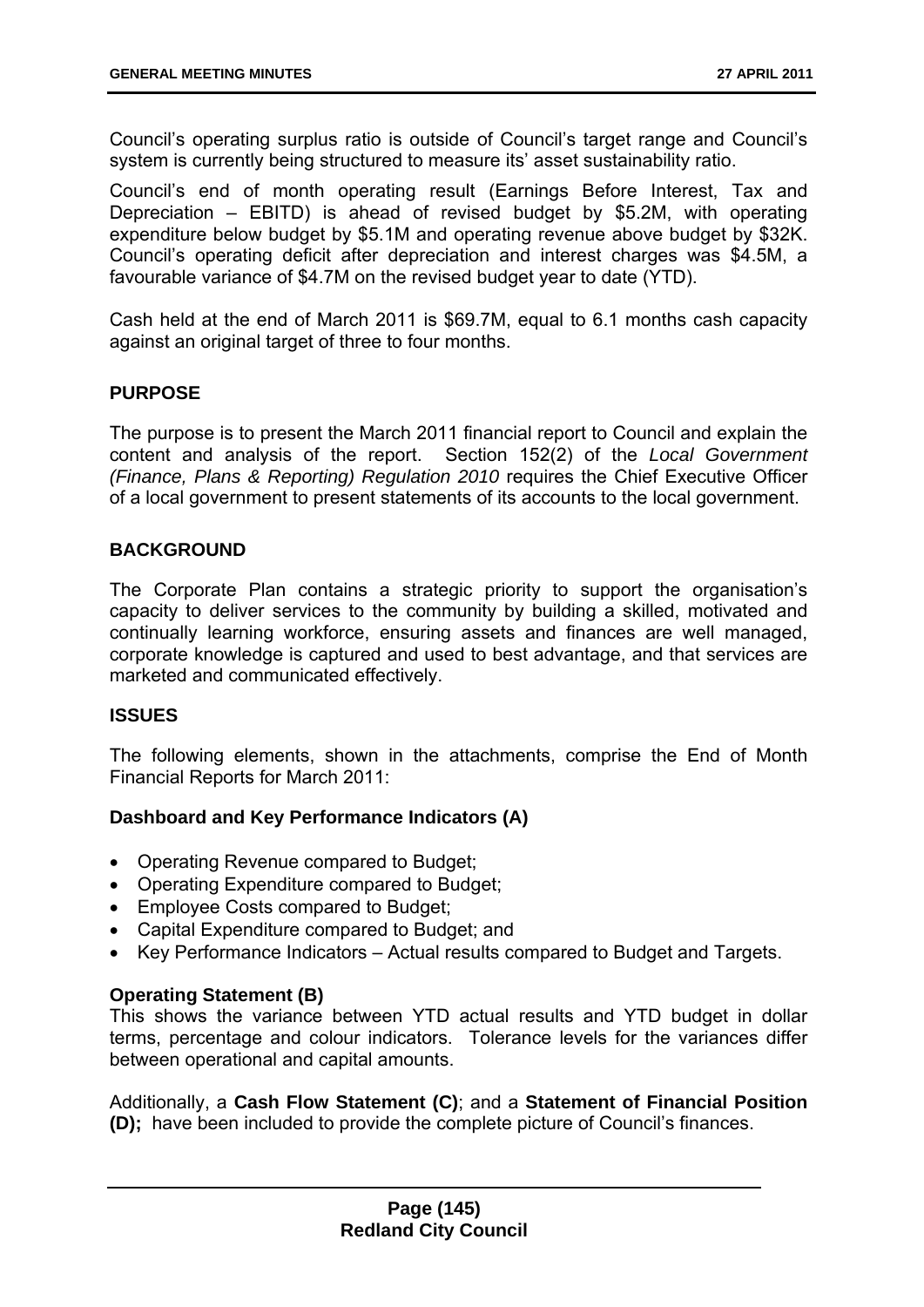Council's operating surplus ratio is outside of Council's target range and Council's system is currently being structured to measure its' asset sustainability ratio.

Council's end of month operating result (Earnings Before Interest, Tax and Depreciation – EBITD) is ahead of revised budget by \$5.2M, with operating expenditure below budget by \$5.1M and operating revenue above budget by \$32K. Council's operating deficit after depreciation and interest charges was \$4.5M, a favourable variance of \$4.7M on the revised budget year to date (YTD).

Cash held at the end of March 2011 is \$69.7M, equal to 6.1 months cash capacity against an original target of three to four months.

### **PURPOSE**

The purpose is to present the March 2011 financial report to Council and explain the content and analysis of the report. Section 152(2) of the *Local Government (Finance, Plans & Reporting) Regulation 2010* requires the Chief Executive Officer of a local government to present statements of its accounts to the local government.

### **BACKGROUND**

The Corporate Plan contains a strategic priority to support the organisation's capacity to deliver services to the community by building a skilled, motivated and continually learning workforce, ensuring assets and finances are well managed, corporate knowledge is captured and used to best advantage, and that services are marketed and communicated effectively.

# **ISSUES**

The following elements, shown in the attachments, comprise the End of Month Financial Reports for March 2011:

# **Dashboard and Key Performance Indicators (A)**

- Operating Revenue compared to Budget;
- Operating Expenditure compared to Budget:
- Employee Costs compared to Budget;
- Capital Expenditure compared to Budget; and
- Key Performance Indicators Actual results compared to Budget and Targets.

#### **Operating Statement (B)**

This shows the variance between YTD actual results and YTD budget in dollar terms, percentage and colour indicators. Tolerance levels for the variances differ between operational and capital amounts.

Additionally, a **Cash Flow Statement (C)**; and a **Statement of Financial Position (D);** have been included to provide the complete picture of Council's finances.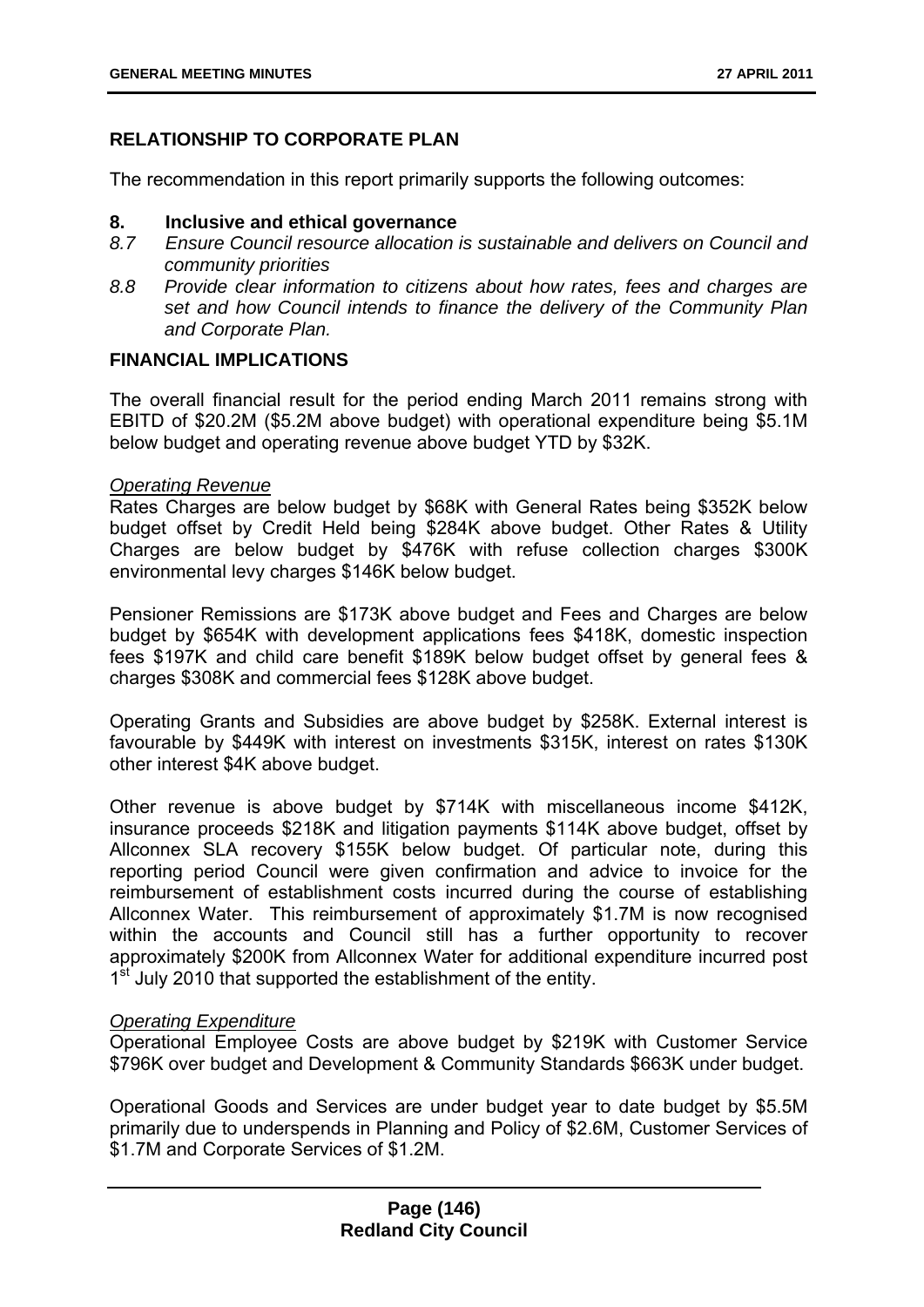# **RELATIONSHIP TO CORPORATE PLAN**

The recommendation in this report primarily supports the following outcomes:

#### **8. Inclusive and ethical governance**

- *8.7 Ensure Council resource allocation is sustainable and delivers on Council and community priorities*
- *8.8 Provide clear information to citizens about how rates, fees and charges are set and how Council intends to finance the delivery of the Community Plan and Corporate Plan.*

### **FINANCIAL IMPLICATIONS**

The overall financial result for the period ending March 2011 remains strong with EBITD of \$20.2M (\$5.2M above budget) with operational expenditure being \$5.1M below budget and operating revenue above budget YTD by \$32K.

### *Operating Revenue*

Rates Charges are below budget by \$68K with General Rates being \$352K below budget offset by Credit Held being \$284K above budget. Other Rates & Utility Charges are below budget by \$476K with refuse collection charges \$300K environmental levy charges \$146K below budget.

Pensioner Remissions are \$173K above budget and Fees and Charges are below budget by \$654K with development applications fees \$418K, domestic inspection fees \$197K and child care benefit \$189K below budget offset by general fees & charges \$308K and commercial fees \$128K above budget.

Operating Grants and Subsidies are above budget by \$258K. External interest is favourable by \$449K with interest on investments \$315K, interest on rates \$130K other interest \$4K above budget.

Other revenue is above budget by \$714K with miscellaneous income \$412K, insurance proceeds \$218K and litigation payments \$114K above budget, offset by Allconnex SLA recovery \$155K below budget. Of particular note, during this reporting period Council were given confirmation and advice to invoice for the reimbursement of establishment costs incurred during the course of establishing Allconnex Water. This reimbursement of approximately \$1.7M is now recognised within the accounts and Council still has a further opportunity to recover approximately \$200K from Allconnex Water for additional expenditure incurred post 1<sup>st</sup> July 2010 that supported the establishment of the entity.

# *Operating Expenditure*

Operational Employee Costs are above budget by \$219K with Customer Service \$796K over budget and Development & Community Standards \$663K under budget.

Operational Goods and Services are under budget year to date budget by \$5.5M primarily due to underspends in Planning and Policy of \$2.6M, Customer Services of \$1.7M and Corporate Services of \$1.2M.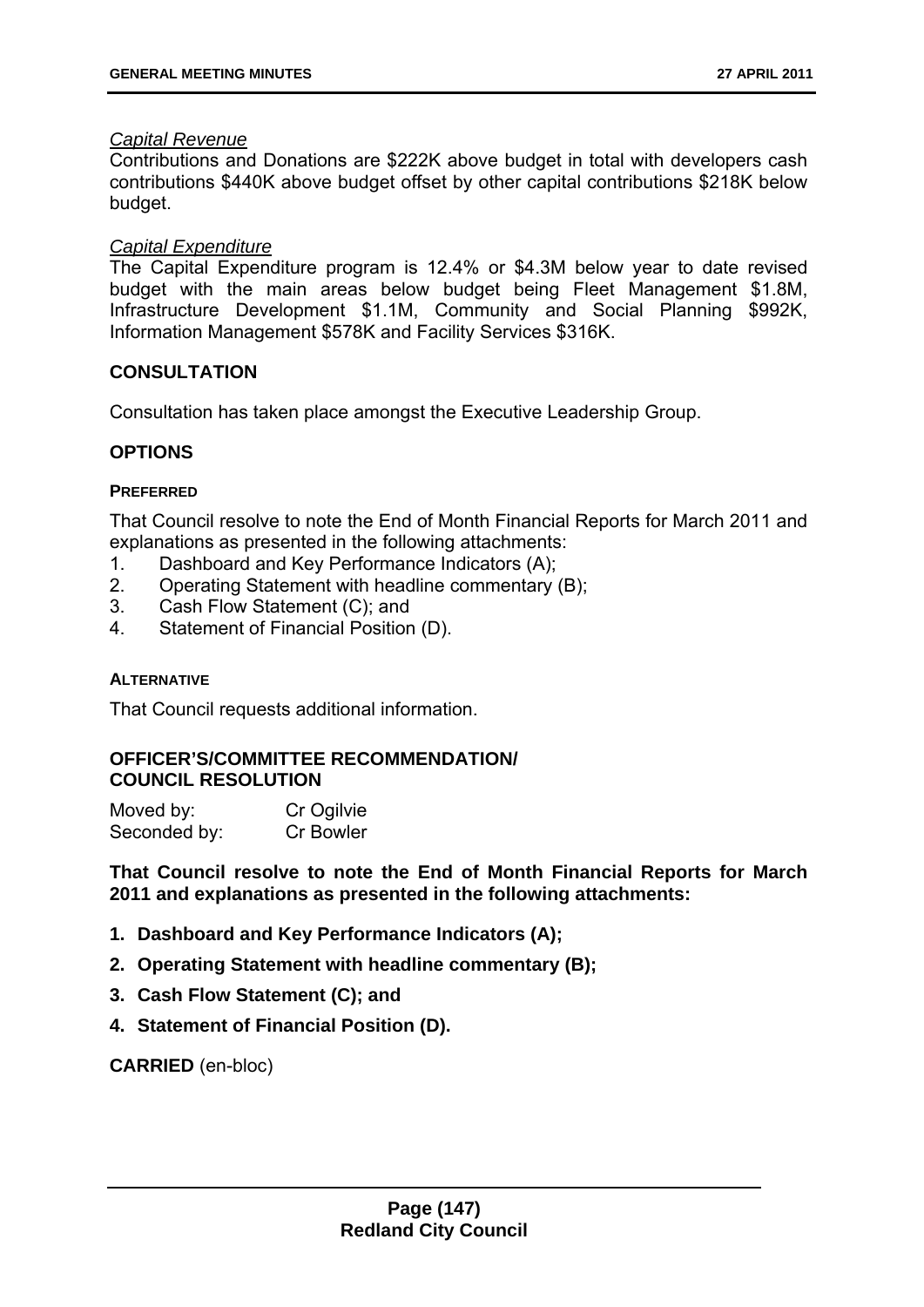#### *Capital Revenue*

Contributions and Donations are \$222K above budget in total with developers cash contributions \$440K above budget offset by other capital contributions \$218K below budget.

### *Capital Expenditure*

The Capital Expenditure program is 12.4% or \$4.3M below year to date revised budget with the main areas below budget being Fleet Management \$1.8M, Infrastructure Development \$1.1M, Community and Social Planning \$992K, Information Management \$578K and Facility Services \$316K.

# **CONSULTATION**

Consultation has taken place amongst the Executive Leadership Group.

# **OPTIONS**

#### **PREFERRED**

That Council resolve to note the End of Month Financial Reports for March 2011 and explanations as presented in the following attachments:

- 1. Dashboard and Key Performance Indicators (A);
- 2. Operating Statement with headline commentary (B);
- 3. Cash Flow Statement (C); and
- 4. Statement of Financial Position (D).

#### **ALTERNATIVE**

That Council requests additional information.

### **OFFICER'S/COMMITTEE RECOMMENDATION/ COUNCIL RESOLUTION**

| Moved by:    | Cr Ogilvie |
|--------------|------------|
| Seconded by: | Cr Bowler  |

**That Council resolve to note the End of Month Financial Reports for March 2011 and explanations as presented in the following attachments:** 

- **1. Dashboard and Key Performance Indicators (A);**
- **2. Operating Statement with headline commentary (B);**
- **3. Cash Flow Statement (C); and**
- **4. Statement of Financial Position (D).**

**CARRIED** (en-bloc)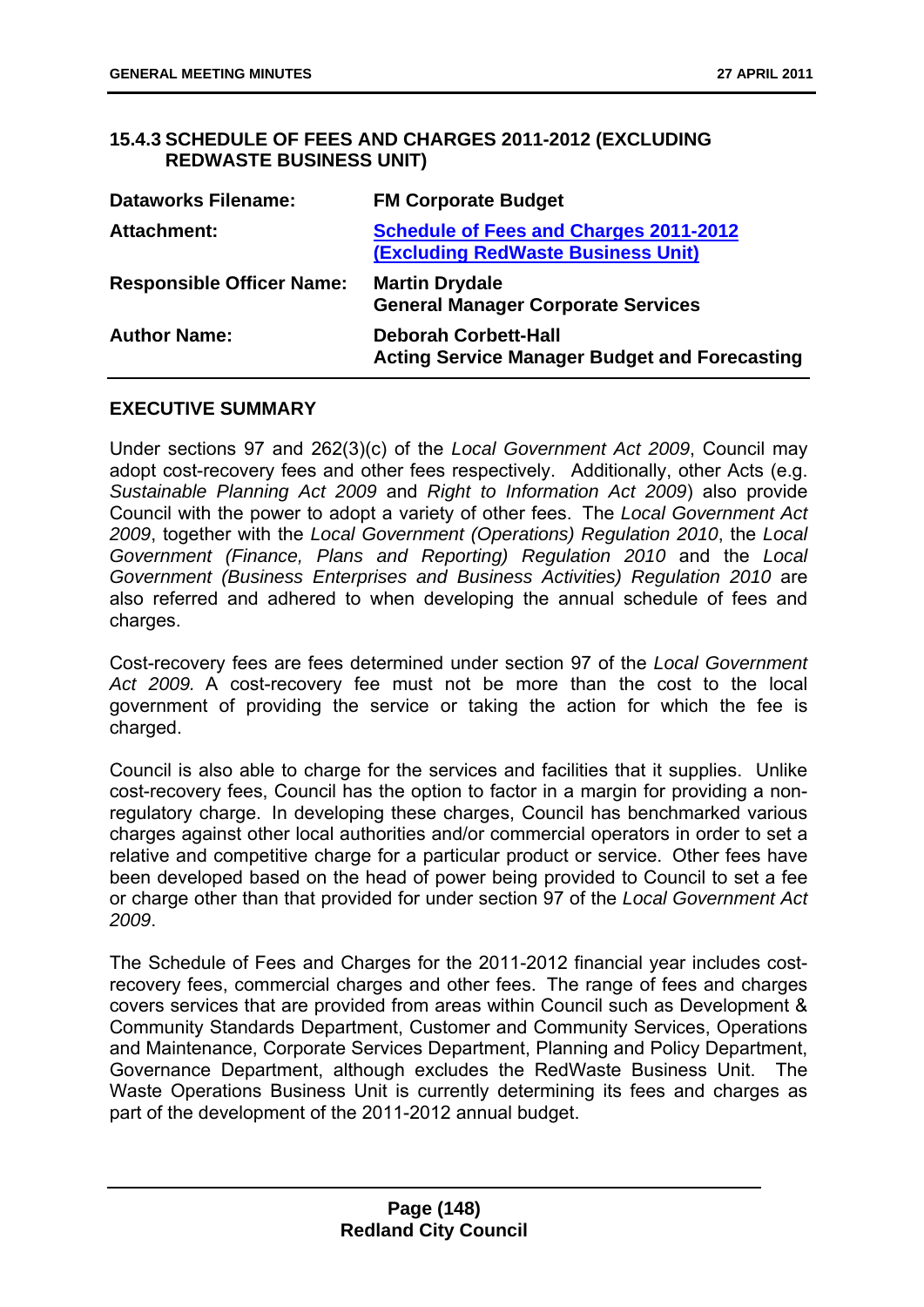### **15.4.3 SCHEDULE OF FEES AND CHARGES 2011-2012 (EXCLUDING REDWASTE BUSINESS UNIT)**

| <b>Dataworks Filename:</b>       | <b>FM Corporate Budget</b>                                                                 |
|----------------------------------|--------------------------------------------------------------------------------------------|
| <b>Attachment:</b>               | <b>Schedule of Fees and Charges 2011-2012</b><br><b>(Excluding RedWaste Business Unit)</b> |
| <b>Responsible Officer Name:</b> | <b>Martin Drydale</b><br><b>General Manager Corporate Services</b>                         |
| <b>Author Name:</b>              | <b>Deborah Corbett-Hall</b><br><b>Acting Service Manager Budget and Forecasting</b>        |

#### **EXECUTIVE SUMMARY**

Under sections 97 and 262(3)(c) of the *Local Government Act 2009*, Council may adopt cost-recovery fees and other fees respectively. Additionally, other Acts (e.g. *Sustainable Planning Act 2009* and *Right to Information Act 2009*) also provide Council with the power to adopt a variety of other fees. The *Local Government Act 2009*, together with the *Local Government (Operations) Regulation 2010*, the *Local Government (Finance, Plans and Reporting) Regulation 2010* and the *Local Government (Business Enterprises and Business Activities) Regulation 2010* are also referred and adhered to when developing the annual schedule of fees and charges.

Cost-recovery fees are fees determined under section 97 of the *Local Government Act 2009.* A cost-recovery fee must not be more than the cost to the local government of providing the service or taking the action for which the fee is charged.

Council is also able to charge for the services and facilities that it supplies. Unlike cost-recovery fees, Council has the option to factor in a margin for providing a nonregulatory charge. In developing these charges, Council has benchmarked various charges against other local authorities and/or commercial operators in order to set a relative and competitive charge for a particular product or service. Other fees have been developed based on the head of power being provided to Council to set a fee or charge other than that provided for under section 97 of the *Local Government Act 2009*.

The Schedule of Fees and Charges for the 2011-2012 financial year includes costrecovery fees, commercial charges and other fees. The range of fees and charges covers services that are provided from areas within Council such as Development & Community Standards Department, Customer and Community Services, Operations and Maintenance, Corporate Services Department, Planning and Policy Department, Governance Department, although excludes the RedWaste Business Unit. The Waste Operations Business Unit is currently determining its fees and charges as part of the development of the 2011-2012 annual budget.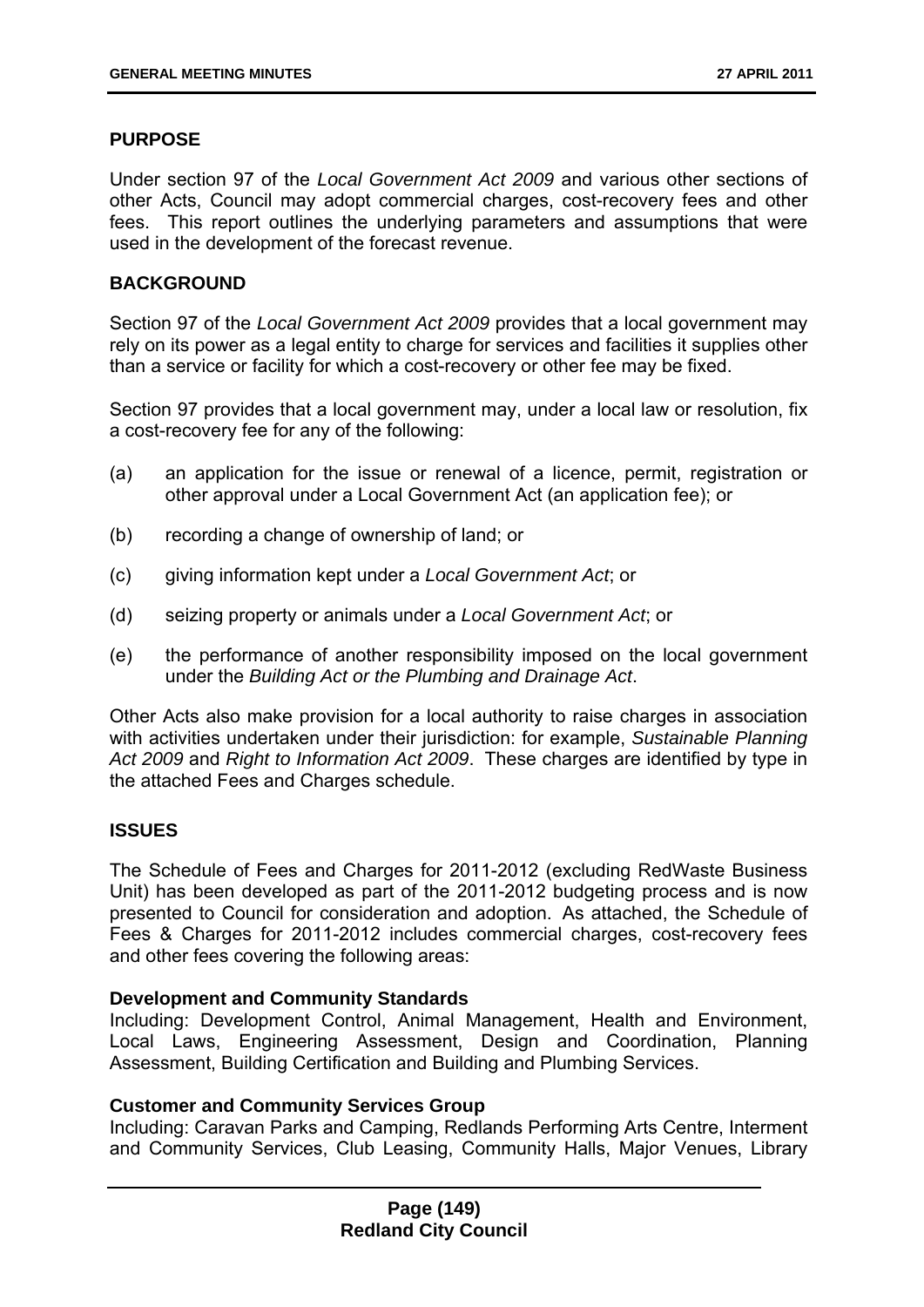# **PURPOSE**

Under section 97 of the *Local Government Act 2009* and various other sections of other Acts, Council may adopt commercial charges, cost-recovery fees and other fees. This report outlines the underlying parameters and assumptions that were used in the development of the forecast revenue.

#### **BACKGROUND**

Section 97 of the *Local Government Act 2009* provides that a local government may rely on its power as a legal entity to charge for services and facilities it supplies other than a service or facility for which a cost-recovery or other fee may be fixed.

Section 97 provides that a local government may, under a local law or resolution, fix a cost-recovery fee for any of the following:

- (a) an application for the issue or renewal of a licence, permit, registration or other approval under a Local Government Act (an application fee); or
- (b) recording a change of ownership of land; or
- (c) giving information kept under a *Local Government Act*; or
- (d) seizing property or animals under a *Local Government Act*; or
- (e) the performance of another responsibility imposed on the local government under the *Building Act or the Plumbing and Drainage Act*.

Other Acts also make provision for a local authority to raise charges in association with activities undertaken under their jurisdiction: for example, *Sustainable Planning Act 2009* and *Right to Information Act 2009*. These charges are identified by type in the attached Fees and Charges schedule.

# **ISSUES**

The Schedule of Fees and Charges for 2011-2012 (excluding RedWaste Business Unit) has been developed as part of the 2011-2012 budgeting process and is now presented to Council for consideration and adoption. As attached, the Schedule of Fees & Charges for 2011-2012 includes commercial charges, cost-recovery fees and other fees covering the following areas:

#### **Development and Community Standards**

Including: Development Control, Animal Management, Health and Environment, Local Laws, Engineering Assessment, Design and Coordination, Planning Assessment, Building Certification and Building and Plumbing Services.

#### **Customer and Community Services Group**

Including: Caravan Parks and Camping, Redlands Performing Arts Centre, Interment and Community Services, Club Leasing, Community Halls, Major Venues, Library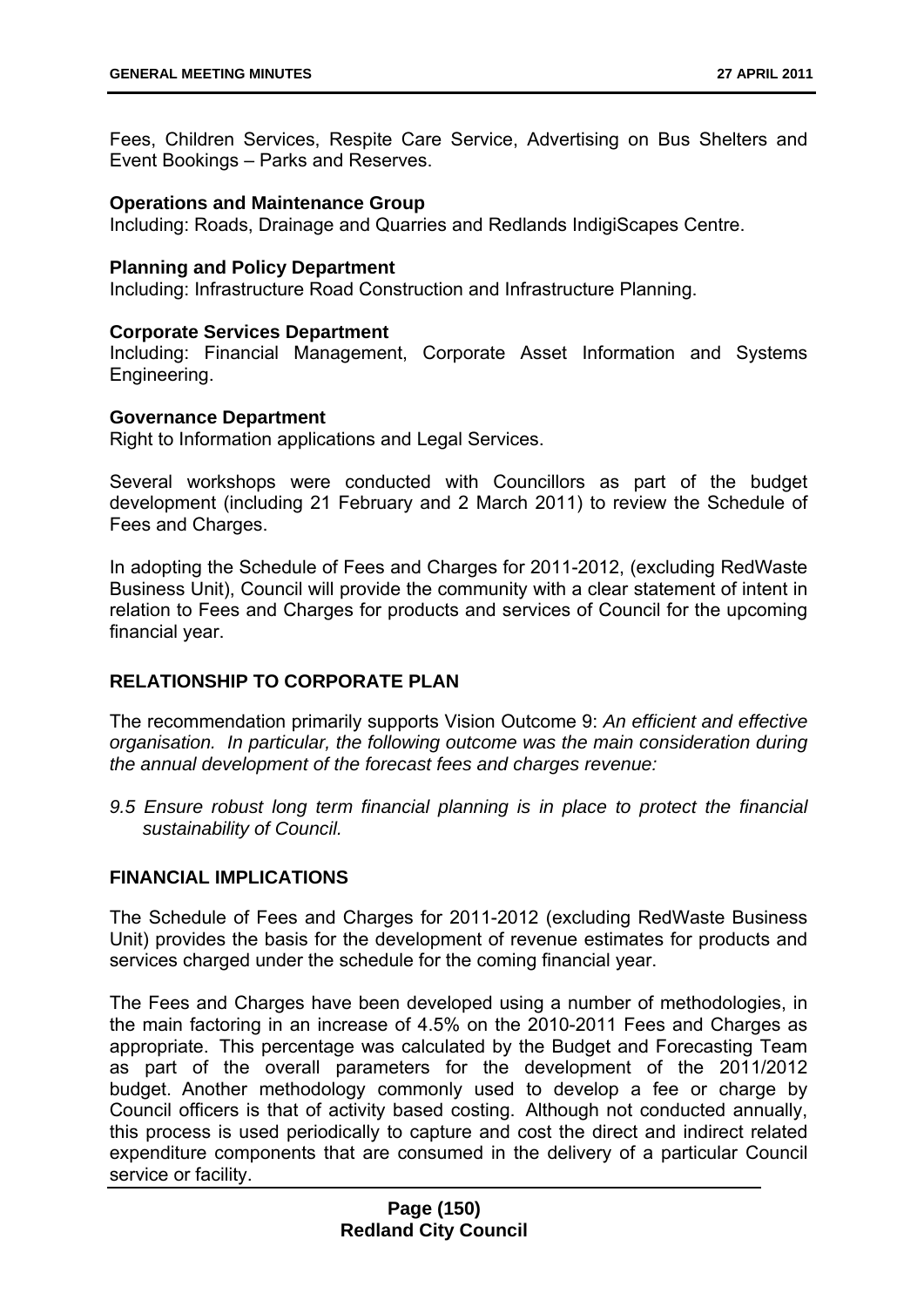Fees, Children Services, Respite Care Service, Advertising on Bus Shelters and Event Bookings – Parks and Reserves.

#### **Operations and Maintenance Group**

Including: Roads, Drainage and Quarries and Redlands IndigiScapes Centre.

#### **Planning and Policy Department**

Including: Infrastructure Road Construction and Infrastructure Planning.

#### **Corporate Services Department**

Including: Financial Management, Corporate Asset Information and Systems Engineering.

#### **Governance Department**

Right to Information applications and Legal Services.

Several workshops were conducted with Councillors as part of the budget development (including 21 February and 2 March 2011) to review the Schedule of Fees and Charges.

In adopting the Schedule of Fees and Charges for 2011-2012, (excluding RedWaste Business Unit), Council will provide the community with a clear statement of intent in relation to Fees and Charges for products and services of Council for the upcoming financial year.

#### **RELATIONSHIP TO CORPORATE PLAN**

The recommendation primarily supports Vision Outcome 9: *An efficient and effective organisation. In particular, the following outcome was the main consideration during the annual development of the forecast fees and charges revenue:* 

*9.5 Ensure robust long term financial planning is in place to protect the financial sustainability of Council.* 

#### **FINANCIAL IMPLICATIONS**

The Schedule of Fees and Charges for 2011-2012 (excluding RedWaste Business Unit) provides the basis for the development of revenue estimates for products and services charged under the schedule for the coming financial year.

The Fees and Charges have been developed using a number of methodologies, in the main factoring in an increase of 4.5% on the 2010-2011 Fees and Charges as appropriate. This percentage was calculated by the Budget and Forecasting Team as part of the overall parameters for the development of the 2011/2012 budget. Another methodology commonly used to develop a fee or charge by Council officers is that of activity based costing. Although not conducted annually, this process is used periodically to capture and cost the direct and indirect related expenditure components that are consumed in the delivery of a particular Council service or facility.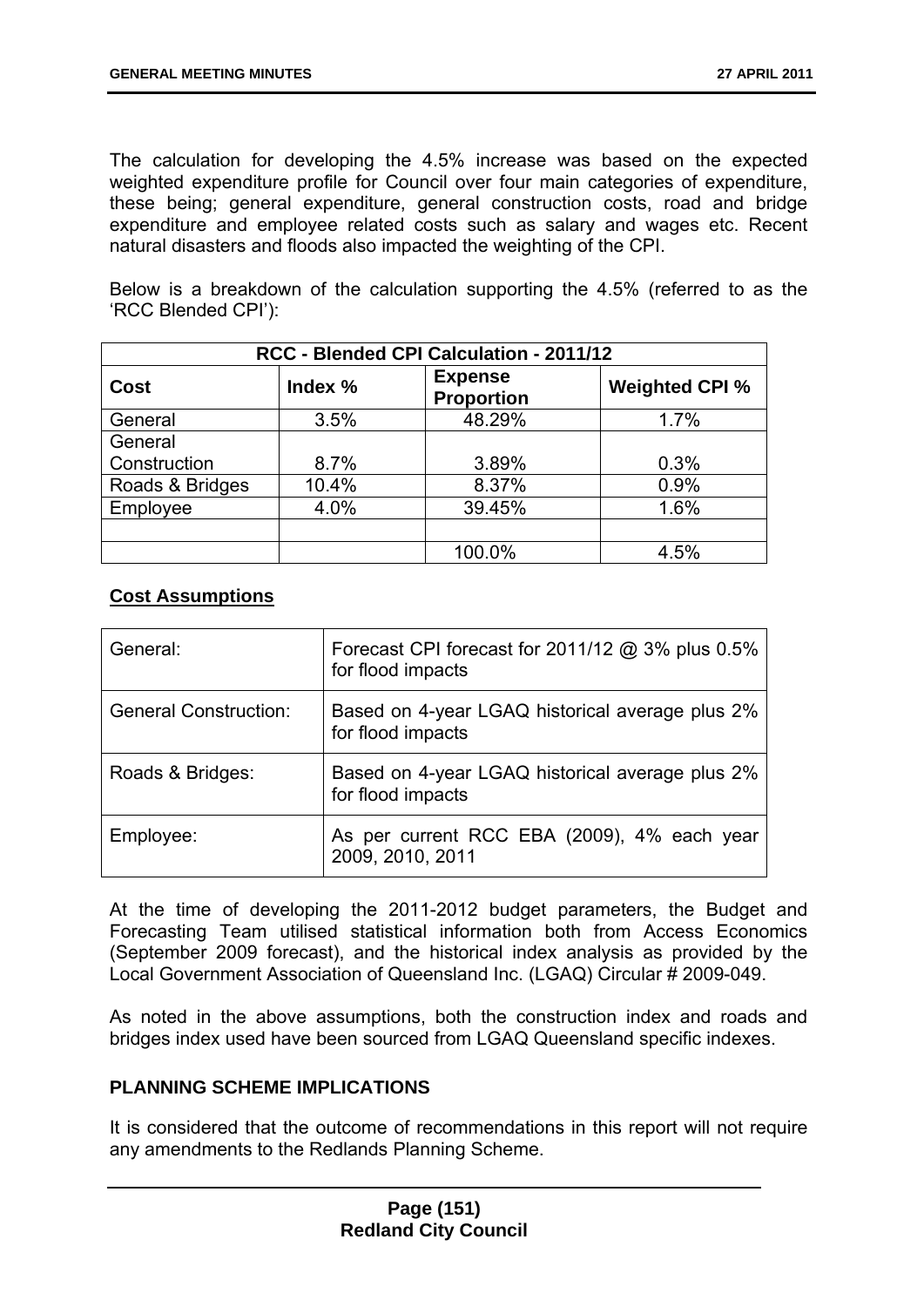The calculation for developing the 4.5% increase was based on the expected weighted expenditure profile for Council over four main categories of expenditure, these being; general expenditure, general construction costs, road and bridge expenditure and employee related costs such as salary and wages etc. Recent natural disasters and floods also impacted the weighting of the CPI.

Below is a breakdown of the calculation supporting the 4.5% (referred to as the 'RCC Blended CPI'):

| RCC - Blended CPI Calculation - 2011/12 |         |                                     |                       |
|-----------------------------------------|---------|-------------------------------------|-----------------------|
| <b>Cost</b>                             | Index % | <b>Expense</b><br><b>Proportion</b> | <b>Weighted CPI %</b> |
| General                                 | 3.5%    | 48.29%                              | 1.7%                  |
| General                                 |         |                                     |                       |
| Construction                            | 8.7%    | 3.89%                               | 0.3%                  |
| Roads & Bridges                         | 10.4%   | 8.37%                               | 0.9%                  |
| Employee                                | 4.0%    | 39.45%                              | 1.6%                  |
|                                         |         |                                     |                       |
|                                         |         | 100.0%                              | 4.5%                  |

### **Cost Assumptions**

| General:                     | Forecast CPI forecast for 2011/12 @ 3% plus 0.5%<br>for flood impacts |
|------------------------------|-----------------------------------------------------------------------|
| <b>General Construction:</b> | Based on 4-year LGAQ historical average plus 2%<br>for flood impacts  |
| Roads & Bridges:             | Based on 4-year LGAQ historical average plus 2%<br>for flood impacts  |
| Employee:                    | As per current RCC EBA (2009), 4% each year<br>2009, 2010, 2011       |

At the time of developing the 2011-2012 budget parameters, the Budget and Forecasting Team utilised statistical information both from Access Economics (September 2009 forecast), and the historical index analysis as provided by the Local Government Association of Queensland Inc. (LGAQ) Circular # 2009-049.

As noted in the above assumptions, both the construction index and roads and bridges index used have been sourced from LGAQ Queensland specific indexes.

#### **PLANNING SCHEME IMPLICATIONS**

It is considered that the outcome of recommendations in this report will not require any amendments to the Redlands Planning Scheme.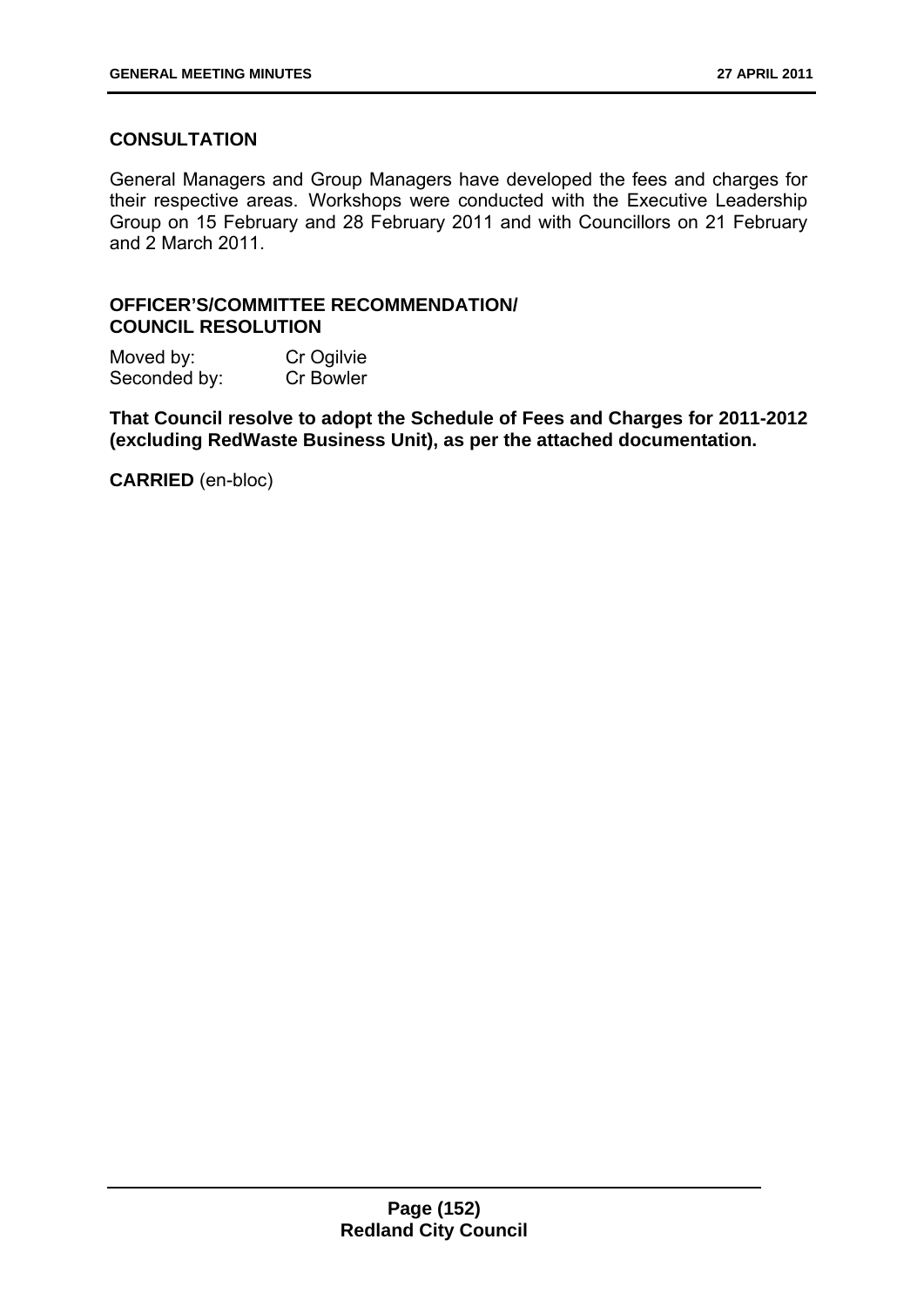# **CONSULTATION**

General Managers and Group Managers have developed the fees and charges for their respective areas. Workshops were conducted with the Executive Leadership Group on 15 February and 28 February 2011 and with Councillors on 21 February and 2 March 2011.

### **OFFICER'S/COMMITTEE RECOMMENDATION/ COUNCIL RESOLUTION**

Moved by: Cr Ogilvie Seconded by: Cr Bowler

**That Council resolve to adopt the Schedule of Fees and Charges for 2011-2012 (excluding RedWaste Business Unit), as per the attached documentation.** 

**CARRIED** (en-bloc)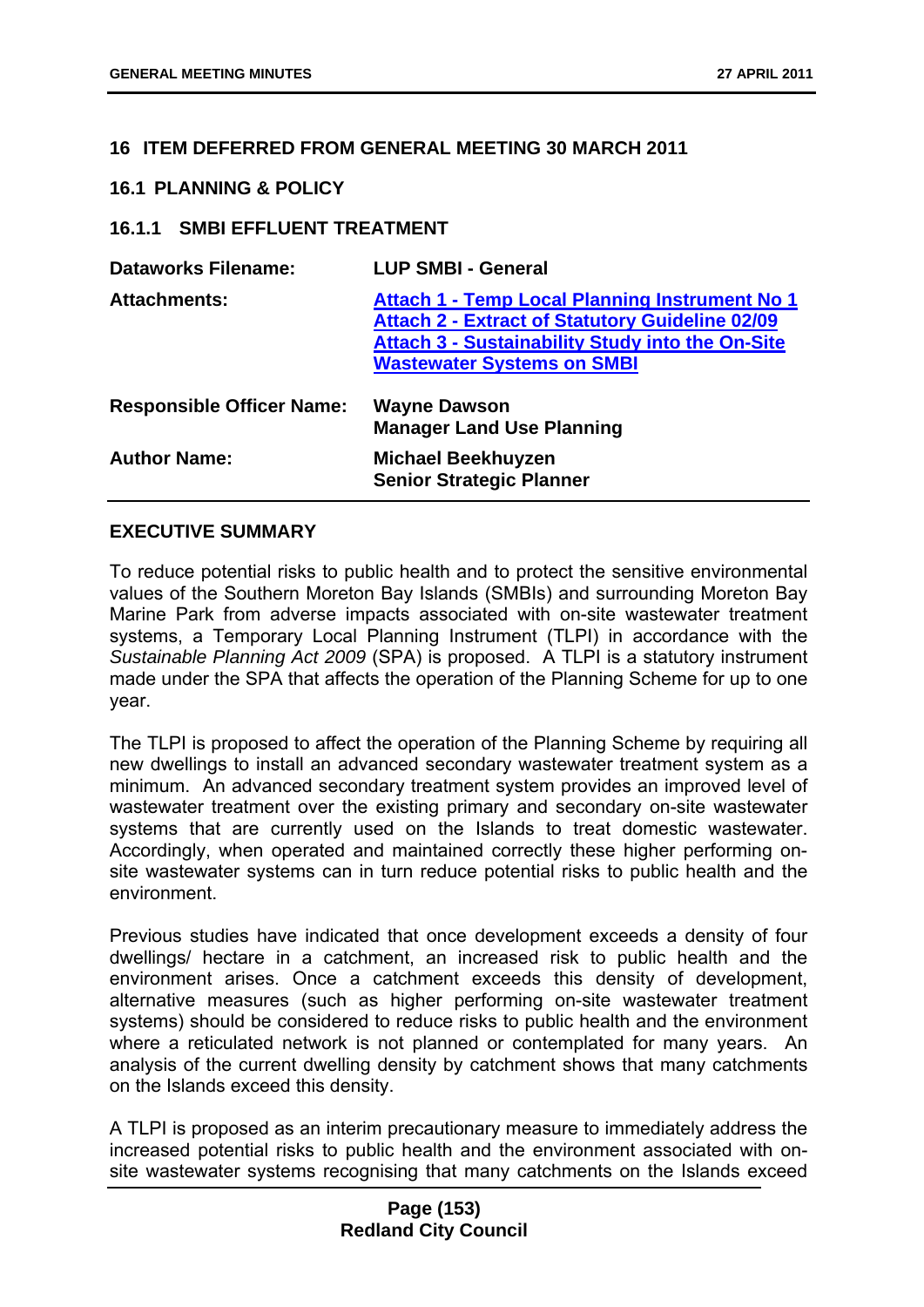### **16 ITEM DEFERRED FROM GENERAL MEETING 30 MARCH 2011**

#### **16.1 PLANNING & POLICY**

### **16.1.1 SMBI EFFLUENT TREATMENT**

| <b>Dataworks Filename:</b>       | <b>LUP SMBI - General</b>                                                                                                                                                                                       |
|----------------------------------|-----------------------------------------------------------------------------------------------------------------------------------------------------------------------------------------------------------------|
| <b>Attachments:</b>              | <b>Attach 1 - Temp Local Planning Instrument No 1</b><br><b>Attach 2 - Extract of Statutory Guideline 02/09</b><br><b>Attach 3 - Sustainability Study into the On-Site</b><br><b>Wastewater Systems on SMBI</b> |
| <b>Responsible Officer Name:</b> | <b>Wayne Dawson</b><br><b>Manager Land Use Planning</b>                                                                                                                                                         |
| <b>Author Name:</b>              | <b>Michael Beekhuyzen</b><br><b>Senior Strategic Planner</b>                                                                                                                                                    |

### **EXECUTIVE SUMMARY**

To reduce potential risks to public health and to protect the sensitive environmental values of the Southern Moreton Bay Islands (SMBIs) and surrounding Moreton Bay Marine Park from adverse impacts associated with on-site wastewater treatment systems, a Temporary Local Planning Instrument (TLPI) in accordance with the *Sustainable Planning Act 2009* (SPA) is proposed. A TLPI is a statutory instrument made under the SPA that affects the operation of the Planning Scheme for up to one year.

The TLPI is proposed to affect the operation of the Planning Scheme by requiring all new dwellings to install an advanced secondary wastewater treatment system as a minimum. An advanced secondary treatment system provides an improved level of wastewater treatment over the existing primary and secondary on-site wastewater systems that are currently used on the Islands to treat domestic wastewater. Accordingly, when operated and maintained correctly these higher performing onsite wastewater systems can in turn reduce potential risks to public health and the environment.

Previous studies have indicated that once development exceeds a density of four dwellings/ hectare in a catchment, an increased risk to public health and the environment arises. Once a catchment exceeds this density of development, alternative measures (such as higher performing on-site wastewater treatment systems) should be considered to reduce risks to public health and the environment where a reticulated network is not planned or contemplated for many years. An analysis of the current dwelling density by catchment shows that many catchments on the Islands exceed this density.

A TLPI is proposed as an interim precautionary measure to immediately address the increased potential risks to public health and the environment associated with onsite wastewater systems recognising that many catchments on the Islands exceed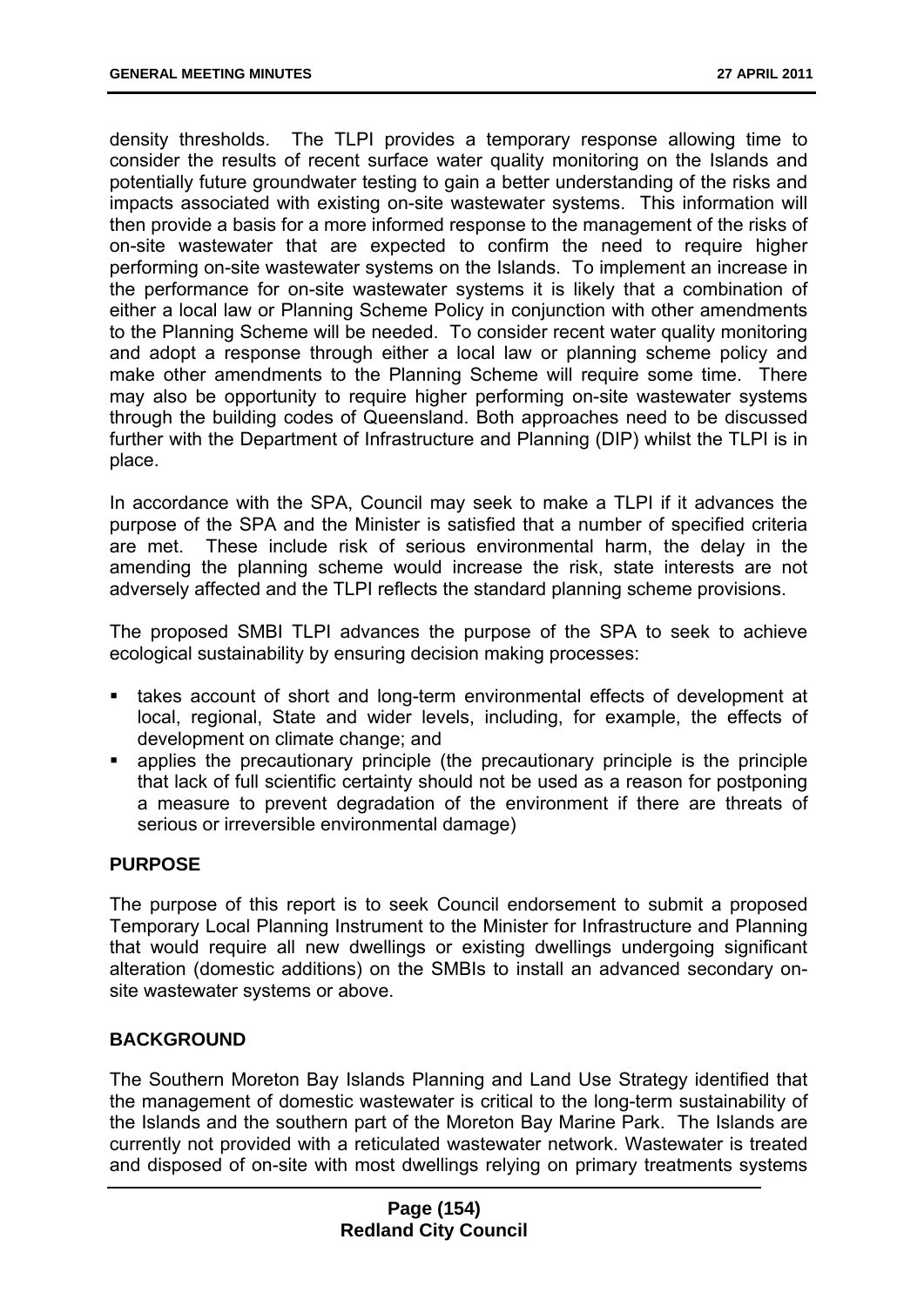density thresholds. The TLPI provides a temporary response allowing time to consider the results of recent surface water quality monitoring on the Islands and potentially future groundwater testing to gain a better understanding of the risks and impacts associated with existing on-site wastewater systems. This information will then provide a basis for a more informed response to the management of the risks of on-site wastewater that are expected to confirm the need to require higher performing on-site wastewater systems on the Islands. To implement an increase in the performance for on-site wastewater systems it is likely that a combination of either a local law or Planning Scheme Policy in conjunction with other amendments to the Planning Scheme will be needed. To consider recent water quality monitoring and adopt a response through either a local law or planning scheme policy and make other amendments to the Planning Scheme will require some time. There may also be opportunity to require higher performing on-site wastewater systems through the building codes of Queensland. Both approaches need to be discussed further with the Department of Infrastructure and Planning (DIP) whilst the TLPI is in place.

In accordance with the SPA, Council may seek to make a TLPI if it advances the purpose of the SPA and the Minister is satisfied that a number of specified criteria are met. These include risk of serious environmental harm, the delay in the amending the planning scheme would increase the risk, state interests are not adversely affected and the TLPI reflects the standard planning scheme provisions.

The proposed SMBI TLPI advances the purpose of the SPA to seek to achieve ecological sustainability by ensuring decision making processes:

- takes account of short and long-term environmental effects of development at local, regional, State and wider levels, including, for example, the effects of development on climate change; and
- applies the precautionary principle (the precautionary principle is the principle that lack of full scientific certainty should not be used as a reason for postponing a measure to prevent degradation of the environment if there are threats of serious or irreversible environmental damage)

#### **PURPOSE**

The purpose of this report is to seek Council endorsement to submit a proposed Temporary Local Planning Instrument to the Minister for Infrastructure and Planning that would require all new dwellings or existing dwellings undergoing significant alteration (domestic additions) on the SMBIs to install an advanced secondary onsite wastewater systems or above.

#### **BACKGROUND**

The Southern Moreton Bay Islands Planning and Land Use Strategy identified that the management of domestic wastewater is critical to the long-term sustainability of the Islands and the southern part of the Moreton Bay Marine Park. The Islands are currently not provided with a reticulated wastewater network. Wastewater is treated and disposed of on-site with most dwellings relying on primary treatments systems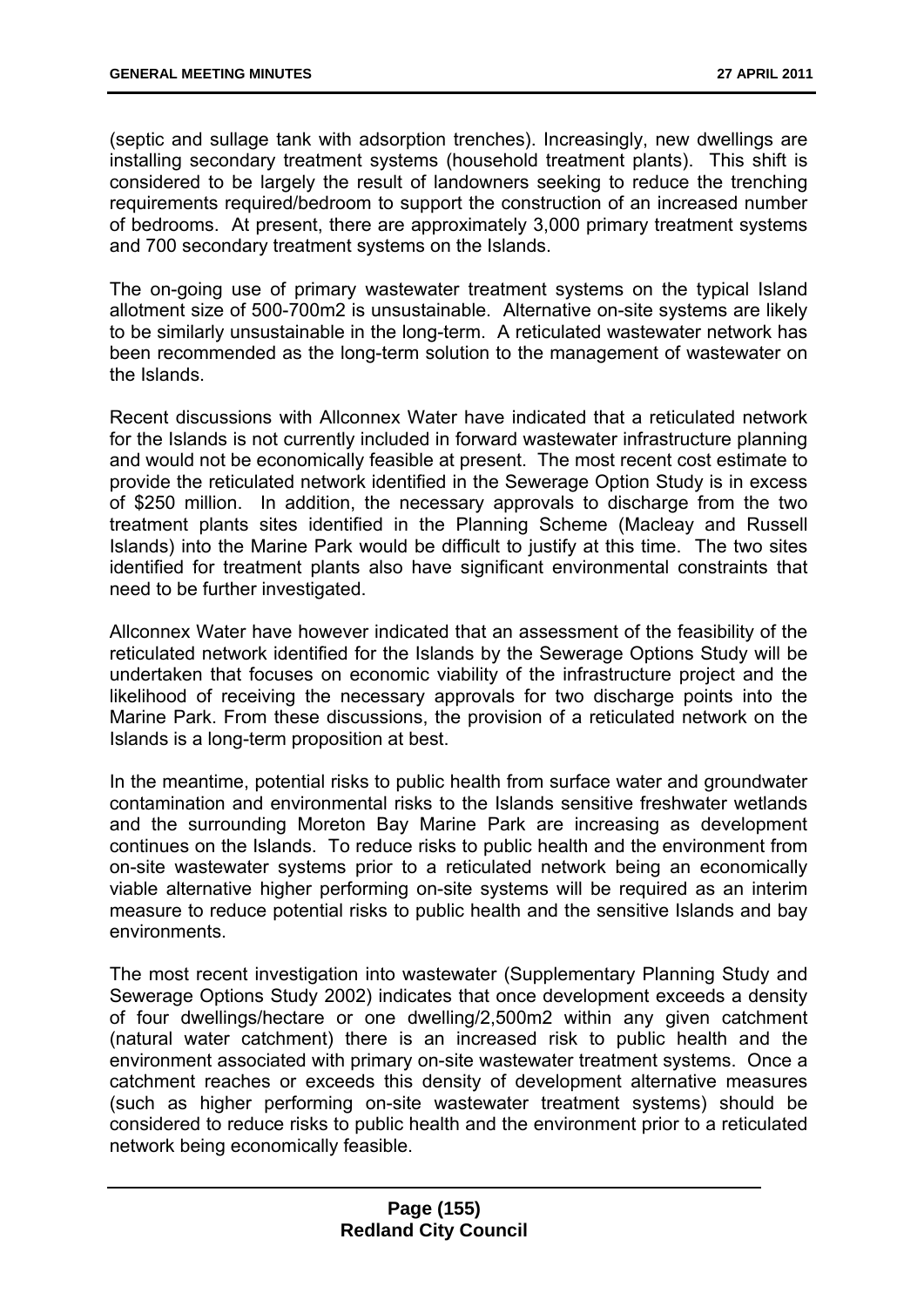(septic and sullage tank with adsorption trenches). Increasingly, new dwellings are installing secondary treatment systems (household treatment plants). This shift is considered to be largely the result of landowners seeking to reduce the trenching requirements required/bedroom to support the construction of an increased number of bedrooms. At present, there are approximately 3,000 primary treatment systems and 700 secondary treatment systems on the Islands.

The on-going use of primary wastewater treatment systems on the typical Island allotment size of 500-700m2 is unsustainable. Alternative on-site systems are likely to be similarly unsustainable in the long-term. A reticulated wastewater network has been recommended as the long-term solution to the management of wastewater on the Islands.

Recent discussions with Allconnex Water have indicated that a reticulated network for the Islands is not currently included in forward wastewater infrastructure planning and would not be economically feasible at present. The most recent cost estimate to provide the reticulated network identified in the Sewerage Option Study is in excess of \$250 million. In addition, the necessary approvals to discharge from the two treatment plants sites identified in the Planning Scheme (Macleay and Russell Islands) into the Marine Park would be difficult to justify at this time. The two sites identified for treatment plants also have significant environmental constraints that need to be further investigated.

Allconnex Water have however indicated that an assessment of the feasibility of the reticulated network identified for the Islands by the Sewerage Options Study will be undertaken that focuses on economic viability of the infrastructure project and the likelihood of receiving the necessary approvals for two discharge points into the Marine Park. From these discussions, the provision of a reticulated network on the Islands is a long-term proposition at best.

In the meantime, potential risks to public health from surface water and groundwater contamination and environmental risks to the Islands sensitive freshwater wetlands and the surrounding Moreton Bay Marine Park are increasing as development continues on the Islands. To reduce risks to public health and the environment from on-site wastewater systems prior to a reticulated network being an economically viable alternative higher performing on-site systems will be required as an interim measure to reduce potential risks to public health and the sensitive Islands and bay environments.

The most recent investigation into wastewater (Supplementary Planning Study and Sewerage Options Study 2002) indicates that once development exceeds a density of four dwellings/hectare or one dwelling/2,500m2 within any given catchment (natural water catchment) there is an increased risk to public health and the environment associated with primary on-site wastewater treatment systems. Once a catchment reaches or exceeds this density of development alternative measures (such as higher performing on-site wastewater treatment systems) should be considered to reduce risks to public health and the environment prior to a reticulated network being economically feasible.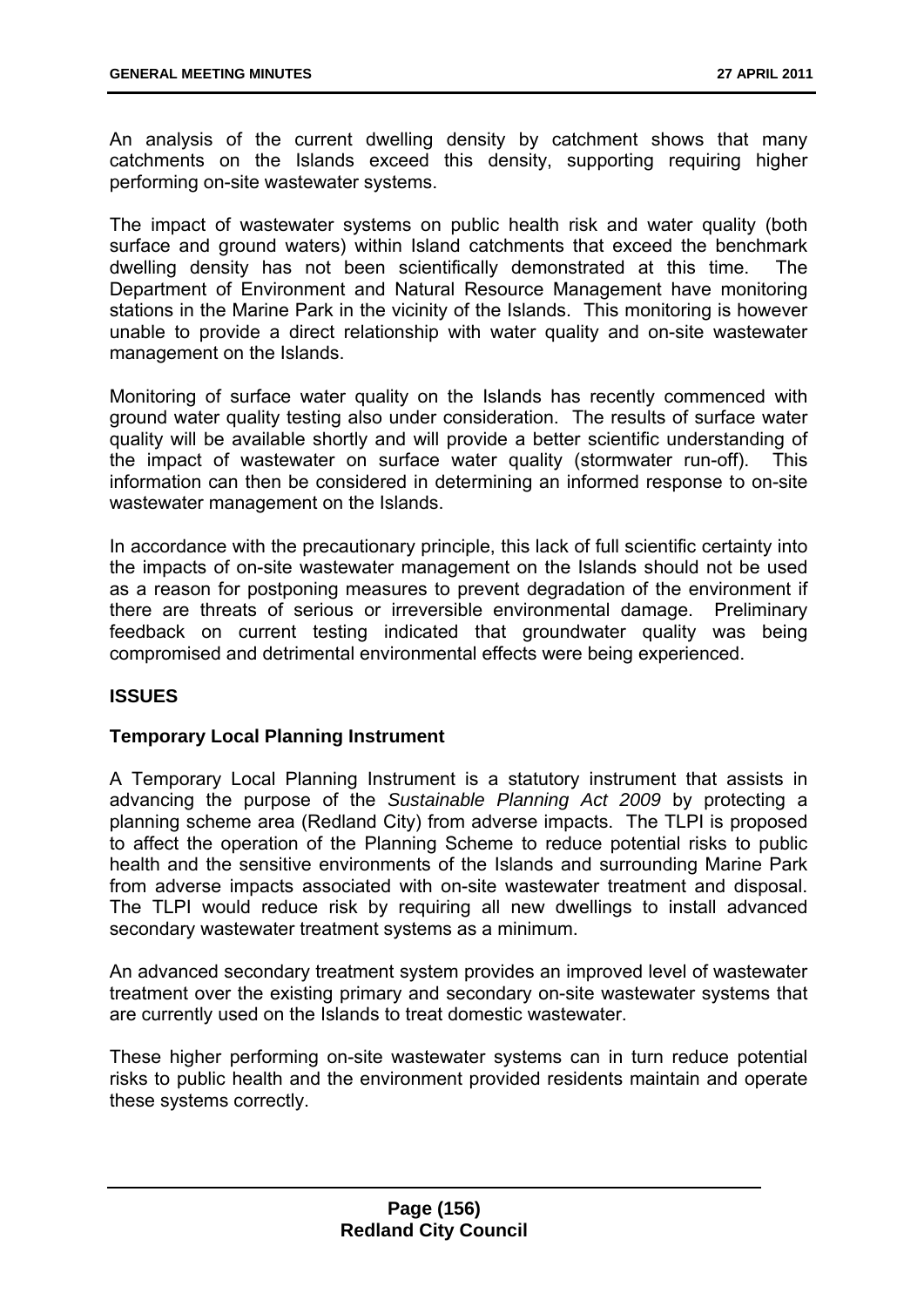An analysis of the current dwelling density by catchment shows that many catchments on the Islands exceed this density, supporting requiring higher performing on-site wastewater systems.

The impact of wastewater systems on public health risk and water quality (both surface and ground waters) within Island catchments that exceed the benchmark dwelling density has not been scientifically demonstrated at this time. The Department of Environment and Natural Resource Management have monitoring stations in the Marine Park in the vicinity of the Islands. This monitoring is however unable to provide a direct relationship with water quality and on-site wastewater management on the Islands.

Monitoring of surface water quality on the Islands has recently commenced with ground water quality testing also under consideration. The results of surface water quality will be available shortly and will provide a better scientific understanding of the impact of wastewater on surface water quality (stormwater run-off). This information can then be considered in determining an informed response to on-site wastewater management on the Islands.

In accordance with the precautionary principle, this lack of full scientific certainty into the impacts of on-site wastewater management on the Islands should not be used as a reason for postponing measures to prevent degradation of the environment if there are threats of serious or irreversible environmental damage. Preliminary feedback on current testing indicated that groundwater quality was being compromised and detrimental environmental effects were being experienced.

# **ISSUES**

#### **Temporary Local Planning Instrument**

A Temporary Local Planning Instrument is a statutory instrument that assists in advancing the purpose of the *Sustainable Planning Act 2009* by protecting a planning scheme area (Redland City) from adverse impacts. The TLPI is proposed to affect the operation of the Planning Scheme to reduce potential risks to public health and the sensitive environments of the Islands and surrounding Marine Park from adverse impacts associated with on-site wastewater treatment and disposal. The TLPI would reduce risk by requiring all new dwellings to install advanced secondary wastewater treatment systems as a minimum.

An advanced secondary treatment system provides an improved level of wastewater treatment over the existing primary and secondary on-site wastewater systems that are currently used on the Islands to treat domestic wastewater.

These higher performing on-site wastewater systems can in turn reduce potential risks to public health and the environment provided residents maintain and operate these systems correctly.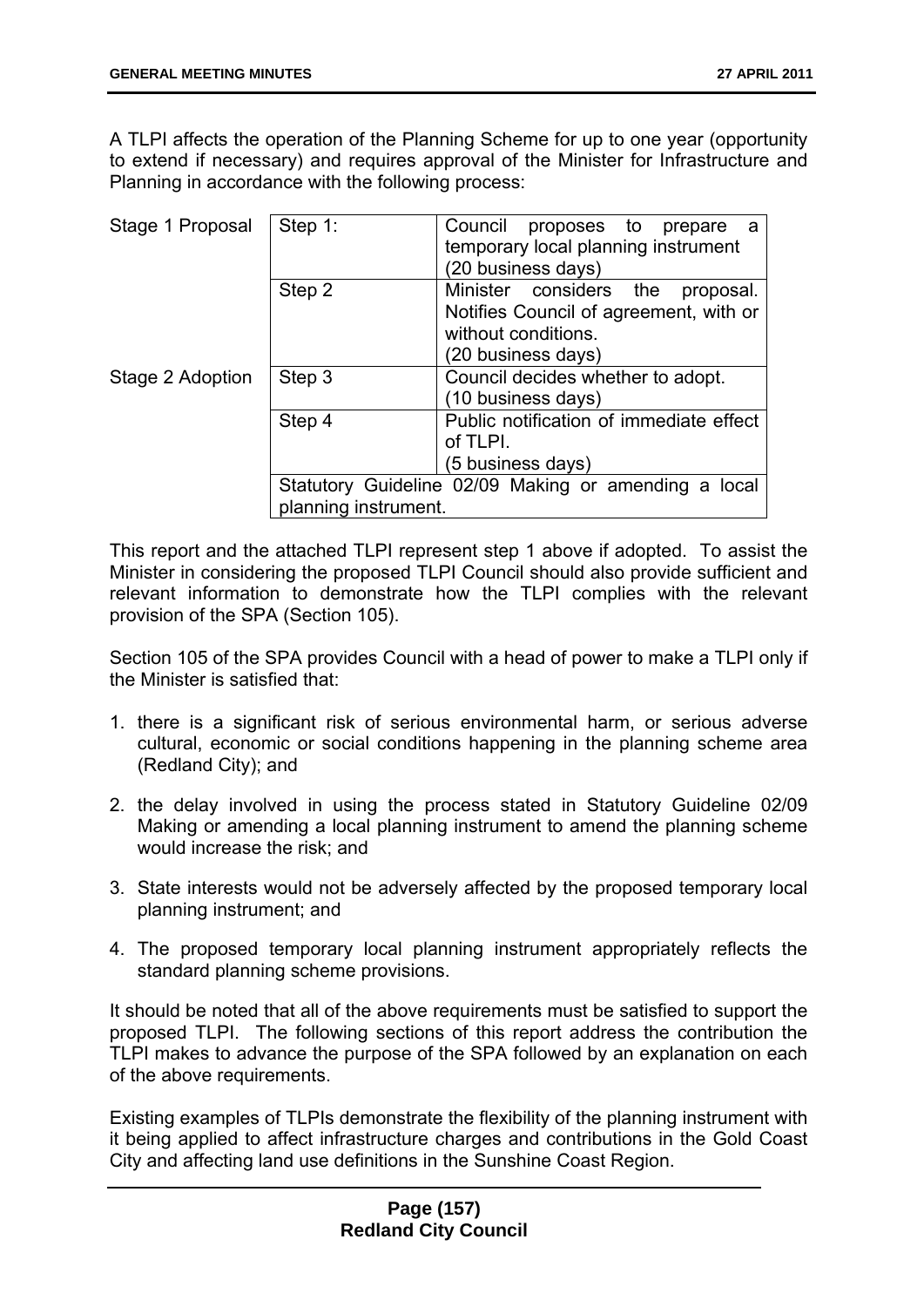A TLPI affects the operation of the Planning Scheme for up to one year (opportunity to extend if necessary) and requires approval of the Minister for Infrastructure and Planning in accordance with the following process:

| Stage 1 Proposal | Step 1:              | Council<br>proposes to prepare<br>temporary local planning instrument<br>(20 business days)                                |  |
|------------------|----------------------|----------------------------------------------------------------------------------------------------------------------------|--|
|                  | Step 2               | Minister considers the<br>proposal.<br>Notifies Council of agreement, with or<br>without conditions.<br>(20 business days) |  |
| Stage 2 Adoption | Step 3               | Council decides whether to adopt.<br>(10 business days)                                                                    |  |
|                  | Step 4               | Public notification of immediate effect<br>of TLPI.<br>(5 business days)                                                   |  |
|                  | planning instrument. | Statutory Guideline 02/09 Making or amending a local                                                                       |  |

This report and the attached TLPI represent step 1 above if adopted. To assist the Minister in considering the proposed TLPI Council should also provide sufficient and relevant information to demonstrate how the TLPI complies with the relevant provision of the SPA (Section 105).

Section 105 of the SPA provides Council with a head of power to make a TLPI only if the Minister is satisfied that:

- 1. there is a significant risk of serious environmental harm, or serious adverse cultural, economic or social conditions happening in the planning scheme area (Redland City); and
- 2. the delay involved in using the process stated in Statutory Guideline 02/09 Making or amending a local planning instrument to amend the planning scheme would increase the risk; and
- 3. State interests would not be adversely affected by the proposed temporary local planning instrument; and
- 4. The proposed temporary local planning instrument appropriately reflects the standard planning scheme provisions.

It should be noted that all of the above requirements must be satisfied to support the proposed TLPI. The following sections of this report address the contribution the TLPI makes to advance the purpose of the SPA followed by an explanation on each of the above requirements.

Existing examples of TLPIs demonstrate the flexibility of the planning instrument with it being applied to affect infrastructure charges and contributions in the Gold Coast City and affecting land use definitions in the Sunshine Coast Region.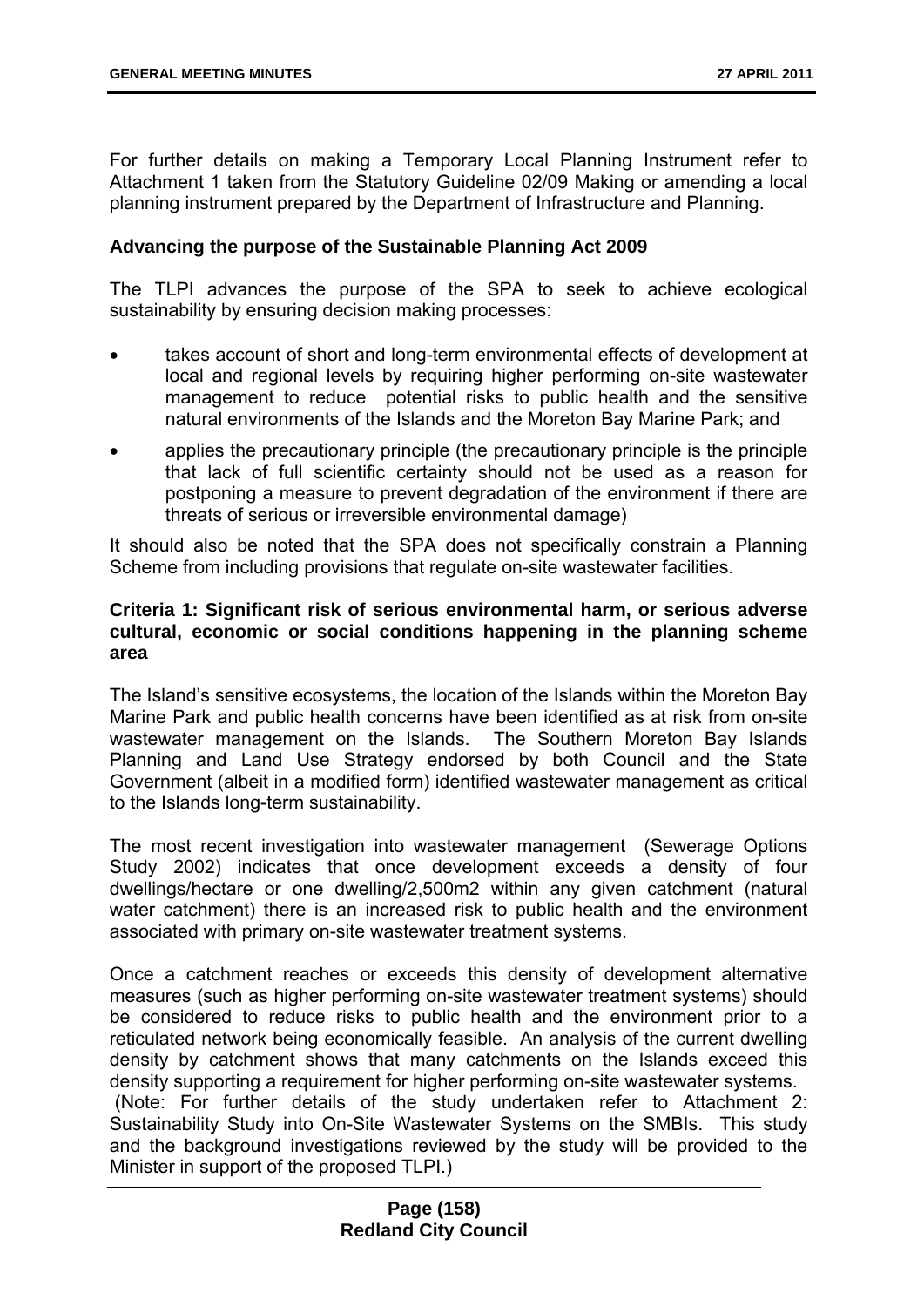For further details on making a Temporary Local Planning Instrument refer to Attachment 1 taken from the Statutory Guideline 02/09 Making or amending a local planning instrument prepared by the Department of Infrastructure and Planning.

#### **Advancing the purpose of the Sustainable Planning Act 2009**

The TLPI advances the purpose of the SPA to seek to achieve ecological sustainability by ensuring decision making processes:

- takes account of short and long-term environmental effects of development at local and regional levels by requiring higher performing on-site wastewater management to reduce potential risks to public health and the sensitive natural environments of the Islands and the Moreton Bay Marine Park; and
- applies the precautionary principle (the precautionary principle is the principle that lack of full scientific certainty should not be used as a reason for postponing a measure to prevent degradation of the environment if there are threats of serious or irreversible environmental damage)

It should also be noted that the SPA does not specifically constrain a Planning Scheme from including provisions that regulate on-site wastewater facilities.

### **Criteria 1: Significant risk of serious environmental harm, or serious adverse cultural, economic or social conditions happening in the planning scheme area**

The Island's sensitive ecosystems, the location of the Islands within the Moreton Bay Marine Park and public health concerns have been identified as at risk from on-site wastewater management on the Islands. The Southern Moreton Bay Islands Planning and Land Use Strategy endorsed by both Council and the State Government (albeit in a modified form) identified wastewater management as critical to the Islands long-term sustainability.

The most recent investigation into wastewater management (Sewerage Options Study 2002) indicates that once development exceeds a density of four dwellings/hectare or one dwelling/2,500m2 within any given catchment (natural water catchment) there is an increased risk to public health and the environment associated with primary on-site wastewater treatment systems.

Once a catchment reaches or exceeds this density of development alternative measures (such as higher performing on-site wastewater treatment systems) should be considered to reduce risks to public health and the environment prior to a reticulated network being economically feasible. An analysis of the current dwelling density by catchment shows that many catchments on the Islands exceed this density supporting a requirement for higher performing on-site wastewater systems. (Note: For further details of the study undertaken refer to Attachment 2: Sustainability Study into On-Site Wastewater Systems on the SMBIs. This study and the background investigations reviewed by the study will be provided to the

Minister in support of the proposed TLPI.)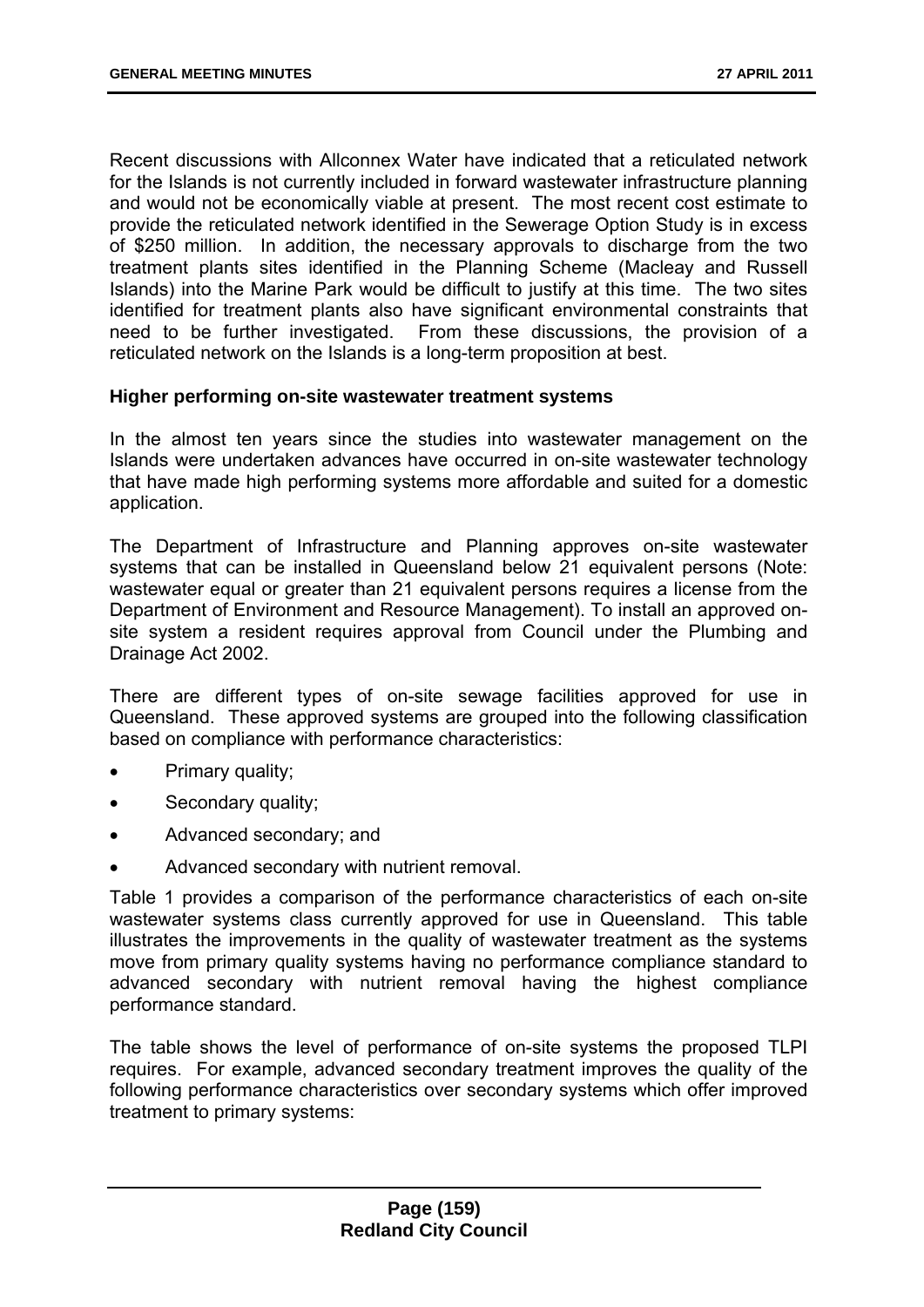Recent discussions with Allconnex Water have indicated that a reticulated network for the Islands is not currently included in forward wastewater infrastructure planning and would not be economically viable at present. The most recent cost estimate to provide the reticulated network identified in the Sewerage Option Study is in excess of \$250 million. In addition, the necessary approvals to discharge from the two treatment plants sites identified in the Planning Scheme (Macleay and Russell Islands) into the Marine Park would be difficult to justify at this time. The two sites identified for treatment plants also have significant environmental constraints that need to be further investigated. From these discussions, the provision of a reticulated network on the Islands is a long-term proposition at best.

#### **Higher performing on-site wastewater treatment systems**

In the almost ten years since the studies into wastewater management on the Islands were undertaken advances have occurred in on-site wastewater technology that have made high performing systems more affordable and suited for a domestic application.

The Department of Infrastructure and Planning approves on-site wastewater systems that can be installed in Queensland below 21 equivalent persons (Note: wastewater equal or greater than 21 equivalent persons requires a license from the Department of Environment and Resource Management). To install an approved onsite system a resident requires approval from Council under the Plumbing and Drainage Act 2002.

There are different types of on-site sewage facilities approved for use in Queensland. These approved systems are grouped into the following classification based on compliance with performance characteristics:

- Primary quality;
- Secondary quality;
- Advanced secondary; and
- Advanced secondary with nutrient removal.

Table 1 provides a comparison of the performance characteristics of each on-site wastewater systems class currently approved for use in Queensland. This table illustrates the improvements in the quality of wastewater treatment as the systems move from primary quality systems having no performance compliance standard to advanced secondary with nutrient removal having the highest compliance performance standard.

The table shows the level of performance of on-site systems the proposed TLPI requires. For example, advanced secondary treatment improves the quality of the following performance characteristics over secondary systems which offer improved treatment to primary systems: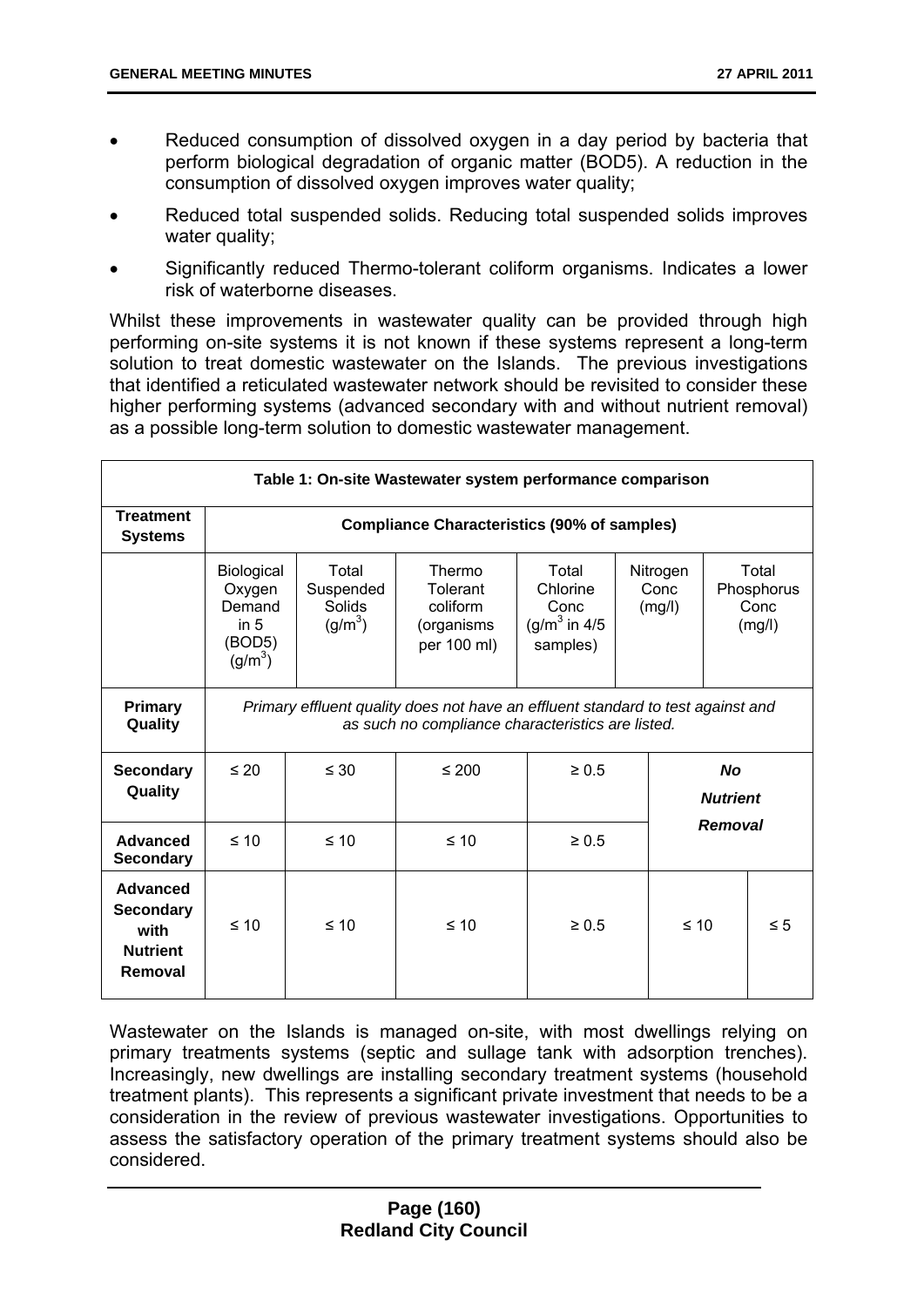- Reduced consumption of dissolved oxygen in a day period by bacteria that perform biological degradation of organic matter (BOD5). A reduction in the consumption of dissolved oxygen improves water quality;
- Reduced total suspended solids. Reducing total suspended solids improves water quality;
- Significantly reduced Thermo-tolerant coliform organisms. Indicates a lower risk of waterborne diseases.

Whilst these improvements in wastewater quality can be provided through high performing on-site systems it is not known if these systems represent a long-term solution to treat domestic wastewater on the Islands. The previous investigations that identified a reticulated wastewater network should be revisited to consider these higher performing systems (advanced secondary with and without nutrient removal) as a possible long-term solution to domestic wastewater management.

| Table 1: On-site Wastewater system performance comparison          |                                                                                                                                      |                                           |                                                             |                                                                   |  |                            |  |                                       |
|--------------------------------------------------------------------|--------------------------------------------------------------------------------------------------------------------------------------|-------------------------------------------|-------------------------------------------------------------|-------------------------------------------------------------------|--|----------------------------|--|---------------------------------------|
| <b>Treatment</b><br><b>Systems</b>                                 | <b>Compliance Characteristics (90% of samples)</b>                                                                                   |                                           |                                                             |                                                                   |  |                            |  |                                       |
|                                                                    | Biological<br>Oxygen<br>Demand<br>in $5$<br>(BOD5)<br>(g/m <sup>3</sup> )                                                            | Total<br>Suspended<br>Solids<br>$(g/m^3)$ | Thermo<br>Tolerant<br>coliform<br>(organisms<br>per 100 ml) | Total<br>Chlorine<br>Conc<br>(g/m <sup>3</sup> in 4/5<br>samples) |  | Nitrogen<br>Conc<br>(mg/l) |  | Total<br>Phosphorus<br>Conc<br>(mg/l) |
| <b>Primary</b><br>Quality                                          | Primary effluent quality does not have an effluent standard to test against and<br>as such no compliance characteristics are listed. |                                           |                                                             |                                                                   |  |                            |  |                                       |
| <b>Secondary</b><br>Quality                                        | $\leq 20$                                                                                                                            | $\leq 30$                                 | $\leq 200$                                                  | <b>No</b><br>$\geq 0.5$<br><b>Nutrient</b>                        |  |                            |  |                                       |
| Advanced<br><b>Secondary</b>                                       | $\leq 10$                                                                                                                            | $\leq 10$                                 | $\leq 10$                                                   | Removal<br>$\geq 0.5$                                             |  |                            |  |                                       |
| Advanced<br><b>Secondary</b><br>with<br><b>Nutrient</b><br>Removal | $\leq 10$                                                                                                                            | $\leq 10$                                 | $\leq 10$                                                   | $\geq 0.5$                                                        |  | $\leq 10$                  |  | $\leq 5$                              |

Wastewater on the Islands is managed on-site, with most dwellings relying on primary treatments systems (septic and sullage tank with adsorption trenches). Increasingly, new dwellings are installing secondary treatment systems (household treatment plants). This represents a significant private investment that needs to be a consideration in the review of previous wastewater investigations. Opportunities to assess the satisfactory operation of the primary treatment systems should also be considered.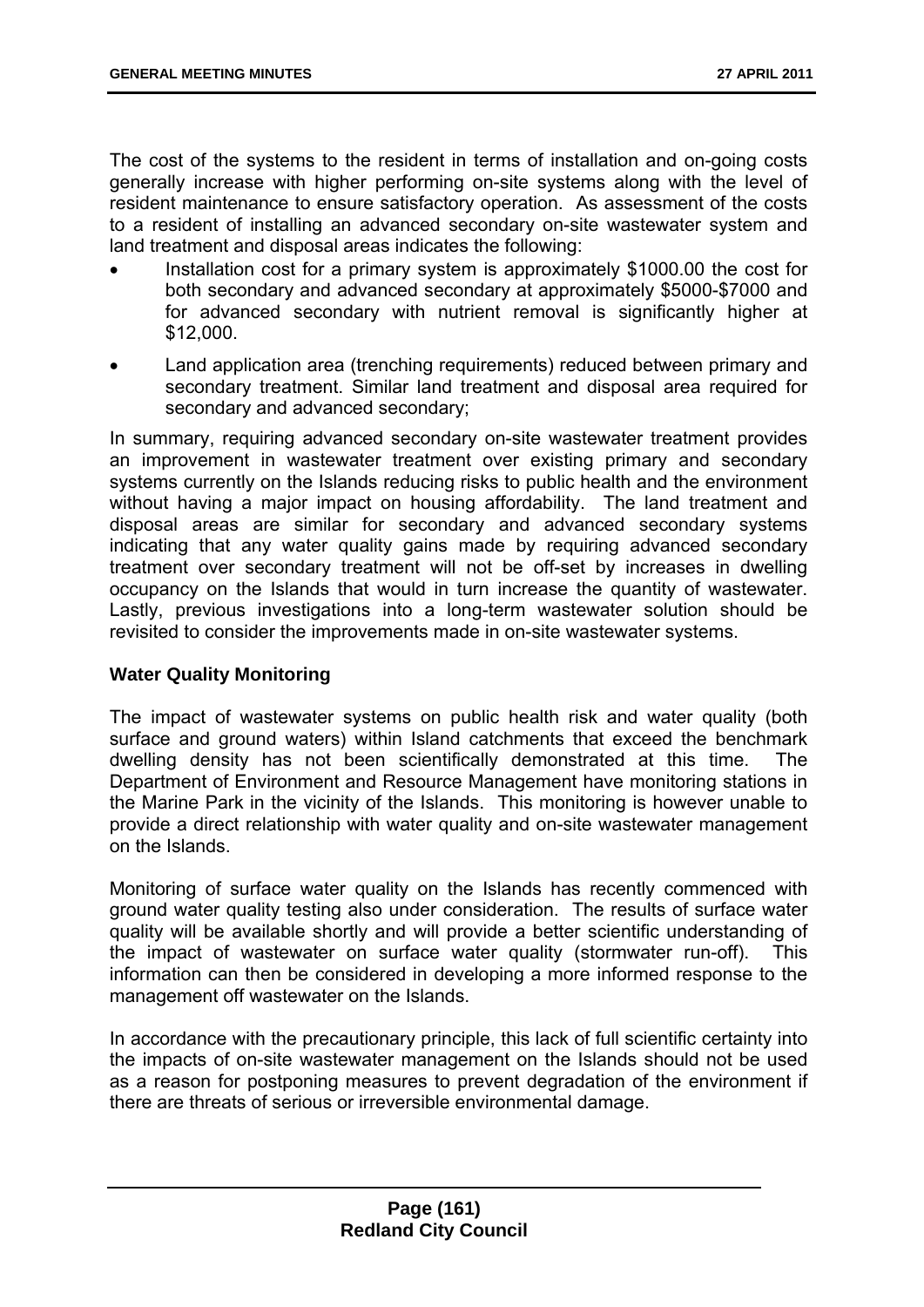The cost of the systems to the resident in terms of installation and on-going costs generally increase with higher performing on-site systems along with the level of resident maintenance to ensure satisfactory operation. As assessment of the costs to a resident of installing an advanced secondary on-site wastewater system and land treatment and disposal areas indicates the following:

- Installation cost for a primary system is approximately \$1000.00 the cost for both secondary and advanced secondary at approximately \$5000-\$7000 and for advanced secondary with nutrient removal is significantly higher at \$12,000.
- Land application area (trenching requirements) reduced between primary and secondary treatment. Similar land treatment and disposal area required for secondary and advanced secondary;

In summary, requiring advanced secondary on-site wastewater treatment provides an improvement in wastewater treatment over existing primary and secondary systems currently on the Islands reducing risks to public health and the environment without having a major impact on housing affordability. The land treatment and disposal areas are similar for secondary and advanced secondary systems indicating that any water quality gains made by requiring advanced secondary treatment over secondary treatment will not be off-set by increases in dwelling occupancy on the Islands that would in turn increase the quantity of wastewater. Lastly, previous investigations into a long-term wastewater solution should be revisited to consider the improvements made in on-site wastewater systems.

#### **Water Quality Monitoring**

The impact of wastewater systems on public health risk and water quality (both surface and ground waters) within Island catchments that exceed the benchmark dwelling density has not been scientifically demonstrated at this time. The Department of Environment and Resource Management have monitoring stations in the Marine Park in the vicinity of the Islands. This monitoring is however unable to provide a direct relationship with water quality and on-site wastewater management on the Islands.

Monitoring of surface water quality on the Islands has recently commenced with ground water quality testing also under consideration. The results of surface water quality will be available shortly and will provide a better scientific understanding of the impact of wastewater on surface water quality (stormwater run-off). This information can then be considered in developing a more informed response to the management off wastewater on the Islands.

In accordance with the precautionary principle, this lack of full scientific certainty into the impacts of on-site wastewater management on the Islands should not be used as a reason for postponing measures to prevent degradation of the environment if there are threats of serious or irreversible environmental damage.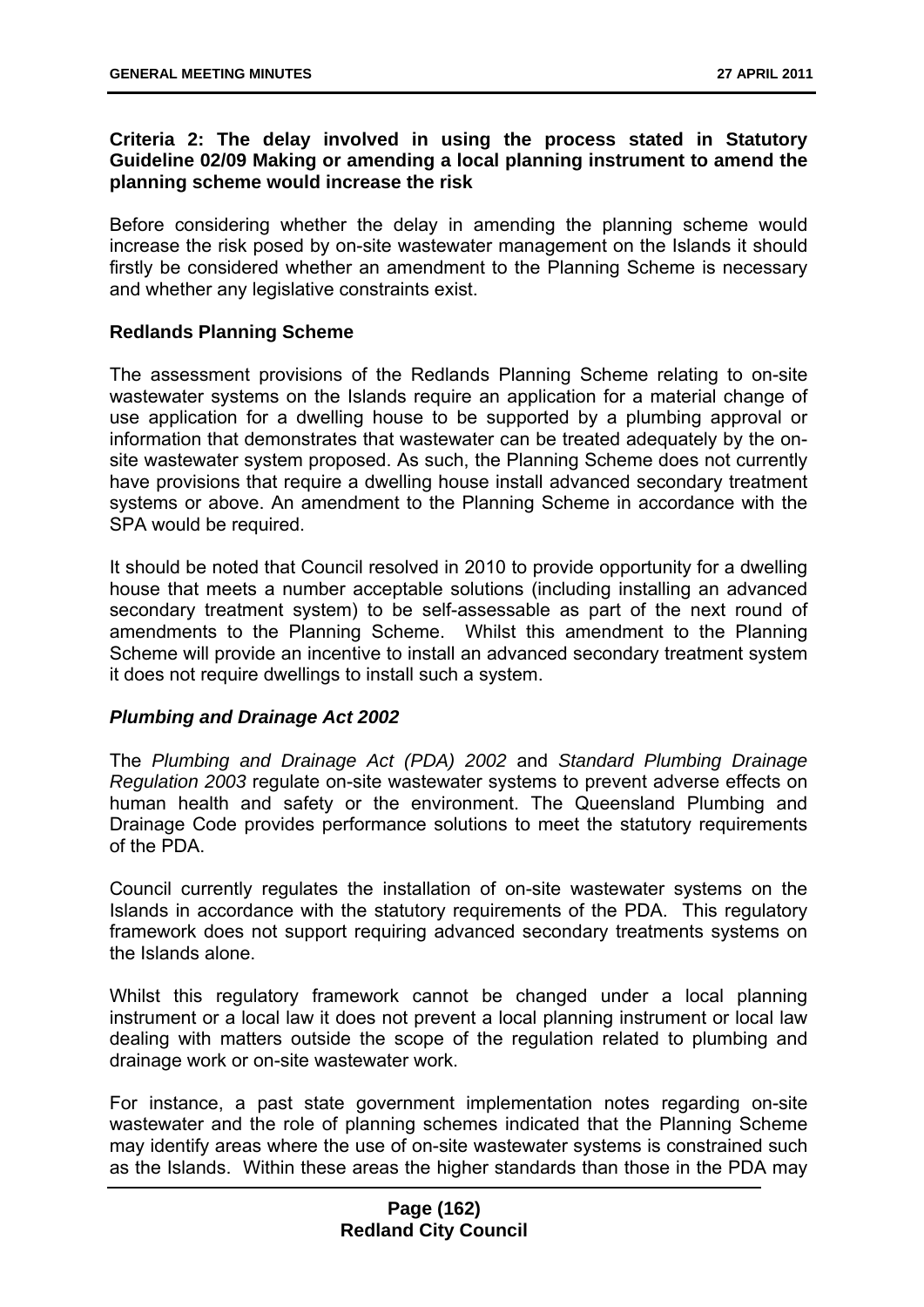### **Criteria 2: The delay involved in using the process stated in Statutory Guideline 02/09 Making or amending a local planning instrument to amend the planning scheme would increase the risk**

Before considering whether the delay in amending the planning scheme would increase the risk posed by on-site wastewater management on the Islands it should firstly be considered whether an amendment to the Planning Scheme is necessary and whether any legislative constraints exist.

### **Redlands Planning Scheme**

The assessment provisions of the Redlands Planning Scheme relating to on-site wastewater systems on the Islands require an application for a material change of use application for a dwelling house to be supported by a plumbing approval or information that demonstrates that wastewater can be treated adequately by the onsite wastewater system proposed. As such, the Planning Scheme does not currently have provisions that require a dwelling house install advanced secondary treatment systems or above. An amendment to the Planning Scheme in accordance with the SPA would be required.

It should be noted that Council resolved in 2010 to provide opportunity for a dwelling house that meets a number acceptable solutions (including installing an advanced secondary treatment system) to be self-assessable as part of the next round of amendments to the Planning Scheme. Whilst this amendment to the Planning Scheme will provide an incentive to install an advanced secondary treatment system it does not require dwellings to install such a system.

#### *Plumbing and Drainage Act 2002*

The *Plumbing and Drainage Act (PDA) 2002* and *Standard Plumbing Drainage Regulation 2003* regulate on-site wastewater systems to prevent adverse effects on human health and safety or the environment. The Queensland Plumbing and Drainage Code provides performance solutions to meet the statutory requirements of the PDA.

Council currently regulates the installation of on-site wastewater systems on the Islands in accordance with the statutory requirements of the PDA. This regulatory framework does not support requiring advanced secondary treatments systems on the Islands alone.

Whilst this regulatory framework cannot be changed under a local planning instrument or a local law it does not prevent a local planning instrument or local law dealing with matters outside the scope of the regulation related to plumbing and drainage work or on-site wastewater work.

For instance, a past state government implementation notes regarding on-site wastewater and the role of planning schemes indicated that the Planning Scheme may identify areas where the use of on-site wastewater systems is constrained such as the Islands. Within these areas the higher standards than those in the PDA may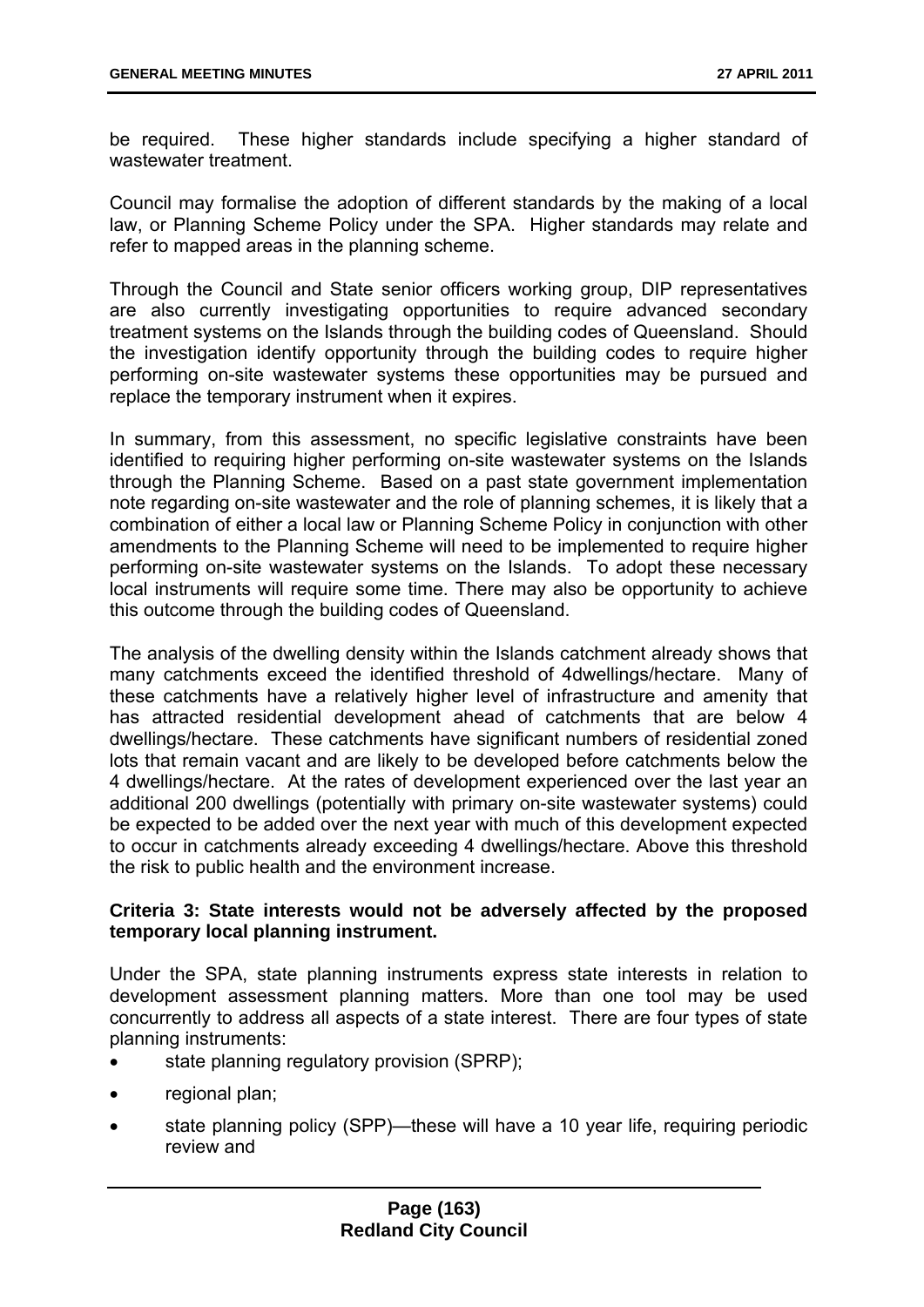be required. These higher standards include specifying a higher standard of wastewater treatment.

Council may formalise the adoption of different standards by the making of a local law, or Planning Scheme Policy under the SPA. Higher standards may relate and refer to mapped areas in the planning scheme.

Through the Council and State senior officers working group, DIP representatives are also currently investigating opportunities to require advanced secondary treatment systems on the Islands through the building codes of Queensland. Should the investigation identify opportunity through the building codes to require higher performing on-site wastewater systems these opportunities may be pursued and replace the temporary instrument when it expires.

In summary, from this assessment, no specific legislative constraints have been identified to requiring higher performing on-site wastewater systems on the Islands through the Planning Scheme. Based on a past state government implementation note regarding on-site wastewater and the role of planning schemes, it is likely that a combination of either a local law or Planning Scheme Policy in conjunction with other amendments to the Planning Scheme will need to be implemented to require higher performing on-site wastewater systems on the Islands. To adopt these necessary local instruments will require some time. There may also be opportunity to achieve this outcome through the building codes of Queensland.

The analysis of the dwelling density within the Islands catchment already shows that many catchments exceed the identified threshold of 4dwellings/hectare. Many of these catchments have a relatively higher level of infrastructure and amenity that has attracted residential development ahead of catchments that are below 4 dwellings/hectare. These catchments have significant numbers of residential zoned lots that remain vacant and are likely to be developed before catchments below the 4 dwellings/hectare. At the rates of development experienced over the last year an additional 200 dwellings (potentially with primary on-site wastewater systems) could be expected to be added over the next year with much of this development expected to occur in catchments already exceeding 4 dwellings/hectare. Above this threshold the risk to public health and the environment increase.

### **Criteria 3: State interests would not be adversely affected by the proposed temporary local planning instrument.**

Under the SPA, state planning instruments express state interests in relation to development assessment planning matters. More than one tool may be used concurrently to address all aspects of a state interest. There are four types of state planning instruments:

- state planning regulatory provision (SPRP);
- regional plan;
- state planning policy (SPP)—these will have a 10 year life, requiring periodic review and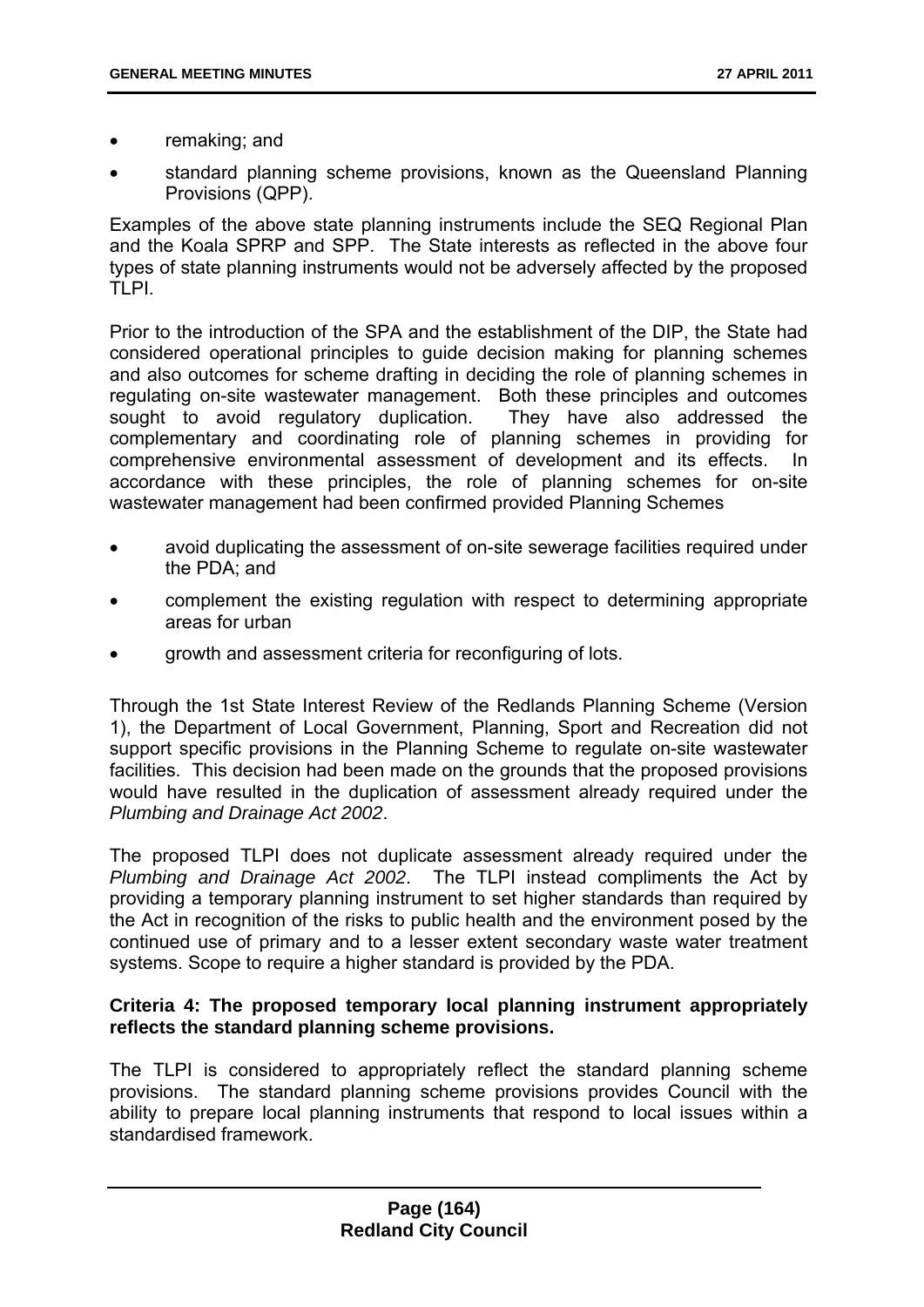- remaking; and
- standard planning scheme provisions, known as the Queensland Planning Provisions (QPP).

Examples of the above state planning instruments include the SEQ Regional Plan and the Koala SPRP and SPP. The State interests as reflected in the above four types of state planning instruments would not be adversely affected by the proposed TLPI.

Prior to the introduction of the SPA and the establishment of the DIP, the State had considered operational principles to guide decision making for planning schemes and also outcomes for scheme drafting in deciding the role of planning schemes in regulating on-site wastewater management. Both these principles and outcomes sought to avoid regulatory duplication. They have also addressed the complementary and coordinating role of planning schemes in providing for comprehensive environmental assessment of development and its effects. In accordance with these principles, the role of planning schemes for on-site wastewater management had been confirmed provided Planning Schemes

- avoid duplicating the assessment of on-site sewerage facilities required under the PDA; and
- complement the existing regulation with respect to determining appropriate areas for urban
- growth and assessment criteria for reconfiguring of lots.

Through the 1st State Interest Review of the Redlands Planning Scheme (Version 1), the Department of Local Government, Planning, Sport and Recreation did not support specific provisions in the Planning Scheme to regulate on-site wastewater facilities. This decision had been made on the grounds that the proposed provisions would have resulted in the duplication of assessment already required under the *Plumbing and Drainage Act 2002*.

The proposed TLPI does not duplicate assessment already required under the *Plumbing and Drainage Act 2002*. The TLPI instead compliments the Act by providing a temporary planning instrument to set higher standards than required by the Act in recognition of the risks to public health and the environment posed by the continued use of primary and to a lesser extent secondary waste water treatment systems. Scope to require a higher standard is provided by the PDA.

### **Criteria 4: The proposed temporary local planning instrument appropriately reflects the standard planning scheme provisions.**

The TLPI is considered to appropriately reflect the standard planning scheme provisions. The standard planning scheme provisions provides Council with the ability to prepare local planning instruments that respond to local issues within a standardised framework.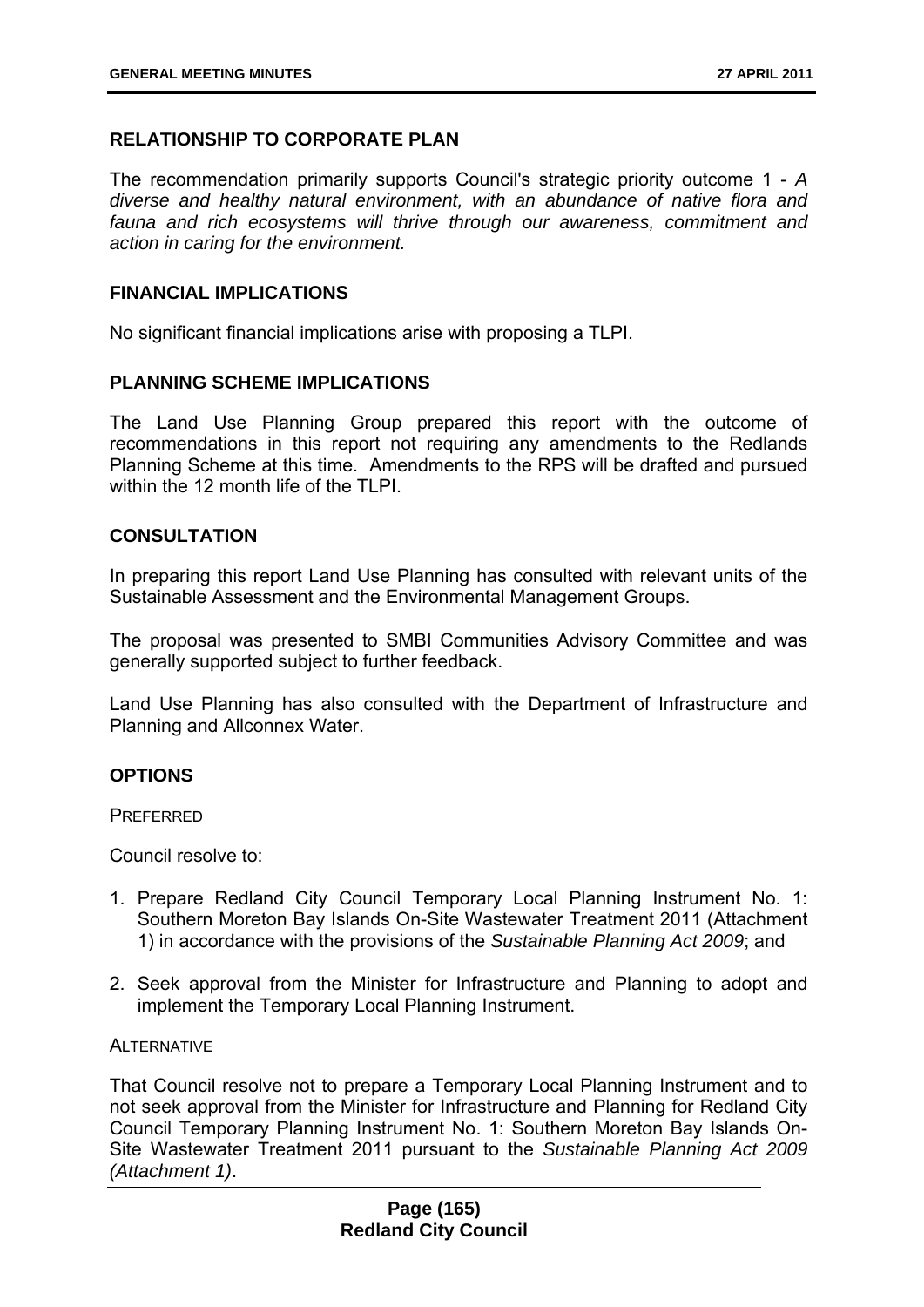### **RELATIONSHIP TO CORPORATE PLAN**

The recommendation primarily supports Council's strategic priority outcome 1 - *A diverse and healthy natural environment, with an abundance of native flora and fauna and rich ecosystems will thrive through our awareness, commitment and action in caring for the environment.*

#### **FINANCIAL IMPLICATIONS**

No significant financial implications arise with proposing a TLPI.

### **PLANNING SCHEME IMPLICATIONS**

The Land Use Planning Group prepared this report with the outcome of recommendations in this report not requiring any amendments to the Redlands Planning Scheme at this time. Amendments to the RPS will be drafted and pursued within the 12 month life of the TLPI.

#### **CONSULTATION**

In preparing this report Land Use Planning has consulted with relevant units of the Sustainable Assessment and the Environmental Management Groups.

The proposal was presented to SMBI Communities Advisory Committee and was generally supported subject to further feedback.

Land Use Planning has also consulted with the Department of Infrastructure and Planning and Allconnex Water.

#### **OPTIONS**

**PREFERRED** 

Council resolve to:

- 1. Prepare Redland City Council Temporary Local Planning Instrument No. 1: Southern Moreton Bay Islands On-Site Wastewater Treatment 2011 (Attachment 1) in accordance with the provisions of the *Sustainable Planning Act 2009*; and
- 2. Seek approval from the Minister for Infrastructure and Planning to adopt and implement the Temporary Local Planning Instrument.

#### **ALTERNATIVE**

That Council resolve not to prepare a Temporary Local Planning Instrument and to not seek approval from the Minister for Infrastructure and Planning for Redland City Council Temporary Planning Instrument No. 1: Southern Moreton Bay Islands On-Site Wastewater Treatment 2011 pursuant to the *Sustainable Planning Act 2009 (Attachment 1)*.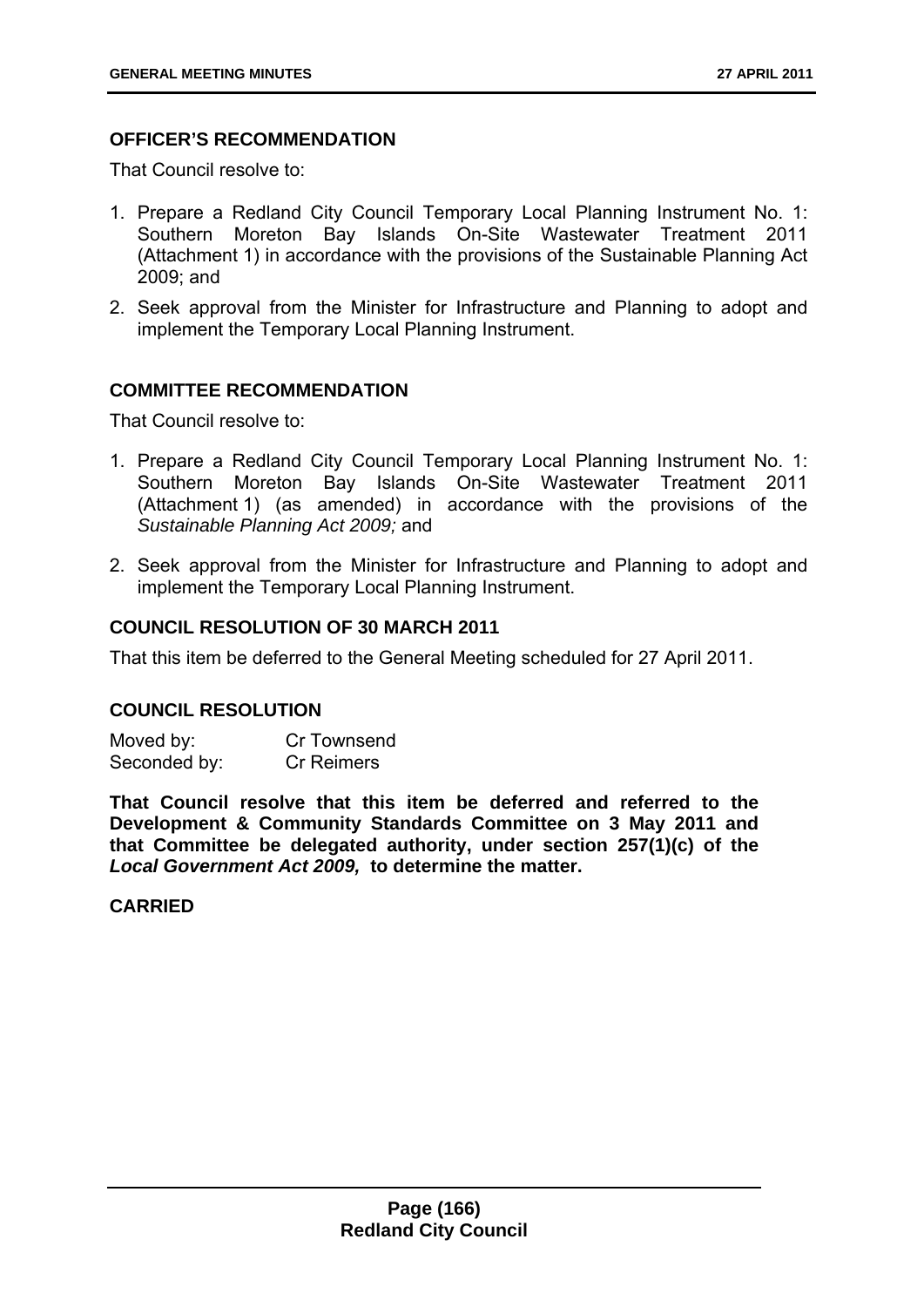# **OFFICER'S RECOMMENDATION**

That Council resolve to:

- 1. Prepare a Redland City Council Temporary Local Planning Instrument No. 1: Southern Moreton Bay Islands On-Site Wastewater Treatment 2011 (Attachment 1) in accordance with the provisions of the Sustainable Planning Act 2009; and
- 2. Seek approval from the Minister for Infrastructure and Planning to adopt and implement the Temporary Local Planning Instrument.

# **COMMITTEE RECOMMENDATION**

That Council resolve to:

- 1. Prepare a Redland City Council Temporary Local Planning Instrument No. 1: Southern Moreton Bay Islands On-Site Wastewater Treatment 2011 (Attachment 1) (as amended) in accordance with the provisions of the *Sustainable Planning Act 2009;* and
- 2. Seek approval from the Minister for Infrastructure and Planning to adopt and implement the Temporary Local Planning Instrument.

### **COUNCIL RESOLUTION OF 30 MARCH 2011**

That this item be deferred to the General Meeting scheduled for 27 April 2011.

#### **COUNCIL RESOLUTION**

Moved by: Cr Townsend Seconded by: Cr Reimers

**That Council resolve that this item be deferred and referred to the Development & Community Standards Committee on 3 May 2011 and that Committee be delegated authority, under section 257(1)(c) of the**  *Local Government Act 2009,* **to determine the matter.** 

**CARRIED**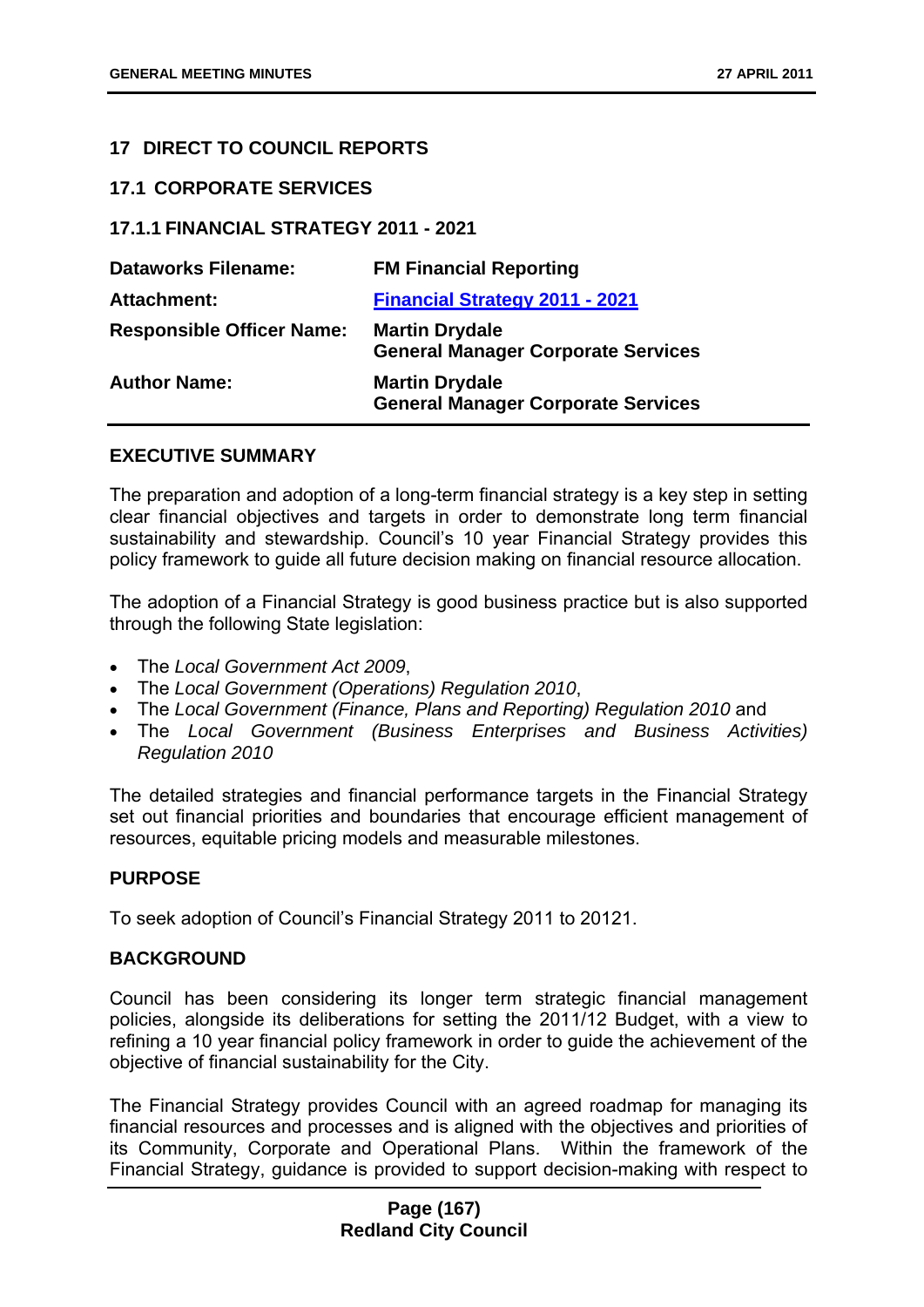### **17 DIRECT TO COUNCIL REPORTS**

#### **17.1 CORPORATE SERVICES**

### **17.1.1 FINANCIAL STRATEGY 2011 - 2021**

| <b>Dataworks Filename:</b>       | <b>FM Financial Reporting</b>                                      |
|----------------------------------|--------------------------------------------------------------------|
| <b>Attachment:</b>               | <b>Financial Strategy 2011 - 2021</b>                              |
| <b>Responsible Officer Name:</b> | <b>Martin Drydale</b><br><b>General Manager Corporate Services</b> |
| <b>Author Name:</b>              | <b>Martin Drydale</b><br><b>General Manager Corporate Services</b> |

#### **EXECUTIVE SUMMARY**

The preparation and adoption of a long-term financial strategy is a key step in setting clear financial objectives and targets in order to demonstrate long term financial sustainability and stewardship. Council's 10 year Financial Strategy provides this policy framework to guide all future decision making on financial resource allocation.

The adoption of a Financial Strategy is good business practice but is also supported through the following State legislation:

- The *Local Government Act 2009*,
- The *Local Government (Operations) Regulation 2010*,
- The *Local Government (Finance, Plans and Reporting) Regulation 2010* and
- The *Local Government (Business Enterprises and Business Activities) Regulation 2010*

The detailed strategies and financial performance targets in the Financial Strategy set out financial priorities and boundaries that encourage efficient management of resources, equitable pricing models and measurable milestones.

#### **PURPOSE**

To seek adoption of Council's Financial Strategy 2011 to 20121.

# **BACKGROUND**

Council has been considering its longer term strategic financial management policies, alongside its deliberations for setting the 2011/12 Budget, with a view to refining a 10 year financial policy framework in order to guide the achievement of the objective of financial sustainability for the City.

The Financial Strategy provides Council with an agreed roadmap for managing its financial resources and processes and is aligned with the objectives and priorities of its Community, Corporate and Operational Plans. Within the framework of the Financial Strategy, guidance is provided to support decision-making with respect to

### **Page (167) Redland City Council**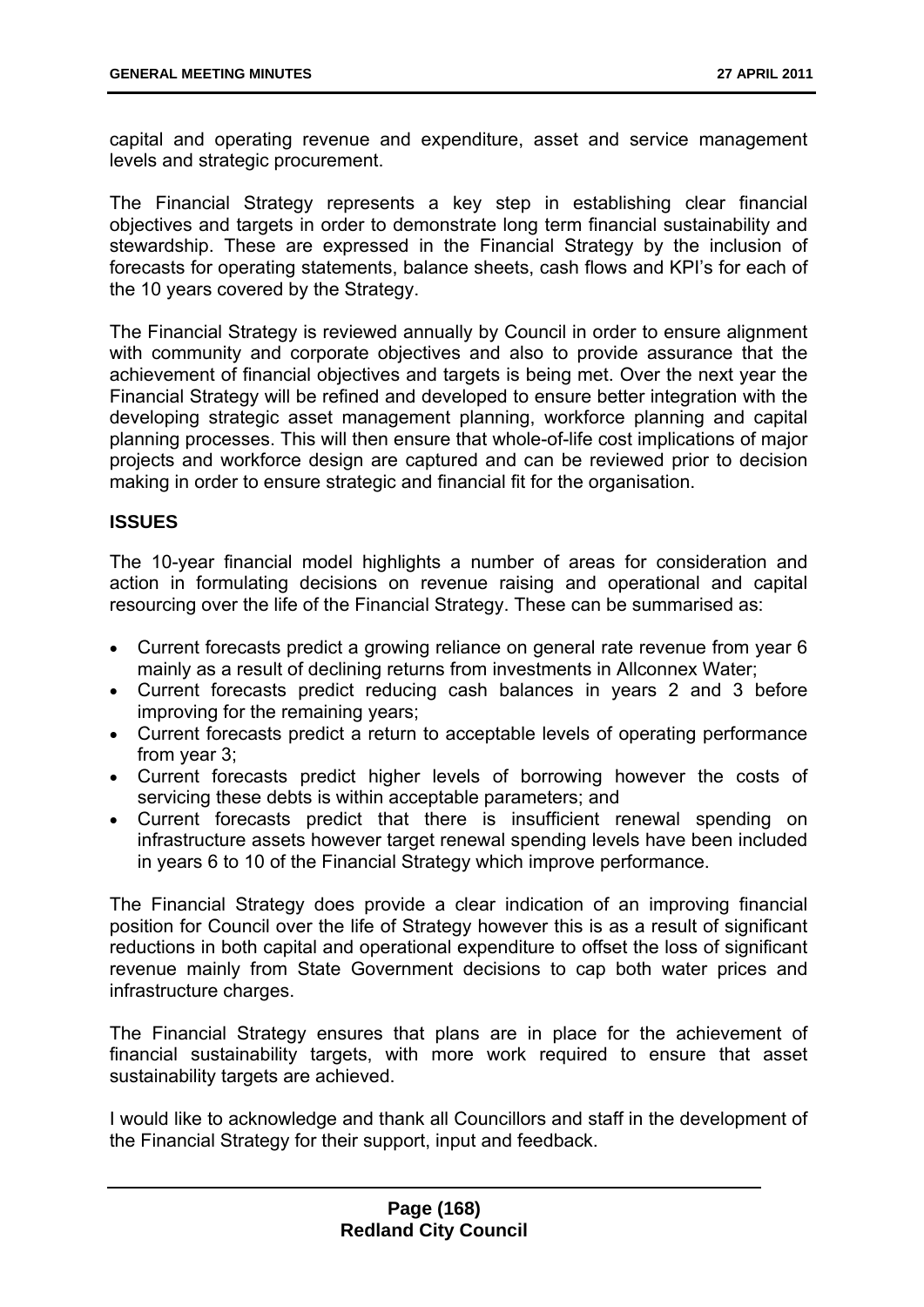capital and operating revenue and expenditure, asset and service management levels and strategic procurement.

The Financial Strategy represents a key step in establishing clear financial objectives and targets in order to demonstrate long term financial sustainability and stewardship. These are expressed in the Financial Strategy by the inclusion of forecasts for operating statements, balance sheets, cash flows and KPI's for each of the 10 years covered by the Strategy.

The Financial Strategy is reviewed annually by Council in order to ensure alignment with community and corporate objectives and also to provide assurance that the achievement of financial objectives and targets is being met. Over the next year the Financial Strategy will be refined and developed to ensure better integration with the developing strategic asset management planning, workforce planning and capital planning processes. This will then ensure that whole-of-life cost implications of major projects and workforce design are captured and can be reviewed prior to decision making in order to ensure strategic and financial fit for the organisation.

# **ISSUES**

The 10-year financial model highlights a number of areas for consideration and action in formulating decisions on revenue raising and operational and capital resourcing over the life of the Financial Strategy. These can be summarised as:

- Current forecasts predict a growing reliance on general rate revenue from year 6 mainly as a result of declining returns from investments in Allconnex Water;
- Current forecasts predict reducing cash balances in years 2 and 3 before improving for the remaining years;
- Current forecasts predict a return to acceptable levels of operating performance from year 3;
- Current forecasts predict higher levels of borrowing however the costs of servicing these debts is within acceptable parameters; and
- Current forecasts predict that there is insufficient renewal spending on infrastructure assets however target renewal spending levels have been included in years 6 to 10 of the Financial Strategy which improve performance.

The Financial Strategy does provide a clear indication of an improving financial position for Council over the life of Strategy however this is as a result of significant reductions in both capital and operational expenditure to offset the loss of significant revenue mainly from State Government decisions to cap both water prices and infrastructure charges.

The Financial Strategy ensures that plans are in place for the achievement of financial sustainability targets, with more work required to ensure that asset sustainability targets are achieved.

I would like to acknowledge and thank all Councillors and staff in the development of the Financial Strategy for their support, input and feedback.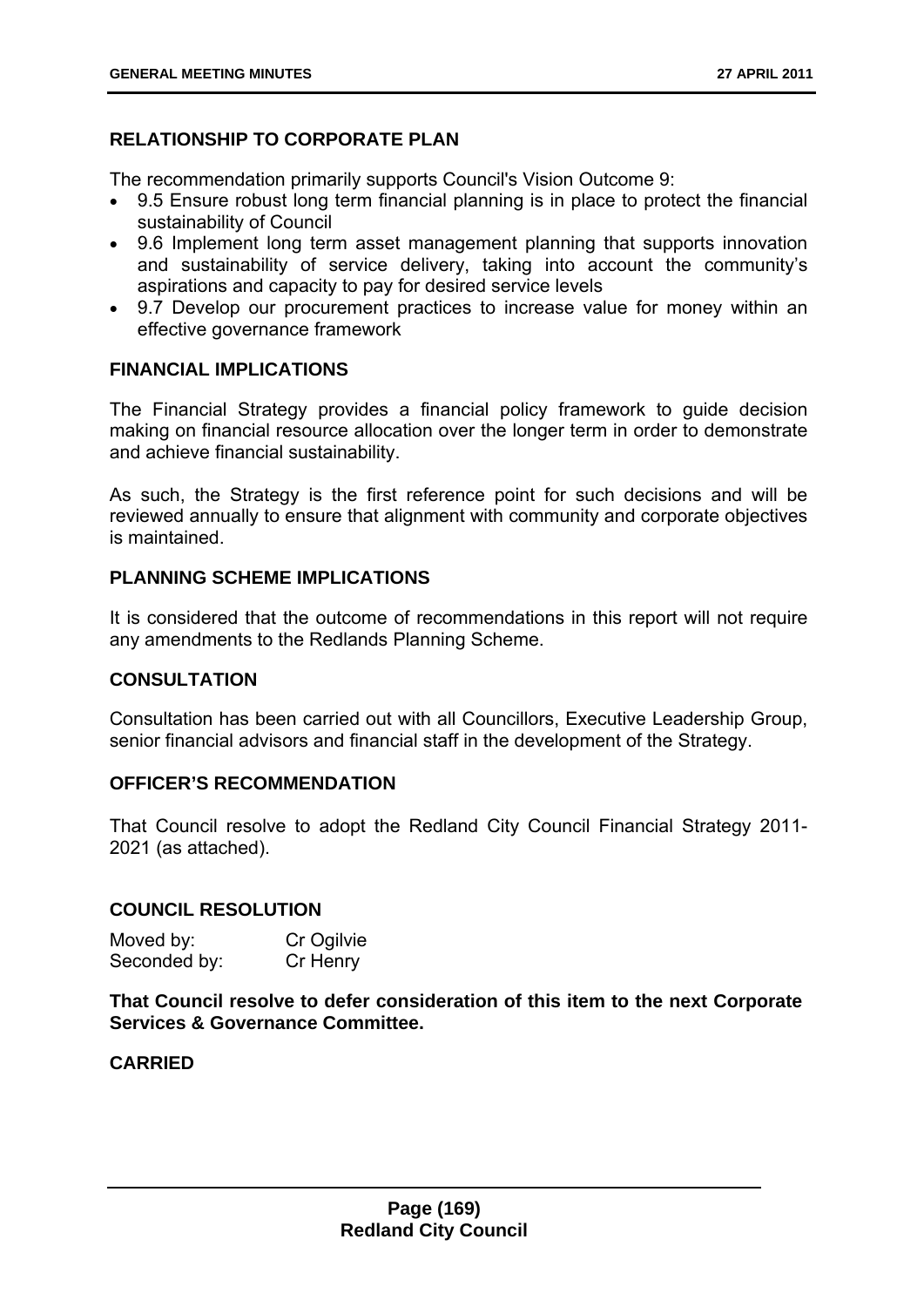# **RELATIONSHIP TO CORPORATE PLAN**

The recommendation primarily supports Council's Vision Outcome 9:

- 9.5 Ensure robust long term financial planning is in place to protect the financial sustainability of Council
- 9.6 Implement long term asset management planning that supports innovation and sustainability of service delivery, taking into account the community's aspirations and capacity to pay for desired service levels
- 9.7 Develop our procurement practices to increase value for money within an effective governance framework

# **FINANCIAL IMPLICATIONS**

The Financial Strategy provides a financial policy framework to guide decision making on financial resource allocation over the longer term in order to demonstrate and achieve financial sustainability.

As such, the Strategy is the first reference point for such decisions and will be reviewed annually to ensure that alignment with community and corporate objectives is maintained.

### **PLANNING SCHEME IMPLICATIONS**

It is considered that the outcome of recommendations in this report will not require any amendments to the Redlands Planning Scheme.

# **CONSULTATION**

Consultation has been carried out with all Councillors, Executive Leadership Group, senior financial advisors and financial staff in the development of the Strategy.

# **OFFICER'S RECOMMENDATION**

That Council resolve to adopt the Redland City Council Financial Strategy 2011- 2021 (as attached).

#### **COUNCIL RESOLUTION**

Moved by: Cr Ogilvie Seconded by: Cr Henry

**That Council resolve to defer consideration of this item to the next Corporate Services & Governance Committee.** 

### **CARRIED**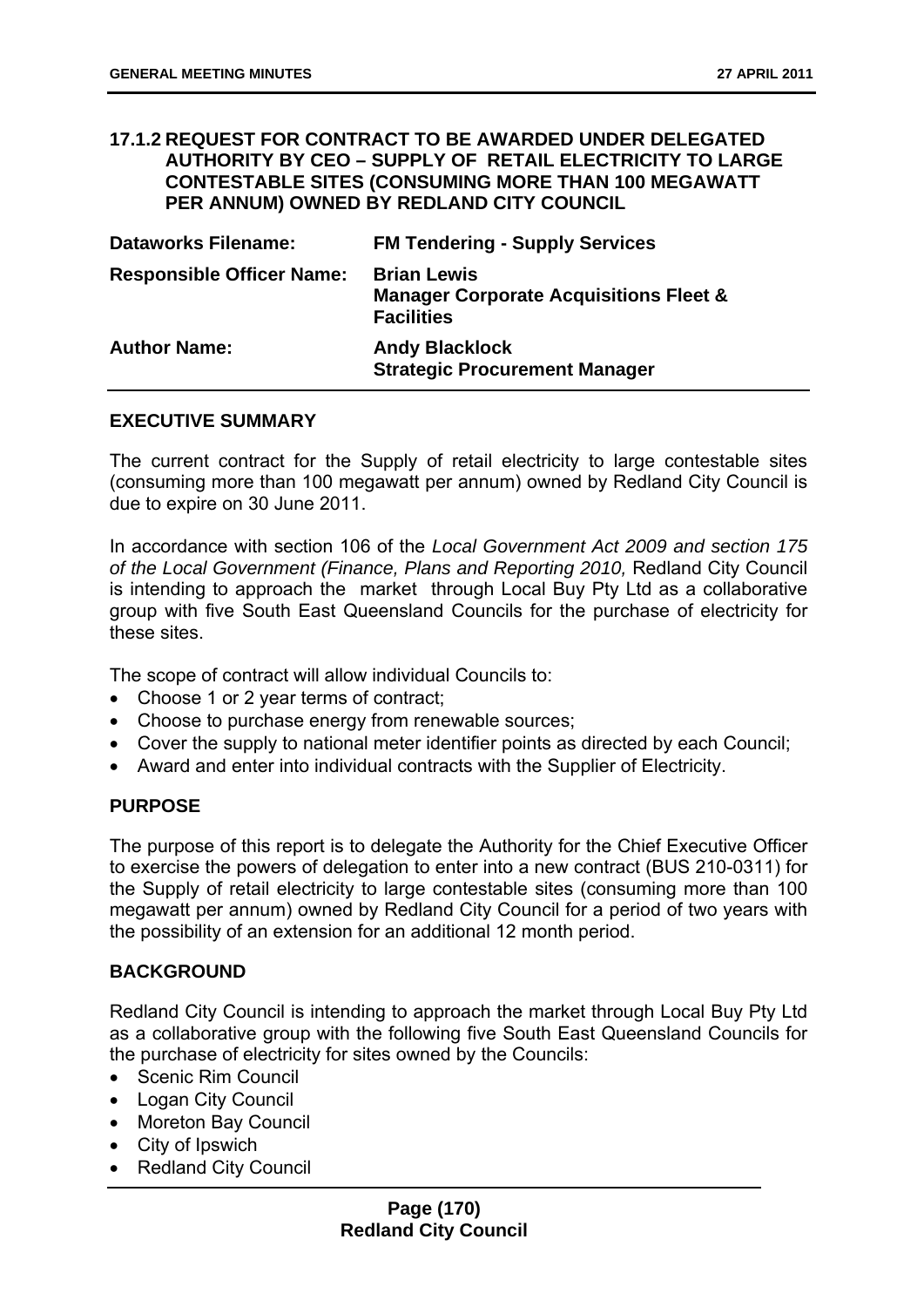#### **17.1.2 REQUEST FOR CONTRACT TO BE AWARDED UNDER DELEGATED AUTHORITY BY CEO – SUPPLY OF RETAIL ELECTRICITY TO LARGE CONTESTABLE SITES (CONSUMING MORE THAN 100 MEGAWATT PER ANNUM) OWNED BY REDLAND CITY COUNCIL**

| <b>Dataworks Filename:</b>       | <b>FM Tendering - Supply Services</b>                                                        |
|----------------------------------|----------------------------------------------------------------------------------------------|
| <b>Responsible Officer Name:</b> | <b>Brian Lewis</b><br><b>Manager Corporate Acquisitions Fleet &amp;</b><br><b>Facilities</b> |
| <b>Author Name:</b>              | <b>Andy Blacklock</b><br><b>Strategic Procurement Manager</b>                                |

#### **EXECUTIVE SUMMARY**

The current contract for the Supply of retail electricity to large contestable sites (consuming more than 100 megawatt per annum) owned by Redland City Council is due to expire on 30 June 2011.

In accordance with section 106 of the *Local Government Act 2009 and section 175 of the Local Government (Finance, Plans and Reporting 2010,* Redland City Council is intending to approach the market through Local Buy Pty Ltd as a collaborative group with five South East Queensland Councils for the purchase of electricity for these sites.

The scope of contract will allow individual Councils to:

- Choose 1 or 2 year terms of contract;
- Choose to purchase energy from renewable sources;
- Cover the supply to national meter identifier points as directed by each Council;
- Award and enter into individual contracts with the Supplier of Electricity.

#### **PURPOSE**

The purpose of this report is to delegate the Authority for the Chief Executive Officer to exercise the powers of delegation to enter into a new contract (BUS 210-0311) for the Supply of retail electricity to large contestable sites (consuming more than 100 megawatt per annum) owned by Redland City Council for a period of two years with the possibility of an extension for an additional 12 month period.

#### **BACKGROUND**

Redland City Council is intending to approach the market through Local Buy Pty Ltd as a collaborative group with the following five South East Queensland Councils for the purchase of electricity for sites owned by the Councils:

- Scenic Rim Council
- Logan City Council
- Moreton Bay Council
- City of Ipswich
- Redland City Council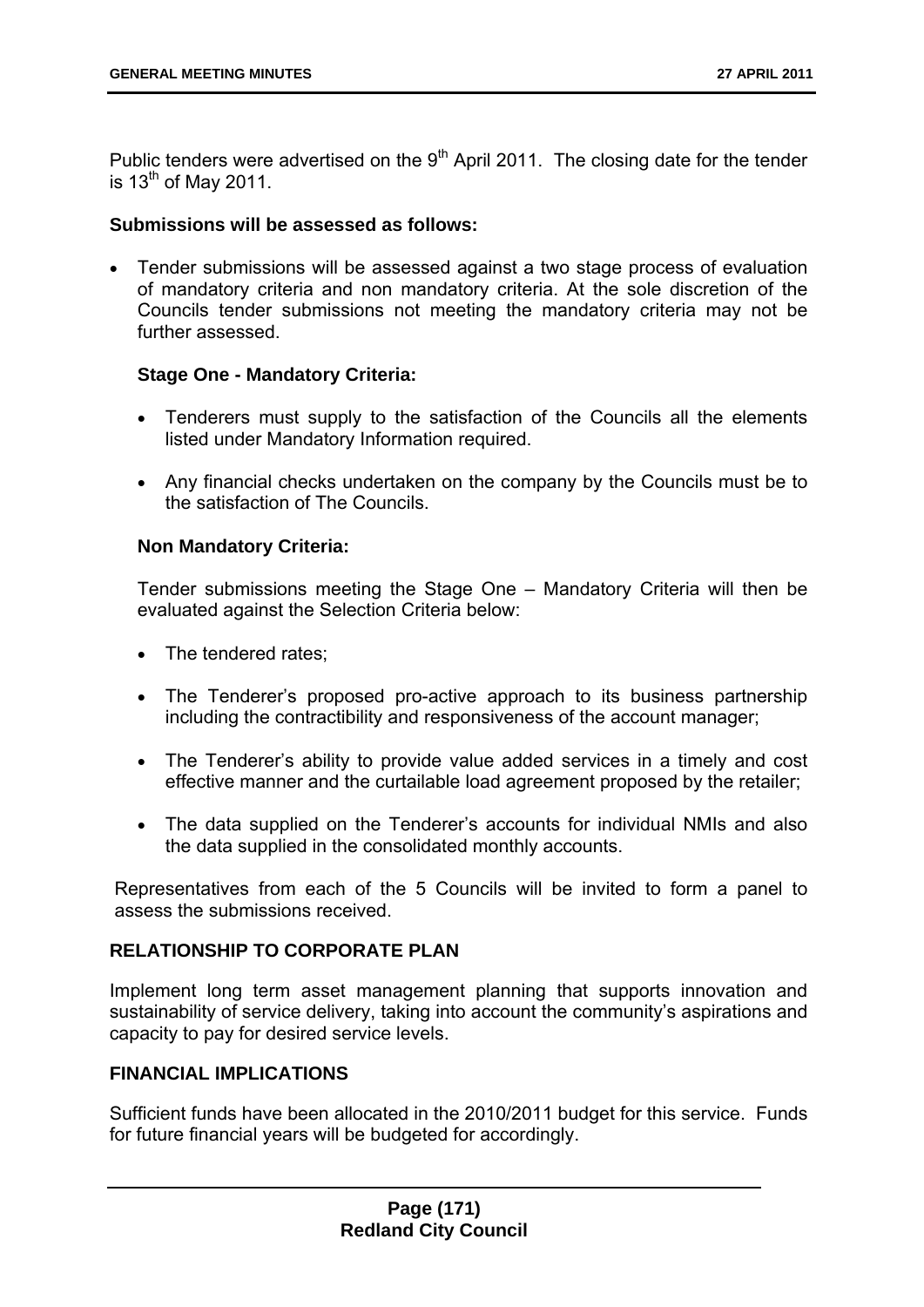Public tenders were advertised on the  $9<sup>th</sup>$  April 2011. The closing date for the tender is  $13^{th}$  of May 2011.

#### **Submissions will be assessed as follows:**

 Tender submissions will be assessed against a two stage process of evaluation of mandatory criteria and non mandatory criteria. At the sole discretion of the Councils tender submissions not meeting the mandatory criteria may not be further assessed.

#### **Stage One - Mandatory Criteria:**

- Tenderers must supply to the satisfaction of the Councils all the elements listed under Mandatory Information required.
- Any financial checks undertaken on the company by the Councils must be to the satisfaction of The Councils.

#### **Non Mandatory Criteria:**

Tender submissions meeting the Stage One – Mandatory Criteria will then be evaluated against the Selection Criteria below:

- The tendered rates;
- The Tenderer's proposed pro-active approach to its business partnership including the contractibility and responsiveness of the account manager;
- The Tenderer's ability to provide value added services in a timely and cost effective manner and the curtailable load agreement proposed by the retailer;
- The data supplied on the Tenderer's accounts for individual NMIs and also the data supplied in the consolidated monthly accounts.

Representatives from each of the 5 Councils will be invited to form a panel to assess the submissions received.

#### **RELATIONSHIP TO CORPORATE PLAN**

Implement long term asset management planning that supports innovation and sustainability of service delivery, taking into account the community's aspirations and capacity to pay for desired service levels.

### **FINANCIAL IMPLICATIONS**

Sufficient funds have been allocated in the 2010/2011 budget for this service. Funds for future financial years will be budgeted for accordingly.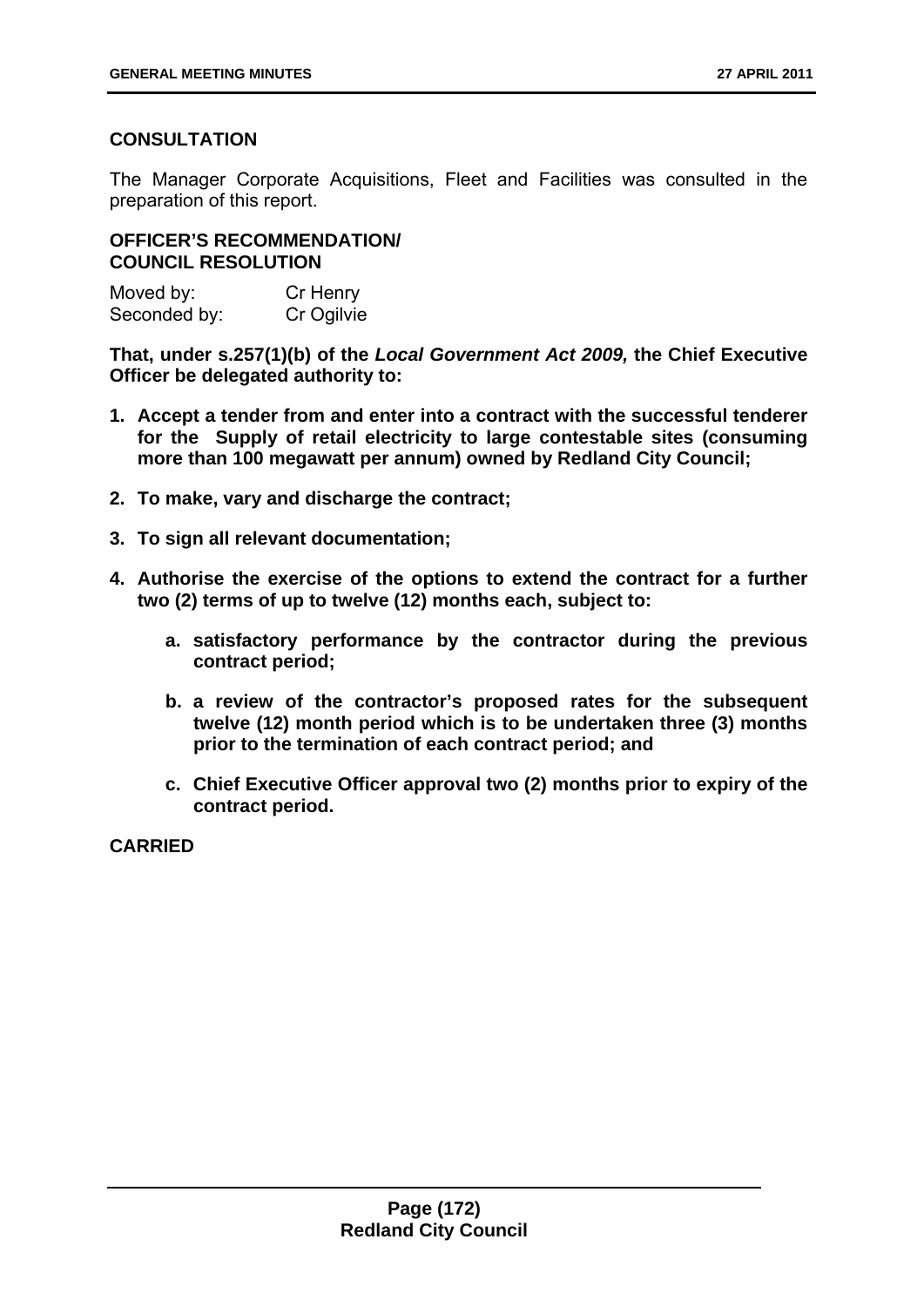# **CONSULTATION**

The Manager Corporate Acquisitions, Fleet and Facilities was consulted in the preparation of this report.

# **OFFICER'S RECOMMENDATION/ COUNCIL RESOLUTION**

Moved by: Cr Henry Seconded by: Cr Ogilvie

**That, under s.257(1)(b) of the** *Local Government Act 2009,* **the Chief Executive Officer be delegated authority to:** 

- **1. Accept a tender from and enter into a contract with the successful tenderer for the Supply of retail electricity to large contestable sites (consuming more than 100 megawatt per annum) owned by Redland City Council;**
- **2. To make, vary and discharge the contract;**
- **3. To sign all relevant documentation;**
- **4. Authorise the exercise of the options to extend the contract for a further two (2) terms of up to twelve (12) months each, subject to:** 
	- **a. satisfactory performance by the contractor during the previous contract period;**
	- **b. a review of the contractor's proposed rates for the subsequent twelve (12) month period which is to be undertaken three (3) months prior to the termination of each contract period; and**
	- **c. Chief Executive Officer approval two (2) months prior to expiry of the contract period.**

**CARRIED**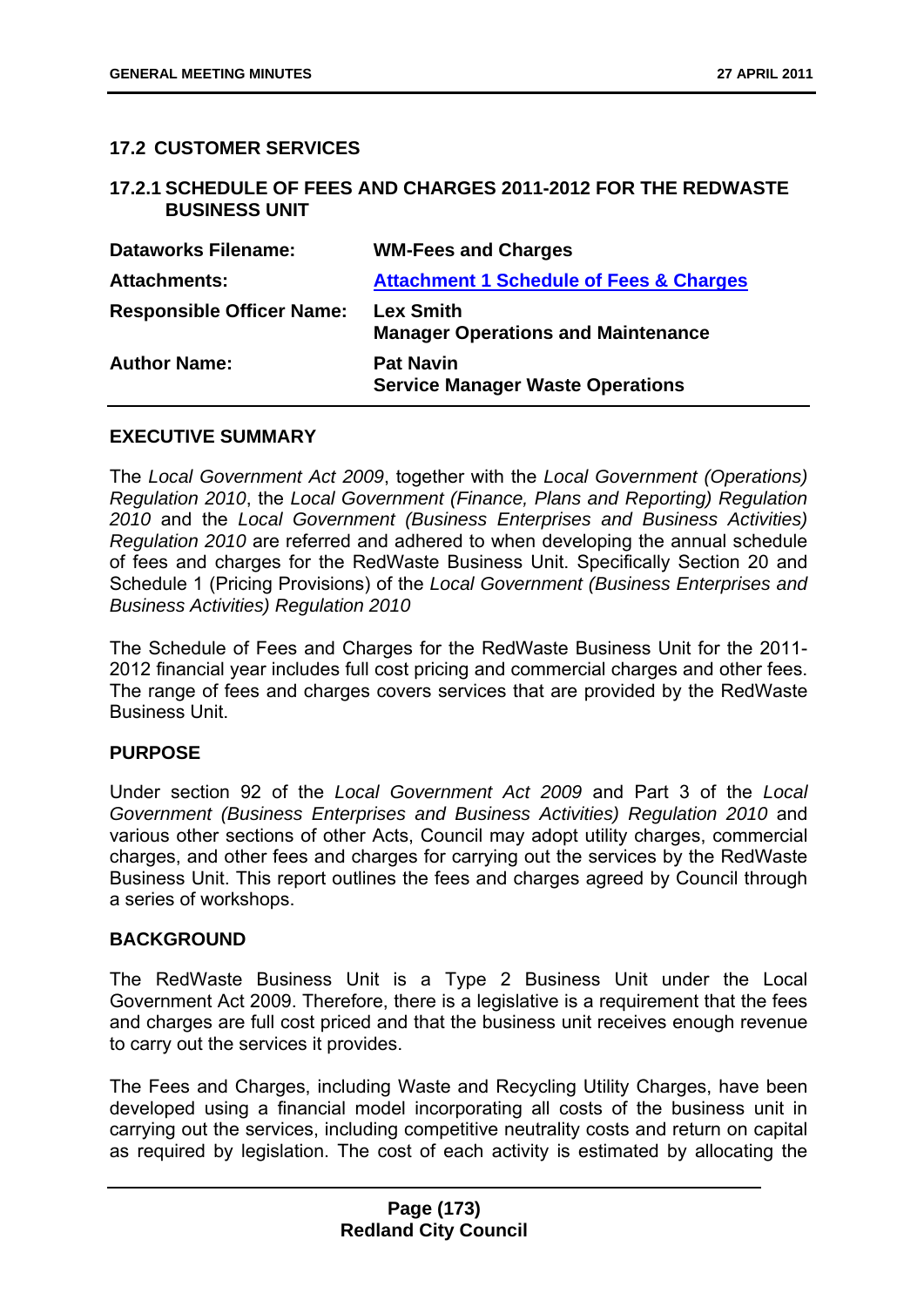### **17.2 CUSTOMER SERVICES**

#### **17.2.1 SCHEDULE OF FEES AND CHARGES 2011-2012 FOR THE REDWASTE BUSINESS UNIT**

| <b>Dataworks Filename:</b>       | <b>WM-Fees and Charges</b>                                    |
|----------------------------------|---------------------------------------------------------------|
| <b>Attachments:</b>              | <b>Attachment 1 Schedule of Fees &amp; Charges</b>            |
| <b>Responsible Officer Name:</b> | <b>Lex Smith</b><br><b>Manager Operations and Maintenance</b> |
| <b>Author Name:</b>              | <b>Pat Navin</b><br><b>Service Manager Waste Operations</b>   |

#### **EXECUTIVE SUMMARY**

The *Local Government Act 2009*, together with the *Local Government (Operations) Regulation 2010*, the *Local Government (Finance, Plans and Reporting) Regulation 2010* and the *Local Government (Business Enterprises and Business Activities) Regulation 2010* are referred and adhered to when developing the annual schedule of fees and charges for the RedWaste Business Unit. Specifically Section 20 and Schedule 1 (Pricing Provisions) of the *Local Government (Business Enterprises and Business Activities) Regulation 2010*

The Schedule of Fees and Charges for the RedWaste Business Unit for the 2011- 2012 financial year includes full cost pricing and commercial charges and other fees. The range of fees and charges covers services that are provided by the RedWaste Business Unit.

#### **PURPOSE**

Under section 92 of the *Local Government Act 2009* and Part 3 of the *Local Government (Business Enterprises and Business Activities) Regulation 2010* and various other sections of other Acts, Council may adopt utility charges, commercial charges, and other fees and charges for carrying out the services by the RedWaste Business Unit. This report outlines the fees and charges agreed by Council through a series of workshops.

#### **BACKGROUND**

The RedWaste Business Unit is a Type 2 Business Unit under the Local Government Act 2009. Therefore, there is a legislative is a requirement that the fees and charges are full cost priced and that the business unit receives enough revenue to carry out the services it provides.

The Fees and Charges, including Waste and Recycling Utility Charges, have been developed using a financial model incorporating all costs of the business unit in carrying out the services, including competitive neutrality costs and return on capital as required by legislation. The cost of each activity is estimated by allocating the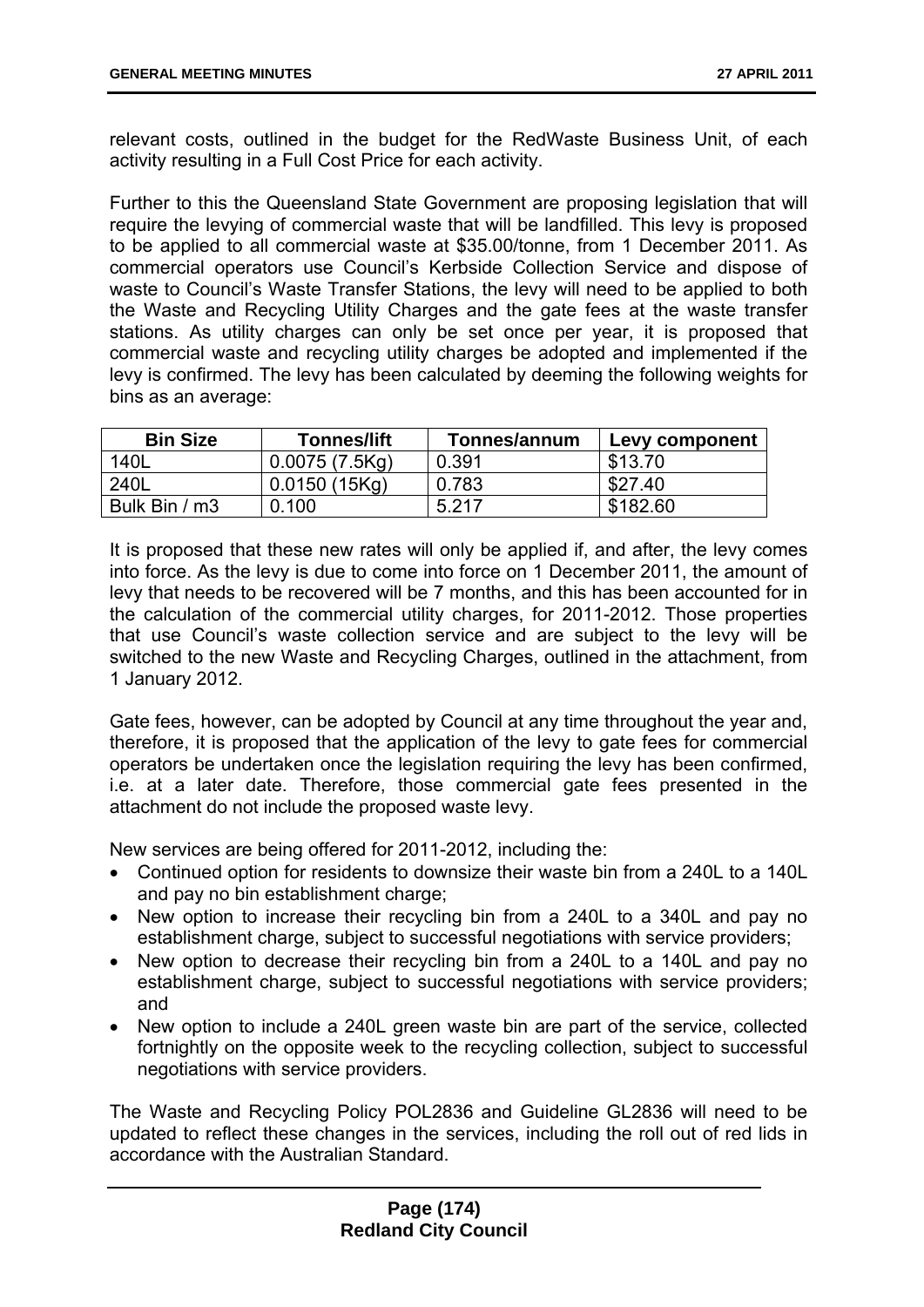relevant costs, outlined in the budget for the RedWaste Business Unit, of each activity resulting in a Full Cost Price for each activity.

Further to this the Queensland State Government are proposing legislation that will require the levying of commercial waste that will be landfilled. This levy is proposed to be applied to all commercial waste at \$35.00/tonne, from 1 December 2011. As commercial operators use Council's Kerbside Collection Service and dispose of waste to Council's Waste Transfer Stations, the levy will need to be applied to both the Waste and Recycling Utility Charges and the gate fees at the waste transfer stations. As utility charges can only be set once per year, it is proposed that commercial waste and recycling utility charges be adopted and implemented if the levy is confirmed. The levy has been calculated by deeming the following weights for bins as an average:

| <b>Bin Size</b> | <b>Tonnes/lift</b> | Tonnes/annum | Levy component |
|-----------------|--------------------|--------------|----------------|
| 140L            | 0.0075(7.5Kq)      | 0.391        | \$13.70        |
| 240L            | 0.0150(15Kq)       | 0.783        | \$27.40        |
| Bulk Bin / m3   | 0.100              | 5.217        | \$182.60       |

It is proposed that these new rates will only be applied if, and after, the levy comes into force. As the levy is due to come into force on 1 December 2011, the amount of levy that needs to be recovered will be 7 months, and this has been accounted for in the calculation of the commercial utility charges, for 2011-2012. Those properties that use Council's waste collection service and are subject to the levy will be switched to the new Waste and Recycling Charges, outlined in the attachment, from 1 January 2012.

Gate fees, however, can be adopted by Council at any time throughout the year and, therefore, it is proposed that the application of the levy to gate fees for commercial operators be undertaken once the legislation requiring the levy has been confirmed, i.e. at a later date. Therefore, those commercial gate fees presented in the attachment do not include the proposed waste levy.

New services are being offered for 2011-2012, including the:

- Continued option for residents to downsize their waste bin from a 240L to a 140L and pay no bin establishment charge;
- New option to increase their recycling bin from a 240L to a 340L and pay no establishment charge, subject to successful negotiations with service providers;
- New option to decrease their recycling bin from a 240L to a 140L and pay no establishment charge, subject to successful negotiations with service providers; and
- New option to include a 240L green waste bin are part of the service, collected fortnightly on the opposite week to the recycling collection, subject to successful negotiations with service providers.

The Waste and Recycling Policy POL2836 and Guideline GL2836 will need to be updated to reflect these changes in the services, including the roll out of red lids in accordance with the Australian Standard.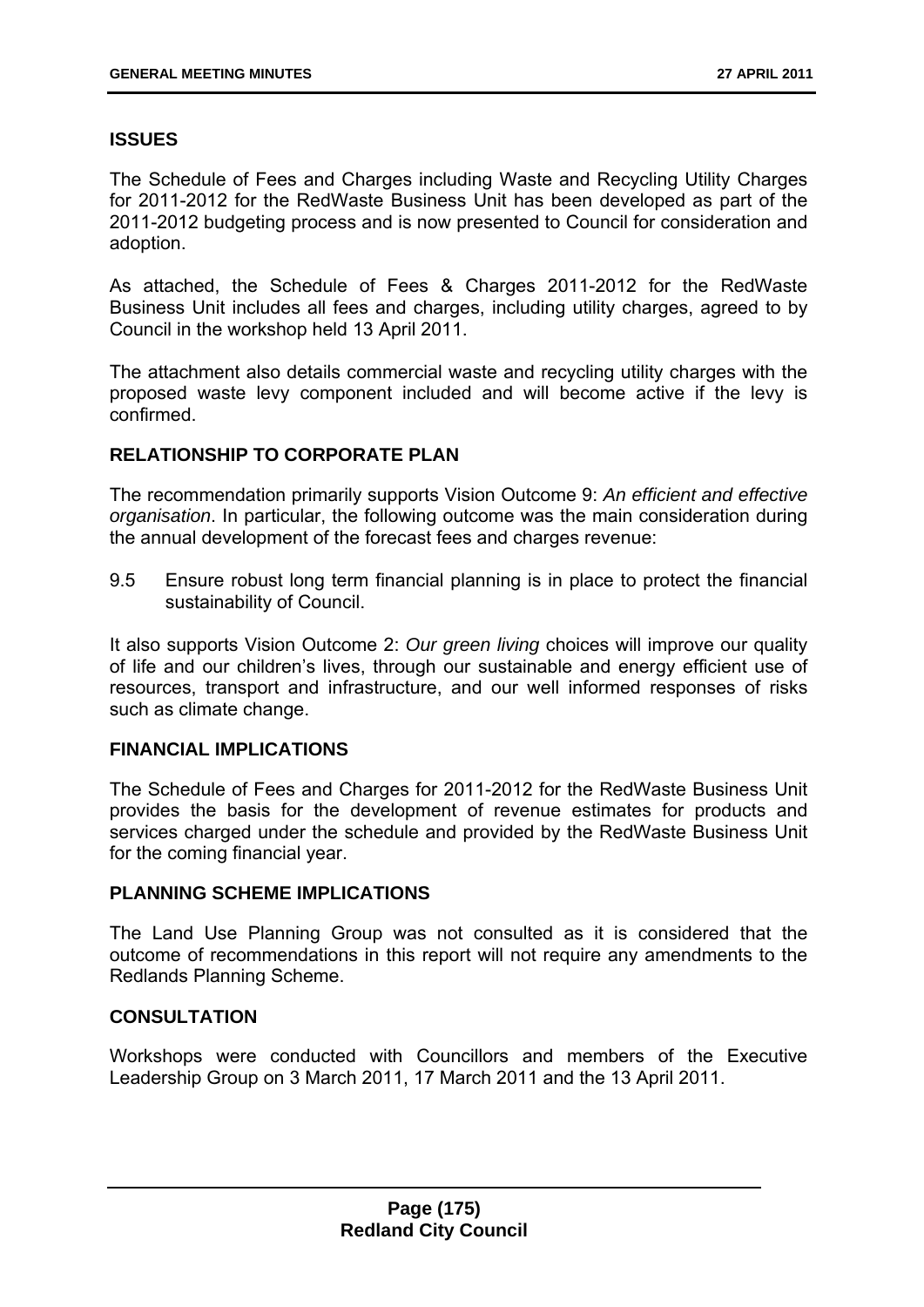# **ISSUES**

The Schedule of Fees and Charges including Waste and Recycling Utility Charges for 2011-2012 for the RedWaste Business Unit has been developed as part of the 2011-2012 budgeting process and is now presented to Council for consideration and adoption.

As attached, the Schedule of Fees & Charges 2011-2012 for the RedWaste Business Unit includes all fees and charges, including utility charges, agreed to by Council in the workshop held 13 April 2011.

The attachment also details commercial waste and recycling utility charges with the proposed waste levy component included and will become active if the levy is confirmed.

# **RELATIONSHIP TO CORPORATE PLAN**

The recommendation primarily supports Vision Outcome 9: *An efficient and effective organisation*. In particular, the following outcome was the main consideration during the annual development of the forecast fees and charges revenue:

9.5 Ensure robust long term financial planning is in place to protect the financial sustainability of Council.

It also supports Vision Outcome 2: *Our green living* choices will improve our quality of life and our children's lives, through our sustainable and energy efficient use of resources, transport and infrastructure, and our well informed responses of risks such as climate change.

#### **FINANCIAL IMPLICATIONS**

The Schedule of Fees and Charges for 2011-2012 for the RedWaste Business Unit provides the basis for the development of revenue estimates for products and services charged under the schedule and provided by the RedWaste Business Unit for the coming financial year.

### **PLANNING SCHEME IMPLICATIONS**

The Land Use Planning Group was not consulted as it is considered that the outcome of recommendations in this report will not require any amendments to the Redlands Planning Scheme.

# **CONSULTATION**

Workshops were conducted with Councillors and members of the Executive Leadership Group on 3 March 2011, 17 March 2011 and the 13 April 2011.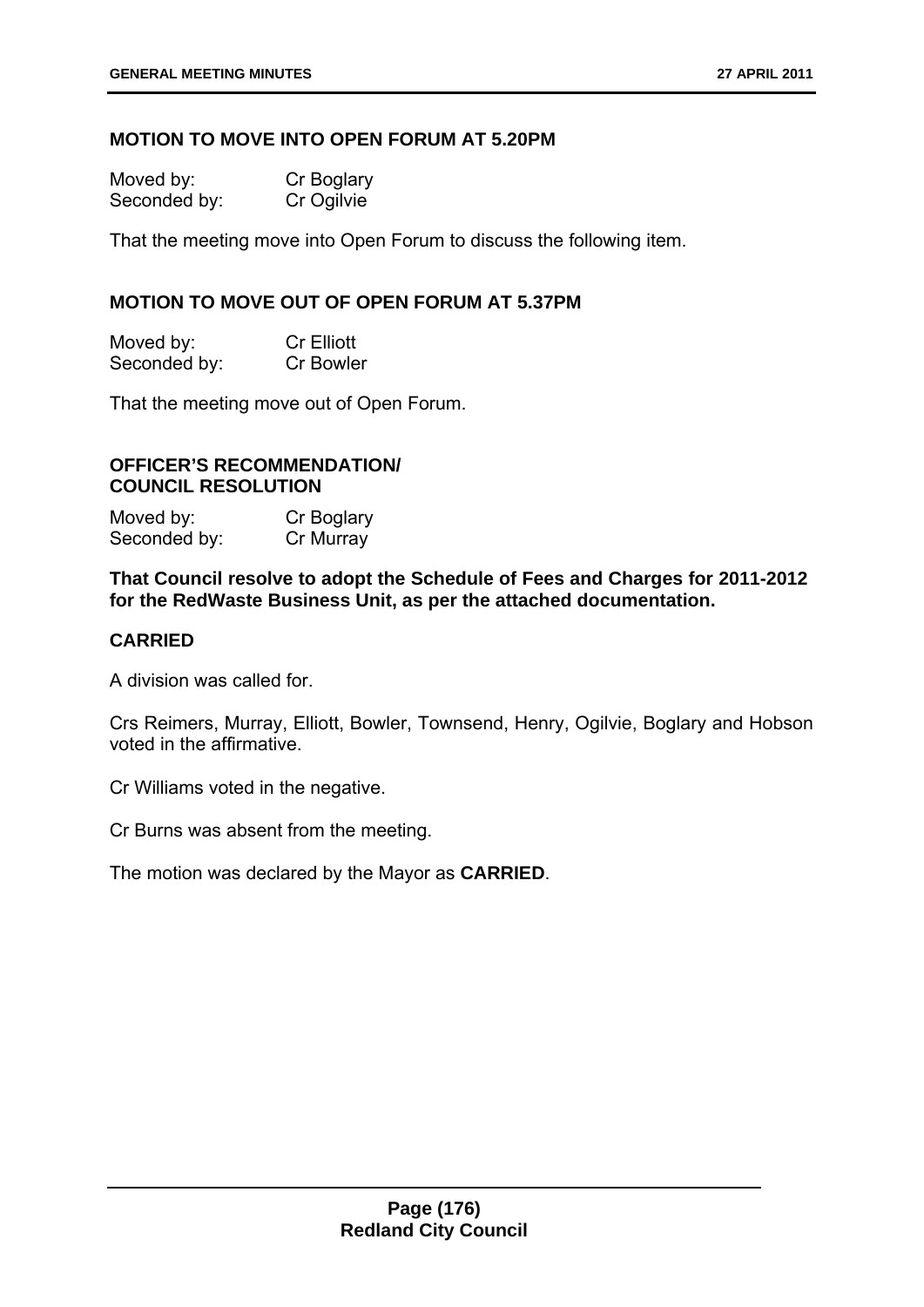#### **MOTION TO MOVE INTO OPEN FORUM AT 5.20PM**

| Moved by:    | Cr Boglary |
|--------------|------------|
| Seconded by: | Cr Ogilvie |

That the meeting move into Open Forum to discuss the following item.

### **MOTION TO MOVE OUT OF OPEN FORUM AT 5.37PM**

| Moved by:    | <b>Cr Elliott</b> |
|--------------|-------------------|
| Seconded by: | <b>Cr Bowler</b>  |

That the meeting move out of Open Forum.

#### **OFFICER'S RECOMMENDATION/ COUNCIL RESOLUTION**

| Moved by:    | Cr Boglary |
|--------------|------------|
| Seconded by: | Cr Murray  |

**That Council resolve to adopt the Schedule of Fees and Charges for 2011-2012 for the RedWaste Business Unit, as per the attached documentation.** 

#### **CARRIED**

A division was called for.

Crs Reimers, Murray, Elliott, Bowler, Townsend, Henry, Ogilvie, Boglary and Hobson voted in the affirmative.

Cr Williams voted in the negative.

Cr Burns was absent from the meeting.

The motion was declared by the Mayor as **CARRIED**.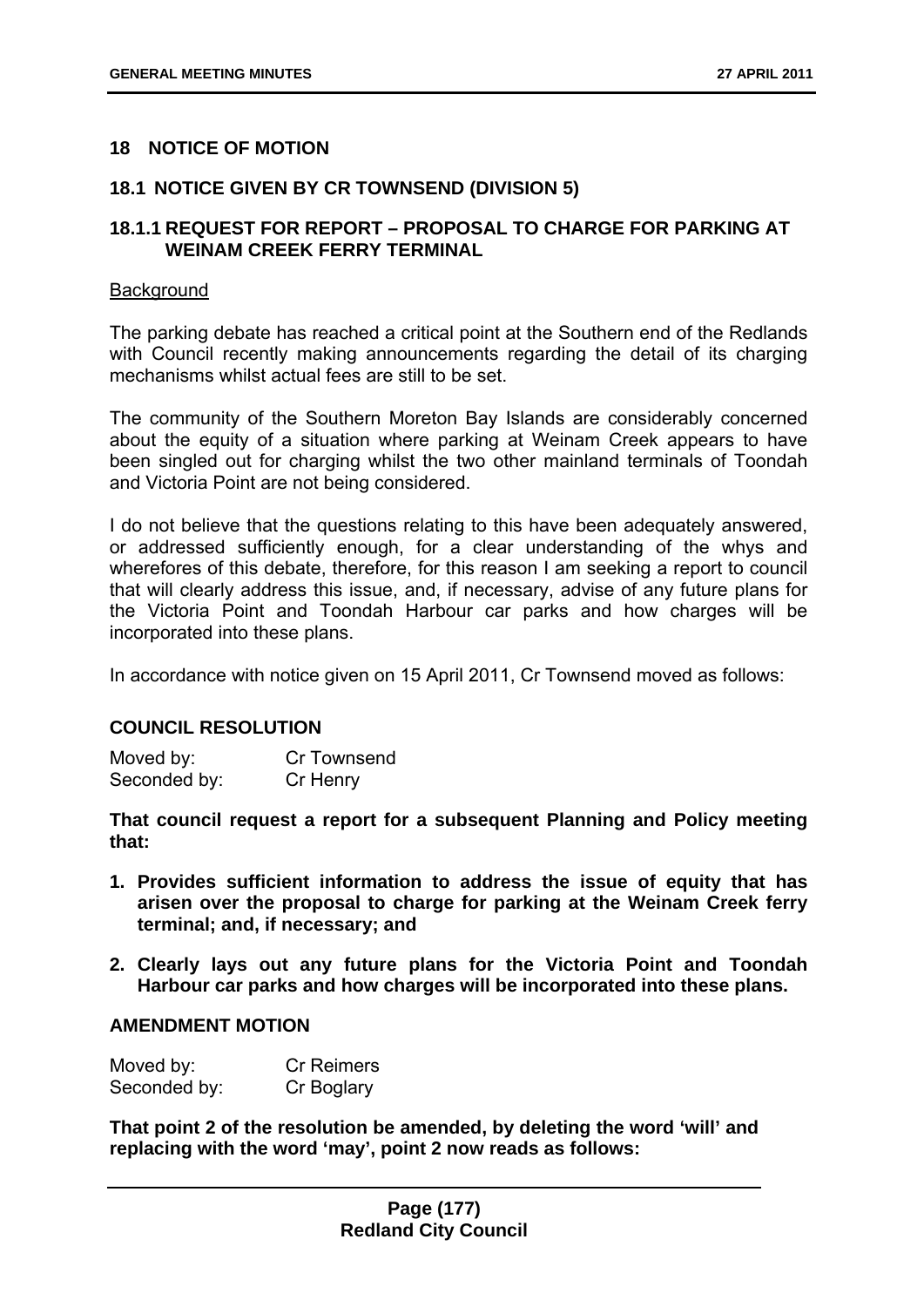# **18 NOTICE OF MOTION**

### **18.1 NOTICE GIVEN BY CR TOWNSEND (DIVISION 5)**

# **18.1.1 REQUEST FOR REPORT – PROPOSAL TO CHARGE FOR PARKING AT WEINAM CREEK FERRY TERMINAL**

#### **Background**

The parking debate has reached a critical point at the Southern end of the Redlands with Council recently making announcements regarding the detail of its charging mechanisms whilst actual fees are still to be set.

The community of the Southern Moreton Bay Islands are considerably concerned about the equity of a situation where parking at Weinam Creek appears to have been singled out for charging whilst the two other mainland terminals of Toondah and Victoria Point are not being considered.

I do not believe that the questions relating to this have been adequately answered, or addressed sufficiently enough, for a clear understanding of the whys and wherefores of this debate, therefore, for this reason I am seeking a report to council that will clearly address this issue, and, if necessary, advise of any future plans for the Victoria Point and Toondah Harbour car parks and how charges will be incorporated into these plans.

In accordance with notice given on 15 April 2011, Cr Townsend moved as follows:

#### **COUNCIL RESOLUTION**

| Moved by:    | Cr Townsend |
|--------------|-------------|
| Seconded by: | Cr Henry    |

**That council request a report for a subsequent Planning and Policy meeting that:** 

- **1. Provides sufficient information to address the issue of equity that has arisen over the proposal to charge for parking at the Weinam Creek ferry terminal; and, if necessary; and**
- **2. Clearly lays out any future plans for the Victoria Point and Toondah Harbour car parks and how charges will be incorporated into these plans.**

#### **AMENDMENT MOTION**

| Moved by:    | Cr Reimers |
|--------------|------------|
| Seconded by: | Cr Boglary |

**That point 2 of the resolution be amended, by deleting the word 'will' and replacing with the word 'may', point 2 now reads as follows:**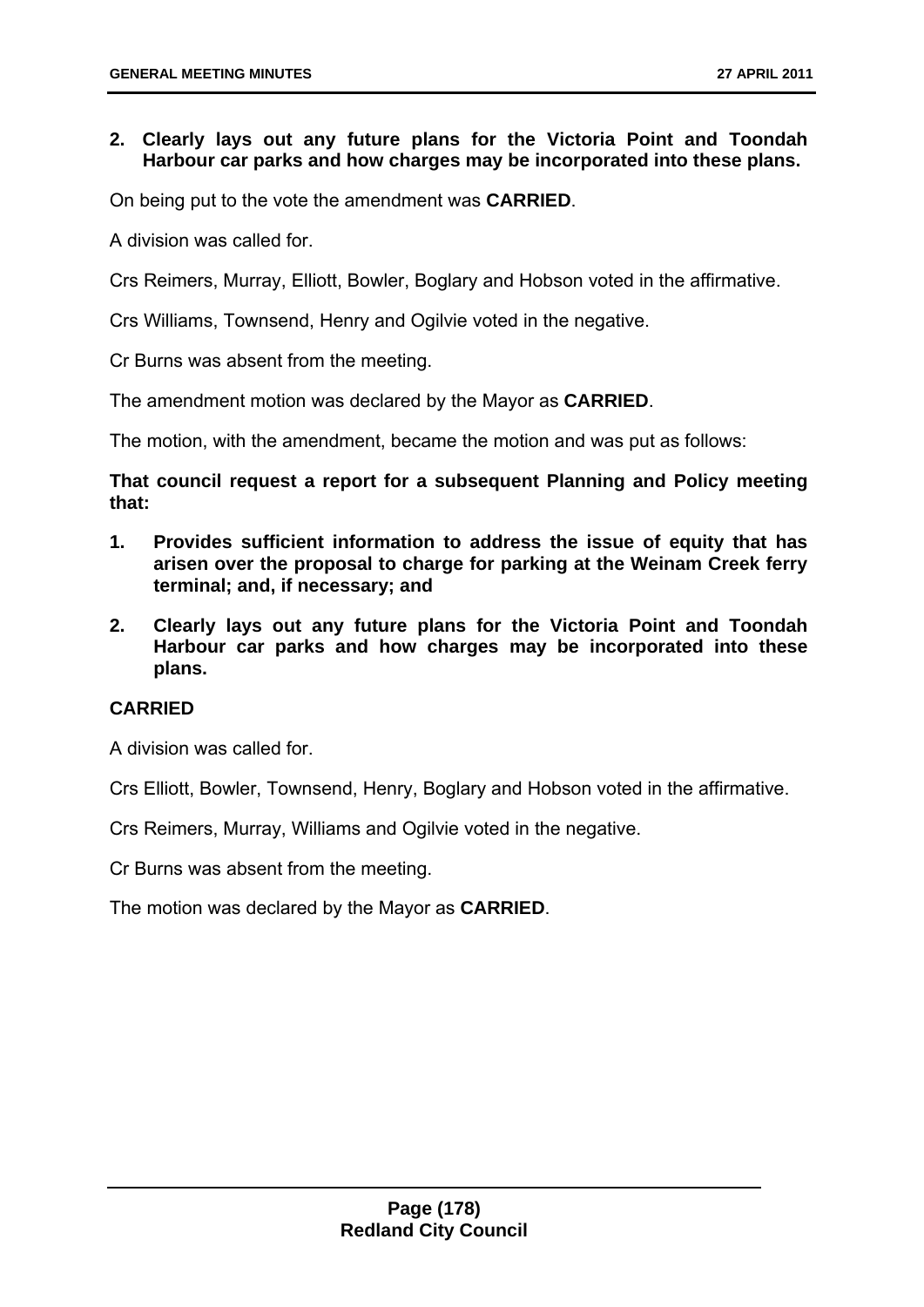# **2. Clearly lays out any future plans for the Victoria Point and Toondah Harbour car parks and how charges may be incorporated into these plans.**

On being put to the vote the amendment was **CARRIED**.

A division was called for.

Crs Reimers, Murray, Elliott, Bowler, Boglary and Hobson voted in the affirmative.

Crs Williams, Townsend, Henry and Ogilvie voted in the negative.

Cr Burns was absent from the meeting.

The amendment motion was declared by the Mayor as **CARRIED**.

The motion, with the amendment, became the motion and was put as follows:

**That council request a report for a subsequent Planning and Policy meeting that:** 

- **1. Provides sufficient information to address the issue of equity that has arisen over the proposal to charge for parking at the Weinam Creek ferry terminal; and, if necessary; and**
- **2. Clearly lays out any future plans for the Victoria Point and Toondah Harbour car parks and how charges may be incorporated into these plans.**

### **CARRIED**

A division was called for.

Crs Elliott, Bowler, Townsend, Henry, Boglary and Hobson voted in the affirmative.

Crs Reimers, Murray, Williams and Ogilvie voted in the negative.

Cr Burns was absent from the meeting.

The motion was declared by the Mayor as **CARRIED**.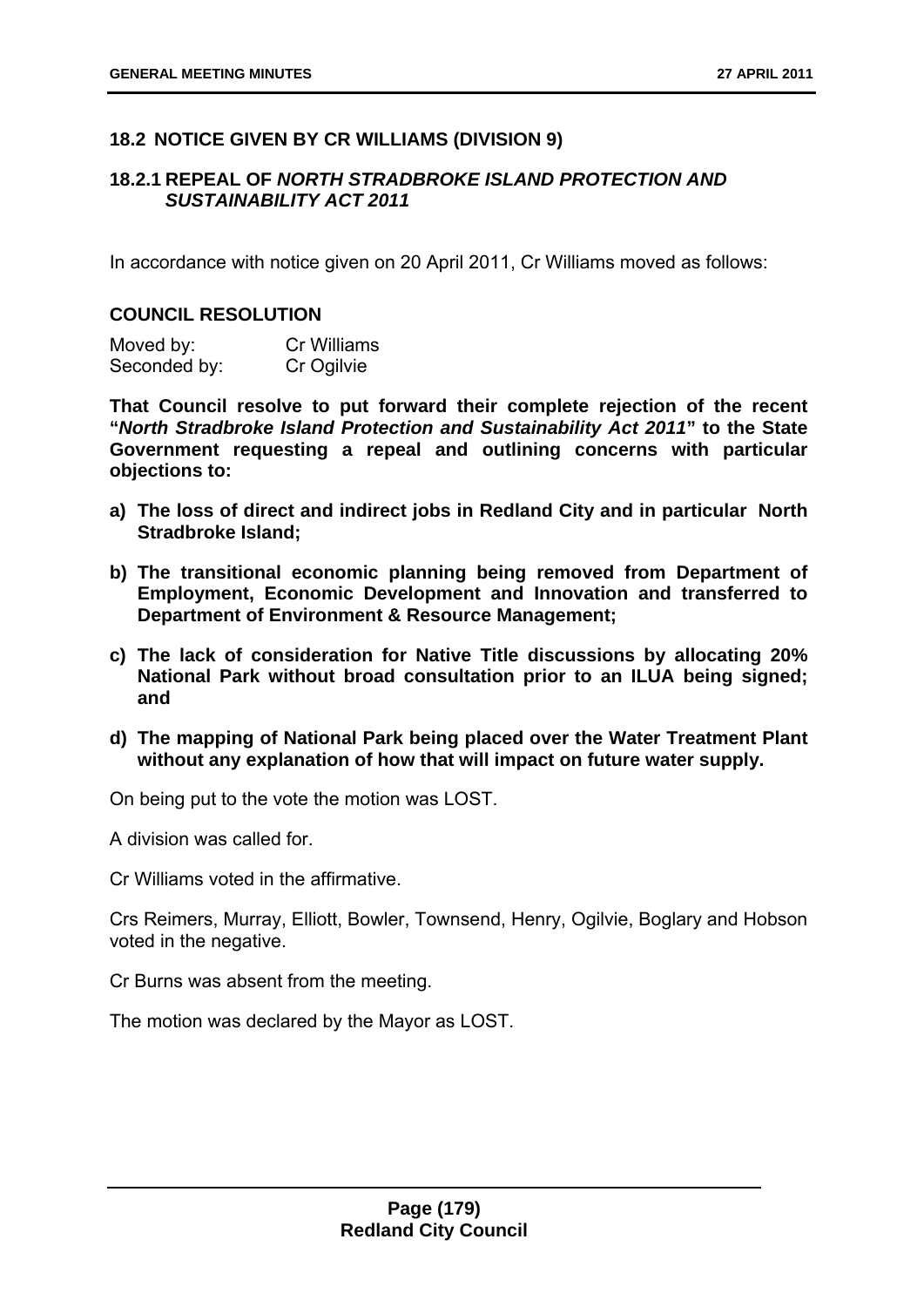# **18.2 NOTICE GIVEN BY CR WILLIAMS (DIVISION 9)**

### **18.2.1 REPEAL OF** *NORTH STRADBROKE ISLAND PROTECTION AND SUSTAINABILITY ACT 2011*

In accordance with notice given on 20 April 2011, Cr Williams moved as follows:

#### **COUNCIL RESOLUTION**

| Moved by:    | <b>Cr Williams</b> |
|--------------|--------------------|
| Seconded by: | Cr Ogilvie         |

**That Council resolve to put forward their complete rejection of the recent "***North Stradbroke Island Protection and Sustainability Act 2011***" to the State Government requesting a repeal and outlining concerns with particular objections to:** 

- **a) The loss of direct and indirect jobs in Redland City and in particular North Stradbroke Island;**
- **b) The transitional economic planning being removed from Department of Employment, Economic Development and Innovation and transferred to Department of Environment & Resource Management;**
- **c) The lack of consideration for Native Title discussions by allocating 20% National Park without broad consultation prior to an ILUA being signed; and**
- **d) The mapping of National Park being placed over the Water Treatment Plant without any explanation of how that will impact on future water supply.**

On being put to the vote the motion was LOST.

A division was called for.

Cr Williams voted in the affirmative.

Crs Reimers, Murray, Elliott, Bowler, Townsend, Henry, Ogilvie, Boglary and Hobson voted in the negative.

Cr Burns was absent from the meeting.

The motion was declared by the Mayor as LOST.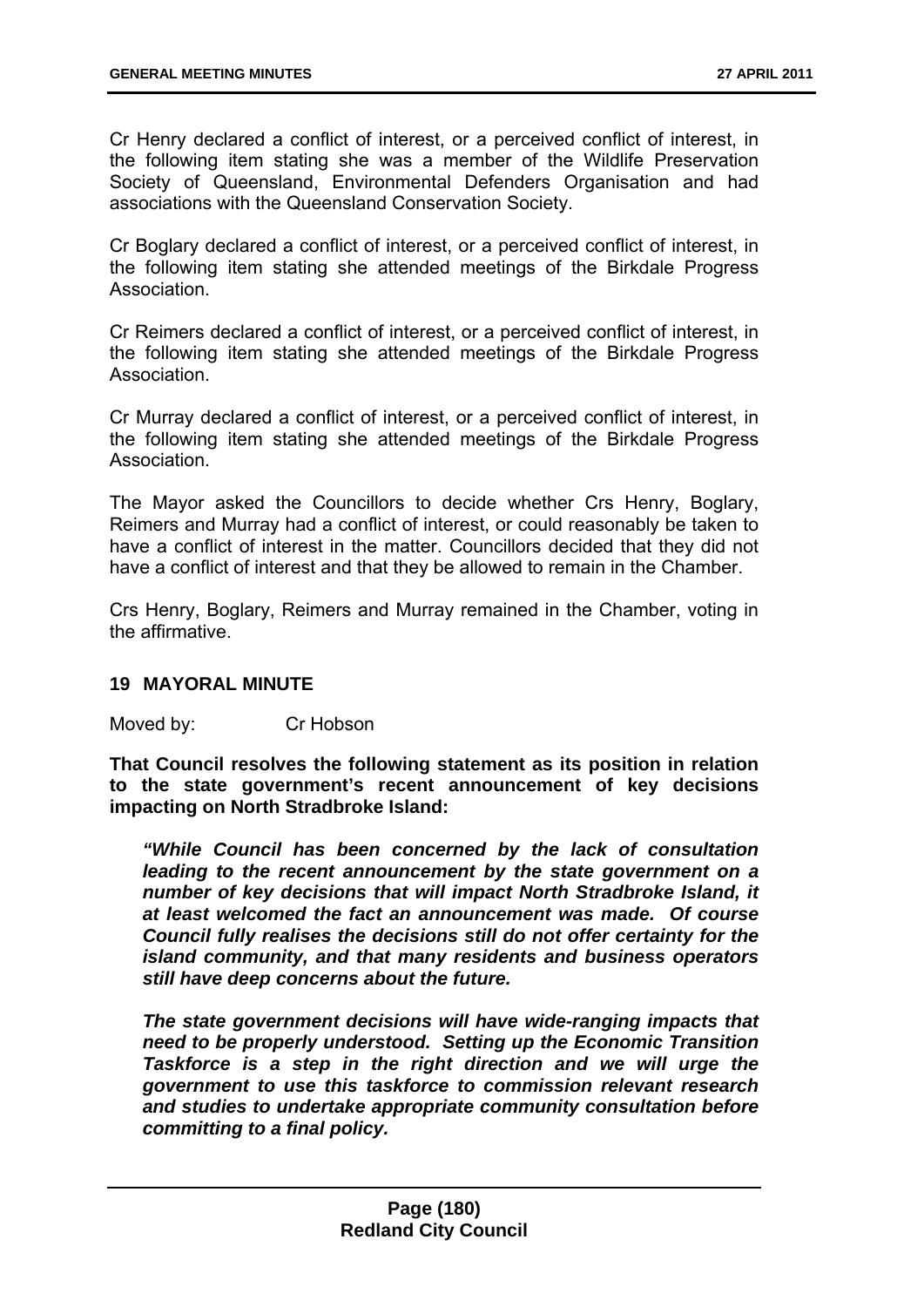Cr Henry declared a conflict of interest, or a perceived conflict of interest, in the following item stating she was a member of the Wildlife Preservation Society of Queensland, Environmental Defenders Organisation and had associations with the Queensland Conservation Society.

Cr Boglary declared a conflict of interest, or a perceived conflict of interest, in the following item stating she attended meetings of the Birkdale Progress **Association** 

Cr Reimers declared a conflict of interest, or a perceived conflict of interest, in the following item stating she attended meetings of the Birkdale Progress Association.

Cr Murray declared a conflict of interest, or a perceived conflict of interest, in the following item stating she attended meetings of the Birkdale Progress Association.

The Mayor asked the Councillors to decide whether Crs Henry, Boglary, Reimers and Murray had a conflict of interest, or could reasonably be taken to have a conflict of interest in the matter. Councillors decided that they did not have a conflict of interest and that they be allowed to remain in the Chamber.

Crs Henry, Boglary, Reimers and Murray remained in the Chamber, voting in the affirmative.

### **19 MAYORAL MINUTE**

Moved by: Cr Hobson

**That Council resolves the following statement as its position in relation to the state government's recent announcement of key decisions impacting on North Stradbroke Island:** 

*"While Council has been concerned by the lack of consultation leading to the recent announcement by the state government on a number of key decisions that will impact North Stradbroke Island, it at least welcomed the fact an announcement was made. Of course Council fully realises the decisions still do not offer certainty for the island community, and that many residents and business operators still have deep concerns about the future.* 

*The state government decisions will have wide-ranging impacts that need to be properly understood. Setting up the Economic Transition Taskforce is a step in the right direction and we will urge the government to use this taskforce to commission relevant research and studies to undertake appropriate community consultation before committing to a final policy.*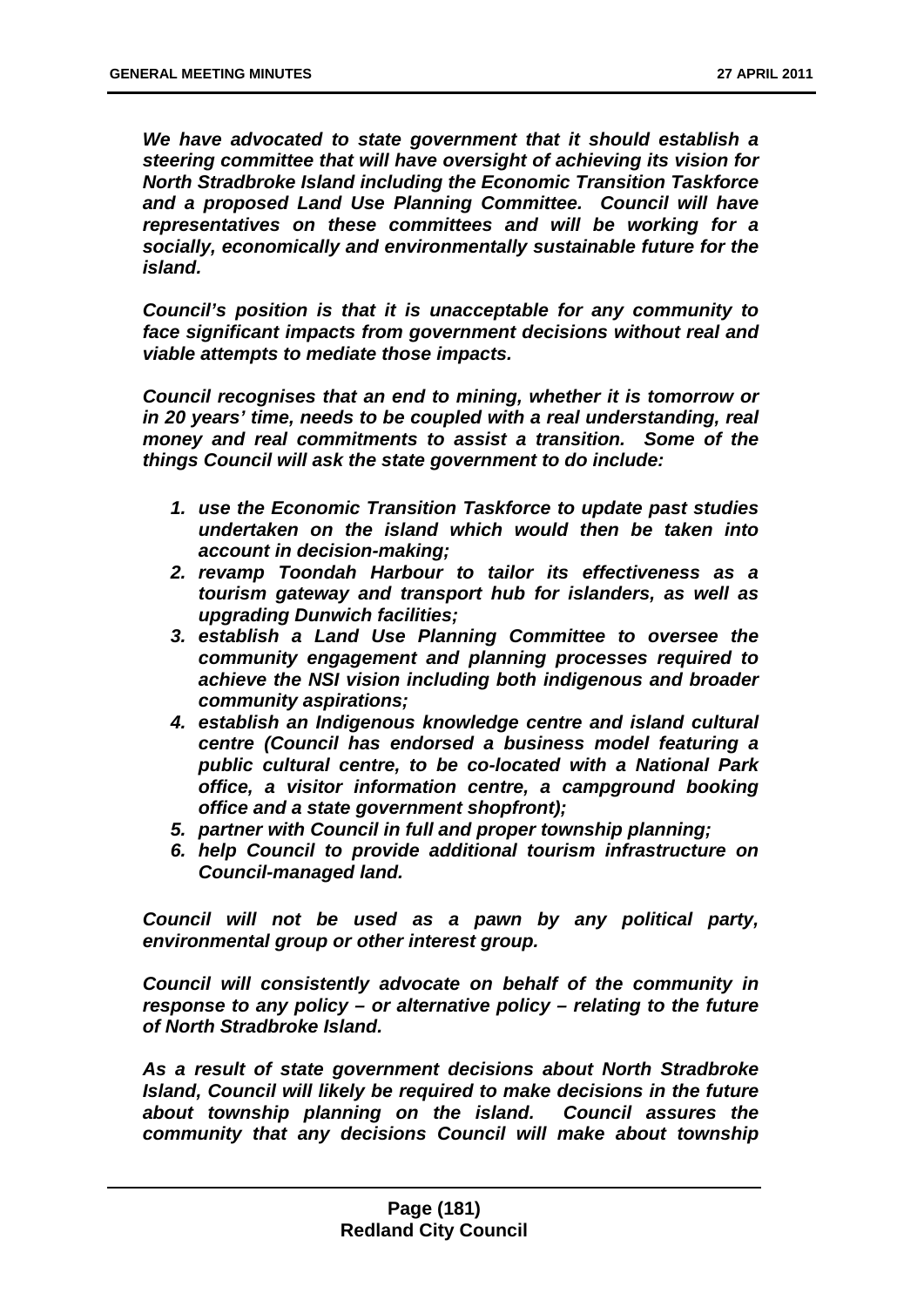*We have advocated to state government that it should establish a steering committee that will have oversight of achieving its vision for North Stradbroke Island including the Economic Transition Taskforce and a proposed Land Use Planning Committee. Council will have representatives on these committees and will be working for a socially, economically and environmentally sustainable future for the island.* 

*Council's position is that it is unacceptable for any community to face significant impacts from government decisions without real and viable attempts to mediate those impacts.* 

*Council recognises that an end to mining, whether it is tomorrow or in 20 years' time, needs to be coupled with a real understanding, real money and real commitments to assist a transition. Some of the things Council will ask the state government to do include:* 

- *1. use the Economic Transition Taskforce to update past studies undertaken on the island which would then be taken into account in decision-making;*
- *2. revamp Toondah Harbour to tailor its effectiveness as a tourism gateway and transport hub for islanders, as well as upgrading Dunwich facilities;*
- *3. establish a Land Use Planning Committee to oversee the community engagement and planning processes required to achieve the NSI vision including both indigenous and broader community aspirations;*
- *4. establish an Indigenous knowledge centre and island cultural centre (Council has endorsed a business model featuring a public cultural centre, to be co-located with a National Park office, a visitor information centre, a campground booking office and a state government shopfront);*
- *5. partner with Council in full and proper township planning;*
- *6. help Council to provide additional tourism infrastructure on Council-managed land.*

*Council will not be used as a pawn by any political party, environmental group or other interest group.* 

*Council will consistently advocate on behalf of the community in response to any policy – or alternative policy – relating to the future of North Stradbroke Island.* 

*As a result of state government decisions about North Stradbroke Island, Council will likely be required to make decisions in the future about township planning on the island. Council assures the community that any decisions Council will make about township*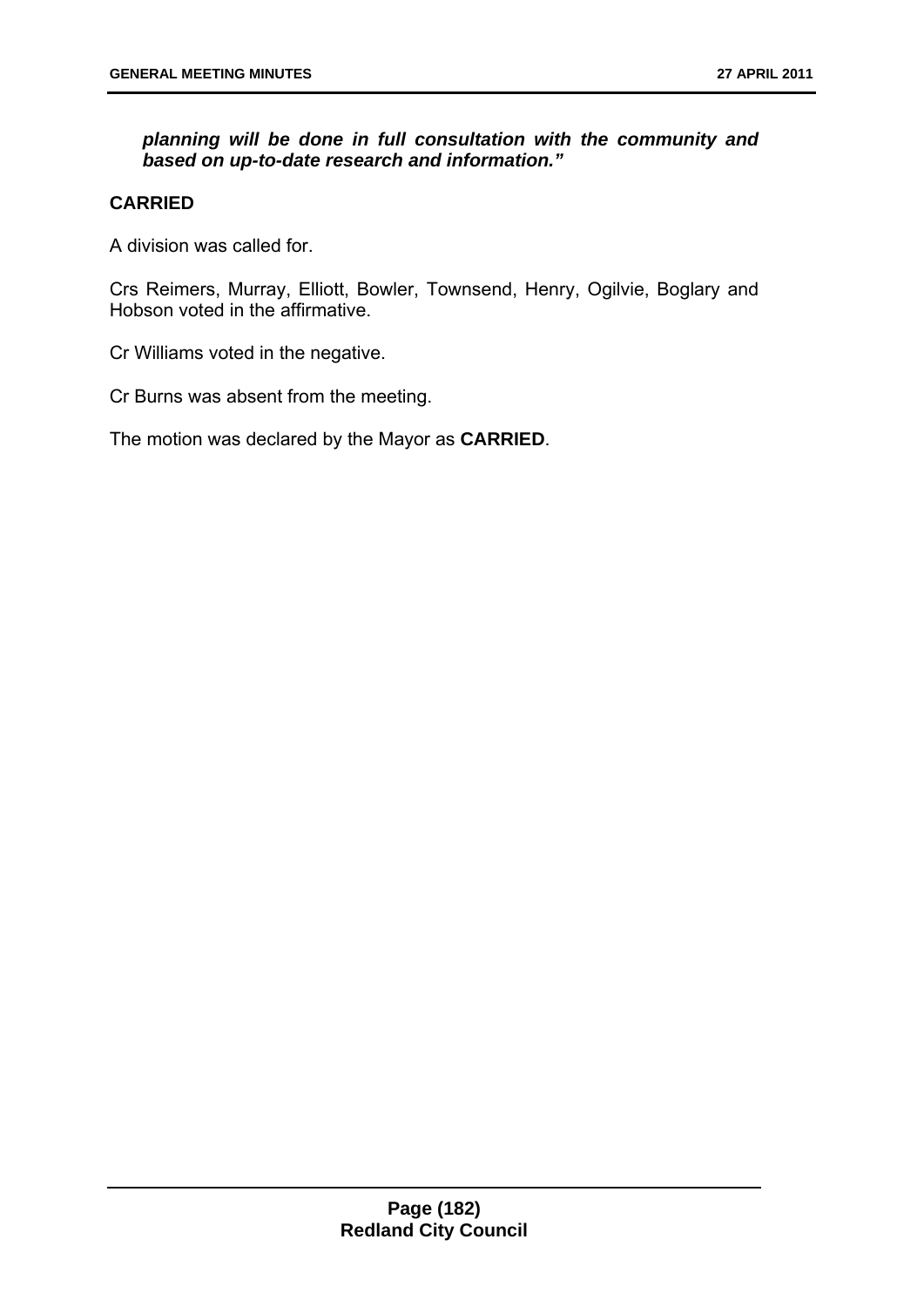# *planning will be done in full consultation with the community and based on up-to-date research and information."*

## **CARRIED**

A division was called for.

Crs Reimers, Murray, Elliott, Bowler, Townsend, Henry, Ogilvie, Boglary and Hobson voted in the affirmative.

Cr Williams voted in the negative.

Cr Burns was absent from the meeting.

The motion was declared by the Mayor as **CARRIED**.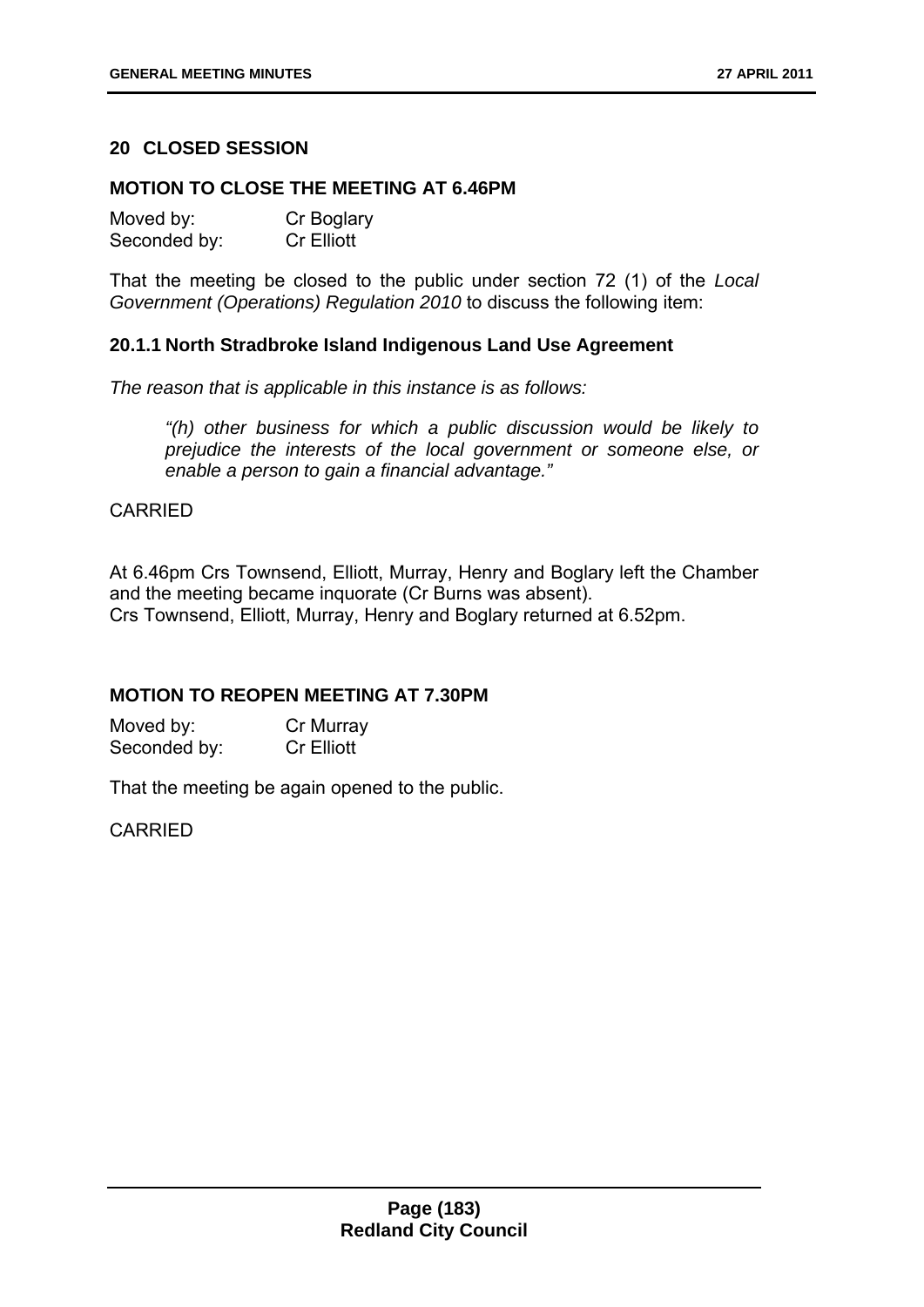# **20 CLOSED SESSION**

#### **MOTION TO CLOSE THE MEETING AT 6.46PM**

| Moved by:    | Cr Boglary |
|--------------|------------|
| Seconded by: | Cr Elliott |

That the meeting be closed to the public under section 72 (1) of the *Local Government (Operations) Regulation 2010* to discuss the following item:

### **20.1.1 North Stradbroke Island Indigenous Land Use Agreement**

*The reason that is applicable in this instance is as follows:* 

*"(h) other business for which a public discussion would be likely to prejudice the interests of the local government or someone else, or enable a person to gain a financial advantage."* 

### **CARRIED**

At 6.46pm Crs Townsend, Elliott, Murray, Henry and Boglary left the Chamber and the meeting became inquorate (Cr Burns was absent). Crs Townsend, Elliott, Murray, Henry and Boglary returned at 6.52pm.

### **MOTION TO REOPEN MEETING AT 7.30PM**

Moved by: Cr Murray Seconded by: Cr Elliott

That the meeting be again opened to the public.

CARRIED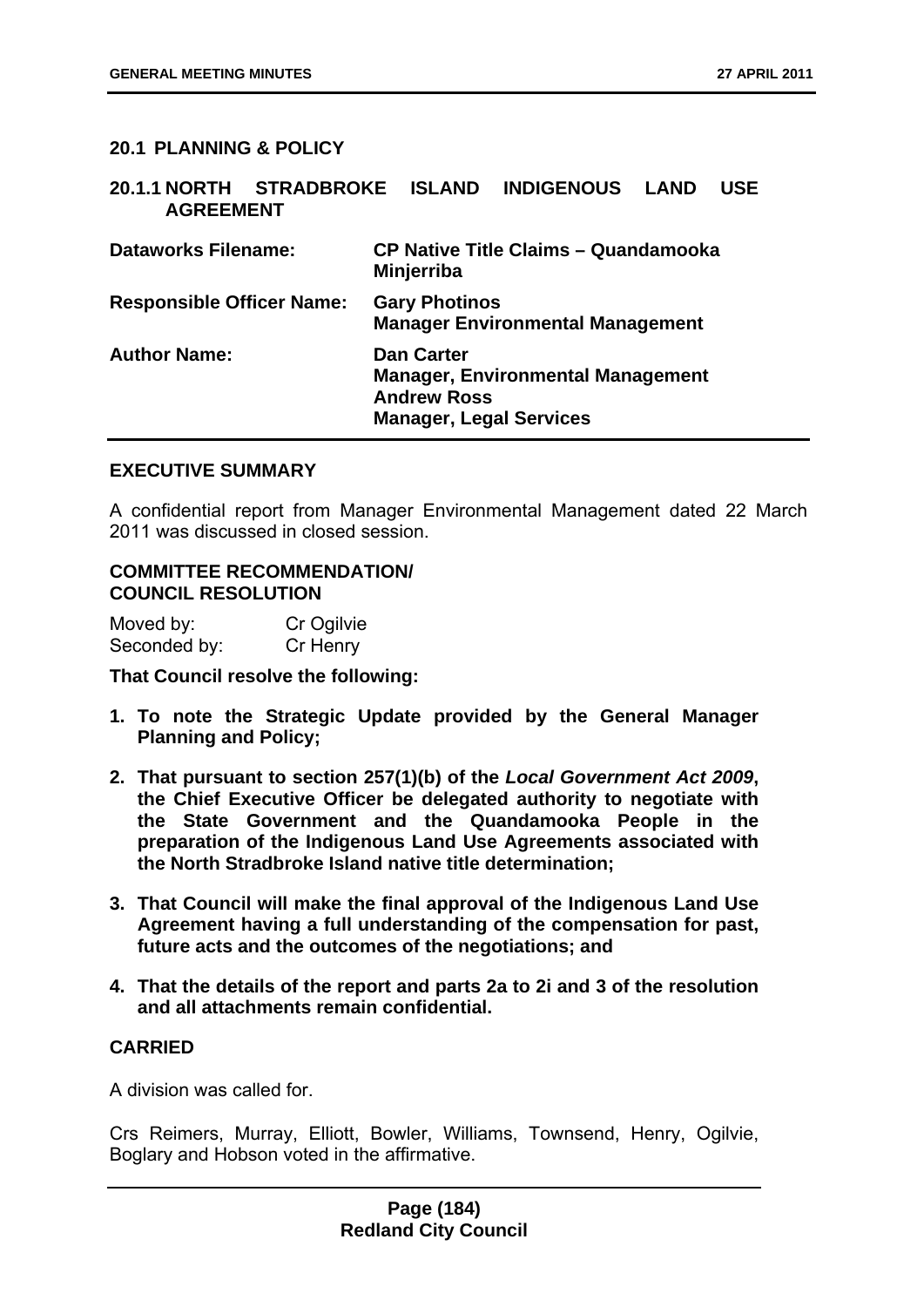## **20.1 PLANNING & POLICY**

| 20.1.1 NORTH STRADBROKE ISLAND INDIGENOUS LAND<br><b>AGREEMENT</b> |                                                                           |                                             | <b>USE</b> |
|--------------------------------------------------------------------|---------------------------------------------------------------------------|---------------------------------------------|------------|
| <b>Dataworks Filename:</b>                                         | <b>Minjerriba</b>                                                         | <b>CP Native Title Claims - Quandamooka</b> |            |
| <b>Responsible Officer Name:</b>                                   | <b>Gary Photinos</b>                                                      | <b>Manager Environmental Management</b>     |            |
| <b>Author Name:</b>                                                | <b>Dan Carter</b><br><b>Andrew Ross</b><br><b>Manager, Legal Services</b> | <b>Manager, Environmental Management</b>    |            |

#### **EXECUTIVE SUMMARY**

A confidential report from Manager Environmental Management dated 22 March 2011 was discussed in closed session.

### **COMMITTEE RECOMMENDATION/ COUNCIL RESOLUTION**

| Moved by:    | Cr Ogilvie |
|--------------|------------|
| Seconded by: | Cr Henry   |

**That Council resolve the following:** 

- **1. To note the Strategic Update provided by the General Manager Planning and Policy;**
- **2. That pursuant to section 257(1)(b) of the** *Local Government Act 2009***, the Chief Executive Officer be delegated authority to negotiate with the State Government and the Quandamooka People in the preparation of the Indigenous Land Use Agreements associated with the North Stradbroke Island native title determination;**
- **3. That Council will make the final approval of the Indigenous Land Use Agreement having a full understanding of the compensation for past, future acts and the outcomes of the negotiations; and**
- **4. That the details of the report and parts 2a to 2i and 3 of the resolution and all attachments remain confidential.**

## **CARRIED**

A division was called for.

Crs Reimers, Murray, Elliott, Bowler, Williams, Townsend, Henry, Ogilvie, Boglary and Hobson voted in the affirmative.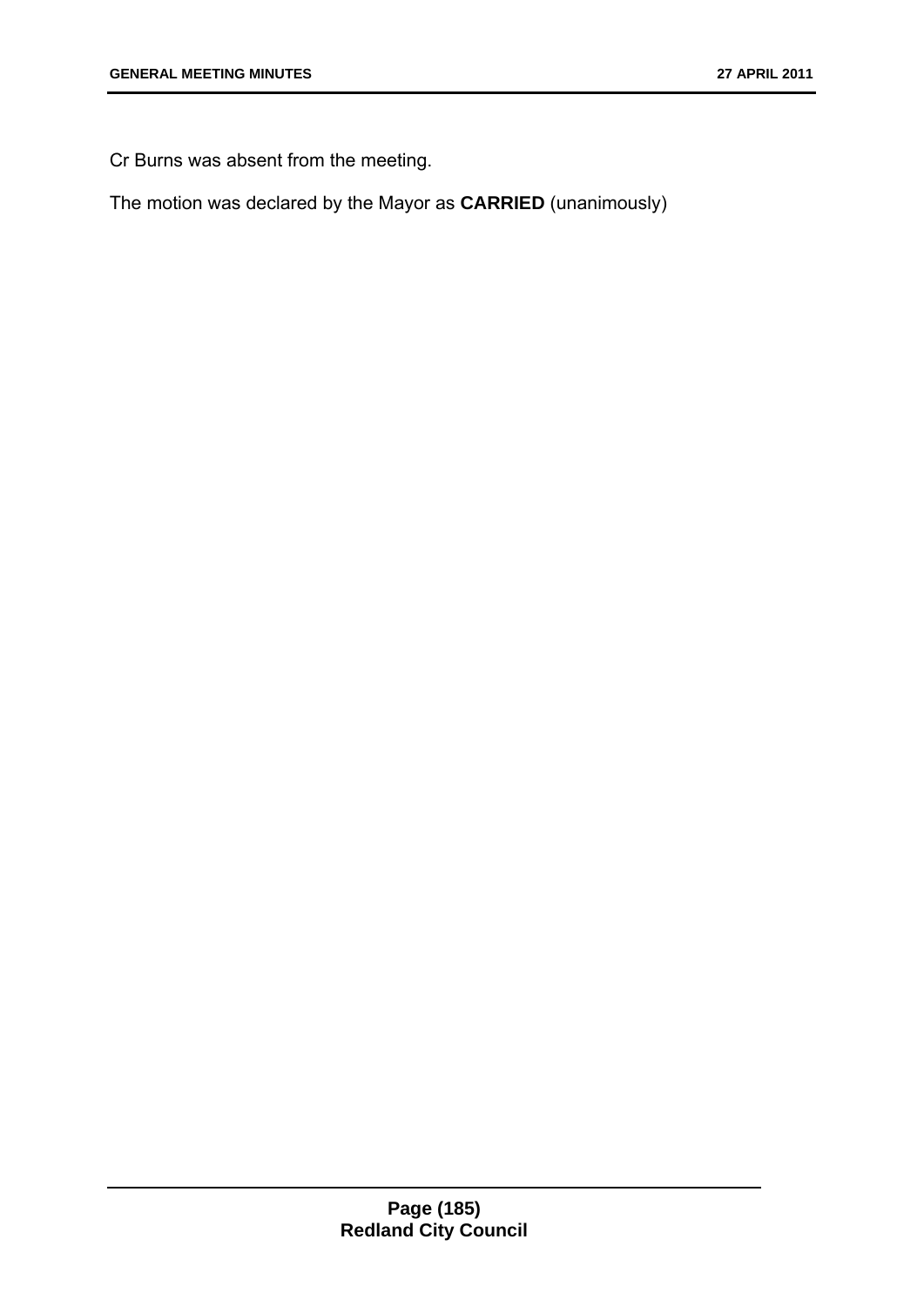Cr Burns was absent from the meeting.

The motion was declared by the Mayor as **CARRIED** (unanimously)